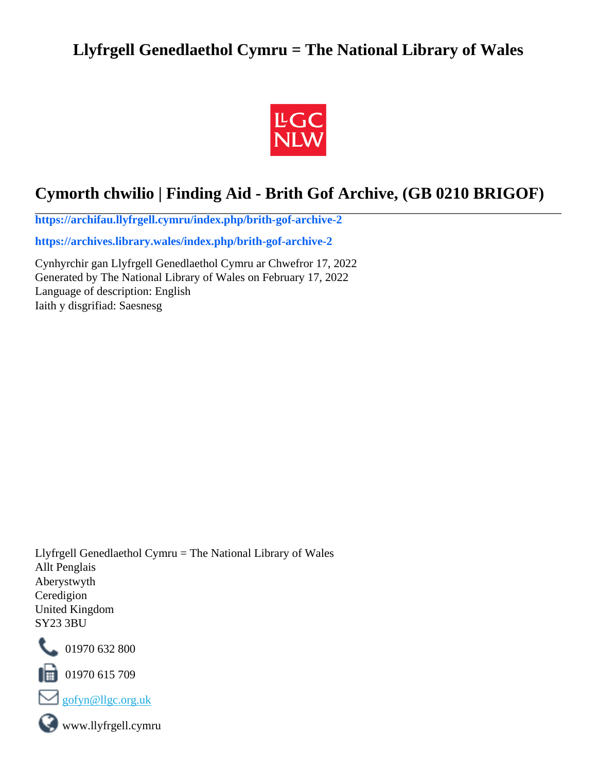# **Llyfrgell Genedlaethol Cymru = The National Library of Wales**



# **Cymorth chwilio | Finding Aid - Brith Gof Archive, (GB 0210 BRIGOF)**

**[https://archifau.llyfrgell.cymru/index.php/brith-gof-archive-2](https://archifau.llyfrgell.cymru/index.php/brith-gof-archive-2;isad?sf_culture=cy)**

**[https://archives.library.wales/index.php/brith-gof-archive-2](https://archives.library.wales/index.php/brith-gof-archive-2;isad?sf_culture=en)**

Cynhyrchir gan Llyfrgell Genedlaethol Cymru ar Chwefror 17, 2022 Generated by The National Library of Wales on February 17, 2022 Language of description: English Iaith y disgrifiad: Saesnesg

Llyfrgell Genedlaethol Cymru = The National Library of Wales Allt Penglais Aberystwyth Ceredigion United Kingdom SY23 3BU



101970 632 800

 $\blacksquare$  01970 615 709



www.llyfrgell.cymru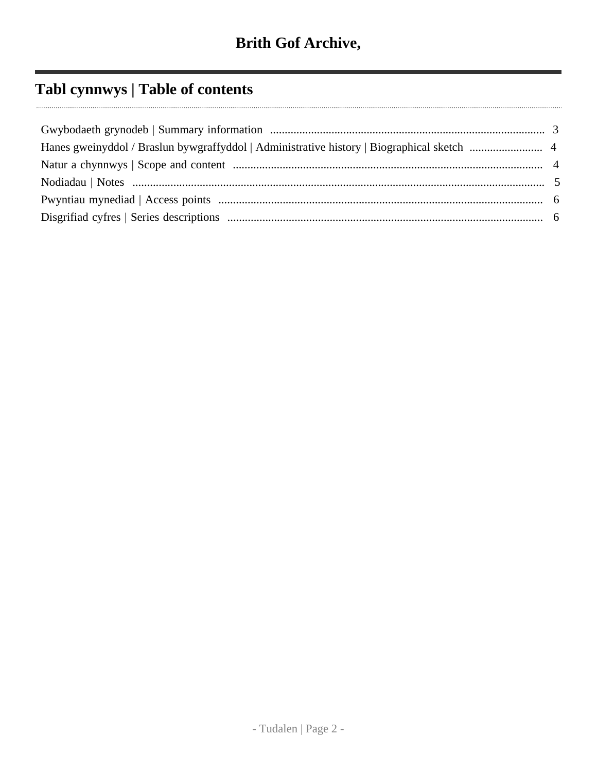# **Tabl cynnwys | Table of contents**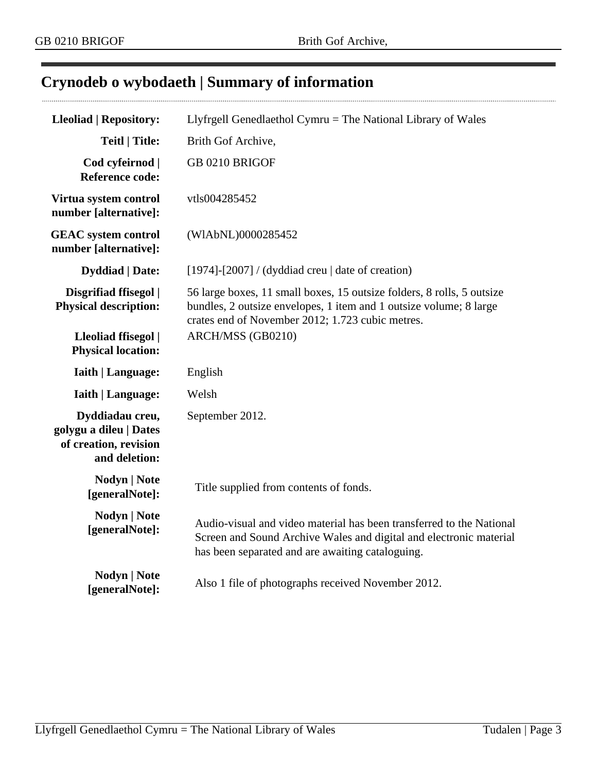$\cdots$ 

# <span id="page-2-0"></span>**Crynodeb o wybodaeth | Summary of information**

| <b>Lleoliad   Repository:</b>                                                       | Llyfrgell Genedlaethol Cymru = The National Library of Wales                                                                                                                                     |
|-------------------------------------------------------------------------------------|--------------------------------------------------------------------------------------------------------------------------------------------------------------------------------------------------|
| <b>Teitl   Title:</b>                                                               | Brith Gof Archive,                                                                                                                                                                               |
| Cod cyfeirnod  <br><b>Reference code:</b>                                           | GB 0210 BRIGOF                                                                                                                                                                                   |
| Virtua system control<br>number [alternative]:                                      | vtls004285452                                                                                                                                                                                    |
| <b>GEAC</b> system control<br>number [alternative]:                                 | (WIAbNL)0000285452                                                                                                                                                                               |
| <b>Dyddiad</b>   Date:                                                              | [1974]-[2007] / (dyddiad creu $\vert$ date of creation)                                                                                                                                          |
| Disgrifiad ffisegol  <br><b>Physical description:</b>                               | 56 large boxes, 11 small boxes, 15 outsize folders, 8 rolls, 5 outsize<br>bundles, 2 outsize envelopes, 1 item and 1 outsize volume; 8 large<br>crates end of November 2012; 1.723 cubic metres. |
| Lleoliad ffisegol  <br><b>Physical location:</b>                                    | ARCH/MSS (GB0210)                                                                                                                                                                                |
| <b>Iaith   Language:</b>                                                            | English                                                                                                                                                                                          |
| <b>Iaith   Language:</b>                                                            | Welsh                                                                                                                                                                                            |
| Dyddiadau creu,<br>golygu a dileu   Dates<br>of creation, revision<br>and deletion: | September 2012.                                                                                                                                                                                  |
| Nodyn   Note<br>[generalNote]:                                                      | Title supplied from contents of fonds.                                                                                                                                                           |
| <b>Nodyn   Note</b><br>[generalNote]:                                               | Audio-visual and video material has been transferred to the National<br>Screen and Sound Archive Wales and digital and electronic material<br>has been separated and are awaiting cataloguing.   |
| <b>Nodyn   Note</b><br>[generalNote]:                                               | Also 1 file of photographs received November 2012.                                                                                                                                               |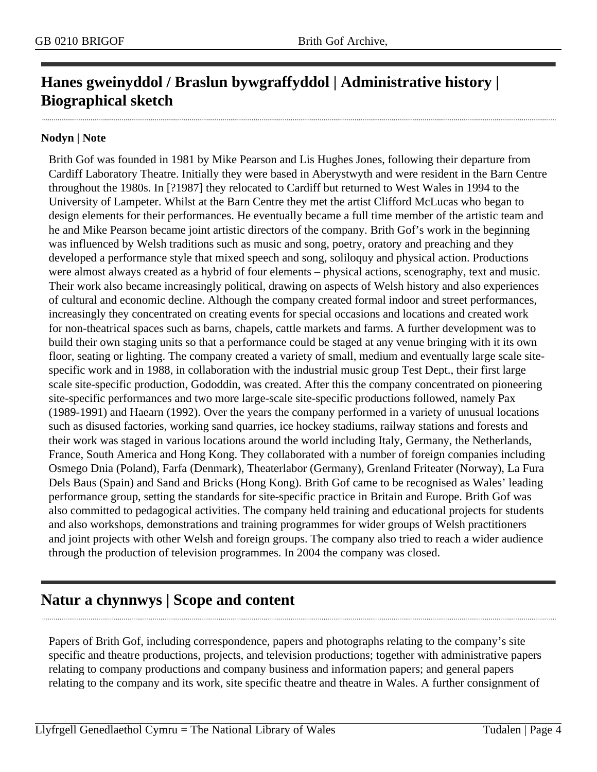# <span id="page-3-0"></span>**Hanes gweinyddol / Braslun bywgraffyddol | Administrative history | Biographical sketch**

#### **Nodyn | Note**

Brith Gof was founded in 1981 by Mike Pearson and Lis Hughes Jones, following their departure from Cardiff Laboratory Theatre. Initially they were based in Aberystwyth and were resident in the Barn Centre throughout the 1980s. In [?1987] they relocated to Cardiff but returned to West Wales in 1994 to the University of Lampeter. Whilst at the Barn Centre they met the artist Clifford McLucas who began to design elements for their performances. He eventually became a full time member of the artistic team and he and Mike Pearson became joint artistic directors of the company. Brith Gof's work in the beginning was influenced by Welsh traditions such as music and song, poetry, oratory and preaching and they developed a performance style that mixed speech and song, soliloquy and physical action. Productions were almost always created as a hybrid of four elements – physical actions, scenography, text and music. Their work also became increasingly political, drawing on aspects of Welsh history and also experiences of cultural and economic decline. Although the company created formal indoor and street performances, increasingly they concentrated on creating events for special occasions and locations and created work for non-theatrical spaces such as barns, chapels, cattle markets and farms. A further development was to build their own staging units so that a performance could be staged at any venue bringing with it its own floor, seating or lighting. The company created a variety of small, medium and eventually large scale sitespecific work and in 1988, in collaboration with the industrial music group Test Dept., their first large scale site-specific production, Gododdin, was created. After this the company concentrated on pioneering site-specific performances and two more large-scale site-specific productions followed, namely Pax (1989-1991) and Haearn (1992). Over the years the company performed in a variety of unusual locations such as disused factories, working sand quarries, ice hockey stadiums, railway stations and forests and their work was staged in various locations around the world including Italy, Germany, the Netherlands, France, South America and Hong Kong. They collaborated with a number of foreign companies including Osmego Dnia (Poland), Farfa (Denmark), Theaterlabor (Germany), Grenland Friteater (Norway), La Fura Dels Baus (Spain) and Sand and Bricks (Hong Kong). Brith Gof came to be recognised as Wales' leading performance group, setting the standards for site-specific practice in Britain and Europe. Brith Gof was also committed to pedagogical activities. The company held training and educational projects for students and also workshops, demonstrations and training programmes for wider groups of Welsh practitioners and joint projects with other Welsh and foreign groups. The company also tried to reach a wider audience through the production of television programmes. In 2004 the company was closed.

# <span id="page-3-1"></span>**Natur a chynnwys | Scope and content**

Papers of Brith Gof, including correspondence, papers and photographs relating to the company's site specific and theatre productions, projects, and television productions; together with administrative papers relating to company productions and company business and information papers; and general papers relating to the company and its work, site specific theatre and theatre in Wales. A further consignment of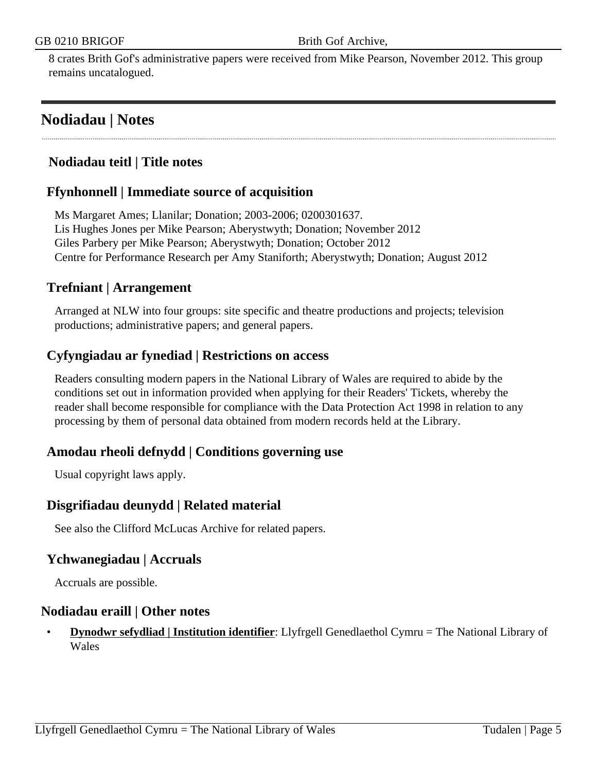8 crates Brith Gof's administrative papers were received from Mike Pearson, November 2012. This group remains uncatalogued.

# <span id="page-4-0"></span>**Nodiadau | Notes**

## **Nodiadau teitl | Title notes**

## **Ffynhonnell | Immediate source of acquisition**

Ms Margaret Ames; Llanilar; Donation; 2003-2006; 0200301637. Lis Hughes Jones per Mike Pearson; Aberystwyth; Donation; November 2012 Giles Parbery per Mike Pearson; Aberystwyth; Donation; October 2012 Centre for Performance Research per Amy Staniforth; Aberystwyth; Donation; August 2012

### **Trefniant | Arrangement**

Arranged at NLW into four groups: site specific and theatre productions and projects; television productions; administrative papers; and general papers.

### **Cyfyngiadau ar fynediad | Restrictions on access**

Readers consulting modern papers in the National Library of Wales are required to abide by the conditions set out in information provided when applying for their Readers' Tickets, whereby the reader shall become responsible for compliance with the Data Protection Act 1998 in relation to any processing by them of personal data obtained from modern records held at the Library.

### **Amodau rheoli defnydd | Conditions governing use**

Usual copyright laws apply.

### **Disgrifiadau deunydd | Related material**

See also the Clifford McLucas Archive for related papers.

### **Ychwanegiadau | Accruals**

Accruals are possible.

#### **Nodiadau eraill | Other notes**

• **Dynodwr sefydliad | Institution identifier**: Llyfrgell Genedlaethol Cymru = The National Library of **Wales**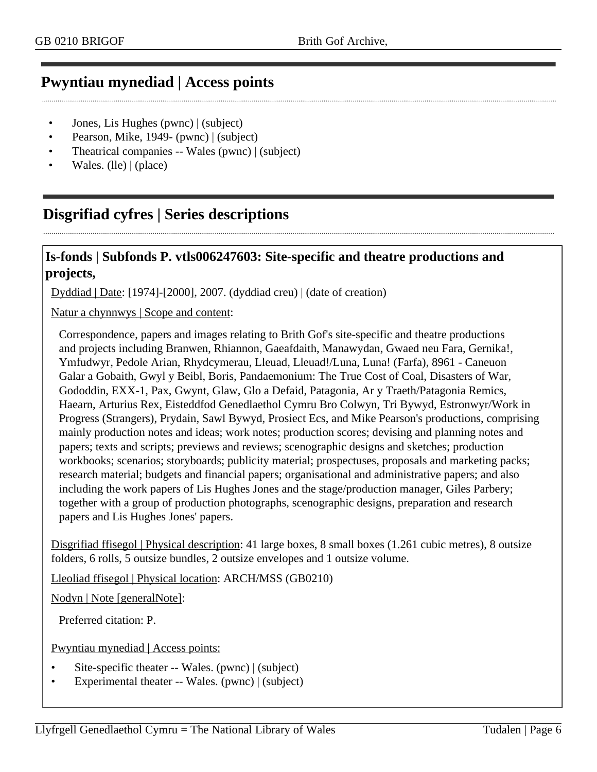## <span id="page-5-0"></span>**Pwyntiau mynediad | Access points**

- Jones, Lis Hughes (pwnc) | (subject)
- Pearson, Mike, 1949- (pwnc) | (subject)
- Theatrical companies -- Wales (pwnc) | (subject)
- Wales. (Ile)  $|$  (place)

# <span id="page-5-1"></span>**Disgrifiad cyfres | Series descriptions**

#### **Is-fonds | Subfonds P. vtls006247603: Site-specific and theatre productions and projects,**

Dyddiad | Date: [1974]-[2000], 2007. (dyddiad creu) | (date of creation)

Natur a chynnwys | Scope and content:

Correspondence, papers and images relating to Brith Gof's site-specific and theatre productions and projects including Branwen, Rhiannon, Gaeafdaith, Manawydan, Gwaed neu Fara, Gernika!, Ymfudwyr, Pedole Arian, Rhydcymerau, Lleuad, Lleuad!/Luna, Luna! (Farfa), 8961 - Caneuon Galar a Gobaith, Gwyl y Beibl, Boris, Pandaemonium: The True Cost of Coal, Disasters of War, Gododdin, EXX-1, Pax, Gwynt, Glaw, Glo a Defaid, Patagonia, Ar y Traeth/Patagonia Remics, Haearn, Arturius Rex, Eisteddfod Genedlaethol Cymru Bro Colwyn, Tri Bywyd, Estronwyr/Work in Progress (Strangers), Prydain, Sawl Bywyd, Prosiect Ecs, and Mike Pearson's productions, comprising mainly production notes and ideas; work notes; production scores; devising and planning notes and papers; texts and scripts; previews and reviews; scenographic designs and sketches; production workbooks; scenarios; storyboards; publicity material; prospectuses, proposals and marketing packs; research material; budgets and financial papers; organisational and administrative papers; and also including the work papers of Lis Hughes Jones and the stage/production manager, Giles Parbery; together with a group of production photographs, scenographic designs, preparation and research papers and Lis Hughes Jones' papers.

Disgrifiad ffisegol | Physical description: 41 large boxes, 8 small boxes (1.261 cubic metres), 8 outsize folders, 6 rolls, 5 outsize bundles, 2 outsize envelopes and 1 outsize volume.

Lleoliad ffisegol | Physical location: ARCH/MSS (GB0210)

Nodyn | Note [generalNote]:

Preferred citation: P.

Pwyntiau mynediad | Access points:

- Site-specific theater -- Wales. (pwnc) | (subject)
- Experimental theater -- Wales. (pwnc) | (subject)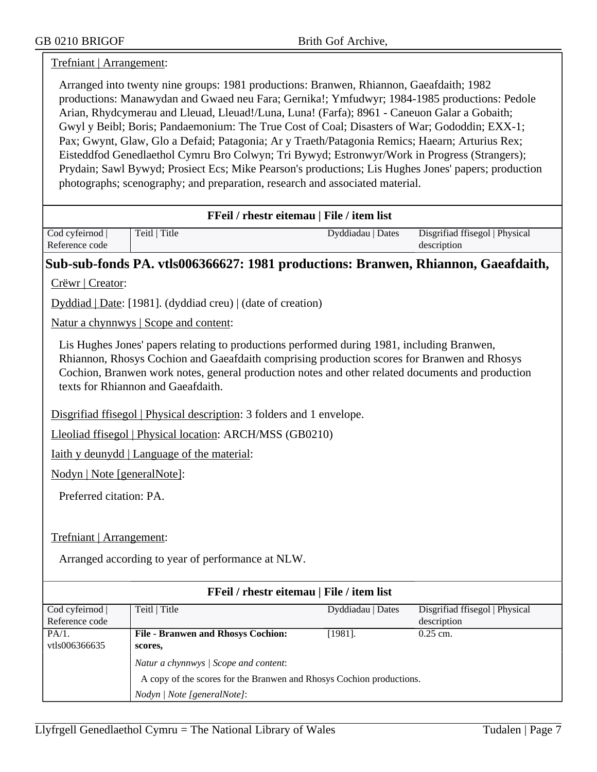#### Trefniant | Arrangement:

Arranged into twenty nine groups: 1981 productions: Branwen, Rhiannon, Gaeafdaith; 1982 productions: Manawydan and Gwaed neu Fara; Gernika!; Ymfudwyr; 1984-1985 productions: Pedole Arian, Rhydcymerau and Lleuad, Lleuad!/Luna, Luna! (Farfa); 8961 - Caneuon Galar a Gobaith; Gwyl y Beibl; Boris; Pandaemonium: The True Cost of Coal; Disasters of War; Gododdin; EXX-1; Pax; Gwynt, Glaw, Glo a Defaid; Patagonia; Ar y Traeth/Patagonia Remics; Haearn; Arturius Rex; Eisteddfod Genedlaethol Cymru Bro Colwyn; Tri Bywyd; Estronwyr/Work in Progress (Strangers); Prydain; Sawl Bywyd; Prosiect Ecs; Mike Pearson's productions; Lis Hughes Jones' papers; production photographs; scenography; and preparation, research and associated material.

#### **FFeil / rhestr eitemau | File / item list**

| Cod cyfeirnod  | Teitl   Title | Dyddiadau   Dates | Disgrifiad ffisegol   Physical |
|----------------|---------------|-------------------|--------------------------------|
| Reference code |               |                   | description                    |

#### **Sub-sub-fonds PA. vtls006366627: 1981 productions: Branwen, Rhiannon, Gaeafdaith,**

Crëwr | Creator:

Dyddiad | Date: [1981]. (dyddiad creu) | (date of creation)

Natur a chynnwys | Scope and content:

Lis Hughes Jones' papers relating to productions performed during 1981, including Branwen, Rhiannon, Rhosys Cochion and Gaeafdaith comprising production scores for Branwen and Rhosys Cochion, Branwen work notes, general production notes and other related documents and production texts for Rhiannon and Gaeafdaith.

Disgrifiad ffisegol | Physical description: 3 folders and 1 envelope.

Lleoliad ffisegol | Physical location: ARCH/MSS (GB0210)

Iaith y deunydd | Language of the material:

Nodyn | Note [generalNote]:

Preferred citation: PA.

Trefniant | Arrangement:

Arranged according to year of performance at NLW.

| FFeil / rhestr eitemau   File / item list |                                                                      |                   |                                |
|-------------------------------------------|----------------------------------------------------------------------|-------------------|--------------------------------|
| Cod cyfeirnod                             | Teitl   Title                                                        | Dyddiadau   Dates | Disgrifiad ffisegol   Physical |
| Reference code                            |                                                                      |                   | description                    |
| PA/1.                                     | <b>File - Branwen and Rhosys Cochion:</b>                            | $[1981]$ .        | $0.25$ cm.                     |
| vtls006366635                             | scores,                                                              |                   |                                |
|                                           | Natur a chynnwys / Scope and content:                                |                   |                                |
|                                           | A copy of the scores for the Branwen and Rhosys Cochion productions. |                   |                                |
|                                           | Nodyn / Note [generalNote]:                                          |                   |                                |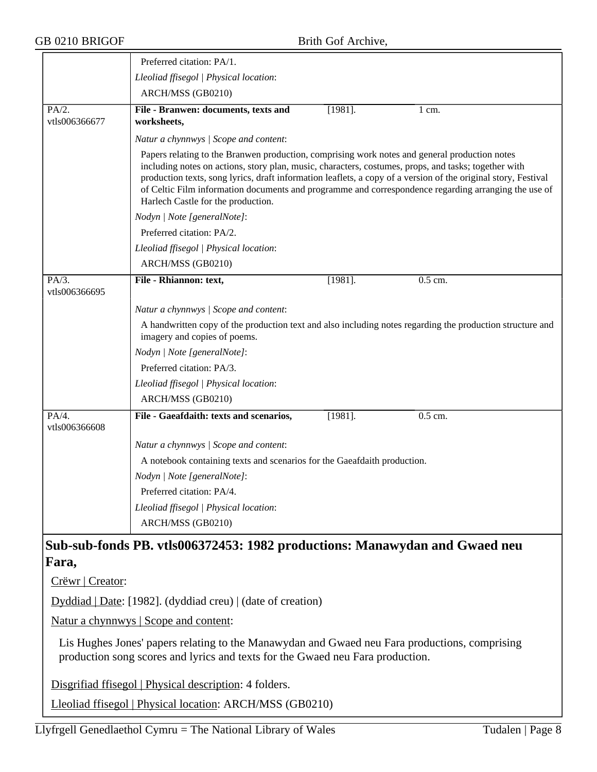|                           | Preferred citation: PA/1.                                                                                                                                                                                                                                                                                                                                                                                                                                             |
|---------------------------|-----------------------------------------------------------------------------------------------------------------------------------------------------------------------------------------------------------------------------------------------------------------------------------------------------------------------------------------------------------------------------------------------------------------------------------------------------------------------|
|                           | Lleoliad ffisegol   Physical location:                                                                                                                                                                                                                                                                                                                                                                                                                                |
|                           | ARCH/MSS (GB0210)                                                                                                                                                                                                                                                                                                                                                                                                                                                     |
| PA/2.                     | File - Branwen: documents, texts and<br>$[1981]$ .<br>$1 \text{ cm}$ .                                                                                                                                                                                                                                                                                                                                                                                                |
| vtls006366677             | worksheets,                                                                                                                                                                                                                                                                                                                                                                                                                                                           |
|                           | Natur a chynnwys / Scope and content:                                                                                                                                                                                                                                                                                                                                                                                                                                 |
|                           | Papers relating to the Branwen production, comprising work notes and general production notes<br>including notes on actions, story plan, music, characters, costumes, props, and tasks; together with<br>production texts, song lyrics, draft information leaflets, a copy of a version of the original story, Festival<br>of Celtic Film information documents and programme and correspondence regarding arranging the use of<br>Harlech Castle for the production. |
|                           | Nodyn   Note [generalNote]:                                                                                                                                                                                                                                                                                                                                                                                                                                           |
|                           | Preferred citation: PA/2.                                                                                                                                                                                                                                                                                                                                                                                                                                             |
|                           | Lleoliad ffisegol   Physical location:                                                                                                                                                                                                                                                                                                                                                                                                                                |
|                           | ARCH/MSS (GB0210)                                                                                                                                                                                                                                                                                                                                                                                                                                                     |
| PA/3.                     | $[1981]$ .<br>0.5 cm.<br>File - Rhiannon: text,                                                                                                                                                                                                                                                                                                                                                                                                                       |
| vtls006366695             |                                                                                                                                                                                                                                                                                                                                                                                                                                                                       |
|                           | Natur a chynnwys / Scope and content:                                                                                                                                                                                                                                                                                                                                                                                                                                 |
|                           | A handwritten copy of the production text and also including notes regarding the production structure and<br>imagery and copies of poems.                                                                                                                                                                                                                                                                                                                             |
|                           | Nodyn   Note [generalNote]:                                                                                                                                                                                                                                                                                                                                                                                                                                           |
|                           | Preferred citation: PA/3.                                                                                                                                                                                                                                                                                                                                                                                                                                             |
|                           | Lleoliad ffisegol   Physical location:                                                                                                                                                                                                                                                                                                                                                                                                                                |
|                           | ARCH/MSS (GB0210)                                                                                                                                                                                                                                                                                                                                                                                                                                                     |
| $PA/4$ .<br>vtls006366608 | File - Gaeafdaith: texts and scenarios,<br>$[1981]$ .<br>0.5 cm.                                                                                                                                                                                                                                                                                                                                                                                                      |
|                           | Natur a chynnwys / Scope and content:                                                                                                                                                                                                                                                                                                                                                                                                                                 |
|                           | A notebook containing texts and scenarios for the Gaeafdaith production.                                                                                                                                                                                                                                                                                                                                                                                              |
|                           | Nodyn   Note [generalNote]:                                                                                                                                                                                                                                                                                                                                                                                                                                           |
|                           | Preferred citation: PA/4.                                                                                                                                                                                                                                                                                                                                                                                                                                             |
|                           | Lleoliad ffisegol   Physical location:                                                                                                                                                                                                                                                                                                                                                                                                                                |
|                           | ARCH/MSS (GB0210)                                                                                                                                                                                                                                                                                                                                                                                                                                                     |
|                           | Sub-sub-fonds PB. vtls006372453: 1982 productions: Manawydan and Gwaed neu                                                                                                                                                                                                                                                                                                                                                                                            |
| Fara,                     |                                                                                                                                                                                                                                                                                                                                                                                                                                                                       |
| Crëwr   Creator:          |                                                                                                                                                                                                                                                                                                                                                                                                                                                                       |
|                           | Dyddiad   Date: [1982]. (dyddiad creu)   (date of creation)                                                                                                                                                                                                                                                                                                                                                                                                           |

Natur a chynnwys | Scope and content:

Lis Hughes Jones' papers relating to the Manawydan and Gwaed neu Fara productions, comprising production song scores and lyrics and texts for the Gwaed neu Fara production.

Disgrifiad ffisegol | Physical description: 4 folders.

Lleoliad ffisegol | Physical location: ARCH/MSS (GB0210)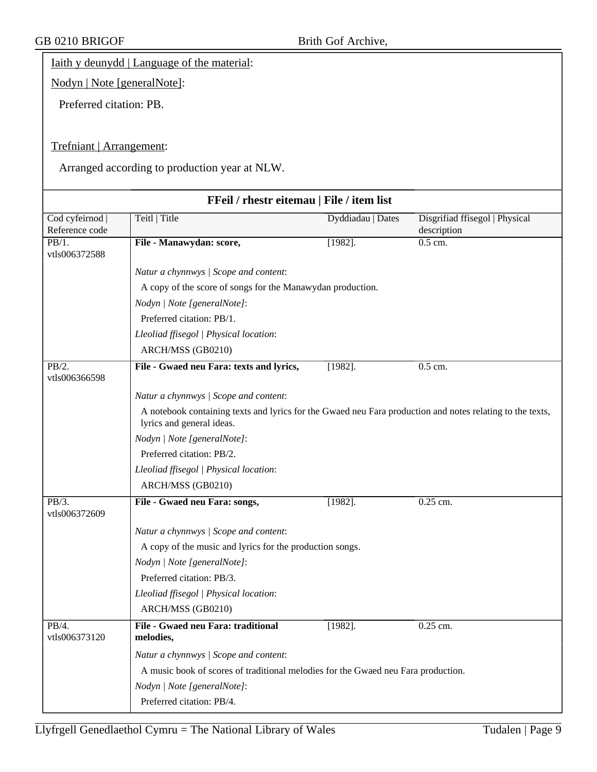Iaith y deunydd | Language of the material:

Nodyn | Note [generalNote]:

Preferred citation: PB.

#### Trefniant | Arrangement:

Arranged according to production year at NLW.

| FFeil / rhestr eitemau   File / item list |                                                                                                                                        |                   |                                               |
|-------------------------------------------|----------------------------------------------------------------------------------------------------------------------------------------|-------------------|-----------------------------------------------|
| Cod cyfeirnod  <br>Reference code         | Teitl   Title                                                                                                                          | Dyddiadau   Dates | Disgrifiad ffisegol   Physical<br>description |
| PB/1.<br>vtls006372588                    | File - Manawydan: score,                                                                                                               | $[1982]$ .        | 0.5 cm.                                       |
|                                           | Natur a chynnwys / Scope and content:                                                                                                  |                   |                                               |
|                                           | A copy of the score of songs for the Manawydan production.                                                                             |                   |                                               |
|                                           | Nodyn   Note [generalNote]:                                                                                                            |                   |                                               |
|                                           | Preferred citation: PB/1.                                                                                                              |                   |                                               |
|                                           | Lleoliad ffisegol   Physical location:                                                                                                 |                   |                                               |
|                                           | ARCH/MSS (GB0210)                                                                                                                      |                   |                                               |
| PB/2.<br>vtls006366598                    | File - Gwaed neu Fara: texts and lyrics,                                                                                               | $[1982]$ .        | 0.5 cm.                                       |
|                                           | Natur a chynnwys / Scope and content:                                                                                                  |                   |                                               |
|                                           | A notebook containing texts and lyrics for the Gwaed neu Fara production and notes relating to the texts,<br>lyrics and general ideas. |                   |                                               |
|                                           | Nodyn   Note [generalNote]:                                                                                                            |                   |                                               |
|                                           | Preferred citation: PB/2.                                                                                                              |                   |                                               |
|                                           | Lleoliad ffisegol   Physical location:                                                                                                 |                   |                                               |
|                                           | ARCH/MSS (GB0210)                                                                                                                      |                   |                                               |
| PB/3.                                     | File - Gwaed neu Fara: songs,                                                                                                          | $[1982]$ .        | $0.25$ cm.                                    |
| vtls006372609                             |                                                                                                                                        |                   |                                               |
|                                           | Natur a chynnwys / Scope and content:                                                                                                  |                   |                                               |
|                                           | A copy of the music and lyrics for the production songs.                                                                               |                   |                                               |
|                                           | Nodyn   Note [generalNote]:                                                                                                            |                   |                                               |
|                                           | Preferred citation: PB/3.                                                                                                              |                   |                                               |
|                                           | Lleoliad ffisegol   Physical location:                                                                                                 |                   |                                               |
|                                           | ARCH/MSS (GB0210)                                                                                                                      |                   |                                               |
| PB/4.<br>vtls006373120                    | File - Gwaed neu Fara: traditional<br>melodies,                                                                                        | $[1982]$ .        | 0.25 cm.                                      |
|                                           | Natur a chynnwys / Scope and content:                                                                                                  |                   |                                               |
|                                           | A music book of scores of traditional melodies for the Gwaed neu Fara production.                                                      |                   |                                               |
|                                           | Nodyn   Note [generalNote]:                                                                                                            |                   |                                               |
|                                           | Preferred citation: PB/4.                                                                                                              |                   |                                               |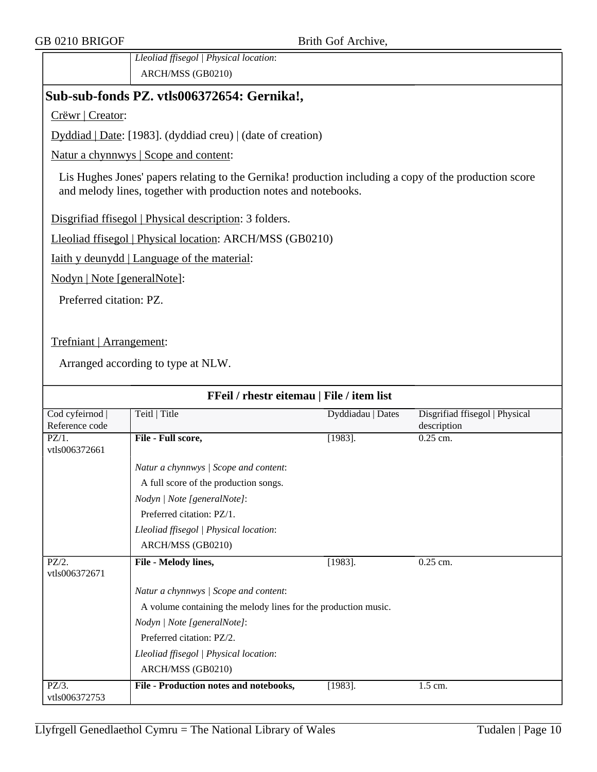*Lleoliad ffisegol | Physical location*: ARCH/MSS (GB0210)

## **Sub-sub-fonds PZ. vtls006372654: Gernika!,**

Crëwr | Creator:

Dyddiad | Date: [1983]. (dyddiad creu) | (date of creation)

Natur a chynnwys | Scope and content:

Lis Hughes Jones' papers relating to the Gernika! production including a copy of the production score and melody lines, together with production notes and notebooks.

Disgrifiad ffisegol | Physical description: 3 folders.

Lleoliad ffisegol | Physical location: ARCH/MSS (GB0210)

Iaith y deunydd | Language of the material:

Nodyn | Note [generalNote]:

Preferred citation: PZ.

Trefniant | Arrangement:

| FFeil / rhestr eitemau   File / item list |                                                                                                                                                                                                                                    |                   |                                               |
|-------------------------------------------|------------------------------------------------------------------------------------------------------------------------------------------------------------------------------------------------------------------------------------|-------------------|-----------------------------------------------|
| Cod cyfeirnod  <br>Reference code         | Teitl   Title                                                                                                                                                                                                                      | Dyddiadau   Dates | Disgrifiad ffisegol   Physical<br>description |
| $PZ/1$ .<br>vtls006372661                 | File - Full score,                                                                                                                                                                                                                 | $[1983]$ .        | 0.25 cm.                                      |
|                                           | Natur a chynnwys / Scope and content:<br>A full score of the production songs.<br>Nodyn   Note [generalNote]:<br>Preferred citation: PZ/1.<br>Lleoliad ffisegol   Physical location:<br>ARCH/MSS (GB0210)                          |                   |                                               |
| $\overline{PZ/2}$ .<br>vtls006372671      | File - Melody lines,                                                                                                                                                                                                               | $[1983]$ .        | 0.25 cm.                                      |
|                                           | Natur a chynnwys / Scope and content:<br>A volume containing the melody lines for the production music.<br>Nodyn   Note [generalNote]:<br>Preferred citation: PZ/2.<br>Lleoliad ffisegol   Physical location:<br>ARCH/MSS (GB0210) |                   |                                               |
| $PZ/3$ .<br>vtls006372753                 | File - Production notes and notebooks,                                                                                                                                                                                             | $[1983]$ .        | $\overline{1.5}$ cm.                          |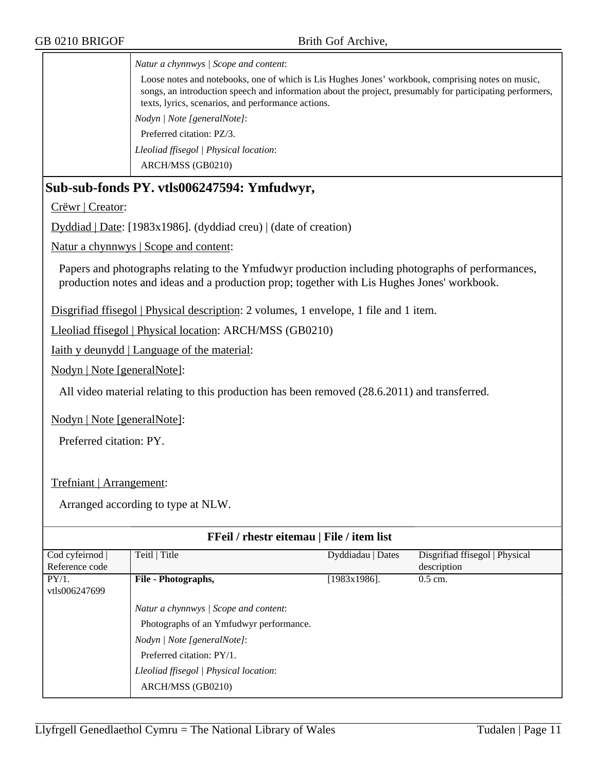*Natur a chynnwys | Scope and content*:

Loose notes and notebooks, one of which is Lis Hughes Jones' workbook, comprising notes on music, songs, an introduction speech and information about the project, presumably for participating performers, texts, lyrics, scenarios, and performance actions. *Nodyn | Note [generalNote]*: Preferred citation: PZ/3.

*Lleoliad ffisegol | Physical location*: ARCH/MSS (GB0210)

### **Sub-sub-fonds PY. vtls006247594: Ymfudwyr,**

Crëwr | Creator:

Dyddiad | Date: [1983x1986]. (dyddiad creu) | (date of creation)

Natur a chynnwys | Scope and content:

Papers and photographs relating to the Ymfudwyr production including photographs of performances, production notes and ideas and a production prop; together with Lis Hughes Jones' workbook.

Disgrifiad ffisegol | Physical description: 2 volumes, 1 envelope, 1 file and 1 item.

Lleoliad ffisegol | Physical location: ARCH/MSS (GB0210)

Iaith y deunydd | Language of the material:

Nodyn | Note [generalNote]:

All video material relating to this production has been removed (28.6.2011) and transferred.

Nodyn | Note [generalNote]:

Preferred citation: PY.

Trefniant | Arrangement:

| FFeil / rhestr eitemau   File / item list |                                         |                   |                                |
|-------------------------------------------|-----------------------------------------|-------------------|--------------------------------|
| Cod cyfeirnod                             | Teitl   Title                           | Dyddiadau   Dates | Disgrifiad ffisegol   Physical |
| Reference code                            |                                         |                   | description                    |
| PY/1.                                     | File - Photographs,                     | [1983x1986].      | $0.5$ cm.                      |
| vtls006247699                             |                                         |                   |                                |
|                                           | Natur a chynnwys / Scope and content:   |                   |                                |
|                                           | Photographs of an Ymfudwyr performance. |                   |                                |
|                                           | Nodyn / Note [generalNote]:             |                   |                                |
|                                           | Preferred citation: PY/1.               |                   |                                |
|                                           | Lleoliad ffisegol   Physical location:  |                   |                                |
|                                           | ARCH/MSS (GB0210)                       |                   |                                |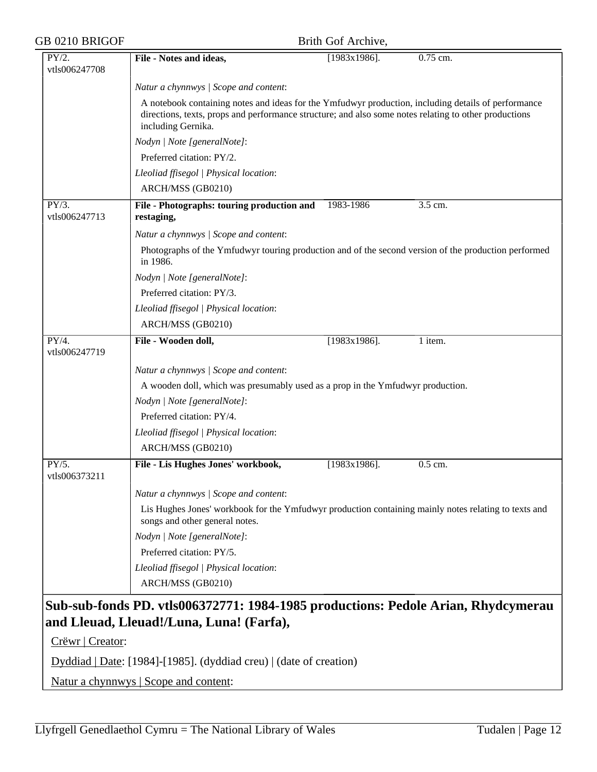| GB 0210 BRIGOF         |                                                                                                                                                                                                                                    | Brith Gof Archive, |          |
|------------------------|------------------------------------------------------------------------------------------------------------------------------------------------------------------------------------------------------------------------------------|--------------------|----------|
| PY/2.<br>vtls006247708 | File - Notes and ideas,                                                                                                                                                                                                            | $[1983x1986]$ .    | 0.75 cm. |
|                        | Natur a chynnwys / Scope and content:                                                                                                                                                                                              |                    |          |
|                        | A notebook containing notes and ideas for the Ymfudwyr production, including details of performance<br>directions, texts, props and performance structure; and also some notes relating to other productions<br>including Gernika. |                    |          |
|                        | Nodyn   Note [generalNote]:                                                                                                                                                                                                        |                    |          |
|                        | Preferred citation: PY/2.                                                                                                                                                                                                          |                    |          |
|                        | Lleoliad ffisegol   Physical location:                                                                                                                                                                                             |                    |          |
|                        | ARCH/MSS (GB0210)                                                                                                                                                                                                                  |                    |          |
| PY/3.<br>vtls006247713 | File - Photographs: touring production and<br>restaging,                                                                                                                                                                           | 1983-1986          | 3.5 cm.  |
|                        | Natur a chynnwys / Scope and content:                                                                                                                                                                                              |                    |          |
|                        | Photographs of the Ymfudwyr touring production and of the second version of the production performed<br>in 1986.                                                                                                                   |                    |          |
|                        | Nodyn   Note [generalNote]:                                                                                                                                                                                                        |                    |          |
|                        | Preferred citation: PY/3.                                                                                                                                                                                                          |                    |          |
|                        | Lleoliad ffisegol   Physical location:                                                                                                                                                                                             |                    |          |
|                        | ARCH/MSS (GB0210)                                                                                                                                                                                                                  |                    |          |
| PY/4.<br>vtls006247719 | File - Wooden doll,                                                                                                                                                                                                                | $[1983x1986]$ .    | 1 item.  |
|                        | Natur a chynnwys / Scope and content:                                                                                                                                                                                              |                    |          |
|                        | A wooden doll, which was presumably used as a prop in the Ymfudwyr production.                                                                                                                                                     |                    |          |
|                        | Nodyn   Note [generalNote]:                                                                                                                                                                                                        |                    |          |
|                        | Preferred citation: PY/4.                                                                                                                                                                                                          |                    |          |
|                        | Lleoliad ffisegol   Physical location:                                                                                                                                                                                             |                    |          |
|                        | ARCH/MSS (GB0210)                                                                                                                                                                                                                  |                    |          |
| PY/5.<br>vtls006373211 | File - Lis Hughes Jones' workbook,                                                                                                                                                                                                 | $[1983x1986]$ .    | 0.5 cm.  |
|                        | Natur a chynnwys / Scope and content:                                                                                                                                                                                              |                    |          |
|                        | Lis Hughes Jones' workbook for the Ymfudwyr production containing mainly notes relating to texts and<br>songs and other general notes.                                                                                             |                    |          |
|                        | Nodyn   Note [generalNote]:                                                                                                                                                                                                        |                    |          |
|                        | Preferred citation: PY/5.                                                                                                                                                                                                          |                    |          |
|                        | Lleoliad ffisegol   Physical location:                                                                                                                                                                                             |                    |          |
|                        | ARCH/MSS (GB0210)                                                                                                                                                                                                                  |                    |          |
|                        | Sub-sub-fonds PD. vtls006372771: 1984-1985 productions: Pedole Arian, Rhydcymerau                                                                                                                                                  |                    |          |
|                        | and Lleuad, Lleuad!/Luna, Luna! (Farfa),                                                                                                                                                                                           |                    |          |
| Crëwr   Creator:       |                                                                                                                                                                                                                                    |                    |          |
|                        |                                                                                                                                                                                                                                    |                    |          |

Dyddiad | Date: [1984]-[1985]. (dyddiad creu) | (date of creation)

Natur a chynnwys | Scope and content: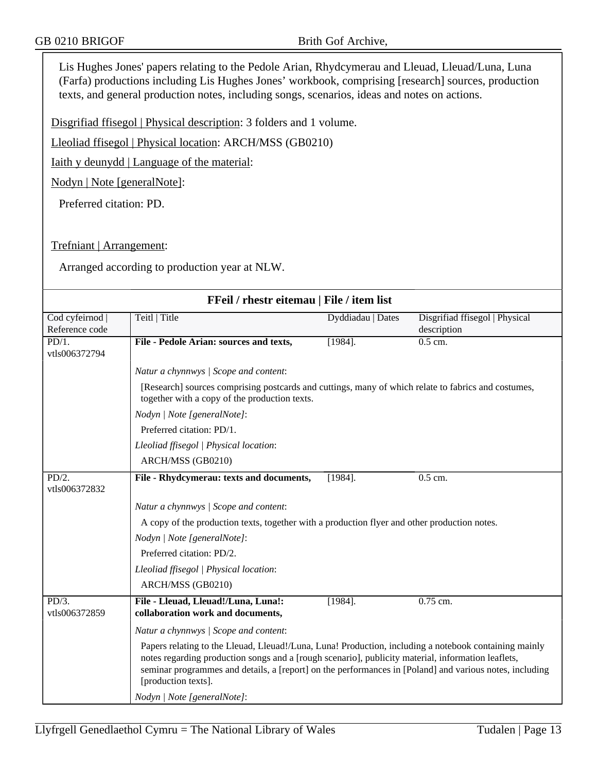Lis Hughes Jones' papers relating to the Pedole Arian, Rhydcymerau and Lleuad, Lleuad/Luna, Luna (Farfa) productions including Lis Hughes Jones' workbook, comprising [research] sources, production texts, and general production notes, including songs, scenarios, ideas and notes on actions.

Disgrifiad ffisegol | Physical description: 3 folders and 1 volume.

Lleoliad ffisegol | Physical location: ARCH/MSS (GB0210)

Iaith y deunydd | Language of the material:

Nodyn | Note [generalNote]:

Preferred citation: PD.

Trefniant | Arrangement:

Arranged according to production year at NLW.

| FFeil / rhestr eitemau   File / item list |                                                                                                                                                                                                                                                                                                                                               |                   |                                |
|-------------------------------------------|-----------------------------------------------------------------------------------------------------------------------------------------------------------------------------------------------------------------------------------------------------------------------------------------------------------------------------------------------|-------------------|--------------------------------|
| Cod cyfeirnod                             | Teitl   Title                                                                                                                                                                                                                                                                                                                                 | Dyddiadau   Dates | Disgrifiad ffisegol   Physical |
| Reference code                            |                                                                                                                                                                                                                                                                                                                                               |                   | description                    |
| PD/1.<br>vtls006372794                    | File - Pedole Arian: sources and texts,                                                                                                                                                                                                                                                                                                       | $[1984]$ .        | 0.5 cm.                        |
|                                           | Natur a chynnwys / Scope and content:                                                                                                                                                                                                                                                                                                         |                   |                                |
|                                           | [Research] sources comprising postcards and cuttings, many of which relate to fabrics and costumes,<br>together with a copy of the production texts.                                                                                                                                                                                          |                   |                                |
|                                           | Nodyn   Note [generalNote]:                                                                                                                                                                                                                                                                                                                   |                   |                                |
|                                           | Preferred citation: PD/1.                                                                                                                                                                                                                                                                                                                     |                   |                                |
|                                           | Lleoliad ffisegol   Physical location:                                                                                                                                                                                                                                                                                                        |                   |                                |
|                                           | ARCH/MSS (GB0210)                                                                                                                                                                                                                                                                                                                             |                   |                                |
| $PD/2$ .<br>vtls006372832                 | File - Rhydcymerau: texts and documents,                                                                                                                                                                                                                                                                                                      | $[1984]$ .        | 0.5 cm.                        |
|                                           | Natur a chynnwys / Scope and content:                                                                                                                                                                                                                                                                                                         |                   |                                |
|                                           | A copy of the production texts, together with a production flyer and other production notes.                                                                                                                                                                                                                                                  |                   |                                |
|                                           | Nodyn   Note [generalNote]:                                                                                                                                                                                                                                                                                                                   |                   |                                |
|                                           | Preferred citation: PD/2.                                                                                                                                                                                                                                                                                                                     |                   |                                |
|                                           | Lleoliad ffisegol   Physical location:                                                                                                                                                                                                                                                                                                        |                   |                                |
|                                           | ARCH/MSS (GB0210)                                                                                                                                                                                                                                                                                                                             |                   |                                |
| PD/3.<br>vtls006372859                    | File - Lleuad, Lleuad!/Luna, Luna!:<br>collaboration work and documents,                                                                                                                                                                                                                                                                      | $[1984]$ .        | $0.75$ cm.                     |
|                                           | Natur a chynnwys / Scope and content:                                                                                                                                                                                                                                                                                                         |                   |                                |
|                                           | Papers relating to the Lleuad, Lleuad!/Luna, Luna! Production, including a notebook containing mainly<br>notes regarding production songs and a [rough scenario], publicity material, information leaflets,<br>seminar programmes and details, a [report] on the performances in [Poland] and various notes, including<br>[production texts]. |                   |                                |
|                                           | Nodyn   Note [generalNote]:                                                                                                                                                                                                                                                                                                                   |                   |                                |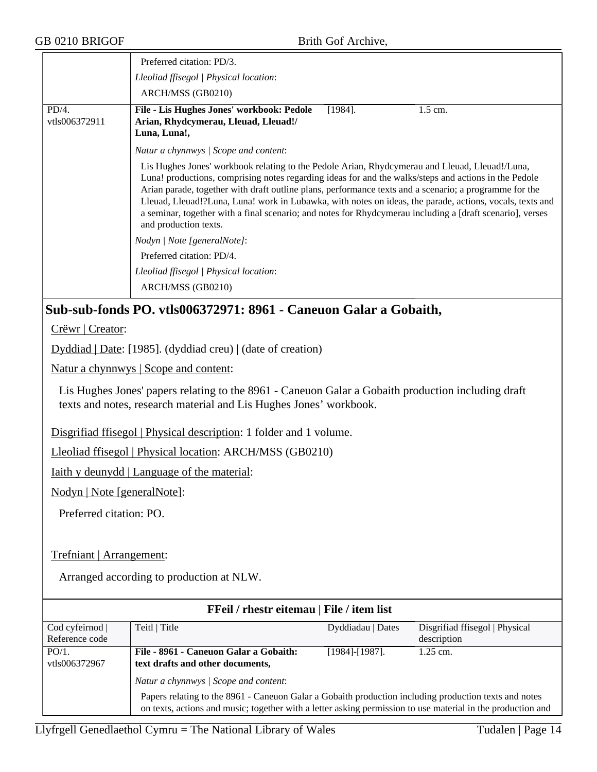| GB 0210 BRIGOF                         | Brith Gof Archive,                                                                                                                                                                                                                                                                                                                                                                                                                                                                                                                                                  |                       |                                               |
|----------------------------------------|---------------------------------------------------------------------------------------------------------------------------------------------------------------------------------------------------------------------------------------------------------------------------------------------------------------------------------------------------------------------------------------------------------------------------------------------------------------------------------------------------------------------------------------------------------------------|-----------------------|-----------------------------------------------|
|                                        | Preferred citation: PD/3.                                                                                                                                                                                                                                                                                                                                                                                                                                                                                                                                           |                       |                                               |
| Lleoliad ffisegol   Physical location: |                                                                                                                                                                                                                                                                                                                                                                                                                                                                                                                                                                     |                       |                                               |
|                                        | ARCH/MSS (GB0210)                                                                                                                                                                                                                                                                                                                                                                                                                                                                                                                                                   |                       |                                               |
| PD/4.<br>vtls006372911                 | File - Lis Hughes Jones' workbook: Pedole<br>Arian, Rhydcymerau, Lleuad, Lleuad!/<br>Luna, Luna!,                                                                                                                                                                                                                                                                                                                                                                                                                                                                   | $[1984]$ .            | 1.5 cm.                                       |
|                                        | Natur a chynnwys / Scope and content:                                                                                                                                                                                                                                                                                                                                                                                                                                                                                                                               |                       |                                               |
|                                        | Lis Hughes Jones' workbook relating to the Pedole Arian, Rhydcymerau and Lleuad, Lleuad!/Luna,<br>Luna! productions, comprising notes regarding ideas for and the walks/steps and actions in the Pedole<br>Arian parade, together with draft outline plans, performance texts and a scenario; a programme for the<br>Lleuad, Lleuad!?Luna, Luna! work in Lubawka, with notes on ideas, the parade, actions, vocals, texts and<br>a seminar, together with a final scenario; and notes for Rhydcymerau including a [draft scenario], verses<br>and production texts. |                       |                                               |
|                                        | Nodyn   Note [generalNote]:                                                                                                                                                                                                                                                                                                                                                                                                                                                                                                                                         |                       |                                               |
|                                        | Preferred citation: PD/4.                                                                                                                                                                                                                                                                                                                                                                                                                                                                                                                                           |                       |                                               |
|                                        | Lleoliad ffisegol   Physical location:                                                                                                                                                                                                                                                                                                                                                                                                                                                                                                                              |                       |                                               |
|                                        | ARCH/MSS (GB0210)                                                                                                                                                                                                                                                                                                                                                                                                                                                                                                                                                   |                       |                                               |
|                                        | Sub-sub-fonds PO. vtls006372971: 8961 - Caneuon Galar a Gobaith,                                                                                                                                                                                                                                                                                                                                                                                                                                                                                                    |                       |                                               |
| Crëwr   Creator:                       |                                                                                                                                                                                                                                                                                                                                                                                                                                                                                                                                                                     |                       |                                               |
|                                        | Dyddiad   Date: [1985]. (dyddiad creu)   (date of creation)                                                                                                                                                                                                                                                                                                                                                                                                                                                                                                         |                       |                                               |
|                                        | Natur a chynnwys   Scope and content:                                                                                                                                                                                                                                                                                                                                                                                                                                                                                                                               |                       |                                               |
|                                        | Lis Hughes Jones' papers relating to the 8961 - Caneuon Galar a Gobaith production including draft<br>texts and notes, research material and Lis Hughes Jones' workbook.                                                                                                                                                                                                                                                                                                                                                                                            |                       |                                               |
|                                        | Disgrifiad ffisegol   Physical description: 1 folder and 1 volume.                                                                                                                                                                                                                                                                                                                                                                                                                                                                                                  |                       |                                               |
|                                        | Lleoliad ffisegol   Physical location: ARCH/MSS (GB0210)                                                                                                                                                                                                                                                                                                                                                                                                                                                                                                            |                       |                                               |
|                                        | <u>Iaith y deunydd</u>   Language of the material:                                                                                                                                                                                                                                                                                                                                                                                                                                                                                                                  |                       |                                               |
| Nodyn   Note [generalNote]:            |                                                                                                                                                                                                                                                                                                                                                                                                                                                                                                                                                                     |                       |                                               |
| Preferred citation: PO.                |                                                                                                                                                                                                                                                                                                                                                                                                                                                                                                                                                                     |                       |                                               |
| Trefniant   Arrangement:               |                                                                                                                                                                                                                                                                                                                                                                                                                                                                                                                                                                     |                       |                                               |
|                                        | Arranged according to production at NLW.                                                                                                                                                                                                                                                                                                                                                                                                                                                                                                                            |                       |                                               |
|                                        | FFeil / rhestr eitemau   File / item list                                                                                                                                                                                                                                                                                                                                                                                                                                                                                                                           |                       |                                               |
| Cod cyfeirnod  <br>Reference code      | Teitl   Title                                                                                                                                                                                                                                                                                                                                                                                                                                                                                                                                                       | Dyddiadau   Dates     | Disgrifiad ffisegol   Physical<br>description |
| PO/1.<br>vtls006372967                 | File - 8961 - Caneuon Galar a Gobaith:<br>text drafts and other documents,                                                                                                                                                                                                                                                                                                                                                                                                                                                                                          | $[1984]$ - $[1987]$ . | 1.25 cm.                                      |
|                                        | Natur a chynnwys / Scope and content:                                                                                                                                                                                                                                                                                                                                                                                                                                                                                                                               |                       |                                               |
|                                        | Papers relating to the 8961 - Capeuon Galar a Gobaith production including production texts and notes                                                                                                                                                                                                                                                                                                                                                                                                                                                               |                       |                                               |

Papers relating to the 8961 - Caneuon Galar a Gobaith production including production texts and notes on texts, actions and music; together with a letter asking permission to use material in the production and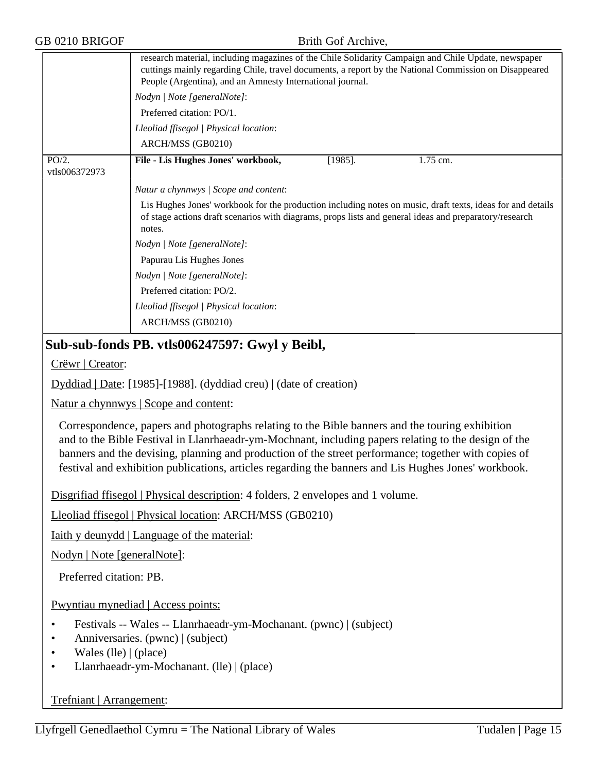|                        | research material, including magazines of the Chile Solidarity Campaign and Chile Update, newspaper<br>cuttings mainly regarding Chile, travel documents, a report by the National Commission on Disappeared<br>People (Argentina), and an Amnesty International journal. |
|------------------------|---------------------------------------------------------------------------------------------------------------------------------------------------------------------------------------------------------------------------------------------------------------------------|
|                        | Nodyn   Note [generalNote]:                                                                                                                                                                                                                                               |
|                        | Preferred citation: PO/1.                                                                                                                                                                                                                                                 |
|                        | Lleoliad ffisegol   Physical location:                                                                                                                                                                                                                                    |
|                        | ARCH/MSS (GB0210)                                                                                                                                                                                                                                                         |
| PO/2.<br>vtls006372973 | File - Lis Hughes Jones' workbook,<br>1.75 cm.<br>$[1985]$ .                                                                                                                                                                                                              |
|                        | Natur a chynnwys / Scope and content:                                                                                                                                                                                                                                     |
|                        | Lis Hughes Jones' workbook for the production including notes on music, draft texts, ideas for and details<br>of stage actions draft scenarios with diagrams, props lists and general ideas and preparatory/research<br>notes.                                            |
|                        | Nodyn   Note [generalNote]:                                                                                                                                                                                                                                               |
|                        | Papurau Lis Hughes Jones                                                                                                                                                                                                                                                  |
|                        | Nodyn   Note [generalNote]:                                                                                                                                                                                                                                               |
|                        | Preferred citation: PO/2.                                                                                                                                                                                                                                                 |
|                        | Lleoliad ffisegol   Physical location:                                                                                                                                                                                                                                    |
|                        | ARCH/MSS (GB0210)                                                                                                                                                                                                                                                         |
|                        |                                                                                                                                                                                                                                                                           |

## **Sub-sub-fonds PB. vtls006247597: Gwyl y Beibl,**

Crëwr | Creator:

Dyddiad | Date: [1985]-[1988]. (dyddiad creu) | (date of creation)

Natur a chynnwys | Scope and content:

Correspondence, papers and photographs relating to the Bible banners and the touring exhibition and to the Bible Festival in Llanrhaeadr-ym-Mochnant, including papers relating to the design of the banners and the devising, planning and production of the street performance; together with copies of festival and exhibition publications, articles regarding the banners and Lis Hughes Jones' workbook.

Disgrifiad ffisegol | Physical description: 4 folders, 2 envelopes and 1 volume.

Lleoliad ffisegol | Physical location: ARCH/MSS (GB0210)

Iaith y deunydd | Language of the material:

Nodyn | Note [generalNote]:

Preferred citation: PB.

Pwyntiau mynediad | Access points:

- Festivals -- Wales -- Llanrhaeadr-ym-Mochanant. (pwnc) | (subject)
- Anniversaries. (pwnc) | (subject)
- Wales (lle) | (place)
- Llanrhaeadr-ym-Mochanant. (lle) | (place)

#### Trefniant | Arrangement: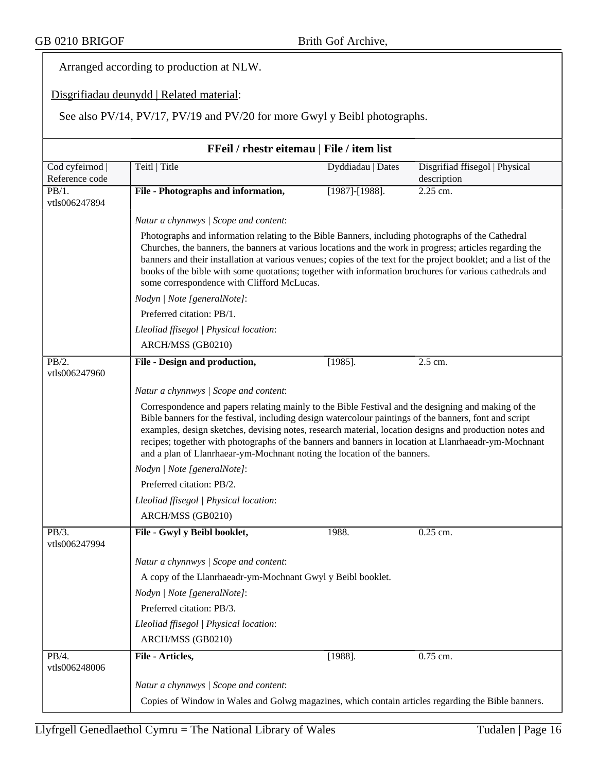Arranged according to production at NLW.

#### Disgrifiadau deunydd | Related material:

See also PV/14, PV/17, PV/19 and PV/20 for more Gwyl y Beibl photographs.

| FFeil / rhestr eitemau   File / item list |                                                                                                                                                                                                                                                                                                                                                                                                                                                                                                              |                       |                                               |  |
|-------------------------------------------|--------------------------------------------------------------------------------------------------------------------------------------------------------------------------------------------------------------------------------------------------------------------------------------------------------------------------------------------------------------------------------------------------------------------------------------------------------------------------------------------------------------|-----------------------|-----------------------------------------------|--|
| Cod cyfeirnod  <br>Reference code         | Teitl   Title                                                                                                                                                                                                                                                                                                                                                                                                                                                                                                | Dyddiadau   Dates     | Disgrifiad ffisegol   Physical<br>description |  |
| PB/1.<br>vtls006247894                    | File - Photographs and information,                                                                                                                                                                                                                                                                                                                                                                                                                                                                          | $[1987]$ - $[1988]$ . | $2.25$ cm.                                    |  |
|                                           | Natur a chynnwys / Scope and content:                                                                                                                                                                                                                                                                                                                                                                                                                                                                        |                       |                                               |  |
|                                           | Photographs and information relating to the Bible Banners, including photographs of the Cathedral<br>Churches, the banners, the banners at various locations and the work in progress; articles regarding the<br>banners and their installation at various venues; copies of the text for the project booklet; and a list of the<br>books of the bible with some quotations; together with information brochures for various cathedrals and<br>some correspondence with Clifford McLucas.                    |                       |                                               |  |
|                                           | Nodyn   Note [generalNote]:                                                                                                                                                                                                                                                                                                                                                                                                                                                                                  |                       |                                               |  |
|                                           | Preferred citation: PB/1.                                                                                                                                                                                                                                                                                                                                                                                                                                                                                    |                       |                                               |  |
|                                           | Lleoliad ffisegol   Physical location:                                                                                                                                                                                                                                                                                                                                                                                                                                                                       |                       |                                               |  |
|                                           | ARCH/MSS (GB0210)                                                                                                                                                                                                                                                                                                                                                                                                                                                                                            |                       |                                               |  |
| PB/2.<br>vtls006247960                    | File - Design and production,                                                                                                                                                                                                                                                                                                                                                                                                                                                                                | $[1985]$ .            | 2.5 cm.                                       |  |
|                                           |                                                                                                                                                                                                                                                                                                                                                                                                                                                                                                              |                       |                                               |  |
|                                           | Natur a chynnwys / Scope and content:                                                                                                                                                                                                                                                                                                                                                                                                                                                                        |                       |                                               |  |
|                                           | Correspondence and papers relating mainly to the Bible Festival and the designing and making of the<br>Bible banners for the festival, including design watercolour paintings of the banners, font and script<br>examples, design sketches, devising notes, research material, location designs and production notes and<br>recipes; together with photographs of the banners and banners in location at Llanrhaeadr-ym-Mochnant<br>and a plan of Llanrhaear-ym-Mochnant noting the location of the banners. |                       |                                               |  |
|                                           | Nodyn   Note [generalNote]:                                                                                                                                                                                                                                                                                                                                                                                                                                                                                  |                       |                                               |  |
|                                           | Preferred citation: PB/2.                                                                                                                                                                                                                                                                                                                                                                                                                                                                                    |                       |                                               |  |
|                                           | Lleoliad ffisegol   Physical location:                                                                                                                                                                                                                                                                                                                                                                                                                                                                       |                       |                                               |  |
|                                           | ARCH/MSS (GB0210)                                                                                                                                                                                                                                                                                                                                                                                                                                                                                            |                       |                                               |  |
| PB/3.<br>vtls006247994                    | File - Gwyl y Beibl booklet,                                                                                                                                                                                                                                                                                                                                                                                                                                                                                 | 1988.                 | 0.25 cm.                                      |  |
|                                           | Natur a chynnwys / Scope and content:                                                                                                                                                                                                                                                                                                                                                                                                                                                                        |                       |                                               |  |
|                                           | A copy of the Llanrhaeadr-ym-Mochnant Gwyl y Beibl booklet.                                                                                                                                                                                                                                                                                                                                                                                                                                                  |                       |                                               |  |
|                                           | Nodyn   Note [generalNote]:                                                                                                                                                                                                                                                                                                                                                                                                                                                                                  |                       |                                               |  |
|                                           | Preferred citation: PB/3.                                                                                                                                                                                                                                                                                                                                                                                                                                                                                    |                       |                                               |  |
|                                           | Lleoliad ffisegol   Physical location:                                                                                                                                                                                                                                                                                                                                                                                                                                                                       |                       |                                               |  |
|                                           | ARCH/MSS (GB0210)                                                                                                                                                                                                                                                                                                                                                                                                                                                                                            |                       |                                               |  |
| PB/4.<br>vtls006248006                    | File - Articles,                                                                                                                                                                                                                                                                                                                                                                                                                                                                                             | $[1988]$ .            | 0.75 cm.                                      |  |
|                                           | Natur a chynnwys / Scope and content:                                                                                                                                                                                                                                                                                                                                                                                                                                                                        |                       |                                               |  |
|                                           | Copies of Window in Wales and Golwg magazines, which contain articles regarding the Bible banners.                                                                                                                                                                                                                                                                                                                                                                                                           |                       |                                               |  |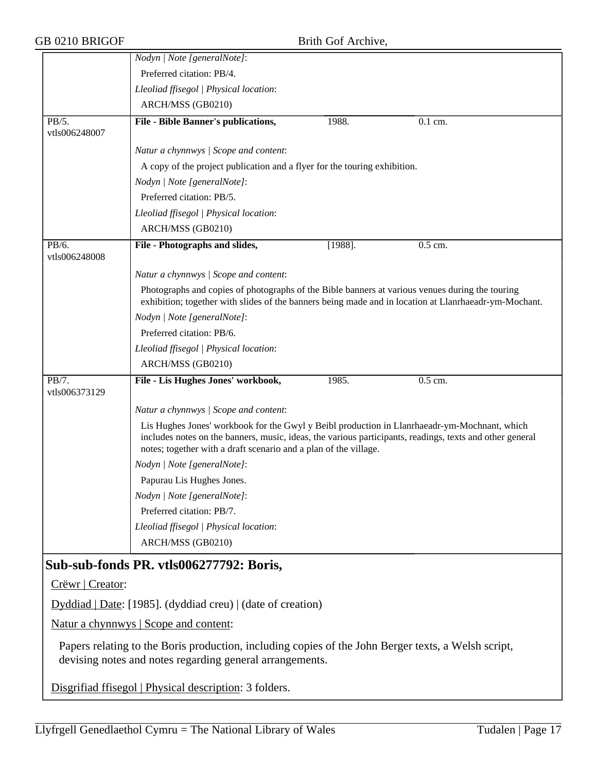| GB 0210 BRIGOF         |                                                                                                                                                                                                                                                                              | Brith Gof Archive, |                                                                                                       |
|------------------------|------------------------------------------------------------------------------------------------------------------------------------------------------------------------------------------------------------------------------------------------------------------------------|--------------------|-------------------------------------------------------------------------------------------------------|
|                        | Nodyn   Note [generalNote]:                                                                                                                                                                                                                                                  |                    |                                                                                                       |
|                        | Preferred citation: PB/4.                                                                                                                                                                                                                                                    |                    |                                                                                                       |
|                        | Lleoliad ffisegol   Physical location:                                                                                                                                                                                                                                       |                    |                                                                                                       |
|                        | ARCH/MSS (GB0210)                                                                                                                                                                                                                                                            |                    |                                                                                                       |
| PB/5.<br>vtls006248007 | File - Bible Banner's publications,                                                                                                                                                                                                                                          | 1988.              | 0.1 cm.                                                                                               |
|                        | Natur a chynnwys / Scope and content:                                                                                                                                                                                                                                        |                    |                                                                                                       |
|                        | A copy of the project publication and a flyer for the touring exhibition.                                                                                                                                                                                                    |                    |                                                                                                       |
|                        | Nodyn   Note [generalNote]:                                                                                                                                                                                                                                                  |                    |                                                                                                       |
|                        | Preferred citation: PB/5.                                                                                                                                                                                                                                                    |                    |                                                                                                       |
|                        | Lleoliad ffisegol   Physical location:                                                                                                                                                                                                                                       |                    |                                                                                                       |
|                        | ARCH/MSS (GB0210)                                                                                                                                                                                                                                                            |                    |                                                                                                       |
| PB/6.<br>vtls006248008 | File - Photographs and slides,                                                                                                                                                                                                                                               | $[1988]$ .         | 0.5 cm.                                                                                               |
|                        | Natur a chynnwys / Scope and content:                                                                                                                                                                                                                                        |                    |                                                                                                       |
|                        | Photographs and copies of photographs of the Bible banners at various venues during the touring                                                                                                                                                                              |                    | exhibition; together with slides of the banners being made and in location at Llanrhaeadr-ym-Mochant. |
|                        | Nodyn   Note [generalNote]:                                                                                                                                                                                                                                                  |                    |                                                                                                       |
|                        | Preferred citation: PB/6.                                                                                                                                                                                                                                                    |                    |                                                                                                       |
|                        | Lleoliad ffisegol   Physical location:                                                                                                                                                                                                                                       |                    |                                                                                                       |
|                        | ARCH/MSS (GB0210)                                                                                                                                                                                                                                                            |                    |                                                                                                       |
| PB/7.<br>vtls006373129 | File - Lis Hughes Jones' workbook,                                                                                                                                                                                                                                           | 1985.              | $0.5$ cm.                                                                                             |
|                        | Natur a chynnwys / Scope and content:                                                                                                                                                                                                                                        |                    |                                                                                                       |
|                        | Lis Hughes Jones' workbook for the Gwyl y Beibl production in Llanrhaeadr-ym-Mochnant, which<br>includes notes on the banners, music, ideas, the various participants, readings, texts and other general<br>notes; together with a draft scenario and a plan of the village. |                    |                                                                                                       |
|                        | Nodyn   Note [generalNote]:                                                                                                                                                                                                                                                  |                    |                                                                                                       |
|                        | Papurau Lis Hughes Jones.                                                                                                                                                                                                                                                    |                    |                                                                                                       |
|                        | Nodyn   Note [generalNote]:                                                                                                                                                                                                                                                  |                    |                                                                                                       |
|                        | Preferred citation: PB/7.                                                                                                                                                                                                                                                    |                    |                                                                                                       |
|                        | Lleoliad ffisegol   Physical location:                                                                                                                                                                                                                                       |                    |                                                                                                       |
|                        | ARCH/MSS (GB0210)                                                                                                                                                                                                                                                            |                    |                                                                                                       |
|                        | Sub-sub-fonds PR. vtls006277792: Boris,                                                                                                                                                                                                                                      |                    |                                                                                                       |
| Crëwr   Creator:       |                                                                                                                                                                                                                                                                              |                    |                                                                                                       |
|                        |                                                                                                                                                                                                                                                                              |                    |                                                                                                       |
|                        | Dyddiad   Date: [1985]. (dyddiad creu)   (date of creation)                                                                                                                                                                                                                  |                    |                                                                                                       |
|                        | Natur a chynnwys   Scope and content:                                                                                                                                                                                                                                        |                    |                                                                                                       |
|                        | Papers relating to the Boris production, including copies of the John Berger texts, a Welsh script,<br>devising notes and notes regarding general arrangements.                                                                                                              |                    |                                                                                                       |
|                        | Disgrifiad ffisegol   Physical description: 3 folders.                                                                                                                                                                                                                       |                    |                                                                                                       |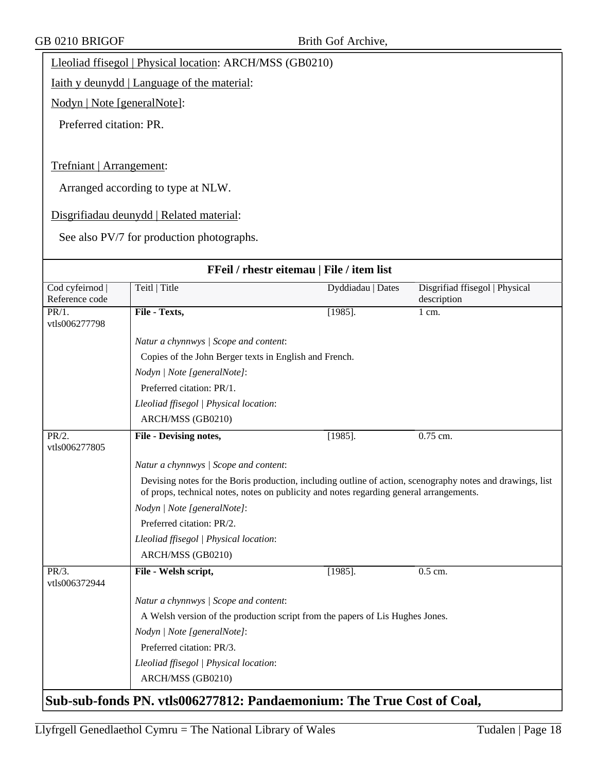Lleoliad ffisegol | Physical location: ARCH/MSS (GB0210)

Iaith y deunydd | Language of the material:

Nodyn | Note [generalNote]:

Preferred citation: PR.

Trefniant | Arrangement:

Arranged according to type at NLW.

Disgrifiadau deunydd | Related material:

See also PV/7 for production photographs.

| FFeil / rhestr eitemau   File / item list                             |                                                                                                                                                                                                       |                   |                                               |  |
|-----------------------------------------------------------------------|-------------------------------------------------------------------------------------------------------------------------------------------------------------------------------------------------------|-------------------|-----------------------------------------------|--|
| Cod cyfeirnod  <br>Reference code                                     | Teitl   Title                                                                                                                                                                                         | Dyddiadau   Dates | Disgrifiad ffisegol   Physical<br>description |  |
| PR/1.<br>vtls006277798                                                | File - Texts,                                                                                                                                                                                         | $[1985]$ .        | 1 cm.                                         |  |
|                                                                       | Natur a chynnwys / Scope and content:                                                                                                                                                                 |                   |                                               |  |
|                                                                       | Copies of the John Berger texts in English and French.                                                                                                                                                |                   |                                               |  |
|                                                                       | Nodyn   Note [generalNote]:                                                                                                                                                                           |                   |                                               |  |
|                                                                       | Preferred citation: PR/1.                                                                                                                                                                             |                   |                                               |  |
|                                                                       | Lleoliad ffisegol   Physical location:                                                                                                                                                                |                   |                                               |  |
|                                                                       | ARCH/MSS (GB0210)                                                                                                                                                                                     |                   |                                               |  |
| PR/2.<br>vtls006277805                                                | File - Devising notes,                                                                                                                                                                                | $[1985]$ .        | 0.75 cm.                                      |  |
|                                                                       | Natur a chynnwys / Scope and content:                                                                                                                                                                 |                   |                                               |  |
|                                                                       | Devising notes for the Boris production, including outline of action, scenography notes and drawings, list<br>of props, technical notes, notes on publicity and notes regarding general arrangements. |                   |                                               |  |
|                                                                       | Nodyn   Note [generalNote]:                                                                                                                                                                           |                   |                                               |  |
|                                                                       | Preferred citation: PR/2.                                                                                                                                                                             |                   |                                               |  |
|                                                                       | Lleoliad ffisegol   Physical location:                                                                                                                                                                |                   |                                               |  |
|                                                                       | ARCH/MSS (GB0210)                                                                                                                                                                                     |                   |                                               |  |
| PR/3.<br>vtls006372944                                                | File - Welsh script,                                                                                                                                                                                  | $[1985]$ .        | $0.5$ cm.                                     |  |
|                                                                       | Natur a chynnwys / Scope and content:                                                                                                                                                                 |                   |                                               |  |
|                                                                       | A Welsh version of the production script from the papers of Lis Hughes Jones.                                                                                                                         |                   |                                               |  |
|                                                                       | Nodyn   Note [generalNote]:                                                                                                                                                                           |                   |                                               |  |
|                                                                       | Preferred citation: PR/3.                                                                                                                                                                             |                   |                                               |  |
|                                                                       | Lleoliad ffisegol   Physical location:                                                                                                                                                                |                   |                                               |  |
|                                                                       | ARCH/MSS (GB0210)                                                                                                                                                                                     |                   |                                               |  |
| Sub-sub-fonds PN. vtls006277812: Pandaemonium: The True Cost of Coal, |                                                                                                                                                                                                       |                   |                                               |  |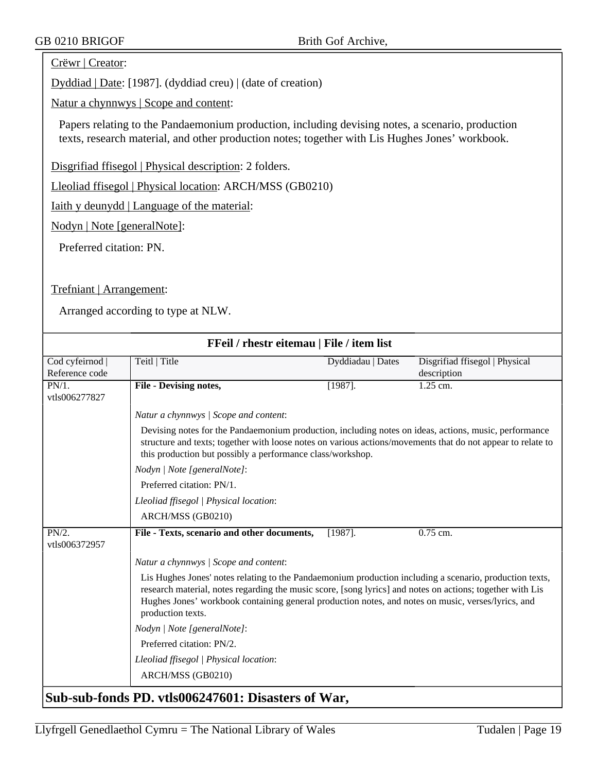#### Crëwr | Creator:

Dyddiad | Date: [1987]. (dyddiad creu) | (date of creation)

Natur a chynnwys | Scope and content:

Papers relating to the Pandaemonium production, including devising notes, a scenario, production texts, research material, and other production notes; together with Lis Hughes Jones' workbook.

Disgrifiad ffisegol | Physical description: 2 folders.

Lleoliad ffisegol | Physical location: ARCH/MSS (GB0210)

Iaith y deunydd | Language of the material:

Nodyn | Note [generalNote]:

Preferred citation: PN.

Trefniant | Arrangement:

| FFeil / rhestr eitemau   File / item list |                                                                                                                                                                                                                                                                                                                                                 |                   |                                               |  |
|-------------------------------------------|-------------------------------------------------------------------------------------------------------------------------------------------------------------------------------------------------------------------------------------------------------------------------------------------------------------------------------------------------|-------------------|-----------------------------------------------|--|
| Cod cyfeirnod  <br>Reference code         | Teitl   Title                                                                                                                                                                                                                                                                                                                                   | Dyddiadau   Dates | Disgrifiad ffisegol   Physical<br>description |  |
| PN/1.<br>vtls006277827                    | File - Devising notes,                                                                                                                                                                                                                                                                                                                          | $[1987]$ .        | 1.25 cm.                                      |  |
|                                           | Natur a chynnwys / Scope and content:                                                                                                                                                                                                                                                                                                           |                   |                                               |  |
|                                           | Devising notes for the Pandaemonium production, including notes on ideas, actions, music, performance<br>structure and texts; together with loose notes on various actions/movements that do not appear to relate to<br>this production but possibly a performance class/workshop.                                                              |                   |                                               |  |
|                                           | Nodyn   Note [generalNote]:                                                                                                                                                                                                                                                                                                                     |                   |                                               |  |
| Preferred citation: PN/1.                 |                                                                                                                                                                                                                                                                                                                                                 |                   |                                               |  |
|                                           | Lleoliad ffisegol   Physical location:                                                                                                                                                                                                                                                                                                          |                   |                                               |  |
|                                           | ARCH/MSS (GB0210)                                                                                                                                                                                                                                                                                                                               |                   |                                               |  |
| PN/2.<br>vtls006372957                    | File - Texts, scenario and other documents,                                                                                                                                                                                                                                                                                                     | $[1987]$ .        | 0.75 cm.                                      |  |
|                                           | Natur a chynnwys / Scope and content:                                                                                                                                                                                                                                                                                                           |                   |                                               |  |
|                                           | Lis Hughes Jones' notes relating to the Pandaemonium production including a scenario, production texts,<br>research material, notes regarding the music score, [song lyrics] and notes on actions; together with Lis<br>Hughes Jones' workbook containing general production notes, and notes on music, verses/lyrics, and<br>production texts. |                   |                                               |  |
|                                           | Nodyn   Note [generalNote]:                                                                                                                                                                                                                                                                                                                     |                   |                                               |  |
|                                           | Preferred citation: PN/2.                                                                                                                                                                                                                                                                                                                       |                   |                                               |  |
|                                           | Lleoliad ffisegol   Physical location:                                                                                                                                                                                                                                                                                                          |                   |                                               |  |
|                                           | ARCH/MSS (GB0210)                                                                                                                                                                                                                                                                                                                               |                   |                                               |  |
|                                           | Sub-sub-fonds PD. vtls006247601: Disasters of War,                                                                                                                                                                                                                                                                                              |                   |                                               |  |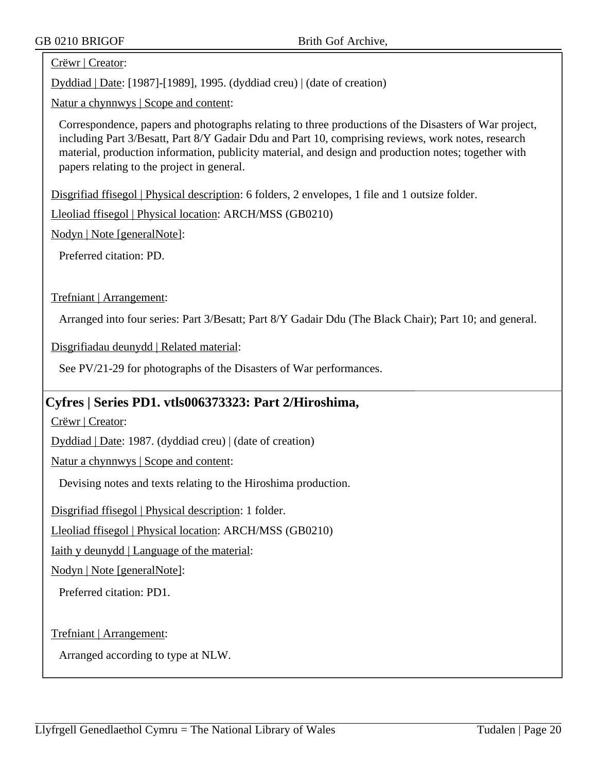#### Crëwr | Creator:

Dyddiad | Date: [1987]-[1989], 1995. (dyddiad creu) | (date of creation)

Natur a chynnwys | Scope and content:

Correspondence, papers and photographs relating to three productions of the Disasters of War project, including Part 3/Besatt, Part 8/Y Gadair Ddu and Part 10, comprising reviews, work notes, research material, production information, publicity material, and design and production notes; together with papers relating to the project in general.

Disgrifiad ffisegol | Physical description: 6 folders, 2 envelopes, 1 file and 1 outsize folder.

Lleoliad ffisegol | Physical location: ARCH/MSS (GB0210)

Nodyn | Note [generalNote]:

Preferred citation: PD.

Trefniant | Arrangement:

Arranged into four series: Part 3/Besatt; Part 8/Y Gadair Ddu (The Black Chair); Part 10; and general.

Disgrifiadau deunydd | Related material:

See PV/21-29 for photographs of the Disasters of War performances.

#### **Cyfres | Series PD1. vtls006373323: Part 2/Hiroshima,**

Crëwr | Creator:

Dyddiad | Date: 1987. (dyddiad creu) | (date of creation)

Natur a chynnwys | Scope and content:

Devising notes and texts relating to the Hiroshima production.

Disgrifiad ffisegol | Physical description: 1 folder.

Lleoliad ffisegol | Physical location: ARCH/MSS (GB0210)

Iaith y deunydd | Language of the material:

Nodyn | Note [generalNote]:

Preferred citation: PD1.

Trefniant | Arrangement: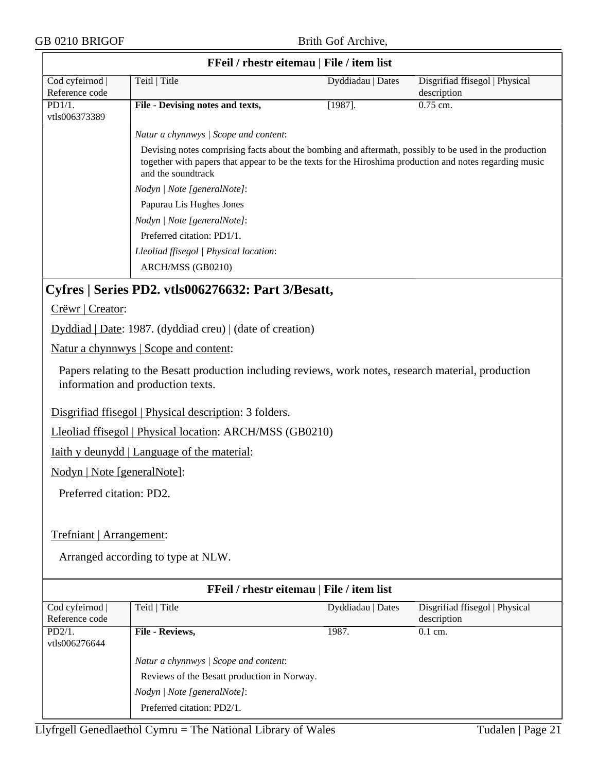| GB 0210 BRIGOF                    |                                                                                                                                                                                                                                         | Brith Gof Archive,                        |                                               |
|-----------------------------------|-----------------------------------------------------------------------------------------------------------------------------------------------------------------------------------------------------------------------------------------|-------------------------------------------|-----------------------------------------------|
|                                   |                                                                                                                                                                                                                                         | FFeil / rhestr eitemau   File / item list |                                               |
| Cod cyfeirnod  <br>Reference code | Teitl   Title                                                                                                                                                                                                                           | Dyddiadau   Dates                         | Disgrifiad ffisegol   Physical<br>description |
| PD1/1.<br>vtls006373389           | File - Devising notes and texts,                                                                                                                                                                                                        | $[1987]$ .                                | $0.75$ cm.                                    |
|                                   | Natur a chynnwys / Scope and content:                                                                                                                                                                                                   |                                           |                                               |
|                                   | Devising notes comprising facts about the bombing and aftermath, possibly to be used in the production<br>together with papers that appear to be the texts for the Hiroshima production and notes regarding music<br>and the soundtrack |                                           |                                               |
|                                   | Nodyn   Note [generalNote]:                                                                                                                                                                                                             |                                           |                                               |
|                                   | Papurau Lis Hughes Jones                                                                                                                                                                                                                |                                           |                                               |
|                                   | Nodyn   Note [generalNote]:                                                                                                                                                                                                             |                                           |                                               |
|                                   | Preferred citation: PD1/1.                                                                                                                                                                                                              |                                           |                                               |
|                                   | Lleoliad ffisegol   Physical location:                                                                                                                                                                                                  |                                           |                                               |
|                                   | ARCH/MSS (GB0210)                                                                                                                                                                                                                       |                                           |                                               |
|                                   | Cyfres   Series PD2. vtls006276632: Part 3/Besatt,                                                                                                                                                                                      |                                           |                                               |
| Crëwr   Creator:                  |                                                                                                                                                                                                                                         |                                           |                                               |
|                                   |                                                                                                                                                                                                                                         |                                           |                                               |
|                                   | Dyddiad   Date: 1987. (dyddiad creu)   (date of creation)                                                                                                                                                                               |                                           |                                               |
|                                   | Natur a chynnwys   Scope and content:                                                                                                                                                                                                   |                                           |                                               |
|                                   | Papers relating to the Besatt production including reviews, work notes, research material, production<br>information and production texts.                                                                                              |                                           |                                               |
|                                   | Disgrifiad ffisegol   Physical description: 3 folders.                                                                                                                                                                                  |                                           |                                               |
|                                   | Lleoliad ffisegol   Physical location: ARCH/MSS (GB0210)                                                                                                                                                                                |                                           |                                               |
|                                   | <u>Iaith y deunydd   Language of the material:</u>                                                                                                                                                                                      |                                           |                                               |
| Nodyn   Note [generalNote]:       |                                                                                                                                                                                                                                         |                                           |                                               |
|                                   |                                                                                                                                                                                                                                         |                                           |                                               |
| Preferred citation: PD2.          |                                                                                                                                                                                                                                         |                                           |                                               |
|                                   |                                                                                                                                                                                                                                         |                                           |                                               |
| Trefniant   Arrangement:          |                                                                                                                                                                                                                                         |                                           |                                               |
|                                   |                                                                                                                                                                                                                                         |                                           |                                               |
|                                   | Arranged according to type at NLW.                                                                                                                                                                                                      |                                           |                                               |
|                                   |                                                                                                                                                                                                                                         |                                           |                                               |
|                                   |                                                                                                                                                                                                                                         | FFeil / rhestr eitemau   File / item list |                                               |
| Cod cyfeirnod  <br>Reference code | Teitl   Title                                                                                                                                                                                                                           | Dyddiadau   Dates                         | Disgrifiad ffisegol   Physical<br>description |
| PD2/1.                            | File - Reviews,                                                                                                                                                                                                                         | 1987.                                     | 0.1 cm.                                       |
| vtls006276644                     |                                                                                                                                                                                                                                         |                                           |                                               |
|                                   | Natur a chynnwys / Scope and content:                                                                                                                                                                                                   |                                           |                                               |
|                                   | Reviews of the Besatt production in Norway.                                                                                                                                                                                             |                                           |                                               |
|                                   | Nodyn   Note [generalNote]:                                                                                                                                                                                                             |                                           |                                               |

Preferred citation: PD2/1.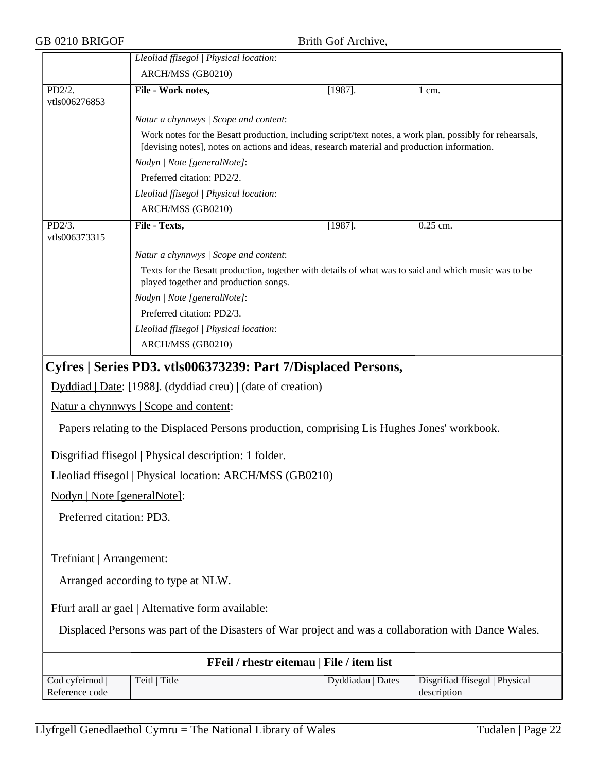# GB 0210 BRIGOF Brith Gof Archive,

|                                                                                                      | Lleoliad ffisegol   Physical location:                                                                                                                                                                  |                   |                                               |
|------------------------------------------------------------------------------------------------------|---------------------------------------------------------------------------------------------------------------------------------------------------------------------------------------------------------|-------------------|-----------------------------------------------|
|                                                                                                      | ARCH/MSS (GB0210)                                                                                                                                                                                       |                   |                                               |
| PD2/2.<br>vtls006276853                                                                              | File - Work notes,                                                                                                                                                                                      | $[1987]$ .        | 1 cm.                                         |
|                                                                                                      | Natur a chynnwys / Scope and content:                                                                                                                                                                   |                   |                                               |
|                                                                                                      | Work notes for the Besatt production, including script/text notes, a work plan, possibly for rehearsals,<br>[devising notes], notes on actions and ideas, research material and production information. |                   |                                               |
|                                                                                                      | Nodyn   Note [generalNote]:                                                                                                                                                                             |                   |                                               |
|                                                                                                      | Preferred citation: PD2/2.                                                                                                                                                                              |                   |                                               |
|                                                                                                      | Lleoliad ffisegol   Physical location:                                                                                                                                                                  |                   |                                               |
|                                                                                                      | ARCH/MSS (GB0210)                                                                                                                                                                                       |                   |                                               |
| PD2/3.<br>vtls006373315                                                                              | File - Texts,                                                                                                                                                                                           | $[1987]$ .        | 0.25 cm.                                      |
|                                                                                                      | Natur a chynnwys / Scope and content:                                                                                                                                                                   |                   |                                               |
|                                                                                                      | Texts for the Besatt production, together with details of what was to said and which music was to be<br>played together and production songs.                                                           |                   |                                               |
|                                                                                                      | Nodyn   Note [generalNote]:                                                                                                                                                                             |                   |                                               |
|                                                                                                      | Preferred citation: PD2/3.                                                                                                                                                                              |                   |                                               |
|                                                                                                      | Lleoliad ffisegol   Physical location:                                                                                                                                                                  |                   |                                               |
|                                                                                                      | ARCH/MSS (GB0210)                                                                                                                                                                                       |                   |                                               |
|                                                                                                      | Cyfres   Series PD3. vtls006373239: Part 7/Displaced Persons,                                                                                                                                           |                   |                                               |
| Dyddiad   Date: [1988]. (dyddiad creu)   (date of creation)                                          |                                                                                                                                                                                                         |                   |                                               |
| <u>Natur a chynnwys</u>   Scope and content:                                                         |                                                                                                                                                                                                         |                   |                                               |
| Papers relating to the Displaced Persons production, comprising Lis Hughes Jones' workbook.          |                                                                                                                                                                                                         |                   |                                               |
|                                                                                                      | Disgrifiad ffisegol   Physical description: 1 folder.                                                                                                                                                   |                   |                                               |
| Lleoliad ffisegol   Physical location: ARCH/MSS (GB0210)                                             |                                                                                                                                                                                                         |                   |                                               |
| Nodyn   Note [generalNote]:                                                                          |                                                                                                                                                                                                         |                   |                                               |
| Preferred citation: PD3.                                                                             |                                                                                                                                                                                                         |                   |                                               |
|                                                                                                      |                                                                                                                                                                                                         |                   |                                               |
| Trefniant   Arrangement:                                                                             |                                                                                                                                                                                                         |                   |                                               |
| Arranged according to type at NLW.                                                                   |                                                                                                                                                                                                         |                   |                                               |
| Ffurf arall ar gael   Alternative form available:                                                    |                                                                                                                                                                                                         |                   |                                               |
| Displaced Persons was part of the Disasters of War project and was a collaboration with Dance Wales. |                                                                                                                                                                                                         |                   |                                               |
|                                                                                                      | FFeil / rhestr eitemau   File / item list                                                                                                                                                               |                   |                                               |
| Cod cyfeirnod<br>Reference code                                                                      | Teitl   Title                                                                                                                                                                                           | Dyddiadau   Dates | Disgrifiad ffisegol   Physical<br>description |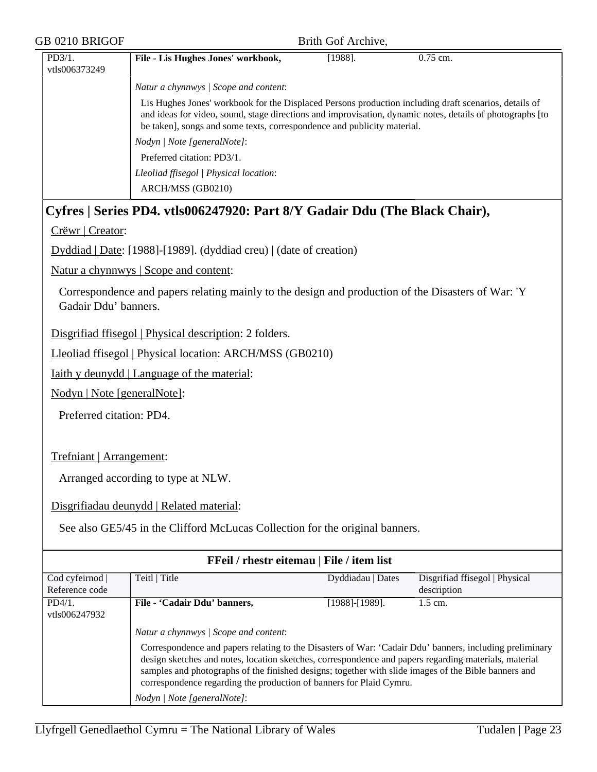| GB 0210 BRIGOF                    |                                                                                                                                                                                                                                                                                                                                                                                                 | Brith Gof Archive,                        |                                               |  |
|-----------------------------------|-------------------------------------------------------------------------------------------------------------------------------------------------------------------------------------------------------------------------------------------------------------------------------------------------------------------------------------------------------------------------------------------------|-------------------------------------------|-----------------------------------------------|--|
| PD3/1.<br>vtls006373249           | File - Lis Hughes Jones' workbook,                                                                                                                                                                                                                                                                                                                                                              | $[1988]$ .                                | $0.75$ cm.                                    |  |
|                                   | Natur a chynnwys / Scope and content:                                                                                                                                                                                                                                                                                                                                                           |                                           |                                               |  |
|                                   | Lis Hughes Jones' workbook for the Displaced Persons production including draft scenarios, details of<br>and ideas for video, sound, stage directions and improvisation, dynamic notes, details of photographs [to<br>be taken], songs and some texts, correspondence and publicity material.<br>Nodyn   Note [generalNote]:                                                                    |                                           |                                               |  |
|                                   | Preferred citation: PD3/1.                                                                                                                                                                                                                                                                                                                                                                      |                                           |                                               |  |
|                                   | Lleoliad ffisegol   Physical location:                                                                                                                                                                                                                                                                                                                                                          |                                           |                                               |  |
|                                   | ARCH/MSS (GB0210)                                                                                                                                                                                                                                                                                                                                                                               |                                           |                                               |  |
|                                   | Cyfres   Series PD4. vtls006247920: Part 8/Y Gadair Ddu (The Black Chair),                                                                                                                                                                                                                                                                                                                      |                                           |                                               |  |
| Crëwr   Creator:                  |                                                                                                                                                                                                                                                                                                                                                                                                 |                                           |                                               |  |
|                                   | Dyddiad   Date: [1988]-[1989]. (dyddiad creu)   (date of creation)                                                                                                                                                                                                                                                                                                                              |                                           |                                               |  |
|                                   | Natur a chynnwys   Scope and content:                                                                                                                                                                                                                                                                                                                                                           |                                           |                                               |  |
| Gadair Ddu' banners.              | Correspondence and papers relating mainly to the design and production of the Disasters of War: 'Y                                                                                                                                                                                                                                                                                              |                                           |                                               |  |
|                                   | Disgrifiad ffisegol   Physical description: 2 folders.                                                                                                                                                                                                                                                                                                                                          |                                           |                                               |  |
|                                   | Lleoliad ffisegol   Physical location: ARCH/MSS (GB0210)                                                                                                                                                                                                                                                                                                                                        |                                           |                                               |  |
|                                   | <u>Iaith y deunydd   Language of the material:</u>                                                                                                                                                                                                                                                                                                                                              |                                           |                                               |  |
| Nodyn   Note [generalNote]:       |                                                                                                                                                                                                                                                                                                                                                                                                 |                                           |                                               |  |
| Preferred citation: PD4.          |                                                                                                                                                                                                                                                                                                                                                                                                 |                                           |                                               |  |
| Trefniant   Arrangement:          |                                                                                                                                                                                                                                                                                                                                                                                                 |                                           |                                               |  |
|                                   | Arranged according to type at NLW.                                                                                                                                                                                                                                                                                                                                                              |                                           |                                               |  |
|                                   | Disgrifiadau deunydd   Related material:                                                                                                                                                                                                                                                                                                                                                        |                                           |                                               |  |
|                                   | See also GE5/45 in the Clifford McLucas Collection for the original banners.                                                                                                                                                                                                                                                                                                                    |                                           |                                               |  |
|                                   |                                                                                                                                                                                                                                                                                                                                                                                                 | FFeil / rhestr eitemau   File / item list |                                               |  |
| Cod cyfeirnod  <br>Reference code | Teitl   Title                                                                                                                                                                                                                                                                                                                                                                                   | Dyddiadau   Dates                         | Disgrifiad ffisegol   Physical<br>description |  |
| PD4/1.<br>vtls006247932           | File - 'Cadair Ddu' banners,                                                                                                                                                                                                                                                                                                                                                                    | [1988]-[1989].                            | 1.5 cm.                                       |  |
|                                   | Natur a chynnwys / Scope and content:                                                                                                                                                                                                                                                                                                                                                           |                                           |                                               |  |
|                                   | Correspondence and papers relating to the Disasters of War: 'Cadair Ddu' banners, including preliminary<br>design sketches and notes, location sketches, correspondence and papers regarding materials, material<br>samples and photographs of the finished designs; together with slide images of the Bible banners and<br>correspondence regarding the production of banners for Plaid Cymru. |                                           |                                               |  |
|                                   | Nodyn   Note [generalNote]:                                                                                                                                                                                                                                                                                                                                                                     |                                           |                                               |  |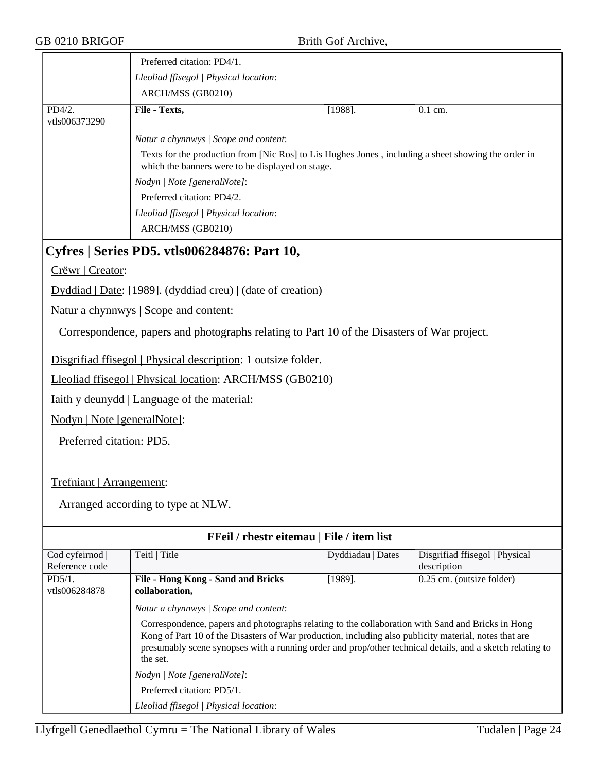|                                              | Preferred citation: PD4/1.                                                                                                                              |            |           |
|----------------------------------------------|---------------------------------------------------------------------------------------------------------------------------------------------------------|------------|-----------|
|                                              | Lleoliad ffisegol   Physical location:                                                                                                                  |            |           |
|                                              | ARCH/MSS (GB0210)                                                                                                                                       |            |           |
| $PD4/2$ .<br>vtls006373290                   | File - Texts,                                                                                                                                           | $[1988]$ . | $0.1$ cm. |
|                                              | Natur a chynnwys / Scope and content:                                                                                                                   |            |           |
|                                              | Texts for the production from [Nic Ros] to Lis Hughes Jones, including a sheet showing the order in<br>which the banners were to be displayed on stage. |            |           |
|                                              | Nodyn   Note [generalNote]:                                                                                                                             |            |           |
|                                              | Preferred citation: PD4/2.                                                                                                                              |            |           |
|                                              | Lleoliad ffisegol   Physical location:                                                                                                                  |            |           |
|                                              | ARCH/MSS (GB0210)                                                                                                                                       |            |           |
| Cyfres   Series PD5. vtls006284876: Part 10, |                                                                                                                                                         |            |           |
| Crëwr   Creator:                             |                                                                                                                                                         |            |           |
|                                              | Dyddiad   Date: [1989]. (dyddiad creu)   (date of creation)                                                                                             |            |           |

Natur a chynnwys | Scope and content:

Correspondence, papers and photographs relating to Part 10 of the Disasters of War project.

Disgrifiad ffisegol | Physical description: 1 outsize folder.

Lleoliad ffisegol | Physical location: ARCH/MSS (GB0210)

Iaith y deunydd | Language of the material:

Nodyn | Note [generalNote]:

Preferred citation: PD5.

Trefniant | Arrangement:

| FFeil / rhestr eitemau   File / item list |                                                                                                                                                                                                                                                                                                                                                                              |                   |                                |
|-------------------------------------------|------------------------------------------------------------------------------------------------------------------------------------------------------------------------------------------------------------------------------------------------------------------------------------------------------------------------------------------------------------------------------|-------------------|--------------------------------|
| Cod cyfeirnod                             | Teitl   Title                                                                                                                                                                                                                                                                                                                                                                | Dyddiadau   Dates | Disgrifiad ffisegol   Physical |
| Reference code                            |                                                                                                                                                                                                                                                                                                                                                                              |                   | description                    |
| PD5/1.                                    | File - Hong Kong - Sand and Bricks                                                                                                                                                                                                                                                                                                                                           | $[1989]$ .        | 0.25 cm. (outsize folder)      |
| vtls006284878                             | collaboration,                                                                                                                                                                                                                                                                                                                                                               |                   |                                |
|                                           | Natur a chynnwys / Scope and content:<br>Correspondence, papers and photographs relating to the collaboration with Sand and Bricks in Hong<br>Kong of Part 10 of the Disasters of War production, including also publicity material, notes that are<br>presumably scene synopses with a running order and prop/other technical details, and a sketch relating to<br>the set. |                   |                                |
|                                           |                                                                                                                                                                                                                                                                                                                                                                              |                   |                                |
|                                           | Nodyn / Note [generalNote]:                                                                                                                                                                                                                                                                                                                                                  |                   |                                |
|                                           | Preferred citation: PD5/1.                                                                                                                                                                                                                                                                                                                                                   |                   |                                |
|                                           | Lleoliad ffisegol   Physical location:                                                                                                                                                                                                                                                                                                                                       |                   |                                |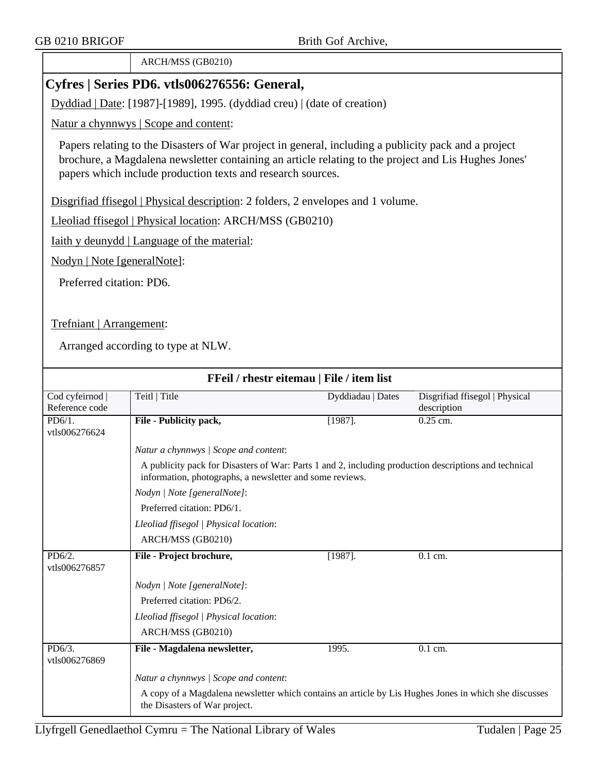ARCH/MSS (GB0210)

## **Cyfres | Series PD6. vtls006276556: General,**

Dyddiad | Date: [1987]-[1989], 1995. (dyddiad creu) | (date of creation)

Natur a chynnwys | Scope and content:

Papers relating to the Disasters of War project in general, including a publicity pack and a project brochure, a Magdalena newsletter containing an article relating to the project and Lis Hughes Jones' papers which include production texts and research sources.

Disgrifiad ffisegol | Physical description: 2 folders, 2 envelopes and 1 volume.

Lleoliad ffisegol | Physical location: ARCH/MSS (GB0210)

Iaith y deunydd | Language of the material:

Nodyn | Note [generalNote]:

Preferred citation: PD6.

Trefniant | Arrangement:

| FFeil / rhestr eitemau   File / item list |                                                                                                                                                                   |                   |                                |  |
|-------------------------------------------|-------------------------------------------------------------------------------------------------------------------------------------------------------------------|-------------------|--------------------------------|--|
| Cod cyfeirnod                             | Teitl   Title                                                                                                                                                     | Dyddiadau   Dates | Disgrifiad ffisegol   Physical |  |
| Reference code                            |                                                                                                                                                                   |                   | description                    |  |
| $PD6/1$ .                                 | File - Publicity pack,                                                                                                                                            | $[1987]$ .        | $0.25$ cm.                     |  |
| vtls006276624                             |                                                                                                                                                                   |                   |                                |  |
|                                           | Natur a chynnwys / Scope and content:                                                                                                                             |                   |                                |  |
|                                           | A publicity pack for Disasters of War: Parts 1 and 2, including production descriptions and technical<br>information, photographs, a newsletter and some reviews. |                   |                                |  |
|                                           | Nodyn   Note [generalNote]:                                                                                                                                       |                   |                                |  |
|                                           | Preferred citation: PD6/1.                                                                                                                                        |                   |                                |  |
|                                           | Lleoliad ffisegol   Physical location:                                                                                                                            |                   |                                |  |
|                                           | ARCH/MSS (GB0210)                                                                                                                                                 |                   |                                |  |
| $PD\overline{6/2}$ .<br>vtls006276857     | File - Project brochure,                                                                                                                                          | $[1987]$ .        | $0.1$ cm.                      |  |
|                                           | Nodyn   Note [generalNote]:                                                                                                                                       |                   |                                |  |
|                                           | Preferred citation: PD6/2.                                                                                                                                        |                   |                                |  |
|                                           | Lleoliad ffisegol   Physical location:                                                                                                                            |                   |                                |  |
|                                           | ARCH/MSS (GB0210)                                                                                                                                                 |                   |                                |  |
| $PD6/3$ .<br>vtls006276869                | File - Magdalena newsletter,                                                                                                                                      | 1995.             | $0.1$ cm.                      |  |
|                                           | Natur a chynnwys / Scope and content:                                                                                                                             |                   |                                |  |
|                                           | A copy of a Magdalena newsletter which contains an article by Lis Hughes Jones in which she discusses<br>the Disasters of War project.                            |                   |                                |  |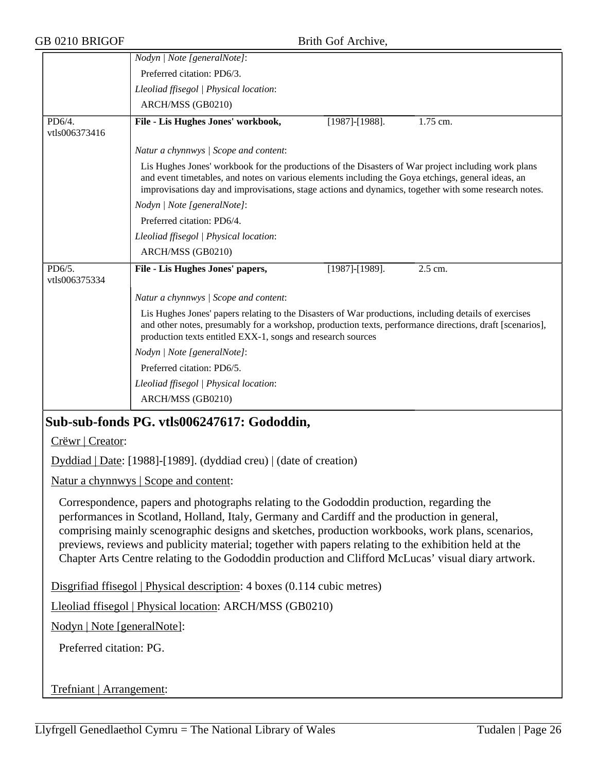|                                                                                                                                                                                                                                                                                                                                                                                                                                                                                                                | Nodyn   Note [generalNote]:                                                                                                                                                                                                                                                                                        |  |  |  |  |
|----------------------------------------------------------------------------------------------------------------------------------------------------------------------------------------------------------------------------------------------------------------------------------------------------------------------------------------------------------------------------------------------------------------------------------------------------------------------------------------------------------------|--------------------------------------------------------------------------------------------------------------------------------------------------------------------------------------------------------------------------------------------------------------------------------------------------------------------|--|--|--|--|
|                                                                                                                                                                                                                                                                                                                                                                                                                                                                                                                | Preferred citation: PD6/3.                                                                                                                                                                                                                                                                                         |  |  |  |  |
|                                                                                                                                                                                                                                                                                                                                                                                                                                                                                                                | Lleoliad ffisegol   Physical location:                                                                                                                                                                                                                                                                             |  |  |  |  |
|                                                                                                                                                                                                                                                                                                                                                                                                                                                                                                                | ARCH/MSS (GB0210)                                                                                                                                                                                                                                                                                                  |  |  |  |  |
| PD6/4.                                                                                                                                                                                                                                                                                                                                                                                                                                                                                                         | File - Lis Hughes Jones' workbook,<br>1.75 cm.<br>$[1987]$ - $[1988]$ .                                                                                                                                                                                                                                            |  |  |  |  |
| vtls006373416                                                                                                                                                                                                                                                                                                                                                                                                                                                                                                  |                                                                                                                                                                                                                                                                                                                    |  |  |  |  |
|                                                                                                                                                                                                                                                                                                                                                                                                                                                                                                                | Natur a chynnwys / Scope and content:                                                                                                                                                                                                                                                                              |  |  |  |  |
|                                                                                                                                                                                                                                                                                                                                                                                                                                                                                                                | Lis Hughes Jones' workbook for the productions of the Disasters of War project including work plans<br>and event timetables, and notes on various elements including the Goya etchings, general ideas, an<br>improvisations day and improvisations, stage actions and dynamics, together with some research notes. |  |  |  |  |
|                                                                                                                                                                                                                                                                                                                                                                                                                                                                                                                | Nodyn   Note [generalNote]:                                                                                                                                                                                                                                                                                        |  |  |  |  |
|                                                                                                                                                                                                                                                                                                                                                                                                                                                                                                                | Preferred citation: PD6/4.                                                                                                                                                                                                                                                                                         |  |  |  |  |
|                                                                                                                                                                                                                                                                                                                                                                                                                                                                                                                | Lleoliad ffisegol   Physical location:                                                                                                                                                                                                                                                                             |  |  |  |  |
|                                                                                                                                                                                                                                                                                                                                                                                                                                                                                                                | ARCH/MSS (GB0210)                                                                                                                                                                                                                                                                                                  |  |  |  |  |
| PD6/5.                                                                                                                                                                                                                                                                                                                                                                                                                                                                                                         | File - Lis Hughes Jones' papers,<br>$[1987]$ - $[1989]$ .<br>2.5 cm.                                                                                                                                                                                                                                               |  |  |  |  |
| vtls006375334                                                                                                                                                                                                                                                                                                                                                                                                                                                                                                  |                                                                                                                                                                                                                                                                                                                    |  |  |  |  |
|                                                                                                                                                                                                                                                                                                                                                                                                                                                                                                                | Natur a chynnwys / Scope and content:                                                                                                                                                                                                                                                                              |  |  |  |  |
|                                                                                                                                                                                                                                                                                                                                                                                                                                                                                                                | Lis Hughes Jones' papers relating to the Disasters of War productions, including details of exercises<br>and other notes, presumably for a workshop, production texts, performance directions, draft [scenarios],<br>production texts entitled EXX-1, songs and research sources                                   |  |  |  |  |
|                                                                                                                                                                                                                                                                                                                                                                                                                                                                                                                | Nodyn   Note [generalNote]:                                                                                                                                                                                                                                                                                        |  |  |  |  |
|                                                                                                                                                                                                                                                                                                                                                                                                                                                                                                                | Preferred citation: PD6/5.                                                                                                                                                                                                                                                                                         |  |  |  |  |
|                                                                                                                                                                                                                                                                                                                                                                                                                                                                                                                | Lleoliad ffisegol   Physical location:                                                                                                                                                                                                                                                                             |  |  |  |  |
|                                                                                                                                                                                                                                                                                                                                                                                                                                                                                                                | ARCH/MSS (GB0210)                                                                                                                                                                                                                                                                                                  |  |  |  |  |
|                                                                                                                                                                                                                                                                                                                                                                                                                                                                                                                | Sub-sub-fonds PG. vtls006247617: Gododdin,                                                                                                                                                                                                                                                                         |  |  |  |  |
| Crëwr   Creator:                                                                                                                                                                                                                                                                                                                                                                                                                                                                                               |                                                                                                                                                                                                                                                                                                                    |  |  |  |  |
|                                                                                                                                                                                                                                                                                                                                                                                                                                                                                                                | $Dyddiad   Date: [1988] - [1989]$ . (dyddiad creu)   (date of creation)                                                                                                                                                                                                                                            |  |  |  |  |
|                                                                                                                                                                                                                                                                                                                                                                                                                                                                                                                | Natur a chynnwys   Scope and content:                                                                                                                                                                                                                                                                              |  |  |  |  |
| Correspondence, papers and photographs relating to the Gododdin production, regarding the<br>performances in Scotland, Holland, Italy, Germany and Cardiff and the production in general,<br>comprising mainly scenographic designs and sketches, production workbooks, work plans, scenarios,<br>previews, reviews and publicity material; together with papers relating to the exhibition held at the<br>Chapter Arts Centre relating to the Gododdin production and Clifford McLucas' visual diary artwork. |                                                                                                                                                                                                                                                                                                                    |  |  |  |  |
| Disgrifiad ffisegol   Physical description: 4 boxes (0.114 cubic metres)                                                                                                                                                                                                                                                                                                                                                                                                                                       |                                                                                                                                                                                                                                                                                                                    |  |  |  |  |
| Lleoliad ffisegol   Physical location: ARCH/MSS (GB0210)                                                                                                                                                                                                                                                                                                                                                                                                                                                       |                                                                                                                                                                                                                                                                                                                    |  |  |  |  |
| Nodyn   Note [generalNote]:                                                                                                                                                                                                                                                                                                                                                                                                                                                                                    |                                                                                                                                                                                                                                                                                                                    |  |  |  |  |
| Preferred citation: PG.                                                                                                                                                                                                                                                                                                                                                                                                                                                                                        |                                                                                                                                                                                                                                                                                                                    |  |  |  |  |
|                                                                                                                                                                                                                                                                                                                                                                                                                                                                                                                |                                                                                                                                                                                                                                                                                                                    |  |  |  |  |
| Trefniant   Arrangement:                                                                                                                                                                                                                                                                                                                                                                                                                                                                                       |                                                                                                                                                                                                                                                                                                                    |  |  |  |  |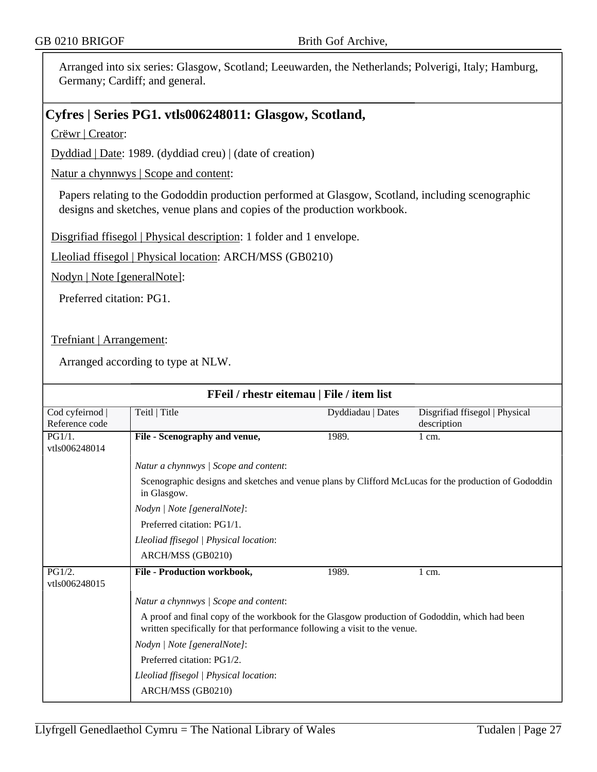Arranged into six series: Glasgow, Scotland; Leeuwarden, the Netherlands; Polverigi, Italy; Hamburg, Germany; Cardiff; and general.

## **Cyfres | Series PG1. vtls006248011: Glasgow, Scotland,**

Crëwr | Creator:

Dyddiad | Date: 1989. (dyddiad creu) | (date of creation)

Natur a chynnwys | Scope and content:

Papers relating to the Gododdin production performed at Glasgow, Scotland, including scenographic designs and sketches, venue plans and copies of the production workbook.

Disgrifiad ffisegol | Physical description: 1 folder and 1 envelope.

Lleoliad ffisegol | Physical location: ARCH/MSS (GB0210)

Nodyn | Note [generalNote]:

Preferred citation: PG1.

Trefniant | Arrangement:

| FFeil / rhestr eitemau   File / item list |                                                                                                                                                                                  |                   |                                               |  |
|-------------------------------------------|----------------------------------------------------------------------------------------------------------------------------------------------------------------------------------|-------------------|-----------------------------------------------|--|
| Cod cyfeirnod<br>Reference code           | Teitl   Title                                                                                                                                                                    | Dyddiadau   Dates | Disgrifiad ffisegol   Physical<br>description |  |
| PG1/1.<br>vtls006248014                   | File - Scenography and venue,                                                                                                                                                    | 1989.             | $1 \text{ cm}$ .                              |  |
|                                           | Natur a chynnwys / Scope and content:                                                                                                                                            |                   |                                               |  |
|                                           | Scenographic designs and sketches and venue plans by Clifford McLucas for the production of Gododdin<br>in Glasgow.<br>Nodyn   Note [generalNote]:<br>Preferred citation: PG1/1. |                   |                                               |  |
|                                           |                                                                                                                                                                                  |                   |                                               |  |
|                                           |                                                                                                                                                                                  |                   |                                               |  |
|                                           | Lleoliad ffisegol   Physical location:                                                                                                                                           |                   |                                               |  |
|                                           | ARCH/MSS (GB0210)                                                                                                                                                                |                   |                                               |  |
| PG1/2.<br>vtls006248015                   | File - Production workbook,                                                                                                                                                      | 1989.             | $1 \text{ cm}$ .                              |  |
|                                           | Natur a chynnwys / Scope and content:                                                                                                                                            |                   |                                               |  |
|                                           | A proof and final copy of the workbook for the Glasgow production of Gododdin, which had been<br>written specifically for that performance following a visit to the venue.       |                   |                                               |  |
|                                           | Nodyn   Note [generalNote]:                                                                                                                                                      |                   |                                               |  |
|                                           | Preferred citation: PG1/2.                                                                                                                                                       |                   |                                               |  |
|                                           | Lleoliad ffisegol   Physical location:                                                                                                                                           |                   |                                               |  |
|                                           | ARCH/MSS (GB0210)                                                                                                                                                                |                   |                                               |  |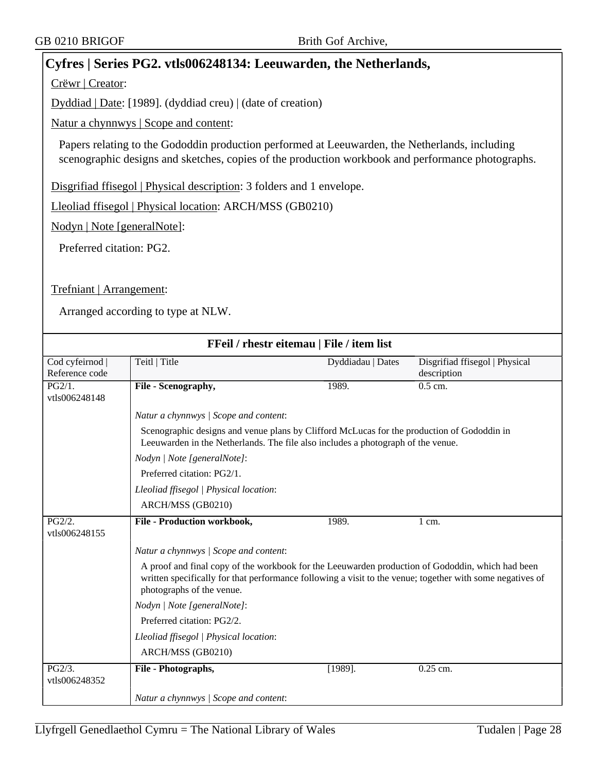## **Cyfres | Series PG2. vtls006248134: Leeuwarden, the Netherlands,**

Crëwr | Creator:

Dyddiad | Date: [1989]. (dyddiad creu) | (date of creation)

Natur a chynnwys | Scope and content:

Papers relating to the Gododdin production performed at Leeuwarden, the Netherlands, including scenographic designs and sketches, copies of the production workbook and performance photographs.

Disgrifiad ffisegol | Physical description: 3 folders and 1 envelope.

Lleoliad ffisegol | Physical location: ARCH/MSS (GB0210)

Nodyn | Note [generalNote]:

Preferred citation: PG2.

Trefniant | Arrangement:

| FFeil / rhestr eitemau   File / item list |                                                                                                                                                                                                                                            |                   |                                               |  |  |  |
|-------------------------------------------|--------------------------------------------------------------------------------------------------------------------------------------------------------------------------------------------------------------------------------------------|-------------------|-----------------------------------------------|--|--|--|
| Cod cyfeirnod  <br>Reference code         | Teitl   Title                                                                                                                                                                                                                              | Dyddiadau   Dates | Disgrifiad ffisegol   Physical<br>description |  |  |  |
| PG2/1.<br>vtls006248148                   | File - Scenography,                                                                                                                                                                                                                        | 1989.             | $0.5$ cm.                                     |  |  |  |
|                                           | Natur a chynnwys / Scope and content:                                                                                                                                                                                                      |                   |                                               |  |  |  |
|                                           | Scenographic designs and venue plans by Clifford McLucas for the production of Gododdin in<br>Leeuwarden in the Netherlands. The file also includes a photograph of the venue.                                                             |                   |                                               |  |  |  |
|                                           | Nodyn   Note [generalNote]:                                                                                                                                                                                                                |                   |                                               |  |  |  |
|                                           | Preferred citation: PG2/1.                                                                                                                                                                                                                 |                   |                                               |  |  |  |
|                                           | Lleoliad ffisegol   Physical location:                                                                                                                                                                                                     |                   |                                               |  |  |  |
|                                           | ARCH/MSS (GB0210)                                                                                                                                                                                                                          |                   |                                               |  |  |  |
| PG2/2.<br>vtls006248155                   | <b>File - Production workbook,</b>                                                                                                                                                                                                         | 1989.             | $1 \text{ cm}$ .                              |  |  |  |
|                                           | Natur a chynnwys / Scope and content:                                                                                                                                                                                                      |                   |                                               |  |  |  |
|                                           | A proof and final copy of the workbook for the Leeuwarden production of Gododdin, which had been<br>written specifically for that performance following a visit to the venue; together with some negatives of<br>photographs of the venue. |                   |                                               |  |  |  |
|                                           | Nodyn   Note [generalNote]:                                                                                                                                                                                                                |                   |                                               |  |  |  |
|                                           | Preferred citation: PG2/2.                                                                                                                                                                                                                 |                   |                                               |  |  |  |
|                                           | Lleoliad ffisegol   Physical location:                                                                                                                                                                                                     |                   |                                               |  |  |  |
|                                           | ARCH/MSS (GB0210)                                                                                                                                                                                                                          |                   |                                               |  |  |  |
| PG2/3.<br>vtls006248352                   | File - Photographs,                                                                                                                                                                                                                        | $[1989]$ .        | 0.25 cm.                                      |  |  |  |
|                                           | Natur a chynnwys / Scope and content:                                                                                                                                                                                                      |                   |                                               |  |  |  |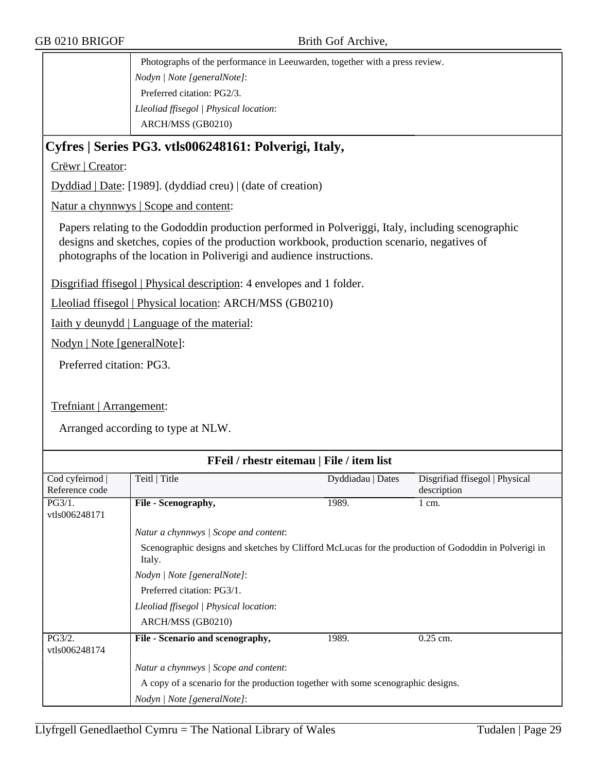Photographs of the performance in Leeuwarden, together with a press review. *Nodyn | Note [generalNote]*: Preferred citation: PG2/3. *Lleoliad ffisegol | Physical location*: ARCH/MSS (GB0210)

## **Cyfres | Series PG3. vtls006248161: Polverigi, Italy,**

Crëwr | Creator:

Dyddiad | Date: [1989]. (dyddiad creu) | (date of creation)

Natur a chynnwys | Scope and content:

Papers relating to the Gododdin production performed in Polveriggi, Italy, including scenographic designs and sketches, copies of the production workbook, production scenario, negatives of photographs of the location in Poliverigi and audience instructions.

Disgrifiad ffisegol | Physical description: 4 envelopes and 1 folder.

Lleoliad ffisegol | Physical location: ARCH/MSS (GB0210)

Iaith y deunydd | Language of the material:

Nodyn | Note [generalNote]:

Preferred citation: PG3.

Trefniant | Arrangement:

| FFeil / rhestr eitemau   File / item list |                                                                                                                |                   |                                |  |
|-------------------------------------------|----------------------------------------------------------------------------------------------------------------|-------------------|--------------------------------|--|
| Cod cyfeirnod                             | Teitl   Title                                                                                                  | Dyddiadau   Dates | Disgrifiad ffisegol   Physical |  |
| Reference code                            |                                                                                                                |                   | description                    |  |
| PG3/1.                                    | File - Scenography,                                                                                            | 1989.             | $1 \text{ cm}$ .               |  |
| vtls006248171                             |                                                                                                                |                   |                                |  |
|                                           | Natur a chynnwys / Scope and content:                                                                          |                   |                                |  |
|                                           | Scenographic designs and sketches by Clifford McLucas for the production of Gododdin in Polverigi in<br>Italy. |                   |                                |  |
|                                           | Nodyn   Note [generalNote]:                                                                                    |                   |                                |  |
|                                           | Preferred citation: PG3/1.                                                                                     |                   |                                |  |
|                                           | Lleoliad ffisegol   Physical location:                                                                         |                   |                                |  |
|                                           | ARCH/MSS (GB0210)                                                                                              |                   |                                |  |
|                                           |                                                                                                                |                   |                                |  |
| PG3/2.<br>vtls006248174                   | File - Scenario and scenography,                                                                               | 1989.             | $0.25$ cm.                     |  |
|                                           | Natur a chynnwys / Scope and content:                                                                          |                   |                                |  |
|                                           | A copy of a scenario for the production together with some scenographic designs.                               |                   |                                |  |
|                                           | Nodyn   Note [generalNote]:                                                                                    |                   |                                |  |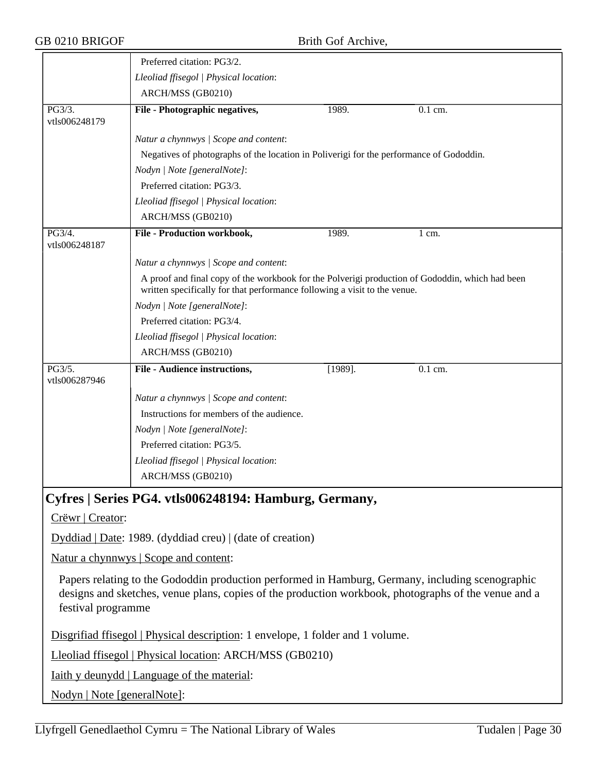|                         | Preferred citation: PG3/2.                                                                                                                                                   |            |                      |
|-------------------------|------------------------------------------------------------------------------------------------------------------------------------------------------------------------------|------------|----------------------|
|                         | Lleoliad ffisegol   Physical location:                                                                                                                                       |            |                      |
|                         | ARCH/MSS (GB0210)                                                                                                                                                            |            |                      |
| PG3/3.<br>vtls006248179 | File - Photographic negatives,                                                                                                                                               | 1989.      | 0.1 cm.              |
|                         | Natur a chynnwys / Scope and content:                                                                                                                                        |            |                      |
|                         | Negatives of photographs of the location in Poliverigi for the performance of Gododdin.                                                                                      |            |                      |
|                         | Nodyn   Note [generalNote]:                                                                                                                                                  |            |                      |
|                         | Preferred citation: PG3/3.                                                                                                                                                   |            |                      |
|                         | Lleoliad ffisegol   Physical location:                                                                                                                                       |            |                      |
|                         | ARCH/MSS (GB0210)                                                                                                                                                            |            |                      |
| PG3/4.<br>vtls006248187 | File - Production workbook,                                                                                                                                                  | 1989.      | $1 \text{ cm}$ .     |
|                         | Natur a chynnwys / Scope and content:                                                                                                                                        |            |                      |
|                         | A proof and final copy of the workbook for the Polverigi production of Gododdin, which had been<br>written specifically for that performance following a visit to the venue. |            |                      |
|                         | Nodyn   Note [generalNote]:                                                                                                                                                  |            |                      |
|                         | Preferred citation: PG3/4.                                                                                                                                                   |            |                      |
|                         | Lleoliad ffisegol   Physical location:                                                                                                                                       |            |                      |
|                         | ARCH/MSS (GB0210)                                                                                                                                                            |            |                      |
| PG3/5.<br>vtls006287946 | File - Audience instructions,                                                                                                                                                | $[1989]$ . | $\overline{0.1}$ cm. |
|                         | Natur a chynnwys / Scope and content:                                                                                                                                        |            |                      |
|                         | Instructions for members of the audience.                                                                                                                                    |            |                      |
|                         | Nodyn   Note [generalNote]:                                                                                                                                                  |            |                      |
|                         | Preferred citation: PG3/5.                                                                                                                                                   |            |                      |
|                         | Lleoliad ffisegol   Physical location:                                                                                                                                       |            |                      |
|                         | ARCH/MSS (GB0210)                                                                                                                                                            |            |                      |
|                         | Cyfres   Series PG4. vtls006248194: Hamburg, Germany,                                                                                                                        |            |                      |

Crëwr | Creator:

Dyddiad | Date: 1989. (dyddiad creu) | (date of creation)

Natur a chynnwys | Scope and content:

Papers relating to the Gododdin production performed in Hamburg, Germany, including scenographic designs and sketches, venue plans, copies of the production workbook, photographs of the venue and a festival programme

Disgrifiad ffisegol | Physical description: 1 envelope, 1 folder and 1 volume.

Lleoliad ffisegol | Physical location: ARCH/MSS (GB0210)

Iaith y deunydd | Language of the material:

Nodyn | Note [generalNote]: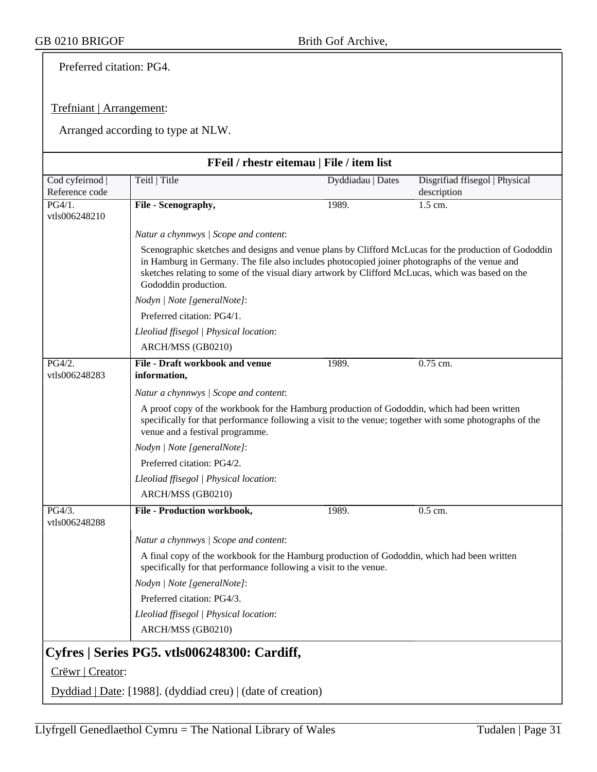Preferred citation: PG4.

#### Trefniant | Arrangement:

|                                 | FFeil / rhestr eitemau   File / item list                                                                                                                                                                                                                                                                                          |                   |                                               |  |  |
|---------------------------------|------------------------------------------------------------------------------------------------------------------------------------------------------------------------------------------------------------------------------------------------------------------------------------------------------------------------------------|-------------------|-----------------------------------------------|--|--|
| Cod cyfeirnod<br>Reference code | Teitl   Title                                                                                                                                                                                                                                                                                                                      | Dyddiadau   Dates | Disgrifiad ffisegol   Physical<br>description |  |  |
| PG4/1.<br>vtls006248210         | File - Scenography,                                                                                                                                                                                                                                                                                                                | 1989.             | 1.5 cm.                                       |  |  |
|                                 | Natur a chynnwys / Scope and content:                                                                                                                                                                                                                                                                                              |                   |                                               |  |  |
|                                 | Scenographic sketches and designs and venue plans by Clifford McLucas for the production of Gododdin<br>in Hamburg in Germany. The file also includes photocopied joiner photographs of the venue and<br>sketches relating to some of the visual diary artwork by Clifford McLucas, which was based on the<br>Gododdin production. |                   |                                               |  |  |
|                                 | Nodyn   Note [generalNote]:                                                                                                                                                                                                                                                                                                        |                   |                                               |  |  |
|                                 | Preferred citation: PG4/1.                                                                                                                                                                                                                                                                                                         |                   |                                               |  |  |
|                                 | Lleoliad ffisegol   Physical location:                                                                                                                                                                                                                                                                                             |                   |                                               |  |  |
|                                 | ARCH/MSS (GB0210)                                                                                                                                                                                                                                                                                                                  |                   |                                               |  |  |
| PG4/2.<br>vtls006248283         | File - Draft workbook and venue<br>information,                                                                                                                                                                                                                                                                                    | 1989.             | 0.75 cm.                                      |  |  |
|                                 | Natur a chynnwys / Scope and content:                                                                                                                                                                                                                                                                                              |                   |                                               |  |  |
|                                 | A proof copy of the workbook for the Hamburg production of Gododdin, which had been written<br>specifically for that performance following a visit to the venue; together with some photographs of the<br>venue and a festival programme.                                                                                          |                   |                                               |  |  |
|                                 | Nodyn   Note [generalNote]:                                                                                                                                                                                                                                                                                                        |                   |                                               |  |  |
|                                 | Preferred citation: PG4/2.                                                                                                                                                                                                                                                                                                         |                   |                                               |  |  |
|                                 | Lleoliad ffisegol   Physical location:                                                                                                                                                                                                                                                                                             |                   |                                               |  |  |
|                                 | ARCH/MSS (GB0210)                                                                                                                                                                                                                                                                                                                  |                   |                                               |  |  |
| PG4/3.<br>vtls006248288         | File - Production workbook,                                                                                                                                                                                                                                                                                                        | 1989.             | 0.5 cm.                                       |  |  |
|                                 | Natur a chynnwys / Scope and content:                                                                                                                                                                                                                                                                                              |                   |                                               |  |  |
|                                 | A final copy of the workbook for the Hamburg production of Gododdin, which had been written<br>specifically for that performance following a visit to the venue.                                                                                                                                                                   |                   |                                               |  |  |
|                                 | Nodyn   Note [generalNote]:                                                                                                                                                                                                                                                                                                        |                   |                                               |  |  |
|                                 | Preferred citation: PG4/3.                                                                                                                                                                                                                                                                                                         |                   |                                               |  |  |
|                                 | Lleoliad ffisegol   Physical location:                                                                                                                                                                                                                                                                                             |                   |                                               |  |  |
|                                 | ARCH/MSS (GB0210)                                                                                                                                                                                                                                                                                                                  |                   |                                               |  |  |
|                                 | Cyfres   Series PG5. vtls006248300: Cardiff,                                                                                                                                                                                                                                                                                       |                   |                                               |  |  |
| Crëwr   Creator:                |                                                                                                                                                                                                                                                                                                                                    |                   |                                               |  |  |
|                                 | Dyddiad   Date: [1988]. (dyddiad creu)   (date of creation)                                                                                                                                                                                                                                                                        |                   |                                               |  |  |
|                                 |                                                                                                                                                                                                                                                                                                                                    |                   |                                               |  |  |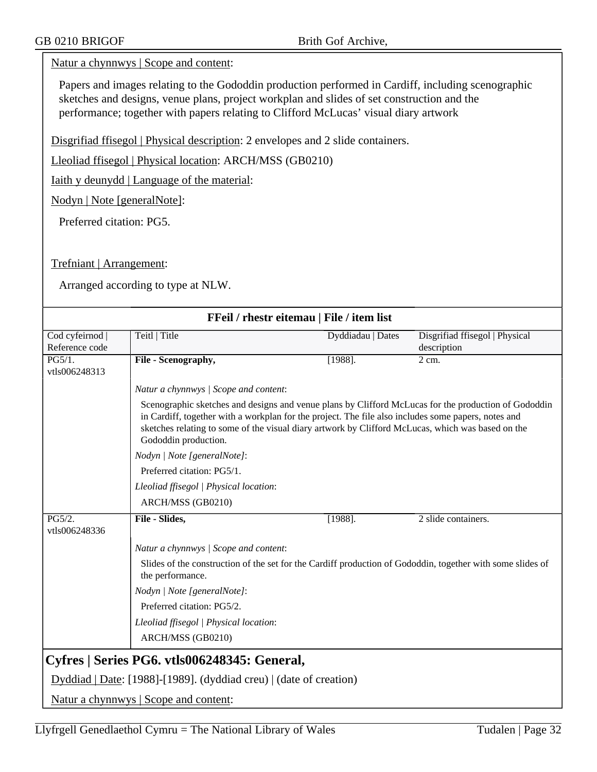#### Natur a chynnwys | Scope and content:

Papers and images relating to the Gododdin production performed in Cardiff, including scenographic sketches and designs, venue plans, project workplan and slides of set construction and the performance; together with papers relating to Clifford McLucas' visual diary artwork

Disgrifiad ffisegol | Physical description: 2 envelopes and 2 slide containers.

Lleoliad ffisegol | Physical location: ARCH/MSS (GB0210)

Iaith y deunydd | Language of the material:

Nodyn | Note [generalNote]:

Preferred citation: PG5.

Trefniant | Arrangement:

|                                 | FFeil / rhestr eitemau   File / item list                                                                                                                                                                                                                                                                                                |                   |                                               |  |
|---------------------------------|------------------------------------------------------------------------------------------------------------------------------------------------------------------------------------------------------------------------------------------------------------------------------------------------------------------------------------------|-------------------|-----------------------------------------------|--|
| Cod cyfeirnod<br>Reference code | Teitl   Title                                                                                                                                                                                                                                                                                                                            | Dyddiadau   Dates | Disgrifiad ffisegol   Physical<br>description |  |
| PG5/1.<br>vtls006248313         | File - Scenography,                                                                                                                                                                                                                                                                                                                      | [1988]            | 2 cm.                                         |  |
|                                 | Natur a chynnwys / Scope and content:                                                                                                                                                                                                                                                                                                    |                   |                                               |  |
|                                 | Scenographic sketches and designs and venue plans by Clifford McLucas for the production of Gododdin<br>in Cardiff, together with a workplan for the project. The file also includes some papers, notes and<br>sketches relating to some of the visual diary artwork by Clifford McLucas, which was based on the<br>Gododdin production. |                   |                                               |  |
|                                 | Nodyn   Note [generalNote]:                                                                                                                                                                                                                                                                                                              |                   |                                               |  |
|                                 | Preferred citation: PG5/1.                                                                                                                                                                                                                                                                                                               |                   |                                               |  |
|                                 | Lleoliad ffisegol   Physical location:                                                                                                                                                                                                                                                                                                   |                   |                                               |  |
|                                 | ARCH/MSS (GB0210)                                                                                                                                                                                                                                                                                                                        |                   |                                               |  |
| PG5/2.<br>vtls006248336         | File - Slides,                                                                                                                                                                                                                                                                                                                           | $[1988]$ .        | 2 slide containers.                           |  |
|                                 | Natur a chynnwys / Scope and content:                                                                                                                                                                                                                                                                                                    |                   |                                               |  |
|                                 | Slides of the construction of the set for the Cardiff production of Gododdin, together with some slides of<br>the performance.                                                                                                                                                                                                           |                   |                                               |  |
|                                 | Nodyn   Note [generalNote]:                                                                                                                                                                                                                                                                                                              |                   |                                               |  |
|                                 | Preferred citation: PG5/2.                                                                                                                                                                                                                                                                                                               |                   |                                               |  |
|                                 | Lleoliad ffisegol   Physical location:                                                                                                                                                                                                                                                                                                   |                   |                                               |  |
|                                 | ARCH/MSS (GB0210)                                                                                                                                                                                                                                                                                                                        |                   |                                               |  |
|                                 | Cyfres   Series PG6. vtls006248345: General,                                                                                                                                                                                                                                                                                             |                   |                                               |  |
|                                 | Dyddiad   Date: [1988]-[1989]. (dyddiad creu)   (date of creation)                                                                                                                                                                                                                                                                       |                   |                                               |  |
|                                 | Natur a chynnwys   Scope and content:                                                                                                                                                                                                                                                                                                    |                   |                                               |  |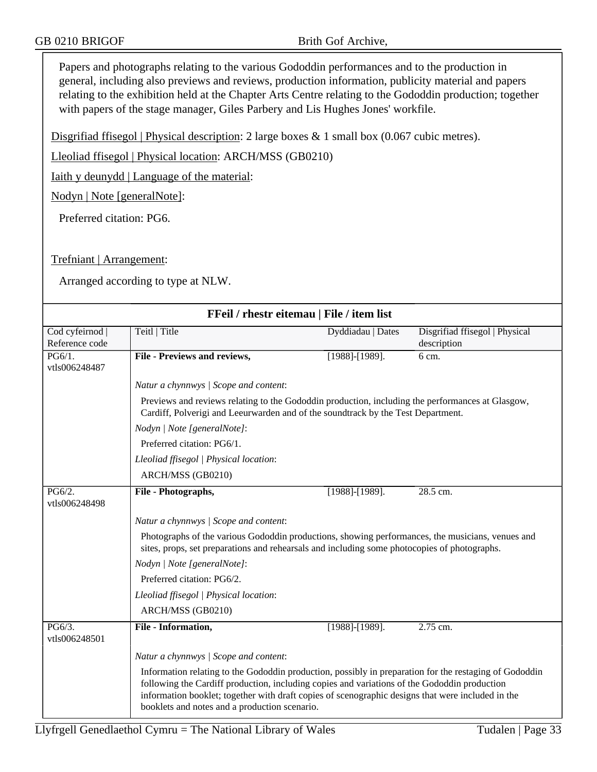Papers and photographs relating to the various Gododdin performances and to the production in general, including also previews and reviews, production information, publicity material and papers relating to the exhibition held at the Chapter Arts Centre relating to the Gododdin production; together with papers of the stage manager, Giles Parbery and Lis Hughes Jones' workfile.

Disgrifiad ffisegol | Physical description: 2 large boxes & 1 small box (0.067 cubic metres).

Lleoliad ffisegol | Physical location: ARCH/MSS (GB0210)

Iaith y deunydd | Language of the material:

Nodyn | Note [generalNote]:

Preferred citation: PG6.

#### Trefniant | Arrangement:

|                                   | FFeil / rhestr eitemau   File / item list                                                                                                                                                                                                                                                                                                                    |                              |                                               |  |
|-----------------------------------|--------------------------------------------------------------------------------------------------------------------------------------------------------------------------------------------------------------------------------------------------------------------------------------------------------------------------------------------------------------|------------------------------|-----------------------------------------------|--|
| Cod cyfeirnod  <br>Reference code | Teitl   Title                                                                                                                                                                                                                                                                                                                                                | Dyddiadau   Dates            | Disgrifiad ffisegol   Physical<br>description |  |
| PG6/1.<br>vtls006248487           | <b>File - Previews and reviews,</b>                                                                                                                                                                                                                                                                                                                          | $\overline{[1988]}.$ [1989]. | 6 cm.                                         |  |
|                                   | Natur a chynnwys / Scope and content:                                                                                                                                                                                                                                                                                                                        |                              |                                               |  |
|                                   | Previews and reviews relating to the Gododdin production, including the performances at Glasgow,<br>Cardiff, Polverigi and Leeurwarden and of the soundtrack by the Test Department.                                                                                                                                                                         |                              |                                               |  |
|                                   | Nodyn   Note [generalNote]:                                                                                                                                                                                                                                                                                                                                  |                              |                                               |  |
|                                   | Preferred citation: PG6/1.                                                                                                                                                                                                                                                                                                                                   |                              |                                               |  |
|                                   | Lleoliad ffisegol   Physical location:                                                                                                                                                                                                                                                                                                                       |                              |                                               |  |
|                                   | ARCH/MSS (GB0210)                                                                                                                                                                                                                                                                                                                                            |                              |                                               |  |
| PG6/2.<br>vtls006248498           | File - Photographs,                                                                                                                                                                                                                                                                                                                                          | [1988]-[1989].               | 28.5 cm.                                      |  |
|                                   | Natur a chynnwys / Scope and content:                                                                                                                                                                                                                                                                                                                        |                              |                                               |  |
|                                   | Photographs of the various Gododdin productions, showing performances, the musicians, venues and<br>sites, props, set preparations and rehearsals and including some photocopies of photographs.                                                                                                                                                             |                              |                                               |  |
|                                   | Nodyn   Note [generalNote]:                                                                                                                                                                                                                                                                                                                                  |                              |                                               |  |
|                                   | Preferred citation: PG6/2.                                                                                                                                                                                                                                                                                                                                   |                              |                                               |  |
|                                   | Lleoliad ffisegol   Physical location:                                                                                                                                                                                                                                                                                                                       |                              |                                               |  |
|                                   | ARCH/MSS (GB0210)                                                                                                                                                                                                                                                                                                                                            |                              |                                               |  |
| PG6/3.<br>vtls006248501           | File - Information,                                                                                                                                                                                                                                                                                                                                          | $[1988]-[1989].$             | 2.75 cm.                                      |  |
|                                   | Natur a chynnwys / Scope and content:                                                                                                                                                                                                                                                                                                                        |                              |                                               |  |
|                                   | Information relating to the Gododdin production, possibly in preparation for the restaging of Gododdin<br>following the Cardiff production, including copies and variations of the Gododdin production<br>information booklet; together with draft copies of scenographic designs that were included in the<br>booklets and notes and a production scenario. |                              |                                               |  |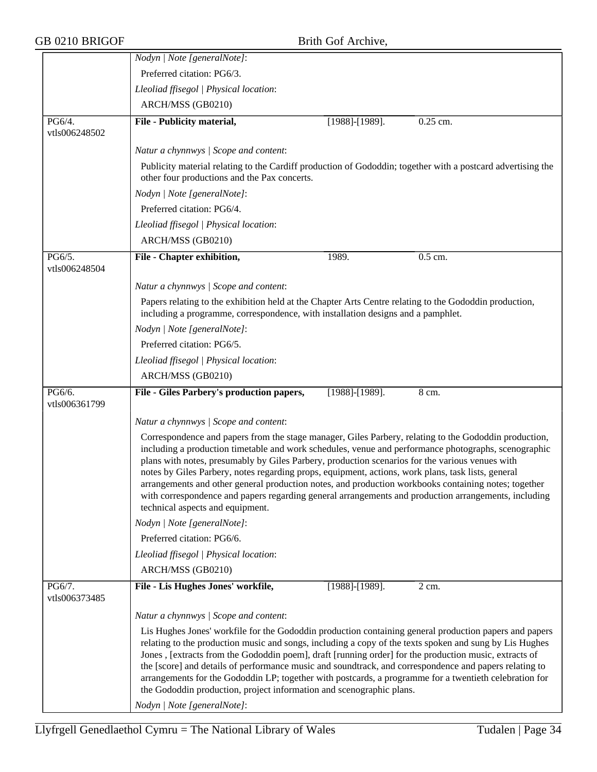|                         | Nodyn   Note [generalNote]:                                                                                                                                                                                                                                                                                                                                                                                                                                                                                                                                                                                                                                                |                  |          |
|-------------------------|----------------------------------------------------------------------------------------------------------------------------------------------------------------------------------------------------------------------------------------------------------------------------------------------------------------------------------------------------------------------------------------------------------------------------------------------------------------------------------------------------------------------------------------------------------------------------------------------------------------------------------------------------------------------------|------------------|----------|
|                         | Preferred citation: PG6/3.                                                                                                                                                                                                                                                                                                                                                                                                                                                                                                                                                                                                                                                 |                  |          |
|                         | Lleoliad ffisegol   Physical location:                                                                                                                                                                                                                                                                                                                                                                                                                                                                                                                                                                                                                                     |                  |          |
|                         | ARCH/MSS (GB0210)                                                                                                                                                                                                                                                                                                                                                                                                                                                                                                                                                                                                                                                          |                  |          |
| PG6/4.<br>vtls006248502 | File - Publicity material,                                                                                                                                                                                                                                                                                                                                                                                                                                                                                                                                                                                                                                                 | [1988]-[1989].   | 0.25 cm. |
|                         |                                                                                                                                                                                                                                                                                                                                                                                                                                                                                                                                                                                                                                                                            |                  |          |
|                         | Natur a chynnwys / Scope and content:                                                                                                                                                                                                                                                                                                                                                                                                                                                                                                                                                                                                                                      |                  |          |
|                         | Publicity material relating to the Cardiff production of Gododdin; together with a postcard advertising the<br>other four productions and the Pax concerts.                                                                                                                                                                                                                                                                                                                                                                                                                                                                                                                |                  |          |
|                         | Nodyn   Note [generalNote]:                                                                                                                                                                                                                                                                                                                                                                                                                                                                                                                                                                                                                                                |                  |          |
|                         | Preferred citation: PG6/4.                                                                                                                                                                                                                                                                                                                                                                                                                                                                                                                                                                                                                                                 |                  |          |
|                         | Lleoliad ffisegol   Physical location:                                                                                                                                                                                                                                                                                                                                                                                                                                                                                                                                                                                                                                     |                  |          |
|                         | ARCH/MSS (GB0210)                                                                                                                                                                                                                                                                                                                                                                                                                                                                                                                                                                                                                                                          |                  |          |
| PG6/5.                  | File - Chapter exhibition,                                                                                                                                                                                                                                                                                                                                                                                                                                                                                                                                                                                                                                                 | 1989.            | 0.5 cm.  |
| vtls006248504           |                                                                                                                                                                                                                                                                                                                                                                                                                                                                                                                                                                                                                                                                            |                  |          |
|                         | Natur a chynnwys / Scope and content:                                                                                                                                                                                                                                                                                                                                                                                                                                                                                                                                                                                                                                      |                  |          |
|                         | Papers relating to the exhibition held at the Chapter Arts Centre relating to the Gododdin production,<br>including a programme, correspondence, with installation designs and a pamphlet.                                                                                                                                                                                                                                                                                                                                                                                                                                                                                 |                  |          |
|                         | Nodyn   Note [generalNote]:                                                                                                                                                                                                                                                                                                                                                                                                                                                                                                                                                                                                                                                |                  |          |
|                         | Preferred citation: PG6/5.                                                                                                                                                                                                                                                                                                                                                                                                                                                                                                                                                                                                                                                 |                  |          |
|                         | Lleoliad ffisegol   Physical location:                                                                                                                                                                                                                                                                                                                                                                                                                                                                                                                                                                                                                                     |                  |          |
|                         | ARCH/MSS (GB0210)                                                                                                                                                                                                                                                                                                                                                                                                                                                                                                                                                                                                                                                          |                  |          |
| PG6/6.<br>vtls006361799 | File - Giles Parbery's production papers,                                                                                                                                                                                                                                                                                                                                                                                                                                                                                                                                                                                                                                  | $[1988]-[1989].$ | 8 cm.    |
|                         | Natur a chynnwys / Scope and content:                                                                                                                                                                                                                                                                                                                                                                                                                                                                                                                                                                                                                                      |                  |          |
|                         | Correspondence and papers from the stage manager, Giles Parbery, relating to the Gododdin production,<br>including a production timetable and work schedules, venue and performance photographs, scenographic<br>plans with notes, presumably by Giles Parbery, production scenarios for the various venues with<br>notes by Giles Parbery, notes regarding props, equipment, actions, work plans, task lists, general<br>arrangements and other general production notes, and production workbooks containing notes; together<br>with correspondence and papers regarding general arrangements and production arrangements, including<br>technical aspects and equipment. |                  |          |
|                         | Nodyn   Note [generalNote]:                                                                                                                                                                                                                                                                                                                                                                                                                                                                                                                                                                                                                                                |                  |          |
|                         | Preferred citation: PG6/6.                                                                                                                                                                                                                                                                                                                                                                                                                                                                                                                                                                                                                                                 |                  |          |
|                         | Lleoliad ffisegol   Physical location:                                                                                                                                                                                                                                                                                                                                                                                                                                                                                                                                                                                                                                     |                  |          |
|                         | ARCH/MSS (GB0210)                                                                                                                                                                                                                                                                                                                                                                                                                                                                                                                                                                                                                                                          |                  |          |
| PG6/7.<br>vtls006373485 | File - Lis Hughes Jones' workfile,                                                                                                                                                                                                                                                                                                                                                                                                                                                                                                                                                                                                                                         | [1988]-[1989].   | 2 cm.    |
|                         | Natur a chynnwys / Scope and content:                                                                                                                                                                                                                                                                                                                                                                                                                                                                                                                                                                                                                                      |                  |          |
|                         | Lis Hughes Jones' workfile for the Gododdin production containing general production papers and papers<br>relating to the production music and songs, including a copy of the texts spoken and sung by Lis Hughes<br>Jones, [extracts from the Gododdin poem], draft [running order] for the production music, extracts of<br>the [score] and details of performance music and soundtrack, and correspondence and papers relating to<br>arrangements for the Gododdin LP; together with postcards, a programme for a twentieth celebration for<br>the Gododdin production, project information and scenographic plans.<br>Nodyn   Note [generalNote]:                      |                  |          |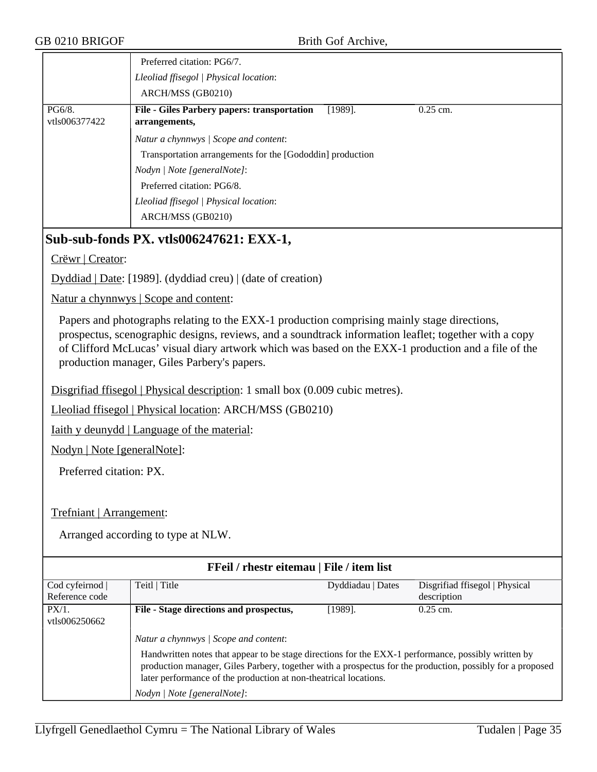|                         | Preferred citation: PG6/7.<br>Lleoliad ffisegol   Physical location:<br>ARCH/MSS (GB0210)       |
|-------------------------|-------------------------------------------------------------------------------------------------|
| PG6/8.<br>vtls006377422 | <b>File - Giles Parbery papers: transportation</b><br>$[1989]$ .<br>$0.25$ cm.<br>arrangements, |
|                         | Natur a chynnwys / Scope and content:                                                           |
|                         | Transportation arrangements for the [Gododdin] production                                       |
|                         | Nodyn / Note [generalNote]:                                                                     |
|                         | Preferred citation: PG6/8.                                                                      |
|                         | Lleoliad ffisegol   Physical location:                                                          |
|                         | ARCH/MSS (GB0210)                                                                               |

## **Sub-sub-fonds PX. vtls006247621: EXX-1,**

Crëwr | Creator:

Dyddiad | Date: [1989]. (dyddiad creu) | (date of creation)

Natur a chynnwys | Scope and content:

Papers and photographs relating to the EXX-1 production comprising mainly stage directions, prospectus, scenographic designs, reviews, and a soundtrack information leaflet; together with a copy of Clifford McLucas' visual diary artwork which was based on the EXX-1 production and a file of the production manager, Giles Parbery's papers.

Disgrifiad ffisegol | Physical description: 1 small box (0.009 cubic metres).

Lleoliad ffisegol | Physical location: ARCH/MSS (GB0210)

Iaith y deunydd | Language of the material:

Nodyn | Note [generalNote]:

Preferred citation: PX.

Trefniant | Arrangement:

| FFeil / rhestr eitemau   File / item list |                                                                                                                                                                                                                                                                                      |                   |                                |  |
|-------------------------------------------|--------------------------------------------------------------------------------------------------------------------------------------------------------------------------------------------------------------------------------------------------------------------------------------|-------------------|--------------------------------|--|
| Cod cyfeirnod                             | Teitl   Title                                                                                                                                                                                                                                                                        | Dyddiadau   Dates | Disgrifiad ffisegol   Physical |  |
| Reference code                            |                                                                                                                                                                                                                                                                                      |                   | description                    |  |
| $PX/1$ .                                  | File - Stage directions and prospectus,                                                                                                                                                                                                                                              | [1989].           | $0.25$ cm.                     |  |
| vtls006250662                             |                                                                                                                                                                                                                                                                                      |                   |                                |  |
|                                           | Natur a chynnwys / Scope and content:                                                                                                                                                                                                                                                |                   |                                |  |
|                                           | Handwritten notes that appear to be stage directions for the EXX-1 performance, possibly written by<br>production manager, Giles Parbery, together with a prospectus for the production, possibly for a proposed<br>later performance of the production at non-theatrical locations. |                   |                                |  |
|                                           | Nodyn / Note [generalNote]:                                                                                                                                                                                                                                                          |                   |                                |  |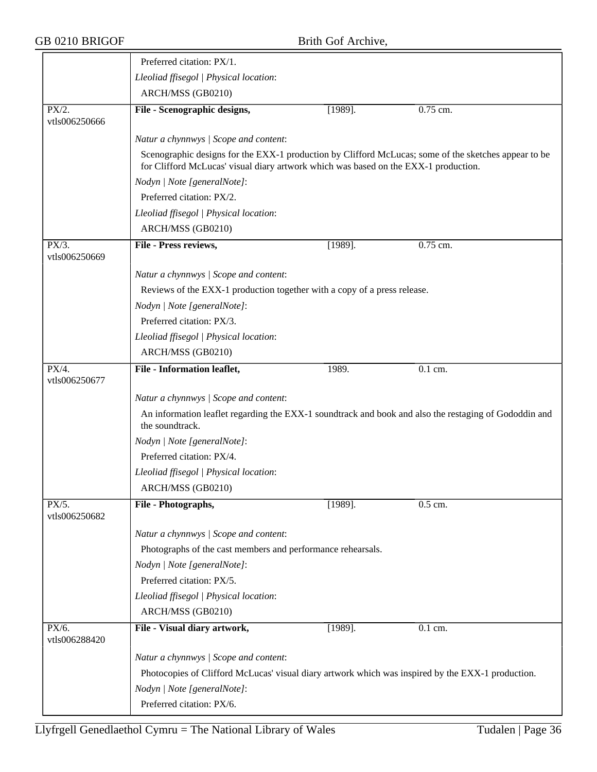|                        | Preferred citation: PX/1.                                                                                                                                                                   |            |                      |  |  |  |
|------------------------|---------------------------------------------------------------------------------------------------------------------------------------------------------------------------------------------|------------|----------------------|--|--|--|
|                        | Lleoliad ffisegol   Physical location:                                                                                                                                                      |            |                      |  |  |  |
|                        | ARCH/MSS (GB0210)                                                                                                                                                                           |            |                      |  |  |  |
| $\overline{PX/2}$ .    | File - Scenographic designs,                                                                                                                                                                | $[1989]$ . | 0.75 cm.             |  |  |  |
| vtls006250666          |                                                                                                                                                                                             |            |                      |  |  |  |
|                        | Natur a chynnwys / Scope and content:                                                                                                                                                       |            |                      |  |  |  |
|                        | Scenographic designs for the EXX-1 production by Clifford McLucas; some of the sketches appear to be<br>for Clifford McLucas' visual diary artwork which was based on the EXX-1 production. |            |                      |  |  |  |
|                        | Nodyn   Note [generalNote]:                                                                                                                                                                 |            |                      |  |  |  |
|                        | Preferred citation: PX/2.                                                                                                                                                                   |            |                      |  |  |  |
|                        | Lleoliad ffisegol   Physical location:                                                                                                                                                      |            |                      |  |  |  |
|                        | ARCH/MSS (GB0210)                                                                                                                                                                           |            |                      |  |  |  |
| PX/3.<br>vtls006250669 | File - Press reviews,                                                                                                                                                                       | $[1989]$ . | 0.75 cm.             |  |  |  |
|                        | Natur a chynnwys / Scope and content:                                                                                                                                                       |            |                      |  |  |  |
|                        | Reviews of the EXX-1 production together with a copy of a press release.                                                                                                                    |            |                      |  |  |  |
|                        | Nodyn   Note [generalNote]:                                                                                                                                                                 |            |                      |  |  |  |
|                        | Preferred citation: PX/3.                                                                                                                                                                   |            |                      |  |  |  |
|                        | Lleoliad ffisegol   Physical location:                                                                                                                                                      |            |                      |  |  |  |
|                        | ARCH/MSS (GB0210)                                                                                                                                                                           |            |                      |  |  |  |
| PX/4.                  | File - Information leaflet,                                                                                                                                                                 | 1989.      | $\overline{0.1}$ cm. |  |  |  |
| vtls006250677          |                                                                                                                                                                                             |            |                      |  |  |  |
|                        | Natur a chynnwys / Scope and content:                                                                                                                                                       |            |                      |  |  |  |
|                        | An information leaflet regarding the EXX-1 soundtrack and book and also the restaging of Gododdin and<br>the soundtrack.                                                                    |            |                      |  |  |  |
|                        | Nodyn   Note [generalNote]:                                                                                                                                                                 |            |                      |  |  |  |
|                        | Preferred citation: PX/4.                                                                                                                                                                   |            |                      |  |  |  |
|                        | Lleoliad ffisegol   Physical location:                                                                                                                                                      |            |                      |  |  |  |
|                        | ARCH/MSS (GB0210)                                                                                                                                                                           |            |                      |  |  |  |
| PX/5.                  | File - Photographs,                                                                                                                                                                         | $[1989]$ . | $0.5$ cm.            |  |  |  |
| vtls006250682          |                                                                                                                                                                                             |            |                      |  |  |  |
|                        | Natur a chynnwys / Scope and content:                                                                                                                                                       |            |                      |  |  |  |
|                        | Photographs of the cast members and performance rehearsals.                                                                                                                                 |            |                      |  |  |  |
|                        | Nodyn   Note [generalNote]:                                                                                                                                                                 |            |                      |  |  |  |
|                        | Preferred citation: PX/5.                                                                                                                                                                   |            |                      |  |  |  |
|                        | Lleoliad ffisegol   Physical location:                                                                                                                                                      |            |                      |  |  |  |
|                        | ARCH/MSS (GB0210)                                                                                                                                                                           |            |                      |  |  |  |
| PX/6.<br>vtls006288420 | File - Visual diary artwork,                                                                                                                                                                | $[1989]$ . | 0.1 cm.              |  |  |  |
|                        | Natur a chynnwys / Scope and content:                                                                                                                                                       |            |                      |  |  |  |
|                        | Photocopies of Clifford McLucas' visual diary artwork which was inspired by the EXX-1 production.                                                                                           |            |                      |  |  |  |
|                        | Nodyn   Note [generalNote]:                                                                                                                                                                 |            |                      |  |  |  |
|                        | Preferred citation: PX/6.                                                                                                                                                                   |            |                      |  |  |  |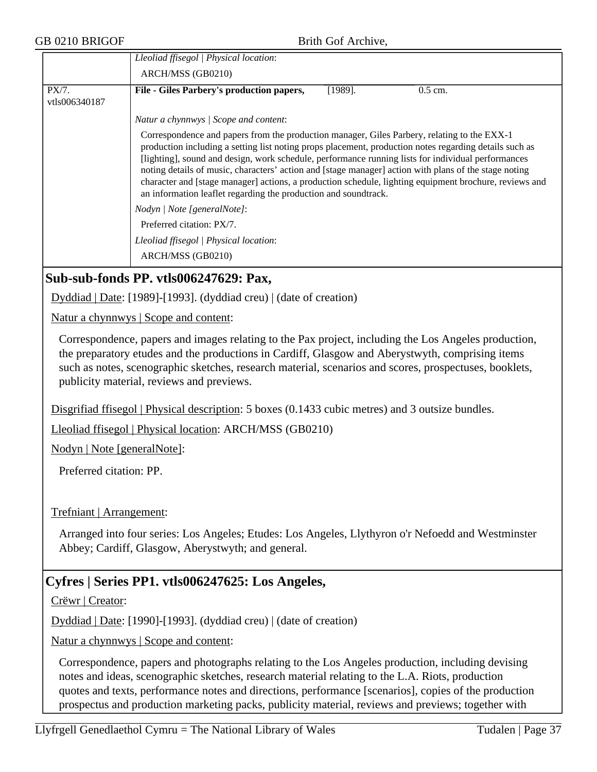|                        | Lleoliad ffisegol   Physical location:                                                                                                                                                                                                                                                                                                                                                                                                                                                                                                                                                            |
|------------------------|---------------------------------------------------------------------------------------------------------------------------------------------------------------------------------------------------------------------------------------------------------------------------------------------------------------------------------------------------------------------------------------------------------------------------------------------------------------------------------------------------------------------------------------------------------------------------------------------------|
|                        | ARCH/MSS (GB0210)                                                                                                                                                                                                                                                                                                                                                                                                                                                                                                                                                                                 |
| PX/7.<br>vtls006340187 | File - Giles Parbery's production papers,<br>$[1989]$ .<br>$0.5$ cm.                                                                                                                                                                                                                                                                                                                                                                                                                                                                                                                              |
|                        | Natur a chynnwys / Scope and content:                                                                                                                                                                                                                                                                                                                                                                                                                                                                                                                                                             |
|                        | Correspondence and papers from the production manager, Giles Parbery, relating to the EXX-1<br>production including a setting list noting props placement, production notes regarding details such as<br>[lighting], sound and design, work schedule, performance running lists for individual performances<br>noting details of music, characters' action and [stage manager] action with plans of the stage noting<br>character and [stage manager] actions, a production schedule, lighting equipment brochure, reviews and<br>an information leaflet regarding the production and soundtrack. |
|                        | Nodyn   Note [generalNote]:                                                                                                                                                                                                                                                                                                                                                                                                                                                                                                                                                                       |
|                        | Preferred citation: PX/7.                                                                                                                                                                                                                                                                                                                                                                                                                                                                                                                                                                         |
|                        | Lleoliad ffisegol   Physical location:                                                                                                                                                                                                                                                                                                                                                                                                                                                                                                                                                            |
|                        | ARCH/MSS (GB0210)                                                                                                                                                                                                                                                                                                                                                                                                                                                                                                                                                                                 |
|                        | Sub-sub-fonds PP. vtls006247629: Pax,<br>$\mathbf{D}$ 11' 11 $\mathbf{D}$ (110001110001 / 11' 1 ) 1/1, $\mathbf{C}$ ( )                                                                                                                                                                                                                                                                                                                                                                                                                                                                           |

Dyddiad | Date: [1989]-[1993]. (dyddiad creu) | (date of creation)

Natur a chynnwys | Scope and content:

Correspondence, papers and images relating to the Pax project, including the Los Angeles production, the preparatory etudes and the productions in Cardiff, Glasgow and Aberystwyth, comprising items such as notes, scenographic sketches, research material, scenarios and scores, prospectuses, booklets, publicity material, reviews and previews.

Disgrifiad ffisegol | Physical description: 5 boxes (0.1433 cubic metres) and 3 outsize bundles.

Lleoliad ffisegol | Physical location: ARCH/MSS (GB0210)

Nodyn | Note [generalNote]:

Preferred citation: PP.

#### Trefniant | Arrangement:

Arranged into four series: Los Angeles; Etudes: Los Angeles, Llythyron o'r Nefoedd and Westminster Abbey; Cardiff, Glasgow, Aberystwyth; and general.

# **Cyfres | Series PP1. vtls006247625: Los Angeles,**

Crëwr | Creator:

Dyddiad | Date: [1990]-[1993]. (dyddiad creu) | (date of creation)

Natur a chynnwys | Scope and content:

Correspondence, papers and photographs relating to the Los Angeles production, including devising notes and ideas, scenographic sketches, research material relating to the L.A. Riots, production quotes and texts, performance notes and directions, performance [scenarios], copies of the production prospectus and production marketing packs, publicity material, reviews and previews; together with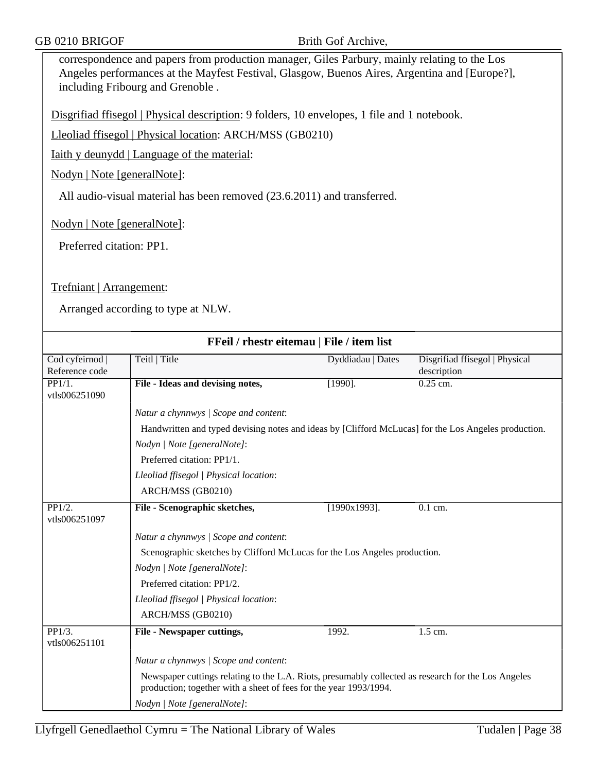correspondence and papers from production manager, Giles Parbury, mainly relating to the Los Angeles performances at the Mayfest Festival, Glasgow, Buenos Aires, Argentina and [Europe?], including Fribourg and Grenoble .

Disgrifiad ffisegol | Physical description: 9 folders, 10 envelopes, 1 file and 1 notebook.

Lleoliad ffisegol | Physical location: ARCH/MSS (GB0210)

Iaith y deunydd | Language of the material:

Nodyn | Note [generalNote]:

All audio-visual material has been removed (23.6.2011) and transferred.

Nodyn | Note [generalNote]:

Preferred citation: PP1.

Trefniant | Arrangement:

| FFeil / rhestr eitemau   File / item list |                                                                                                                                                                          |                   |                                               |
|-------------------------------------------|--------------------------------------------------------------------------------------------------------------------------------------------------------------------------|-------------------|-----------------------------------------------|
| Cod cyfeirnod<br>Reference code           | Teitl   Title                                                                                                                                                            | Dyddiadau   Dates | Disgrifiad ffisegol   Physical<br>description |
| PP1/1.<br>vtls006251090                   | File - Ideas and devising notes,                                                                                                                                         | $[1990]$ .        | $0.25$ cm.                                    |
|                                           | Natur a chynnwys / Scope and content:                                                                                                                                    |                   |                                               |
|                                           | Handwritten and typed devising notes and ideas by [Clifford McLucas] for the Los Angeles production.                                                                     |                   |                                               |
|                                           | Nodyn   Note [generalNote]:                                                                                                                                              |                   |                                               |
|                                           | Preferred citation: PP1/1.                                                                                                                                               |                   |                                               |
|                                           | Lleoliad ffisegol   Physical location:                                                                                                                                   |                   |                                               |
|                                           | ARCH/MSS (GB0210)                                                                                                                                                        |                   |                                               |
| $\overline{PP1/2}$ .<br>vtls006251097     | File - Scenographic sketches,                                                                                                                                            | $[1990x1993]$ .   | $\overline{0.1}$ cm.                          |
|                                           | Natur a chynnwys / Scope and content:                                                                                                                                    |                   |                                               |
|                                           | Scenographic sketches by Clifford McLucas for the Los Angeles production.                                                                                                |                   |                                               |
|                                           | Nodyn   Note [generalNote]:                                                                                                                                              |                   |                                               |
|                                           | Preferred citation: PP1/2.                                                                                                                                               |                   |                                               |
|                                           | Lleoliad ffisegol   Physical location:                                                                                                                                   |                   |                                               |
|                                           | ARCH/MSS (GB0210)                                                                                                                                                        |                   |                                               |
| $\overline{PP1/3.}$<br>vtls006251101      | <b>File - Newspaper cuttings,</b>                                                                                                                                        | 1992.             | $\overline{1.5}$ cm.                          |
|                                           | Natur a chynnwys / Scope and content:                                                                                                                                    |                   |                                               |
|                                           | Newspaper cuttings relating to the L.A. Riots, presumably collected as research for the Los Angeles<br>production; together with a sheet of fees for the year 1993/1994. |                   |                                               |
|                                           | Nodyn   Note [generalNote]:                                                                                                                                              |                   |                                               |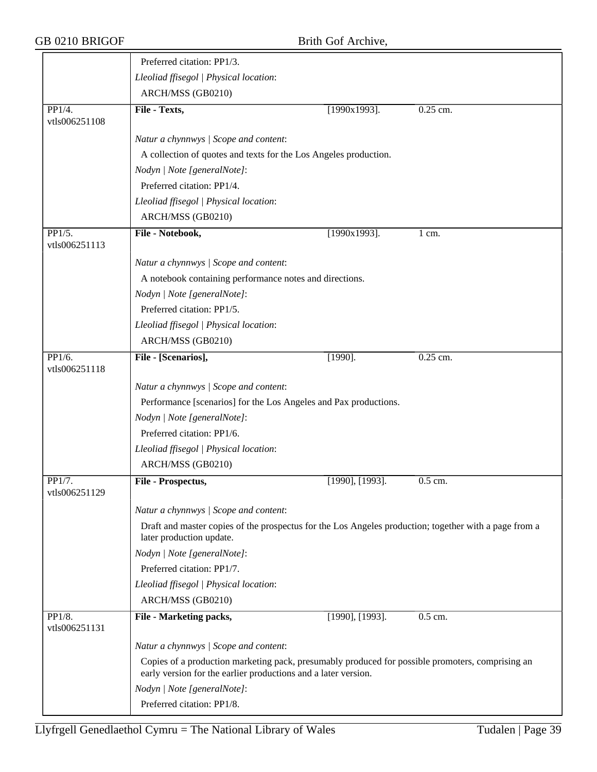|                         | Preferred citation: PP1/3.                                                                                                                                         |                 |                      |  |
|-------------------------|--------------------------------------------------------------------------------------------------------------------------------------------------------------------|-----------------|----------------------|--|
|                         | Lleoliad ffisegol   Physical location:                                                                                                                             |                 |                      |  |
|                         | ARCH/MSS (GB0210)                                                                                                                                                  |                 |                      |  |
| PP1/4.<br>vtls006251108 | File - Texts,                                                                                                                                                      | $[1990x1993]$ . | 0.25 cm.             |  |
|                         | Natur a chynnwys / Scope and content:                                                                                                                              |                 |                      |  |
|                         | A collection of quotes and texts for the Los Angeles production.                                                                                                   |                 |                      |  |
|                         | Nodyn   Note [generalNote]:                                                                                                                                        |                 |                      |  |
|                         | Preferred citation: PP1/4.                                                                                                                                         |                 |                      |  |
|                         | Lleoliad ffisegol   Physical location:                                                                                                                             |                 |                      |  |
|                         | ARCH/MSS (GB0210)                                                                                                                                                  |                 |                      |  |
| PP1/5.<br>vtls006251113 | File - Notebook,                                                                                                                                                   | $[1990x1993]$ . | $1$ cm.              |  |
|                         | Natur a chynnwys / Scope and content:                                                                                                                              |                 |                      |  |
|                         | A notebook containing performance notes and directions.                                                                                                            |                 |                      |  |
|                         | Nodyn   Note [generalNote]:                                                                                                                                        |                 |                      |  |
|                         | Preferred citation: PP1/5.                                                                                                                                         |                 |                      |  |
|                         | Lleoliad ffisegol   Physical location:                                                                                                                             |                 |                      |  |
|                         | ARCH/MSS (GB0210)                                                                                                                                                  |                 |                      |  |
| PP1/6.<br>vtls006251118 | File - [Scenarios],                                                                                                                                                | $[1990]$ .      | 0.25 cm.             |  |
|                         | Natur a chynnwys / Scope and content:                                                                                                                              |                 |                      |  |
|                         | Performance [scenarios] for the Los Angeles and Pax productions.                                                                                                   |                 |                      |  |
|                         | Nodyn   Note [generalNote]:                                                                                                                                        |                 |                      |  |
|                         | Preferred citation: PP1/6.                                                                                                                                         |                 |                      |  |
|                         | Lleoliad ffisegol   Physical location:                                                                                                                             |                 |                      |  |
|                         | ARCH/MSS (GB0210)                                                                                                                                                  |                 |                      |  |
| PP1/7.<br>vtls006251129 | File - Prospectus,                                                                                                                                                 | [1990], [1993]. | $\overline{0.5}$ cm. |  |
|                         | Natur a chynnwys / Scope and content:                                                                                                                              |                 |                      |  |
|                         | Draft and master copies of the prospectus for the Los Angeles production; together with a page from a<br>later production update.                                  |                 |                      |  |
|                         | Nodyn   Note [generalNote]:                                                                                                                                        |                 |                      |  |
|                         | Preferred citation: PP1/7.                                                                                                                                         |                 |                      |  |
|                         | Lleoliad ffisegol   Physical location:                                                                                                                             |                 |                      |  |
|                         | ARCH/MSS (GB0210)                                                                                                                                                  |                 |                      |  |
| PP1/8.<br>vtls006251131 | File - Marketing packs,                                                                                                                                            | [1990], [1993]. | 0.5 cm.              |  |
|                         | Natur a chynnwys / Scope and content:                                                                                                                              |                 |                      |  |
|                         | Copies of a production marketing pack, presumably produced for possible promoters, comprising an<br>early version for the earlier productions and a later version. |                 |                      |  |
|                         | Nodyn   Note [generalNote]:                                                                                                                                        |                 |                      |  |
|                         | Preferred citation: PP1/8.                                                                                                                                         |                 |                      |  |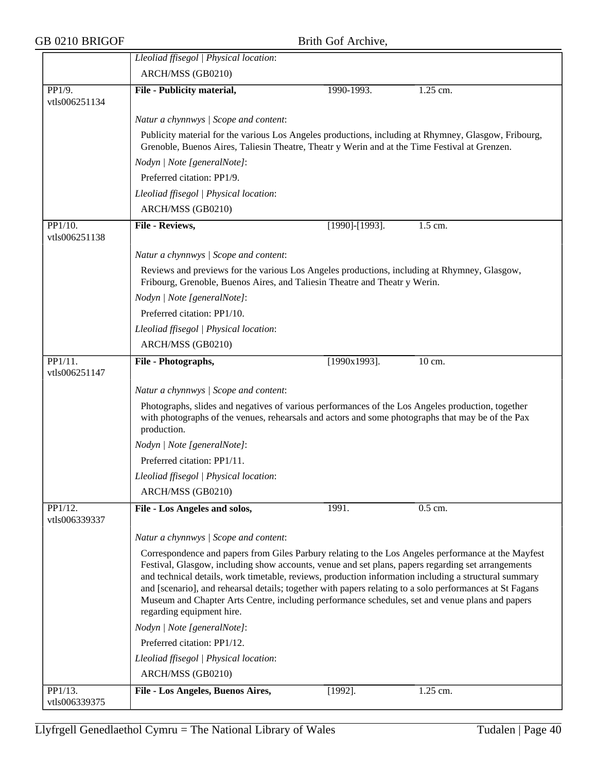|                          | Lleoliad ffisegol   Physical location:                                                                                                                                                                                                                                                                                                                                                                                                                                                                                                                         |                 |          |  |  |
|--------------------------|----------------------------------------------------------------------------------------------------------------------------------------------------------------------------------------------------------------------------------------------------------------------------------------------------------------------------------------------------------------------------------------------------------------------------------------------------------------------------------------------------------------------------------------------------------------|-----------------|----------|--|--|
|                          | ARCH/MSS (GB0210)                                                                                                                                                                                                                                                                                                                                                                                                                                                                                                                                              |                 |          |  |  |
| PP1/9.                   | File - Publicity material,                                                                                                                                                                                                                                                                                                                                                                                                                                                                                                                                     | 1990-1993.      | 1.25 cm. |  |  |
| vtls006251134            |                                                                                                                                                                                                                                                                                                                                                                                                                                                                                                                                                                |                 |          |  |  |
|                          | Natur a chynnwys / Scope and content:<br>Publicity material for the various Los Angeles productions, including at Rhymney, Glasgow, Fribourg,<br>Grenoble, Buenos Aires, Taliesin Theatre, Theatr y Werin and at the Time Festival at Grenzen.                                                                                                                                                                                                                                                                                                                 |                 |          |  |  |
|                          |                                                                                                                                                                                                                                                                                                                                                                                                                                                                                                                                                                |                 |          |  |  |
|                          | Nodyn   Note [generalNote]:                                                                                                                                                                                                                                                                                                                                                                                                                                                                                                                                    |                 |          |  |  |
|                          | Preferred citation: PP1/9.                                                                                                                                                                                                                                                                                                                                                                                                                                                                                                                                     |                 |          |  |  |
|                          | Lleoliad ffisegol   Physical location:                                                                                                                                                                                                                                                                                                                                                                                                                                                                                                                         |                 |          |  |  |
|                          | ARCH/MSS (GB0210)                                                                                                                                                                                                                                                                                                                                                                                                                                                                                                                                              |                 |          |  |  |
|                          |                                                                                                                                                                                                                                                                                                                                                                                                                                                                                                                                                                |                 |          |  |  |
| PP1/10.<br>vtls006251138 | File - Reviews,                                                                                                                                                                                                                                                                                                                                                                                                                                                                                                                                                | [1990]-[1993].  | 1.5 cm.  |  |  |
|                          | Natur a chynnwys / Scope and content:                                                                                                                                                                                                                                                                                                                                                                                                                                                                                                                          |                 |          |  |  |
|                          | Reviews and previews for the various Los Angeles productions, including at Rhymney, Glasgow,<br>Fribourg, Grenoble, Buenos Aires, and Taliesin Theatre and Theatr y Werin.<br>Nodyn   Note [generalNote]:                                                                                                                                                                                                                                                                                                                                                      |                 |          |  |  |
|                          |                                                                                                                                                                                                                                                                                                                                                                                                                                                                                                                                                                |                 |          |  |  |
|                          | Preferred citation: PP1/10.                                                                                                                                                                                                                                                                                                                                                                                                                                                                                                                                    |                 |          |  |  |
|                          | Lleoliad ffisegol   Physical location:                                                                                                                                                                                                                                                                                                                                                                                                                                                                                                                         |                 |          |  |  |
|                          | ARCH/MSS (GB0210)                                                                                                                                                                                                                                                                                                                                                                                                                                                                                                                                              |                 |          |  |  |
| PP1/11.                  | File - Photographs,                                                                                                                                                                                                                                                                                                                                                                                                                                                                                                                                            | $[1990x1993]$ . | 10 cm.   |  |  |
| vtls006251147            |                                                                                                                                                                                                                                                                                                                                                                                                                                                                                                                                                                |                 |          |  |  |
|                          | Natur a chynnwys / Scope and content:                                                                                                                                                                                                                                                                                                                                                                                                                                                                                                                          |                 |          |  |  |
|                          | Photographs, slides and negatives of various performances of the Los Angeles production, together<br>with photographs of the venues, rehearsals and actors and some photographs that may be of the Pax<br>production.                                                                                                                                                                                                                                                                                                                                          |                 |          |  |  |
|                          | Nodyn   Note [generalNote]:                                                                                                                                                                                                                                                                                                                                                                                                                                                                                                                                    |                 |          |  |  |
|                          | Preferred citation: PP1/11.                                                                                                                                                                                                                                                                                                                                                                                                                                                                                                                                    |                 |          |  |  |
|                          | Lleoliad ffisegol   Physical location:                                                                                                                                                                                                                                                                                                                                                                                                                                                                                                                         |                 |          |  |  |
|                          | ARCH/MSS (GB0210)                                                                                                                                                                                                                                                                                                                                                                                                                                                                                                                                              |                 |          |  |  |
| PP1/12.<br>vtls006339337 | File - Los Angeles and solos,                                                                                                                                                                                                                                                                                                                                                                                                                                                                                                                                  | 1991.           | 0.5 cm.  |  |  |
|                          | Natur a chynnwys / Scope and content:                                                                                                                                                                                                                                                                                                                                                                                                                                                                                                                          |                 |          |  |  |
|                          | Correspondence and papers from Giles Parbury relating to the Los Angeles performance at the Mayfest<br>Festival, Glasgow, including show accounts, venue and set plans, papers regarding set arrangements<br>and technical details, work timetable, reviews, production information including a structural summary<br>and [scenario], and rehearsal details; together with papers relating to a solo performances at St Fagans<br>Museum and Chapter Arts Centre, including performance schedules, set and venue plans and papers<br>regarding equipment hire. |                 |          |  |  |
|                          | Nodyn   Note [generalNote]:                                                                                                                                                                                                                                                                                                                                                                                                                                                                                                                                    |                 |          |  |  |
|                          | Preferred citation: PP1/12.                                                                                                                                                                                                                                                                                                                                                                                                                                                                                                                                    |                 |          |  |  |
|                          | Lleoliad ffisegol   Physical location:                                                                                                                                                                                                                                                                                                                                                                                                                                                                                                                         |                 |          |  |  |
|                          | ARCH/MSS (GB0210)                                                                                                                                                                                                                                                                                                                                                                                                                                                                                                                                              |                 |          |  |  |
| PP1/13.                  | File - Los Angeles, Buenos Aires,                                                                                                                                                                                                                                                                                                                                                                                                                                                                                                                              | $[1992]$ .      | 1.25 cm. |  |  |
| vtls006339375            |                                                                                                                                                                                                                                                                                                                                                                                                                                                                                                                                                                |                 |          |  |  |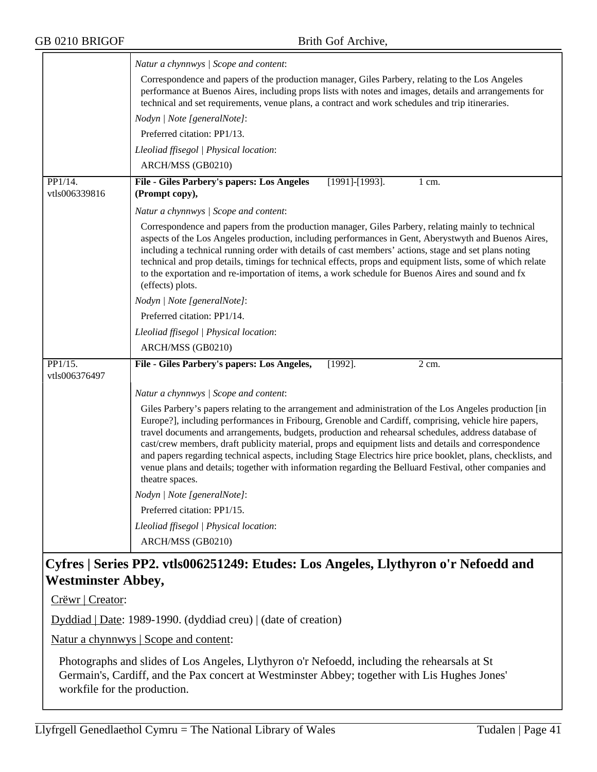|                          | Natur a chynnwys / Scope and content:                                                                                                                                                                                                                                                                                                                                                                                                                                                                                                                                                                                                                                         |
|--------------------------|-------------------------------------------------------------------------------------------------------------------------------------------------------------------------------------------------------------------------------------------------------------------------------------------------------------------------------------------------------------------------------------------------------------------------------------------------------------------------------------------------------------------------------------------------------------------------------------------------------------------------------------------------------------------------------|
|                          | Correspondence and papers of the production manager, Giles Parbery, relating to the Los Angeles<br>performance at Buenos Aires, including props lists with notes and images, details and arrangements for<br>technical and set requirements, venue plans, a contract and work schedules and trip itineraries.                                                                                                                                                                                                                                                                                                                                                                 |
|                          | Nodyn   Note [generalNote]:                                                                                                                                                                                                                                                                                                                                                                                                                                                                                                                                                                                                                                                   |
|                          | Preferred citation: PP1/13.                                                                                                                                                                                                                                                                                                                                                                                                                                                                                                                                                                                                                                                   |
|                          | Lleoliad ffisegol   Physical location:                                                                                                                                                                                                                                                                                                                                                                                                                                                                                                                                                                                                                                        |
|                          | ARCH/MSS (GB0210)                                                                                                                                                                                                                                                                                                                                                                                                                                                                                                                                                                                                                                                             |
| PP1/14.<br>vtls006339816 | File - Giles Parbery's papers: Los Angeles<br>$[1991]$ - $[1993]$ .<br>1 cm.<br>(Prompt copy),                                                                                                                                                                                                                                                                                                                                                                                                                                                                                                                                                                                |
|                          | Natur a chynnwys / Scope and content:                                                                                                                                                                                                                                                                                                                                                                                                                                                                                                                                                                                                                                         |
|                          | Correspondence and papers from the production manager, Giles Parbery, relating mainly to technical<br>aspects of the Los Angeles production, including performances in Gent, Aberystwyth and Buenos Aires,<br>including a technical running order with details of cast members' actions, stage and set plans noting<br>technical and prop details, timings for technical effects, props and equipment lists, some of which relate<br>to the exportation and re-importation of items, a work schedule for Buenos Aires and sound and fx<br>(effects) plots.                                                                                                                    |
|                          | Nodyn   Note [generalNote]:                                                                                                                                                                                                                                                                                                                                                                                                                                                                                                                                                                                                                                                   |
|                          | Preferred citation: PP1/14.                                                                                                                                                                                                                                                                                                                                                                                                                                                                                                                                                                                                                                                   |
|                          | Lleoliad ffisegol   Physical location:                                                                                                                                                                                                                                                                                                                                                                                                                                                                                                                                                                                                                                        |
|                          | ARCH/MSS (GB0210)                                                                                                                                                                                                                                                                                                                                                                                                                                                                                                                                                                                                                                                             |
| PP1/15.<br>vtls006376497 | File - Giles Parbery's papers: Los Angeles,<br>$[1992]$ .<br>2 cm.                                                                                                                                                                                                                                                                                                                                                                                                                                                                                                                                                                                                            |
|                          | Natur a chynnwys / Scope and content:                                                                                                                                                                                                                                                                                                                                                                                                                                                                                                                                                                                                                                         |
|                          | Giles Parbery's papers relating to the arrangement and administration of the Los Angeles production [in<br>Europe?], including performances in Fribourg, Grenoble and Cardiff, comprising, vehicle hire papers,<br>travel documents and arrangements, budgets, production and rehearsal schedules, address database of<br>cast/crew members, draft publicity material, props and equipment lists and details and correspondence<br>and papers regarding technical aspects, including Stage Electrics hire price booklet, plans, checklists, and<br>venue plans and details; together with information regarding the Belluard Festival, other companies and<br>theatre spaces. |
|                          | Nodyn   Note [generalNote]:                                                                                                                                                                                                                                                                                                                                                                                                                                                                                                                                                                                                                                                   |
|                          | Preferred citation: PP1/15.                                                                                                                                                                                                                                                                                                                                                                                                                                                                                                                                                                                                                                                   |
|                          | Lleoliad ffisegol   Physical location:                                                                                                                                                                                                                                                                                                                                                                                                                                                                                                                                                                                                                                        |
|                          | ARCH/MSS (GB0210)                                                                                                                                                                                                                                                                                                                                                                                                                                                                                                                                                                                                                                                             |
|                          | Cyfrog   Sorios DD2, ytls006251240; Ftudos: Los Angeles I lythyron o'r Nefoedd ond                                                                                                                                                                                                                                                                                                                                                                                                                                                                                                                                                                                            |

# **Cyfres | Series PP2. vtls006251249: Etudes: Los Angeles, Llythyron o'r Nefoedd and Westminster Abbey,**

Crëwr | Creator:

Dyddiad | Date: 1989-1990. (dyddiad creu) | (date of creation)

Natur a chynnwys | Scope and content:

Photographs and slides of Los Angeles, Llythyron o'r Nefoedd, including the rehearsals at St Germain's, Cardiff, and the Pax concert at Westminster Abbey; together with Lis Hughes Jones' workfile for the production.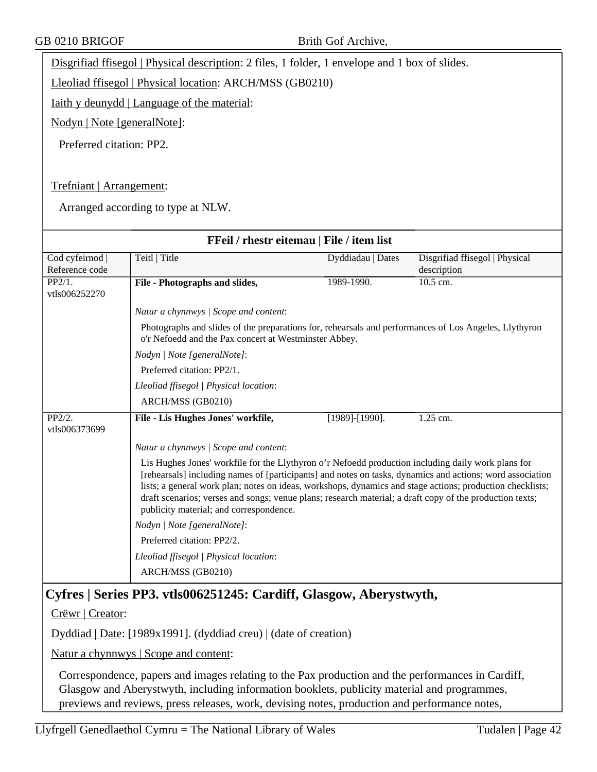Disgrifiad ffisegol | Physical description: 2 files, 1 folder, 1 envelope and 1 box of slides.

Lleoliad ffisegol | Physical location: ARCH/MSS (GB0210)

Iaith y deunydd | Language of the material:

Nodyn | Note [generalNote]:

Preferred citation: PP2.

### Trefniant | Arrangement:

Arranged according to type at NLW.

| FFeil / rhestr eitemau   File / item list |                                                                                                                                                                                                                                                                                                                                                                                                                                                                                     |                       |                                |
|-------------------------------------------|-------------------------------------------------------------------------------------------------------------------------------------------------------------------------------------------------------------------------------------------------------------------------------------------------------------------------------------------------------------------------------------------------------------------------------------------------------------------------------------|-----------------------|--------------------------------|
| Cod cyfeirnod                             | Teitl   Title                                                                                                                                                                                                                                                                                                                                                                                                                                                                       | Dyddiadau   Dates     | Disgrifiad ffisegol   Physical |
| Reference code                            |                                                                                                                                                                                                                                                                                                                                                                                                                                                                                     |                       | description                    |
| PP2/1.                                    | File - Photographs and slides,                                                                                                                                                                                                                                                                                                                                                                                                                                                      | 1989-1990.            | 10.5 cm.                       |
| vtls006252270                             |                                                                                                                                                                                                                                                                                                                                                                                                                                                                                     |                       |                                |
|                                           | Natur a chynnwys / Scope and content:                                                                                                                                                                                                                                                                                                                                                                                                                                               |                       |                                |
|                                           | Photographs and slides of the preparations for, rehearsals and performances of Los Angeles, Llythyron<br>o'r Nefoedd and the Pax concert at Westminster Abbey.                                                                                                                                                                                                                                                                                                                      |                       |                                |
|                                           | Nodyn   Note [generalNote]:                                                                                                                                                                                                                                                                                                                                                                                                                                                         |                       |                                |
|                                           | Preferred citation: PP2/1.                                                                                                                                                                                                                                                                                                                                                                                                                                                          |                       |                                |
|                                           | Lleoliad ffisegol   Physical location:                                                                                                                                                                                                                                                                                                                                                                                                                                              |                       |                                |
|                                           | ARCH/MSS (GB0210)                                                                                                                                                                                                                                                                                                                                                                                                                                                                   |                       |                                |
| PP2/2.<br>vtls006373699                   | File - Lis Hughes Jones' workfile,                                                                                                                                                                                                                                                                                                                                                                                                                                                  | $[1989]$ - $[1990]$ . | $1.25$ cm.                     |
|                                           | Natur a chynnwys / Scope and content:                                                                                                                                                                                                                                                                                                                                                                                                                                               |                       |                                |
|                                           | Lis Hughes Jones' workfile for the Llythyron o'r Nefoedd production including daily work plans for<br>[rehearsals] including names of [participants] and notes on tasks, dynamics and actions; word association<br>lists; a general work plan; notes on ideas, workshops, dynamics and stage actions; production checklists;<br>draft scenarios; verses and songs; venue plans; research material; a draft copy of the production texts;<br>publicity material; and correspondence. |                       |                                |
|                                           | Nodyn   Note [generalNote]:                                                                                                                                                                                                                                                                                                                                                                                                                                                         |                       |                                |
|                                           | Preferred citation: PP2/2.                                                                                                                                                                                                                                                                                                                                                                                                                                                          |                       |                                |
|                                           | Lleoliad ffisegol   Physical location:                                                                                                                                                                                                                                                                                                                                                                                                                                              |                       |                                |
|                                           | ARCH/MSS (GB0210)                                                                                                                                                                                                                                                                                                                                                                                                                                                                   |                       |                                |
|                                           | $C_{\rm{refnod}}$   $C_{\rm{enio}}$ DD2 $_{\rm{reflo}}$ 06.251245. $C_{\rm{ordiff}}$ $C_{\rm{loggou}}$ Abountwith                                                                                                                                                                                                                                                                                                                                                                   |                       |                                |

# **Cyfres | Series PP3. vtls006251245: Cardiff, Glasgow, Aberystwyth,**

Crëwr | Creator:

Dyddiad | Date: [1989x1991]. (dyddiad creu) | (date of creation)

Natur a chynnwys | Scope and content:

Correspondence, papers and images relating to the Pax production and the performances in Cardiff, Glasgow and Aberystwyth, including information booklets, publicity material and programmes, previews and reviews, press releases, work, devising notes, production and performance notes,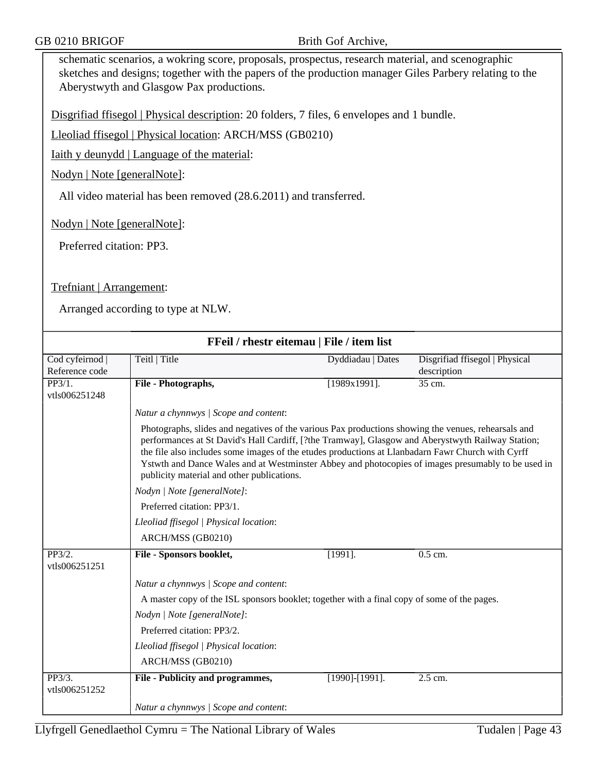schematic scenarios, a wokring score, proposals, prospectus, research material, and scenographic sketches and designs; together with the papers of the production manager Giles Parbery relating to the Aberystwyth and Glasgow Pax productions.

Disgrifiad ffisegol | Physical description: 20 folders, 7 files, 6 envelopes and 1 bundle.

Lleoliad ffisegol | Physical location: ARCH/MSS (GB0210)

Iaith y deunydd | Language of the material:

Nodyn | Note [generalNote]:

All video material has been removed (28.6.2011) and transferred.

Nodyn | Note [generalNote]:

Preferred citation: PP3.

Trefniant | Arrangement:

|                                   | FFeil / rhestr eitemau   File / item list                                                                                                                                                                                                                                                                                                                                                                                                                         |                       |                                               |
|-----------------------------------|-------------------------------------------------------------------------------------------------------------------------------------------------------------------------------------------------------------------------------------------------------------------------------------------------------------------------------------------------------------------------------------------------------------------------------------------------------------------|-----------------------|-----------------------------------------------|
| Cod cyfeirnod  <br>Reference code | Teitl   Title                                                                                                                                                                                                                                                                                                                                                                                                                                                     | Dyddiadau   Dates     | Disgrifiad ffisegol   Physical<br>description |
| PP3/1.<br>vtls006251248           | File - Photographs,                                                                                                                                                                                                                                                                                                                                                                                                                                               | $[1989x1991]$ .       | 35 cm.                                        |
|                                   | Natur a chynnwys / Scope and content:                                                                                                                                                                                                                                                                                                                                                                                                                             |                       |                                               |
|                                   | Photographs, slides and negatives of the various Pax productions showing the venues, rehearsals and<br>performances at St David's Hall Cardiff, [?the Tramway], Glasgow and Aberystwyth Railway Station;<br>the file also includes some images of the etudes productions at Llanbadarn Fawr Church with Cyrff<br>Ystwth and Dance Wales and at Westminster Abbey and photocopies of images presumably to be used in<br>publicity material and other publications. |                       |                                               |
|                                   | Nodyn   Note [generalNote]:                                                                                                                                                                                                                                                                                                                                                                                                                                       |                       |                                               |
|                                   | Preferred citation: PP3/1.                                                                                                                                                                                                                                                                                                                                                                                                                                        |                       |                                               |
|                                   | Lleoliad ffisegol   Physical location:                                                                                                                                                                                                                                                                                                                                                                                                                            |                       |                                               |
|                                   | ARCH/MSS (GB0210)                                                                                                                                                                                                                                                                                                                                                                                                                                                 |                       |                                               |
| PP3/2.<br>vtls006251251           | File - Sponsors booklet,                                                                                                                                                                                                                                                                                                                                                                                                                                          | $[1991]$ .            | $0.5$ cm.                                     |
|                                   | Natur a chynnwys / Scope and content:                                                                                                                                                                                                                                                                                                                                                                                                                             |                       |                                               |
|                                   | A master copy of the ISL sponsors booklet; together with a final copy of some of the pages.                                                                                                                                                                                                                                                                                                                                                                       |                       |                                               |
|                                   | Nodyn   Note [generalNote]:                                                                                                                                                                                                                                                                                                                                                                                                                                       |                       |                                               |
|                                   | Preferred citation: PP3/2.                                                                                                                                                                                                                                                                                                                                                                                                                                        |                       |                                               |
|                                   | Lleoliad ffisegol   Physical location:                                                                                                                                                                                                                                                                                                                                                                                                                            |                       |                                               |
|                                   | ARCH/MSS (GB0210)                                                                                                                                                                                                                                                                                                                                                                                                                                                 |                       |                                               |
| PP3/3.<br>vtls006251252           | File - Publicity and programmes,                                                                                                                                                                                                                                                                                                                                                                                                                                  | $[1990]$ - $[1991]$ . | $2.5$ cm.                                     |
|                                   | Natur a chynnwys / Scope and content:                                                                                                                                                                                                                                                                                                                                                                                                                             |                       |                                               |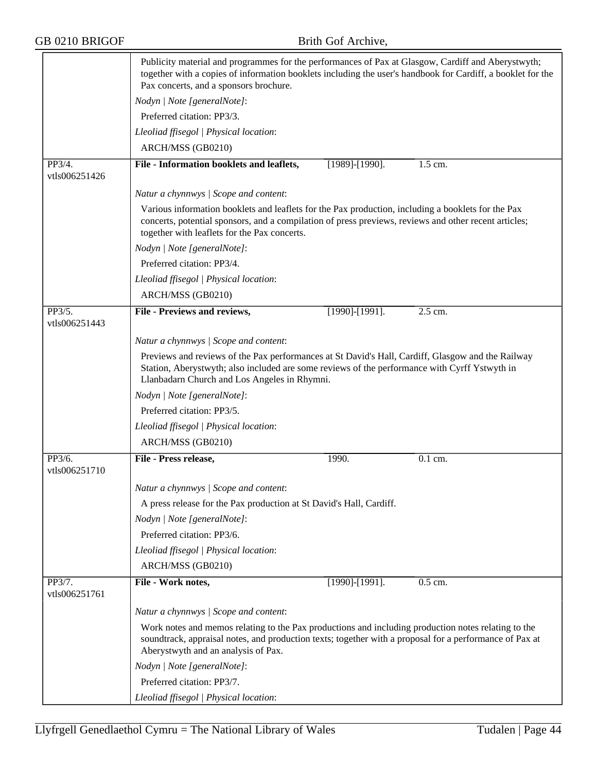|                         | Publicity material and programmes for the performances of Pax at Glasgow, Cardiff and Aberystwyth;<br>together with a copies of information booklets including the user's handbook for Cardiff, a booklet for the<br>Pax concerts, and a sponsors brochure. |                       |         |  |  |  |
|-------------------------|-------------------------------------------------------------------------------------------------------------------------------------------------------------------------------------------------------------------------------------------------------------|-----------------------|---------|--|--|--|
|                         | Nodyn   Note [generalNote]:                                                                                                                                                                                                                                 |                       |         |  |  |  |
|                         | Preferred citation: PP3/3.                                                                                                                                                                                                                                  |                       |         |  |  |  |
|                         | Lleoliad ffisegol   Physical location:                                                                                                                                                                                                                      |                       |         |  |  |  |
|                         | ARCH/MSS (GB0210)                                                                                                                                                                                                                                           |                       |         |  |  |  |
| PP3/4.<br>vtls006251426 | File - Information booklets and leaflets,                                                                                                                                                                                                                   | $[1989]$ - $[1990]$ . | 1.5 cm. |  |  |  |
|                         | Natur a chynnwys / Scope and content:                                                                                                                                                                                                                       |                       |         |  |  |  |
|                         | Various information booklets and leaflets for the Pax production, including a booklets for the Pax<br>concerts, potential sponsors, and a compilation of press previews, reviews and other recent articles;<br>together with leaflets for the Pax concerts. |                       |         |  |  |  |
|                         | Nodyn   Note [generalNote]:                                                                                                                                                                                                                                 |                       |         |  |  |  |
|                         | Preferred citation: PP3/4.                                                                                                                                                                                                                                  |                       |         |  |  |  |
|                         | Lleoliad ffisegol   Physical location:                                                                                                                                                                                                                      |                       |         |  |  |  |
|                         | ARCH/MSS (GB0210)                                                                                                                                                                                                                                           |                       |         |  |  |  |
| PP3/5.<br>vtls006251443 | File - Previews and reviews,                                                                                                                                                                                                                                | $[1990]$ - $[1991]$ . | 2.5 cm. |  |  |  |
|                         | Natur a chynnwys / Scope and content:                                                                                                                                                                                                                       |                       |         |  |  |  |
|                         | Previews and reviews of the Pax performances at St David's Hall, Cardiff, Glasgow and the Railway<br>Station, Aberystwyth; also included are some reviews of the performance with Cyrff Ystwyth in<br>Llanbadarn Church and Los Angeles in Rhymni.          |                       |         |  |  |  |
|                         | Nodyn   Note [generalNote]:                                                                                                                                                                                                                                 |                       |         |  |  |  |
|                         | Preferred citation: PP3/5.                                                                                                                                                                                                                                  |                       |         |  |  |  |
|                         | Lleoliad ffisegol   Physical location:                                                                                                                                                                                                                      |                       |         |  |  |  |
|                         | ARCH/MSS (GB0210)                                                                                                                                                                                                                                           |                       |         |  |  |  |
| PP3/6.<br>vtls006251710 | File - Press release,                                                                                                                                                                                                                                       | 1990.                 | 0.1 cm. |  |  |  |
|                         | Natur a chynnwys / Scope and content:                                                                                                                                                                                                                       |                       |         |  |  |  |
|                         | A press release for the Pax production at St David's Hall, Cardiff.                                                                                                                                                                                         |                       |         |  |  |  |
|                         | Nodyn   Note [generalNote]:                                                                                                                                                                                                                                 |                       |         |  |  |  |
|                         | Preferred citation: PP3/6.                                                                                                                                                                                                                                  |                       |         |  |  |  |
|                         | Lleoliad ffisegol   Physical location:                                                                                                                                                                                                                      |                       |         |  |  |  |
|                         | ARCH/MSS (GB0210)                                                                                                                                                                                                                                           |                       |         |  |  |  |
| PP3/7.<br>vtls006251761 | File - Work notes,                                                                                                                                                                                                                                          | [1990]-[1991].        | 0.5 cm. |  |  |  |
|                         | Natur a chynnwys / Scope and content:                                                                                                                                                                                                                       |                       |         |  |  |  |
|                         | Work notes and memos relating to the Pax productions and including production notes relating to the<br>soundtrack, appraisal notes, and production texts; together with a proposal for a performance of Pax at<br>Aberystwyth and an analysis of Pax.       |                       |         |  |  |  |
|                         | Nodyn   Note [generalNote]:                                                                                                                                                                                                                                 |                       |         |  |  |  |
|                         | Preferred citation: PP3/7.                                                                                                                                                                                                                                  |                       |         |  |  |  |
|                         | Lleoliad ffisegol   Physical location:                                                                                                                                                                                                                      |                       |         |  |  |  |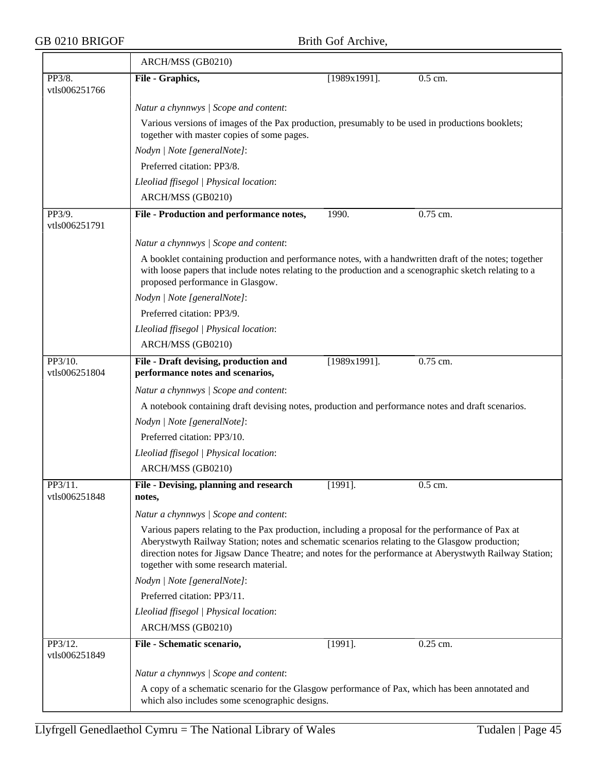$\overline{\phantom{0}}$ 

|                          | ARCH/MSS (GB0210)                                                                                                                                                                                                                                                                                                                                       |                 |            |  |  |  |
|--------------------------|---------------------------------------------------------------------------------------------------------------------------------------------------------------------------------------------------------------------------------------------------------------------------------------------------------------------------------------------------------|-----------------|------------|--|--|--|
| PP3/8.<br>vtls006251766  | File - Graphics,                                                                                                                                                                                                                                                                                                                                        | $[1989x1991]$ . | 0.5 cm.    |  |  |  |
|                          | Natur a chynnwys / Scope and content:                                                                                                                                                                                                                                                                                                                   |                 |            |  |  |  |
|                          | Various versions of images of the Pax production, presumably to be used in productions booklets;<br>together with master copies of some pages.                                                                                                                                                                                                          |                 |            |  |  |  |
|                          | Nodyn   Note [generalNote]:                                                                                                                                                                                                                                                                                                                             |                 |            |  |  |  |
|                          | Preferred citation: PP3/8.                                                                                                                                                                                                                                                                                                                              |                 |            |  |  |  |
|                          | Lleoliad ffisegol   Physical location:                                                                                                                                                                                                                                                                                                                  |                 |            |  |  |  |
|                          | ARCH/MSS (GB0210)                                                                                                                                                                                                                                                                                                                                       |                 |            |  |  |  |
| PP3/9.<br>vtls006251791  | File - Production and performance notes,                                                                                                                                                                                                                                                                                                                | 1990.           | $0.75$ cm. |  |  |  |
|                          | Natur a chynnwys / Scope and content:                                                                                                                                                                                                                                                                                                                   |                 |            |  |  |  |
|                          | A booklet containing production and performance notes, with a handwritten draft of the notes; together<br>with loose papers that include notes relating to the production and a scenographic sketch relating to a<br>proposed performance in Glasgow.                                                                                                   |                 |            |  |  |  |
|                          | Nodyn   Note [generalNote]:                                                                                                                                                                                                                                                                                                                             |                 |            |  |  |  |
|                          | Preferred citation: PP3/9.                                                                                                                                                                                                                                                                                                                              |                 |            |  |  |  |
|                          | Lleoliad ffisegol   Physical location:                                                                                                                                                                                                                                                                                                                  |                 |            |  |  |  |
|                          | ARCH/MSS (GB0210)                                                                                                                                                                                                                                                                                                                                       |                 |            |  |  |  |
| PP3/10.<br>vtls006251804 | File - Draft devising, production and<br>performance notes and scenarios,                                                                                                                                                                                                                                                                               | $[1989x1991]$ . | $0.75$ cm. |  |  |  |
|                          | Natur a chynnwys / Scope and content:                                                                                                                                                                                                                                                                                                                   |                 |            |  |  |  |
|                          | A notebook containing draft devising notes, production and performance notes and draft scenarios.                                                                                                                                                                                                                                                       |                 |            |  |  |  |
|                          | Nodyn   Note [generalNote]:                                                                                                                                                                                                                                                                                                                             |                 |            |  |  |  |
|                          | Preferred citation: PP3/10.                                                                                                                                                                                                                                                                                                                             |                 |            |  |  |  |
|                          | Lleoliad ffisegol   Physical location:                                                                                                                                                                                                                                                                                                                  |                 |            |  |  |  |
|                          | ARCH/MSS (GB0210)                                                                                                                                                                                                                                                                                                                                       |                 |            |  |  |  |
| PP3/11.<br>vtls006251848 | File - Devising, planning and research<br>notes,                                                                                                                                                                                                                                                                                                        | $[1991]$ .      | 0.5 cm.    |  |  |  |
|                          | Natur a chynnwys / Scope and content:                                                                                                                                                                                                                                                                                                                   |                 |            |  |  |  |
|                          | Various papers relating to the Pax production, including a proposal for the performance of Pax at<br>Aberystwyth Railway Station; notes and schematic scenarios relating to the Glasgow production;<br>direction notes for Jigsaw Dance Theatre; and notes for the performance at Aberystwyth Railway Station;<br>together with some research material. |                 |            |  |  |  |
|                          | Nodyn   Note [generalNote]:                                                                                                                                                                                                                                                                                                                             |                 |            |  |  |  |
|                          | Preferred citation: PP3/11.                                                                                                                                                                                                                                                                                                                             |                 |            |  |  |  |
|                          | Lleoliad ffisegol   Physical location:                                                                                                                                                                                                                                                                                                                  |                 |            |  |  |  |
|                          | ARCH/MSS (GB0210)                                                                                                                                                                                                                                                                                                                                       |                 |            |  |  |  |
| PP3/12.<br>vtls006251849 | File - Schematic scenario,                                                                                                                                                                                                                                                                                                                              | $[1991]$ .      | 0.25 cm.   |  |  |  |
|                          | Natur a chynnwys / Scope and content:                                                                                                                                                                                                                                                                                                                   |                 |            |  |  |  |
|                          | A copy of a schematic scenario for the Glasgow performance of Pax, which has been annotated and<br>which also includes some scenographic designs.                                                                                                                                                                                                       |                 |            |  |  |  |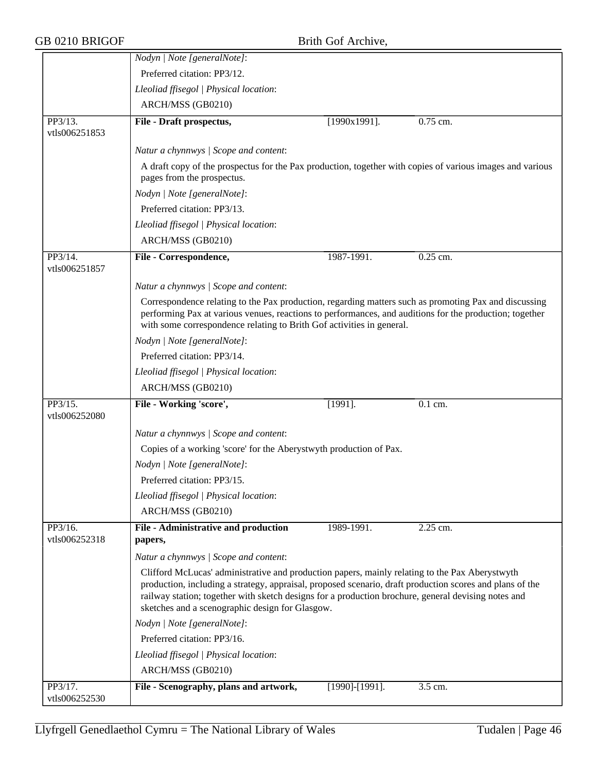|                          | Nodyn   Note [generalNote]:                                                                                                                                                                                                                                                                                                                                          |                 |            |
|--------------------------|----------------------------------------------------------------------------------------------------------------------------------------------------------------------------------------------------------------------------------------------------------------------------------------------------------------------------------------------------------------------|-----------------|------------|
|                          | Preferred citation: PP3/12.                                                                                                                                                                                                                                                                                                                                          |                 |            |
|                          | Lleoliad ffisegol   Physical location:                                                                                                                                                                                                                                                                                                                               |                 |            |
|                          | ARCH/MSS (GB0210)                                                                                                                                                                                                                                                                                                                                                    |                 |            |
| PP3/13.                  | File - Draft prospectus,                                                                                                                                                                                                                                                                                                                                             | $[1990x1991]$ . | $0.75$ cm. |
| vtls006251853            |                                                                                                                                                                                                                                                                                                                                                                      |                 |            |
|                          | Natur a chynnwys / Scope and content:                                                                                                                                                                                                                                                                                                                                |                 |            |
|                          | A draft copy of the prospectus for the Pax production, together with copies of various images and various<br>pages from the prospectus.                                                                                                                                                                                                                              |                 |            |
|                          | Nodyn   Note [generalNote]:                                                                                                                                                                                                                                                                                                                                          |                 |            |
|                          | Preferred citation: PP3/13.                                                                                                                                                                                                                                                                                                                                          |                 |            |
|                          | Lleoliad ffisegol   Physical location:                                                                                                                                                                                                                                                                                                                               |                 |            |
|                          | ARCH/MSS (GB0210)                                                                                                                                                                                                                                                                                                                                                    |                 |            |
| PP3/14.<br>vtls006251857 | File - Correspondence,                                                                                                                                                                                                                                                                                                                                               | 1987-1991.      | $0.25$ cm. |
|                          | Natur a chynnwys / Scope and content:                                                                                                                                                                                                                                                                                                                                |                 |            |
|                          | Correspondence relating to the Pax production, regarding matters such as promoting Pax and discussing<br>performing Pax at various venues, reactions to performances, and auditions for the production; together<br>with some correspondence relating to Brith Gof activities in general.                                                                            |                 |            |
|                          | Nodyn   Note [generalNote]:                                                                                                                                                                                                                                                                                                                                          |                 |            |
|                          | Preferred citation: PP3/14.                                                                                                                                                                                                                                                                                                                                          |                 |            |
|                          | Lleoliad ffisegol   Physical location:                                                                                                                                                                                                                                                                                                                               |                 |            |
|                          | ARCH/MSS (GB0210)                                                                                                                                                                                                                                                                                                                                                    |                 |            |
| PP3/15.                  | File - Working 'score',                                                                                                                                                                                                                                                                                                                                              | $[1991]$ .      | 0.1 cm.    |
| vtls006252080            |                                                                                                                                                                                                                                                                                                                                                                      |                 |            |
|                          | Natur a chynnwys / Scope and content:                                                                                                                                                                                                                                                                                                                                |                 |            |
|                          | Copies of a working 'score' for the Aberystwyth production of Pax.                                                                                                                                                                                                                                                                                                   |                 |            |
|                          | Nodyn   Note [generalNote]:                                                                                                                                                                                                                                                                                                                                          |                 |            |
|                          | Preferred citation: PP3/15.                                                                                                                                                                                                                                                                                                                                          |                 |            |
|                          | Lleoliad ffisegol   Physical location:                                                                                                                                                                                                                                                                                                                               |                 |            |
|                          | ARCH/MSS (GB0210)                                                                                                                                                                                                                                                                                                                                                    |                 |            |
| PP3/16.                  | File - Administrative and production                                                                                                                                                                                                                                                                                                                                 | 1989-1991.      | 2.25 cm.   |
| vtls006252318            | papers,                                                                                                                                                                                                                                                                                                                                                              |                 |            |
|                          | Natur a chynnwys / Scope and content:                                                                                                                                                                                                                                                                                                                                |                 |            |
|                          | Clifford McLucas' administrative and production papers, mainly relating to the Pax Aberystwyth<br>production, including a strategy, appraisal, proposed scenario, draft production scores and plans of the<br>railway station; together with sketch designs for a production brochure, general devising notes and<br>sketches and a scenographic design for Glasgow. |                 |            |
|                          | Nodyn   Note [generalNote]:                                                                                                                                                                                                                                                                                                                                          |                 |            |
|                          | Preferred citation: PP3/16.                                                                                                                                                                                                                                                                                                                                          |                 |            |
|                          | Lleoliad ffisegol   Physical location:                                                                                                                                                                                                                                                                                                                               |                 |            |
|                          | ARCH/MSS (GB0210)                                                                                                                                                                                                                                                                                                                                                    |                 |            |
| PP3/17.                  | File - Scenography, plans and artwork,                                                                                                                                                                                                                                                                                                                               | [1990]-[1991].  | 3.5 cm.    |
| vtls006252530            |                                                                                                                                                                                                                                                                                                                                                                      |                 |            |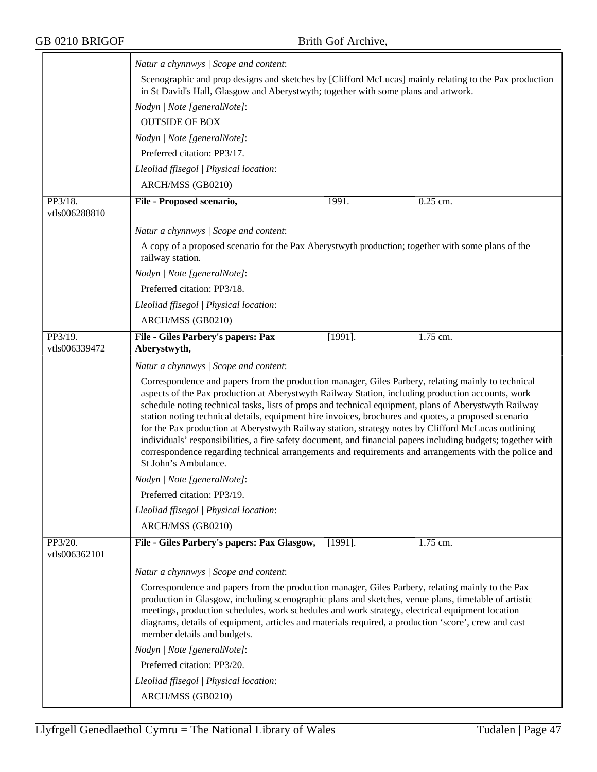|                          | Natur a chynnwys / Scope and content:                                                                                                                                                                                                                                                                                                                                                                                                                                                                                                                                                                                                                                                                                                                                            |  |  |  |
|--------------------------|----------------------------------------------------------------------------------------------------------------------------------------------------------------------------------------------------------------------------------------------------------------------------------------------------------------------------------------------------------------------------------------------------------------------------------------------------------------------------------------------------------------------------------------------------------------------------------------------------------------------------------------------------------------------------------------------------------------------------------------------------------------------------------|--|--|--|
|                          | Scenographic and prop designs and sketches by [Clifford McLucas] mainly relating to the Pax production<br>in St David's Hall, Glasgow and Aberystwyth; together with some plans and artwork.                                                                                                                                                                                                                                                                                                                                                                                                                                                                                                                                                                                     |  |  |  |
|                          | Nodyn   Note [generalNote]:                                                                                                                                                                                                                                                                                                                                                                                                                                                                                                                                                                                                                                                                                                                                                      |  |  |  |
|                          | <b>OUTSIDE OF BOX</b>                                                                                                                                                                                                                                                                                                                                                                                                                                                                                                                                                                                                                                                                                                                                                            |  |  |  |
|                          | Nodyn   Note [generalNote]:                                                                                                                                                                                                                                                                                                                                                                                                                                                                                                                                                                                                                                                                                                                                                      |  |  |  |
|                          | Preferred citation: PP3/17.                                                                                                                                                                                                                                                                                                                                                                                                                                                                                                                                                                                                                                                                                                                                                      |  |  |  |
|                          | Lleoliad ffisegol   Physical location:                                                                                                                                                                                                                                                                                                                                                                                                                                                                                                                                                                                                                                                                                                                                           |  |  |  |
|                          | ARCH/MSS (GB0210)                                                                                                                                                                                                                                                                                                                                                                                                                                                                                                                                                                                                                                                                                                                                                                |  |  |  |
| PP3/18.                  | 1991.<br>0.25 cm.<br>File - Proposed scenario,                                                                                                                                                                                                                                                                                                                                                                                                                                                                                                                                                                                                                                                                                                                                   |  |  |  |
| vtls006288810            |                                                                                                                                                                                                                                                                                                                                                                                                                                                                                                                                                                                                                                                                                                                                                                                  |  |  |  |
|                          | Natur a chynnwys / Scope and content:                                                                                                                                                                                                                                                                                                                                                                                                                                                                                                                                                                                                                                                                                                                                            |  |  |  |
|                          | A copy of a proposed scenario for the Pax Aberystwyth production; together with some plans of the<br>railway station.                                                                                                                                                                                                                                                                                                                                                                                                                                                                                                                                                                                                                                                            |  |  |  |
|                          | Nodyn   Note [generalNote]:                                                                                                                                                                                                                                                                                                                                                                                                                                                                                                                                                                                                                                                                                                                                                      |  |  |  |
|                          | Preferred citation: PP3/18.                                                                                                                                                                                                                                                                                                                                                                                                                                                                                                                                                                                                                                                                                                                                                      |  |  |  |
|                          | Lleoliad ffisegol   Physical location:                                                                                                                                                                                                                                                                                                                                                                                                                                                                                                                                                                                                                                                                                                                                           |  |  |  |
|                          | ARCH/MSS (GB0210)                                                                                                                                                                                                                                                                                                                                                                                                                                                                                                                                                                                                                                                                                                                                                                |  |  |  |
| PP3/19.                  | $\overline{1.75}$ cm.<br>$[1991]$ .<br>File - Giles Parbery's papers: Pax                                                                                                                                                                                                                                                                                                                                                                                                                                                                                                                                                                                                                                                                                                        |  |  |  |
| vtls006339472            | Aberystwyth,                                                                                                                                                                                                                                                                                                                                                                                                                                                                                                                                                                                                                                                                                                                                                                     |  |  |  |
|                          | Natur a chynnwys / Scope and content:                                                                                                                                                                                                                                                                                                                                                                                                                                                                                                                                                                                                                                                                                                                                            |  |  |  |
|                          | Correspondence and papers from the production manager, Giles Parbery, relating mainly to technical<br>aspects of the Pax production at Aberystwyth Railway Station, including production accounts, work<br>schedule noting technical tasks, lists of props and technical equipment, plans of Aberystwyth Railway<br>station noting technical details, equipment hire invoices, brochures and quotes, a proposed scenario<br>for the Pax production at Aberystwyth Railway station, strategy notes by Clifford McLucas outlining<br>individuals' responsibilities, a fire safety document, and financial papers including budgets; together with<br>correspondence regarding technical arrangements and requirements and arrangements with the police and<br>St John's Ambulance. |  |  |  |
|                          | Nodyn   Note [generalNote]:                                                                                                                                                                                                                                                                                                                                                                                                                                                                                                                                                                                                                                                                                                                                                      |  |  |  |
|                          | Preferred citation: PP3/19.                                                                                                                                                                                                                                                                                                                                                                                                                                                                                                                                                                                                                                                                                                                                                      |  |  |  |
|                          | Lleoliad ffisegol   Physical location:                                                                                                                                                                                                                                                                                                                                                                                                                                                                                                                                                                                                                                                                                                                                           |  |  |  |
|                          | ARCH/MSS (GB0210)                                                                                                                                                                                                                                                                                                                                                                                                                                                                                                                                                                                                                                                                                                                                                                |  |  |  |
| PP3/20.<br>vtls006362101 | File - Giles Parbery's papers: Pax Glasgow,<br>$[1991]$ .<br>1.75 cm.                                                                                                                                                                                                                                                                                                                                                                                                                                                                                                                                                                                                                                                                                                            |  |  |  |
|                          | Natur a chynnwys / Scope and content:                                                                                                                                                                                                                                                                                                                                                                                                                                                                                                                                                                                                                                                                                                                                            |  |  |  |
|                          | Correspondence and papers from the production manager, Giles Parbery, relating mainly to the Pax<br>production in Glasgow, including scenographic plans and sketches, venue plans, timetable of artistic<br>meetings, production schedules, work schedules and work strategy, electrical equipment location<br>diagrams, details of equipment, articles and materials required, a production 'score', crew and cast<br>member details and budgets.                                                                                                                                                                                                                                                                                                                               |  |  |  |
|                          | Nodyn   Note [generalNote]:                                                                                                                                                                                                                                                                                                                                                                                                                                                                                                                                                                                                                                                                                                                                                      |  |  |  |
|                          | Preferred citation: PP3/20.                                                                                                                                                                                                                                                                                                                                                                                                                                                                                                                                                                                                                                                                                                                                                      |  |  |  |
|                          | Lleoliad ffisegol   Physical location:                                                                                                                                                                                                                                                                                                                                                                                                                                                                                                                                                                                                                                                                                                                                           |  |  |  |
|                          | ARCH/MSS (GB0210)                                                                                                                                                                                                                                                                                                                                                                                                                                                                                                                                                                                                                                                                                                                                                                |  |  |  |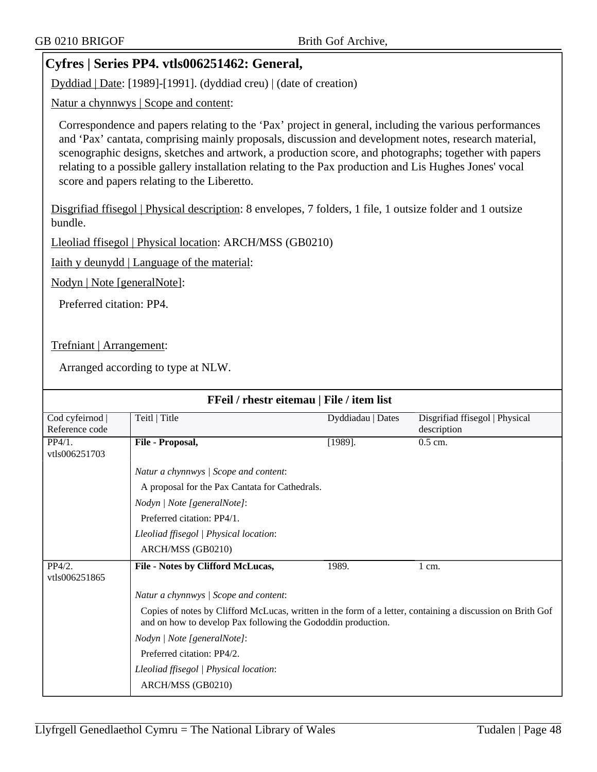# **Cyfres | Series PP4. vtls006251462: General,**

Dyddiad | Date: [1989]-[1991]. (dyddiad creu) | (date of creation)

Natur a chynnwys | Scope and content:

Correspondence and papers relating to the 'Pax' project in general, including the various performances and 'Pax' cantata, comprising mainly proposals, discussion and development notes, research material, scenographic designs, sketches and artwork, a production score, and photographs; together with papers relating to a possible gallery installation relating to the Pax production and Lis Hughes Jones' vocal score and papers relating to the Liberetto.

Disgrifiad ffisegol | Physical description: 8 envelopes, 7 folders, 1 file, 1 outsize folder and 1 outsize bundle.

Lleoliad ffisegol | Physical location: ARCH/MSS (GB0210)

Iaith y deunydd | Language of the material:

Nodyn | Note [generalNote]:

Preferred citation: PP4.

Trefniant | Arrangement:

| FFeil / rhestr eitemau   File / item list |                                                                                                                                                                            |                   |                                |
|-------------------------------------------|----------------------------------------------------------------------------------------------------------------------------------------------------------------------------|-------------------|--------------------------------|
|                                           |                                                                                                                                                                            |                   |                                |
| Cod cyfeirnod                             | Teitl   Title                                                                                                                                                              | Dyddiadau   Dates | Disgrifiad ffisegol   Physical |
| Reference code                            |                                                                                                                                                                            |                   | description                    |
| PP4/1.<br>vtls006251703                   | File - Proposal,                                                                                                                                                           | $[1989]$ .        | $0.5$ cm.                      |
|                                           | Natur a chynnwys / Scope and content:                                                                                                                                      |                   |                                |
|                                           | A proposal for the Pax Cantata for Cathedrals.                                                                                                                             |                   |                                |
|                                           | Nodyn   Note [generalNote]:                                                                                                                                                |                   |                                |
|                                           | Preferred citation: PP4/1.                                                                                                                                                 |                   |                                |
|                                           | Lleoliad ffisegol   Physical location:                                                                                                                                     |                   |                                |
|                                           | ARCH/MSS (GB0210)                                                                                                                                                          |                   |                                |
| PP4/2.<br>vtls006251865                   | File - Notes by Clifford McLucas,                                                                                                                                          | 1989.             | 1 cm.                          |
|                                           | Natur a chynnwys / Scope and content:                                                                                                                                      |                   |                                |
|                                           | Copies of notes by Clifford McLucas, written in the form of a letter, containing a discussion on Brith Gof<br>and on how to develop Pax following the Gododdin production. |                   |                                |
|                                           | Nodyn   Note [generalNote]:                                                                                                                                                |                   |                                |
|                                           | Preferred citation: PP4/2.                                                                                                                                                 |                   |                                |
|                                           | Lleoliad ffisegol   Physical location:                                                                                                                                     |                   |                                |
|                                           | ARCH/MSS (GB0210)                                                                                                                                                          |                   |                                |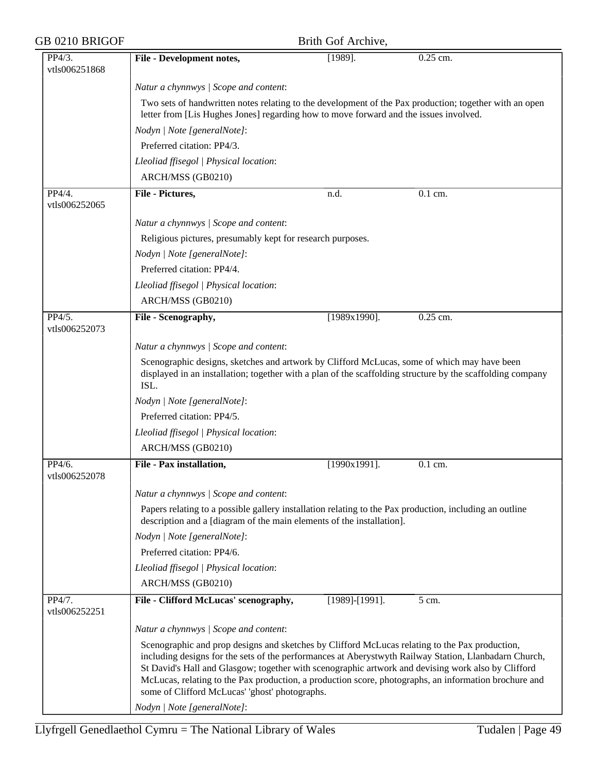| GB 0210 BRIGOF          |                                                                                                                                                                                                                                                                                                                                                                                                                                                                          | Brith Gof Archive,    |                      |  |
|-------------------------|--------------------------------------------------------------------------------------------------------------------------------------------------------------------------------------------------------------------------------------------------------------------------------------------------------------------------------------------------------------------------------------------------------------------------------------------------------------------------|-----------------------|----------------------|--|
| PP4/3.                  | File - Development notes,                                                                                                                                                                                                                                                                                                                                                                                                                                                | $[1989]$ .            | 0.25 cm.             |  |
| vtls006251868           |                                                                                                                                                                                                                                                                                                                                                                                                                                                                          |                       |                      |  |
|                         | Natur a chynnwys / Scope and content:                                                                                                                                                                                                                                                                                                                                                                                                                                    |                       |                      |  |
|                         | Two sets of handwritten notes relating to the development of the Pax production; together with an open<br>letter from [Lis Hughes Jones] regarding how to move forward and the issues involved.                                                                                                                                                                                                                                                                          |                       |                      |  |
|                         | Nodyn   Note [generalNote]:                                                                                                                                                                                                                                                                                                                                                                                                                                              |                       |                      |  |
|                         | Preferred citation: PP4/3.                                                                                                                                                                                                                                                                                                                                                                                                                                               |                       |                      |  |
|                         | Lleoliad ffisegol   Physical location:                                                                                                                                                                                                                                                                                                                                                                                                                                   |                       |                      |  |
|                         | ARCH/MSS (GB0210)                                                                                                                                                                                                                                                                                                                                                                                                                                                        |                       |                      |  |
| PP4/4.<br>vtls006252065 | File - Pictures,                                                                                                                                                                                                                                                                                                                                                                                                                                                         | n.d.                  | $\overline{0.1}$ cm. |  |
|                         | Natur a chynnwys / Scope and content:                                                                                                                                                                                                                                                                                                                                                                                                                                    |                       |                      |  |
|                         | Religious pictures, presumably kept for research purposes.                                                                                                                                                                                                                                                                                                                                                                                                               |                       |                      |  |
|                         | Nodyn   Note [generalNote]:                                                                                                                                                                                                                                                                                                                                                                                                                                              |                       |                      |  |
|                         | Preferred citation: PP4/4.                                                                                                                                                                                                                                                                                                                                                                                                                                               |                       |                      |  |
|                         | Lleoliad ffisegol   Physical location:                                                                                                                                                                                                                                                                                                                                                                                                                                   |                       |                      |  |
|                         | ARCH/MSS (GB0210)                                                                                                                                                                                                                                                                                                                                                                                                                                                        |                       |                      |  |
| PP4/5.<br>vtls006252073 | File - Scenography,                                                                                                                                                                                                                                                                                                                                                                                                                                                      | $[1989x1990]$ .       | 0.25 cm.             |  |
|                         | Natur a chynnwys / Scope and content:                                                                                                                                                                                                                                                                                                                                                                                                                                    |                       |                      |  |
|                         | Scenographic designs, sketches and artwork by Clifford McLucas, some of which may have been<br>displayed in an installation; together with a plan of the scaffolding structure by the scaffolding company<br>ISL.                                                                                                                                                                                                                                                        |                       |                      |  |
|                         | Nodyn   Note [generalNote]:                                                                                                                                                                                                                                                                                                                                                                                                                                              |                       |                      |  |
|                         | Preferred citation: PP4/5.                                                                                                                                                                                                                                                                                                                                                                                                                                               |                       |                      |  |
|                         | Lleoliad ffisegol   Physical location:                                                                                                                                                                                                                                                                                                                                                                                                                                   |                       |                      |  |
|                         | ARCH/MSS (GB0210)                                                                                                                                                                                                                                                                                                                                                                                                                                                        |                       |                      |  |
| PP4/6.<br>vtls006252078 | File - Pax installation,                                                                                                                                                                                                                                                                                                                                                                                                                                                 | $[1990x1991]$ .       | 0.1 cm.              |  |
|                         | Natur a chynnwys / Scope and content:                                                                                                                                                                                                                                                                                                                                                                                                                                    |                       |                      |  |
|                         | Papers relating to a possible gallery installation relating to the Pax production, including an outline<br>description and a [diagram of the main elements of the installation].                                                                                                                                                                                                                                                                                         |                       |                      |  |
|                         | Nodyn   Note [generalNote]:                                                                                                                                                                                                                                                                                                                                                                                                                                              |                       |                      |  |
|                         | Preferred citation: PP4/6.                                                                                                                                                                                                                                                                                                                                                                                                                                               |                       |                      |  |
|                         | Lleoliad ffisegol   Physical location:                                                                                                                                                                                                                                                                                                                                                                                                                                   |                       |                      |  |
|                         | ARCH/MSS (GB0210)                                                                                                                                                                                                                                                                                                                                                                                                                                                        |                       |                      |  |
| PP4/7.<br>vtls006252251 | File - Clifford McLucas' scenography,                                                                                                                                                                                                                                                                                                                                                                                                                                    | $[1989]$ - $[1991]$ . | 5 cm.                |  |
|                         | Natur a chynnwys / Scope and content:                                                                                                                                                                                                                                                                                                                                                                                                                                    |                       |                      |  |
|                         | Scenographic and prop designs and sketches by Clifford McLucas relating to the Pax production,<br>including designs for the sets of the performances at Aberystwyth Railway Station, Llanbadarn Church,<br>St David's Hall and Glasgow; together with scenographic artwork and devising work also by Clifford<br>McLucas, relating to the Pax production, a production score, photographs, an information brochure and<br>some of Clifford McLucas' 'ghost' photographs. |                       |                      |  |
|                         | Nodyn   Note [generalNote]:                                                                                                                                                                                                                                                                                                                                                                                                                                              |                       |                      |  |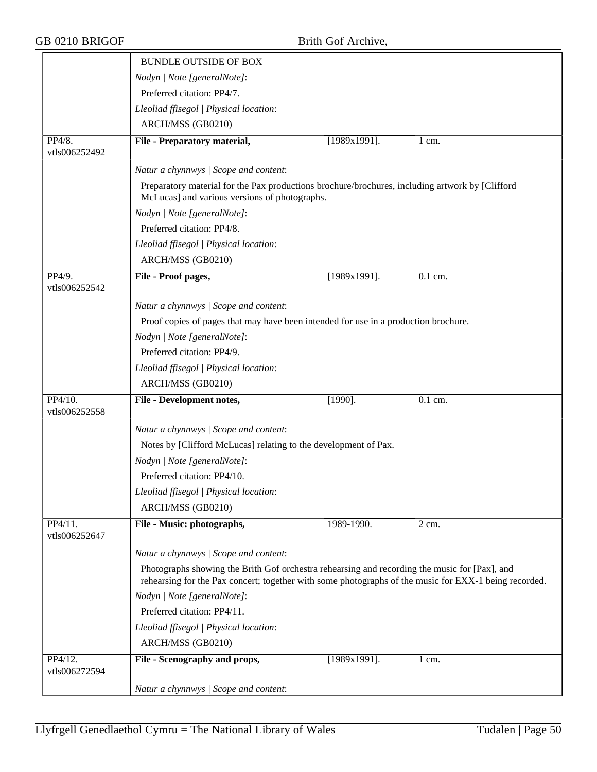|                          | <b>BUNDLE OUTSIDE OF BOX</b>                                                                                                                                                                           |                 |                      |
|--------------------------|--------------------------------------------------------------------------------------------------------------------------------------------------------------------------------------------------------|-----------------|----------------------|
|                          | Nodyn   Note [generalNote]:                                                                                                                                                                            |                 |                      |
|                          | Preferred citation: PP4/7.                                                                                                                                                                             |                 |                      |
|                          | Lleoliad ffisegol   Physical location:                                                                                                                                                                 |                 |                      |
|                          | ARCH/MSS (GB0210)                                                                                                                                                                                      |                 |                      |
| PP4/8.<br>vtls006252492  | File - Preparatory material,                                                                                                                                                                           | $[1989x1991]$ . | 1 cm.                |
|                          | Natur a chynnwys / Scope and content:                                                                                                                                                                  |                 |                      |
|                          | Preparatory material for the Pax productions brochure/brochures, including artwork by [Clifford]<br>McLucas] and various versions of photographs.                                                      |                 |                      |
|                          | Nodyn   Note [generalNote]:                                                                                                                                                                            |                 |                      |
|                          | Preferred citation: PP4/8.                                                                                                                                                                             |                 |                      |
|                          | Lleoliad ffisegol   Physical location:                                                                                                                                                                 |                 |                      |
|                          | ARCH/MSS (GB0210)                                                                                                                                                                                      |                 |                      |
| PP4/9.<br>vtls006252542  | File - Proof pages,                                                                                                                                                                                    | $[1989x1991]$ . | $\overline{0.1}$ cm. |
|                          | Natur a chynnwys / Scope and content:                                                                                                                                                                  |                 |                      |
|                          | Proof copies of pages that may have been intended for use in a production brochure.                                                                                                                    |                 |                      |
|                          | Nodyn   Note [generalNote]:                                                                                                                                                                            |                 |                      |
|                          | Preferred citation: PP4/9.                                                                                                                                                                             |                 |                      |
|                          | Lleoliad ffisegol   Physical location:                                                                                                                                                                 |                 |                      |
|                          | ARCH/MSS (GB0210)                                                                                                                                                                                      |                 |                      |
| PP4/10.<br>vtls006252558 | File - Development notes,                                                                                                                                                                              | $[1990]$ .      | $0.1$ cm.            |
|                          | Natur a chynnwys / Scope and content:                                                                                                                                                                  |                 |                      |
|                          | Notes by [Clifford McLucas] relating to the development of Pax.                                                                                                                                        |                 |                      |
|                          | Nodyn   Note [generalNote]:                                                                                                                                                                            |                 |                      |
|                          | Preferred citation: PP4/10.                                                                                                                                                                            |                 |                      |
|                          | Lleoliad ffisegol   Physical location:                                                                                                                                                                 |                 |                      |
|                          | ARCH/MSS (GB0210)                                                                                                                                                                                      |                 |                      |
| PP4/11.<br>vtls006252647 | File - Music: photographs,                                                                                                                                                                             | 1989-1990.      | 2 cm.                |
|                          | Natur a chynnwys / Scope and content:                                                                                                                                                                  |                 |                      |
|                          | Photographs showing the Brith Gof orchestra rehearsing and recording the music for [Pax], and<br>rehearsing for the Pax concert; together with some photographs of the music for EXX-1 being recorded. |                 |                      |
|                          | Nodyn   Note [generalNote]:                                                                                                                                                                            |                 |                      |
|                          | Preferred citation: PP4/11.                                                                                                                                                                            |                 |                      |
|                          | Lleoliad ffisegol   Physical location:                                                                                                                                                                 |                 |                      |
|                          | ARCH/MSS (GB0210)                                                                                                                                                                                      |                 |                      |
| PP4/12.                  | File - Scenography and props,                                                                                                                                                                          | [1989x1991].    | $1 \text{ cm}$ .     |

*Natur a chynnwys | Scope and content*:

vtls006272594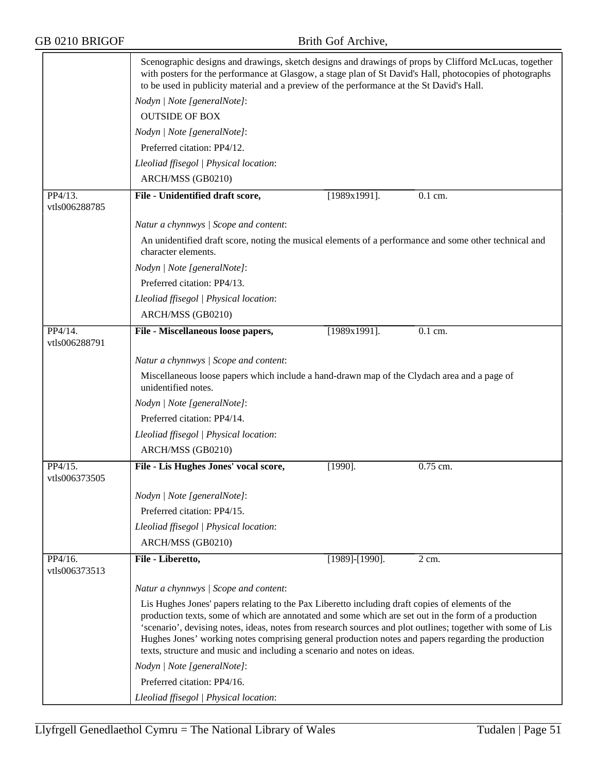|                          | Scenographic designs and drawings, sketch designs and drawings of props by Clifford McLucas, together<br>with posters for the performance at Glasgow, a stage plan of St David's Hall, photocopies of photographs<br>to be used in publicity material and a preview of the performance at the St David's Hall.                                                                                                                                                                                            |                       |           |  |
|--------------------------|-----------------------------------------------------------------------------------------------------------------------------------------------------------------------------------------------------------------------------------------------------------------------------------------------------------------------------------------------------------------------------------------------------------------------------------------------------------------------------------------------------------|-----------------------|-----------|--|
|                          | Nodyn   Note [generalNote]:                                                                                                                                                                                                                                                                                                                                                                                                                                                                               |                       |           |  |
|                          | <b>OUTSIDE OF BOX</b>                                                                                                                                                                                                                                                                                                                                                                                                                                                                                     |                       |           |  |
|                          | Nodyn   Note [generalNote]:                                                                                                                                                                                                                                                                                                                                                                                                                                                                               |                       |           |  |
|                          | Preferred citation: PP4/12.                                                                                                                                                                                                                                                                                                                                                                                                                                                                               |                       |           |  |
|                          | Lleoliad ffisegol   Physical location:                                                                                                                                                                                                                                                                                                                                                                                                                                                                    |                       |           |  |
|                          | ARCH/MSS (GB0210)                                                                                                                                                                                                                                                                                                                                                                                                                                                                                         |                       |           |  |
| PP4/13.                  | File - Unidentified draft score,                                                                                                                                                                                                                                                                                                                                                                                                                                                                          | $[1989x1991]$ .       | $0.1$ cm. |  |
| vtls006288785            |                                                                                                                                                                                                                                                                                                                                                                                                                                                                                                           |                       |           |  |
|                          | Natur a chynnwys / Scope and content:                                                                                                                                                                                                                                                                                                                                                                                                                                                                     |                       |           |  |
|                          | An unidentified draft score, noting the musical elements of a performance and some other technical and<br>character elements.                                                                                                                                                                                                                                                                                                                                                                             |                       |           |  |
|                          | Nodyn   Note [generalNote]:                                                                                                                                                                                                                                                                                                                                                                                                                                                                               |                       |           |  |
|                          | Preferred citation: PP4/13.                                                                                                                                                                                                                                                                                                                                                                                                                                                                               |                       |           |  |
|                          | Lleoliad ffisegol   Physical location:                                                                                                                                                                                                                                                                                                                                                                                                                                                                    |                       |           |  |
|                          | ARCH/MSS (GB0210)                                                                                                                                                                                                                                                                                                                                                                                                                                                                                         |                       |           |  |
| $PP4/14$ .               | File - Miscellaneous loose papers,                                                                                                                                                                                                                                                                                                                                                                                                                                                                        | $[1989x1991]$ .       | 0.1 cm.   |  |
| vtls006288791            |                                                                                                                                                                                                                                                                                                                                                                                                                                                                                                           |                       |           |  |
|                          | Natur a chynnwys / Scope and content:                                                                                                                                                                                                                                                                                                                                                                                                                                                                     |                       |           |  |
|                          | Miscellaneous loose papers which include a hand-drawn map of the Clydach area and a page of<br>unidentified notes.                                                                                                                                                                                                                                                                                                                                                                                        |                       |           |  |
|                          | Nodyn   Note [generalNote]:                                                                                                                                                                                                                                                                                                                                                                                                                                                                               |                       |           |  |
|                          | Preferred citation: PP4/14.                                                                                                                                                                                                                                                                                                                                                                                                                                                                               |                       |           |  |
|                          | Lleoliad ffisegol   Physical location:                                                                                                                                                                                                                                                                                                                                                                                                                                                                    |                       |           |  |
|                          | ARCH/MSS (GB0210)                                                                                                                                                                                                                                                                                                                                                                                                                                                                                         |                       |           |  |
| PP4/15.                  | File - Lis Hughes Jones' vocal score,                                                                                                                                                                                                                                                                                                                                                                                                                                                                     | $[1990]$ .            | 0.75 cm.  |  |
| vtls006373505            |                                                                                                                                                                                                                                                                                                                                                                                                                                                                                                           |                       |           |  |
|                          | Nodyn   Note [generalNote]:                                                                                                                                                                                                                                                                                                                                                                                                                                                                               |                       |           |  |
|                          | Preferred citation: PP4/15.                                                                                                                                                                                                                                                                                                                                                                                                                                                                               |                       |           |  |
|                          | Lleoliad ffisegol   Physical location:                                                                                                                                                                                                                                                                                                                                                                                                                                                                    |                       |           |  |
|                          | ARCH/MSS (GB0210)                                                                                                                                                                                                                                                                                                                                                                                                                                                                                         |                       |           |  |
| PP4/16.<br>vtls006373513 | File - Liberetto,                                                                                                                                                                                                                                                                                                                                                                                                                                                                                         | $[1989]$ - $[1990]$ . | 2 cm.     |  |
|                          | Natur a chynnwys / Scope and content:                                                                                                                                                                                                                                                                                                                                                                                                                                                                     |                       |           |  |
|                          | Lis Hughes Jones' papers relating to the Pax Liberetto including draft copies of elements of the<br>production texts, some of which are annotated and some which are set out in the form of a production<br>'scenario', devising notes, ideas, notes from research sources and plot outlines; together with some of Lis<br>Hughes Jones' working notes comprising general production notes and papers regarding the production<br>texts, structure and music and including a scenario and notes on ideas. |                       |           |  |
|                          | Nodyn   Note [generalNote]:                                                                                                                                                                                                                                                                                                                                                                                                                                                                               |                       |           |  |
|                          | Preferred citation: PP4/16.                                                                                                                                                                                                                                                                                                                                                                                                                                                                               |                       |           |  |
|                          | Lleoliad ffisegol   Physical location:                                                                                                                                                                                                                                                                                                                                                                                                                                                                    |                       |           |  |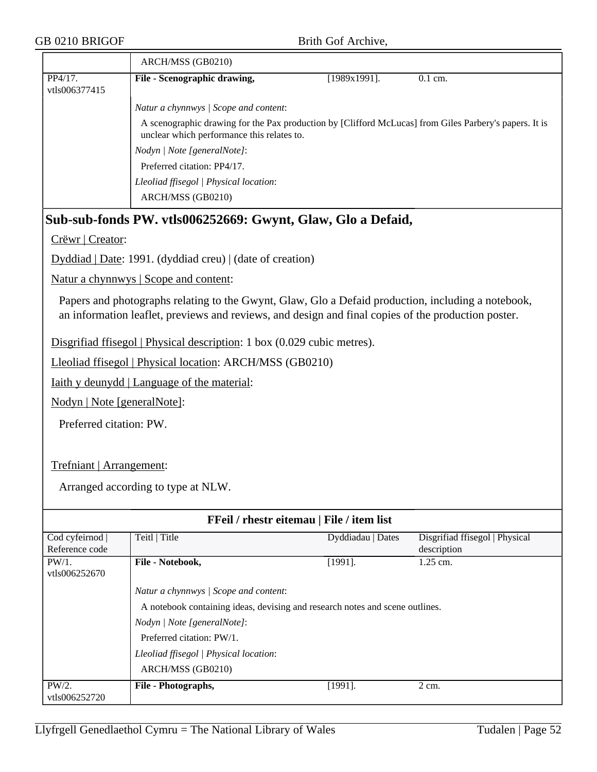|                          | ARCH/MSS (GB0210)                                                                                                                                    |                 |           |
|--------------------------|------------------------------------------------------------------------------------------------------------------------------------------------------|-----------------|-----------|
| PP4/17.<br>vtls006377415 | File - Scenographic drawing,                                                                                                                         | $[1989x1991]$ . | $0.1$ cm. |
|                          | Natur a chynnwys / Scope and content:                                                                                                                |                 |           |
|                          | A scenographic drawing for the Pax production by [Clifford McLucas] from Giles Parbery's papers. It is<br>unclear which performance this relates to. |                 |           |
|                          | <i>Nodyn</i>   <i>Note</i> [general <i>Note</i> ]:                                                                                                   |                 |           |
|                          | Preferred citation: PP4/17.                                                                                                                          |                 |           |
|                          | Lleoliad ffisegol   Physical location:                                                                                                               |                 |           |
|                          | ARCH/MSS (GB0210)                                                                                                                                    |                 |           |

# **Sub-sub-fonds PW. vtls006252669: Gwynt, Glaw, Glo a Defaid,**

Crëwr | Creator:

Dyddiad | Date: 1991. (dyddiad creu) | (date of creation)

Natur a chynnwys | Scope and content:

Papers and photographs relating to the Gwynt, Glaw, Glo a Defaid production, including a notebook, an information leaflet, previews and reviews, and design and final copies of the production poster.

Disgrifiad ffisegol | Physical description: 1 box (0.029 cubic metres).

Lleoliad ffisegol | Physical location: ARCH/MSS (GB0210)

Iaith y deunydd | Language of the material:

Nodyn | Note [generalNote]:

Preferred citation: PW.

### Trefniant | Arrangement:

| <b>FFeil</b> / rhestr eitemau   File / item list |                                                                                                                                                                  |                                                                              |                                               |
|--------------------------------------------------|------------------------------------------------------------------------------------------------------------------------------------------------------------------|------------------------------------------------------------------------------|-----------------------------------------------|
| Cod cyfeirnod  <br>Reference code                | Teitl   Title                                                                                                                                                    | Dyddiadau   Dates                                                            | Disgrifiad ffisegol   Physical<br>description |
| $PW/1$ .<br>vtls006252670                        | File - Notebook,                                                                                                                                                 | $[1991]$ .                                                                   | $1.25$ cm.                                    |
|                                                  | Natur a chynnwys / Scope and content:<br>Nodyn / Note [generalNote]:<br>Preferred citation: PW/1.<br>Lleoliad ffisegol   Physical location:<br>ARCH/MSS (GB0210) | A notebook containing ideas, devising and research notes and scene outlines. |                                               |
| $PW/2$ .<br>vtls006252720                        | File - Photographs,                                                                                                                                              | $[1991]$ .                                                                   | 2 cm.                                         |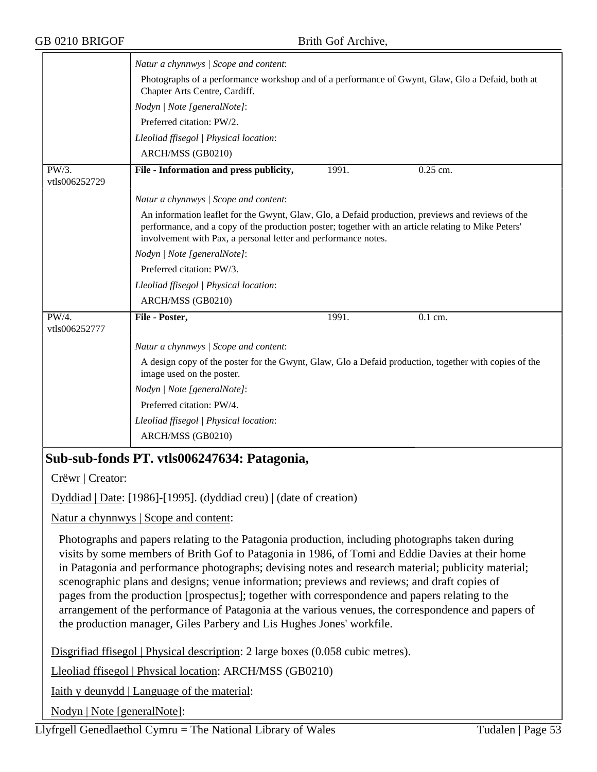|                        | Natur a chynnwys / Scope and content:                                                                                                                                                                                                                                      |       |            |  |
|------------------------|----------------------------------------------------------------------------------------------------------------------------------------------------------------------------------------------------------------------------------------------------------------------------|-------|------------|--|
|                        | Photographs of a performance workshop and of a performance of Gwynt, Glaw, Glo a Defaid, both at<br>Chapter Arts Centre, Cardiff.                                                                                                                                          |       |            |  |
|                        | Nodyn   Note [generalNote]:                                                                                                                                                                                                                                                |       |            |  |
|                        | Preferred citation: PW/2.                                                                                                                                                                                                                                                  |       |            |  |
|                        | Lleoliad ffisegol   Physical location:                                                                                                                                                                                                                                     |       |            |  |
|                        | ARCH/MSS (GB0210)                                                                                                                                                                                                                                                          |       |            |  |
| PW/3.<br>vtls006252729 | File - Information and press publicity,                                                                                                                                                                                                                                    | 1991. | $0.25$ cm. |  |
|                        | Natur a chynnwys / Scope and content:                                                                                                                                                                                                                                      |       |            |  |
|                        | An information leaflet for the Gwynt, Glaw, Glo, a Defaid production, previews and reviews of the<br>performance, and a copy of the production poster; together with an article relating to Mike Peters'<br>involvement with Pax, a personal letter and performance notes. |       |            |  |
|                        | Nodyn   Note [generalNote]:                                                                                                                                                                                                                                                |       |            |  |
|                        | Preferred citation: PW/3.                                                                                                                                                                                                                                                  |       |            |  |
|                        | Lleoliad ffisegol   Physical location:                                                                                                                                                                                                                                     |       |            |  |
|                        | ARCH/MSS (GB0210)                                                                                                                                                                                                                                                          |       |            |  |
| PW/4.<br>vtls006252777 | File - Poster,                                                                                                                                                                                                                                                             | 1991. | $0.1$ cm.  |  |
|                        | Natur a chynnwys / Scope and content:                                                                                                                                                                                                                                      |       |            |  |
|                        | A design copy of the poster for the Gwynt, Glaw, Glo a Defaid production, together with copies of the<br>image used on the poster.                                                                                                                                         |       |            |  |
|                        | Nodyn   Note [generalNote]:                                                                                                                                                                                                                                                |       |            |  |
|                        | Preferred citation: PW/4.                                                                                                                                                                                                                                                  |       |            |  |
|                        | Lleoliad ffisegol   Physical location:                                                                                                                                                                                                                                     |       |            |  |
|                        | ARCH/MSS (GB0210)                                                                                                                                                                                                                                                          |       |            |  |

# **Sub-sub-fonds PT. vtls006247634: Patagonia,**

Crëwr | Creator:

Dyddiad | Date: [1986]-[1995]. (dyddiad creu) | (date of creation)

Natur a chynnwys | Scope and content:

Photographs and papers relating to the Patagonia production, including photographs taken during visits by some members of Brith Gof to Patagonia in 1986, of Tomi and Eddie Davies at their home in Patagonia and performance photographs; devising notes and research material; publicity material; scenographic plans and designs; venue information; previews and reviews; and draft copies of pages from the production [prospectus]; together with correspondence and papers relating to the arrangement of the performance of Patagonia at the various venues, the correspondence and papers of the production manager, Giles Parbery and Lis Hughes Jones' workfile.

Disgrifiad ffisegol | Physical description: 2 large boxes (0.058 cubic metres).

Lleoliad ffisegol | Physical location: ARCH/MSS (GB0210)

Iaith y deunydd | Language of the material:

Nodyn | Note [generalNote]:

Llyfrgell Genedlaethol Cymru = The National Library of Wales Tudalen | Page 53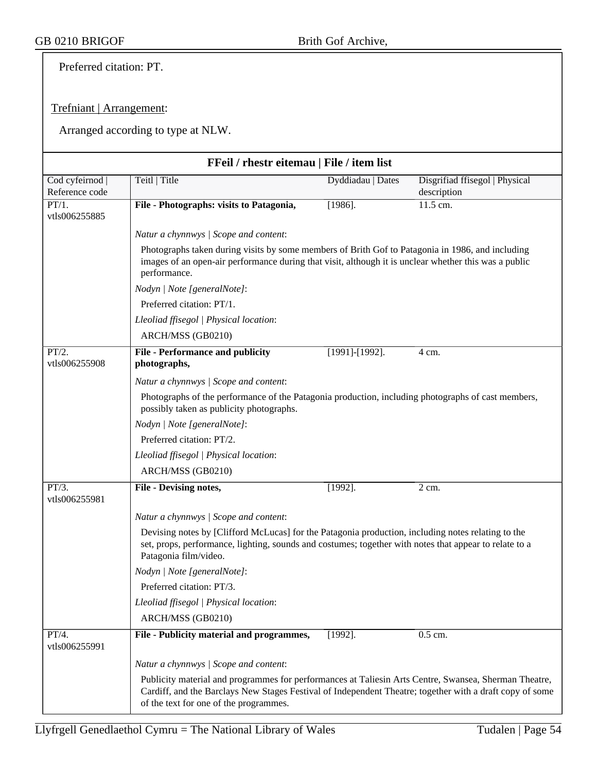Preferred citation: PT.

## Trefniant | Arrangement:

|                                   | FFeil / rhestr eitemau   File / item list                                                                                                                                                                                                                   |                       |                                               |  |
|-----------------------------------|-------------------------------------------------------------------------------------------------------------------------------------------------------------------------------------------------------------------------------------------------------------|-----------------------|-----------------------------------------------|--|
| Cod cyfeirnod  <br>Reference code | Teitl   Title                                                                                                                                                                                                                                               | Dyddiadau   Dates     | Disgrifiad ffisegol   Physical<br>description |  |
| PT/1.<br>vtls006255885            | File - Photographs: visits to Patagonia,                                                                                                                                                                                                                    | $[1986]$ .            | 11.5 cm.                                      |  |
|                                   | Natur a chynnwys / Scope and content:                                                                                                                                                                                                                       |                       |                                               |  |
|                                   | Photographs taken during visits by some members of Brith Gof to Patagonia in 1986, and including<br>images of an open-air performance during that visit, although it is unclear whether this was a public<br>performance.                                   |                       |                                               |  |
|                                   | Nodyn   Note [generalNote]:                                                                                                                                                                                                                                 |                       |                                               |  |
|                                   | Preferred citation: PT/1.                                                                                                                                                                                                                                   |                       |                                               |  |
|                                   | Lleoliad ffisegol   Physical location:                                                                                                                                                                                                                      |                       |                                               |  |
|                                   | ARCH/MSS (GB0210)                                                                                                                                                                                                                                           |                       |                                               |  |
| PT/2.                             | <b>File - Performance and publicity</b>                                                                                                                                                                                                                     | $[1991]$ - $[1992]$ . | 4 cm.                                         |  |
| vtls006255908                     | photographs,                                                                                                                                                                                                                                                |                       |                                               |  |
|                                   | Natur a chynnwys / Scope and content:                                                                                                                                                                                                                       |                       |                                               |  |
|                                   | Photographs of the performance of the Patagonia production, including photographs of cast members,<br>possibly taken as publicity photographs.                                                                                                              |                       |                                               |  |
|                                   | Nodyn   Note [generalNote]:                                                                                                                                                                                                                                 |                       |                                               |  |
|                                   | Preferred citation: PT/2.                                                                                                                                                                                                                                   |                       |                                               |  |
|                                   | Lleoliad ffisegol   Physical location:                                                                                                                                                                                                                      |                       |                                               |  |
|                                   | ARCH/MSS (GB0210)                                                                                                                                                                                                                                           |                       |                                               |  |
| PT/3.<br>vtls006255981            | File - Devising notes,                                                                                                                                                                                                                                      | $[1992]$ .            | $\overline{2}$ cm.                            |  |
|                                   | Natur a chynnwys / Scope and content:                                                                                                                                                                                                                       |                       |                                               |  |
|                                   | Devising notes by [Clifford McLucas] for the Patagonia production, including notes relating to the<br>set, props, performance, lighting, sounds and costumes; together with notes that appear to relate to a<br>Patagonia film/video.                       |                       |                                               |  |
|                                   | Nodyn   Note [generalNote]:                                                                                                                                                                                                                                 |                       |                                               |  |
|                                   | Preferred citation: PT/3.                                                                                                                                                                                                                                   |                       |                                               |  |
|                                   | Lleoliad ffisegol   Physical location:                                                                                                                                                                                                                      |                       |                                               |  |
|                                   | ARCH/MSS (GB0210)                                                                                                                                                                                                                                           |                       |                                               |  |
| PT/4.<br>vtls006255991            | File - Publicity material and programmes,                                                                                                                                                                                                                   | $[1992]$ .            | 0.5 cm.                                       |  |
|                                   | Natur a chynnwys / Scope and content:                                                                                                                                                                                                                       |                       |                                               |  |
|                                   | Publicity material and programmes for performances at Taliesin Arts Centre, Swansea, Sherman Theatre,<br>Cardiff, and the Barclays New Stages Festival of Independent Theatre; together with a draft copy of some<br>of the text for one of the programmes. |                       |                                               |  |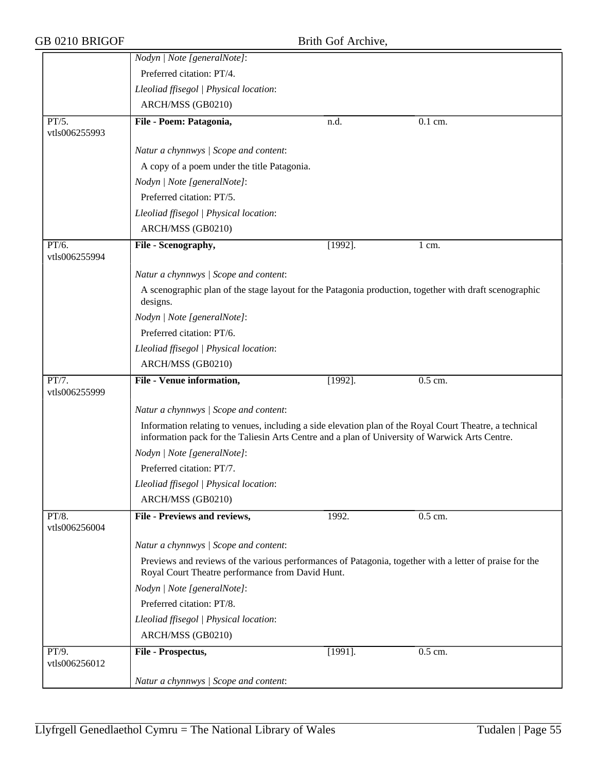|                        | Nodyn   Note [generalNote]:                                                                                                                                                                               |            |                  |  |
|------------------------|-----------------------------------------------------------------------------------------------------------------------------------------------------------------------------------------------------------|------------|------------------|--|
|                        | Preferred citation: PT/4.                                                                                                                                                                                 |            |                  |  |
|                        | Lleoliad ffisegol   Physical location:                                                                                                                                                                    |            |                  |  |
|                        | ARCH/MSS (GB0210)                                                                                                                                                                                         |            |                  |  |
| PT/5.<br>vtls006255993 | File - Poem: Patagonia,                                                                                                                                                                                   | n.d.       | $0.1$ cm.        |  |
|                        | Natur a chynnwys / Scope and content:                                                                                                                                                                     |            |                  |  |
|                        | A copy of a poem under the title Patagonia.                                                                                                                                                               |            |                  |  |
|                        | Nodyn   Note [generalNote]:                                                                                                                                                                               |            |                  |  |
|                        | Preferred citation: PT/5.                                                                                                                                                                                 |            |                  |  |
|                        | Lleoliad ffisegol   Physical location:                                                                                                                                                                    |            |                  |  |
|                        | ARCH/MSS (GB0210)                                                                                                                                                                                         |            |                  |  |
| PT/6.<br>vtls006255994 | File - Scenography,                                                                                                                                                                                       | $[1992]$ . | $1 \text{ cm}$ . |  |
|                        | Natur a chynnwys / Scope and content:                                                                                                                                                                     |            |                  |  |
|                        | A scenographic plan of the stage layout for the Patagonia production, together with draft scenographic<br>designs.                                                                                        |            |                  |  |
|                        | Nodyn   Note [generalNote]:                                                                                                                                                                               |            |                  |  |
|                        | Preferred citation: PT/6.                                                                                                                                                                                 |            |                  |  |
|                        | Lleoliad ffisegol   Physical location:                                                                                                                                                                    |            |                  |  |
|                        | ARCH/MSS (GB0210)                                                                                                                                                                                         |            |                  |  |
| PT/7.<br>vtls006255999 | File - Venue information,                                                                                                                                                                                 | $[1992]$ . | $0.5$ cm.        |  |
|                        | Natur a chynnwys / Scope and content:                                                                                                                                                                     |            |                  |  |
|                        | Information relating to venues, including a side elevation plan of the Royal Court Theatre, a technical<br>information pack for the Taliesin Arts Centre and a plan of University of Warwick Arts Centre. |            |                  |  |
|                        | Nodyn   Note [generalNote]:                                                                                                                                                                               |            |                  |  |
|                        | Preferred citation: PT/7.                                                                                                                                                                                 |            |                  |  |
|                        | Lleoliad ffisegol   Physical location:                                                                                                                                                                    |            |                  |  |
|                        | ARCH/MSS (GB0210)                                                                                                                                                                                         |            |                  |  |
| PT/8.<br>vtls006256004 | File - Previews and reviews,                                                                                                                                                                              | 1992.      | $0.5$ cm.        |  |
|                        | Natur a chynnwys / Scope and content:                                                                                                                                                                     |            |                  |  |
|                        | Previews and reviews of the various performances of Patagonia, together with a letter of praise for the<br>Royal Court Theatre performance from David Hunt.                                               |            |                  |  |
|                        | Nodyn   Note [generalNote]:                                                                                                                                                                               |            |                  |  |
|                        | Preferred citation: PT/8.                                                                                                                                                                                 |            |                  |  |
|                        | Lleoliad ffisegol   Physical location:                                                                                                                                                                    |            |                  |  |
|                        | ARCH/MSS (GB0210)                                                                                                                                                                                         |            |                  |  |
| PT/9.<br>vtls006256012 | File - Prospectus,                                                                                                                                                                                        | $[1991]$ . | 0.5 cm.          |  |
|                        | Natur a chynnwys / Scope and content:                                                                                                                                                                     |            |                  |  |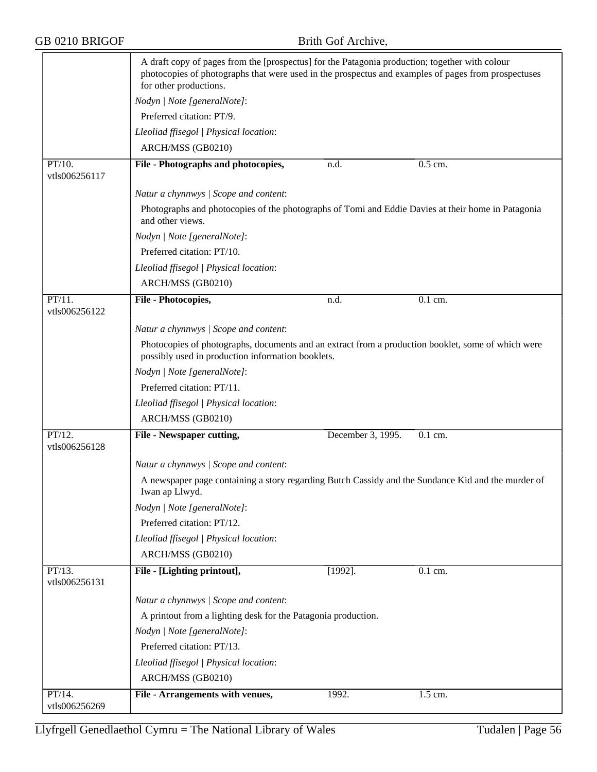|                            | A draft copy of pages from the [prospectus] for the Patagonia production; together with colour<br>photocopies of photographs that were used in the prospectus and examples of pages from prospectuses<br>for other productions. |                   |                                                                                                    |
|----------------------------|---------------------------------------------------------------------------------------------------------------------------------------------------------------------------------------------------------------------------------|-------------------|----------------------------------------------------------------------------------------------------|
|                            | Nodyn   Note [generalNote]:                                                                                                                                                                                                     |                   |                                                                                                    |
|                            | Preferred citation: PT/9.                                                                                                                                                                                                       |                   |                                                                                                    |
|                            | Lleoliad ffisegol   Physical location:                                                                                                                                                                                          |                   |                                                                                                    |
|                            | ARCH/MSS (GB0210)                                                                                                                                                                                                               |                   |                                                                                                    |
| $PT/10$ .<br>vtls006256117 | File - Photographs and photocopies,                                                                                                                                                                                             | n.d.              | 0.5 cm.                                                                                            |
|                            | Natur a chynnwys / Scope and content:                                                                                                                                                                                           |                   |                                                                                                    |
|                            | Photographs and photocopies of the photographs of Tomi and Eddie Davies at their home in Patagonia<br>and other views.                                                                                                          |                   |                                                                                                    |
|                            | Nodyn   Note [generalNote]:                                                                                                                                                                                                     |                   |                                                                                                    |
|                            | Preferred citation: PT/10.                                                                                                                                                                                                      |                   |                                                                                                    |
|                            | Lleoliad ffisegol   Physical location:                                                                                                                                                                                          |                   |                                                                                                    |
|                            | ARCH/MSS (GB0210)                                                                                                                                                                                                               |                   |                                                                                                    |
| $PT/11$ .<br>vtls006256122 | File - Photocopies,                                                                                                                                                                                                             | n.d.              | $0.1$ cm.                                                                                          |
|                            | Natur a chynnwys / Scope and content:                                                                                                                                                                                           |                   |                                                                                                    |
|                            | Photocopies of photographs, documents and an extract from a production booklet, some of which were<br>possibly used in production information booklets.                                                                         |                   |                                                                                                    |
|                            | Nodyn   Note [generalNote]:                                                                                                                                                                                                     |                   |                                                                                                    |
|                            | Preferred citation: PT/11.                                                                                                                                                                                                      |                   |                                                                                                    |
|                            | Lleoliad ffisegol   Physical location:                                                                                                                                                                                          |                   |                                                                                                    |
|                            | ARCH/MSS (GB0210)                                                                                                                                                                                                               |                   |                                                                                                    |
| PT/12.                     | <b>File - Newspaper cutting,</b>                                                                                                                                                                                                | December 3, 1995. | 0.1 cm.                                                                                            |
| vtls006256128              |                                                                                                                                                                                                                                 |                   |                                                                                                    |
|                            | Natur a chynnwys / Scope and content:                                                                                                                                                                                           |                   |                                                                                                    |
|                            | Iwan ap Llwyd.                                                                                                                                                                                                                  |                   | A newspaper page containing a story regarding Butch Cassidy and the Sundance Kid and the murder of |
|                            | Nodyn   Note [generalNote]:                                                                                                                                                                                                     |                   |                                                                                                    |
|                            | Preferred citation: PT/12.                                                                                                                                                                                                      |                   |                                                                                                    |
|                            | Lleoliad ffisegol   Physical location:                                                                                                                                                                                          |                   |                                                                                                    |
|                            | ARCH/MSS (GB0210)                                                                                                                                                                                                               |                   |                                                                                                    |
| PT/13.<br>vtls006256131    | File - [Lighting printout],                                                                                                                                                                                                     | $[1992]$ .        | $\overline{0.1}$ cm.                                                                               |
|                            | Natur a chynnwys / Scope and content:                                                                                                                                                                                           |                   |                                                                                                    |
|                            | A printout from a lighting desk for the Patagonia production.                                                                                                                                                                   |                   |                                                                                                    |
|                            | Nodyn   Note [generalNote]:                                                                                                                                                                                                     |                   |                                                                                                    |
|                            | Preferred citation: PT/13.                                                                                                                                                                                                      |                   |                                                                                                    |
|                            | Lleoliad ffisegol   Physical location:                                                                                                                                                                                          |                   |                                                                                                    |
|                            | ARCH/MSS (GB0210)                                                                                                                                                                                                               |                   |                                                                                                    |
| PT/14.                     | File - Arrangements with venues,                                                                                                                                                                                                | 1992.             | 1.5 cm.                                                                                            |
| vtls006256269              |                                                                                                                                                                                                                                 |                   |                                                                                                    |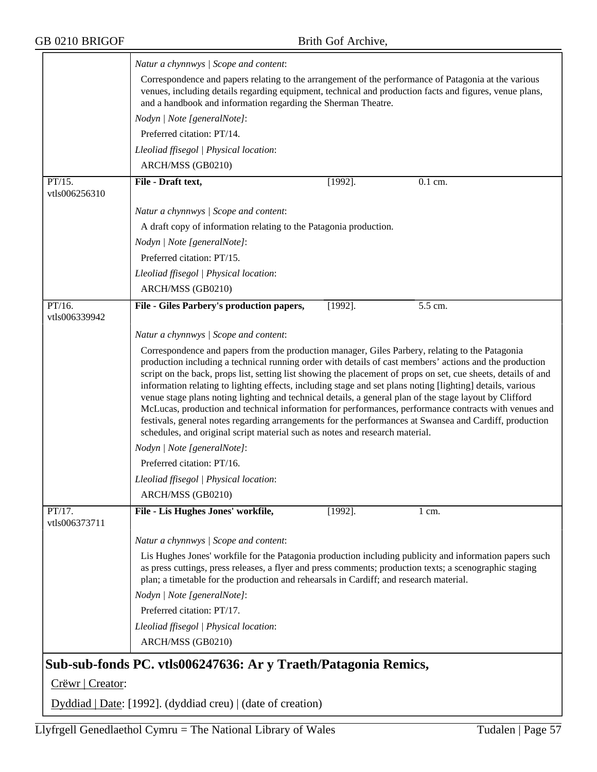|                         | Natur a chynnwys / Scope and content:                                                                                                                                                                                                                                                                                                                                                                                                                                                                                                                                                                                                                                                                                                                                                                                                                     |
|-------------------------|-----------------------------------------------------------------------------------------------------------------------------------------------------------------------------------------------------------------------------------------------------------------------------------------------------------------------------------------------------------------------------------------------------------------------------------------------------------------------------------------------------------------------------------------------------------------------------------------------------------------------------------------------------------------------------------------------------------------------------------------------------------------------------------------------------------------------------------------------------------|
|                         | Correspondence and papers relating to the arrangement of the performance of Patagonia at the various<br>venues, including details regarding equipment, technical and production facts and figures, venue plans,<br>and a handbook and information regarding the Sherman Theatre.                                                                                                                                                                                                                                                                                                                                                                                                                                                                                                                                                                          |
|                         | Nodyn   Note [generalNote]:                                                                                                                                                                                                                                                                                                                                                                                                                                                                                                                                                                                                                                                                                                                                                                                                                               |
|                         | Preferred citation: PT/14.                                                                                                                                                                                                                                                                                                                                                                                                                                                                                                                                                                                                                                                                                                                                                                                                                                |
|                         | Lleoliad ffisegol   Physical location:                                                                                                                                                                                                                                                                                                                                                                                                                                                                                                                                                                                                                                                                                                                                                                                                                    |
|                         | ARCH/MSS (GB0210)                                                                                                                                                                                                                                                                                                                                                                                                                                                                                                                                                                                                                                                                                                                                                                                                                                         |
| PT/15.                  | File - Draft text,<br>$[1992]$ .<br>0.1 cm.                                                                                                                                                                                                                                                                                                                                                                                                                                                                                                                                                                                                                                                                                                                                                                                                               |
| vtls006256310           |                                                                                                                                                                                                                                                                                                                                                                                                                                                                                                                                                                                                                                                                                                                                                                                                                                                           |
|                         | Natur a chynnwys / Scope and content:                                                                                                                                                                                                                                                                                                                                                                                                                                                                                                                                                                                                                                                                                                                                                                                                                     |
|                         | A draft copy of information relating to the Patagonia production.                                                                                                                                                                                                                                                                                                                                                                                                                                                                                                                                                                                                                                                                                                                                                                                         |
|                         | Nodyn   Note [generalNote]:                                                                                                                                                                                                                                                                                                                                                                                                                                                                                                                                                                                                                                                                                                                                                                                                                               |
|                         | Preferred citation: PT/15.                                                                                                                                                                                                                                                                                                                                                                                                                                                                                                                                                                                                                                                                                                                                                                                                                                |
|                         | Lleoliad ffisegol   Physical location:                                                                                                                                                                                                                                                                                                                                                                                                                                                                                                                                                                                                                                                                                                                                                                                                                    |
|                         | ARCH/MSS (GB0210)                                                                                                                                                                                                                                                                                                                                                                                                                                                                                                                                                                                                                                                                                                                                                                                                                                         |
| PT/16.<br>vtls006339942 | 5.5 cm.<br>File - Giles Parbery's production papers,<br>$[1992]$ .                                                                                                                                                                                                                                                                                                                                                                                                                                                                                                                                                                                                                                                                                                                                                                                        |
|                         | Natur a chynnwys / Scope and content:                                                                                                                                                                                                                                                                                                                                                                                                                                                                                                                                                                                                                                                                                                                                                                                                                     |
|                         | Correspondence and papers from the production manager, Giles Parbery, relating to the Patagonia<br>production including a technical running order with details of cast members' actions and the production<br>script on the back, props list, setting list showing the placement of props on set, cue sheets, details of and<br>information relating to lighting effects, including stage and set plans noting [lighting] details, various<br>venue stage plans noting lighting and technical details, a general plan of the stage layout by Clifford<br>McLucas, production and technical information for performances, performance contracts with venues and<br>festivals, general notes regarding arrangements for the performances at Swansea and Cardiff, production<br>schedules, and original script material such as notes and research material. |
|                         | Nodyn   Note [generalNote]:                                                                                                                                                                                                                                                                                                                                                                                                                                                                                                                                                                                                                                                                                                                                                                                                                               |
|                         | Preferred citation: PT/16.                                                                                                                                                                                                                                                                                                                                                                                                                                                                                                                                                                                                                                                                                                                                                                                                                                |
|                         | Lleoliad ffisegol   Physical location:                                                                                                                                                                                                                                                                                                                                                                                                                                                                                                                                                                                                                                                                                                                                                                                                                    |
|                         | ARCH/MSS (GB0210)                                                                                                                                                                                                                                                                                                                                                                                                                                                                                                                                                                                                                                                                                                                                                                                                                                         |
| PT/17.<br>vtls006373711 | File - Lis Hughes Jones' workfile,<br>$[1992]$ .<br>$1 \text{ cm}$ .                                                                                                                                                                                                                                                                                                                                                                                                                                                                                                                                                                                                                                                                                                                                                                                      |
|                         | Natur a chynnwys / Scope and content:                                                                                                                                                                                                                                                                                                                                                                                                                                                                                                                                                                                                                                                                                                                                                                                                                     |
|                         | Lis Hughes Jones' workfile for the Patagonia production including publicity and information papers such<br>as press cuttings, press releases, a flyer and press comments; production texts; a scenographic staging<br>plan; a timetable for the production and rehearsals in Cardiff; and research material.                                                                                                                                                                                                                                                                                                                                                                                                                                                                                                                                              |
|                         | Nodyn   Note [generalNote]:                                                                                                                                                                                                                                                                                                                                                                                                                                                                                                                                                                                                                                                                                                                                                                                                                               |
|                         | Preferred citation: PT/17.                                                                                                                                                                                                                                                                                                                                                                                                                                                                                                                                                                                                                                                                                                                                                                                                                                |
|                         | Lleoliad ffisegol   Physical location:                                                                                                                                                                                                                                                                                                                                                                                                                                                                                                                                                                                                                                                                                                                                                                                                                    |
|                         | ARCH/MSS (GB0210)                                                                                                                                                                                                                                                                                                                                                                                                                                                                                                                                                                                                                                                                                                                                                                                                                                         |
|                         | Sub-sub-fonds PC. vtls006247636: Ar y Traeth/Patagonia Remics,                                                                                                                                                                                                                                                                                                                                                                                                                                                                                                                                                                                                                                                                                                                                                                                            |
| Crëwr   Creator:        |                                                                                                                                                                                                                                                                                                                                                                                                                                                                                                                                                                                                                                                                                                                                                                                                                                                           |

Dyddiad | Date: [1992]. (dyddiad creu) | (date of creation)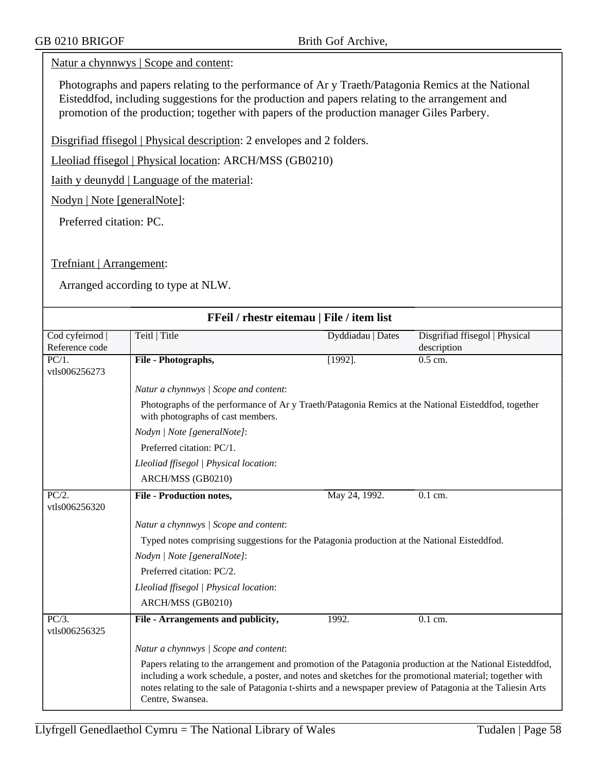### Natur a chynnwys | Scope and content:

Photographs and papers relating to the performance of Ar y Traeth/Patagonia Remics at the National Eisteddfod, including suggestions for the production and papers relating to the arrangement and promotion of the production; together with papers of the production manager Giles Parbery.

Disgrifiad ffisegol | Physical description: 2 envelopes and 2 folders.

Lleoliad ffisegol | Physical location: ARCH/MSS (GB0210)

Iaith y deunydd | Language of the material:

Nodyn | Note [generalNote]:

Preferred citation: PC.

Trefniant | Arrangement:

| FFeil / rhestr eitemau   File / item list |                                                                                                                                                                                                                                                                                                                                                       |                                                                                                     |                                               |  |
|-------------------------------------------|-------------------------------------------------------------------------------------------------------------------------------------------------------------------------------------------------------------------------------------------------------------------------------------------------------------------------------------------------------|-----------------------------------------------------------------------------------------------------|-----------------------------------------------|--|
| Cod cyfeirnod<br>Reference code           | Teitl   Title                                                                                                                                                                                                                                                                                                                                         | Dyddiadau   Dates                                                                                   | Disgrifiad ffisegol   Physical<br>description |  |
| $\overline{PC/1}$ .<br>vtls006256273      | File - Photographs,                                                                                                                                                                                                                                                                                                                                   | $[1992]$ .                                                                                          | $0.5$ cm.                                     |  |
|                                           | Natur a chynnwys / Scope and content:                                                                                                                                                                                                                                                                                                                 |                                                                                                     |                                               |  |
|                                           | with photographs of cast members.                                                                                                                                                                                                                                                                                                                     | Photographs of the performance of Ar y Traeth/Patagonia Remics at the National Eisteddfod, together |                                               |  |
|                                           | Nodyn   Note [generalNote]:                                                                                                                                                                                                                                                                                                                           |                                                                                                     |                                               |  |
|                                           | Preferred citation: PC/1.                                                                                                                                                                                                                                                                                                                             |                                                                                                     |                                               |  |
|                                           | Lleoliad ffisegol   Physical location:                                                                                                                                                                                                                                                                                                                |                                                                                                     |                                               |  |
|                                           | ARCH/MSS (GB0210)                                                                                                                                                                                                                                                                                                                                     |                                                                                                     |                                               |  |
| PC/2.<br>vtls006256320                    | <b>File - Production notes,</b>                                                                                                                                                                                                                                                                                                                       | May 24, 1992.                                                                                       | 0.1 cm.                                       |  |
|                                           | Natur a chynnwys / Scope and content:                                                                                                                                                                                                                                                                                                                 |                                                                                                     |                                               |  |
|                                           | Typed notes comprising suggestions for the Patagonia production at the National Eisteddfod.                                                                                                                                                                                                                                                           |                                                                                                     |                                               |  |
|                                           | Nodyn   Note [generalNote]:                                                                                                                                                                                                                                                                                                                           |                                                                                                     |                                               |  |
|                                           | Preferred citation: PC/2.                                                                                                                                                                                                                                                                                                                             |                                                                                                     |                                               |  |
|                                           | Lleoliad ffisegol   Physical location:                                                                                                                                                                                                                                                                                                                |                                                                                                     |                                               |  |
|                                           | ARCH/MSS (GB0210)                                                                                                                                                                                                                                                                                                                                     |                                                                                                     |                                               |  |
| $\overline{PC/3}$ .<br>vtls006256325      | File - Arrangements and publicity,                                                                                                                                                                                                                                                                                                                    | 1992.                                                                                               | $\overline{0.1}$ cm.                          |  |
|                                           | Natur a chynnwys / Scope and content:                                                                                                                                                                                                                                                                                                                 |                                                                                                     |                                               |  |
|                                           | Papers relating to the arrangement and promotion of the Patagonia production at the National Eisteddfod,<br>including a work schedule, a poster, and notes and sketches for the promotional material; together with<br>notes relating to the sale of Patagonia t-shirts and a newspaper preview of Patagonia at the Taliesin Arts<br>Centre, Swansea. |                                                                                                     |                                               |  |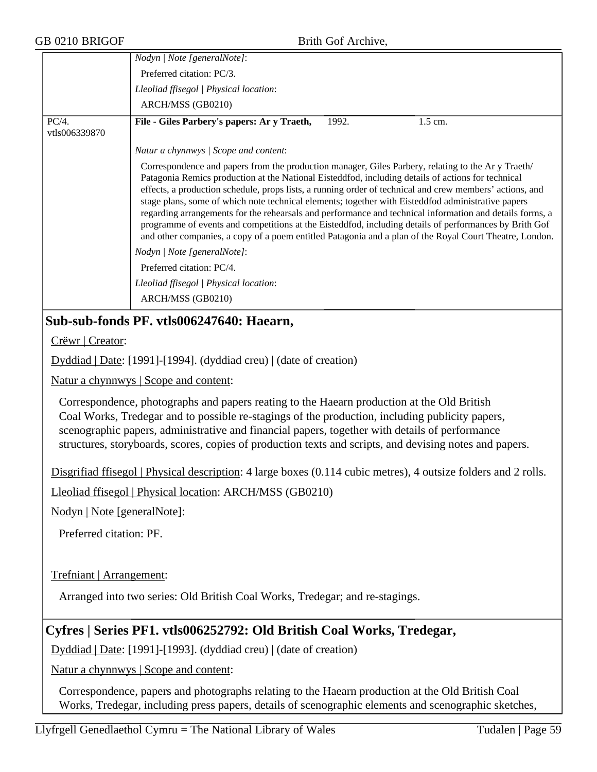|                             | лни оог тимп о,                                                                                                                                                                                                                                                                                                                                                                                                                                                                                                                                                                                                                                                                                                                                             |                   |
|-----------------------------|-------------------------------------------------------------------------------------------------------------------------------------------------------------------------------------------------------------------------------------------------------------------------------------------------------------------------------------------------------------------------------------------------------------------------------------------------------------------------------------------------------------------------------------------------------------------------------------------------------------------------------------------------------------------------------------------------------------------------------------------------------------|-------------------|
|                             | Nodyn   Note [generalNote]:                                                                                                                                                                                                                                                                                                                                                                                                                                                                                                                                                                                                                                                                                                                                 |                   |
|                             | Preferred citation: PC/3.                                                                                                                                                                                                                                                                                                                                                                                                                                                                                                                                                                                                                                                                                                                                   |                   |
|                             | Lleoliad ffisegol   Physical location:                                                                                                                                                                                                                                                                                                                                                                                                                                                                                                                                                                                                                                                                                                                      |                   |
|                             | ARCH/MSS (GB0210)                                                                                                                                                                                                                                                                                                                                                                                                                                                                                                                                                                                                                                                                                                                                           |                   |
| PC/4.<br>vtls006339870      | File - Giles Parbery's papers: Ar y Traeth,<br>1.5 cm.<br>1992.                                                                                                                                                                                                                                                                                                                                                                                                                                                                                                                                                                                                                                                                                             |                   |
|                             | Natur a chynnwys / Scope and content:                                                                                                                                                                                                                                                                                                                                                                                                                                                                                                                                                                                                                                                                                                                       |                   |
|                             | Correspondence and papers from the production manager, Giles Parbery, relating to the Ar y Traeth/<br>Patagonia Remics production at the National Eisteddfod, including details of actions for technical<br>effects, a production schedule, props lists, a running order of technical and crew members' actions, and<br>stage plans, some of which note technical elements; together with Eisteddfod administrative papers<br>regarding arrangements for the rehearsals and performance and technical information and details forms, a<br>programme of events and competitions at the Eisteddfod, including details of performances by Brith Gof<br>and other companies, a copy of a poem entitled Patagonia and a plan of the Royal Court Theatre, London. |                   |
|                             | Nodyn   Note [generalNote]:                                                                                                                                                                                                                                                                                                                                                                                                                                                                                                                                                                                                                                                                                                                                 |                   |
|                             | Preferred citation: PC/4.                                                                                                                                                                                                                                                                                                                                                                                                                                                                                                                                                                                                                                                                                                                                   |                   |
|                             | Lleoliad ffisegol   Physical location:                                                                                                                                                                                                                                                                                                                                                                                                                                                                                                                                                                                                                                                                                                                      |                   |
|                             | ARCH/MSS (GB0210)                                                                                                                                                                                                                                                                                                                                                                                                                                                                                                                                                                                                                                                                                                                                           |                   |
|                             | Sub-sub-fonds PF. vtls006247640: Haearn,                                                                                                                                                                                                                                                                                                                                                                                                                                                                                                                                                                                                                                                                                                                    |                   |
| Crëwr   Creator:            |                                                                                                                                                                                                                                                                                                                                                                                                                                                                                                                                                                                                                                                                                                                                                             |                   |
|                             | Dyddiad   Date: [1991]-[1994]. (dyddiad creu)   (date of creation)                                                                                                                                                                                                                                                                                                                                                                                                                                                                                                                                                                                                                                                                                          |                   |
|                             | Natur a chynnwys   Scope and content:                                                                                                                                                                                                                                                                                                                                                                                                                                                                                                                                                                                                                                                                                                                       |                   |
|                             | Correspondence, photographs and papers reating to the Haearn production at the Old British<br>Coal Works, Tredegar and to possible re-stagings of the production, including publicity papers,<br>scenographic papers, administrative and financial papers, together with details of performance<br>structures, storyboards, scores, copies of production texts and scripts, and devising notes and papers.                                                                                                                                                                                                                                                                                                                                                  |                   |
|                             | Disgrifiad ffisegol   Physical description: 4 large boxes (0.114 cubic metres), 4 outsize folders and 2 rolls.                                                                                                                                                                                                                                                                                                                                                                                                                                                                                                                                                                                                                                              |                   |
|                             | Lleoliad ffisegol   Physical location: ARCH/MSS (GB0210)                                                                                                                                                                                                                                                                                                                                                                                                                                                                                                                                                                                                                                                                                                    |                   |
| Nodyn   Note [generalNote]: |                                                                                                                                                                                                                                                                                                                                                                                                                                                                                                                                                                                                                                                                                                                                                             |                   |
| Preferred citation: PF.     |                                                                                                                                                                                                                                                                                                                                                                                                                                                                                                                                                                                                                                                                                                                                                             |                   |
| Trefniant   Arrangement:    |                                                                                                                                                                                                                                                                                                                                                                                                                                                                                                                                                                                                                                                                                                                                                             |                   |
|                             | Arranged into two series: Old British Coal Works, Tredegar; and re-stagings.                                                                                                                                                                                                                                                                                                                                                                                                                                                                                                                                                                                                                                                                                |                   |
|                             | Cyfres   Series PF1. vtls006252792: Old British Coal Works, Tredegar,                                                                                                                                                                                                                                                                                                                                                                                                                                                                                                                                                                                                                                                                                       |                   |
|                             | Dyddiad   Date: [1991]-[1993]. (dyddiad creu)   (date of creation)                                                                                                                                                                                                                                                                                                                                                                                                                                                                                                                                                                                                                                                                                          |                   |
|                             | Natur a chynnwys   Scope and content:                                                                                                                                                                                                                                                                                                                                                                                                                                                                                                                                                                                                                                                                                                                       |                   |
|                             | Correspondence, papers and photographs relating to the Haearn production at the Old British Coal<br>Works, Tredegar, including press papers, details of scenographic elements and scenographic sketches,                                                                                                                                                                                                                                                                                                                                                                                                                                                                                                                                                    |                   |
|                             | Llyfrgell Genedlaethol Cymru = The National Library of Wales                                                                                                                                                                                                                                                                                                                                                                                                                                                                                                                                                                                                                                                                                                | Tudalen   Page 59 |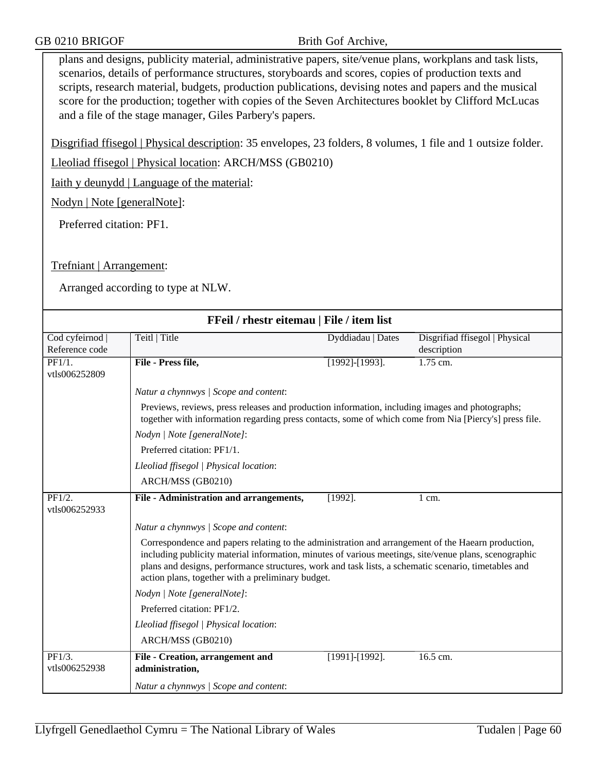plans and designs, publicity material, administrative papers, site/venue plans, workplans and task lists, scenarios, details of performance structures, storyboards and scores, copies of production texts and scripts, research material, budgets, production publications, devising notes and papers and the musical score for the production; together with copies of the Seven Architectures booklet by Clifford McLucas and a file of the stage manager, Giles Parbery's papers.

Disgrifiad ffisegol | Physical description: 35 envelopes, 23 folders, 8 volumes, 1 file and 1 outsize folder.

Lleoliad ffisegol | Physical location: ARCH/MSS (GB0210)

Iaith y deunydd | Language of the material:

Nodyn | Note [generalNote]:

Preferred citation: PF1.

### Trefniant | Arrangement:

| FFeil / rhestr eitemau   File / item list   |                                                                                                                                                                                                                                                                                                                                                                          |                       |                                               |  |  |
|---------------------------------------------|--------------------------------------------------------------------------------------------------------------------------------------------------------------------------------------------------------------------------------------------------------------------------------------------------------------------------------------------------------------------------|-----------------------|-----------------------------------------------|--|--|
| Cod cyfeirnod<br>Reference code             | Teitl   Title                                                                                                                                                                                                                                                                                                                                                            | Dyddiadau   Dates     | Disgrifiad ffisegol   Physical<br>description |  |  |
| $\overline{\text{PF1}/1.}$<br>vtls006252809 | File - Press file,                                                                                                                                                                                                                                                                                                                                                       | $[1992]$ - $[1993]$ . | $1.75$ cm.                                    |  |  |
|                                             | Natur a chynnwys / Scope and content:                                                                                                                                                                                                                                                                                                                                    |                       |                                               |  |  |
|                                             | Previews, reviews, press releases and production information, including images and photographs;<br>together with information regarding press contacts, some of which come from Nia [Piercy's] press file.                                                                                                                                                                |                       |                                               |  |  |
|                                             | Nodyn   Note [generalNote]:                                                                                                                                                                                                                                                                                                                                              |                       |                                               |  |  |
|                                             | Preferred citation: PF1/1.                                                                                                                                                                                                                                                                                                                                               |                       |                                               |  |  |
|                                             | Lleoliad ffisegol   Physical location:                                                                                                                                                                                                                                                                                                                                   |                       |                                               |  |  |
|                                             | ARCH/MSS (GB0210)                                                                                                                                                                                                                                                                                                                                                        |                       |                                               |  |  |
| PF1/2.<br>vtls006252933                     | File - Administration and arrangements,                                                                                                                                                                                                                                                                                                                                  | $[1992]$ .            | $1 \text{ cm}$ .                              |  |  |
|                                             | Natur a chynnwys / Scope and content:                                                                                                                                                                                                                                                                                                                                    |                       |                                               |  |  |
|                                             | Correspondence and papers relating to the administration and arrangement of the Haearn production,<br>including publicity material information, minutes of various meetings, site/venue plans, scenographic<br>plans and designs, performance structures, work and task lists, a schematic scenario, timetables and<br>action plans, together with a preliminary budget. |                       |                                               |  |  |
|                                             | Nodyn   Note [generalNote]:                                                                                                                                                                                                                                                                                                                                              |                       |                                               |  |  |
|                                             | Preferred citation: PF1/2.                                                                                                                                                                                                                                                                                                                                               |                       |                                               |  |  |
|                                             | Lleoliad ffisegol   Physical location:                                                                                                                                                                                                                                                                                                                                   |                       |                                               |  |  |
|                                             | ARCH/MSS (GB0210)                                                                                                                                                                                                                                                                                                                                                        |                       |                                               |  |  |
| PF1/3.<br>vtls006252938                     | File - Creation, arrangement and<br>administration,                                                                                                                                                                                                                                                                                                                      | $[1991]$ - $[1992]$ . | 16.5 cm.                                      |  |  |
|                                             | Natur a chynnwys / Scope and content:                                                                                                                                                                                                                                                                                                                                    |                       |                                               |  |  |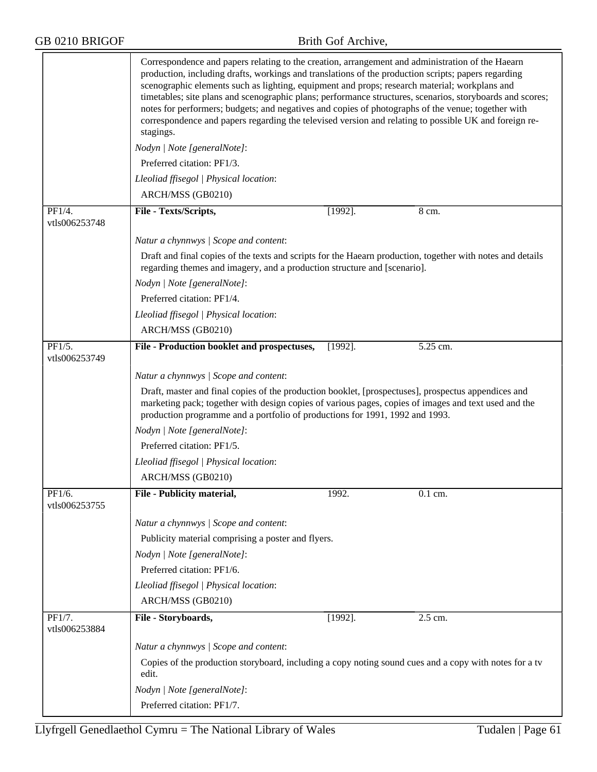|                                       | Correspondence and papers relating to the creation, arrangement and administration of the Haearn<br>production, including drafts, workings and translations of the production scripts; papers regarding<br>scenographic elements such as lighting, equipment and props; research material; workplans and<br>timetables; site plans and scenographic plans; performance structures, scenarios, storyboards and scores;<br>notes for performers; budgets; and negatives and copies of photographs of the venue; together with<br>correspondence and papers regarding the televised version and relating to possible UK and foreign re-<br>stagings. |            |          |  |
|---------------------------------------|---------------------------------------------------------------------------------------------------------------------------------------------------------------------------------------------------------------------------------------------------------------------------------------------------------------------------------------------------------------------------------------------------------------------------------------------------------------------------------------------------------------------------------------------------------------------------------------------------------------------------------------------------|------------|----------|--|
|                                       | Nodyn   Note [generalNote]:                                                                                                                                                                                                                                                                                                                                                                                                                                                                                                                                                                                                                       |            |          |  |
|                                       | Preferred citation: PF1/3.                                                                                                                                                                                                                                                                                                                                                                                                                                                                                                                                                                                                                        |            |          |  |
|                                       | Lleoliad ffisegol   Physical location:                                                                                                                                                                                                                                                                                                                                                                                                                                                                                                                                                                                                            |            |          |  |
|                                       | ARCH/MSS (GB0210)                                                                                                                                                                                                                                                                                                                                                                                                                                                                                                                                                                                                                                 |            |          |  |
| PF1/4.                                | File - Texts/Scripts,                                                                                                                                                                                                                                                                                                                                                                                                                                                                                                                                                                                                                             | $[1992]$ . | 8 cm.    |  |
| vtls006253748                         |                                                                                                                                                                                                                                                                                                                                                                                                                                                                                                                                                                                                                                                   |            |          |  |
|                                       | Natur a chynnwys / Scope and content:                                                                                                                                                                                                                                                                                                                                                                                                                                                                                                                                                                                                             |            |          |  |
|                                       | Draft and final copies of the texts and scripts for the Haearn production, together with notes and details<br>regarding themes and imagery, and a production structure and [scenario].                                                                                                                                                                                                                                                                                                                                                                                                                                                            |            |          |  |
|                                       | Nodyn   Note [generalNote]:                                                                                                                                                                                                                                                                                                                                                                                                                                                                                                                                                                                                                       |            |          |  |
|                                       | Preferred citation: PF1/4.                                                                                                                                                                                                                                                                                                                                                                                                                                                                                                                                                                                                                        |            |          |  |
|                                       | Lleoliad ffisegol   Physical location:                                                                                                                                                                                                                                                                                                                                                                                                                                                                                                                                                                                                            |            |          |  |
|                                       | ARCH/MSS (GB0210)                                                                                                                                                                                                                                                                                                                                                                                                                                                                                                                                                                                                                                 |            |          |  |
| $\overline{PF1/5}$ .<br>vtls006253749 | File - Production booklet and prospectuses,                                                                                                                                                                                                                                                                                                                                                                                                                                                                                                                                                                                                       | $[1992]$ . | 5.25 cm. |  |
|                                       | Natur a chynnwys / Scope and content:                                                                                                                                                                                                                                                                                                                                                                                                                                                                                                                                                                                                             |            |          |  |
|                                       | Draft, master and final copies of the production booklet, [prospectuses], prospectus appendices and<br>marketing pack; together with design copies of various pages, copies of images and text used and the<br>production programme and a portfolio of productions for 1991, 1992 and 1993.                                                                                                                                                                                                                                                                                                                                                       |            |          |  |
|                                       | Nodyn   Note [generalNote]:                                                                                                                                                                                                                                                                                                                                                                                                                                                                                                                                                                                                                       |            |          |  |
|                                       | Preferred citation: PF1/5.                                                                                                                                                                                                                                                                                                                                                                                                                                                                                                                                                                                                                        |            |          |  |
|                                       | Lleoliad ffisegol   Physical location:                                                                                                                                                                                                                                                                                                                                                                                                                                                                                                                                                                                                            |            |          |  |
|                                       | ARCH/MSS (GB0210)                                                                                                                                                                                                                                                                                                                                                                                                                                                                                                                                                                                                                                 |            |          |  |
| PF1/6.<br>vtls006253755               | File - Publicity material,                                                                                                                                                                                                                                                                                                                                                                                                                                                                                                                                                                                                                        | 1992.      | 0.1 cm.  |  |
|                                       | Natur a chynnwys / Scope and content:                                                                                                                                                                                                                                                                                                                                                                                                                                                                                                                                                                                                             |            |          |  |
|                                       | Publicity material comprising a poster and flyers.                                                                                                                                                                                                                                                                                                                                                                                                                                                                                                                                                                                                |            |          |  |
|                                       | Nodyn   Note [generalNote]:                                                                                                                                                                                                                                                                                                                                                                                                                                                                                                                                                                                                                       |            |          |  |
|                                       | Preferred citation: PF1/6.                                                                                                                                                                                                                                                                                                                                                                                                                                                                                                                                                                                                                        |            |          |  |
|                                       | Lleoliad ffisegol   Physical location:                                                                                                                                                                                                                                                                                                                                                                                                                                                                                                                                                                                                            |            |          |  |
|                                       | ARCH/MSS (GB0210)                                                                                                                                                                                                                                                                                                                                                                                                                                                                                                                                                                                                                                 |            |          |  |
| $\overline{PF1/7}$ .<br>vtls006253884 | File - Storyboards,                                                                                                                                                                                                                                                                                                                                                                                                                                                                                                                                                                                                                               | $[1992]$ . | 2.5 cm.  |  |
|                                       | Natur a chynnwys / Scope and content:                                                                                                                                                                                                                                                                                                                                                                                                                                                                                                                                                                                                             |            |          |  |
|                                       | Copies of the production storyboard, including a copy noting sound cues and a copy with notes for a tv<br>edit.                                                                                                                                                                                                                                                                                                                                                                                                                                                                                                                                   |            |          |  |
|                                       | Nodyn   Note [generalNote]:                                                                                                                                                                                                                                                                                                                                                                                                                                                                                                                                                                                                                       |            |          |  |
|                                       | Preferred citation: PF1/7.                                                                                                                                                                                                                                                                                                                                                                                                                                                                                                                                                                                                                        |            |          |  |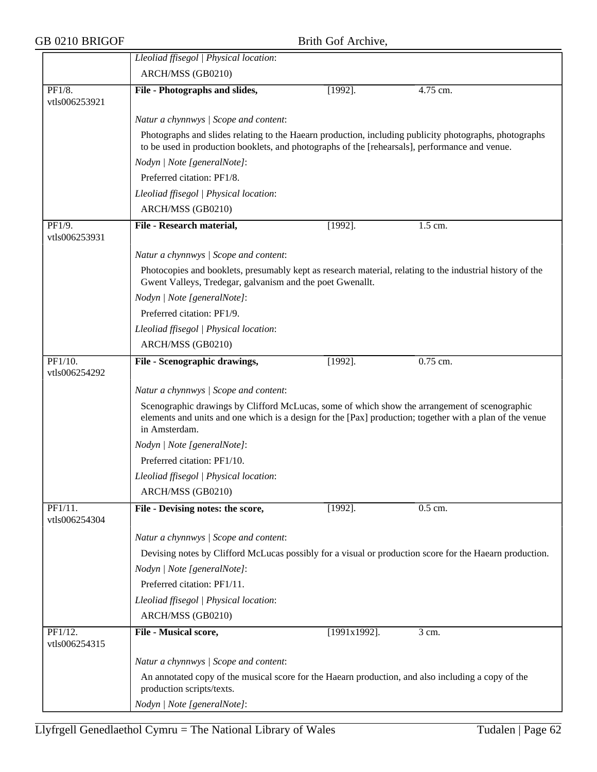|                          | Lleoliad ffisegol   Physical location:                                                                                                                                                                                     |                 |            |  |  |  |
|--------------------------|----------------------------------------------------------------------------------------------------------------------------------------------------------------------------------------------------------------------------|-----------------|------------|--|--|--|
|                          | ARCH/MSS (GB0210)                                                                                                                                                                                                          |                 |            |  |  |  |
| PF1/8.                   | File - Photographs and slides,                                                                                                                                                                                             | $[1992]$ .      | 4.75 cm.   |  |  |  |
| vtls006253921            |                                                                                                                                                                                                                            |                 |            |  |  |  |
|                          | Natur a chynnwys / Scope and content:                                                                                                                                                                                      |                 |            |  |  |  |
|                          | Photographs and slides relating to the Haearn production, including publicity photographs, photographs<br>to be used in production booklets, and photographs of the [rehearsals], performance and venue.                   |                 |            |  |  |  |
|                          | Nodyn   Note [generalNote]:                                                                                                                                                                                                |                 |            |  |  |  |
|                          | Preferred citation: PF1/8.                                                                                                                                                                                                 |                 |            |  |  |  |
|                          | Lleoliad ffisegol   Physical location:                                                                                                                                                                                     |                 |            |  |  |  |
|                          | ARCH/MSS (GB0210)                                                                                                                                                                                                          |                 |            |  |  |  |
| PF1/9.                   | File - Research material,                                                                                                                                                                                                  | $[1992]$ .      | 1.5 cm.    |  |  |  |
| vtls006253931            |                                                                                                                                                                                                                            |                 |            |  |  |  |
|                          | Natur a chynnwys / Scope and content:                                                                                                                                                                                      |                 |            |  |  |  |
|                          | Photocopies and booklets, presumably kept as research material, relating to the industrial history of the<br>Gwent Valleys, Tredegar, galvanism and the poet Gwenallt.                                                     |                 |            |  |  |  |
|                          | Nodyn   Note [generalNote]:                                                                                                                                                                                                |                 |            |  |  |  |
|                          | Preferred citation: PF1/9.                                                                                                                                                                                                 |                 |            |  |  |  |
|                          | Lleoliad ffisegol   Physical location:                                                                                                                                                                                     |                 |            |  |  |  |
|                          | ARCH/MSS (GB0210)                                                                                                                                                                                                          |                 |            |  |  |  |
| PF1/10.                  | File - Scenographic drawings,                                                                                                                                                                                              | $[1992]$ .      | $0.75$ cm. |  |  |  |
| vtls006254292            |                                                                                                                                                                                                                            |                 |            |  |  |  |
|                          | Natur a chynnwys / Scope and content:                                                                                                                                                                                      |                 |            |  |  |  |
|                          | Scenographic drawings by Clifford McLucas, some of which show the arrangement of scenographic<br>elements and units and one which is a design for the [Pax] production; together with a plan of the venue<br>in Amsterdam. |                 |            |  |  |  |
|                          | Nodyn   Note [generalNote]:                                                                                                                                                                                                |                 |            |  |  |  |
|                          | Preferred citation: PF1/10.                                                                                                                                                                                                |                 |            |  |  |  |
|                          | Lleoliad ffisegol   Physical location:                                                                                                                                                                                     |                 |            |  |  |  |
|                          | ARCH/MSS (GB0210)                                                                                                                                                                                                          |                 |            |  |  |  |
| PF1/11.                  | File - Devising notes: the score,                                                                                                                                                                                          | $[1992]$ .      | 0.5 cm.    |  |  |  |
| vtls006254304            |                                                                                                                                                                                                                            |                 |            |  |  |  |
|                          | Natur a chynnwys / Scope and content:                                                                                                                                                                                      |                 |            |  |  |  |
|                          | Devising notes by Clifford McLucas possibly for a visual or production score for the Haearn production.                                                                                                                    |                 |            |  |  |  |
|                          | Nodyn   Note [generalNote]:                                                                                                                                                                                                |                 |            |  |  |  |
|                          | Preferred citation: PF1/11.                                                                                                                                                                                                |                 |            |  |  |  |
|                          |                                                                                                                                                                                                                            |                 |            |  |  |  |
|                          | Lleoliad ffisegol   Physical location:                                                                                                                                                                                     |                 |            |  |  |  |
|                          | ARCH/MSS (GB0210)                                                                                                                                                                                                          |                 |            |  |  |  |
| PF1/12.<br>vtls006254315 | File - Musical score,                                                                                                                                                                                                      | $[1991x1992]$ . | 3 cm.      |  |  |  |
|                          | Natur a chynnwys / Scope and content:                                                                                                                                                                                      |                 |            |  |  |  |
|                          | An annotated copy of the musical score for the Haearn production, and also including a copy of the<br>production scripts/texts.                                                                                            |                 |            |  |  |  |
|                          | Nodyn   Note [generalNote]:                                                                                                                                                                                                |                 |            |  |  |  |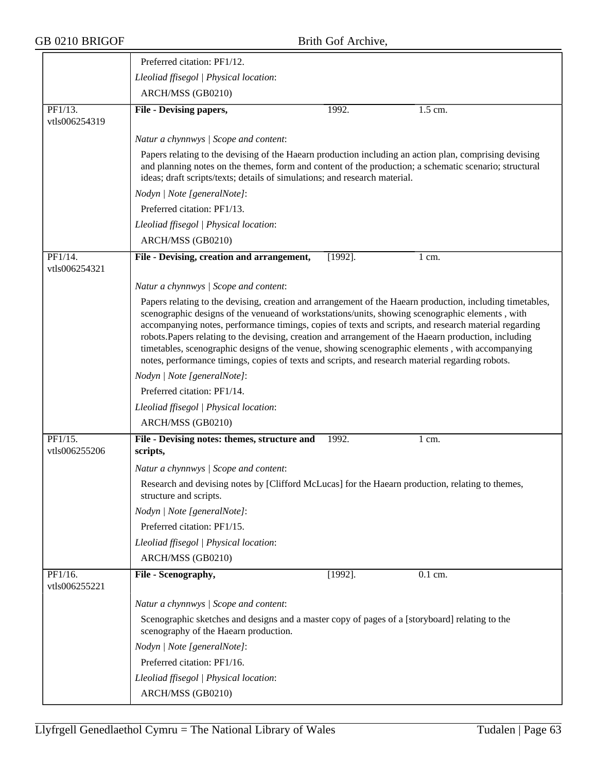|                          | Preferred citation: PF1/12.                                                                                                                                                                                                                                                                                                                                                                                                                                                                                                                                                                                                           |  |  |  |
|--------------------------|---------------------------------------------------------------------------------------------------------------------------------------------------------------------------------------------------------------------------------------------------------------------------------------------------------------------------------------------------------------------------------------------------------------------------------------------------------------------------------------------------------------------------------------------------------------------------------------------------------------------------------------|--|--|--|
|                          | Lleoliad ffisegol   Physical location:                                                                                                                                                                                                                                                                                                                                                                                                                                                                                                                                                                                                |  |  |  |
|                          | ARCH/MSS (GB0210)                                                                                                                                                                                                                                                                                                                                                                                                                                                                                                                                                                                                                     |  |  |  |
| PF1/13.<br>vtls006254319 | 1992.<br>1.5 cm.<br>File - Devising papers,                                                                                                                                                                                                                                                                                                                                                                                                                                                                                                                                                                                           |  |  |  |
|                          | Natur a chynnwys / Scope and content:                                                                                                                                                                                                                                                                                                                                                                                                                                                                                                                                                                                                 |  |  |  |
|                          | Papers relating to the devising of the Haearn production including an action plan, comprising devising<br>and planning notes on the themes, form and content of the production; a schematic scenario; structural<br>ideas; draft scripts/texts; details of simulations; and research material.                                                                                                                                                                                                                                                                                                                                        |  |  |  |
|                          | Nodyn   Note [generalNote]:                                                                                                                                                                                                                                                                                                                                                                                                                                                                                                                                                                                                           |  |  |  |
|                          | Preferred citation: PF1/13.                                                                                                                                                                                                                                                                                                                                                                                                                                                                                                                                                                                                           |  |  |  |
|                          | Lleoliad ffisegol   Physical location:                                                                                                                                                                                                                                                                                                                                                                                                                                                                                                                                                                                                |  |  |  |
|                          | ARCH/MSS (GB0210)                                                                                                                                                                                                                                                                                                                                                                                                                                                                                                                                                                                                                     |  |  |  |
| PF1/14.<br>vtls006254321 | File - Devising, creation and arrangement,<br>$[1992]$ .<br>1 cm.                                                                                                                                                                                                                                                                                                                                                                                                                                                                                                                                                                     |  |  |  |
|                          | Natur a chynnwys / Scope and content:                                                                                                                                                                                                                                                                                                                                                                                                                                                                                                                                                                                                 |  |  |  |
|                          | Papers relating to the devising, creation and arrangement of the Haearn production, including timetables,<br>scenographic designs of the venueand of workstations/units, showing scenographic elements, with<br>accompanying notes, performance timings, copies of texts and scripts, and research material regarding<br>robots. Papers relating to the devising, creation and arrangement of the Haearn production, including<br>timetables, scenographic designs of the venue, showing scenographic elements, with accompanying<br>notes, performance timings, copies of texts and scripts, and research material regarding robots. |  |  |  |
|                          | Nodyn   Note [generalNote]:                                                                                                                                                                                                                                                                                                                                                                                                                                                                                                                                                                                                           |  |  |  |
|                          | Preferred citation: PF1/14.                                                                                                                                                                                                                                                                                                                                                                                                                                                                                                                                                                                                           |  |  |  |
|                          | Lleoliad ffisegol   Physical location:                                                                                                                                                                                                                                                                                                                                                                                                                                                                                                                                                                                                |  |  |  |
|                          | ARCH/MSS (GB0210)                                                                                                                                                                                                                                                                                                                                                                                                                                                                                                                                                                                                                     |  |  |  |
| PF1/15.<br>vtls006255206 | File - Devising notes: themes, structure and<br>1992.<br>1 cm.<br>scripts,                                                                                                                                                                                                                                                                                                                                                                                                                                                                                                                                                            |  |  |  |
|                          | Natur a chynnwys / Scope and content:                                                                                                                                                                                                                                                                                                                                                                                                                                                                                                                                                                                                 |  |  |  |
|                          | Research and devising notes by [Clifford McLucas] for the Haearn production, relating to themes,<br>structure and scripts.                                                                                                                                                                                                                                                                                                                                                                                                                                                                                                            |  |  |  |
|                          | Nodyn   Note [generalNote]:                                                                                                                                                                                                                                                                                                                                                                                                                                                                                                                                                                                                           |  |  |  |
|                          | Preferred citation: PF1/15.                                                                                                                                                                                                                                                                                                                                                                                                                                                                                                                                                                                                           |  |  |  |
|                          | Lleoliad ffisegol   Physical location:                                                                                                                                                                                                                                                                                                                                                                                                                                                                                                                                                                                                |  |  |  |
|                          | ARCH/MSS (GB0210)                                                                                                                                                                                                                                                                                                                                                                                                                                                                                                                                                                                                                     |  |  |  |
| PF1/16.<br>vtls006255221 | File - Scenography,<br>$[1992]$ .<br>0.1 cm.                                                                                                                                                                                                                                                                                                                                                                                                                                                                                                                                                                                          |  |  |  |
|                          | Natur a chynnwys / Scope and content:                                                                                                                                                                                                                                                                                                                                                                                                                                                                                                                                                                                                 |  |  |  |
|                          | Scenographic sketches and designs and a master copy of pages of a [storyboard] relating to the<br>scenography of the Haearn production.                                                                                                                                                                                                                                                                                                                                                                                                                                                                                               |  |  |  |
|                          | Nodyn   Note [generalNote]:                                                                                                                                                                                                                                                                                                                                                                                                                                                                                                                                                                                                           |  |  |  |
|                          | Preferred citation: PF1/16.                                                                                                                                                                                                                                                                                                                                                                                                                                                                                                                                                                                                           |  |  |  |
|                          | Lleoliad ffisegol   Physical location:                                                                                                                                                                                                                                                                                                                                                                                                                                                                                                                                                                                                |  |  |  |
|                          | ARCH/MSS (GB0210)                                                                                                                                                                                                                                                                                                                                                                                                                                                                                                                                                                                                                     |  |  |  |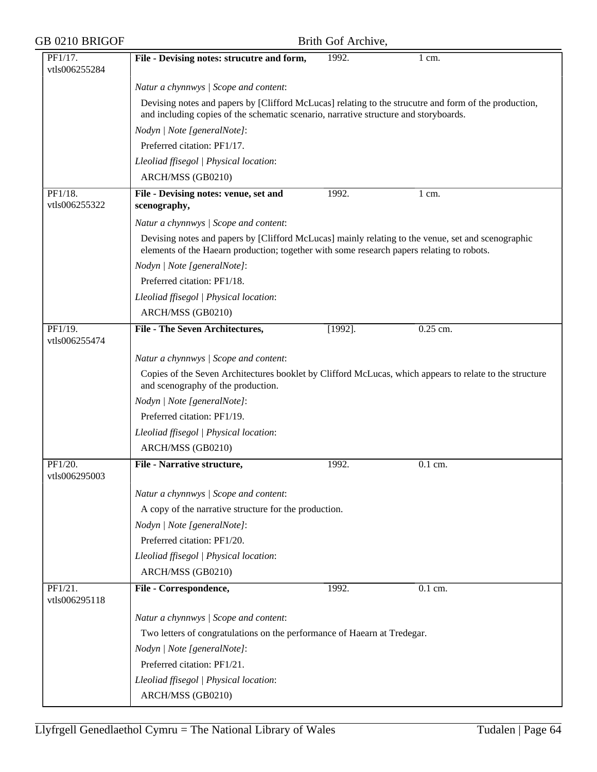| GB 0210 BRIGOF           | Brith Gof Archive,                                                                                                                                                                              |            |            |  |  |
|--------------------------|-------------------------------------------------------------------------------------------------------------------------------------------------------------------------------------------------|------------|------------|--|--|
| PF1/17.<br>vtls006255284 | File - Devising notes: strucutre and form,                                                                                                                                                      | 1992.      | $1$ cm.    |  |  |
|                          | Natur a chynnwys / Scope and content:                                                                                                                                                           |            |            |  |  |
|                          | Devising notes and papers by [Clifford McLucas] relating to the strucutre and form of the production,<br>and including copies of the schematic scenario, narrative structure and storyboards.   |            |            |  |  |
|                          | Nodyn   Note [generalNote]:                                                                                                                                                                     |            |            |  |  |
|                          | Preferred citation: PF1/17.                                                                                                                                                                     |            |            |  |  |
|                          | Lleoliad ffisegol   Physical location:                                                                                                                                                          |            |            |  |  |
|                          | ARCH/MSS (GB0210)                                                                                                                                                                               |            |            |  |  |
| PF1/18.<br>vtls006255322 | File - Devising notes: venue, set and<br>scenography,                                                                                                                                           | 1992.      | 1 cm.      |  |  |
|                          | Natur a chynnwys / Scope and content:                                                                                                                                                           |            |            |  |  |
|                          | Devising notes and papers by [Clifford McLucas] mainly relating to the venue, set and scenographic<br>elements of the Haearn production; together with some research papers relating to robots. |            |            |  |  |
|                          | Nodyn   Note [generalNote]:                                                                                                                                                                     |            |            |  |  |
|                          | Preferred citation: PF1/18.                                                                                                                                                                     |            |            |  |  |
|                          | Lleoliad ffisegol   Physical location:                                                                                                                                                          |            |            |  |  |
|                          | ARCH/MSS (GB0210)                                                                                                                                                                               |            |            |  |  |
| PF1/19.<br>vtls006255474 | <b>File - The Seven Architectures,</b>                                                                                                                                                          | $[1992]$ . | $0.25$ cm. |  |  |
|                          | Natur a chynnwys / Scope and content:                                                                                                                                                           |            |            |  |  |
|                          | Copies of the Seven Architectures booklet by Clifford McLucas, which appears to relate to the structure<br>and scenography of the production.                                                   |            |            |  |  |
|                          | Nodyn   Note [generalNote]:                                                                                                                                                                     |            |            |  |  |
|                          | Preferred citation: PF1/19.                                                                                                                                                                     |            |            |  |  |
|                          | Lleoliad ffisegol   Physical location:                                                                                                                                                          |            |            |  |  |
|                          | ARCH/MSS (GB0210)                                                                                                                                                                               |            |            |  |  |
| PF1/20.<br>vtls006295003 | <b>File - Narrative structure.</b>                                                                                                                                                              | 1992.      | $0.1$ cm.  |  |  |
|                          | Natur a chynnwys / Scope and content:                                                                                                                                                           |            |            |  |  |
|                          | A copy of the narrative structure for the production.                                                                                                                                           |            |            |  |  |
|                          | Nodyn   Note [generalNote]:                                                                                                                                                                     |            |            |  |  |
|                          | Preferred citation: PF1/20.                                                                                                                                                                     |            |            |  |  |
|                          | Lleoliad ffisegol   Physical location:                                                                                                                                                          |            |            |  |  |
|                          | ARCH/MSS (GB0210)                                                                                                                                                                               |            |            |  |  |
| PF1/21.<br>vtls006295118 | File - Correspondence,                                                                                                                                                                          | 1992.      | 0.1 cm.    |  |  |
|                          | Natur a chynnwys / Scope and content:                                                                                                                                                           |            |            |  |  |
|                          | Two letters of congratulations on the performance of Haearn at Tredegar.                                                                                                                        |            |            |  |  |
|                          | Nodyn   Note [generalNote]:                                                                                                                                                                     |            |            |  |  |
|                          | Preferred citation: PF1/21.                                                                                                                                                                     |            |            |  |  |
|                          | Lleoliad ffisegol   Physical location:                                                                                                                                                          |            |            |  |  |
|                          | ARCH/MSS (GB0210)                                                                                                                                                                               |            |            |  |  |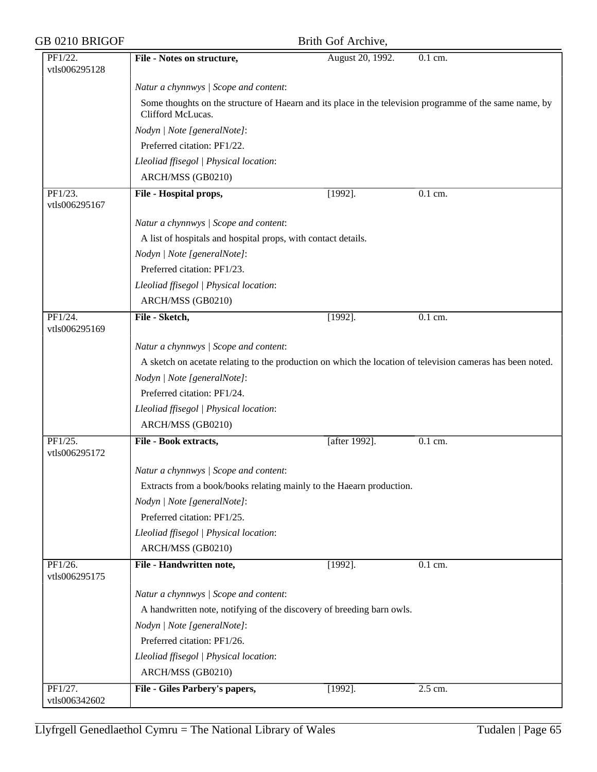| GB 0210 BRIGOF                         | Brith Gof Archive,                                                                                                           |                  |           |  |  |
|----------------------------------------|------------------------------------------------------------------------------------------------------------------------------|------------------|-----------|--|--|
| PF1/22.<br>vtls006295128               | File - Notes on structure,                                                                                                   | August 20, 1992. | 0.1 cm.   |  |  |
|                                        | Natur a chynnwys / Scope and content:                                                                                        |                  |           |  |  |
|                                        | Some thoughts on the structure of Haearn and its place in the television programme of the same name, by<br>Clifford McLucas. |                  |           |  |  |
|                                        | Nodyn   Note [generalNote]:                                                                                                  |                  |           |  |  |
|                                        | Preferred citation: PF1/22.                                                                                                  |                  |           |  |  |
|                                        | Lleoliad ffisegol   Physical location:                                                                                       |                  |           |  |  |
|                                        | ARCH/MSS (GB0210)                                                                                                            |                  |           |  |  |
| PF1/23.<br>vtls006295167               | File - Hospital props,                                                                                                       | $[1992]$ .       | 0.1 cm.   |  |  |
|                                        | Natur a chynnwys / Scope and content:                                                                                        |                  |           |  |  |
|                                        | A list of hospitals and hospital props, with contact details.                                                                |                  |           |  |  |
|                                        | Nodyn   Note [generalNote]:                                                                                                  |                  |           |  |  |
|                                        | Preferred citation: PF1/23.                                                                                                  |                  |           |  |  |
|                                        | Lleoliad ffisegol   Physical location:                                                                                       |                  |           |  |  |
|                                        | ARCH/MSS (GB0210)                                                                                                            |                  |           |  |  |
| $\overline{PF1/24}$ .<br>vtls006295169 | File - Sketch,                                                                                                               | $[1992]$ .       | $0.1$ cm. |  |  |
|                                        | Natur a chynnwys / Scope and content:                                                                                        |                  |           |  |  |
|                                        | A sketch on acetate relating to the production on which the location of television cameras has been noted.                   |                  |           |  |  |
|                                        | Nodyn   Note [generalNote]:                                                                                                  |                  |           |  |  |
|                                        | Preferred citation: PF1/24.                                                                                                  |                  |           |  |  |
|                                        | Lleoliad ffisegol   Physical location:                                                                                       |                  |           |  |  |
|                                        | ARCH/MSS (GB0210)                                                                                                            |                  |           |  |  |
| PF1/25.<br>vtls006295172               | File - Book extracts,                                                                                                        | [after 1992].    | 0.1 cm.   |  |  |
|                                        | Natur a chynnwys / Scope and content:                                                                                        |                  |           |  |  |
|                                        | Extracts from a book/books relating mainly to the Haearn production.                                                         |                  |           |  |  |
|                                        | Nodyn   Note [generalNote]:                                                                                                  |                  |           |  |  |
|                                        | Preferred citation: PF1/25.                                                                                                  |                  |           |  |  |
|                                        | Lleoliad ffisegol   Physical location:                                                                                       |                  |           |  |  |
|                                        | ARCH/MSS (GB0210)                                                                                                            |                  |           |  |  |
| PF1/26.<br>vtls006295175               | File - Handwritten note,                                                                                                     | $[1992]$ .       | 0.1 cm.   |  |  |
|                                        | Natur a chynnwys / Scope and content:                                                                                        |                  |           |  |  |
|                                        | A handwritten note, notifying of the discovery of breeding barn owls.                                                        |                  |           |  |  |
|                                        | Nodyn   Note [generalNote]:                                                                                                  |                  |           |  |  |
|                                        | Preferred citation: PF1/26.                                                                                                  |                  |           |  |  |
|                                        | Lleoliad ffisegol   Physical location:                                                                                       |                  |           |  |  |
|                                        | ARCH/MSS (GB0210)                                                                                                            |                  |           |  |  |
| PF1/27.<br>vtls006342602               | File - Giles Parbery's papers,                                                                                               | $[1992]$ .       | 2.5 cm.   |  |  |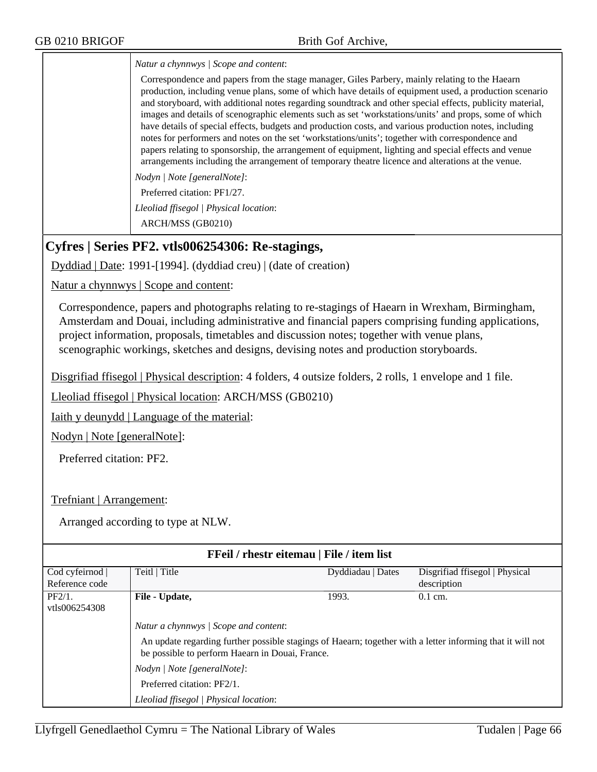*Natur a chynnwys | Scope and content*:

Correspondence and papers from the stage manager, Giles Parbery, mainly relating to the Haearn production, including venue plans, some of which have details of equipment used, a production scenario and storyboard, with additional notes regarding soundtrack and other special effects, publicity material, images and details of scenographic elements such as set 'workstations/units' and props, some of which have details of special effects, budgets and production costs, and various production notes, including notes for performers and notes on the set 'workstations/units'; together with correspondence and papers relating to sponsorship, the arrangement of equipment, lighting and special effects and venue arrangements including the arrangement of temporary theatre licence and alterations at the venue.

*Nodyn | Note [generalNote]*:

Preferred citation: PF1/27.

*Lleoliad ffisegol | Physical location*:

ARCH/MSS (GB0210)

## **Cyfres | Series PF2. vtls006254306: Re-stagings,**

Dyddiad | Date: 1991-[1994]. (dyddiad creu) | (date of creation)

Natur a chynnwys | Scope and content:

Correspondence, papers and photographs relating to re-stagings of Haearn in Wrexham, Birmingham, Amsterdam and Douai, including administrative and financial papers comprising funding applications, project information, proposals, timetables and discussion notes; together with venue plans, scenographic workings, sketches and designs, devising notes and production storyboards.

Disgrifiad ffisegol | Physical description: 4 folders, 4 outsize folders, 2 rolls, 1 envelope and 1 file.

Lleoliad ffisegol | Physical location: ARCH/MSS (GB0210)

Iaith y deunydd | Language of the material:

Nodyn | Note [generalNote]:

Preferred citation: PF2.

Trefniant | Arrangement:

| FFeil / rhestr eitemau   File / item list |                                                                                                                                                                                                                                                                                                               |                   |                                |  |
|-------------------------------------------|---------------------------------------------------------------------------------------------------------------------------------------------------------------------------------------------------------------------------------------------------------------------------------------------------------------|-------------------|--------------------------------|--|
| Cod cyfeirnod                             | Teitl   Title                                                                                                                                                                                                                                                                                                 | Dyddiadau   Dates | Disgrifiad ffisegol   Physical |  |
| Reference code                            |                                                                                                                                                                                                                                                                                                               |                   | description                    |  |
| $PF2/1$ .                                 | File - Update,                                                                                                                                                                                                                                                                                                | 1993.             | $0.1$ cm.                      |  |
| vtls006254308                             |                                                                                                                                                                                                                                                                                                               |                   |                                |  |
|                                           | Natur a chynnwys / Scope and content:<br>An update regarding further possible stagings of Haearn; together with a letter informing that it will not<br>be possible to perform Haearn in Douai, France.<br>Nodyn / Note [generalNote]:<br>Preferred citation: PF2/1.<br>Lleoliad ffisegol   Physical location: |                   |                                |  |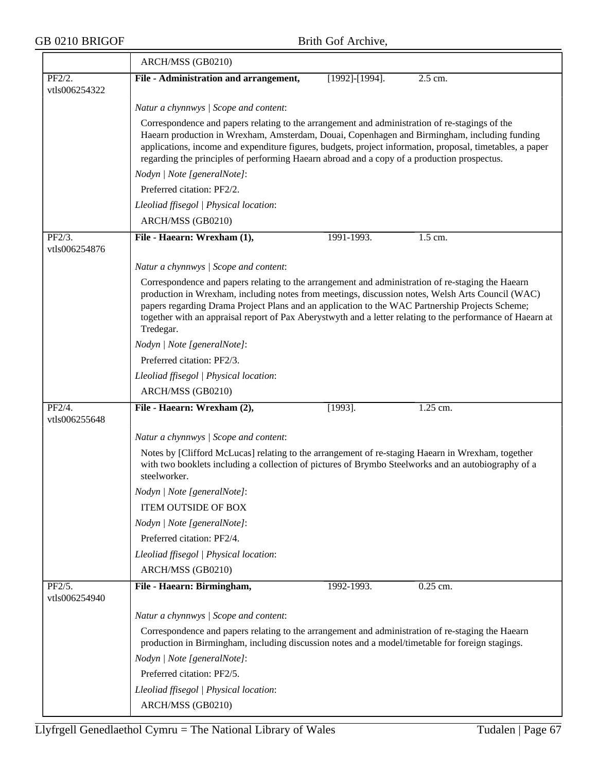|                         | ARCH/MSS (GB0210)                                                                                                                                                                                                                                                                                                                                                                                                                   |                                                                                                                                                                                                                                                                                                                                                                                                            |          |  |  |  |
|-------------------------|-------------------------------------------------------------------------------------------------------------------------------------------------------------------------------------------------------------------------------------------------------------------------------------------------------------------------------------------------------------------------------------------------------------------------------------|------------------------------------------------------------------------------------------------------------------------------------------------------------------------------------------------------------------------------------------------------------------------------------------------------------------------------------------------------------------------------------------------------------|----------|--|--|--|
| PF2/2.                  | File - Administration and arrangement,                                                                                                                                                                                                                                                                                                                                                                                              | [1992]-[1994].                                                                                                                                                                                                                                                                                                                                                                                             | 2.5 cm.  |  |  |  |
| vtls006254322           |                                                                                                                                                                                                                                                                                                                                                                                                                                     |                                                                                                                                                                                                                                                                                                                                                                                                            |          |  |  |  |
|                         | Natur a chynnwys / Scope and content:                                                                                                                                                                                                                                                                                                                                                                                               |                                                                                                                                                                                                                                                                                                                                                                                                            |          |  |  |  |
|                         |                                                                                                                                                                                                                                                                                                                                                                                                                                     | Correspondence and papers relating to the arrangement and administration of re-stagings of the<br>Haearn production in Wrexham, Amsterdam, Douai, Copenhagen and Birmingham, including funding<br>applications, income and expenditure figures, budgets, project information, proposal, timetables, a paper<br>regarding the principles of performing Haearn abroad and a copy of a production prospectus. |          |  |  |  |
|                         | Nodyn   Note [generalNote]:                                                                                                                                                                                                                                                                                                                                                                                                         |                                                                                                                                                                                                                                                                                                                                                                                                            |          |  |  |  |
|                         | Preferred citation: PF2/2.                                                                                                                                                                                                                                                                                                                                                                                                          |                                                                                                                                                                                                                                                                                                                                                                                                            |          |  |  |  |
|                         | Lleoliad ffisegol   Physical location:                                                                                                                                                                                                                                                                                                                                                                                              |                                                                                                                                                                                                                                                                                                                                                                                                            |          |  |  |  |
|                         | ARCH/MSS (GB0210)                                                                                                                                                                                                                                                                                                                                                                                                                   |                                                                                                                                                                                                                                                                                                                                                                                                            |          |  |  |  |
| PF2/3.<br>vtls006254876 | File - Haearn: Wrexham (1),                                                                                                                                                                                                                                                                                                                                                                                                         | 1991-1993.                                                                                                                                                                                                                                                                                                                                                                                                 | 1.5 cm.  |  |  |  |
|                         | Natur a chynnwys / Scope and content:                                                                                                                                                                                                                                                                                                                                                                                               |                                                                                                                                                                                                                                                                                                                                                                                                            |          |  |  |  |
|                         | Correspondence and papers relating to the arrangement and administration of re-staging the Haearn<br>production in Wrexham, including notes from meetings, discussion notes, Welsh Arts Council (WAC)<br>papers regarding Drama Project Plans and an application to the WAC Partnership Projects Scheme;<br>together with an appraisal report of Pax Aberystwyth and a letter relating to the performance of Haearn at<br>Tredegar. |                                                                                                                                                                                                                                                                                                                                                                                                            |          |  |  |  |
|                         | Nodyn   Note [generalNote]:                                                                                                                                                                                                                                                                                                                                                                                                         |                                                                                                                                                                                                                                                                                                                                                                                                            |          |  |  |  |
|                         | Preferred citation: PF2/3.                                                                                                                                                                                                                                                                                                                                                                                                          |                                                                                                                                                                                                                                                                                                                                                                                                            |          |  |  |  |
|                         | Lleoliad ffisegol   Physical location:                                                                                                                                                                                                                                                                                                                                                                                              |                                                                                                                                                                                                                                                                                                                                                                                                            |          |  |  |  |
|                         | ARCH/MSS (GB0210)                                                                                                                                                                                                                                                                                                                                                                                                                   |                                                                                                                                                                                                                                                                                                                                                                                                            |          |  |  |  |
| PF2/4.                  | File - Haearn: Wrexham (2),                                                                                                                                                                                                                                                                                                                                                                                                         | $[1993]$ .                                                                                                                                                                                                                                                                                                                                                                                                 | 1.25 cm. |  |  |  |
| vtls006255648           |                                                                                                                                                                                                                                                                                                                                                                                                                                     |                                                                                                                                                                                                                                                                                                                                                                                                            |          |  |  |  |
|                         | Natur a chynnwys / Scope and content:                                                                                                                                                                                                                                                                                                                                                                                               |                                                                                                                                                                                                                                                                                                                                                                                                            |          |  |  |  |
|                         | steelworker.                                                                                                                                                                                                                                                                                                                                                                                                                        | Notes by [Clifford McLucas] relating to the arrangement of re-staging Haearn in Wrexham, together<br>with two booklets including a collection of pictures of Brymbo Steelworks and an autobiography of a                                                                                                                                                                                                   |          |  |  |  |
|                         | Nodyn   Note [generalNote]:                                                                                                                                                                                                                                                                                                                                                                                                         |                                                                                                                                                                                                                                                                                                                                                                                                            |          |  |  |  |
|                         | ITEM OUTSIDE OF BOX                                                                                                                                                                                                                                                                                                                                                                                                                 |                                                                                                                                                                                                                                                                                                                                                                                                            |          |  |  |  |
|                         | Nodyn   Note [generalNote]:                                                                                                                                                                                                                                                                                                                                                                                                         |                                                                                                                                                                                                                                                                                                                                                                                                            |          |  |  |  |
|                         | Preferred citation: PF2/4.                                                                                                                                                                                                                                                                                                                                                                                                          |                                                                                                                                                                                                                                                                                                                                                                                                            |          |  |  |  |
|                         | Lleoliad ffisegol   Physical location:                                                                                                                                                                                                                                                                                                                                                                                              |                                                                                                                                                                                                                                                                                                                                                                                                            |          |  |  |  |
|                         | ARCH/MSS (GB0210)                                                                                                                                                                                                                                                                                                                                                                                                                   |                                                                                                                                                                                                                                                                                                                                                                                                            |          |  |  |  |
| PF2/5.<br>vtls006254940 | File - Haearn: Birmingham,                                                                                                                                                                                                                                                                                                                                                                                                          | 1992-1993.                                                                                                                                                                                                                                                                                                                                                                                                 | 0.25 cm. |  |  |  |
|                         | Natur a chynnwys / Scope and content:                                                                                                                                                                                                                                                                                                                                                                                               |                                                                                                                                                                                                                                                                                                                                                                                                            |          |  |  |  |
|                         | Correspondence and papers relating to the arrangement and administration of re-staging the Haearn<br>production in Birmingham, including discussion notes and a model/timetable for foreign stagings.                                                                                                                                                                                                                               |                                                                                                                                                                                                                                                                                                                                                                                                            |          |  |  |  |
|                         | Nodyn   Note [generalNote]:                                                                                                                                                                                                                                                                                                                                                                                                         |                                                                                                                                                                                                                                                                                                                                                                                                            |          |  |  |  |
|                         | Preferred citation: PF2/5.                                                                                                                                                                                                                                                                                                                                                                                                          |                                                                                                                                                                                                                                                                                                                                                                                                            |          |  |  |  |
|                         | Lleoliad ffisegol   Physical location:                                                                                                                                                                                                                                                                                                                                                                                              |                                                                                                                                                                                                                                                                                                                                                                                                            |          |  |  |  |
|                         | ARCH/MSS (GB0210)                                                                                                                                                                                                                                                                                                                                                                                                                   |                                                                                                                                                                                                                                                                                                                                                                                                            |          |  |  |  |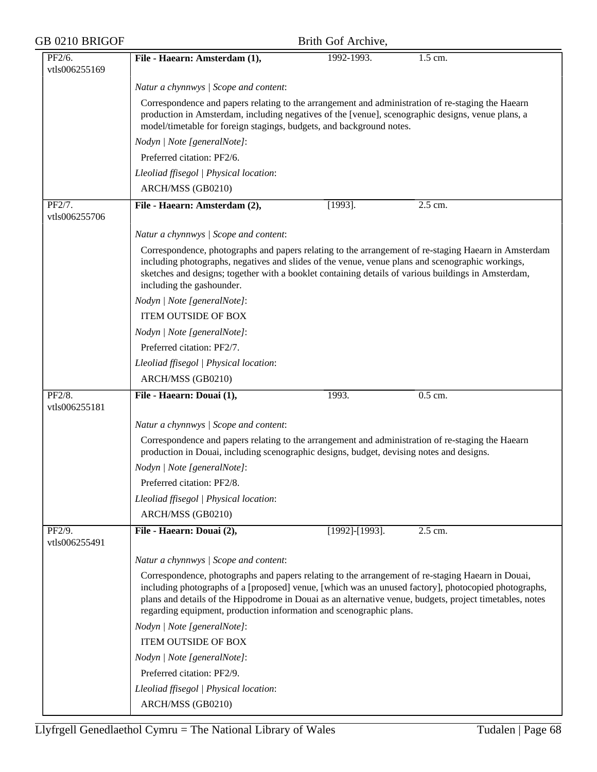| GB 0210 BRIGOF          |                                                                                                                                                                                                                                                                                                                                                                                              | Brith Gof Archive,    |           |  |  |
|-------------------------|----------------------------------------------------------------------------------------------------------------------------------------------------------------------------------------------------------------------------------------------------------------------------------------------------------------------------------------------------------------------------------------------|-----------------------|-----------|--|--|
| PF2/6.<br>vtls006255169 | File - Haearn: Amsterdam (1),                                                                                                                                                                                                                                                                                                                                                                | 1992-1993.            | $1.5$ cm. |  |  |
|                         | Natur a chynnwys / Scope and content:                                                                                                                                                                                                                                                                                                                                                        |                       |           |  |  |
|                         | Correspondence and papers relating to the arrangement and administration of re-staging the Haearn<br>production in Amsterdam, including negatives of the [venue], scenographic designs, venue plans, a<br>model/timetable for foreign stagings, budgets, and background notes.                                                                                                               |                       |           |  |  |
|                         | Nodyn   Note [generalNote]:                                                                                                                                                                                                                                                                                                                                                                  |                       |           |  |  |
|                         | Preferred citation: PF2/6.                                                                                                                                                                                                                                                                                                                                                                   |                       |           |  |  |
|                         | Lleoliad ffisegol   Physical location:                                                                                                                                                                                                                                                                                                                                                       |                       |           |  |  |
|                         | ARCH/MSS (GB0210)                                                                                                                                                                                                                                                                                                                                                                            |                       |           |  |  |
| PF2/7.<br>vtls006255706 | File - Haearn: Amsterdam (2),                                                                                                                                                                                                                                                                                                                                                                | $[1993]$ .            | 2.5 cm.   |  |  |
|                         | Natur a chynnwys / Scope and content:                                                                                                                                                                                                                                                                                                                                                        |                       |           |  |  |
|                         | Correspondence, photographs and papers relating to the arrangement of re-staging Haearn in Amsterdam<br>including photographs, negatives and slides of the venue, venue plans and scenographic workings,<br>sketches and designs; together with a booklet containing details of various buildings in Amsterdam,<br>including the gashounder.                                                 |                       |           |  |  |
|                         | Nodyn   Note [generalNote]:                                                                                                                                                                                                                                                                                                                                                                  |                       |           |  |  |
|                         | <b>ITEM OUTSIDE OF BOX</b>                                                                                                                                                                                                                                                                                                                                                                   |                       |           |  |  |
|                         | Nodyn   Note [generalNote]:                                                                                                                                                                                                                                                                                                                                                                  |                       |           |  |  |
|                         | Preferred citation: PF2/7.                                                                                                                                                                                                                                                                                                                                                                   |                       |           |  |  |
|                         | Lleoliad ffisegol   Physical location:                                                                                                                                                                                                                                                                                                                                                       |                       |           |  |  |
|                         | ARCH/MSS (GB0210)                                                                                                                                                                                                                                                                                                                                                                            |                       |           |  |  |
| PF2/8.<br>vtls006255181 | File - Haearn: Douai (1),                                                                                                                                                                                                                                                                                                                                                                    | 1993.                 | $0.5$ cm. |  |  |
|                         | Natur a chynnwys / Scope and content:                                                                                                                                                                                                                                                                                                                                                        |                       |           |  |  |
|                         | Correspondence and papers relating to the arrangement and administration of re-staging the Haearn<br>production in Douai, including scenographic designs, budget, devising notes and designs.                                                                                                                                                                                                |                       |           |  |  |
|                         | Nodyn   Note [generalNote]:                                                                                                                                                                                                                                                                                                                                                                  |                       |           |  |  |
|                         | Preferred citation: PF2/8.                                                                                                                                                                                                                                                                                                                                                                   |                       |           |  |  |
|                         | Lleoliad ffisegol   Physical location:                                                                                                                                                                                                                                                                                                                                                       |                       |           |  |  |
|                         | ARCH/MSS (GB0210)                                                                                                                                                                                                                                                                                                                                                                            |                       |           |  |  |
| PF2/9.<br>vtls006255491 | File - Haearn: Douai (2),                                                                                                                                                                                                                                                                                                                                                                    | $[1992]$ - $[1993]$ . | 2.5 cm.   |  |  |
|                         | Natur a chynnwys / Scope and content:                                                                                                                                                                                                                                                                                                                                                        |                       |           |  |  |
|                         | Correspondence, photographs and papers relating to the arrangement of re-staging Haearn in Douai,<br>including photographs of a [proposed] venue, [which was an unused factory], photocopied photographs,<br>plans and details of the Hippodrome in Douai as an alternative venue, budgets, project timetables, notes<br>regarding equipment, production information and scenographic plans. |                       |           |  |  |
|                         | Nodyn   Note [generalNote]:                                                                                                                                                                                                                                                                                                                                                                  |                       |           |  |  |
|                         | <b>ITEM OUTSIDE OF BOX</b>                                                                                                                                                                                                                                                                                                                                                                   |                       |           |  |  |
|                         | Nodyn   Note [generalNote]:                                                                                                                                                                                                                                                                                                                                                                  |                       |           |  |  |
|                         | Preferred citation: PF2/9.                                                                                                                                                                                                                                                                                                                                                                   |                       |           |  |  |
|                         | Lleoliad ffisegol   Physical location:                                                                                                                                                                                                                                                                                                                                                       |                       |           |  |  |
|                         | ARCH/MSS (GB0210)                                                                                                                                                                                                                                                                                                                                                                            |                       |           |  |  |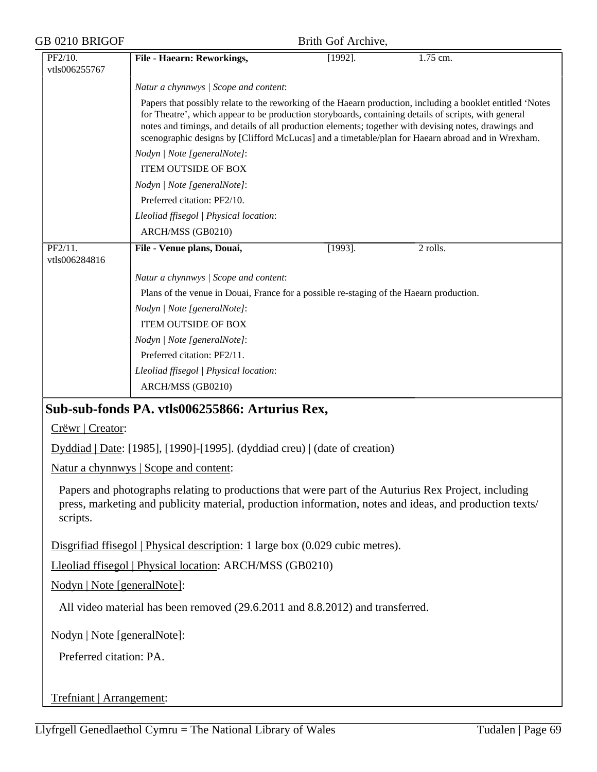| GB 0210 BRIGOF |                             | Brith Gof Archive,                                                                                                                                                                                              |            |                                                                                                                                                                                                                                                                                                                          |  |  |
|----------------|-----------------------------|-----------------------------------------------------------------------------------------------------------------------------------------------------------------------------------------------------------------|------------|--------------------------------------------------------------------------------------------------------------------------------------------------------------------------------------------------------------------------------------------------------------------------------------------------------------------------|--|--|
|                | PF2/10.<br>vtls006255767    | File - Haearn: Reworkings,                                                                                                                                                                                      | $[1992]$ . | 1.75 cm.                                                                                                                                                                                                                                                                                                                 |  |  |
|                |                             | Natur a chynnwys / Scope and content:                                                                                                                                                                           |            |                                                                                                                                                                                                                                                                                                                          |  |  |
|                |                             | for Theatre', which appear to be production storyboards, containing details of scripts, with general                                                                                                            |            | Papers that possibly relate to the reworking of the Haearn production, including a booklet entitled 'Notes<br>notes and timings, and details of all production elements; together with devising notes, drawings and<br>scenographic designs by [Clifford McLucas] and a timetable/plan for Haearn abroad and in Wrexham. |  |  |
|                |                             | Nodyn   Note [generalNote]:                                                                                                                                                                                     |            |                                                                                                                                                                                                                                                                                                                          |  |  |
|                |                             | <b>ITEM OUTSIDE OF BOX</b>                                                                                                                                                                                      |            |                                                                                                                                                                                                                                                                                                                          |  |  |
|                |                             | Nodyn   Note [generalNote]:                                                                                                                                                                                     |            |                                                                                                                                                                                                                                                                                                                          |  |  |
|                |                             | Preferred citation: PF2/10.                                                                                                                                                                                     |            |                                                                                                                                                                                                                                                                                                                          |  |  |
|                |                             | Lleoliad ffisegol   Physical location:                                                                                                                                                                          |            |                                                                                                                                                                                                                                                                                                                          |  |  |
|                |                             | ARCH/MSS (GB0210)                                                                                                                                                                                               |            |                                                                                                                                                                                                                                                                                                                          |  |  |
|                | PF2/11.<br>vtls006284816    | File - Venue plans, Douai,                                                                                                                                                                                      | $[1993]$ . | 2 rolls.                                                                                                                                                                                                                                                                                                                 |  |  |
|                |                             | Natur a chynnwys / Scope and content:                                                                                                                                                                           |            |                                                                                                                                                                                                                                                                                                                          |  |  |
|                |                             | Plans of the venue in Douai, France for a possible re-staging of the Haearn production.                                                                                                                         |            |                                                                                                                                                                                                                                                                                                                          |  |  |
|                |                             | Nodyn   Note [generalNote]:                                                                                                                                                                                     |            |                                                                                                                                                                                                                                                                                                                          |  |  |
|                |                             | <b>ITEM OUTSIDE OF BOX</b>                                                                                                                                                                                      |            |                                                                                                                                                                                                                                                                                                                          |  |  |
|                |                             | Nodyn   Note [generalNote]:                                                                                                                                                                                     |            |                                                                                                                                                                                                                                                                                                                          |  |  |
|                |                             | Preferred citation: PF2/11.                                                                                                                                                                                     |            |                                                                                                                                                                                                                                                                                                                          |  |  |
|                |                             | Lleoliad ffisegol   Physical location:                                                                                                                                                                          |            |                                                                                                                                                                                                                                                                                                                          |  |  |
|                |                             | ARCH/MSS (GB0210)                                                                                                                                                                                               |            |                                                                                                                                                                                                                                                                                                                          |  |  |
|                |                             | Sub-sub-fonds PA. vtls006255866: Arturius Rex,                                                                                                                                                                  |            |                                                                                                                                                                                                                                                                                                                          |  |  |
|                | Crëwr   Creator:            |                                                                                                                                                                                                                 |            |                                                                                                                                                                                                                                                                                                                          |  |  |
|                |                             | $Dyddiad   Date: [1985], [1990] - [1995].$ (dyddiad creu)   (date of creation)                                                                                                                                  |            |                                                                                                                                                                                                                                                                                                                          |  |  |
|                |                             | Natur a chynnwys   Scope and content:                                                                                                                                                                           |            |                                                                                                                                                                                                                                                                                                                          |  |  |
|                | scripts.                    | Papers and photographs relating to productions that were part of the Auturius Rex Project, including<br>press, marketing and publicity material, production information, notes and ideas, and production texts/ |            |                                                                                                                                                                                                                                                                                                                          |  |  |
|                |                             | Disgrifiad ffisegol   Physical description: 1 large box (0.029 cubic metres).                                                                                                                                   |            |                                                                                                                                                                                                                                                                                                                          |  |  |
|                |                             | Lleoliad ffisegol   Physical location: ARCH/MSS (GB0210)                                                                                                                                                        |            |                                                                                                                                                                                                                                                                                                                          |  |  |
|                | Nodyn   Note [generalNote]: |                                                                                                                                                                                                                 |            |                                                                                                                                                                                                                                                                                                                          |  |  |
|                |                             | All video material has been removed (29.6.2011 and 8.8.2012) and transferred.                                                                                                                                   |            |                                                                                                                                                                                                                                                                                                                          |  |  |
|                | Nodyn   Note [generalNote]: |                                                                                                                                                                                                                 |            |                                                                                                                                                                                                                                                                                                                          |  |  |
|                | Preferred citation: PA.     |                                                                                                                                                                                                                 |            |                                                                                                                                                                                                                                                                                                                          |  |  |
|                |                             |                                                                                                                                                                                                                 |            |                                                                                                                                                                                                                                                                                                                          |  |  |
|                | Trefniant   Arrangement:    |                                                                                                                                                                                                                 |            |                                                                                                                                                                                                                                                                                                                          |  |  |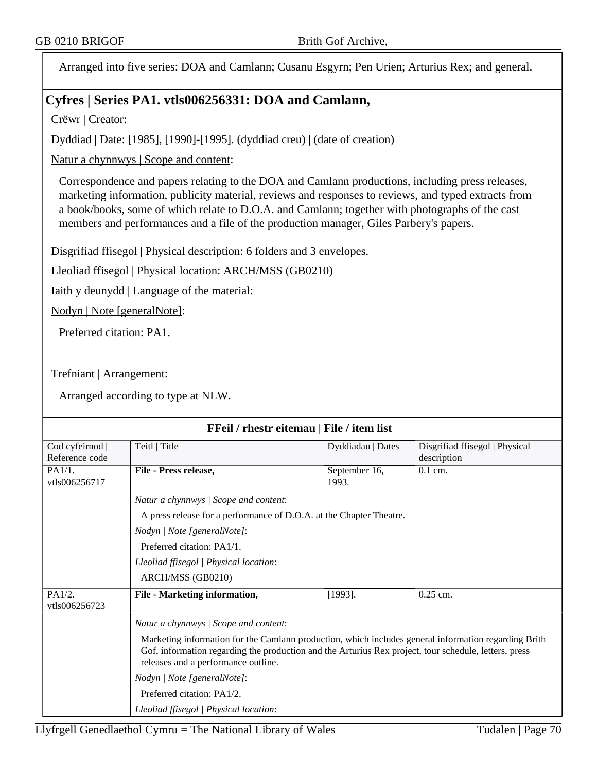Arranged into five series: DOA and Camlann; Cusanu Esgyrn; Pen Urien; Arturius Rex; and general.

## **Cyfres | Series PA1. vtls006256331: DOA and Camlann,**

Crëwr | Creator:

Dyddiad | Date: [1985], [1990]-[1995]. (dyddiad creu) | (date of creation)

Natur a chynnwys | Scope and content:

Correspondence and papers relating to the DOA and Camlann productions, including press releases, marketing information, publicity material, reviews and responses to reviews, and typed extracts from a book/books, some of which relate to D.O.A. and Camlann; together with photographs of the cast members and performances and a file of the production manager, Giles Parbery's papers.

Disgrifiad ffisegol | Physical description: 6 folders and 3 envelopes.

Lleoliad ffisegol | Physical location: ARCH/MSS (GB0210)

Iaith y deunydd | Language of the material:

Nodyn | Note [generalNote]:

Preferred citation: PA1.

Trefniant | Arrangement:

| FFeil / rhestr eitemau   File / item list |                                                                                                                                                                                                                                                      |                        |                                               |  |  |
|-------------------------------------------|------------------------------------------------------------------------------------------------------------------------------------------------------------------------------------------------------------------------------------------------------|------------------------|-----------------------------------------------|--|--|
| Cod cyfeirnod<br>Reference code           | Teitl   Title                                                                                                                                                                                                                                        | Dyddiadau   Dates      | Disgrifiad ffisegol   Physical<br>description |  |  |
| PA1/1.<br>vtls006256717                   | File - Press release,                                                                                                                                                                                                                                | September 16,<br>1993. | $0.1$ cm.                                     |  |  |
|                                           | Natur a chynnwys / Scope and content:                                                                                                                                                                                                                |                        |                                               |  |  |
|                                           | A press release for a performance of D.O.A. at the Chapter Theatre.                                                                                                                                                                                  |                        |                                               |  |  |
|                                           | Nodyn   Note [generalNote]:                                                                                                                                                                                                                          |                        |                                               |  |  |
|                                           | Preferred citation: PA1/1.                                                                                                                                                                                                                           |                        |                                               |  |  |
|                                           | Lleoliad ffisegol   Physical location:                                                                                                                                                                                                               |                        |                                               |  |  |
|                                           | ARCH/MSS (GB0210)                                                                                                                                                                                                                                    |                        |                                               |  |  |
| PA1/2.<br>vtls006256723                   | File - Marketing information,                                                                                                                                                                                                                        | $[1993]$ .             | $0.25$ cm.                                    |  |  |
|                                           | Natur a chynnwys / Scope and content:                                                                                                                                                                                                                |                        |                                               |  |  |
|                                           | Marketing information for the Camlann production, which includes general information regarding Brith<br>Gof, information regarding the production and the Arturius Rex project, tour schedule, letters, press<br>releases and a performance outline. |                        |                                               |  |  |
|                                           | Nodyn   Note [generalNote]:                                                                                                                                                                                                                          |                        |                                               |  |  |
|                                           | Preferred citation: PA1/2.                                                                                                                                                                                                                           |                        |                                               |  |  |
|                                           | Lleoliad ffisegol   Physical location:                                                                                                                                                                                                               |                        |                                               |  |  |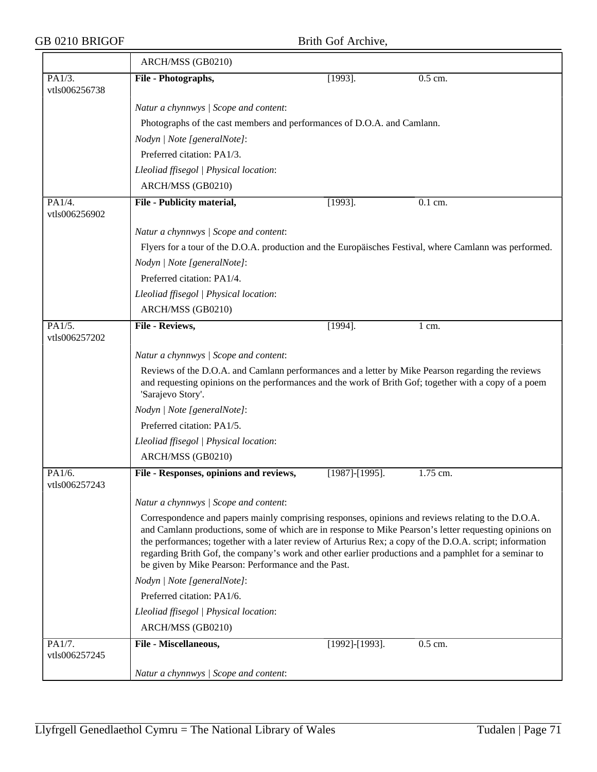|                         | ARCH/MSS (GB0210)                                                                                                                                                                                                                                                                                                                                                                                                                                                                        |                       |                  |  |  |
|-------------------------|------------------------------------------------------------------------------------------------------------------------------------------------------------------------------------------------------------------------------------------------------------------------------------------------------------------------------------------------------------------------------------------------------------------------------------------------------------------------------------------|-----------------------|------------------|--|--|
| PA1/3.<br>vtls006256738 | File - Photographs,                                                                                                                                                                                                                                                                                                                                                                                                                                                                      | $[1993]$ .            | 0.5 cm.          |  |  |
|                         | Natur a chynnwys / Scope and content:                                                                                                                                                                                                                                                                                                                                                                                                                                                    |                       |                  |  |  |
|                         | Photographs of the cast members and performances of D.O.A. and Camlann.                                                                                                                                                                                                                                                                                                                                                                                                                  |                       |                  |  |  |
|                         | Nodyn   Note [generalNote]:                                                                                                                                                                                                                                                                                                                                                                                                                                                              |                       |                  |  |  |
|                         | Preferred citation: PA1/3.                                                                                                                                                                                                                                                                                                                                                                                                                                                               |                       |                  |  |  |
|                         | Lleoliad ffisegol   Physical location:                                                                                                                                                                                                                                                                                                                                                                                                                                                   |                       |                  |  |  |
|                         | ARCH/MSS (GB0210)                                                                                                                                                                                                                                                                                                                                                                                                                                                                        |                       |                  |  |  |
| PA1/4.<br>vtls006256902 | File - Publicity material,                                                                                                                                                                                                                                                                                                                                                                                                                                                               | $[1993]$ .            | 0.1 cm.          |  |  |
|                         | Natur a chynnwys / Scope and content:                                                                                                                                                                                                                                                                                                                                                                                                                                                    |                       |                  |  |  |
|                         | Flyers for a tour of the D.O.A. production and the Europäisches Festival, where Camlann was performed.                                                                                                                                                                                                                                                                                                                                                                                   |                       |                  |  |  |
|                         | Nodyn   Note [generalNote]:                                                                                                                                                                                                                                                                                                                                                                                                                                                              |                       |                  |  |  |
|                         | Preferred citation: PA1/4.                                                                                                                                                                                                                                                                                                                                                                                                                                                               |                       |                  |  |  |
|                         | Lleoliad ffisegol   Physical location:                                                                                                                                                                                                                                                                                                                                                                                                                                                   |                       |                  |  |  |
|                         | ARCH/MSS (GB0210)                                                                                                                                                                                                                                                                                                                                                                                                                                                                        |                       |                  |  |  |
| PA1/5.<br>vtls006257202 | File - Reviews,                                                                                                                                                                                                                                                                                                                                                                                                                                                                          | $[1994]$ .            | $1 \text{ cm}$ . |  |  |
|                         | Natur a chynnwys / Scope and content:                                                                                                                                                                                                                                                                                                                                                                                                                                                    |                       |                  |  |  |
|                         | Reviews of the D.O.A. and Camlann performances and a letter by Mike Pearson regarding the reviews<br>and requesting opinions on the performances and the work of Brith Gof; together with a copy of a poem<br>'Sarajevo Story'.                                                                                                                                                                                                                                                          |                       |                  |  |  |
|                         | Nodyn   Note [generalNote]:                                                                                                                                                                                                                                                                                                                                                                                                                                                              |                       |                  |  |  |
|                         | Preferred citation: PA1/5.                                                                                                                                                                                                                                                                                                                                                                                                                                                               |                       |                  |  |  |
|                         | Lleoliad ffisegol   Physical location:                                                                                                                                                                                                                                                                                                                                                                                                                                                   |                       |                  |  |  |
|                         | ARCH/MSS (GB0210)                                                                                                                                                                                                                                                                                                                                                                                                                                                                        |                       |                  |  |  |
| PA1/6.<br>vtls006257243 | File - Responses, opinions and reviews,                                                                                                                                                                                                                                                                                                                                                                                                                                                  | $[1987]$ - $[1995]$ . | 1.75 cm.         |  |  |
|                         | Natur a chynnwys / Scope and content:                                                                                                                                                                                                                                                                                                                                                                                                                                                    |                       |                  |  |  |
|                         | Correspondence and papers mainly comprising responses, opinions and reviews relating to the D.O.A.<br>and Camlann productions, some of which are in response to Mike Pearson's letter requesting opinions on<br>the performances; together with a later review of Arturius Rex; a copy of the D.O.A. script; information<br>regarding Brith Gof, the company's work and other earlier productions and a pamphlet for a seminar to<br>be given by Mike Pearson: Performance and the Past. |                       |                  |  |  |
|                         | Nodyn   Note [generalNote]:                                                                                                                                                                                                                                                                                                                                                                                                                                                              |                       |                  |  |  |
|                         | Preferred citation: PA1/6.                                                                                                                                                                                                                                                                                                                                                                                                                                                               |                       |                  |  |  |
|                         | Lleoliad ffisegol   Physical location:                                                                                                                                                                                                                                                                                                                                                                                                                                                   |                       |                  |  |  |
|                         | ARCH/MSS (GB0210)                                                                                                                                                                                                                                                                                                                                                                                                                                                                        |                       |                  |  |  |
| PA1/7.<br>vtls006257245 | File - Miscellaneous,                                                                                                                                                                                                                                                                                                                                                                                                                                                                    | [1992]-[1993].        | 0.5 cm.          |  |  |
|                         | Natur a chynnwys / Scope and content:                                                                                                                                                                                                                                                                                                                                                                                                                                                    |                       |                  |  |  |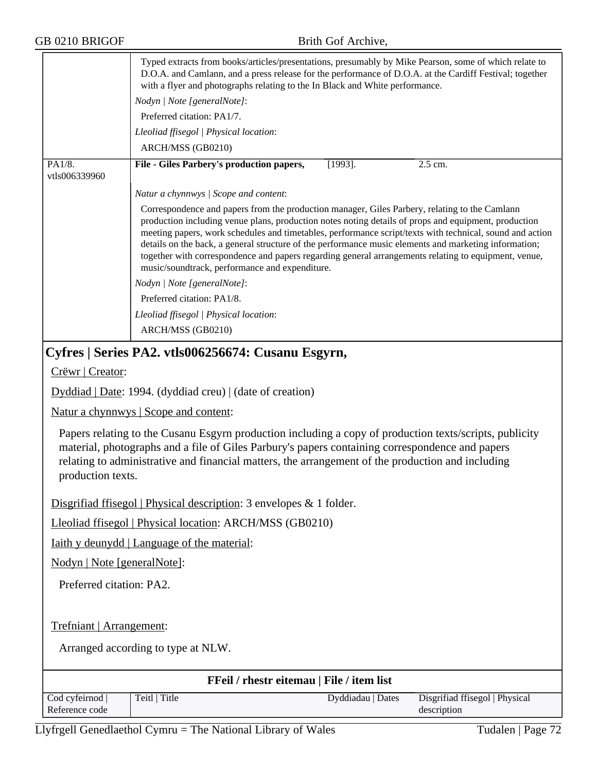|                         | Typed extracts from books/articles/presentations, presumably by Mike Pearson, some of which relate to<br>D.O.A. and Camlann, and a press release for the performance of D.O.A. at the Cardiff Festival; together<br>with a flyer and photographs relating to the In Black and White performance.                                                                                                                                                                                                                                                                                     |  |  |
|-------------------------|--------------------------------------------------------------------------------------------------------------------------------------------------------------------------------------------------------------------------------------------------------------------------------------------------------------------------------------------------------------------------------------------------------------------------------------------------------------------------------------------------------------------------------------------------------------------------------------|--|--|
|                         | Nodyn   Note [generalNote]:                                                                                                                                                                                                                                                                                                                                                                                                                                                                                                                                                          |  |  |
|                         | Preferred citation: PA1/7.                                                                                                                                                                                                                                                                                                                                                                                                                                                                                                                                                           |  |  |
|                         | Lleoliad ffisegol   Physical location:                                                                                                                                                                                                                                                                                                                                                                                                                                                                                                                                               |  |  |
|                         | ARCH/MSS (GB0210)                                                                                                                                                                                                                                                                                                                                                                                                                                                                                                                                                                    |  |  |
| PA1/8.<br>vtls006339960 | $[1993]$ .<br>File - Giles Parbery's production papers,<br>2.5 cm.                                                                                                                                                                                                                                                                                                                                                                                                                                                                                                                   |  |  |
|                         | Natur a chynnwys / Scope and content:                                                                                                                                                                                                                                                                                                                                                                                                                                                                                                                                                |  |  |
|                         | Correspondence and papers from the production manager, Giles Parbery, relating to the Camlann<br>production including venue plans, production notes noting details of props and equipment, production<br>meeting papers, work schedules and timetables, performance script/texts with technical, sound and action<br>details on the back, a general structure of the performance music elements and marketing information;<br>together with correspondence and papers regarding general arrangements relating to equipment, venue,<br>music/soundtrack, performance and expenditure. |  |  |
|                         | Nodyn   Note [generalNote]:                                                                                                                                                                                                                                                                                                                                                                                                                                                                                                                                                          |  |  |
|                         | Preferred citation: PA1/8.                                                                                                                                                                                                                                                                                                                                                                                                                                                                                                                                                           |  |  |
|                         | Lleoliad ffisegol   Physical location:                                                                                                                                                                                                                                                                                                                                                                                                                                                                                                                                               |  |  |
|                         | ARCH/MSS (GB0210)                                                                                                                                                                                                                                                                                                                                                                                                                                                                                                                                                                    |  |  |
|                         | Cyfres   Series PA2. vtls006256674: Cusanu Esgyrn,                                                                                                                                                                                                                                                                                                                                                                                                                                                                                                                                   |  |  |
| Crëwr   Creator:        |                                                                                                                                                                                                                                                                                                                                                                                                                                                                                                                                                                                      |  |  |
|                         | $Dyddiad   Date: 1994. (dyddiad creu)   (date of creation)$                                                                                                                                                                                                                                                                                                                                                                                                                                                                                                                          |  |  |
|                         | <u>Natur a chynnwys</u>   Scope and content:                                                                                                                                                                                                                                                                                                                                                                                                                                                                                                                                         |  |  |
|                         | Papers relating to the Cusanu Esgyrn production including a copy of production texts/scripts, publicity<br>meterial photographs and a file of Giles Derbury's peners containing correspondence and peners                                                                                                                                                                                                                                                                                                                                                                            |  |  |

material, photographs and a file of Giles Parbury's papers containing correspondence and papers relating to administrative and financial matters, the arrangement of the production and including production texts.

Disgrifiad ffisegol | Physical description: 3 envelopes & 1 folder.

Lleoliad ffisegol | Physical location: ARCH/MSS (GB0210)

Iaith y deunydd | Language of the material:

Nodyn | Note [generalNote]:

Preferred citation: PA2.

Trefniant | Arrangement:

| <b>FFeil / rhestr eitemau   File / item list</b> |               |                   |                                |  |  |
|--------------------------------------------------|---------------|-------------------|--------------------------------|--|--|
| Cod cyfeirnod                                    | Teitl   Title | Dyddiadau   Dates | Disgrifiad ffisegol   Physical |  |  |
| Reference code                                   |               |                   | description                    |  |  |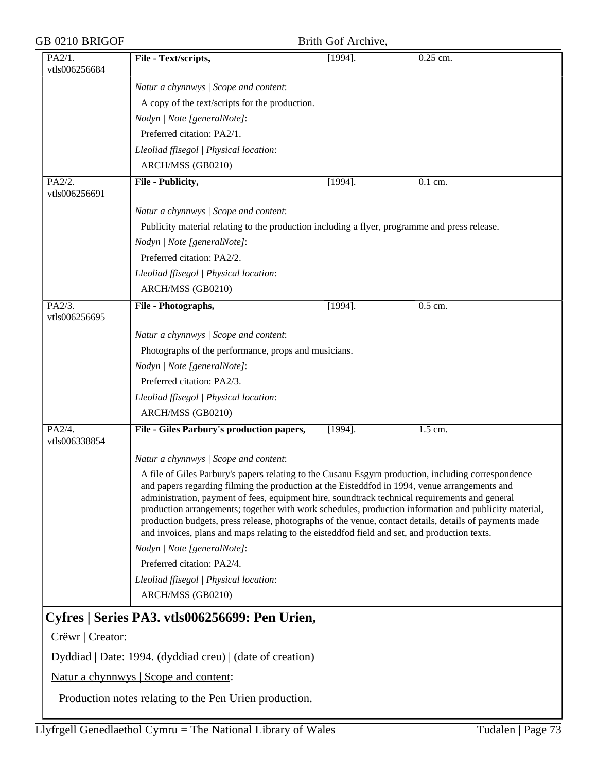| GB 0210 BRIGOF          |                                                                                                                                                                                                                                                                                                                                                                                                                                                                                                                                                                                                                                                                                                                                  | Brith Gof Archive, |                      |
|-------------------------|----------------------------------------------------------------------------------------------------------------------------------------------------------------------------------------------------------------------------------------------------------------------------------------------------------------------------------------------------------------------------------------------------------------------------------------------------------------------------------------------------------------------------------------------------------------------------------------------------------------------------------------------------------------------------------------------------------------------------------|--------------------|----------------------|
| PA2/1.<br>vtls006256684 | File - Text/scripts,                                                                                                                                                                                                                                                                                                                                                                                                                                                                                                                                                                                                                                                                                                             | $[1994]$ .         | $0.25$ cm.           |
|                         | Natur a chynnwys / Scope and content:                                                                                                                                                                                                                                                                                                                                                                                                                                                                                                                                                                                                                                                                                            |                    |                      |
|                         | A copy of the text/scripts for the production.                                                                                                                                                                                                                                                                                                                                                                                                                                                                                                                                                                                                                                                                                   |                    |                      |
|                         | Nodyn   Note [generalNote]:                                                                                                                                                                                                                                                                                                                                                                                                                                                                                                                                                                                                                                                                                                      |                    |                      |
|                         | Preferred citation: PA2/1.                                                                                                                                                                                                                                                                                                                                                                                                                                                                                                                                                                                                                                                                                                       |                    |                      |
|                         | Lleoliad ffisegol   Physical location:                                                                                                                                                                                                                                                                                                                                                                                                                                                                                                                                                                                                                                                                                           |                    |                      |
|                         | ARCH/MSS (GB0210)                                                                                                                                                                                                                                                                                                                                                                                                                                                                                                                                                                                                                                                                                                                |                    |                      |
| PA2/2.<br>vtls006256691 | File - Publicity,                                                                                                                                                                                                                                                                                                                                                                                                                                                                                                                                                                                                                                                                                                                | $[1994]$ .         | $0.1$ cm.            |
|                         | Natur a chynnwys / Scope and content:                                                                                                                                                                                                                                                                                                                                                                                                                                                                                                                                                                                                                                                                                            |                    |                      |
|                         | Publicity material relating to the production including a flyer, programme and press release.                                                                                                                                                                                                                                                                                                                                                                                                                                                                                                                                                                                                                                    |                    |                      |
|                         | Nodyn   Note [generalNote]:                                                                                                                                                                                                                                                                                                                                                                                                                                                                                                                                                                                                                                                                                                      |                    |                      |
|                         | Preferred citation: PA2/2.                                                                                                                                                                                                                                                                                                                                                                                                                                                                                                                                                                                                                                                                                                       |                    |                      |
|                         | Lleoliad ffisegol   Physical location:                                                                                                                                                                                                                                                                                                                                                                                                                                                                                                                                                                                                                                                                                           |                    |                      |
|                         | ARCH/MSS (GB0210)                                                                                                                                                                                                                                                                                                                                                                                                                                                                                                                                                                                                                                                                                                                |                    |                      |
| PA2/3.<br>vtls006256695 | File - Photographs,                                                                                                                                                                                                                                                                                                                                                                                                                                                                                                                                                                                                                                                                                                              | $[1994]$ .         | $\overline{0.5}$ cm. |
|                         | Natur a chynnwys / Scope and content:                                                                                                                                                                                                                                                                                                                                                                                                                                                                                                                                                                                                                                                                                            |                    |                      |
|                         | Photographs of the performance, props and musicians.                                                                                                                                                                                                                                                                                                                                                                                                                                                                                                                                                                                                                                                                             |                    |                      |
|                         | Nodyn   Note [generalNote]:                                                                                                                                                                                                                                                                                                                                                                                                                                                                                                                                                                                                                                                                                                      |                    |                      |
|                         | Preferred citation: PA2/3.                                                                                                                                                                                                                                                                                                                                                                                                                                                                                                                                                                                                                                                                                                       |                    |                      |
|                         | Lleoliad ffisegol   Physical location:                                                                                                                                                                                                                                                                                                                                                                                                                                                                                                                                                                                                                                                                                           |                    |                      |
|                         | ARCH/MSS (GB0210)                                                                                                                                                                                                                                                                                                                                                                                                                                                                                                                                                                                                                                                                                                                |                    |                      |
| PA2/4.<br>vtls006338854 | File - Giles Parbury's production papers,                                                                                                                                                                                                                                                                                                                                                                                                                                                                                                                                                                                                                                                                                        | $[1994]$ .         | 1.5 cm.              |
|                         | Natur a chynnwys / Scope and content:                                                                                                                                                                                                                                                                                                                                                                                                                                                                                                                                                                                                                                                                                            |                    |                      |
|                         | A file of Giles Parbury's papers relating to the Cusanu Esgyrn production, including correspondence<br>and papers regarding filming the production at the Eisteddfod in 1994, venue arrangements and<br>administration, payment of fees, equipment hire, soundtrack technical requirements and general<br>production arrangements; together with work schedules, production information and publicity material,<br>production budgets, press release, photographs of the venue, contact details, details of payments made<br>and invoices, plans and maps relating to the eisteddfod field and set, and production texts.<br>Nodyn   Note [generalNote]:<br>Preferred citation: PA2/4.<br>Lleoliad ffisegol   Physical location: |                    |                      |
|                         | ARCH/MSS (GB0210)                                                                                                                                                                                                                                                                                                                                                                                                                                                                                                                                                                                                                                                                                                                |                    |                      |
|                         | Cyfres   Series PA3. vtls006256699: Pen Urien,                                                                                                                                                                                                                                                                                                                                                                                                                                                                                                                                                                                                                                                                                   |                    |                      |
| Crëwr   Creator:        |                                                                                                                                                                                                                                                                                                                                                                                                                                                                                                                                                                                                                                                                                                                                  |                    |                      |
|                         | $Dyddiad   Date: 1994. (dyddiad creu)   (date of creation)$                                                                                                                                                                                                                                                                                                                                                                                                                                                                                                                                                                                                                                                                      |                    |                      |
|                         | Natur a chynnwys   Scope and content:                                                                                                                                                                                                                                                                                                                                                                                                                                                                                                                                                                                                                                                                                            |                    |                      |
|                         |                                                                                                                                                                                                                                                                                                                                                                                                                                                                                                                                                                                                                                                                                                                                  |                    |                      |

Production notes relating to the Pen Urien production.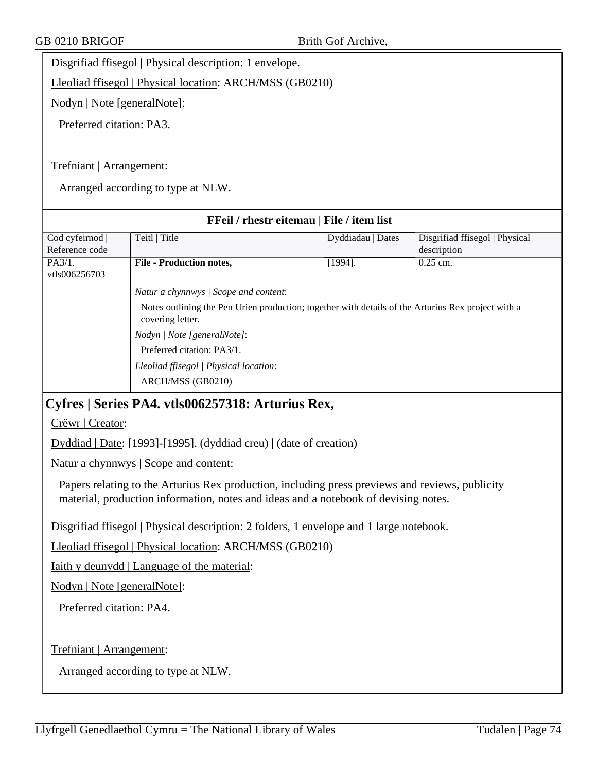Disgrifiad ffisegol | Physical description: 1 envelope.

Lleoliad ffisegol | Physical location: ARCH/MSS (GB0210)

Nodyn | Note [generalNote]:

Preferred citation: PA3.

Trefniant | Arrangement:

Arranged according to type at NLW.

| FFeil / rhestr eitemau   File / item list |                                                                                                                        |                   |                                |  |
|-------------------------------------------|------------------------------------------------------------------------------------------------------------------------|-------------------|--------------------------------|--|
| Cod cyfeirnod                             | Teitl   Title                                                                                                          | Dyddiadau   Dates | Disgrifiad ffisegol   Physical |  |
| Reference code                            |                                                                                                                        |                   | description                    |  |
| PA3/1.<br>vtls006256703                   | <b>File - Production notes,</b>                                                                                        | $[1994]$ .        | $0.25$ cm.                     |  |
|                                           | Natur a chynnwys   Scope and content:                                                                                  |                   |                                |  |
|                                           | Notes outlining the Pen Urien production; together with details of the Arturius Rex project with a<br>covering letter. |                   |                                |  |
|                                           | Nodyn   Note [generalNote]:                                                                                            |                   |                                |  |
|                                           | Preferred citation: PA3/1.                                                                                             |                   |                                |  |
|                                           | Lleoliad ffisegol   Physical location:                                                                                 |                   |                                |  |
|                                           | ARCH/MSS (GB0210)                                                                                                      |                   |                                |  |

## **Cyfres | Series PA4. vtls006257318: Arturius Rex,**

Crëwr | Creator:

Dyddiad | Date: [1993]-[1995]. (dyddiad creu) | (date of creation)

Natur a chynnwys | Scope and content:

Papers relating to the Arturius Rex production, including press previews and reviews, publicity material, production information, notes and ideas and a notebook of devising notes.

Disgrifiad ffisegol | Physical description: 2 folders, 1 envelope and 1 large notebook.

Lleoliad ffisegol | Physical location: ARCH/MSS (GB0210)

Iaith y deunydd | Language of the material:

Nodyn | Note [generalNote]:

Preferred citation: PA4.

Trefniant | Arrangement: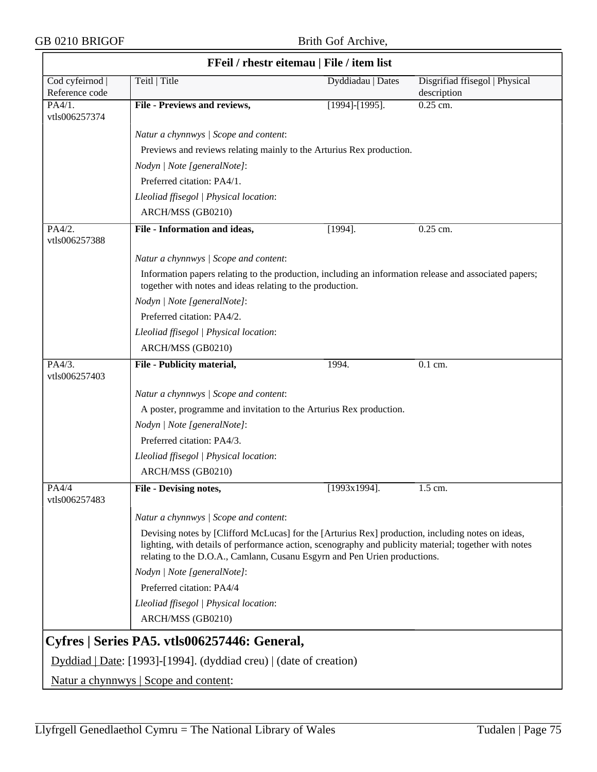| FFeil / rhestr eitemau   File / item list |                                                                                                                                                                                                                                                                                         |                       |                                               |  |  |
|-------------------------------------------|-----------------------------------------------------------------------------------------------------------------------------------------------------------------------------------------------------------------------------------------------------------------------------------------|-----------------------|-----------------------------------------------|--|--|
| Cod cyfeirnod  <br>Reference code         | Teitl   Title                                                                                                                                                                                                                                                                           | Dyddiadau   Dates     | Disgrifiad ffisegol   Physical<br>description |  |  |
| $PA\overline{4/1}$ .<br>vtls006257374     | File - Previews and reviews,                                                                                                                                                                                                                                                            | $[1994]$ - $[1995]$ . | $0.25$ cm.                                    |  |  |
|                                           | Natur a chynnwys / Scope and content:                                                                                                                                                                                                                                                   |                       |                                               |  |  |
|                                           | Previews and reviews relating mainly to the Arturius Rex production.                                                                                                                                                                                                                    |                       |                                               |  |  |
|                                           | Nodyn   Note [generalNote]:                                                                                                                                                                                                                                                             |                       |                                               |  |  |
|                                           | Preferred citation: PA4/1.                                                                                                                                                                                                                                                              |                       |                                               |  |  |
|                                           | Lleoliad ffisegol   Physical location:                                                                                                                                                                                                                                                  |                       |                                               |  |  |
|                                           | ARCH/MSS (GB0210)                                                                                                                                                                                                                                                                       |                       |                                               |  |  |
| PA4/2.<br>vtls006257388                   | File - Information and ideas,                                                                                                                                                                                                                                                           | $[1994]$ .            | 0.25 cm.                                      |  |  |
|                                           | Natur a chynnwys / Scope and content:                                                                                                                                                                                                                                                   |                       |                                               |  |  |
|                                           | Information papers relating to the production, including an information release and associated papers;<br>together with notes and ideas relating to the production.                                                                                                                     |                       |                                               |  |  |
|                                           | Nodyn   Note [generalNote]:                                                                                                                                                                                                                                                             |                       |                                               |  |  |
|                                           | Preferred citation: PA4/2.                                                                                                                                                                                                                                                              |                       |                                               |  |  |
|                                           | Lleoliad ffisegol   Physical location:                                                                                                                                                                                                                                                  |                       |                                               |  |  |
|                                           | ARCH/MSS (GB0210)                                                                                                                                                                                                                                                                       |                       |                                               |  |  |
| PA4/3.<br>vtls006257403                   | File - Publicity material,                                                                                                                                                                                                                                                              | 1994.                 | 0.1 cm.                                       |  |  |
|                                           | Natur a chynnwys / Scope and content:                                                                                                                                                                                                                                                   |                       |                                               |  |  |
|                                           | A poster, programme and invitation to the Arturius Rex production.                                                                                                                                                                                                                      |                       |                                               |  |  |
|                                           | Nodyn   Note [generalNote]:                                                                                                                                                                                                                                                             |                       |                                               |  |  |
|                                           | Preferred citation: PA4/3.                                                                                                                                                                                                                                                              |                       |                                               |  |  |
|                                           | Lleoliad ffisegol   Physical location:                                                                                                                                                                                                                                                  |                       |                                               |  |  |
|                                           | ARCH/MSS (GB0210)                                                                                                                                                                                                                                                                       |                       |                                               |  |  |
| PA4/4<br>vtls006257483                    | <b>File - Devising notes,</b>                                                                                                                                                                                                                                                           | $[1993x1994]$ .       | 1.5 cm.                                       |  |  |
|                                           | Natur a chynnwys / Scope and content:                                                                                                                                                                                                                                                   |                       |                                               |  |  |
|                                           | Devising notes by [Clifford McLucas] for the [Arturius Rex] production, including notes on ideas,<br>lighting, with details of performance action, scenography and publicity material; together with notes<br>relating to the D.O.A., Camlann, Cusanu Esgyrn and Pen Urien productions. |                       |                                               |  |  |
|                                           | Nodyn   Note [generalNote]:                                                                                                                                                                                                                                                             |                       |                                               |  |  |
|                                           | Preferred citation: PA4/4                                                                                                                                                                                                                                                               |                       |                                               |  |  |
|                                           | Lleoliad ffisegol   Physical location:                                                                                                                                                                                                                                                  |                       |                                               |  |  |
|                                           | ARCH/MSS (GB0210)                                                                                                                                                                                                                                                                       |                       |                                               |  |  |
|                                           | Cyfres   Series PA5. vtls006257446: General,                                                                                                                                                                                                                                            |                       |                                               |  |  |
|                                           | Dyddiad   Date: [1993]-[1994]. (dyddiad creu)   (date of creation)                                                                                                                                                                                                                      |                       |                                               |  |  |
|                                           | <u>Natur a chynnwys</u>   Scope and content:                                                                                                                                                                                                                                            |                       |                                               |  |  |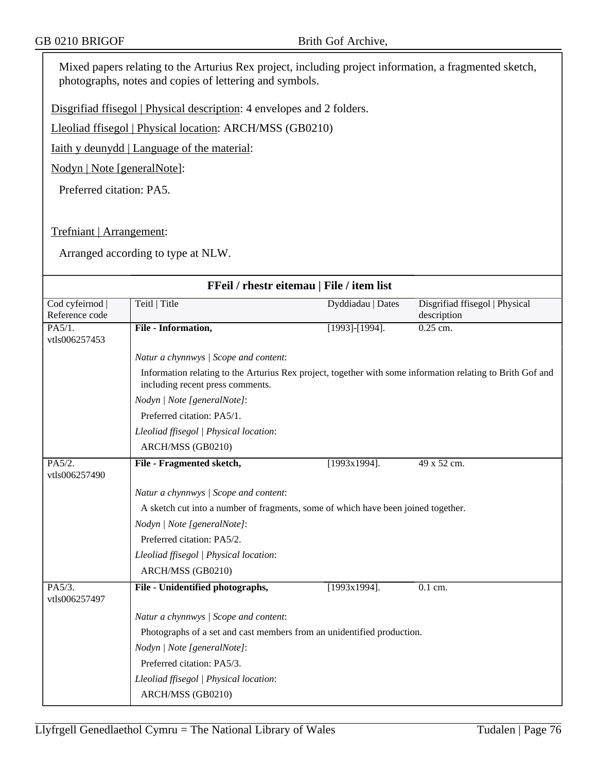Mixed papers relating to the Arturius Rex project, including project information, a fragmented sketch, photographs, notes and copies of lettering and symbols.

Disgrifiad ffisegol | Physical description: 4 envelopes and 2 folders.

Lleoliad ffisegol | Physical location: ARCH/MSS (GB0210)

Iaith y deunydd | Language of the material:

Nodyn | Note [generalNote]:

Preferred citation: PA5.

Trefniant | Arrangement:

| FFeil / rhestr eitemau   File / item list |                                                                                                                                                |                   |                                               |  |  |
|-------------------------------------------|------------------------------------------------------------------------------------------------------------------------------------------------|-------------------|-----------------------------------------------|--|--|
| Cod cyfeirnod  <br>Reference code         | Teitl Title                                                                                                                                    | Dyddiadau   Dates | Disgrifiad ffisegol   Physical<br>description |  |  |
| PA5/1.<br>vtls006257453                   | File - Information,                                                                                                                            | [1993]-[1994].    | $0.25$ cm.                                    |  |  |
|                                           | Natur a chynnwys / Scope and content:                                                                                                          |                   |                                               |  |  |
|                                           | Information relating to the Arturius Rex project, together with some information relating to Brith Gof and<br>including recent press comments. |                   |                                               |  |  |
|                                           | Nodyn   Note [generalNote]:                                                                                                                    |                   |                                               |  |  |
|                                           | Preferred citation: PA5/1.                                                                                                                     |                   |                                               |  |  |
|                                           | Lleoliad ffisegol   Physical location:                                                                                                         |                   |                                               |  |  |
|                                           | ARCH/MSS (GB0210)                                                                                                                              |                   |                                               |  |  |
| PA5/2.<br>vtls006257490                   | File - Fragmented sketch,                                                                                                                      | $[1993x1994]$ .   | 49 x 52 cm.                                   |  |  |
|                                           | Natur a chynnwys / Scope and content:                                                                                                          |                   |                                               |  |  |
|                                           | A sketch cut into a number of fragments, some of which have been joined together.                                                              |                   |                                               |  |  |
|                                           | Nodyn   Note [generalNote]:                                                                                                                    |                   |                                               |  |  |
|                                           | Preferred citation: PA5/2.                                                                                                                     |                   |                                               |  |  |
|                                           | Lleoliad ffisegol   Physical location:                                                                                                         |                   |                                               |  |  |
|                                           | ARCH/MSS (GB0210)                                                                                                                              |                   |                                               |  |  |
| PA5/3.<br>vtls006257497                   | File - Unidentified photographs,                                                                                                               | $[1993x1994]$ .   | 0.1 cm.                                       |  |  |
|                                           | Natur a chynnwys / Scope and content:                                                                                                          |                   |                                               |  |  |
|                                           | Photographs of a set and cast members from an unidentified production.                                                                         |                   |                                               |  |  |
|                                           | Nodyn   Note [generalNote]:                                                                                                                    |                   |                                               |  |  |
|                                           | Preferred citation: PA5/3.                                                                                                                     |                   |                                               |  |  |
|                                           | Lleoliad ffisegol   Physical location:                                                                                                         |                   |                                               |  |  |
|                                           | ARCH/MSS (GB0210)                                                                                                                              |                   |                                               |  |  |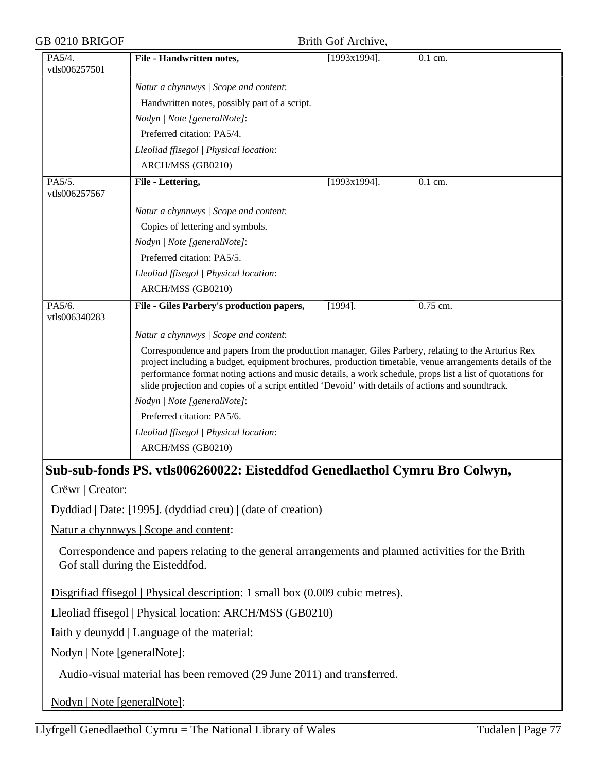| GB 0210 BRIGOF              |                                                                                                                                                                                                                                                                                                                       | Brith Gof Archive, |            |  |  |
|-----------------------------|-----------------------------------------------------------------------------------------------------------------------------------------------------------------------------------------------------------------------------------------------------------------------------------------------------------------------|--------------------|------------|--|--|
| PA5/4.<br>vtls006257501     | File - Handwritten notes,                                                                                                                                                                                                                                                                                             | $[1993x1994]$ .    | 0.1 cm.    |  |  |
|                             | Natur a chynnwys / Scope and content:                                                                                                                                                                                                                                                                                 |                    |            |  |  |
|                             | Handwritten notes, possibly part of a script.                                                                                                                                                                                                                                                                         |                    |            |  |  |
|                             | Nodyn   Note [generalNote]:                                                                                                                                                                                                                                                                                           |                    |            |  |  |
|                             | Preferred citation: PA5/4.                                                                                                                                                                                                                                                                                            |                    |            |  |  |
|                             | Lleoliad ffisegol   Physical location:                                                                                                                                                                                                                                                                                |                    |            |  |  |
|                             | ARCH/MSS (GB0210)                                                                                                                                                                                                                                                                                                     |                    |            |  |  |
| PA5/5.<br>vtls006257567     | File - Lettering,                                                                                                                                                                                                                                                                                                     | $[1993x1994]$ .    | $0.1$ cm.  |  |  |
|                             | Natur a chynnwys / Scope and content:                                                                                                                                                                                                                                                                                 |                    |            |  |  |
|                             | Copies of lettering and symbols.                                                                                                                                                                                                                                                                                      |                    |            |  |  |
|                             | Nodyn   Note [generalNote]:                                                                                                                                                                                                                                                                                           |                    |            |  |  |
|                             | Preferred citation: PA5/5.                                                                                                                                                                                                                                                                                            |                    |            |  |  |
|                             | Lleoliad ffisegol   Physical location:                                                                                                                                                                                                                                                                                |                    |            |  |  |
|                             | ARCH/MSS (GB0210)                                                                                                                                                                                                                                                                                                     |                    |            |  |  |
| PA5/6.<br>vtls006340283     | File - Giles Parbery's production papers,                                                                                                                                                                                                                                                                             | $[1994]$ .         | $0.75$ cm. |  |  |
|                             | Natur a chynnwys / Scope and content:                                                                                                                                                                                                                                                                                 |                    |            |  |  |
|                             | performance format noting actions and music details, a work schedule, props list a list of quotations for<br>slide projection and copies of a script entitled 'Devoid' with details of actions and soundtrack.<br>Nodyn   Note [generalNote]:<br>Preferred citation: PA5/6.<br>Lleoliad ffisegol   Physical location: |                    |            |  |  |
|                             | ARCH/MSS (GB0210)                                                                                                                                                                                                                                                                                                     |                    |            |  |  |
| Crëwr   Creator:            | Sub-sub-fonds PS. vtls006260022: Eisteddfod Genedlaethol Cymru Bro Colwyn,<br>Dyddiad   Date: [1995]. (dyddiad creu)   (date of creation)                                                                                                                                                                             |                    |            |  |  |
|                             | Natur a chynnwys   Scope and content:                                                                                                                                                                                                                                                                                 |                    |            |  |  |
|                             | Correspondence and papers relating to the general arrangements and planned activities for the Brith<br>Gof stall during the Eisteddfod.                                                                                                                                                                               |                    |            |  |  |
|                             | Disgrifiad ffisegol   Physical description: 1 small box (0.009 cubic metres).                                                                                                                                                                                                                                         |                    |            |  |  |
|                             | Lleoliad ffisegol   Physical location: ARCH/MSS (GB0210)                                                                                                                                                                                                                                                              |                    |            |  |  |
|                             | <u>Iaith y deunydd   Language of the material:</u>                                                                                                                                                                                                                                                                    |                    |            |  |  |
| Nodyn   Note [generalNote]: |                                                                                                                                                                                                                                                                                                                       |                    |            |  |  |
|                             | Audio-visual material has been removed (29 June 2011) and transferred.                                                                                                                                                                                                                                                |                    |            |  |  |
| Nodyn   Note [generalNote]: |                                                                                                                                                                                                                                                                                                                       |                    |            |  |  |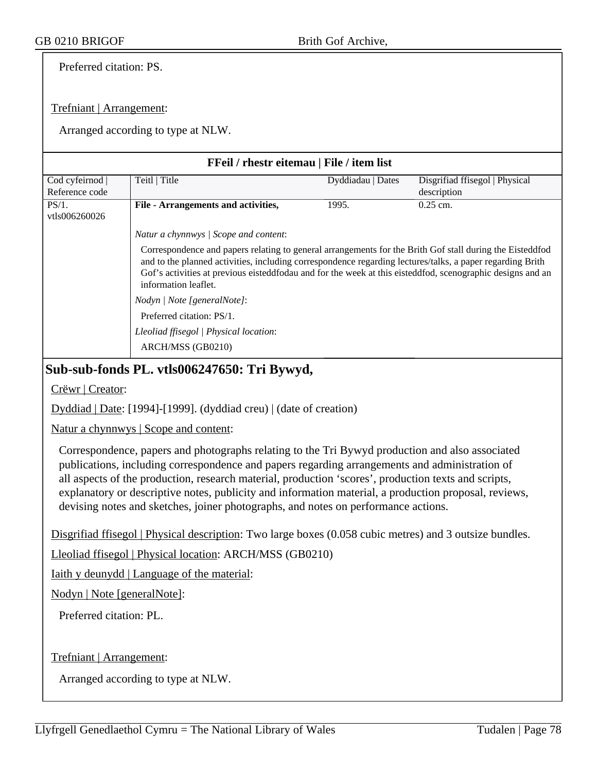Preferred citation: PS.

### Trefniant | Arrangement:

Arranged according to type at NLW.

| <b>FFeil</b> / rhestr eitemau   File / item list |                                                                                                                                                                                                                                                                                                                                                             |                   |                                |  |
|--------------------------------------------------|-------------------------------------------------------------------------------------------------------------------------------------------------------------------------------------------------------------------------------------------------------------------------------------------------------------------------------------------------------------|-------------------|--------------------------------|--|
| Cod cyfeirnod                                    | Teitl   Title                                                                                                                                                                                                                                                                                                                                               | Dyddiadau   Dates | Disgrifiad ffisegol   Physical |  |
| Reference code                                   |                                                                                                                                                                                                                                                                                                                                                             |                   | description                    |  |
| PS/1.<br>vtls006260026                           | File - Arrangements and activities,                                                                                                                                                                                                                                                                                                                         | 1995.             | $0.25$ cm.                     |  |
|                                                  | Natur a chynnwys / Scope and content:                                                                                                                                                                                                                                                                                                                       |                   |                                |  |
|                                                  | Correspondence and papers relating to general arrangements for the Brith Gof stall during the Eisteddfod<br>and to the planned activities, including correspondence regarding lectures/talks, a paper regarding Brith<br>Gof's activities at previous eisteddfodau and for the week at this eisteddfod, scenographic designs and an<br>information leaflet. |                   |                                |  |
|                                                  | Nodyn / Note [generalNote]:                                                                                                                                                                                                                                                                                                                                 |                   |                                |  |
|                                                  | Preferred citation: PS/1.                                                                                                                                                                                                                                                                                                                                   |                   |                                |  |
|                                                  | Lleoliad ffisegol   Physical location:                                                                                                                                                                                                                                                                                                                      |                   |                                |  |
|                                                  | ARCH/MSS (GB0210)                                                                                                                                                                                                                                                                                                                                           |                   |                                |  |

### **Sub-sub-fonds PL. vtls006247650: Tri Bywyd,**

Crëwr | Creator:

Dyddiad | Date: [1994]-[1999]. (dyddiad creu) | (date of creation)

Natur a chynnwys | Scope and content:

Correspondence, papers and photographs relating to the Tri Bywyd production and also associated publications, including correspondence and papers regarding arrangements and administration of all aspects of the production, research material, production 'scores', production texts and scripts, explanatory or descriptive notes, publicity and information material, a production proposal, reviews, devising notes and sketches, joiner photographs, and notes on performance actions.

Disgrifiad ffisegol | Physical description: Two large boxes (0.058 cubic metres) and 3 outsize bundles.

Lleoliad ffisegol | Physical location: ARCH/MSS (GB0210)

Iaith y deunydd | Language of the material:

Nodyn | Note [generalNote]:

Preferred citation: PL.

Trefniant | Arrangement: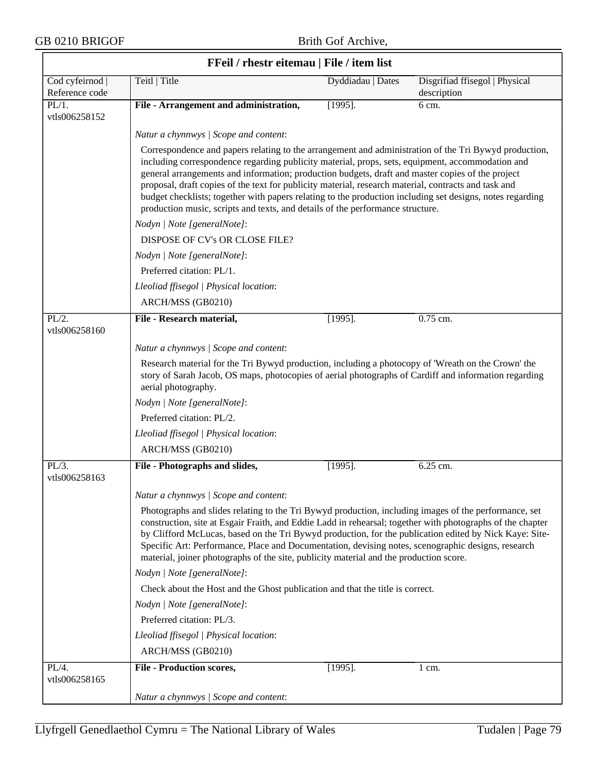|                                   | FFeil / rhestr eitemau   File / item list                                                                                                                                                                                                                                                                                                                                                                                                                                                                                                                                                                            |                   |                                               |  |  |  |
|-----------------------------------|----------------------------------------------------------------------------------------------------------------------------------------------------------------------------------------------------------------------------------------------------------------------------------------------------------------------------------------------------------------------------------------------------------------------------------------------------------------------------------------------------------------------------------------------------------------------------------------------------------------------|-------------------|-----------------------------------------------|--|--|--|
| Cod cyfeirnod  <br>Reference code | Teitl   Title                                                                                                                                                                                                                                                                                                                                                                                                                                                                                                                                                                                                        | Dyddiadau   Dates | Disgrifiad ffisegol   Physical<br>description |  |  |  |
| PL/1.<br>vtls006258152            | File - Arrangement and administration,                                                                                                                                                                                                                                                                                                                                                                                                                                                                                                                                                                               | $[1995]$ .        | 6 cm.                                         |  |  |  |
|                                   | Natur a chynnwys / Scope and content:                                                                                                                                                                                                                                                                                                                                                                                                                                                                                                                                                                                |                   |                                               |  |  |  |
|                                   | Correspondence and papers relating to the arrangement and administration of the Tri Bywyd production,<br>including correspondence regarding publicity material, props, sets, equipment, accommodation and<br>general arrangements and information; production budgets, draft and master copies of the project<br>proposal, draft copies of the text for publicity material, research material, contracts and task and<br>budget checklists; together with papers relating to the production including set designs, notes regarding<br>production music, scripts and texts, and details of the performance structure. |                   |                                               |  |  |  |
|                                   | Nodyn   Note [generalNote]:                                                                                                                                                                                                                                                                                                                                                                                                                                                                                                                                                                                          |                   |                                               |  |  |  |
|                                   | DISPOSE OF CV's OR CLOSE FILE?                                                                                                                                                                                                                                                                                                                                                                                                                                                                                                                                                                                       |                   |                                               |  |  |  |
|                                   | Nodyn   Note [generalNote]:                                                                                                                                                                                                                                                                                                                                                                                                                                                                                                                                                                                          |                   |                                               |  |  |  |
|                                   | Preferred citation: PL/1.                                                                                                                                                                                                                                                                                                                                                                                                                                                                                                                                                                                            |                   |                                               |  |  |  |
|                                   | Lleoliad ffisegol   Physical location:                                                                                                                                                                                                                                                                                                                                                                                                                                                                                                                                                                               |                   |                                               |  |  |  |
|                                   | ARCH/MSS (GB0210)                                                                                                                                                                                                                                                                                                                                                                                                                                                                                                                                                                                                    |                   |                                               |  |  |  |
| PL/2.<br>vtls006258160            | File - Research material,                                                                                                                                                                                                                                                                                                                                                                                                                                                                                                                                                                                            | $[1995]$ .        | 0.75 cm.                                      |  |  |  |
|                                   | Natur a chynnwys / Scope and content:                                                                                                                                                                                                                                                                                                                                                                                                                                                                                                                                                                                |                   |                                               |  |  |  |
|                                   | Research material for the Tri Bywyd production, including a photocopy of 'Wreath on the Crown' the<br>story of Sarah Jacob, OS maps, photocopies of aerial photographs of Cardiff and information regarding<br>aerial photography.                                                                                                                                                                                                                                                                                                                                                                                   |                   |                                               |  |  |  |
|                                   | Nodyn   Note [generalNote]:                                                                                                                                                                                                                                                                                                                                                                                                                                                                                                                                                                                          |                   |                                               |  |  |  |
|                                   | Preferred citation: PL/2.                                                                                                                                                                                                                                                                                                                                                                                                                                                                                                                                                                                            |                   |                                               |  |  |  |
|                                   | Lleoliad ffisegol   Physical location:                                                                                                                                                                                                                                                                                                                                                                                                                                                                                                                                                                               |                   |                                               |  |  |  |
|                                   | ARCH/MSS (GB0210)                                                                                                                                                                                                                                                                                                                                                                                                                                                                                                                                                                                                    |                   |                                               |  |  |  |
| $PL/3$ .<br>vtls006258163         | File - Photographs and slides,                                                                                                                                                                                                                                                                                                                                                                                                                                                                                                                                                                                       | $[1995]$ .        | 6.25 cm.                                      |  |  |  |
|                                   | Natur a chynnwys / Scope and content:                                                                                                                                                                                                                                                                                                                                                                                                                                                                                                                                                                                |                   |                                               |  |  |  |
|                                   | Photographs and slides relating to the Tri Bywyd production, including images of the performance, set<br>construction, site at Esgair Fraith, and Eddie Ladd in rehearsal; together with photographs of the chapter<br>by Clifford McLucas, based on the Tri Bywyd production, for the publication edited by Nick Kaye: Site-<br>Specific Art: Performance, Place and Documentation, devising notes, scenographic designs, research<br>material, joiner photographs of the site, publicity material and the production score.                                                                                        |                   |                                               |  |  |  |
|                                   | Nodyn   Note [generalNote]:                                                                                                                                                                                                                                                                                                                                                                                                                                                                                                                                                                                          |                   |                                               |  |  |  |
|                                   | Check about the Host and the Ghost publication and that the title is correct.                                                                                                                                                                                                                                                                                                                                                                                                                                                                                                                                        |                   |                                               |  |  |  |
|                                   | Nodyn   Note [generalNote]:                                                                                                                                                                                                                                                                                                                                                                                                                                                                                                                                                                                          |                   |                                               |  |  |  |
|                                   | Preferred citation: PL/3.                                                                                                                                                                                                                                                                                                                                                                                                                                                                                                                                                                                            |                   |                                               |  |  |  |
|                                   | Lleoliad ffisegol   Physical location:                                                                                                                                                                                                                                                                                                                                                                                                                                                                                                                                                                               |                   |                                               |  |  |  |
|                                   | ARCH/MSS (GB0210)                                                                                                                                                                                                                                                                                                                                                                                                                                                                                                                                                                                                    |                   |                                               |  |  |  |
| PL/4.<br>vtls006258165            | <b>File - Production scores,</b>                                                                                                                                                                                                                                                                                                                                                                                                                                                                                                                                                                                     | $[1995]$ .        | $1 \text{ cm}$ .                              |  |  |  |
|                                   | Natur a chynnwys / Scope and content:                                                                                                                                                                                                                                                                                                                                                                                                                                                                                                                                                                                |                   |                                               |  |  |  |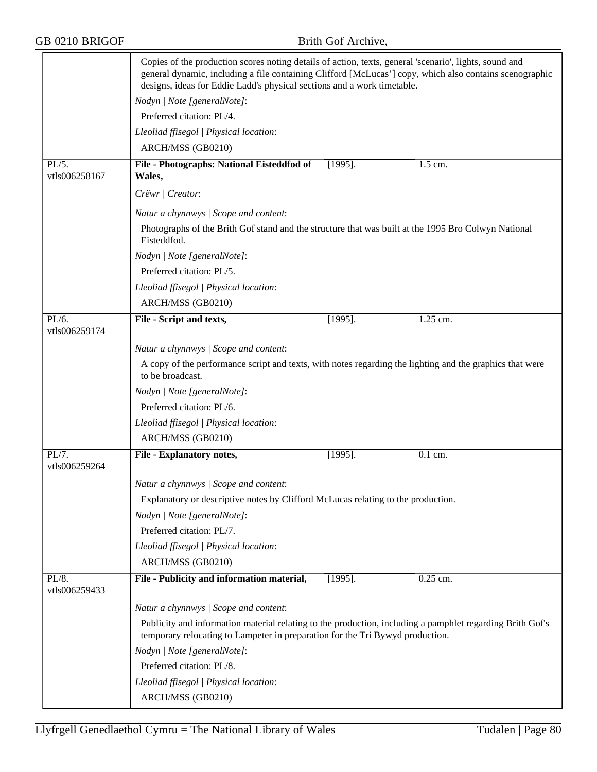|                           | Copies of the production scores noting details of action, texts, general 'scenario', lights, sound and<br>general dynamic, including a file containing Clifford [McLucas'] copy, which also contains scenographic<br>designs, ideas for Eddie Ladd's physical sections and a work timetable. |            |                      |  |
|---------------------------|----------------------------------------------------------------------------------------------------------------------------------------------------------------------------------------------------------------------------------------------------------------------------------------------|------------|----------------------|--|
|                           | Nodyn   Note [generalNote]:                                                                                                                                                                                                                                                                  |            |                      |  |
|                           | Preferred citation: PL/4.                                                                                                                                                                                                                                                                    |            |                      |  |
|                           | Lleoliad ffisegol   Physical location:                                                                                                                                                                                                                                                       |            |                      |  |
|                           | ARCH/MSS (GB0210)                                                                                                                                                                                                                                                                            |            |                      |  |
| PL/5.<br>vtls006258167    | File - Photographs: National Eisteddfod of<br>Wales,                                                                                                                                                                                                                                         | $[1995]$ . | 1.5 cm.              |  |
|                           | Crëwr   Creator:                                                                                                                                                                                                                                                                             |            |                      |  |
|                           | Natur a chynnwys / Scope and content:                                                                                                                                                                                                                                                        |            |                      |  |
|                           | Photographs of the Brith Gof stand and the structure that was built at the 1995 Bro Colwyn National<br>Eisteddfod.                                                                                                                                                                           |            |                      |  |
|                           | Nodyn   Note [generalNote]:                                                                                                                                                                                                                                                                  |            |                      |  |
|                           | Preferred citation: PL/5.                                                                                                                                                                                                                                                                    |            |                      |  |
|                           | Lleoliad ffisegol   Physical location:                                                                                                                                                                                                                                                       |            |                      |  |
|                           | ARCH/MSS (GB0210)                                                                                                                                                                                                                                                                            |            |                      |  |
| PL/6.                     | File - Script and texts,                                                                                                                                                                                                                                                                     | $[1995]$ . | 1.25 cm.             |  |
| vtls006259174             |                                                                                                                                                                                                                                                                                              |            |                      |  |
|                           | Natur a chynnwys / Scope and content:                                                                                                                                                                                                                                                        |            |                      |  |
|                           | A copy of the performance script and texts, with notes regarding the lighting and the graphics that were<br>to be broadcast.                                                                                                                                                                 |            |                      |  |
|                           | Nodyn   Note [generalNote]:                                                                                                                                                                                                                                                                  |            |                      |  |
|                           | Preferred citation: PL/6.                                                                                                                                                                                                                                                                    |            |                      |  |
|                           | Lleoliad ffisegol   Physical location:                                                                                                                                                                                                                                                       |            |                      |  |
|                           | ARCH/MSS (GB0210)                                                                                                                                                                                                                                                                            |            |                      |  |
| PL/7.<br>vtls006259264    | <b>File - Explanatory notes,</b>                                                                                                                                                                                                                                                             | $[1995]$ . | $\overline{0.1}$ cm. |  |
|                           | Natur a chynnwys / Scope and content:                                                                                                                                                                                                                                                        |            |                      |  |
|                           | Explanatory or descriptive notes by Clifford McLucas relating to the production.                                                                                                                                                                                                             |            |                      |  |
|                           | Nodyn   Note [generalNote]:                                                                                                                                                                                                                                                                  |            |                      |  |
|                           | Preferred citation: PL/7.                                                                                                                                                                                                                                                                    |            |                      |  |
|                           | Lleoliad ffisegol   Physical location:                                                                                                                                                                                                                                                       |            |                      |  |
|                           | ARCH/MSS (GB0210)                                                                                                                                                                                                                                                                            |            |                      |  |
| $PL/8$ .<br>vtls006259433 | File - Publicity and information material,                                                                                                                                                                                                                                                   | $[1995]$ . | 0.25 cm.             |  |
|                           | Natur a chynnwys / Scope and content:                                                                                                                                                                                                                                                        |            |                      |  |
|                           | Publicity and information material relating to the production, including a pamphlet regarding Brith Gof's<br>temporary relocating to Lampeter in preparation for the Tri Bywyd production.                                                                                                   |            |                      |  |
|                           | Nodyn   Note [generalNote]:                                                                                                                                                                                                                                                                  |            |                      |  |
|                           | Preferred citation: PL/8.                                                                                                                                                                                                                                                                    |            |                      |  |
|                           | Lleoliad ffisegol   Physical location:                                                                                                                                                                                                                                                       |            |                      |  |
|                           | ARCH/MSS (GB0210)                                                                                                                                                                                                                                                                            |            |                      |  |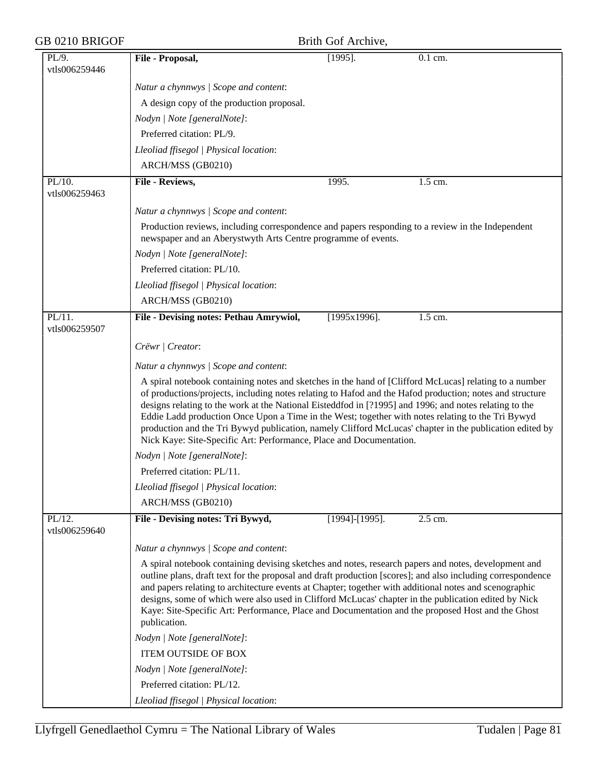| GB 0210 BRIGOF             |                                                                                                                                                                                                                                                                                                                                                                                                                                                                                                                                                                                                                     | Brith Gof Archive,   |         |  |  |  |
|----------------------------|---------------------------------------------------------------------------------------------------------------------------------------------------------------------------------------------------------------------------------------------------------------------------------------------------------------------------------------------------------------------------------------------------------------------------------------------------------------------------------------------------------------------------------------------------------------------------------------------------------------------|----------------------|---------|--|--|--|
| PL/9.<br>vtls006259446     | File - Proposal,                                                                                                                                                                                                                                                                                                                                                                                                                                                                                                                                                                                                    | $[1995]$ .           | 0.1 cm. |  |  |  |
|                            | Natur a chynnwys / Scope and content:                                                                                                                                                                                                                                                                                                                                                                                                                                                                                                                                                                               |                      |         |  |  |  |
|                            | A design copy of the production proposal.                                                                                                                                                                                                                                                                                                                                                                                                                                                                                                                                                                           |                      |         |  |  |  |
|                            |                                                                                                                                                                                                                                                                                                                                                                                                                                                                                                                                                                                                                     |                      |         |  |  |  |
|                            | Nodyn   Note [generalNote]:<br>Preferred citation: PL/9.                                                                                                                                                                                                                                                                                                                                                                                                                                                                                                                                                            |                      |         |  |  |  |
|                            |                                                                                                                                                                                                                                                                                                                                                                                                                                                                                                                                                                                                                     |                      |         |  |  |  |
|                            | Lleoliad ffisegol   Physical location:                                                                                                                                                                                                                                                                                                                                                                                                                                                                                                                                                                              |                      |         |  |  |  |
|                            | ARCH/MSS (GB0210)                                                                                                                                                                                                                                                                                                                                                                                                                                                                                                                                                                                                   |                      |         |  |  |  |
| $PL/10$ .<br>vtls006259463 | File - Reviews,                                                                                                                                                                                                                                                                                                                                                                                                                                                                                                                                                                                                     | 1995.                | 1.5 cm. |  |  |  |
|                            | Natur a chynnwys / Scope and content:                                                                                                                                                                                                                                                                                                                                                                                                                                                                                                                                                                               |                      |         |  |  |  |
|                            | Production reviews, including correspondence and papers responding to a review in the Independent<br>newspaper and an Aberystwyth Arts Centre programme of events.                                                                                                                                                                                                                                                                                                                                                                                                                                                  |                      |         |  |  |  |
|                            | Nodyn   Note [generalNote]:                                                                                                                                                                                                                                                                                                                                                                                                                                                                                                                                                                                         |                      |         |  |  |  |
|                            | Preferred citation: PL/10.                                                                                                                                                                                                                                                                                                                                                                                                                                                                                                                                                                                          |                      |         |  |  |  |
|                            | Lleoliad ffisegol   Physical location:                                                                                                                                                                                                                                                                                                                                                                                                                                                                                                                                                                              |                      |         |  |  |  |
|                            | ARCH/MSS (GB0210)                                                                                                                                                                                                                                                                                                                                                                                                                                                                                                                                                                                                   |                      |         |  |  |  |
| $PL/11$ .<br>vtls006259507 | File - Devising notes: Pethau Amrywiol,                                                                                                                                                                                                                                                                                                                                                                                                                                                                                                                                                                             | $\sqrt{1995x1996}$ . | 1.5 cm. |  |  |  |
|                            | Crëwr   Creator:                                                                                                                                                                                                                                                                                                                                                                                                                                                                                                                                                                                                    |                      |         |  |  |  |
|                            | Natur a chynnwys / Scope and content:                                                                                                                                                                                                                                                                                                                                                                                                                                                                                                                                                                               |                      |         |  |  |  |
|                            |                                                                                                                                                                                                                                                                                                                                                                                                                                                                                                                                                                                                                     |                      |         |  |  |  |
|                            | A spiral notebook containing notes and sketches in the hand of [Clifford McLucas] relating to a number<br>of productions/projects, including notes relating to Hafod and the Hafod production; notes and structure<br>designs relating to the work at the National Eisteddfod in [?1995] and 1996; and notes relating to the<br>Eddie Ladd production Once Upon a Time in the West; together with notes relating to the Tri Bywyd<br>production and the Tri Bywyd publication, namely Clifford McLucas' chapter in the publication edited by<br>Nick Kaye: Site-Specific Art: Performance, Place and Documentation. |                      |         |  |  |  |
|                            | Nodyn   Note [generalNote]:                                                                                                                                                                                                                                                                                                                                                                                                                                                                                                                                                                                         |                      |         |  |  |  |
|                            | Preferred citation: PL/11.                                                                                                                                                                                                                                                                                                                                                                                                                                                                                                                                                                                          |                      |         |  |  |  |
|                            | Lleoliad ffisegol   Physical location:                                                                                                                                                                                                                                                                                                                                                                                                                                                                                                                                                                              |                      |         |  |  |  |
|                            | ARCH/MSS (GB0210)                                                                                                                                                                                                                                                                                                                                                                                                                                                                                                                                                                                                   |                      |         |  |  |  |
| PL/12.<br>vtls006259640    | File - Devising notes: Tri Bywyd,                                                                                                                                                                                                                                                                                                                                                                                                                                                                                                                                                                                   | [1994]-[1995].       | 2.5 cm. |  |  |  |
|                            | Natur a chynnwys / Scope and content:                                                                                                                                                                                                                                                                                                                                                                                                                                                                                                                                                                               |                      |         |  |  |  |
|                            | A spiral notebook containing devising sketches and notes, research papers and notes, development and<br>outline plans, draft text for the proposal and draft production [scores]; and also including correspondence<br>and papers relating to architecture events at Chapter; together with additional notes and scenographic<br>designs, some of which were also used in Clifford McLucas' chapter in the publication edited by Nick<br>Kaye: Site-Specific Art: Performance, Place and Documentation and the proposed Host and the Ghost<br>publication.                                                          |                      |         |  |  |  |
|                            | Nodyn   Note [generalNote]:                                                                                                                                                                                                                                                                                                                                                                                                                                                                                                                                                                                         |                      |         |  |  |  |
|                            | <b>ITEM OUTSIDE OF BOX</b>                                                                                                                                                                                                                                                                                                                                                                                                                                                                                                                                                                                          |                      |         |  |  |  |
|                            | Nodyn   Note [generalNote]:                                                                                                                                                                                                                                                                                                                                                                                                                                                                                                                                                                                         |                      |         |  |  |  |
|                            | Preferred citation: PL/12.                                                                                                                                                                                                                                                                                                                                                                                                                                                                                                                                                                                          |                      |         |  |  |  |
|                            | Lleoliad ffisegol   Physical location:                                                                                                                                                                                                                                                                                                                                                                                                                                                                                                                                                                              |                      |         |  |  |  |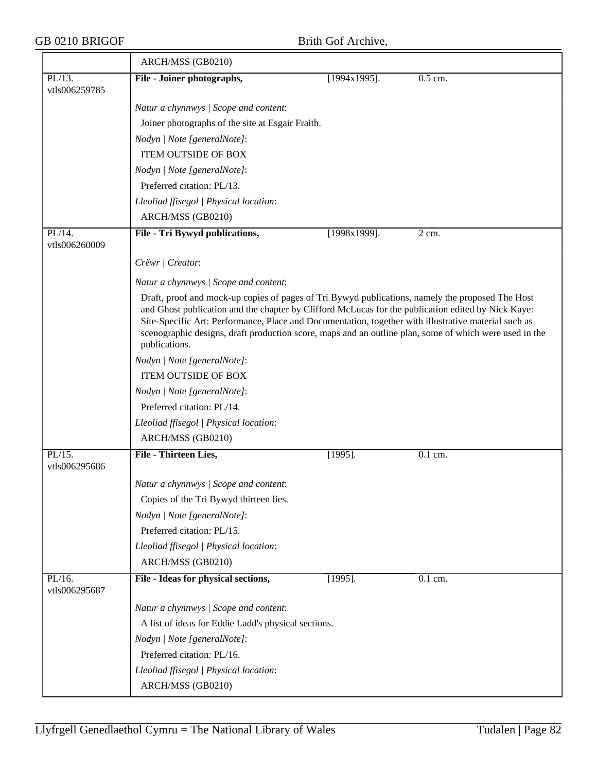|                            | ARCH/MSS (GB0210)                                                                                                                                                                                                                                                                                                                                                                                                                         |                 |         |
|----------------------------|-------------------------------------------------------------------------------------------------------------------------------------------------------------------------------------------------------------------------------------------------------------------------------------------------------------------------------------------------------------------------------------------------------------------------------------------|-----------------|---------|
| PL/13.<br>vtls006259785    | File - Joiner photographs,                                                                                                                                                                                                                                                                                                                                                                                                                | $[1994x1995]$ . | 0.5 cm. |
|                            | Natur a chynnwys / Scope and content:                                                                                                                                                                                                                                                                                                                                                                                                     |                 |         |
|                            | Joiner photographs of the site at Esgair Fraith.                                                                                                                                                                                                                                                                                                                                                                                          |                 |         |
|                            | Nodyn   Note [generalNote]:                                                                                                                                                                                                                                                                                                                                                                                                               |                 |         |
|                            | <b>ITEM OUTSIDE OF BOX</b>                                                                                                                                                                                                                                                                                                                                                                                                                |                 |         |
|                            | Nodyn   Note [generalNote]:                                                                                                                                                                                                                                                                                                                                                                                                               |                 |         |
|                            | Preferred citation: PL/13.                                                                                                                                                                                                                                                                                                                                                                                                                |                 |         |
|                            | Lleoliad ffisegol   Physical location:                                                                                                                                                                                                                                                                                                                                                                                                    |                 |         |
|                            | ARCH/MSS (GB0210)                                                                                                                                                                                                                                                                                                                                                                                                                         |                 |         |
| $PL/14$ .<br>vtls006260009 | File - Tri Bywyd publications,                                                                                                                                                                                                                                                                                                                                                                                                            | $[1998x1999]$ . | $2$ cm. |
|                            | Crëwr   Creator:                                                                                                                                                                                                                                                                                                                                                                                                                          |                 |         |
|                            | Natur a chynnwys / Scope and content:                                                                                                                                                                                                                                                                                                                                                                                                     |                 |         |
|                            | Draft, proof and mock-up copies of pages of Tri Bywyd publications, namely the proposed The Host<br>and Ghost publication and the chapter by Clifford McLucas for the publication edited by Nick Kaye:<br>Site-Specific Art: Performance, Place and Documentation, together with illustrative material such as<br>scenographic designs, draft production score, maps and an outline plan, some of which were used in the<br>publications. |                 |         |
|                            | Nodyn   Note [generalNote]:                                                                                                                                                                                                                                                                                                                                                                                                               |                 |         |
|                            | ITEM OUTSIDE OF BOX                                                                                                                                                                                                                                                                                                                                                                                                                       |                 |         |
|                            | Nodyn   Note [generalNote]:                                                                                                                                                                                                                                                                                                                                                                                                               |                 |         |
|                            | Preferred citation: PL/14.                                                                                                                                                                                                                                                                                                                                                                                                                |                 |         |
|                            | Lleoliad ffisegol   Physical location:                                                                                                                                                                                                                                                                                                                                                                                                    |                 |         |
|                            | ARCH/MSS (GB0210)                                                                                                                                                                                                                                                                                                                                                                                                                         |                 |         |
| PL/15.<br>vtls006295686    | File - Thirteen Lies,                                                                                                                                                                                                                                                                                                                                                                                                                     | $[1995]$ .      | 0.1 cm. |
|                            | Natur a chynnwys / Scope and content:                                                                                                                                                                                                                                                                                                                                                                                                     |                 |         |
|                            | Copies of the Tri Bywyd thirteen lies.                                                                                                                                                                                                                                                                                                                                                                                                    |                 |         |
|                            | Nodyn   Note [generalNote]:                                                                                                                                                                                                                                                                                                                                                                                                               |                 |         |
|                            | Preferred citation: PL/15.                                                                                                                                                                                                                                                                                                                                                                                                                |                 |         |
|                            | Lleoliad ffisegol   Physical location:                                                                                                                                                                                                                                                                                                                                                                                                    |                 |         |
|                            | ARCH/MSS (GB0210)                                                                                                                                                                                                                                                                                                                                                                                                                         |                 |         |
| PL/16.<br>vtls006295687    | File - Ideas for physical sections,                                                                                                                                                                                                                                                                                                                                                                                                       | $[1995]$ .      | 0.1 cm. |
|                            | Natur a chynnwys / Scope and content:                                                                                                                                                                                                                                                                                                                                                                                                     |                 |         |
|                            | A list of ideas for Eddie Ladd's physical sections.                                                                                                                                                                                                                                                                                                                                                                                       |                 |         |
|                            | Nodyn   Note [generalNote]:                                                                                                                                                                                                                                                                                                                                                                                                               |                 |         |
|                            | Preferred citation: PL/16.                                                                                                                                                                                                                                                                                                                                                                                                                |                 |         |
|                            | Lleoliad ffisegol   Physical location:                                                                                                                                                                                                                                                                                                                                                                                                    |                 |         |
|                            | ARCH/MSS (GB0210)                                                                                                                                                                                                                                                                                                                                                                                                                         |                 |         |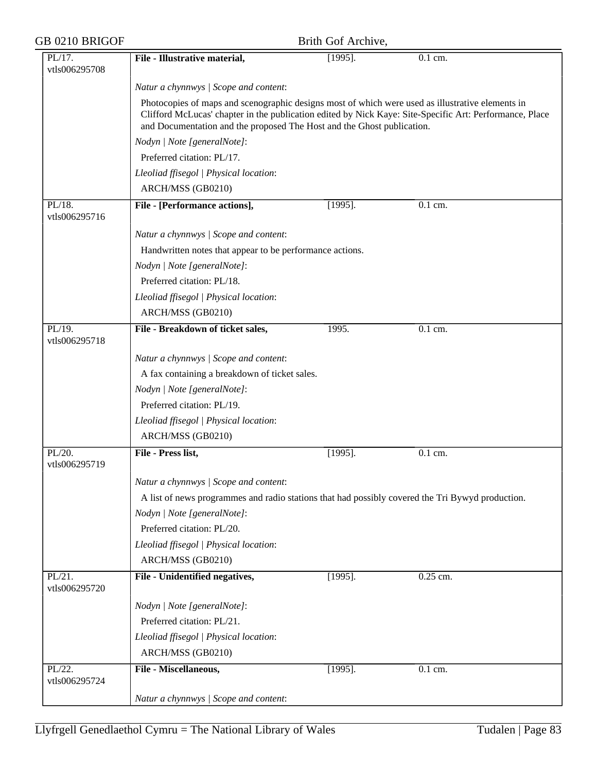| GB 0210 BRIGOF             |                                                                                                                                                                                                                                                                                       | Brith Gof Archive, |           |  |
|----------------------------|---------------------------------------------------------------------------------------------------------------------------------------------------------------------------------------------------------------------------------------------------------------------------------------|--------------------|-----------|--|
| PL/17.<br>vtls006295708    | File - Illustrative material,                                                                                                                                                                                                                                                         | $[1995]$ .         | $0.1$ cm. |  |
|                            | Natur a chynnwys / Scope and content:                                                                                                                                                                                                                                                 |                    |           |  |
|                            | Photocopies of maps and scenographic designs most of which were used as illustrative elements in<br>Clifford McLucas' chapter in the publication edited by Nick Kaye: Site-Specific Art: Performance, Place<br>and Documentation and the proposed The Host and the Ghost publication. |                    |           |  |
|                            | Nodyn   Note [generalNote]:                                                                                                                                                                                                                                                           |                    |           |  |
|                            | Preferred citation: PL/17.                                                                                                                                                                                                                                                            |                    |           |  |
|                            | Lleoliad ffisegol   Physical location:                                                                                                                                                                                                                                                |                    |           |  |
|                            | ARCH/MSS (GB0210)                                                                                                                                                                                                                                                                     |                    |           |  |
| $PL/18$ .<br>vtls006295716 | File - [Performance actions],                                                                                                                                                                                                                                                         | $[1995]$ .         | 0.1 cm.   |  |
|                            | Natur a chynnwys / Scope and content:                                                                                                                                                                                                                                                 |                    |           |  |
|                            | Handwritten notes that appear to be performance actions.                                                                                                                                                                                                                              |                    |           |  |
|                            | Nodyn   Note [generalNote]:                                                                                                                                                                                                                                                           |                    |           |  |
|                            | Preferred citation: PL/18.                                                                                                                                                                                                                                                            |                    |           |  |
|                            | Lleoliad ffisegol   Physical location:                                                                                                                                                                                                                                                |                    |           |  |
|                            | ARCH/MSS (GB0210)                                                                                                                                                                                                                                                                     |                    |           |  |
| PL/19.<br>vtls006295718    | File - Breakdown of ticket sales,                                                                                                                                                                                                                                                     | 1995.              | $0.1$ cm. |  |
|                            | Natur a chynnwys / Scope and content:                                                                                                                                                                                                                                                 |                    |           |  |
|                            | A fax containing a breakdown of ticket sales.                                                                                                                                                                                                                                         |                    |           |  |
|                            | Nodyn   Note [generalNote]:                                                                                                                                                                                                                                                           |                    |           |  |
|                            | Preferred citation: PL/19.                                                                                                                                                                                                                                                            |                    |           |  |
|                            | Lleoliad ffisegol   Physical location:                                                                                                                                                                                                                                                |                    |           |  |
|                            | ARCH/MSS (GB0210)                                                                                                                                                                                                                                                                     |                    |           |  |
| PL/20.<br>vtls006295719    | File - Press list,                                                                                                                                                                                                                                                                    | $[1995]$ .         | 0.1 cm.   |  |
|                            | Natur a chynnwys / Scope and content:                                                                                                                                                                                                                                                 |                    |           |  |
|                            | A list of news programmes and radio stations that had possibly covered the Tri Bywyd production.                                                                                                                                                                                      |                    |           |  |
|                            | Nodyn   Note [generalNote]:                                                                                                                                                                                                                                                           |                    |           |  |
|                            | Preferred citation: PL/20.                                                                                                                                                                                                                                                            |                    |           |  |
|                            | Lleoliad ffisegol   Physical location:                                                                                                                                                                                                                                                |                    |           |  |
|                            | ARCH/MSS (GB0210)                                                                                                                                                                                                                                                                     |                    |           |  |
| $PL/21$ .<br>vtls006295720 | File - Unidentified negatives,                                                                                                                                                                                                                                                        | $[1995]$ .         | 0.25 cm.  |  |
|                            | Nodyn   Note [generalNote]:                                                                                                                                                                                                                                                           |                    |           |  |
|                            | Preferred citation: PL/21.                                                                                                                                                                                                                                                            |                    |           |  |
|                            | Lleoliad ffisegol   Physical location:                                                                                                                                                                                                                                                |                    |           |  |
|                            | ARCH/MSS (GB0210)                                                                                                                                                                                                                                                                     |                    |           |  |
| $PL/22$ .<br>vtls006295724 | File - Miscellaneous,                                                                                                                                                                                                                                                                 | $[1995]$ .         | 0.1 cm.   |  |
|                            | Natur a chynnwys / Scope and content:                                                                                                                                                                                                                                                 |                    |           |  |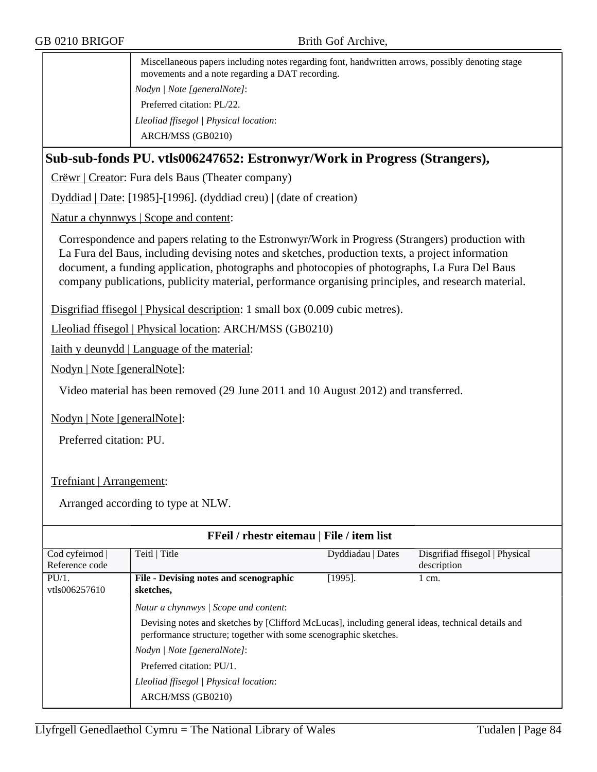Miscellaneous papers including notes regarding font, handwritten arrows, possibly denoting stage movements and a note regarding a DAT recording. *Nodyn | Note [generalNote]*: Preferred citation: PL/22. *Lleoliad ffisegol | Physical location*: ARCH/MSS (GB0210)

### **Sub-sub-fonds PU. vtls006247652: Estronwyr/Work in Progress (Strangers),**

Crëwr | Creator: Fura dels Baus (Theater company)

Dyddiad | Date: [1985]-[1996]. (dyddiad creu) | (date of creation)

Natur a chynnwys | Scope and content:

Correspondence and papers relating to the Estronwyr/Work in Progress (Strangers) production with La Fura del Baus, including devising notes and sketches, production texts, a project information document, a funding application, photographs and photocopies of photographs, La Fura Del Baus company publications, publicity material, performance organising principles, and research material.

Disgrifiad ffisegol | Physical description: 1 small box (0.009 cubic metres).

Lleoliad ffisegol | Physical location: ARCH/MSS (GB0210)

Iaith y deunydd | Language of the material:

Nodyn | Note [generalNote]:

Video material has been removed (29 June 2011 and 10 August 2012) and transferred.

Nodyn | Note [generalNote]:

Preferred citation: PU.

### Trefniant | Arrangement:

| <b>FFeil</b> / rhestr eitemau   File / item list |                                                                                                                                                                       |                   |                                |  |  |
|--------------------------------------------------|-----------------------------------------------------------------------------------------------------------------------------------------------------------------------|-------------------|--------------------------------|--|--|
| Cod cyfeirnod                                    | Teitl   Title                                                                                                                                                         | Dyddiadau   Dates | Disgrifiad ffisegol   Physical |  |  |
| Reference code                                   |                                                                                                                                                                       |                   | description                    |  |  |
| $PU/1$ .                                         | File - Devising notes and scenographic                                                                                                                                | $[1995]$ .        | 1 cm.                          |  |  |
| vtls006257610                                    | sketches,                                                                                                                                                             |                   |                                |  |  |
|                                                  | Natur a chynnwys / Scope and content:                                                                                                                                 |                   |                                |  |  |
|                                                  | Devising notes and sketches by [Clifford McLucas], including general ideas, technical details and<br>performance structure; together with some scenographic sketches. |                   |                                |  |  |
|                                                  | Nodyn / Note [generalNote]:                                                                                                                                           |                   |                                |  |  |
|                                                  | Preferred citation: PU/1.                                                                                                                                             |                   |                                |  |  |
|                                                  | Lleoliad ffisegol   Physical location:                                                                                                                                |                   |                                |  |  |
|                                                  | ARCH/MSS (GB0210)                                                                                                                                                     |                   |                                |  |  |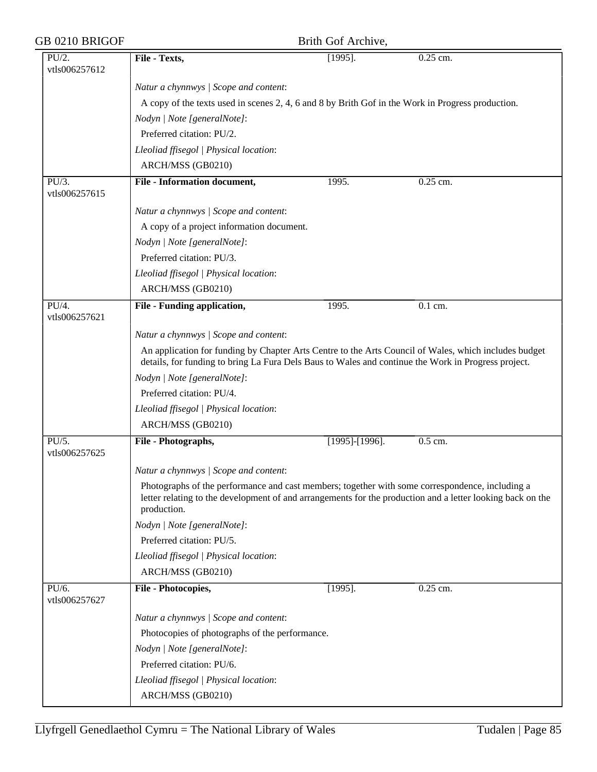| GB 0210 BRIGOF         |                                                                                                                                                                                                                              | Brith Gof Archive, |                      |  |  |
|------------------------|------------------------------------------------------------------------------------------------------------------------------------------------------------------------------------------------------------------------------|--------------------|----------------------|--|--|
| PU/2.<br>vtls006257612 | File - Texts,                                                                                                                                                                                                                | $[1995]$ .         | 0.25 cm.             |  |  |
|                        | Natur a chynnwys / Scope and content:                                                                                                                                                                                        |                    |                      |  |  |
|                        | A copy of the texts used in scenes 2, 4, 6 and 8 by Brith Gof in the Work in Progress production.                                                                                                                            |                    |                      |  |  |
|                        | Nodyn   Note [generalNote]:                                                                                                                                                                                                  |                    |                      |  |  |
|                        | Preferred citation: PU/2.                                                                                                                                                                                                    |                    |                      |  |  |
|                        | Lleoliad ffisegol   Physical location:                                                                                                                                                                                       |                    |                      |  |  |
|                        | ARCH/MSS (GB0210)                                                                                                                                                                                                            |                    |                      |  |  |
| PU/3.                  | <b>File - Information document,</b>                                                                                                                                                                                          | 1995.              | 0.25 cm.             |  |  |
| vtls006257615          |                                                                                                                                                                                                                              |                    |                      |  |  |
|                        | Natur a chynnwys / Scope and content:                                                                                                                                                                                        |                    |                      |  |  |
|                        | A copy of a project information document.                                                                                                                                                                                    |                    |                      |  |  |
|                        | Nodyn   Note [generalNote]:                                                                                                                                                                                                  |                    |                      |  |  |
|                        | Preferred citation: PU/3.                                                                                                                                                                                                    |                    |                      |  |  |
|                        | Lleoliad ffisegol   Physical location:                                                                                                                                                                                       |                    |                      |  |  |
|                        | ARCH/MSS (GB0210)                                                                                                                                                                                                            |                    |                      |  |  |
| PU/4.<br>vtls006257621 | File - Funding application,                                                                                                                                                                                                  | 1995.              | $\overline{0.1}$ cm. |  |  |
|                        | Natur a chynnwys / Scope and content:                                                                                                                                                                                        |                    |                      |  |  |
|                        | An application for funding by Chapter Arts Centre to the Arts Council of Wales, which includes budget<br>details, for funding to bring La Fura Dels Baus to Wales and continue the Work in Progress project.                 |                    |                      |  |  |
|                        | Nodyn   Note [generalNote]:                                                                                                                                                                                                  |                    |                      |  |  |
|                        | Preferred citation: PU/4.                                                                                                                                                                                                    |                    |                      |  |  |
|                        | Lleoliad ffisegol   Physical location:                                                                                                                                                                                       |                    |                      |  |  |
|                        | ARCH/MSS (GB0210)                                                                                                                                                                                                            |                    |                      |  |  |
| PU/5.<br>vtls006257625 | File - Photographs,                                                                                                                                                                                                          | $[1995]$ -[1996].  | 0.5 cm.              |  |  |
|                        | Natur a chynnwys / Scope and content:                                                                                                                                                                                        |                    |                      |  |  |
|                        | Photographs of the performance and cast members; together with some correspondence, including a<br>letter relating to the development of and arrangements for the production and a letter looking back on the<br>production. |                    |                      |  |  |
|                        | Nodyn   Note [generalNote]:                                                                                                                                                                                                  |                    |                      |  |  |
|                        | Preferred citation: PU/5.                                                                                                                                                                                                    |                    |                      |  |  |
|                        | Lleoliad ffisegol   Physical location:                                                                                                                                                                                       |                    |                      |  |  |
|                        | ARCH/MSS (GB0210)                                                                                                                                                                                                            |                    |                      |  |  |
| PU/6.<br>vtls006257627 | File - Photocopies,                                                                                                                                                                                                          | $[1995]$ .         | 0.25 cm.             |  |  |
|                        | Natur a chynnwys / Scope and content:                                                                                                                                                                                        |                    |                      |  |  |
|                        | Photocopies of photographs of the performance.                                                                                                                                                                               |                    |                      |  |  |
|                        | Nodyn   Note [generalNote]:                                                                                                                                                                                                  |                    |                      |  |  |
|                        | Preferred citation: PU/6.                                                                                                                                                                                                    |                    |                      |  |  |
|                        | Lleoliad ffisegol   Physical location:                                                                                                                                                                                       |                    |                      |  |  |
|                        | ARCH/MSS (GB0210)                                                                                                                                                                                                            |                    |                      |  |  |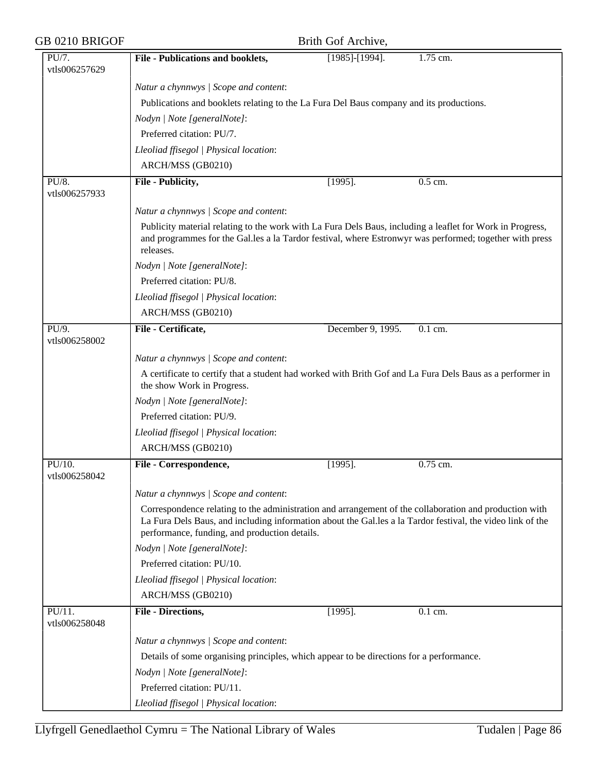| GB 0210 BRIGOF |                                                                                                                                                                                                                                                                       | Brith Gof Archive, |          |  |
|----------------|-----------------------------------------------------------------------------------------------------------------------------------------------------------------------------------------------------------------------------------------------------------------------|--------------------|----------|--|
| PU/7.          | File - Publications and booklets,                                                                                                                                                                                                                                     | $[1985]$ -[1994].  | 1.75 cm. |  |
| vtls006257629  |                                                                                                                                                                                                                                                                       |                    |          |  |
|                | Natur a chynnwys / Scope and content:                                                                                                                                                                                                                                 |                    |          |  |
|                | Publications and booklets relating to the La Fura Del Baus company and its productions.                                                                                                                                                                               |                    |          |  |
|                | Nodyn   Note [generalNote]:                                                                                                                                                                                                                                           |                    |          |  |
|                | Preferred citation: PU/7.                                                                                                                                                                                                                                             |                    |          |  |
|                | Lleoliad ffisegol   Physical location:                                                                                                                                                                                                                                |                    |          |  |
|                | ARCH/MSS (GB0210)                                                                                                                                                                                                                                                     |                    |          |  |
| PU/8.          | File - Publicity,                                                                                                                                                                                                                                                     | $[1995]$ .         | 0.5 cm.  |  |
| vtls006257933  |                                                                                                                                                                                                                                                                       |                    |          |  |
|                | Natur a chynnwys / Scope and content:                                                                                                                                                                                                                                 |                    |          |  |
|                | Publicity material relating to the work with La Fura Dels Baus, including a leaflet for Work in Progress,<br>and programmes for the Gal.les a la Tardor festival, where Estronwyr was performed; together with press<br>releases.                                     |                    |          |  |
|                | Nodyn   Note [generalNote]:                                                                                                                                                                                                                                           |                    |          |  |
|                | Preferred citation: PU/8.                                                                                                                                                                                                                                             |                    |          |  |
|                | Lleoliad ffisegol   Physical location:                                                                                                                                                                                                                                |                    |          |  |
|                | ARCH/MSS (GB0210)                                                                                                                                                                                                                                                     |                    |          |  |
| PU/9.          | File - Certificate,                                                                                                                                                                                                                                                   | December 9, 1995.  | 0.1 cm.  |  |
| vtls006258002  |                                                                                                                                                                                                                                                                       |                    |          |  |
|                | Natur a chynnwys / Scope and content:                                                                                                                                                                                                                                 |                    |          |  |
|                | A certificate to certify that a student had worked with Brith Gof and La Fura Dels Baus as a performer in<br>the show Work in Progress.                                                                                                                               |                    |          |  |
|                | Nodyn   Note [generalNote]:                                                                                                                                                                                                                                           |                    |          |  |
|                | Preferred citation: PU/9.                                                                                                                                                                                                                                             |                    |          |  |
|                | Lleoliad ffisegol   Physical location:                                                                                                                                                                                                                                |                    |          |  |
|                | ARCH/MSS (GB0210)                                                                                                                                                                                                                                                     |                    |          |  |
| PU/10.         | File - Correspondence,                                                                                                                                                                                                                                                | $[1995]$ .         | 0.75 cm. |  |
| vtls006258042  |                                                                                                                                                                                                                                                                       |                    |          |  |
|                | Natur a chynnwys / Scope and content:                                                                                                                                                                                                                                 |                    |          |  |
|                | Correspondence relating to the administration and arrangement of the collaboration and production with<br>La Fura Dels Baus, and including information about the Gal.les a la Tardor festival, the video link of the<br>performance, funding, and production details. |                    |          |  |
|                | Nodyn   Note [generalNote]:                                                                                                                                                                                                                                           |                    |          |  |
|                | Preferred citation: PU/10.                                                                                                                                                                                                                                            |                    |          |  |
|                | Lleoliad ffisegol   Physical location:                                                                                                                                                                                                                                |                    |          |  |
|                | ARCH/MSS (GB0210)                                                                                                                                                                                                                                                     |                    |          |  |
| $PU/11$ .      | <b>File - Directions,</b>                                                                                                                                                                                                                                             | $[1995]$ .         | 0.1 cm.  |  |
| vtls006258048  |                                                                                                                                                                                                                                                                       |                    |          |  |
|                | Natur a chynnwys / Scope and content:                                                                                                                                                                                                                                 |                    |          |  |
|                | Details of some organising principles, which appear to be directions for a performance.                                                                                                                                                                               |                    |          |  |
|                | Nodyn   Note [generalNote]:                                                                                                                                                                                                                                           |                    |          |  |
|                | Preferred citation: PU/11.                                                                                                                                                                                                                                            |                    |          |  |
|                | Lleoliad ffisegol   Physical location:                                                                                                                                                                                                                                |                    |          |  |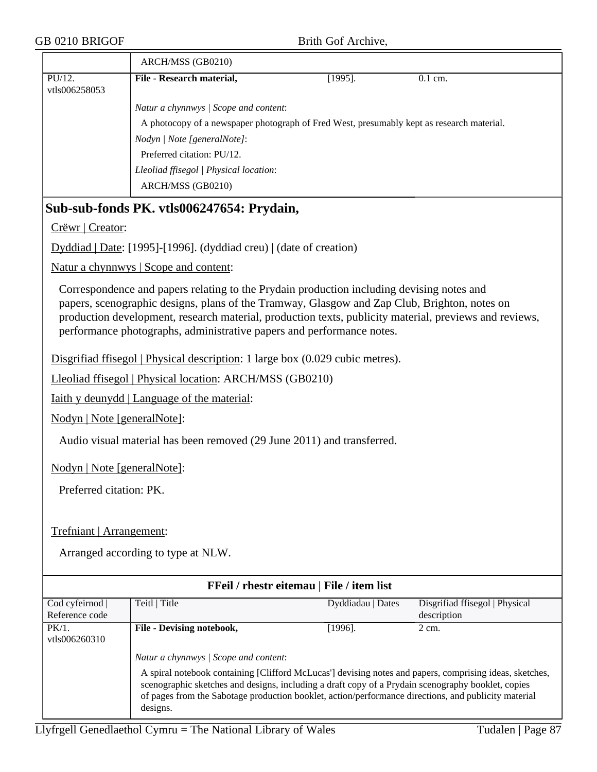|                                 | ARCH/MSS (GB0210)                                                                                                                                                                                                                                                                                                                                                            |                   |                                               |
|---------------------------------|------------------------------------------------------------------------------------------------------------------------------------------------------------------------------------------------------------------------------------------------------------------------------------------------------------------------------------------------------------------------------|-------------------|-----------------------------------------------|
| PU/12.<br>vtls006258053         | File - Research material,                                                                                                                                                                                                                                                                                                                                                    | $[1995]$ .        | 0.1 cm.                                       |
|                                 | Natur a chynnwys / Scope and content:                                                                                                                                                                                                                                                                                                                                        |                   |                                               |
|                                 | A photocopy of a newspaper photograph of Fred West, presumably kept as research material.                                                                                                                                                                                                                                                                                    |                   |                                               |
|                                 | Nodyn   Note [generalNote]:                                                                                                                                                                                                                                                                                                                                                  |                   |                                               |
|                                 | Preferred citation: PU/12.                                                                                                                                                                                                                                                                                                                                                   |                   |                                               |
|                                 | Lleoliad ffisegol   Physical location:<br>ARCH/MSS (GB0210)                                                                                                                                                                                                                                                                                                                  |                   |                                               |
|                                 | Sub-sub-fonds PK. vtls006247654: Prydain,                                                                                                                                                                                                                                                                                                                                    |                   |                                               |
| Crëwr   Creator:                |                                                                                                                                                                                                                                                                                                                                                                              |                   |                                               |
|                                 | Dyddiad   Date: [1995]-[1996]. (dyddiad creu)   (date of creation)                                                                                                                                                                                                                                                                                                           |                   |                                               |
|                                 | Natur a chynnwys   Scope and content:                                                                                                                                                                                                                                                                                                                                        |                   |                                               |
|                                 | Correspondence and papers relating to the Prydain production including devising notes and<br>papers, scenographic designs, plans of the Tramway, Glasgow and Zap Club, Brighton, notes on<br>production development, research material, production texts, publicity material, previews and reviews,<br>performance photographs, administrative papers and performance notes. |                   |                                               |
|                                 | Disgrifiad ffisegol   Physical description: 1 large box (0.029 cubic metres).                                                                                                                                                                                                                                                                                                |                   |                                               |
|                                 | Lleoliad ffisegol   Physical location: ARCH/MSS (GB0210)                                                                                                                                                                                                                                                                                                                     |                   |                                               |
|                                 | <u>Iaith y deunydd   Language of the material:</u>                                                                                                                                                                                                                                                                                                                           |                   |                                               |
| Nodyn   Note [generalNote]:     |                                                                                                                                                                                                                                                                                                                                                                              |                   |                                               |
|                                 | Audio visual material has been removed (29 June 2011) and transferred.                                                                                                                                                                                                                                                                                                       |                   |                                               |
| Nodyn   Note [generalNote]:     |                                                                                                                                                                                                                                                                                                                                                                              |                   |                                               |
| Preferred citation: PK.         |                                                                                                                                                                                                                                                                                                                                                                              |                   |                                               |
| Trefniant   Arrangement:        |                                                                                                                                                                                                                                                                                                                                                                              |                   |                                               |
|                                 | Arranged according to type at NLW.                                                                                                                                                                                                                                                                                                                                           |                   |                                               |
|                                 | FFeil / rhestr eitemau   File / item list                                                                                                                                                                                                                                                                                                                                    |                   |                                               |
| Cod cyfeirnod<br>Reference code | Teitl   Title                                                                                                                                                                                                                                                                                                                                                                | Dyddiadau   Dates | Disgrifiad ffisegol   Physical<br>description |
| PK/1.<br>vtls006260310          | File - Devising notebook,                                                                                                                                                                                                                                                                                                                                                    | $[1996]$ .        | 2 cm.                                         |
|                                 | Natur a chynnwys / Scope and content:                                                                                                                                                                                                                                                                                                                                        |                   |                                               |
|                                 | A spiral notebook containing [Clifford McLucas'] devising notes and papers, comprising ideas, sketches,<br>scenographic sketches and designs, including a draft copy of a Prydain scenography booklet, copies<br>of pages from the Sabotage production booklet, action/performance directions, and publicity material<br>designs.                                            |                   |                                               |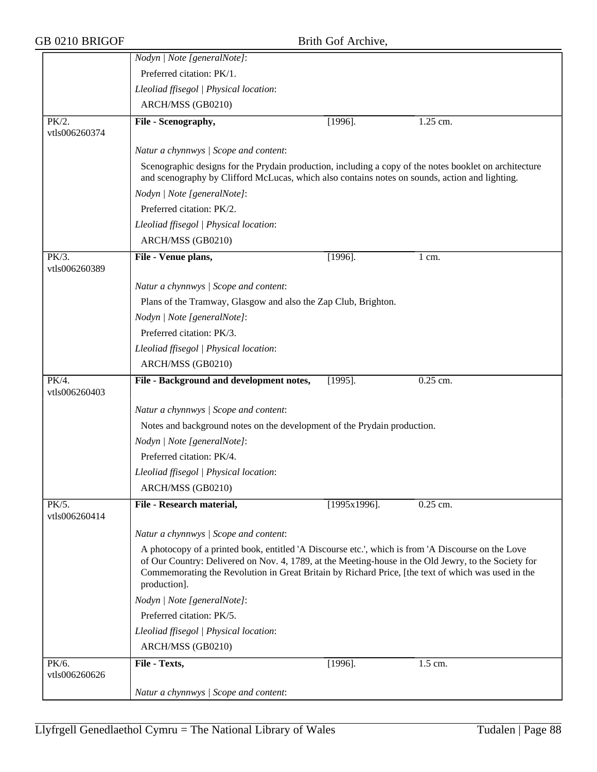|                        | Nodyn   Note [generalNote]:                                                                                                                                                                                                                                                                                                      |                 |                  |
|------------------------|----------------------------------------------------------------------------------------------------------------------------------------------------------------------------------------------------------------------------------------------------------------------------------------------------------------------------------|-----------------|------------------|
|                        | Preferred citation: PK/1.                                                                                                                                                                                                                                                                                                        |                 |                  |
|                        | Lleoliad ffisegol   Physical location:                                                                                                                                                                                                                                                                                           |                 |                  |
|                        | ARCH/MSS (GB0210)                                                                                                                                                                                                                                                                                                                |                 |                  |
| PK/2.<br>vtls006260374 | File - Scenography,                                                                                                                                                                                                                                                                                                              | $[1996]$ .      | 1.25 cm.         |
|                        | Natur a chynnwys / Scope and content:                                                                                                                                                                                                                                                                                            |                 |                  |
|                        | Scenographic designs for the Prydain production, including a copy of the notes booklet on architecture                                                                                                                                                                                                                           |                 |                  |
|                        | and scenography by Clifford McLucas, which also contains notes on sounds, action and lighting.<br>Nodyn   Note [generalNote]:                                                                                                                                                                                                    |                 |                  |
|                        | Preferred citation: PK/2.                                                                                                                                                                                                                                                                                                        |                 |                  |
|                        |                                                                                                                                                                                                                                                                                                                                  |                 |                  |
|                        | Lleoliad ffisegol   Physical location:                                                                                                                                                                                                                                                                                           |                 |                  |
|                        | ARCH/MSS (GB0210)                                                                                                                                                                                                                                                                                                                |                 |                  |
| PK/3.<br>vtls006260389 | File - Venue plans,                                                                                                                                                                                                                                                                                                              | $[1996]$ .      | $1 \text{ cm}$ . |
|                        |                                                                                                                                                                                                                                                                                                                                  |                 |                  |
|                        | Natur a chynnwys / Scope and content:                                                                                                                                                                                                                                                                                            |                 |                  |
|                        | Plans of the Tramway, Glasgow and also the Zap Club, Brighton.                                                                                                                                                                                                                                                                   |                 |                  |
|                        | Nodyn   Note [generalNote]:                                                                                                                                                                                                                                                                                                      |                 |                  |
|                        | Preferred citation: PK/3.                                                                                                                                                                                                                                                                                                        |                 |                  |
|                        | Lleoliad ffisegol   Physical location:                                                                                                                                                                                                                                                                                           |                 |                  |
|                        | ARCH/MSS (GB0210)                                                                                                                                                                                                                                                                                                                |                 |                  |
| PK/4.<br>vtls006260403 | File - Background and development notes,                                                                                                                                                                                                                                                                                         | $[1995]$ .      | 0.25 cm.         |
|                        |                                                                                                                                                                                                                                                                                                                                  |                 |                  |
|                        | Natur a chynnwys / Scope and content:                                                                                                                                                                                                                                                                                            |                 |                  |
|                        | Notes and background notes on the development of the Prydain production.                                                                                                                                                                                                                                                         |                 |                  |
|                        | Nodyn   Note [generalNote]:<br>Preferred citation: PK/4.                                                                                                                                                                                                                                                                         |                 |                  |
|                        |                                                                                                                                                                                                                                                                                                                                  |                 |                  |
|                        | Lleoliad ffisegol   Physical location:                                                                                                                                                                                                                                                                                           |                 |                  |
|                        | ARCH/MSS (GB0210)                                                                                                                                                                                                                                                                                                                |                 |                  |
| PK/5.<br>vtls006260414 | File - Research material,                                                                                                                                                                                                                                                                                                        | $[1995x1996]$ . | $0.25$ cm.       |
|                        | Natur a chynnwys / Scope and content:                                                                                                                                                                                                                                                                                            |                 |                  |
|                        | A photocopy of a printed book, entitled 'A Discourse etc.', which is from 'A Discourse on the Love<br>of Our Country: Delivered on Nov. 4, 1789, at the Meeting-house in the Old Jewry, to the Society for<br>Commemorating the Revolution in Great Britain by Richard Price, [the text of which was used in the<br>production]. |                 |                  |
|                        | Nodyn   Note [generalNote]:                                                                                                                                                                                                                                                                                                      |                 |                  |
|                        | Preferred citation: PK/5.                                                                                                                                                                                                                                                                                                        |                 |                  |
|                        | Lleoliad ffisegol   Physical location:                                                                                                                                                                                                                                                                                           |                 |                  |
|                        | ARCH/MSS (GB0210)                                                                                                                                                                                                                                                                                                                |                 |                  |
| PK/6.<br>vtls006260626 | File - Texts,                                                                                                                                                                                                                                                                                                                    | $[1996]$ .      | 1.5 cm.          |
|                        | Natur a chynnwys / Scope and content:                                                                                                                                                                                                                                                                                            |                 |                  |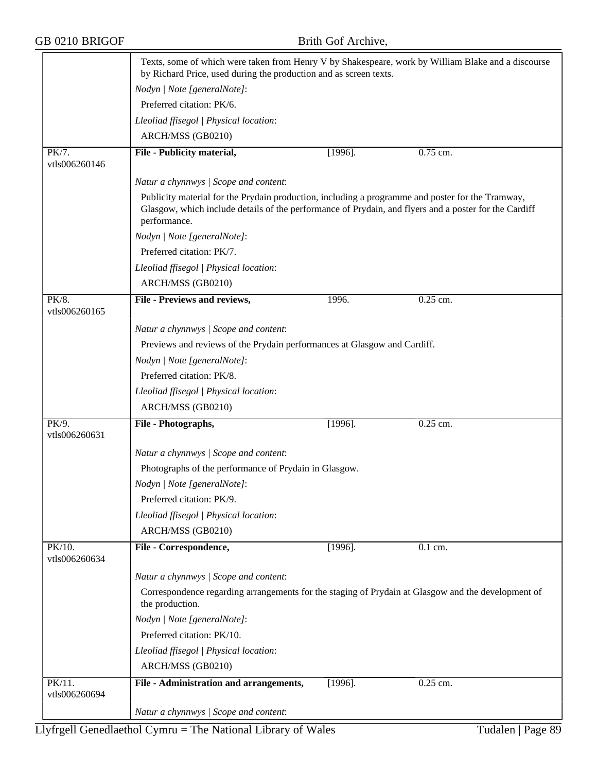|                            | Texts, some of which were taken from Henry V by Shakespeare, work by William Blake and a discourse<br>by Richard Price, used during the production and as screen texts.                                                   |            |            |  |  |  |
|----------------------------|---------------------------------------------------------------------------------------------------------------------------------------------------------------------------------------------------------------------------|------------|------------|--|--|--|
|                            | Nodyn   Note [generalNote]:                                                                                                                                                                                               |            |            |  |  |  |
|                            | Preferred citation: PK/6.                                                                                                                                                                                                 |            |            |  |  |  |
|                            | Lleoliad ffisegol   Physical location:                                                                                                                                                                                    |            |            |  |  |  |
|                            | ARCH/MSS (GB0210)                                                                                                                                                                                                         |            |            |  |  |  |
| PK/7.<br>vtls006260146     | File - Publicity material,                                                                                                                                                                                                | $[1996]$ . | 0.75 cm.   |  |  |  |
|                            | Natur a chynnwys / Scope and content:                                                                                                                                                                                     |            |            |  |  |  |
|                            | Publicity material for the Prydain production, including a programme and poster for the Tramway,<br>Glasgow, which include details of the performance of Prydain, and flyers and a poster for the Cardiff<br>performance. |            |            |  |  |  |
|                            | Nodyn   Note [generalNote]:                                                                                                                                                                                               |            |            |  |  |  |
|                            | Preferred citation: PK/7.                                                                                                                                                                                                 |            |            |  |  |  |
|                            | Lleoliad ffisegol   Physical location:                                                                                                                                                                                    |            |            |  |  |  |
|                            | ARCH/MSS (GB0210)                                                                                                                                                                                                         |            |            |  |  |  |
| PK/8.<br>vtls006260165     | File - Previews and reviews,                                                                                                                                                                                              | 1996.      | 0.25 cm.   |  |  |  |
|                            | Natur a chynnwys / Scope and content:                                                                                                                                                                                     |            |            |  |  |  |
|                            | Previews and reviews of the Prydain performances at Glasgow and Cardiff.                                                                                                                                                  |            |            |  |  |  |
|                            | Nodyn   Note [generalNote]:                                                                                                                                                                                               |            |            |  |  |  |
|                            | Preferred citation: PK/8.                                                                                                                                                                                                 |            |            |  |  |  |
|                            | Lleoliad ffisegol   Physical location:                                                                                                                                                                                    |            |            |  |  |  |
|                            | ARCH/MSS (GB0210)                                                                                                                                                                                                         |            |            |  |  |  |
| PK/9.<br>vtls006260631     | File - Photographs,                                                                                                                                                                                                       | $[1996]$ . | 0.25 cm.   |  |  |  |
|                            | Natur a chynnwys / Scope and content:                                                                                                                                                                                     |            |            |  |  |  |
|                            | Photographs of the performance of Prydain in Glasgow.                                                                                                                                                                     |            |            |  |  |  |
|                            | Nodyn   Note [generalNote]:                                                                                                                                                                                               |            |            |  |  |  |
|                            | Preferred citation: PK/9.                                                                                                                                                                                                 |            |            |  |  |  |
|                            | Lleoliad ffisegol   Physical location:                                                                                                                                                                                    |            |            |  |  |  |
|                            | ARCH/MSS (GB0210)                                                                                                                                                                                                         |            |            |  |  |  |
| PK/10.<br>vtls006260634    | File - Correspondence,                                                                                                                                                                                                    | $[1996]$ . | $0.1$ cm.  |  |  |  |
|                            | Natur a chynnwys / Scope and content:                                                                                                                                                                                     |            |            |  |  |  |
|                            | Correspondence regarding arrangements for the staging of Prydain at Glasgow and the development of<br>the production.                                                                                                     |            |            |  |  |  |
|                            | Nodyn   Note [generalNote]:                                                                                                                                                                                               |            |            |  |  |  |
|                            | Preferred citation: PK/10.                                                                                                                                                                                                |            |            |  |  |  |
|                            | Lleoliad ffisegol   Physical location:                                                                                                                                                                                    |            |            |  |  |  |
|                            | ARCH/MSS (GB0210)                                                                                                                                                                                                         |            |            |  |  |  |
| $PK/11$ .<br>vtls006260694 | File - Administration and arrangements,                                                                                                                                                                                   | $[1996]$ . | $0.25$ cm. |  |  |  |
|                            | Natur a chynnwys / Scope and content:                                                                                                                                                                                     |            |            |  |  |  |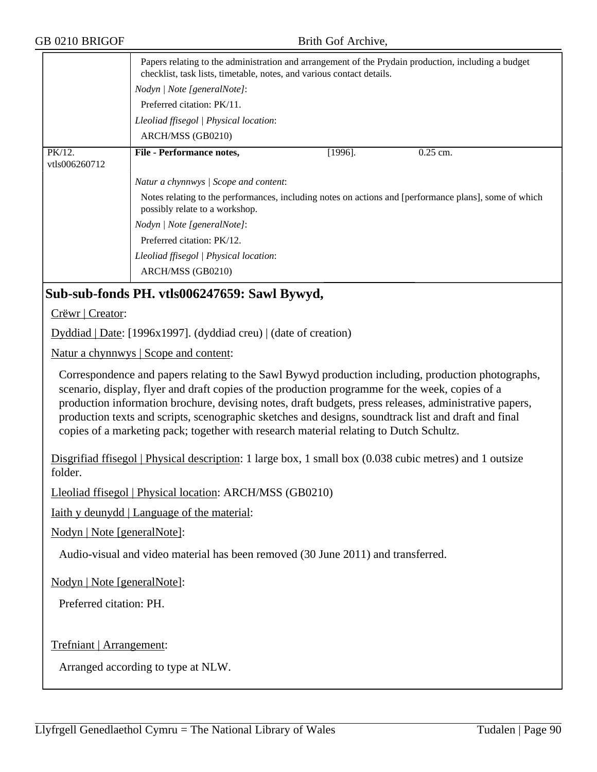|                         | Papers relating to the administration and arrangement of the Prydain production, including a budget<br>checklist, task lists, timetable, notes, and various contact details. |            |            |  |
|-------------------------|------------------------------------------------------------------------------------------------------------------------------------------------------------------------------|------------|------------|--|
|                         | Nodyn   Note [generalNote]:                                                                                                                                                  |            |            |  |
|                         | Preferred citation: PK/11.                                                                                                                                                   |            |            |  |
|                         | Lleoliad ffisegol   Physical location:                                                                                                                                       |            |            |  |
|                         | ARCH/MSS (GB0210)                                                                                                                                                            |            |            |  |
| PK/12.<br>vtls006260712 | <b>File - Performance notes,</b>                                                                                                                                             | $[1996]$ . | $0.25$ cm. |  |
|                         | Natur a chynnwys / Scope and content:                                                                                                                                        |            |            |  |
|                         | Notes relating to the performances, including notes on actions and [performance plans], some of which<br>possibly relate to a workshop.                                      |            |            |  |
|                         | Nodyn   Note [generalNote]:                                                                                                                                                  |            |            |  |
|                         | Preferred citation: PK/12.                                                                                                                                                   |            |            |  |
|                         | Lleoliad ffisegol   Physical location:                                                                                                                                       |            |            |  |
|                         | ARCH/MSS (GB0210)                                                                                                                                                            |            |            |  |

## **Sub-sub-fonds PH. vtls006247659: Sawl Bywyd,**

Crëwr | Creator:

Dyddiad | Date: [1996x1997]. (dyddiad creu) | (date of creation)

Natur a chynnwys | Scope and content:

Correspondence and papers relating to the Sawl Bywyd production including, production photographs, scenario, display, flyer and draft copies of the production programme for the week, copies of a production information brochure, devising notes, draft budgets, press releases, administrative papers, production texts and scripts, scenographic sketches and designs, soundtrack list and draft and final copies of a marketing pack; together with research material relating to Dutch Schultz.

Disgrifiad ffisegol | Physical description: 1 large box, 1 small box (0.038 cubic metres) and 1 outsize folder.

Lleoliad ffisegol | Physical location: ARCH/MSS (GB0210)

Iaith y deunydd | Language of the material:

Nodyn | Note [generalNote]:

Audio-visual and video material has been removed (30 June 2011) and transferred.

Nodyn | Note [generalNote]:

Preferred citation: PH.

Trefniant | Arrangement: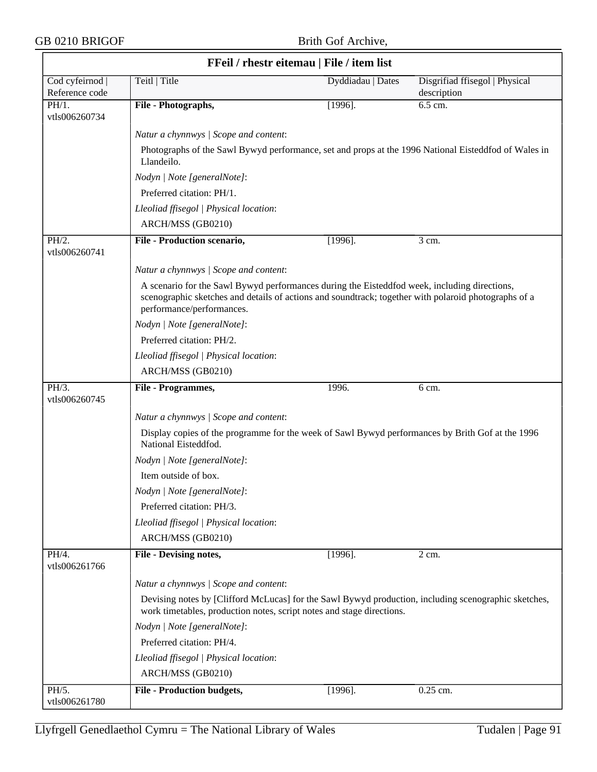$\overline{\phantom{0}}$ 

|                                   | FFeil / rhestr eitemau   File / item list                                                                                                                                                                                         |                   |                                               |
|-----------------------------------|-----------------------------------------------------------------------------------------------------------------------------------------------------------------------------------------------------------------------------------|-------------------|-----------------------------------------------|
| Cod cyfeirnod  <br>Reference code | Teitl   Title                                                                                                                                                                                                                     | Dyddiadau   Dates | Disgrifiad ffisegol   Physical<br>description |
| PH/1.<br>vtls006260734            | File - Photographs,                                                                                                                                                                                                               | $[1996]$ .        | 6.5 cm.                                       |
|                                   | Natur a chynnwys / Scope and content:                                                                                                                                                                                             |                   |                                               |
|                                   | Photographs of the Sawl Bywyd performance, set and props at the 1996 National Eisteddfod of Wales in<br>Llandeilo.                                                                                                                |                   |                                               |
|                                   | Nodyn   Note [generalNote]:                                                                                                                                                                                                       |                   |                                               |
|                                   | Preferred citation: PH/1.                                                                                                                                                                                                         |                   |                                               |
|                                   | Lleoliad ffisegol   Physical location:                                                                                                                                                                                            |                   |                                               |
|                                   | ARCH/MSS (GB0210)                                                                                                                                                                                                                 |                   |                                               |
| PH/2.<br>vtls006260741            | File - Production scenario,                                                                                                                                                                                                       | $[1996]$ .        | 3 cm.                                         |
|                                   | Natur a chynnwys / Scope and content:                                                                                                                                                                                             |                   |                                               |
|                                   | A scenario for the Sawl Bywyd performances during the Eisteddfod week, including directions,<br>scenographic sketches and details of actions and soundtrack; together with polaroid photographs of a<br>performance/performances. |                   |                                               |
|                                   | Nodyn   Note [generalNote]:                                                                                                                                                                                                       |                   |                                               |
|                                   | Preferred citation: PH/2.                                                                                                                                                                                                         |                   |                                               |
|                                   | Lleoliad ffisegol   Physical location:                                                                                                                                                                                            |                   |                                               |
|                                   | ARCH/MSS (GB0210)                                                                                                                                                                                                                 |                   |                                               |
| PH/3.<br>vtls006260745            | File - Programmes,                                                                                                                                                                                                                | 1996.             | 6 cm.                                         |
|                                   | Natur a chynnwys / Scope and content:                                                                                                                                                                                             |                   |                                               |
|                                   | Display copies of the programme for the week of Sawl Bywyd performances by Brith Gof at the 1996<br>National Eisteddfod.                                                                                                          |                   |                                               |
|                                   | Nodyn   Note [generalNote]:                                                                                                                                                                                                       |                   |                                               |
|                                   | Item outside of box.                                                                                                                                                                                                              |                   |                                               |
|                                   | Nodyn   Note [generalNote]:                                                                                                                                                                                                       |                   |                                               |
|                                   | Preferred citation: PH/3.                                                                                                                                                                                                         |                   |                                               |
|                                   | Lleoliad ffisegol   Physical location:                                                                                                                                                                                            |                   |                                               |
|                                   | ARCH/MSS (GB0210)                                                                                                                                                                                                                 |                   |                                               |
| PH/4.<br>vtls006261766            | <b>File - Devising notes,</b>                                                                                                                                                                                                     | $[1996]$ .        | 2 cm.                                         |
|                                   | Natur a chynnwys / Scope and content:                                                                                                                                                                                             |                   |                                               |
|                                   | Devising notes by [Clifford McLucas] for the Sawl Bywyd production, including scenographic sketches,<br>work timetables, production notes, script notes and stage directions.                                                     |                   |                                               |
|                                   | Nodyn   Note [generalNote]:                                                                                                                                                                                                       |                   |                                               |
|                                   | Preferred citation: PH/4.                                                                                                                                                                                                         |                   |                                               |
|                                   | Lleoliad ffisegol   Physical location:                                                                                                                                                                                            |                   |                                               |
|                                   | ARCH/MSS (GB0210)                                                                                                                                                                                                                 |                   |                                               |
| PH/5.<br>vtls006261780            | <b>File - Production budgets,</b>                                                                                                                                                                                                 | $[1996]$ .        | 0.25 cm.                                      |

٦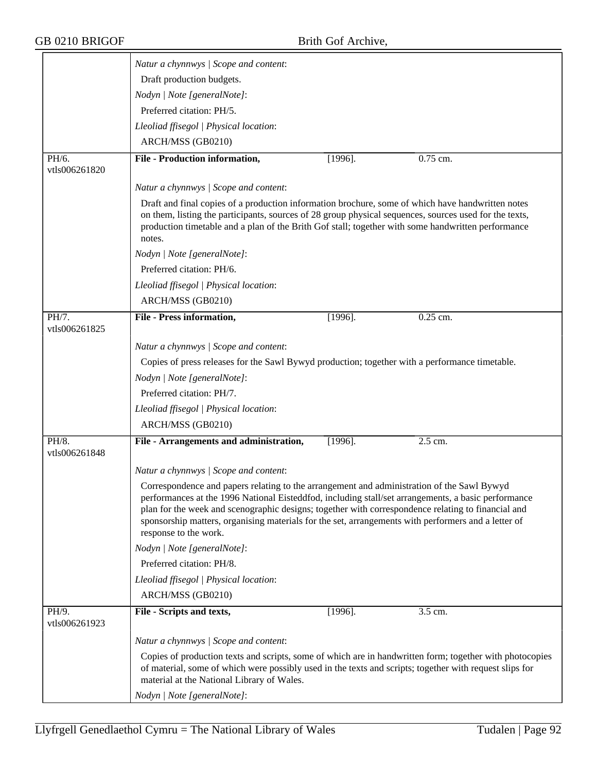| Draft production budgets.<br>Nodyn   Note [generalNote]:<br>Preferred citation: PH/5.<br>Lleoliad ffisegol   Physical location:<br>ARCH/MSS (GB0210)<br><b>File - Production information,</b> | $[1996]$ .                  |            |                                                                                                                                                                                                                                                                                                                                                                                                                                                                                                                                                                                                                                                                                                                                                                                                                                                                                                                                                                                                                                                              |
|-----------------------------------------------------------------------------------------------------------------------------------------------------------------------------------------------|-----------------------------|------------|--------------------------------------------------------------------------------------------------------------------------------------------------------------------------------------------------------------------------------------------------------------------------------------------------------------------------------------------------------------------------------------------------------------------------------------------------------------------------------------------------------------------------------------------------------------------------------------------------------------------------------------------------------------------------------------------------------------------------------------------------------------------------------------------------------------------------------------------------------------------------------------------------------------------------------------------------------------------------------------------------------------------------------------------------------------|
|                                                                                                                                                                                               |                             |            |                                                                                                                                                                                                                                                                                                                                                                                                                                                                                                                                                                                                                                                                                                                                                                                                                                                                                                                                                                                                                                                              |
|                                                                                                                                                                                               |                             |            |                                                                                                                                                                                                                                                                                                                                                                                                                                                                                                                                                                                                                                                                                                                                                                                                                                                                                                                                                                                                                                                              |
|                                                                                                                                                                                               |                             |            |                                                                                                                                                                                                                                                                                                                                                                                                                                                                                                                                                                                                                                                                                                                                                                                                                                                                                                                                                                                                                                                              |
|                                                                                                                                                                                               |                             |            |                                                                                                                                                                                                                                                                                                                                                                                                                                                                                                                                                                                                                                                                                                                                                                                                                                                                                                                                                                                                                                                              |
|                                                                                                                                                                                               |                             |            |                                                                                                                                                                                                                                                                                                                                                                                                                                                                                                                                                                                                                                                                                                                                                                                                                                                                                                                                                                                                                                                              |
|                                                                                                                                                                                               |                             | 0.75 cm.   |                                                                                                                                                                                                                                                                                                                                                                                                                                                                                                                                                                                                                                                                                                                                                                                                                                                                                                                                                                                                                                                              |
|                                                                                                                                                                                               |                             |            |                                                                                                                                                                                                                                                                                                                                                                                                                                                                                                                                                                                                                                                                                                                                                                                                                                                                                                                                                                                                                                                              |
| Natur a chynnwys / Scope and content:                                                                                                                                                         |                             |            |                                                                                                                                                                                                                                                                                                                                                                                                                                                                                                                                                                                                                                                                                                                                                                                                                                                                                                                                                                                                                                                              |
| notes.                                                                                                                                                                                        |                             |            |                                                                                                                                                                                                                                                                                                                                                                                                                                                                                                                                                                                                                                                                                                                                                                                                                                                                                                                                                                                                                                                              |
| Nodyn   Note [generalNote]:                                                                                                                                                                   |                             |            |                                                                                                                                                                                                                                                                                                                                                                                                                                                                                                                                                                                                                                                                                                                                                                                                                                                                                                                                                                                                                                                              |
| Preferred citation: PH/6.                                                                                                                                                                     |                             |            |                                                                                                                                                                                                                                                                                                                                                                                                                                                                                                                                                                                                                                                                                                                                                                                                                                                                                                                                                                                                                                                              |
| Lleoliad ffisegol   Physical location:                                                                                                                                                        |                             |            |                                                                                                                                                                                                                                                                                                                                                                                                                                                                                                                                                                                                                                                                                                                                                                                                                                                                                                                                                                                                                                                              |
| ARCH/MSS (GB0210)                                                                                                                                                                             |                             |            |                                                                                                                                                                                                                                                                                                                                                                                                                                                                                                                                                                                                                                                                                                                                                                                                                                                                                                                                                                                                                                                              |
| <b>File - Press information,</b>                                                                                                                                                              | $[1996]$ .                  | $0.25$ cm. |                                                                                                                                                                                                                                                                                                                                                                                                                                                                                                                                                                                                                                                                                                                                                                                                                                                                                                                                                                                                                                                              |
| Natur a chynnwys / Scope and content:                                                                                                                                                         |                             |            |                                                                                                                                                                                                                                                                                                                                                                                                                                                                                                                                                                                                                                                                                                                                                                                                                                                                                                                                                                                                                                                              |
|                                                                                                                                                                                               |                             |            |                                                                                                                                                                                                                                                                                                                                                                                                                                                                                                                                                                                                                                                                                                                                                                                                                                                                                                                                                                                                                                                              |
| Nodyn   Note [generalNote]:                                                                                                                                                                   |                             |            |                                                                                                                                                                                                                                                                                                                                                                                                                                                                                                                                                                                                                                                                                                                                                                                                                                                                                                                                                                                                                                                              |
| Preferred citation: PH/7.                                                                                                                                                                     |                             |            |                                                                                                                                                                                                                                                                                                                                                                                                                                                                                                                                                                                                                                                                                                                                                                                                                                                                                                                                                                                                                                                              |
| Lleoliad ffisegol   Physical location:                                                                                                                                                        |                             |            |                                                                                                                                                                                                                                                                                                                                                                                                                                                                                                                                                                                                                                                                                                                                                                                                                                                                                                                                                                                                                                                              |
| ARCH/MSS (GB0210)                                                                                                                                                                             |                             |            |                                                                                                                                                                                                                                                                                                                                                                                                                                                                                                                                                                                                                                                                                                                                                                                                                                                                                                                                                                                                                                                              |
| File - Arrangements and administration,                                                                                                                                                       | $[1996]$ .                  | 2.5 cm.    |                                                                                                                                                                                                                                                                                                                                                                                                                                                                                                                                                                                                                                                                                                                                                                                                                                                                                                                                                                                                                                                              |
| Natur a chynnwys / Scope and content:                                                                                                                                                         |                             |            |                                                                                                                                                                                                                                                                                                                                                                                                                                                                                                                                                                                                                                                                                                                                                                                                                                                                                                                                                                                                                                                              |
| response to the work.                                                                                                                                                                         |                             |            |                                                                                                                                                                                                                                                                                                                                                                                                                                                                                                                                                                                                                                                                                                                                                                                                                                                                                                                                                                                                                                                              |
| Nodyn   Note [generalNote]:                                                                                                                                                                   |                             |            |                                                                                                                                                                                                                                                                                                                                                                                                                                                                                                                                                                                                                                                                                                                                                                                                                                                                                                                                                                                                                                                              |
| Preferred citation: PH/8.                                                                                                                                                                     |                             |            |                                                                                                                                                                                                                                                                                                                                                                                                                                                                                                                                                                                                                                                                                                                                                                                                                                                                                                                                                                                                                                                              |
| Lleoliad ffisegol   Physical location:                                                                                                                                                        |                             |            |                                                                                                                                                                                                                                                                                                                                                                                                                                                                                                                                                                                                                                                                                                                                                                                                                                                                                                                                                                                                                                                              |
| ARCH/MSS (GB0210)                                                                                                                                                                             |                             |            |                                                                                                                                                                                                                                                                                                                                                                                                                                                                                                                                                                                                                                                                                                                                                                                                                                                                                                                                                                                                                                                              |
| File - Scripts and texts,                                                                                                                                                                     | $[1996]$ .                  | 3.5 cm.    |                                                                                                                                                                                                                                                                                                                                                                                                                                                                                                                                                                                                                                                                                                                                                                                                                                                                                                                                                                                                                                                              |
| Natur a chynnwys / Scope and content:                                                                                                                                                         |                             |            |                                                                                                                                                                                                                                                                                                                                                                                                                                                                                                                                                                                                                                                                                                                                                                                                                                                                                                                                                                                                                                                              |
| material at the National Library of Wales.                                                                                                                                                    |                             |            |                                                                                                                                                                                                                                                                                                                                                                                                                                                                                                                                                                                                                                                                                                                                                                                                                                                                                                                                                                                                                                                              |
|                                                                                                                                                                                               |                             |            |                                                                                                                                                                                                                                                                                                                                                                                                                                                                                                                                                                                                                                                                                                                                                                                                                                                                                                                                                                                                                                                              |
|                                                                                                                                                                                               | Nodyn   Note [generalNote]: |            | Draft and final copies of a production information brochure, some of which have handwritten notes<br>on them, listing the participants, sources of 28 group physical sequences, sources used for the texts,<br>production timetable and a plan of the Brith Gof stall; together with some handwritten performance<br>Copies of press releases for the Sawl Bywyd production; together with a performance timetable.<br>Correspondence and papers relating to the arrangement and administration of the Sawl Bywyd<br>performances at the 1996 National Eisteddfod, including stall/set arrangements, a basic performance<br>plan for the week and scenographic designs; together with correspondence relating to financial and<br>sponsorship matters, organising materials for the set, arrangements with performers and a letter of<br>Copies of production texts and scripts, some of which are in handwritten form; together with photocopies<br>of material, some of which were possibly used in the texts and scripts; together with request slips for |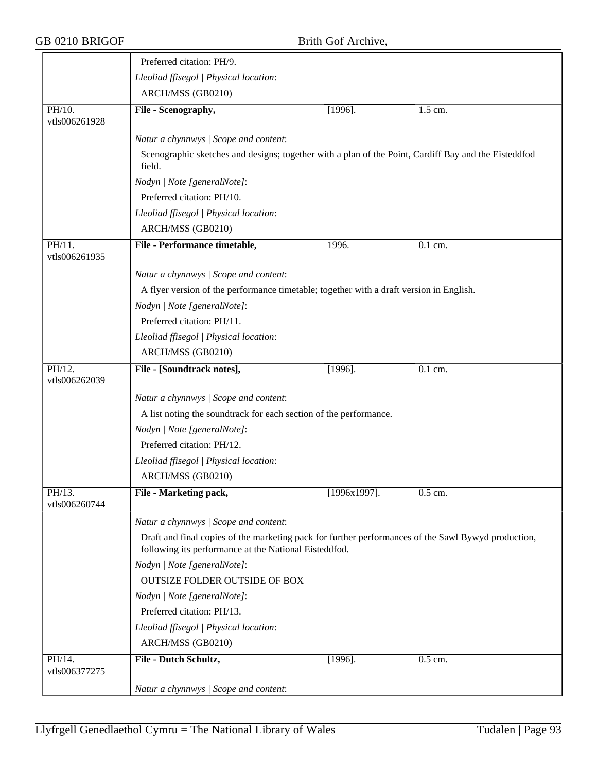|                            | Preferred citation: PH/9.                                                                                                                                    |                 |                      |  |
|----------------------------|--------------------------------------------------------------------------------------------------------------------------------------------------------------|-----------------|----------------------|--|
|                            | Lleoliad ffisegol   Physical location:                                                                                                                       |                 |                      |  |
|                            | ARCH/MSS (GB0210)                                                                                                                                            |                 |                      |  |
| PH/10.<br>vtls006261928    | File - Scenography,                                                                                                                                          | $[1996]$ .      | $\overline{1.5}$ cm. |  |
|                            | Natur a chynnwys / Scope and content:                                                                                                                        |                 |                      |  |
|                            | Scenographic sketches and designs; together with a plan of the Point, Cardiff Bay and the Eisteddfod<br>field.                                               |                 |                      |  |
|                            | Nodyn   Note [generalNote]:                                                                                                                                  |                 |                      |  |
|                            | Preferred citation: PH/10.                                                                                                                                   |                 |                      |  |
|                            | Lleoliad ffisegol   Physical location:                                                                                                                       |                 |                      |  |
|                            | ARCH/MSS (GB0210)                                                                                                                                            |                 |                      |  |
| $PH/11$ .<br>vtls006261935 | File - Performance timetable,                                                                                                                                | 1996.           | 0.1 cm.              |  |
|                            | Natur a chynnwys / Scope and content:                                                                                                                        |                 |                      |  |
|                            | A flyer version of the performance timetable; together with a draft version in English.                                                                      |                 |                      |  |
|                            | Nodyn   Note [generalNote]:                                                                                                                                  |                 |                      |  |
|                            | Preferred citation: PH/11.                                                                                                                                   |                 |                      |  |
|                            | Lleoliad ffisegol   Physical location:                                                                                                                       |                 |                      |  |
|                            | ARCH/MSS (GB0210)                                                                                                                                            |                 |                      |  |
| PH/12.<br>vtls006262039    | File - [Soundtrack notes],                                                                                                                                   | $[1996]$ .      | 0.1 cm.              |  |
|                            | Natur a chynnwys / Scope and content:                                                                                                                        |                 |                      |  |
|                            | A list noting the soundtrack for each section of the performance.                                                                                            |                 |                      |  |
|                            | Nodyn   Note [generalNote]:                                                                                                                                  |                 |                      |  |
|                            | Preferred citation: PH/12.                                                                                                                                   |                 |                      |  |
|                            | Lleoliad ffisegol   Physical location:                                                                                                                       |                 |                      |  |
|                            | ARCH/MSS (GB0210)                                                                                                                                            |                 |                      |  |
| PH/13.<br>vtls006260744    | File - Marketing pack,                                                                                                                                       | $[1996x1997]$ . | $0.5$ cm.            |  |
|                            | Natur a chynnwys / Scope and content:                                                                                                                        |                 |                      |  |
|                            | Draft and final copies of the marketing pack for further performances of the Sawl Bywyd production,<br>following its performance at the National Eisteddfod. |                 |                      |  |
|                            | Nodyn   Note [generalNote]:                                                                                                                                  |                 |                      |  |
|                            | <b>OUTSIZE FOLDER OUTSIDE OF BOX</b>                                                                                                                         |                 |                      |  |
|                            | Nodyn   Note [generalNote]:                                                                                                                                  |                 |                      |  |
|                            | Preferred citation: PH/13.                                                                                                                                   |                 |                      |  |
|                            | Lleoliad ffisegol   Physical location:                                                                                                                       |                 |                      |  |
|                            | ARCH/MSS (GB0210)                                                                                                                                            |                 |                      |  |
| PH/14.<br>vtls006377275    | File - Dutch Schultz,                                                                                                                                        | $[1996]$ .      | 0.5 cm.              |  |
|                            | Natur a chynnwys / Scope and content:                                                                                                                        |                 |                      |  |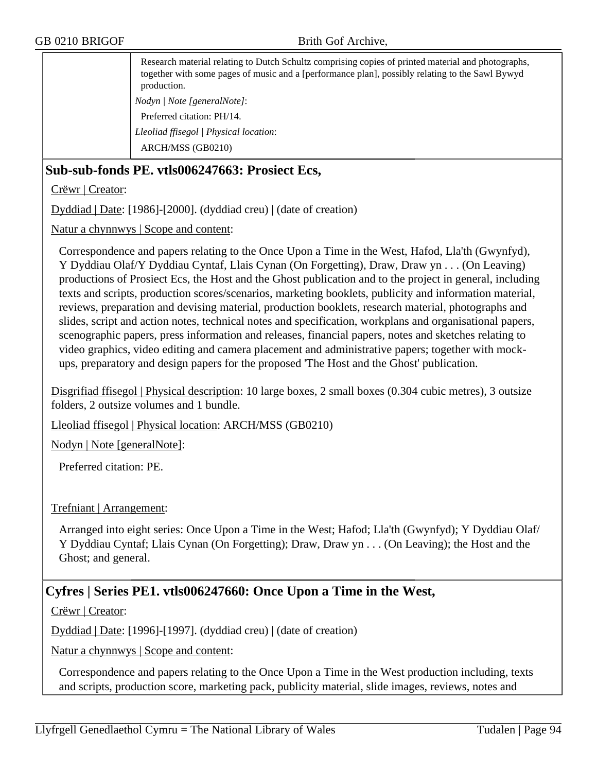Research material relating to Dutch Schultz comprising copies of printed material and photographs, together with some pages of music and a [performance plan], possibly relating to the Sawl Bywyd production. *Nodyn | Note [generalNote]*: Preferred citation: PH/14. *Lleoliad ffisegol | Physical location*: ARCH/MSS (GB0210)

## **Sub-sub-fonds PE. vtls006247663: Prosiect Ecs,**

Crëwr | Creator:

Dyddiad | Date: [1986]-[2000]. (dyddiad creu) | (date of creation)

Natur a chynnwys | Scope and content:

Correspondence and papers relating to the Once Upon a Time in the West, Hafod, Lla'th (Gwynfyd), Y Dyddiau Olaf/Y Dyddiau Cyntaf, Llais Cynan (On Forgetting), Draw, Draw yn . . . (On Leaving) productions of Prosiect Ecs, the Host and the Ghost publication and to the project in general, including texts and scripts, production scores/scenarios, marketing booklets, publicity and information material, reviews, preparation and devising material, production booklets, research material, photographs and slides, script and action notes, technical notes and specification, workplans and organisational papers, scenographic papers, press information and releases, financial papers, notes and sketches relating to video graphics, video editing and camera placement and administrative papers; together with mockups, preparatory and design papers for the proposed 'The Host and the Ghost' publication.

Disgrifiad ffisegol | Physical description: 10 large boxes, 2 small boxes (0.304 cubic metres), 3 outsize folders, 2 outsize volumes and 1 bundle.

Lleoliad ffisegol | Physical location: ARCH/MSS (GB0210)

Nodyn | Note [generalNote]:

Preferred citation: PE.

### Trefniant | Arrangement:

Arranged into eight series: Once Upon a Time in the West; Hafod; Lla'th (Gwynfyd); Y Dyddiau Olaf/ Y Dyddiau Cyntaf; Llais Cynan (On Forgetting); Draw, Draw yn . . . (On Leaving); the Host and the Ghost; and general.

### **Cyfres | Series PE1. vtls006247660: Once Upon a Time in the West,**

Crëwr | Creator:

Dyddiad | Date: [1996]-[1997]. (dyddiad creu) | (date of creation)

Natur a chynnwys | Scope and content:

Correspondence and papers relating to the Once Upon a Time in the West production including, texts and scripts, production score, marketing pack, publicity material, slide images, reviews, notes and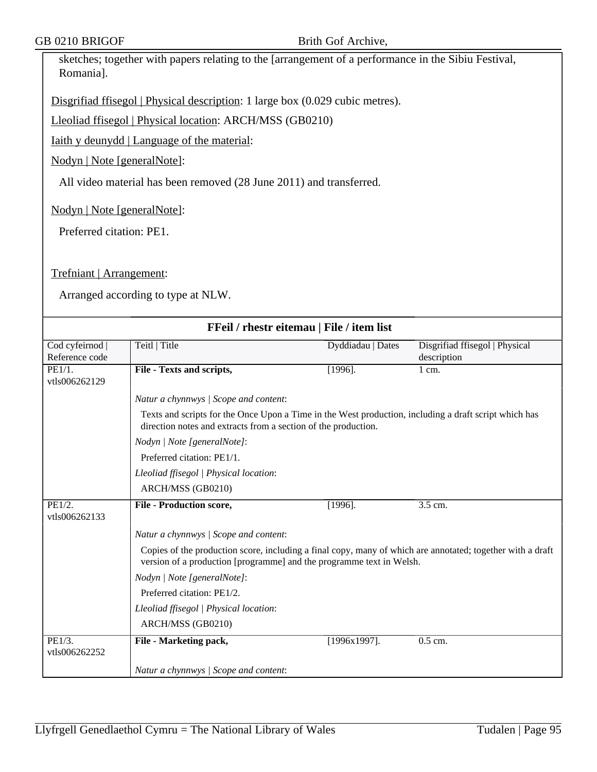sketches; together with papers relating to the [arrangement of a performance in the Sibiu Festival, Romania].

Disgrifiad ffisegol | Physical description: 1 large box (0.029 cubic metres).

Lleoliad ffisegol | Physical location: ARCH/MSS (GB0210)

Iaith y deunydd | Language of the material:

Nodyn | Note [generalNote]:

All video material has been removed (28 June 2011) and transferred.

Nodyn | Note [generalNote]:

Preferred citation: PE1.

Trefniant | Arrangement:

|                         | FFeil / rhestr eitemau   File / item list                                                                                                                                          |                   |                                |
|-------------------------|------------------------------------------------------------------------------------------------------------------------------------------------------------------------------------|-------------------|--------------------------------|
| Cod cyfeirnod           | Teitl   Title                                                                                                                                                                      | Dyddiadau   Dates | Disgrifiad ffisegol   Physical |
| Reference code          |                                                                                                                                                                                    |                   | description                    |
| PE1/1.                  | File - Texts and scripts,                                                                                                                                                          | $[1996]$ .        | $1 \text{ cm}$ .               |
| vtls006262129           |                                                                                                                                                                                    |                   |                                |
|                         | Natur a chynnwys / Scope and content:                                                                                                                                              |                   |                                |
|                         | Texts and scripts for the Once Upon a Time in the West production, including a draft script which has<br>direction notes and extracts from a section of the production.            |                   |                                |
|                         | Nodyn   Note [generalNote]:                                                                                                                                                        |                   |                                |
|                         | Preferred citation: PE1/1.                                                                                                                                                         |                   |                                |
|                         | Lleoliad ffisegol   Physical location:                                                                                                                                             |                   |                                |
|                         | ARCH/MSS (GB0210)                                                                                                                                                                  |                   |                                |
| PE1/2.                  | <b>File - Production score,</b>                                                                                                                                                    | $[1996]$ .        | 3.5 cm.                        |
| vtls006262133           |                                                                                                                                                                                    |                   |                                |
|                         | Natur a chynnwys / Scope and content:                                                                                                                                              |                   |                                |
|                         | Copies of the production score, including a final copy, many of which are annotated; together with a draft<br>version of a production [programme] and the programme text in Welsh. |                   |                                |
|                         | Nodyn   Note [generalNote]:                                                                                                                                                        |                   |                                |
|                         | Preferred citation: PE1/2.                                                                                                                                                         |                   |                                |
|                         | Lleoliad ffisegol   Physical location:                                                                                                                                             |                   |                                |
|                         | ARCH/MSS (GB0210)                                                                                                                                                                  |                   |                                |
| PE1/3.<br>vtls006262252 | File - Marketing pack,                                                                                                                                                             | $[1996x1997]$ .   | 0.5 cm.                        |
|                         | Natur a chynnwys / Scope and content:                                                                                                                                              |                   |                                |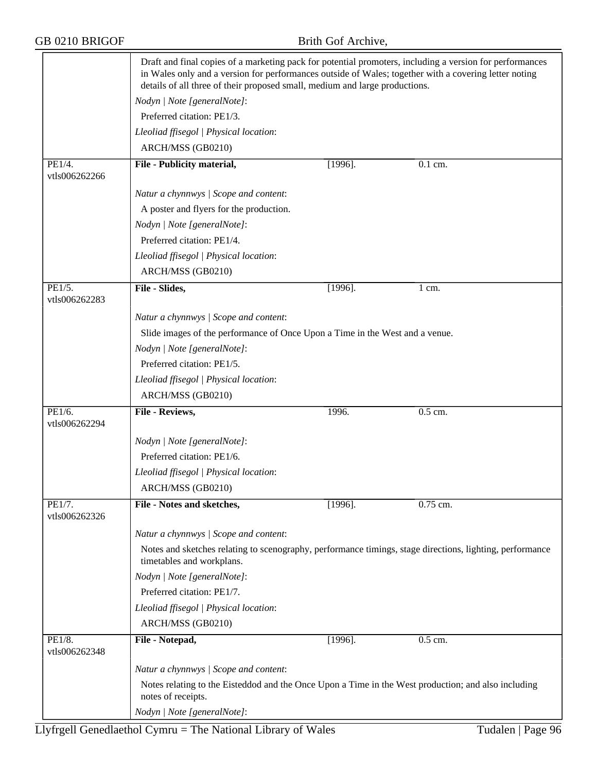|                         | Draft and final copies of a marketing pack for potential promoters, including a version for performances<br>in Wales only and a version for performances outside of Wales; together with a covering letter noting<br>details of all three of their proposed small, medium and large productions. |                                                                                                          |            |  |  |
|-------------------------|--------------------------------------------------------------------------------------------------------------------------------------------------------------------------------------------------------------------------------------------------------------------------------------------------|----------------------------------------------------------------------------------------------------------|------------|--|--|
|                         | Nodyn   Note [generalNote]:                                                                                                                                                                                                                                                                      |                                                                                                          |            |  |  |
|                         | Preferred citation: PE1/3.                                                                                                                                                                                                                                                                       |                                                                                                          |            |  |  |
|                         | Lleoliad ffisegol   Physical location:                                                                                                                                                                                                                                                           |                                                                                                          |            |  |  |
|                         | ARCH/MSS (GB0210)                                                                                                                                                                                                                                                                                |                                                                                                          |            |  |  |
| PE1/4.<br>vtls006262266 | File - Publicity material,                                                                                                                                                                                                                                                                       | $[1996]$ .                                                                                               | $0.1$ cm.  |  |  |
|                         | Natur a chynnwys / Scope and content:                                                                                                                                                                                                                                                            |                                                                                                          |            |  |  |
|                         | A poster and flyers for the production.                                                                                                                                                                                                                                                          |                                                                                                          |            |  |  |
|                         | Nodyn   Note [generalNote]:                                                                                                                                                                                                                                                                      |                                                                                                          |            |  |  |
|                         | Preferred citation: PE1/4.                                                                                                                                                                                                                                                                       |                                                                                                          |            |  |  |
|                         | Lleoliad ffisegol   Physical location:                                                                                                                                                                                                                                                           |                                                                                                          |            |  |  |
|                         | ARCH/MSS (GB0210)                                                                                                                                                                                                                                                                                |                                                                                                          |            |  |  |
| PE1/5.<br>vtls006262283 | File - Slides,                                                                                                                                                                                                                                                                                   | $[1996]$ .                                                                                               | 1 cm.      |  |  |
|                         | Natur a chynnwys / Scope and content:                                                                                                                                                                                                                                                            |                                                                                                          |            |  |  |
|                         | Slide images of the performance of Once Upon a Time in the West and a venue.                                                                                                                                                                                                                     |                                                                                                          |            |  |  |
|                         | Nodyn   Note [generalNote]:                                                                                                                                                                                                                                                                      |                                                                                                          |            |  |  |
|                         | Preferred citation: PE1/5.                                                                                                                                                                                                                                                                       |                                                                                                          |            |  |  |
|                         | Lleoliad ffisegol   Physical location:                                                                                                                                                                                                                                                           |                                                                                                          |            |  |  |
|                         | ARCH/MSS (GB0210)                                                                                                                                                                                                                                                                                |                                                                                                          |            |  |  |
| PE1/6.<br>vtls006262294 | File - Reviews,                                                                                                                                                                                                                                                                                  | 1996.                                                                                                    | 0.5 cm.    |  |  |
|                         | Nodyn   Note [generalNote]:                                                                                                                                                                                                                                                                      |                                                                                                          |            |  |  |
|                         | Preferred citation: PE1/6.                                                                                                                                                                                                                                                                       |                                                                                                          |            |  |  |
|                         | Lleoliad ffisegol   Physical location:                                                                                                                                                                                                                                                           |                                                                                                          |            |  |  |
|                         | ARCH/MSS (GB0210)                                                                                                                                                                                                                                                                                |                                                                                                          |            |  |  |
| PE1/7.                  | File - Notes and sketches,                                                                                                                                                                                                                                                                       | $[1996]$ .                                                                                               | $0.75$ cm. |  |  |
| vtls006262326           |                                                                                                                                                                                                                                                                                                  |                                                                                                          |            |  |  |
|                         | Natur a chynnwys / Scope and content:                                                                                                                                                                                                                                                            |                                                                                                          |            |  |  |
|                         | timetables and workplans.                                                                                                                                                                                                                                                                        | Notes and sketches relating to scenography, performance timings, stage directions, lighting, performance |            |  |  |
|                         | Nodyn   Note [generalNote]:                                                                                                                                                                                                                                                                      |                                                                                                          |            |  |  |
|                         | Preferred citation: PE1/7.                                                                                                                                                                                                                                                                       |                                                                                                          |            |  |  |
|                         | Lleoliad ffisegol   Physical location:                                                                                                                                                                                                                                                           |                                                                                                          |            |  |  |
|                         | ARCH/MSS (GB0210)                                                                                                                                                                                                                                                                                |                                                                                                          |            |  |  |
| PE1/8.<br>vtls006262348 | File - Notepad,                                                                                                                                                                                                                                                                                  | $[1996]$ .                                                                                               | 0.5 cm.    |  |  |
|                         | Natur a chynnwys / Scope and content:                                                                                                                                                                                                                                                            |                                                                                                          |            |  |  |
|                         | Notes relating to the Eisteddod and the Once Upon a Time in the West production; and also including<br>notes of receipts.                                                                                                                                                                        |                                                                                                          |            |  |  |
|                         | Nodyn   Note [generalNote]:                                                                                                                                                                                                                                                                      |                                                                                                          |            |  |  |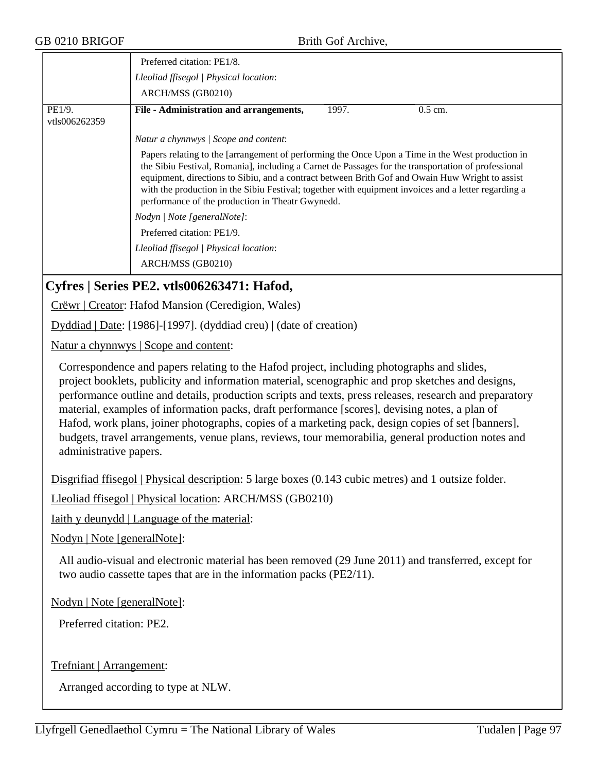| GB 0210 BRIGOF              | Brith Gof Archive,                                                                                                                                                                                                                                                                                                                                                                                                                                                                                                                                                                                                       |  |  |
|-----------------------------|--------------------------------------------------------------------------------------------------------------------------------------------------------------------------------------------------------------------------------------------------------------------------------------------------------------------------------------------------------------------------------------------------------------------------------------------------------------------------------------------------------------------------------------------------------------------------------------------------------------------------|--|--|
|                             | Preferred citation: PE1/8.                                                                                                                                                                                                                                                                                                                                                                                                                                                                                                                                                                                               |  |  |
|                             | Lleoliad ffisegol   Physical location:                                                                                                                                                                                                                                                                                                                                                                                                                                                                                                                                                                                   |  |  |
|                             | ARCH/MSS (GB0210)                                                                                                                                                                                                                                                                                                                                                                                                                                                                                                                                                                                                        |  |  |
| PE1/9.                      | File - Administration and arrangements,<br>$0.5$ cm.<br>1997.                                                                                                                                                                                                                                                                                                                                                                                                                                                                                                                                                            |  |  |
| vtls006262359               |                                                                                                                                                                                                                                                                                                                                                                                                                                                                                                                                                                                                                          |  |  |
|                             | Natur a chynnwys / Scope and content:                                                                                                                                                                                                                                                                                                                                                                                                                                                                                                                                                                                    |  |  |
|                             | Papers relating to the [arrangement of performing the Once Upon a Time in the West production in<br>the Sibiu Festival, Romania], including a Carnet de Passages for the transportation of professional<br>equipment, directions to Sibiu, and a contract between Brith Gof and Owain Huw Wright to assist<br>with the production in the Sibiu Festival; together with equipment invoices and a letter regarding a<br>performance of the production in Theatr Gwynedd.                                                                                                                                                   |  |  |
|                             | Nodyn   Note [generalNote]:                                                                                                                                                                                                                                                                                                                                                                                                                                                                                                                                                                                              |  |  |
|                             | Preferred citation: PE1/9.                                                                                                                                                                                                                                                                                                                                                                                                                                                                                                                                                                                               |  |  |
|                             | Lleoliad ffisegol   Physical location:                                                                                                                                                                                                                                                                                                                                                                                                                                                                                                                                                                                   |  |  |
|                             | ARCH/MSS (GB0210)                                                                                                                                                                                                                                                                                                                                                                                                                                                                                                                                                                                                        |  |  |
|                             | Cyfres   Series PE2. vtls006263471: Hafod,                                                                                                                                                                                                                                                                                                                                                                                                                                                                                                                                                                               |  |  |
|                             | Crëwr   Creator: Hafod Mansion (Ceredigion, Wales)                                                                                                                                                                                                                                                                                                                                                                                                                                                                                                                                                                       |  |  |
|                             | Dyddiad   Date: [1986]-[1997]. (dyddiad creu)   (date of creation)                                                                                                                                                                                                                                                                                                                                                                                                                                                                                                                                                       |  |  |
|                             | Natur a chynnwys   Scope and content:                                                                                                                                                                                                                                                                                                                                                                                                                                                                                                                                                                                    |  |  |
| administrative papers.      | Correspondence and papers relating to the Hafod project, including photographs and slides,<br>project booklets, publicity and information material, scenographic and prop sketches and designs,<br>performance outline and details, production scripts and texts, press releases, research and preparatory<br>material, examples of information packs, draft performance [scores], devising notes, a plan of<br>Hafod, work plans, joiner photographs, copies of a marketing pack, design copies of set [banners],<br>budgets, travel arrangements, venue plans, reviews, tour memorabilia, general production notes and |  |  |
|                             | Disgrifiad ffisegol   Physical description: 5 large boxes (0.143 cubic metres) and 1 outsize folder.                                                                                                                                                                                                                                                                                                                                                                                                                                                                                                                     |  |  |
|                             | Lleoliad ffisegol   Physical location: ARCH/MSS (GB0210)                                                                                                                                                                                                                                                                                                                                                                                                                                                                                                                                                                 |  |  |
|                             | Iaith y deunydd   Language of the material:                                                                                                                                                                                                                                                                                                                                                                                                                                                                                                                                                                              |  |  |
|                             | Nodyn   Note [generalNote]:                                                                                                                                                                                                                                                                                                                                                                                                                                                                                                                                                                                              |  |  |
|                             | All audio-visual and electronic material has been removed (29 June 2011) and transferred, except for<br>two audio cassette tapes that are in the information packs (PE2/11).                                                                                                                                                                                                                                                                                                                                                                                                                                             |  |  |
| Nodyn   Note [generalNote]: |                                                                                                                                                                                                                                                                                                                                                                                                                                                                                                                                                                                                                          |  |  |
|                             | Preferred citation: PE2.                                                                                                                                                                                                                                                                                                                                                                                                                                                                                                                                                                                                 |  |  |

Trefniant | Arrangement: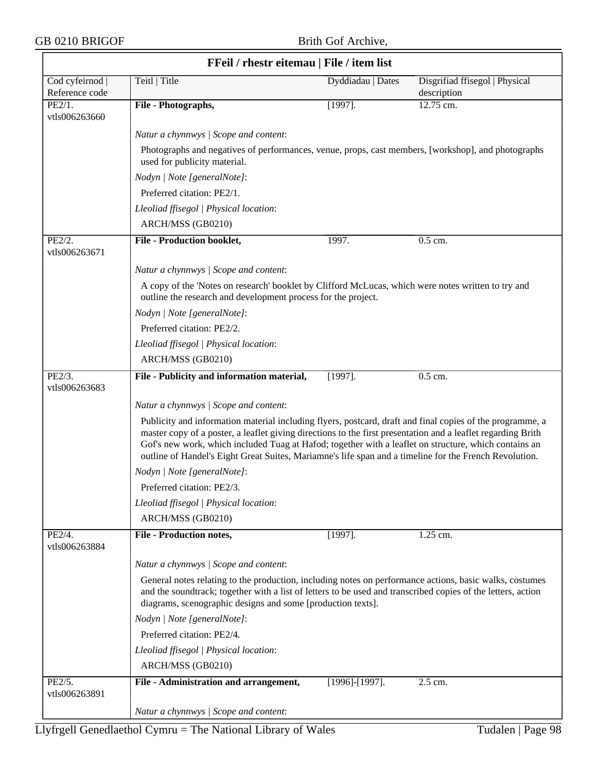|                                   | FFeil / rhestr eitemau   File / item list<br>Teitl   Title                                                                                                                                                                                                                                                                                                                                                                                   | Dyddiadau   Dates     |                                               |  |  |
|-----------------------------------|----------------------------------------------------------------------------------------------------------------------------------------------------------------------------------------------------------------------------------------------------------------------------------------------------------------------------------------------------------------------------------------------------------------------------------------------|-----------------------|-----------------------------------------------|--|--|
| Cod cyfeirnod  <br>Reference code |                                                                                                                                                                                                                                                                                                                                                                                                                                              |                       | Disgrifiad ffisegol   Physical<br>description |  |  |
| PE2/1.                            | File - Photographs,                                                                                                                                                                                                                                                                                                                                                                                                                          | $[1997]$ .            | 12.75 cm.                                     |  |  |
| vtls006263660                     |                                                                                                                                                                                                                                                                                                                                                                                                                                              |                       |                                               |  |  |
|                                   | Natur a chynnwys / Scope and content:                                                                                                                                                                                                                                                                                                                                                                                                        |                       |                                               |  |  |
|                                   | Photographs and negatives of performances, venue, props, cast members, [workshop], and photographs<br>used for publicity material.                                                                                                                                                                                                                                                                                                           |                       |                                               |  |  |
|                                   | Nodyn   Note [generalNote]:                                                                                                                                                                                                                                                                                                                                                                                                                  |                       |                                               |  |  |
|                                   | Preferred citation: PE2/1.                                                                                                                                                                                                                                                                                                                                                                                                                   |                       |                                               |  |  |
|                                   | Lleoliad ffisegol   Physical location:                                                                                                                                                                                                                                                                                                                                                                                                       |                       |                                               |  |  |
|                                   | ARCH/MSS (GB0210)                                                                                                                                                                                                                                                                                                                                                                                                                            |                       |                                               |  |  |
| PE2/2.<br>vtls006263671           | <b>File - Production booklet,</b>                                                                                                                                                                                                                                                                                                                                                                                                            | 1997.                 | 0.5 cm.                                       |  |  |
|                                   | Natur a chynnwys / Scope and content:                                                                                                                                                                                                                                                                                                                                                                                                        |                       |                                               |  |  |
|                                   | A copy of the 'Notes on research' booklet by Clifford McLucas, which were notes written to try and                                                                                                                                                                                                                                                                                                                                           |                       |                                               |  |  |
|                                   | outline the research and development process for the project.                                                                                                                                                                                                                                                                                                                                                                                |                       |                                               |  |  |
|                                   | Nodyn   Note [generalNote]:                                                                                                                                                                                                                                                                                                                                                                                                                  |                       |                                               |  |  |
|                                   | Preferred citation: PE2/2.                                                                                                                                                                                                                                                                                                                                                                                                                   |                       |                                               |  |  |
|                                   | Lleoliad ffisegol   Physical location:                                                                                                                                                                                                                                                                                                                                                                                                       |                       |                                               |  |  |
|                                   | ARCH/MSS (GB0210)                                                                                                                                                                                                                                                                                                                                                                                                                            |                       |                                               |  |  |
| PE2/3.                            | File - Publicity and information material,                                                                                                                                                                                                                                                                                                                                                                                                   | $[1997]$ .            | $0.5$ cm.                                     |  |  |
| vtls006263683                     |                                                                                                                                                                                                                                                                                                                                                                                                                                              |                       |                                               |  |  |
|                                   | Natur a chynnwys / Scope and content:                                                                                                                                                                                                                                                                                                                                                                                                        |                       |                                               |  |  |
|                                   | Publicity and information material including flyers, postcard, draft and final copies of the programme, a<br>master copy of a poster, a leaflet giving directions to the first presentation and a leaflet regarding Brith<br>Gof's new work, which included Tuag at Hafod; together with a leaflet on structure, which contains an<br>outline of Handel's Eight Great Suites, Mariamne's life span and a timeline for the French Revolution. |                       |                                               |  |  |
|                                   | Nodyn   Note [generalNote]:                                                                                                                                                                                                                                                                                                                                                                                                                  |                       |                                               |  |  |
|                                   | Preferred citation: PE2/3.                                                                                                                                                                                                                                                                                                                                                                                                                   |                       |                                               |  |  |
|                                   | Lleoliad ffisegol   Physical location:                                                                                                                                                                                                                                                                                                                                                                                                       |                       |                                               |  |  |
|                                   | ARCH/MSS (GB0210)                                                                                                                                                                                                                                                                                                                                                                                                                            |                       |                                               |  |  |
| PE2/4.                            | <b>File - Production notes,</b>                                                                                                                                                                                                                                                                                                                                                                                                              | $[1997]$ .            | 1.25 cm.                                      |  |  |
| vtls006263884                     |                                                                                                                                                                                                                                                                                                                                                                                                                                              |                       |                                               |  |  |
|                                   | Natur a chynnwys / Scope and content:                                                                                                                                                                                                                                                                                                                                                                                                        |                       |                                               |  |  |
|                                   | General notes relating to the production, including notes on performance actions, basic walks, costumes                                                                                                                                                                                                                                                                                                                                      |                       |                                               |  |  |
|                                   | and the soundtrack; together with a list of letters to be used and transcribed copies of the letters, action<br>diagrams, scenographic designs and some [production texts].                                                                                                                                                                                                                                                                  |                       |                                               |  |  |
|                                   | Nodyn   Note [generalNote]:                                                                                                                                                                                                                                                                                                                                                                                                                  |                       |                                               |  |  |
|                                   | Preferred citation: PE2/4.                                                                                                                                                                                                                                                                                                                                                                                                                   |                       |                                               |  |  |
|                                   | Lleoliad ffisegol   Physical location:                                                                                                                                                                                                                                                                                                                                                                                                       |                       |                                               |  |  |
|                                   | ARCH/MSS (GB0210)                                                                                                                                                                                                                                                                                                                                                                                                                            |                       |                                               |  |  |
| PE2/5.                            | File - Administration and arrangement,                                                                                                                                                                                                                                                                                                                                                                                                       | $[1996]$ - $[1997]$ . | 2.5 cm.                                       |  |  |
| vtls006263891                     |                                                                                                                                                                                                                                                                                                                                                                                                                                              |                       |                                               |  |  |
|                                   | Natur a chynnwys / Scope and content:                                                                                                                                                                                                                                                                                                                                                                                                        |                       |                                               |  |  |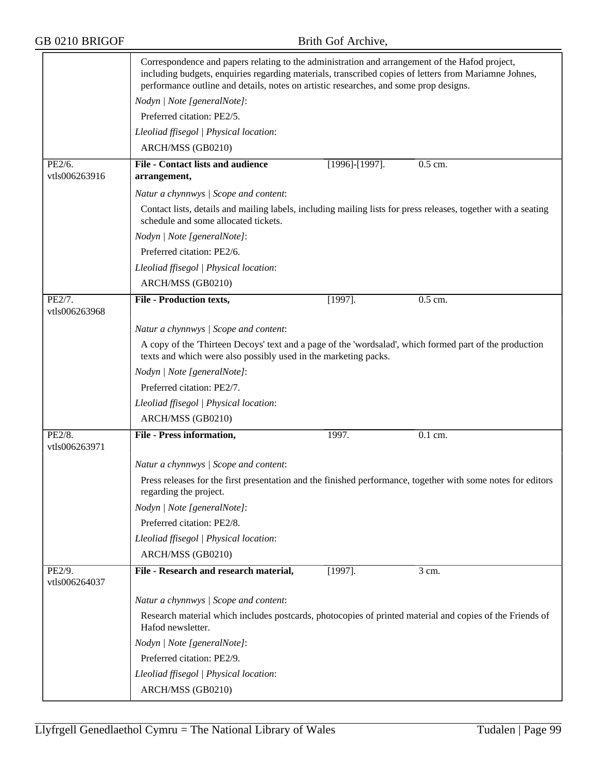|                         | Correspondence and papers relating to the administration and arrangement of the Hafod project,<br>including budgets, enquiries regarding materials, transcribed copies of letters from Mariamne Johnes,<br>performance outline and details, notes on artistic researches, and some prop designs. |                       |           |
|-------------------------|--------------------------------------------------------------------------------------------------------------------------------------------------------------------------------------------------------------------------------------------------------------------------------------------------|-----------------------|-----------|
|                         | Nodyn   Note [generalNote]:                                                                                                                                                                                                                                                                      |                       |           |
|                         | Preferred citation: PE2/5.                                                                                                                                                                                                                                                                       |                       |           |
|                         | Lleoliad ffisegol   Physical location:                                                                                                                                                                                                                                                           |                       |           |
|                         | ARCH/MSS (GB0210)                                                                                                                                                                                                                                                                                |                       |           |
| PE2/6.<br>vtls006263916 | <b>File - Contact lists and audience</b><br>arrangement,                                                                                                                                                                                                                                         | $[1996]$ - $[1997]$ . | 0.5 cm.   |
|                         | Natur a chynnwys / Scope and content:                                                                                                                                                                                                                                                            |                       |           |
|                         | Contact lists, details and mailing labels, including mailing lists for press releases, together with a seating<br>schedule and some allocated tickets.                                                                                                                                           |                       |           |
|                         | Nodyn   Note [generalNote]:                                                                                                                                                                                                                                                                      |                       |           |
|                         | Preferred citation: PE2/6.                                                                                                                                                                                                                                                                       |                       |           |
|                         | Lleoliad ffisegol   Physical location:                                                                                                                                                                                                                                                           |                       |           |
|                         | ARCH/MSS (GB0210)                                                                                                                                                                                                                                                                                |                       |           |
| PE2/7.<br>vtls006263968 | <b>File - Production texts,</b>                                                                                                                                                                                                                                                                  | $[1997]$ .            | $0.5$ cm. |
|                         | Natur a chynnwys / Scope and content:                                                                                                                                                                                                                                                            |                       |           |
|                         | A copy of the 'Thirteen Decoys' text and a page of the 'wordsalad', which formed part of the production<br>texts and which were also possibly used in the marketing packs.                                                                                                                       |                       |           |
|                         | Nodyn   Note [generalNote]:                                                                                                                                                                                                                                                                      |                       |           |
|                         | Preferred citation: PE2/7.                                                                                                                                                                                                                                                                       |                       |           |
|                         | Lleoliad ffisegol   Physical location:                                                                                                                                                                                                                                                           |                       |           |
|                         | ARCH/MSS (GB0210)                                                                                                                                                                                                                                                                                |                       |           |
| PE2/8.<br>vtls006263971 | <b>File - Press information,</b>                                                                                                                                                                                                                                                                 | 1997.                 | 0.1 cm.   |
|                         | Natur a chynnwys / Scope and content:                                                                                                                                                                                                                                                            |                       |           |
|                         | Press releases for the first presentation and the finished performance, together with some notes for editors<br>regarding the project.                                                                                                                                                           |                       |           |
|                         | Nodyn   Note [generalNote]:                                                                                                                                                                                                                                                                      |                       |           |
|                         | Preferred citation: PE2/8.                                                                                                                                                                                                                                                                       |                       |           |
|                         | Lleoliad ffisegol   Physical location:                                                                                                                                                                                                                                                           |                       |           |
|                         | ARCH/MSS (GB0210)                                                                                                                                                                                                                                                                                |                       |           |
| PE2/9.<br>vtls006264037 | File - Research and research material,                                                                                                                                                                                                                                                           | $[1997]$ .            | 3 cm.     |
|                         | Natur a chynnwys / Scope and content:                                                                                                                                                                                                                                                            |                       |           |
|                         | Research material which includes postcards, photocopies of printed material and copies of the Friends of<br>Hafod newsletter.                                                                                                                                                                    |                       |           |
|                         | Nodyn   Note [generalNote]:                                                                                                                                                                                                                                                                      |                       |           |
|                         | Preferred citation: PE2/9.                                                                                                                                                                                                                                                                       |                       |           |
|                         | Lleoliad ffisegol   Physical location:                                                                                                                                                                                                                                                           |                       |           |
|                         | ARCH/MSS (GB0210)                                                                                                                                                                                                                                                                                |                       |           |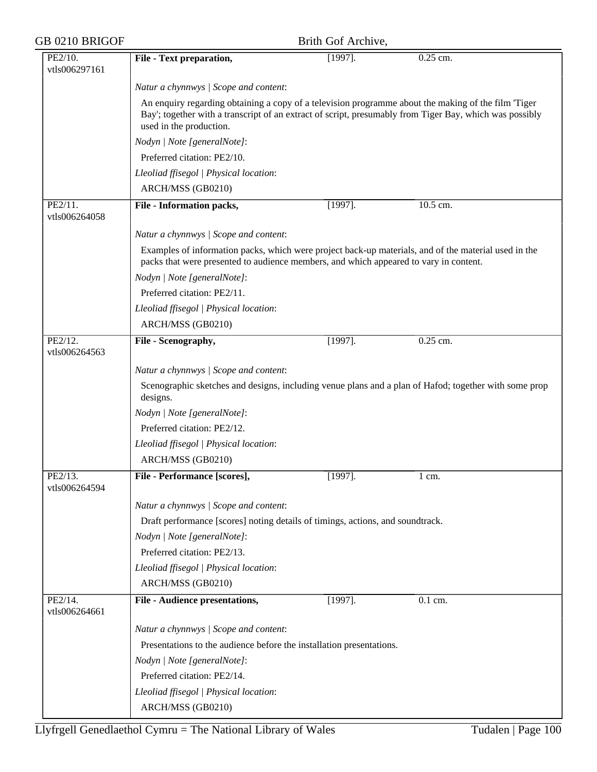| GB 0210 BRIGOF           |                                                                                                                                                                                                                                           | Brith Gof Archive, |                                                                                                       |  |  |
|--------------------------|-------------------------------------------------------------------------------------------------------------------------------------------------------------------------------------------------------------------------------------------|--------------------|-------------------------------------------------------------------------------------------------------|--|--|
| PE2/10.<br>vtls006297161 | File - Text preparation,                                                                                                                                                                                                                  | $[1997]$ .         | 0.25 cm.                                                                                              |  |  |
|                          | Natur a chynnwys / Scope and content:                                                                                                                                                                                                     |                    |                                                                                                       |  |  |
|                          | An enquiry regarding obtaining a copy of a television programme about the making of the film 'Tiger<br>Bay'; together with a transcript of an extract of script, presumably from Tiger Bay, which was possibly<br>used in the production. |                    |                                                                                                       |  |  |
|                          | Nodyn   Note [generalNote]:                                                                                                                                                                                                               |                    |                                                                                                       |  |  |
|                          | Preferred citation: PE2/10.                                                                                                                                                                                                               |                    |                                                                                                       |  |  |
|                          | Lleoliad ffisegol   Physical location:                                                                                                                                                                                                    |                    |                                                                                                       |  |  |
|                          | ARCH/MSS (GB0210)                                                                                                                                                                                                                         |                    |                                                                                                       |  |  |
| PE2/11.<br>vtls006264058 | <b>File - Information packs,</b>                                                                                                                                                                                                          | $[1997]$ .         | 10.5 cm.                                                                                              |  |  |
|                          | Natur a chynnwys / Scope and content:                                                                                                                                                                                                     |                    |                                                                                                       |  |  |
|                          | Examples of information packs, which were project back-up materials, and of the material used in the<br>packs that were presented to audience members, and which appeared to vary in content.                                             |                    |                                                                                                       |  |  |
|                          | Nodyn   Note [generalNote]:                                                                                                                                                                                                               |                    |                                                                                                       |  |  |
|                          | Preferred citation: PE2/11.                                                                                                                                                                                                               |                    |                                                                                                       |  |  |
|                          | Lleoliad ffisegol   Physical location:                                                                                                                                                                                                    |                    |                                                                                                       |  |  |
|                          | ARCH/MSS (GB0210)                                                                                                                                                                                                                         |                    |                                                                                                       |  |  |
| PE2/12.<br>vtls006264563 | File - Scenography,                                                                                                                                                                                                                       | $[1997]$ .         | $0.25$ cm.                                                                                            |  |  |
|                          | Natur a chynnwys / Scope and content:                                                                                                                                                                                                     |                    |                                                                                                       |  |  |
|                          | designs.                                                                                                                                                                                                                                  |                    | Scenographic sketches and designs, including venue plans and a plan of Hafod; together with some prop |  |  |
|                          | Nodyn   Note [generalNote]:                                                                                                                                                                                                               |                    |                                                                                                       |  |  |
|                          | Preferred citation: PE2/12.                                                                                                                                                                                                               |                    |                                                                                                       |  |  |
|                          | Lleoliad ffisegol   Physical location:                                                                                                                                                                                                    |                    |                                                                                                       |  |  |
|                          | ARCH/MSS (GB0210)                                                                                                                                                                                                                         |                    |                                                                                                       |  |  |
| PE2/13.<br>vtls006264594 | File - Performance [scores],                                                                                                                                                                                                              | $[1997]$ .         | $1 \text{ cm}$ .                                                                                      |  |  |
|                          | Natur a chynnwys / Scope and content:                                                                                                                                                                                                     |                    |                                                                                                       |  |  |
|                          | Draft performance [scores] noting details of timings, actions, and soundtrack.                                                                                                                                                            |                    |                                                                                                       |  |  |
|                          | Nodyn   Note [generalNote]:                                                                                                                                                                                                               |                    |                                                                                                       |  |  |
|                          | Preferred citation: PE2/13.                                                                                                                                                                                                               |                    |                                                                                                       |  |  |
|                          | Lleoliad ffisegol   Physical location:                                                                                                                                                                                                    |                    |                                                                                                       |  |  |
|                          | ARCH/MSS (GB0210)                                                                                                                                                                                                                         |                    |                                                                                                       |  |  |
| PE2/14.<br>vtls006264661 | <b>File - Audience presentations,</b>                                                                                                                                                                                                     | $[1997]$ .         | $0.1$ cm.                                                                                             |  |  |
|                          | Natur a chynnwys / Scope and content:                                                                                                                                                                                                     |                    |                                                                                                       |  |  |
|                          | Presentations to the audience before the installation presentations.                                                                                                                                                                      |                    |                                                                                                       |  |  |
|                          | Nodyn   Note [generalNote]:                                                                                                                                                                                                               |                    |                                                                                                       |  |  |
|                          | Preferred citation: PE2/14.                                                                                                                                                                                                               |                    |                                                                                                       |  |  |
|                          | Lleoliad ffisegol   Physical location:                                                                                                                                                                                                    |                    |                                                                                                       |  |  |
|                          | ARCH/MSS (GB0210)                                                                                                                                                                                                                         |                    |                                                                                                       |  |  |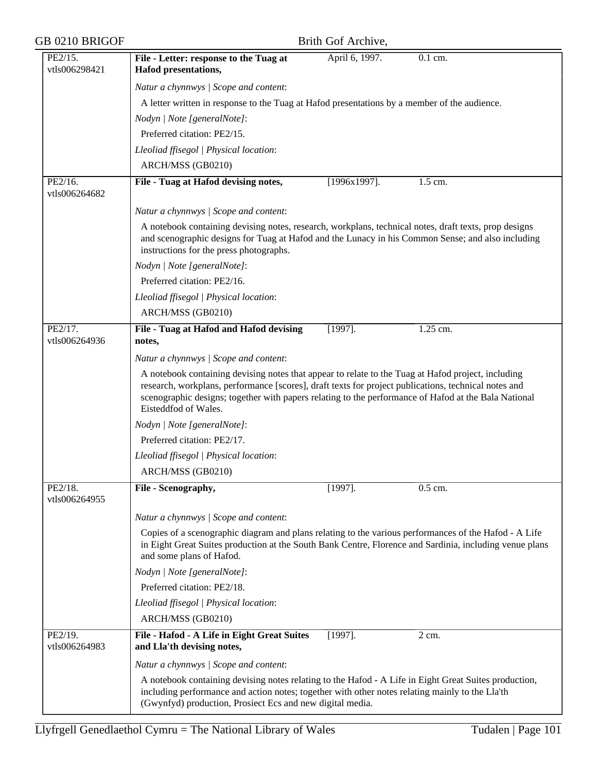| GB 0210 BRIGOF           | Brith Gof Archive,                                                                                                                                                                                                                                                                                                                         |
|--------------------------|--------------------------------------------------------------------------------------------------------------------------------------------------------------------------------------------------------------------------------------------------------------------------------------------------------------------------------------------|
| PE2/15.<br>vtls006298421 | April 6, 1997.<br>$\overline{0.1}$ cm.<br>File - Letter: response to the Tuag at<br><b>Hafod presentations,</b>                                                                                                                                                                                                                            |
|                          | Natur a chynnwys / Scope and content:                                                                                                                                                                                                                                                                                                      |
|                          | A letter written in response to the Tuag at Hafod presentations by a member of the audience.                                                                                                                                                                                                                                               |
|                          | Nodyn   Note [generalNote]:                                                                                                                                                                                                                                                                                                                |
|                          | Preferred citation: PE2/15.                                                                                                                                                                                                                                                                                                                |
|                          | Lleoliad ffisegol   Physical location:                                                                                                                                                                                                                                                                                                     |
|                          | ARCH/MSS (GB0210)                                                                                                                                                                                                                                                                                                                          |
| PE2/16.<br>vtls006264682 | File - Tuag at Hafod devising notes,<br>$[1996x1997]$ .<br>1.5 cm.                                                                                                                                                                                                                                                                         |
|                          | Natur a chynnwys / Scope and content:                                                                                                                                                                                                                                                                                                      |
|                          | A notebook containing devising notes, research, workplans, technical notes, draft texts, prop designs<br>and scenographic designs for Tuag at Hafod and the Lunacy in his Common Sense; and also including<br>instructions for the press photographs.                                                                                      |
|                          | Nodyn   Note [generalNote]:                                                                                                                                                                                                                                                                                                                |
|                          | Preferred citation: PE2/16.                                                                                                                                                                                                                                                                                                                |
|                          | Lleoliad ffisegol   Physical location:                                                                                                                                                                                                                                                                                                     |
|                          | ARCH/MSS (GB0210)                                                                                                                                                                                                                                                                                                                          |
| PE2/17.<br>vtls006264936 | 1.25 cm.<br>File - Tuag at Hafod and Hafod devising<br>$[1997]$ .<br>notes,                                                                                                                                                                                                                                                                |
|                          | Natur a chynnwys / Scope and content:                                                                                                                                                                                                                                                                                                      |
|                          | A notebook containing devising notes that appear to relate to the Tuag at Hafod project, including<br>research, workplans, performance [scores], draft texts for project publications, technical notes and<br>scenographic designs; together with papers relating to the performance of Hafod at the Bala National<br>Eisteddfod of Wales. |
|                          | Nodyn   Note [generalNote]:                                                                                                                                                                                                                                                                                                                |
|                          | Preferred citation: PE2/17.                                                                                                                                                                                                                                                                                                                |
|                          | Lleoliad ffisegol   Physical location:                                                                                                                                                                                                                                                                                                     |
|                          | ARCH/MSS (GB0210)                                                                                                                                                                                                                                                                                                                          |
| PE2/18.<br>vtls006264955 | 0.5 cm.<br>File - Scenography,<br>$[1997]$ .                                                                                                                                                                                                                                                                                               |
|                          | Natur a chynnwys / Scope and content:                                                                                                                                                                                                                                                                                                      |
|                          | Copies of a scenographic diagram and plans relating to the various performances of the Hafod - A Life<br>in Eight Great Suites production at the South Bank Centre, Florence and Sardinia, including venue plans<br>and some plans of Hafod.                                                                                               |
|                          | Nodyn   Note [generalNote]:                                                                                                                                                                                                                                                                                                                |
|                          | Preferred citation: PE2/18.                                                                                                                                                                                                                                                                                                                |
|                          | Lleoliad ffisegol   Physical location:                                                                                                                                                                                                                                                                                                     |
|                          | ARCH/MSS (GB0210)                                                                                                                                                                                                                                                                                                                          |
| PE2/19.<br>vtls006264983 | File - Hafod - A Life in Eight Great Suites<br>$[1997]$ .<br>2 cm.<br>and Lla'th devising notes,                                                                                                                                                                                                                                           |
|                          | Natur a chynnwys / Scope and content:                                                                                                                                                                                                                                                                                                      |
|                          | A notebook containing devising notes relating to the Hafod - A Life in Eight Great Suites production,<br>including performance and action notes; together with other notes relating mainly to the Lla'th<br>(Gwynfyd) production, Prosiect Ecs and new digital media.                                                                      |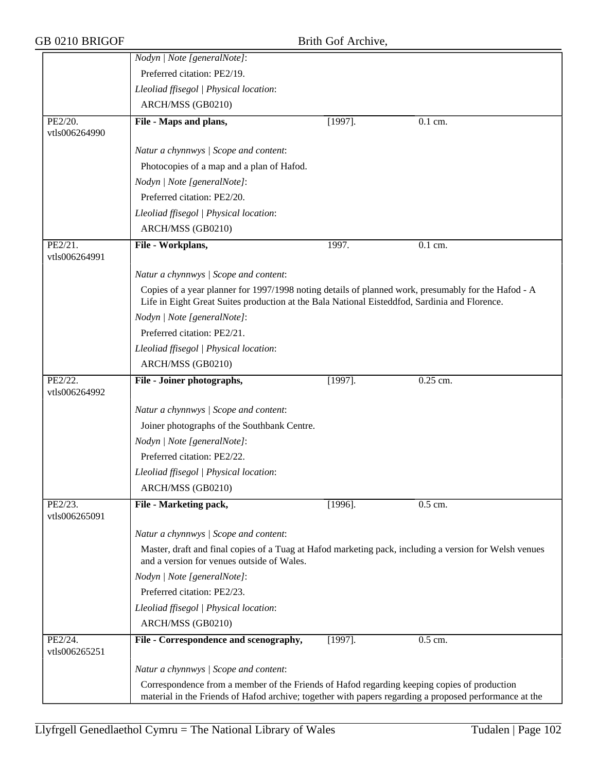|                          | Nodyn   Note [generalNote]:                                                                                                                                                                           |            |                      |  |  |
|--------------------------|-------------------------------------------------------------------------------------------------------------------------------------------------------------------------------------------------------|------------|----------------------|--|--|
|                          | Preferred citation: PE2/19.                                                                                                                                                                           |            |                      |  |  |
|                          | Lleoliad ffisegol   Physical location:                                                                                                                                                                |            |                      |  |  |
|                          | ARCH/MSS (GB0210)                                                                                                                                                                                     |            |                      |  |  |
| PE2/20.<br>vtls006264990 | File - Maps and plans,                                                                                                                                                                                | $[1997]$ . | $0.1$ cm.            |  |  |
|                          | Natur a chynnwys / Scope and content:                                                                                                                                                                 |            |                      |  |  |
|                          | Photocopies of a map and a plan of Hafod.                                                                                                                                                             |            |                      |  |  |
|                          | Nodyn   Note [generalNote]:                                                                                                                                                                           |            |                      |  |  |
|                          | Preferred citation: PE2/20.                                                                                                                                                                           |            |                      |  |  |
|                          | Lleoliad ffisegol   Physical location:                                                                                                                                                                |            |                      |  |  |
|                          | ARCH/MSS (GB0210)                                                                                                                                                                                     |            |                      |  |  |
| PE2/21.<br>vtls006264991 | File - Workplans,                                                                                                                                                                                     | 1997.      | 0.1 cm.              |  |  |
|                          | Natur a chynnwys / Scope and content:                                                                                                                                                                 |            |                      |  |  |
|                          | Copies of a year planner for 1997/1998 noting details of planned work, presumably for the Hafod - A<br>Life in Eight Great Suites production at the Bala National Eisteddfod, Sardinia and Florence.  |            |                      |  |  |
|                          | Nodyn   Note [generalNote]:                                                                                                                                                                           |            |                      |  |  |
|                          | Preferred citation: PE2/21.                                                                                                                                                                           |            |                      |  |  |
|                          | Lleoliad ffisegol   Physical location:                                                                                                                                                                |            |                      |  |  |
|                          | ARCH/MSS (GB0210)                                                                                                                                                                                     |            |                      |  |  |
| PE2/22.<br>vtls006264992 | File - Joiner photographs,                                                                                                                                                                            | $[1997]$ . | 0.25 cm.             |  |  |
|                          | Natur a chynnwys / Scope and content:                                                                                                                                                                 |            |                      |  |  |
|                          | Joiner photographs of the Southbank Centre.                                                                                                                                                           |            |                      |  |  |
|                          | Nodyn   Note [generalNote]:                                                                                                                                                                           |            |                      |  |  |
|                          | Preferred citation: PE2/22.                                                                                                                                                                           |            |                      |  |  |
|                          | Lleoliad ffisegol   Physical location:                                                                                                                                                                |            |                      |  |  |
|                          | ARCH/MSS (GB0210)                                                                                                                                                                                     |            |                      |  |  |
| PE2/23.<br>vtls006265091 | File - Marketing pack,                                                                                                                                                                                | $[1996]$ . | $\overline{0.5}$ cm. |  |  |
|                          | Natur a chynnwys / Scope and content:                                                                                                                                                                 |            |                      |  |  |
|                          | Master, draft and final copies of a Tuag at Hafod marketing pack, including a version for Welsh venues<br>and a version for venues outside of Wales.                                                  |            |                      |  |  |
|                          | Nodyn   Note [generalNote]:                                                                                                                                                                           |            |                      |  |  |
|                          | Preferred citation: PE2/23.                                                                                                                                                                           |            |                      |  |  |
|                          | Lleoliad ffisegol   Physical location:                                                                                                                                                                |            |                      |  |  |
|                          | ARCH/MSS (GB0210)                                                                                                                                                                                     |            |                      |  |  |
| PE2/24.<br>vtls006265251 | File - Correspondence and scenography,                                                                                                                                                                | $[1997]$ . | 0.5 cm.              |  |  |
|                          | Natur a chynnwys / Scope and content:                                                                                                                                                                 |            |                      |  |  |
|                          | Correspondence from a member of the Friends of Hafod regarding keeping copies of production<br>material in the Friends of Hafod archive; together with papers regarding a proposed performance at the |            |                      |  |  |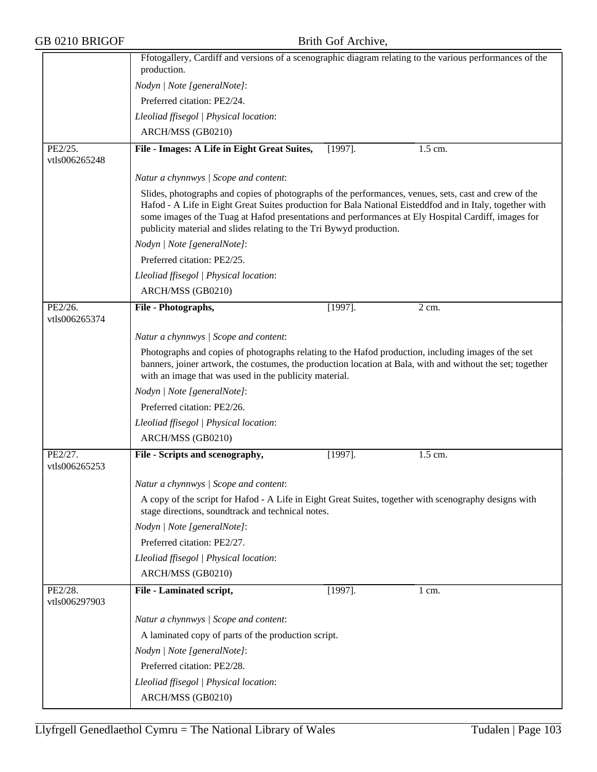|                          | production.                                                                                                                                                                  |            | Ffotogallery, Cardiff and versions of a scenographic diagram relating to the various performances of the                                                                                                        |
|--------------------------|------------------------------------------------------------------------------------------------------------------------------------------------------------------------------|------------|-----------------------------------------------------------------------------------------------------------------------------------------------------------------------------------------------------------------|
|                          | Nodyn   Note [generalNote]:                                                                                                                                                  |            |                                                                                                                                                                                                                 |
|                          |                                                                                                                                                                              |            |                                                                                                                                                                                                                 |
|                          | Preferred citation: PE2/24.                                                                                                                                                  |            |                                                                                                                                                                                                                 |
|                          | Lleoliad ffisegol   Physical location:                                                                                                                                       |            |                                                                                                                                                                                                                 |
|                          | ARCH/MSS (GB0210)                                                                                                                                                            |            |                                                                                                                                                                                                                 |
| PE2/25.<br>vtls006265248 | File - Images: A Life in Eight Great Suites,                                                                                                                                 | $[1997]$ . | 1.5 cm.                                                                                                                                                                                                         |
|                          | Natur a chynnwys / Scope and content:                                                                                                                                        |            |                                                                                                                                                                                                                 |
|                          | Slides, photographs and copies of photographs of the performances, venues, sets, cast and crew of the<br>publicity material and slides relating to the Tri Bywyd production. |            | Hafod - A Life in Eight Great Suites production for Bala National Eisteddfod and in Italy, together with<br>some images of the Tuag at Hafod presentations and performances at Ely Hospital Cardiff, images for |
|                          | Nodyn   Note [generalNote]:                                                                                                                                                  |            |                                                                                                                                                                                                                 |
|                          | Preferred citation: PE2/25.                                                                                                                                                  |            |                                                                                                                                                                                                                 |
|                          | Lleoliad ffisegol   Physical location:                                                                                                                                       |            |                                                                                                                                                                                                                 |
|                          | ARCH/MSS (GB0210)                                                                                                                                                            |            |                                                                                                                                                                                                                 |
| PE2/26.<br>vtls006265374 | File - Photographs,                                                                                                                                                          | $[1997]$ . | 2 cm.                                                                                                                                                                                                           |
|                          | Natur a chynnwys / Scope and content:                                                                                                                                        |            |                                                                                                                                                                                                                 |
|                          | Photographs and copies of photographs relating to the Hafod production, including images of the set<br>with an image that was used in the publicity material.                |            | banners, joiner artwork, the costumes, the production location at Bala, with and without the set; together                                                                                                      |
|                          | Nodyn   Note [generalNote]:                                                                                                                                                  |            |                                                                                                                                                                                                                 |
|                          | Preferred citation: PE2/26.                                                                                                                                                  |            |                                                                                                                                                                                                                 |
|                          | Lleoliad ffisegol   Physical location:                                                                                                                                       |            |                                                                                                                                                                                                                 |
|                          | ARCH/MSS (GB0210)                                                                                                                                                            |            |                                                                                                                                                                                                                 |
| PE2/27.<br>vtls006265253 | File - Scripts and scenography,                                                                                                                                              | $[1997]$ . | 1.5 cm.                                                                                                                                                                                                         |
|                          | Natur a chynnwys / Scope and content:                                                                                                                                        |            |                                                                                                                                                                                                                 |
|                          | A copy of the script for Hafod - A Life in Eight Great Suites, together with scenography designs with<br>stage directions, soundtrack and technical notes.                   |            |                                                                                                                                                                                                                 |
|                          | Nodyn   Note [generalNote]:                                                                                                                                                  |            |                                                                                                                                                                                                                 |
|                          | Preferred citation: PE2/27.                                                                                                                                                  |            |                                                                                                                                                                                                                 |
|                          | Lleoliad ffisegol   Physical location:                                                                                                                                       |            |                                                                                                                                                                                                                 |
|                          | ARCH/MSS (GB0210)                                                                                                                                                            |            |                                                                                                                                                                                                                 |
| PE2/28.<br>vtls006297903 | File - Laminated script,                                                                                                                                                     | $[1997]$ . | $1 \text{ cm}$ .                                                                                                                                                                                                |
|                          | Natur a chynnwys / Scope and content:                                                                                                                                        |            |                                                                                                                                                                                                                 |
|                          | A laminated copy of parts of the production script.                                                                                                                          |            |                                                                                                                                                                                                                 |
|                          | Nodyn   Note [generalNote]:                                                                                                                                                  |            |                                                                                                                                                                                                                 |
|                          | Preferred citation: PE2/28.                                                                                                                                                  |            |                                                                                                                                                                                                                 |
|                          |                                                                                                                                                                              |            |                                                                                                                                                                                                                 |
|                          | Lleoliad ffisegol   Physical location:                                                                                                                                       |            |                                                                                                                                                                                                                 |
|                          | ARCH/MSS (GB0210)                                                                                                                                                            |            |                                                                                                                                                                                                                 |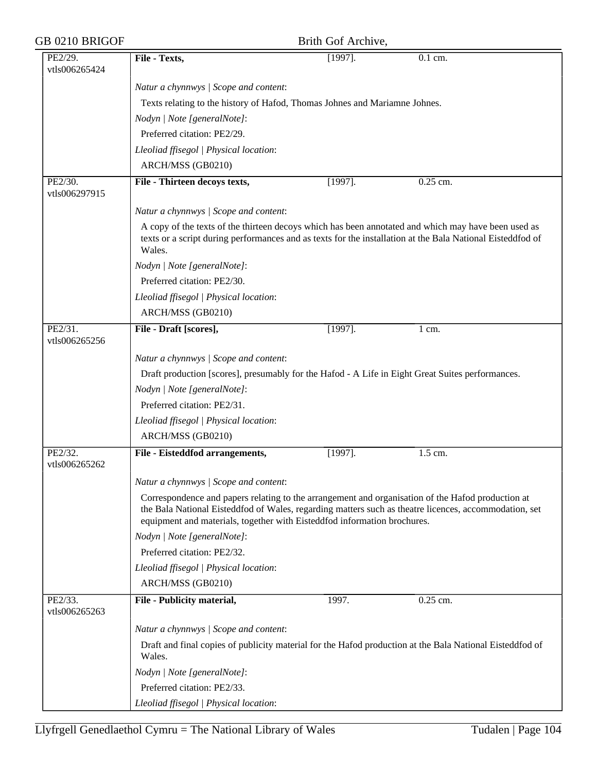| GB 0210 BRIGOF           | Brith Gof Archive,                                                                                                                                                                                                                                                                     |            |           |  |  |
|--------------------------|----------------------------------------------------------------------------------------------------------------------------------------------------------------------------------------------------------------------------------------------------------------------------------------|------------|-----------|--|--|
| PE2/29.<br>vtls006265424 | File - Texts,                                                                                                                                                                                                                                                                          | $[1997]$ . | $0.1$ cm. |  |  |
|                          | Natur a chynnwys / Scope and content:                                                                                                                                                                                                                                                  |            |           |  |  |
|                          | Texts relating to the history of Hafod, Thomas Johnes and Mariamne Johnes.                                                                                                                                                                                                             |            |           |  |  |
|                          | Nodyn   Note [generalNote]:                                                                                                                                                                                                                                                            |            |           |  |  |
|                          | Preferred citation: PE2/29.                                                                                                                                                                                                                                                            |            |           |  |  |
|                          | Lleoliad ffisegol   Physical location:                                                                                                                                                                                                                                                 |            |           |  |  |
|                          | ARCH/MSS (GB0210)                                                                                                                                                                                                                                                                      |            |           |  |  |
| PE2/30.<br>vtls006297915 | File - Thirteen decoys texts,                                                                                                                                                                                                                                                          | $[1997]$ . | 0.25 cm.  |  |  |
|                          | Natur a chynnwys / Scope and content:                                                                                                                                                                                                                                                  |            |           |  |  |
|                          | A copy of the texts of the thirteen decoys which has been annotated and which may have been used as<br>texts or a script during performances and as texts for the installation at the Bala National Eisteddfod of<br>Wales.                                                            |            |           |  |  |
|                          | Nodyn   Note [generalNote]:                                                                                                                                                                                                                                                            |            |           |  |  |
|                          | Preferred citation: PE2/30.                                                                                                                                                                                                                                                            |            |           |  |  |
|                          | Lleoliad ffisegol   Physical location:                                                                                                                                                                                                                                                 |            |           |  |  |
|                          | ARCH/MSS (GB0210)                                                                                                                                                                                                                                                                      |            |           |  |  |
| PE2/31.<br>vtls006265256 | File - Draft [scores],                                                                                                                                                                                                                                                                 | $[1997]$ . | 1 cm.     |  |  |
|                          | Natur a chynnwys / Scope and content:                                                                                                                                                                                                                                                  |            |           |  |  |
|                          | Draft production [scores], presumably for the Hafod - A Life in Eight Great Suites performances.                                                                                                                                                                                       |            |           |  |  |
|                          | Nodyn   Note [generalNote]:                                                                                                                                                                                                                                                            |            |           |  |  |
|                          | Preferred citation: PE2/31.                                                                                                                                                                                                                                                            |            |           |  |  |
|                          | Lleoliad ffisegol   Physical location:                                                                                                                                                                                                                                                 |            |           |  |  |
|                          | ARCH/MSS (GB0210)                                                                                                                                                                                                                                                                      |            |           |  |  |
| PE2/32.<br>vtls006265262 | File - Eisteddfod arrangements,                                                                                                                                                                                                                                                        | $[1997]$ . | 1.5 cm.   |  |  |
|                          | Natur a chynnwys / Scope and content:                                                                                                                                                                                                                                                  |            |           |  |  |
|                          | Correspondence and papers relating to the arrangement and organisation of the Hafod production at<br>the Bala National Eisteddfod of Wales, regarding matters such as theatre licences, accommodation, set<br>equipment and materials, together with Eisteddfod information brochures. |            |           |  |  |
|                          | Nodyn   Note [generalNote]:                                                                                                                                                                                                                                                            |            |           |  |  |
|                          | Preferred citation: PE2/32.                                                                                                                                                                                                                                                            |            |           |  |  |
|                          | Lleoliad ffisegol   Physical location:                                                                                                                                                                                                                                                 |            |           |  |  |
|                          | ARCH/MSS (GB0210)                                                                                                                                                                                                                                                                      |            |           |  |  |
| PE2/33.<br>vtls006265263 | File - Publicity material,                                                                                                                                                                                                                                                             | 1997.      | 0.25 cm.  |  |  |
|                          | Natur a chynnwys / Scope and content:                                                                                                                                                                                                                                                  |            |           |  |  |
|                          | Draft and final copies of publicity material for the Hafod production at the Bala National Eisteddfod of<br>Wales.                                                                                                                                                                     |            |           |  |  |
|                          | Nodyn   Note [generalNote]:                                                                                                                                                                                                                                                            |            |           |  |  |
|                          | Preferred citation: PE2/33.                                                                                                                                                                                                                                                            |            |           |  |  |
|                          | Lleoliad ffisegol   Physical location:                                                                                                                                                                                                                                                 |            |           |  |  |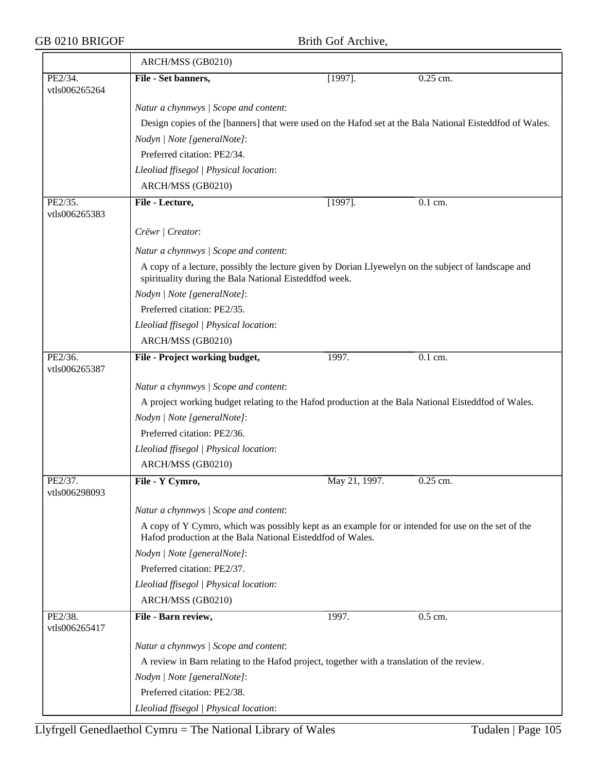|               | ARCH/MSS (GB0210)                                                                                                                                             |               |                                                                                                          |  |  |
|---------------|---------------------------------------------------------------------------------------------------------------------------------------------------------------|---------------|----------------------------------------------------------------------------------------------------------|--|--|
| PE2/34.       | File - Set banners,                                                                                                                                           | $[1997]$ .    | 0.25 cm.                                                                                                 |  |  |
| vtls006265264 |                                                                                                                                                               |               |                                                                                                          |  |  |
|               | Natur a chynnwys / Scope and content:                                                                                                                         |               |                                                                                                          |  |  |
|               |                                                                                                                                                               |               | Design copies of the [banners] that were used on the Hafod set at the Bala National Eisteddfod of Wales. |  |  |
|               | Nodyn   Note [generalNote]:                                                                                                                                   |               |                                                                                                          |  |  |
|               | Preferred citation: PE2/34.                                                                                                                                   |               |                                                                                                          |  |  |
|               | Lleoliad ffisegol   Physical location:                                                                                                                        |               |                                                                                                          |  |  |
|               | ARCH/MSS (GB0210)                                                                                                                                             |               |                                                                                                          |  |  |
| PE2/35.       | File - Lecture,                                                                                                                                               | $[1997]$ .    | 0.1 cm.                                                                                                  |  |  |
| vtls006265383 |                                                                                                                                                               |               |                                                                                                          |  |  |
|               | Crëwr   Creator:                                                                                                                                              |               |                                                                                                          |  |  |
|               | Natur a chynnwys / Scope and content:                                                                                                                         |               |                                                                                                          |  |  |
|               | A copy of a lecture, possibly the lecture given by Dorian Llyewelyn on the subject of landscape and<br>spirituality during the Bala National Eisteddfod week. |               |                                                                                                          |  |  |
|               | Nodyn   Note [generalNote]:                                                                                                                                   |               |                                                                                                          |  |  |
|               | Preferred citation: PE2/35.                                                                                                                                   |               |                                                                                                          |  |  |
|               | Lleoliad ffisegol   Physical location:                                                                                                                        |               |                                                                                                          |  |  |
|               | ARCH/MSS (GB0210)                                                                                                                                             |               |                                                                                                          |  |  |
| PE2/36.       | File - Project working budget,                                                                                                                                | 1997.         | 0.1 cm.                                                                                                  |  |  |
| vtls006265387 |                                                                                                                                                               |               |                                                                                                          |  |  |
|               | Natur a chynnwys / Scope and content:                                                                                                                         |               |                                                                                                          |  |  |
|               | A project working budget relating to the Hafod production at the Bala National Eisteddfod of Wales.                                                           |               |                                                                                                          |  |  |
|               | Nodyn   Note [generalNote]:                                                                                                                                   |               |                                                                                                          |  |  |
|               | Preferred citation: PE2/36.                                                                                                                                   |               |                                                                                                          |  |  |
|               | Lleoliad ffisegol   Physical location:                                                                                                                        |               |                                                                                                          |  |  |
|               | ARCH/MSS (GB0210)                                                                                                                                             |               |                                                                                                          |  |  |
| PE2/37.       | File - Y Cymro,                                                                                                                                               | May 21, 1997. | $0.25$ cm.                                                                                               |  |  |
| vtls006298093 |                                                                                                                                                               |               |                                                                                                          |  |  |
|               | Natur a chynnwys / Scope and content:                                                                                                                         |               |                                                                                                          |  |  |
|               | A copy of Y Cymro, which was possibly kept as an example for or intended for use on the set of the                                                            |               |                                                                                                          |  |  |
|               | Hafod production at the Bala National Eisteddfod of Wales.                                                                                                    |               |                                                                                                          |  |  |
|               | Nodyn   Note [generalNote]:                                                                                                                                   |               |                                                                                                          |  |  |
|               | Preferred citation: PE2/37.                                                                                                                                   |               |                                                                                                          |  |  |
|               | Lleoliad ffisegol   Physical location:                                                                                                                        |               |                                                                                                          |  |  |
|               | ARCH/MSS (GB0210)                                                                                                                                             |               |                                                                                                          |  |  |
| PE2/38.       | File - Barn review,                                                                                                                                           | 1997.         | 0.5 cm.                                                                                                  |  |  |
| vtls006265417 |                                                                                                                                                               |               |                                                                                                          |  |  |
|               | Natur a chynnwys / Scope and content:                                                                                                                         |               |                                                                                                          |  |  |
|               | A review in Barn relating to the Hafod project, together with a translation of the review.                                                                    |               |                                                                                                          |  |  |
|               | Nodyn   Note [generalNote]:                                                                                                                                   |               |                                                                                                          |  |  |
|               | Preferred citation: PE2/38.                                                                                                                                   |               |                                                                                                          |  |  |
|               | Lleoliad ffisegol   Physical location:                                                                                                                        |               |                                                                                                          |  |  |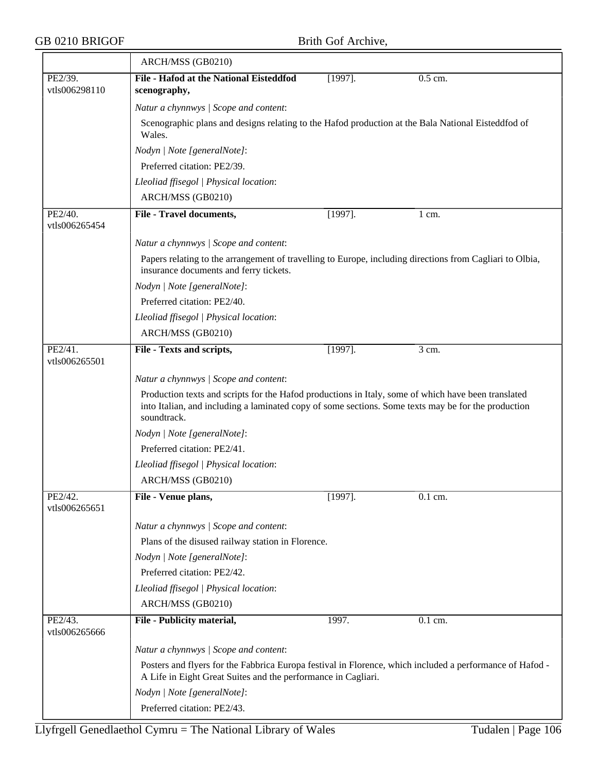$\equiv$ 

|                          | ARCH/MSS (GB0210)                                                                                                                                                                                                         |            |                    |  |  |
|--------------------------|---------------------------------------------------------------------------------------------------------------------------------------------------------------------------------------------------------------------------|------------|--------------------|--|--|
| PE2/39.<br>vtls006298110 | File - Hafod at the National Eisteddfod<br>scenography,                                                                                                                                                                   | $[1997]$ . | 0.5 cm.            |  |  |
|                          | Natur a chynnwys / Scope and content:                                                                                                                                                                                     |            |                    |  |  |
|                          | Scenographic plans and designs relating to the Hafod production at the Bala National Eisteddfod of<br>Wales.                                                                                                              |            |                    |  |  |
|                          | Nodyn   Note [generalNote]:                                                                                                                                                                                               |            |                    |  |  |
|                          | Preferred citation: PE2/39.                                                                                                                                                                                               |            |                    |  |  |
|                          | Lleoliad ffisegol   Physical location:                                                                                                                                                                                    |            |                    |  |  |
|                          | ARCH/MSS (GB0210)                                                                                                                                                                                                         |            |                    |  |  |
| PE2/40.<br>vtls006265454 | File - Travel documents,                                                                                                                                                                                                  | $[1997]$ . | 1 cm.              |  |  |
|                          | Natur a chynnwys / Scope and content:                                                                                                                                                                                     |            |                    |  |  |
|                          | Papers relating to the arrangement of travelling to Europe, including directions from Cagliari to Olbia,<br>insurance documents and ferry tickets.                                                                        |            |                    |  |  |
|                          | Nodyn   Note [generalNote]:                                                                                                                                                                                               |            |                    |  |  |
|                          | Preferred citation: PE2/40.                                                                                                                                                                                               |            |                    |  |  |
|                          | Lleoliad ffisegol   Physical location:                                                                                                                                                                                    |            |                    |  |  |
|                          | ARCH/MSS (GB0210)                                                                                                                                                                                                         |            |                    |  |  |
| PE2/41.<br>vtls006265501 | File - Texts and scripts,                                                                                                                                                                                                 | $[1997]$ . | $\overline{3}$ cm. |  |  |
|                          | Natur a chynnwys / Scope and content:                                                                                                                                                                                     |            |                    |  |  |
|                          | Production texts and scripts for the Hafod productions in Italy, some of which have been translated<br>into Italian, and including a laminated copy of some sections. Some texts may be for the production<br>soundtrack. |            |                    |  |  |
|                          | Nodyn   Note [generalNote]:                                                                                                                                                                                               |            |                    |  |  |
|                          | Preferred citation: PE2/41.                                                                                                                                                                                               |            |                    |  |  |
|                          | Lleoliad ffisegol   Physical location:                                                                                                                                                                                    |            |                    |  |  |
|                          | ARCH/MSS (GB0210)                                                                                                                                                                                                         |            |                    |  |  |
| PE2/42.<br>vtls006265651 | File - Venue plans,                                                                                                                                                                                                       | $[1997]$ . | 0.1 cm.            |  |  |
|                          | Natur a chynnwys / Scope and content:                                                                                                                                                                                     |            |                    |  |  |
|                          | Plans of the disused railway station in Florence.                                                                                                                                                                         |            |                    |  |  |
|                          | Nodyn   Note [generalNote]:                                                                                                                                                                                               |            |                    |  |  |
|                          | Preferred citation: PE2/42.                                                                                                                                                                                               |            |                    |  |  |
|                          | Lleoliad ffisegol   Physical location:                                                                                                                                                                                    |            |                    |  |  |
|                          | ARCH/MSS (GB0210)                                                                                                                                                                                                         |            |                    |  |  |
| PE2/43.<br>vtls006265666 | File - Publicity material,                                                                                                                                                                                                | 1997.      | 0.1 cm.            |  |  |
|                          | Natur a chynnwys / Scope and content:                                                                                                                                                                                     |            |                    |  |  |
|                          | Posters and flyers for the Fabbrica Europa festival in Florence, which included a performance of Hafod -<br>A Life in Eight Great Suites and the performance in Cagliari.                                                 |            |                    |  |  |
|                          | Nodyn   Note [generalNote]:                                                                                                                                                                                               |            |                    |  |  |
|                          | Preferred citation: PE2/43.                                                                                                                                                                                               |            |                    |  |  |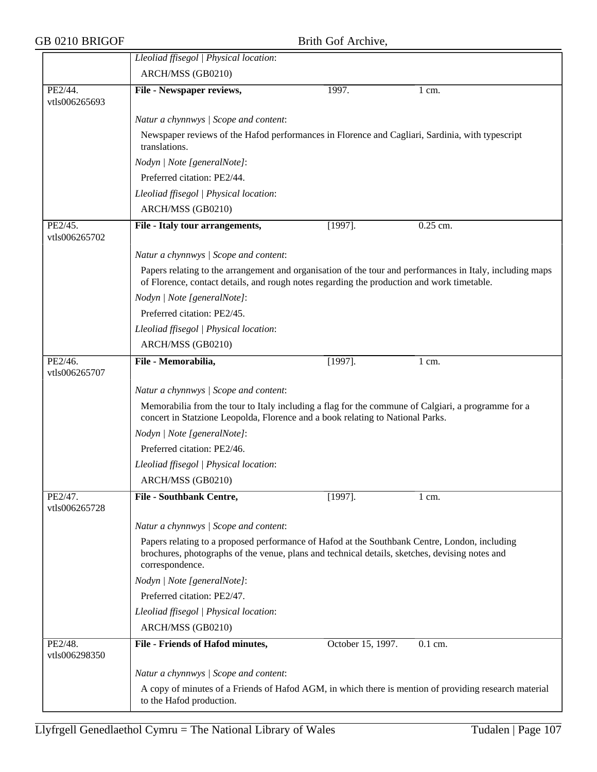|                          | Lleoliad ffisegol   Physical location:                                                                                                                                                                             |  |  |  |  |
|--------------------------|--------------------------------------------------------------------------------------------------------------------------------------------------------------------------------------------------------------------|--|--|--|--|
|                          | ARCH/MSS (GB0210)                                                                                                                                                                                                  |  |  |  |  |
| PE2/44.                  | 1997.<br>File - Newspaper reviews,<br>1 cm.                                                                                                                                                                        |  |  |  |  |
| vtls006265693            |                                                                                                                                                                                                                    |  |  |  |  |
|                          | Natur a chynnwys / Scope and content:                                                                                                                                                                              |  |  |  |  |
|                          | Newspaper reviews of the Hafod performances in Florence and Cagliari, Sardinia, with typescript<br>translations.                                                                                                   |  |  |  |  |
|                          | Nodyn   Note [generalNote]:                                                                                                                                                                                        |  |  |  |  |
|                          | Preferred citation: PE2/44.                                                                                                                                                                                        |  |  |  |  |
|                          | Lleoliad ffisegol   Physical location:                                                                                                                                                                             |  |  |  |  |
|                          | ARCH/MSS (GB0210)                                                                                                                                                                                                  |  |  |  |  |
| PE2/45.<br>vtls006265702 | $[1997]$ .<br>0.25 cm.<br>File - Italy tour arrangements,                                                                                                                                                          |  |  |  |  |
|                          | Natur a chynnwys / Scope and content:                                                                                                                                                                              |  |  |  |  |
|                          | Papers relating to the arrangement and organisation of the tour and performances in Italy, including maps<br>of Florence, contact details, and rough notes regarding the production and work timetable.            |  |  |  |  |
|                          | Nodyn   Note [generalNote]:                                                                                                                                                                                        |  |  |  |  |
|                          | Preferred citation: PE2/45.                                                                                                                                                                                        |  |  |  |  |
|                          | Lleoliad ffisegol   Physical location:                                                                                                                                                                             |  |  |  |  |
|                          | ARCH/MSS (GB0210)                                                                                                                                                                                                  |  |  |  |  |
| PE2/46.<br>vtls006265707 | File - Memorabilia,<br>$[1997]$ .<br>$1 \text{ cm}$ .                                                                                                                                                              |  |  |  |  |
|                          | Natur a chynnwys / Scope and content:                                                                                                                                                                              |  |  |  |  |
|                          | Memorabilia from the tour to Italy including a flag for the commune of Calgiari, a programme for a<br>concert in Statzione Leopolda, Florence and a book relating to National Parks.                               |  |  |  |  |
|                          | Nodyn   Note [generalNote]:                                                                                                                                                                                        |  |  |  |  |
|                          | Preferred citation: PE2/46.                                                                                                                                                                                        |  |  |  |  |
|                          | Lleoliad ffisegol   Physical location:                                                                                                                                                                             |  |  |  |  |
|                          | ARCH/MSS (GB0210)                                                                                                                                                                                                  |  |  |  |  |
| PE2/47.<br>vtls006265728 | <b>File - Southbank Centre,</b><br>$[1997]$ .<br>1 cm.                                                                                                                                                             |  |  |  |  |
|                          | Natur a chynnwys / Scope and content:                                                                                                                                                                              |  |  |  |  |
|                          | Papers relating to a proposed performance of Hafod at the Southbank Centre, London, including<br>brochures, photographs of the venue, plans and technical details, sketches, devising notes and<br>correspondence. |  |  |  |  |
|                          | Nodyn   Note [generalNote]:                                                                                                                                                                                        |  |  |  |  |
|                          | Preferred citation: PE2/47.                                                                                                                                                                                        |  |  |  |  |
|                          | Lleoliad ffisegol   Physical location:                                                                                                                                                                             |  |  |  |  |
|                          | ARCH/MSS (GB0210)                                                                                                                                                                                                  |  |  |  |  |
| PE2/48.                  | File - Friends of Hafod minutes,<br>October 15, 1997.<br>0.1 cm.                                                                                                                                                   |  |  |  |  |
| vtls006298350            |                                                                                                                                                                                                                    |  |  |  |  |
|                          | Natur a chynnwys / Scope and content:                                                                                                                                                                              |  |  |  |  |
|                          | A copy of minutes of a Friends of Hafod AGM, in which there is mention of providing research material<br>to the Hafod production.                                                                                  |  |  |  |  |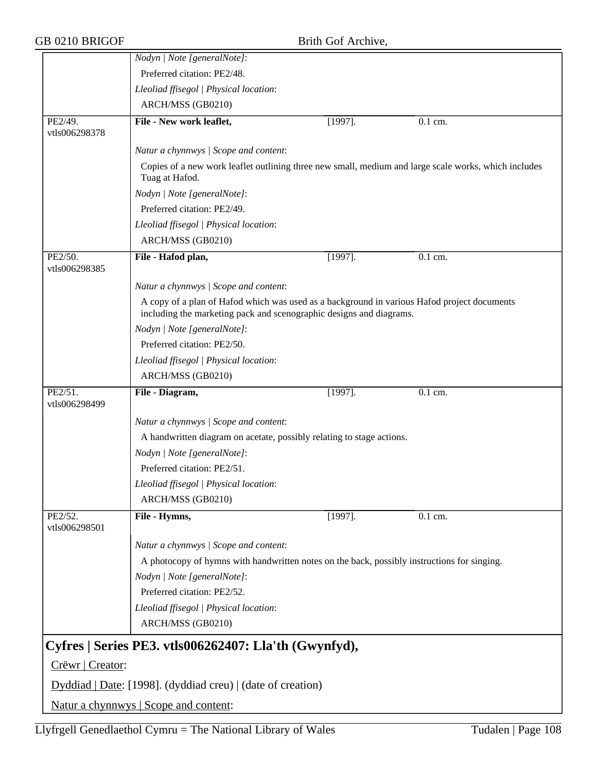|                          | Nodyn   Note [generalNote]:                                                                                                                                        |            |                                                                                                      |  |  |
|--------------------------|--------------------------------------------------------------------------------------------------------------------------------------------------------------------|------------|------------------------------------------------------------------------------------------------------|--|--|
|                          | Preferred citation: PE2/48.                                                                                                                                        |            |                                                                                                      |  |  |
|                          | Lleoliad ffisegol   Physical location:                                                                                                                             |            |                                                                                                      |  |  |
|                          | ARCH/MSS (GB0210)                                                                                                                                                  |            |                                                                                                      |  |  |
| PE2/49.                  | File - New work leaflet,                                                                                                                                           | $[1997]$ . | $0.1$ cm.                                                                                            |  |  |
| vtls006298378            |                                                                                                                                                                    |            |                                                                                                      |  |  |
|                          | Natur a chynnwys / Scope and content:                                                                                                                              |            |                                                                                                      |  |  |
|                          | Tuag at Hafod.                                                                                                                                                     |            | Copies of a new work leaflet outlining three new small, medium and large scale works, which includes |  |  |
|                          | Nodyn   Note [generalNote]:                                                                                                                                        |            |                                                                                                      |  |  |
|                          | Preferred citation: PE2/49.                                                                                                                                        |            |                                                                                                      |  |  |
|                          | Lleoliad ffisegol   Physical location:                                                                                                                             |            |                                                                                                      |  |  |
|                          | ARCH/MSS (GB0210)                                                                                                                                                  |            |                                                                                                      |  |  |
| PE2/50.                  | File - Hafod plan,                                                                                                                                                 | $[1997]$ . | $0.1$ cm.                                                                                            |  |  |
| vtls006298385            |                                                                                                                                                                    |            |                                                                                                      |  |  |
|                          | Natur a chynnwys / Scope and content:                                                                                                                              |            |                                                                                                      |  |  |
|                          | A copy of a plan of Hafod which was used as a background in various Hafod project documents<br>including the marketing pack and scenographic designs and diagrams. |            |                                                                                                      |  |  |
|                          | Nodyn   Note [generalNote]:                                                                                                                                        |            |                                                                                                      |  |  |
|                          | Preferred citation: PE2/50.                                                                                                                                        |            |                                                                                                      |  |  |
|                          | Lleoliad ffisegol   Physical location:                                                                                                                             |            |                                                                                                      |  |  |
|                          | ARCH/MSS (GB0210)                                                                                                                                                  |            |                                                                                                      |  |  |
| PE2/51.<br>vtls006298499 | File - Diagram,                                                                                                                                                    | $[1997]$ . | $\overline{0.1}$ cm.                                                                                 |  |  |
|                          | Natur a chynnwys / Scope and content:                                                                                                                              |            |                                                                                                      |  |  |
|                          | A handwritten diagram on acetate, possibly relating to stage actions.                                                                                              |            |                                                                                                      |  |  |
|                          | Nodyn   Note [generalNote]:                                                                                                                                        |            |                                                                                                      |  |  |
|                          | Preferred citation: PE2/51.                                                                                                                                        |            |                                                                                                      |  |  |
|                          | Lleoliad ffisegol   Physical location:                                                                                                                             |            |                                                                                                      |  |  |
|                          | ARCH/MSS (GB0210)                                                                                                                                                  |            |                                                                                                      |  |  |
| PE2/52.<br>vtls006298501 | File - Hymns,                                                                                                                                                      | $[1997]$ . | $0.1$ cm.                                                                                            |  |  |
|                          | Natur a chynnwys / Scope and content:                                                                                                                              |            |                                                                                                      |  |  |
|                          | A photocopy of hymns with handwritten notes on the back, possibly instructions for singing.                                                                        |            |                                                                                                      |  |  |
|                          | Nodyn   Note [generalNote]:                                                                                                                                        |            |                                                                                                      |  |  |
|                          | Preferred citation: PE2/52.                                                                                                                                        |            |                                                                                                      |  |  |
|                          | Lleoliad ffisegol   Physical location:                                                                                                                             |            |                                                                                                      |  |  |
|                          | ARCH/MSS (GB0210)                                                                                                                                                  |            |                                                                                                      |  |  |
|                          | Cyfres   Series PE3. vtls006262407: Lla'th (Gwynfyd),                                                                                                              |            |                                                                                                      |  |  |
| Crëwr   Creator:         |                                                                                                                                                                    |            |                                                                                                      |  |  |
|                          | Dyddiad   Date: [1998]. (dyddiad creu)   (date of creation)                                                                                                        |            |                                                                                                      |  |  |
|                          | Natur a chynnwys   Scope and content:                                                                                                                              |            |                                                                                                      |  |  |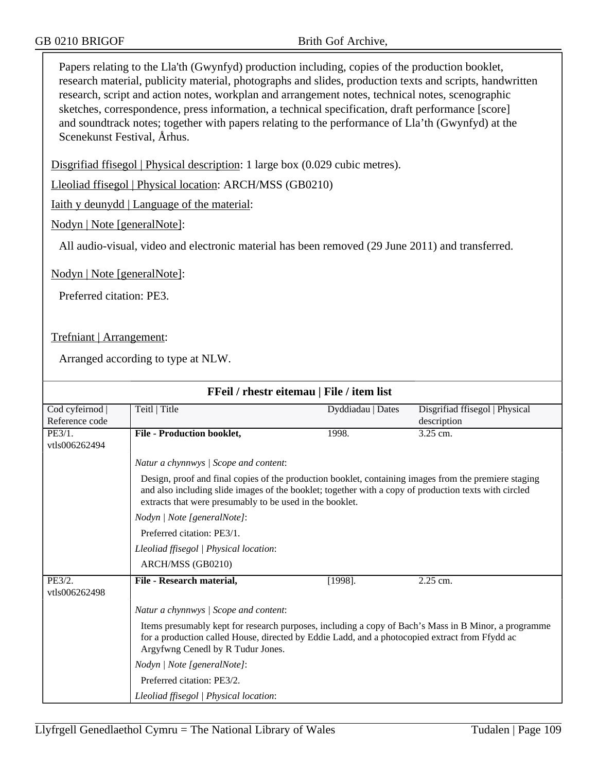Papers relating to the Lla'th (Gwynfyd) production including, copies of the production booklet, research material, publicity material, photographs and slides, production texts and scripts, handwritten research, script and action notes, workplan and arrangement notes, technical notes, scenographic sketches, correspondence, press information, a technical specification, draft performance [score] and soundtrack notes; together with papers relating to the performance of Lla'th (Gwynfyd) at the Scenekunst Festival, Århus.

Disgrifiad ffisegol | Physical description: 1 large box (0.029 cubic metres).

Lleoliad ffisegol | Physical location: ARCH/MSS (GB0210)

Iaith y deunydd | Language of the material:

Nodyn | Note [generalNote]:

All audio-visual, video and electronic material has been removed (29 June 2011) and transferred.

Nodyn | Note [generalNote]:

Preferred citation: PE3.

Trefniant | Arrangement:

| FFeil / rhestr eitemau   File / item list |                                                                                                                                                                                                                                                                            |                   |                                               |  |  |
|-------------------------------------------|----------------------------------------------------------------------------------------------------------------------------------------------------------------------------------------------------------------------------------------------------------------------------|-------------------|-----------------------------------------------|--|--|
| Cod cyfeirnod<br>Reference code           | Teitl   Title                                                                                                                                                                                                                                                              | Dyddiadau   Dates | Disgrifiad ffisegol   Physical<br>description |  |  |
| PE3/1.<br>vtls006262494                   | <b>File - Production booklet,</b>                                                                                                                                                                                                                                          | 1998.             | 3.25 cm.                                      |  |  |
|                                           | Natur a chynnwys / Scope and content:                                                                                                                                                                                                                                      |                   |                                               |  |  |
|                                           | Design, proof and final copies of the production booklet, containing images from the premiere staging<br>and also including slide images of the booklet; together with a copy of production texts with circled<br>extracts that were presumably to be used in the booklet. |                   |                                               |  |  |
|                                           | Nodyn   Note [generalNote]:                                                                                                                                                                                                                                                |                   |                                               |  |  |
|                                           | Preferred citation: PE3/1.                                                                                                                                                                                                                                                 |                   |                                               |  |  |
|                                           | Lleoliad ffisegol   Physical location:                                                                                                                                                                                                                                     |                   |                                               |  |  |
|                                           | ARCH/MSS (GB0210)                                                                                                                                                                                                                                                          |                   |                                               |  |  |
| PE3/2.<br>vtls006262498                   | File - Research material,                                                                                                                                                                                                                                                  | $[1998]$ .        | 2.25 cm.                                      |  |  |
|                                           | Natur a chynnwys / Scope and content:                                                                                                                                                                                                                                      |                   |                                               |  |  |
|                                           | Items presumably kept for research purposes, including a copy of Bach's Mass in B Minor, a programme<br>for a production called House, directed by Eddie Ladd, and a photocopied extract from Ffydd ac<br>Argyfwng Cenedl by R Tudur Jones.                                |                   |                                               |  |  |
|                                           | Nodyn   Note [generalNote]:                                                                                                                                                                                                                                                |                   |                                               |  |  |
|                                           | Preferred citation: PE3/2.                                                                                                                                                                                                                                                 |                   |                                               |  |  |
|                                           | Lleoliad ffisegol   Physical location:                                                                                                                                                                                                                                     |                   |                                               |  |  |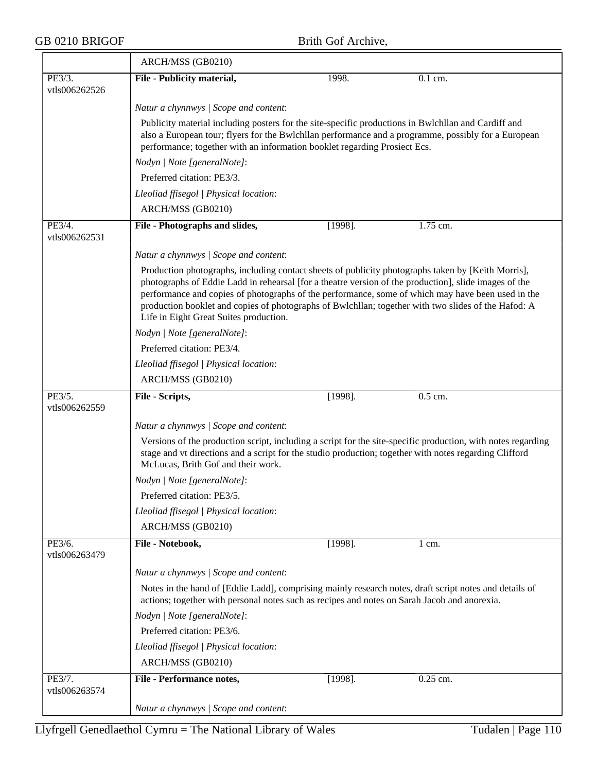## GB 0210 BRIGOF Brith Gof Archive,

|                         | ARCH/MSS (GB0210)                                                                                                                                                                                        |                                                                                                                                                                                  |           |  |  |  |  |
|-------------------------|----------------------------------------------------------------------------------------------------------------------------------------------------------------------------------------------------------|----------------------------------------------------------------------------------------------------------------------------------------------------------------------------------|-----------|--|--|--|--|
| PE3/3.                  | File - Publicity material,                                                                                                                                                                               | 1998.                                                                                                                                                                            | $0.1$ cm. |  |  |  |  |
| vtls006262526           |                                                                                                                                                                                                          |                                                                                                                                                                                  |           |  |  |  |  |
|                         | Natur a chynnwys / Scope and content:                                                                                                                                                                    |                                                                                                                                                                                  |           |  |  |  |  |
|                         | Publicity material including posters for the site-specific productions in Bwlchllan and Cardiff and                                                                                                      |                                                                                                                                                                                  |           |  |  |  |  |
|                         |                                                                                                                                                                                                          | also a European tour; flyers for the Bwlchllan performance and a programme, possibly for a European<br>performance; together with an information booklet regarding Prosiect Ecs. |           |  |  |  |  |
|                         |                                                                                                                                                                                                          |                                                                                                                                                                                  |           |  |  |  |  |
|                         | Nodyn   Note [generalNote]:<br>Preferred citation: PE3/3.                                                                                                                                                |                                                                                                                                                                                  |           |  |  |  |  |
|                         | Lleoliad ffisegol   Physical location:                                                                                                                                                                   |                                                                                                                                                                                  |           |  |  |  |  |
|                         | ARCH/MSS (GB0210)                                                                                                                                                                                        |                                                                                                                                                                                  |           |  |  |  |  |
|                         |                                                                                                                                                                                                          |                                                                                                                                                                                  |           |  |  |  |  |
| PE3/4.<br>vtls006262531 | File - Photographs and slides,                                                                                                                                                                           | $[1998]$ .                                                                                                                                                                       | 1.75 cm.  |  |  |  |  |
|                         | Natur a chynnwys / Scope and content:                                                                                                                                                                    |                                                                                                                                                                                  |           |  |  |  |  |
|                         | Production photographs, including contact sheets of publicity photographs taken by [Keith Morris],                                                                                                       |                                                                                                                                                                                  |           |  |  |  |  |
|                         | photographs of Eddie Ladd in rehearsal [for a theatre version of the production], slide images of the                                                                                                    |                                                                                                                                                                                  |           |  |  |  |  |
|                         | performance and copies of photographs of the performance, some of which may have been used in the<br>production booklet and copies of photographs of Bwlchllan; together with two slides of the Hafod: A |                                                                                                                                                                                  |           |  |  |  |  |
|                         | Life in Eight Great Suites production.                                                                                                                                                                   |                                                                                                                                                                                  |           |  |  |  |  |
|                         | Nodyn   Note [generalNote]:                                                                                                                                                                              |                                                                                                                                                                                  |           |  |  |  |  |
|                         | Preferred citation: PE3/4.                                                                                                                                                                               |                                                                                                                                                                                  |           |  |  |  |  |
|                         | Lleoliad ffisegol   Physical location:                                                                                                                                                                   |                                                                                                                                                                                  |           |  |  |  |  |
|                         | ARCH/MSS (GB0210)                                                                                                                                                                                        |                                                                                                                                                                                  |           |  |  |  |  |
| PE3/5.                  | File - Scripts,                                                                                                                                                                                          | $[1998]$ .                                                                                                                                                                       | $0.5$ cm. |  |  |  |  |
| vtls006262559           |                                                                                                                                                                                                          |                                                                                                                                                                                  |           |  |  |  |  |
|                         | Natur a chynnwys / Scope and content:                                                                                                                                                                    |                                                                                                                                                                                  |           |  |  |  |  |
|                         |                                                                                                                                                                                                          | Versions of the production script, including a script for the site-specific production, with notes regarding                                                                     |           |  |  |  |  |
|                         | stage and vt directions and a script for the studio production; together with notes regarding Clifford<br>McLucas, Brith Gof and their work.                                                             |                                                                                                                                                                                  |           |  |  |  |  |
|                         | Nodyn   Note [generalNote]:                                                                                                                                                                              |                                                                                                                                                                                  |           |  |  |  |  |
|                         | Preferred citation: PE3/5.                                                                                                                                                                               |                                                                                                                                                                                  |           |  |  |  |  |
|                         | Lleoliad ffisegol   Physical location:                                                                                                                                                                   |                                                                                                                                                                                  |           |  |  |  |  |
|                         | ARCH/MSS (GB0210)                                                                                                                                                                                        |                                                                                                                                                                                  |           |  |  |  |  |
| PE3/6.                  | File - Notebook,                                                                                                                                                                                         | $[1998]$ .                                                                                                                                                                       | 1 cm.     |  |  |  |  |
| vtls006263479           |                                                                                                                                                                                                          |                                                                                                                                                                                  |           |  |  |  |  |
|                         | Natur a chynnwys / Scope and content:                                                                                                                                                                    |                                                                                                                                                                                  |           |  |  |  |  |
|                         | Notes in the hand of [Eddie Ladd], comprising mainly research notes, draft script notes and details of<br>actions; together with personal notes such as recipes and notes on Sarah Jacob and anorexia.   |                                                                                                                                                                                  |           |  |  |  |  |
|                         | Nodyn   Note [generalNote]:                                                                                                                                                                              |                                                                                                                                                                                  |           |  |  |  |  |
|                         | Preferred citation: PE3/6.                                                                                                                                                                               |                                                                                                                                                                                  |           |  |  |  |  |
|                         | Lleoliad ffisegol   Physical location:                                                                                                                                                                   |                                                                                                                                                                                  |           |  |  |  |  |
|                         | ARCH/MSS (GB0210)                                                                                                                                                                                        |                                                                                                                                                                                  |           |  |  |  |  |
| PE3/7.                  | <b>File - Performance notes,</b>                                                                                                                                                                         | $[1998]$ .                                                                                                                                                                       | 0.25 cm.  |  |  |  |  |
| vtls006263574           |                                                                                                                                                                                                          |                                                                                                                                                                                  |           |  |  |  |  |
|                         | Natur a chynnwys / Scope and content:                                                                                                                                                                    |                                                                                                                                                                                  |           |  |  |  |  |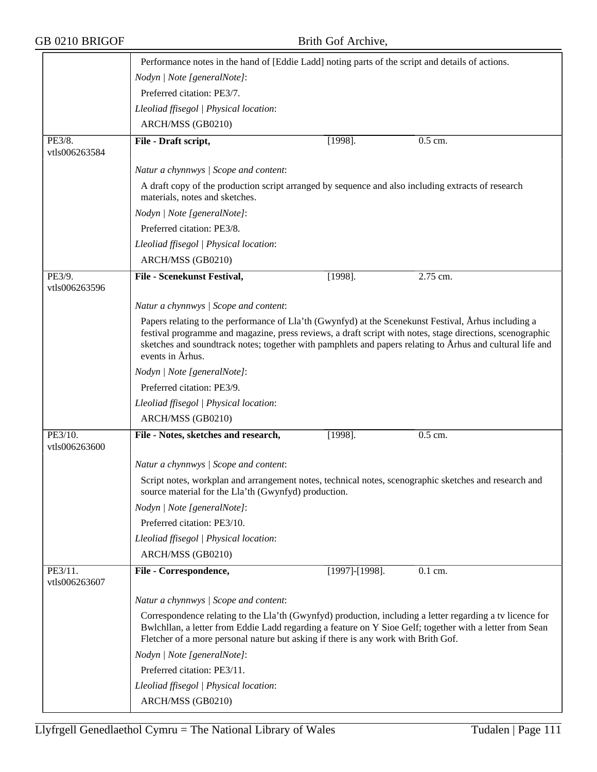| GB 0210 BRIGOF           | Brith Gof Archive,<br>Performance notes in the hand of [Eddie Ladd] noting parts of the script and details of actions.                                                                                                                                                                                                                             |                   |          |  |
|--------------------------|----------------------------------------------------------------------------------------------------------------------------------------------------------------------------------------------------------------------------------------------------------------------------------------------------------------------------------------------------|-------------------|----------|--|
|                          |                                                                                                                                                                                                                                                                                                                                                    |                   |          |  |
|                          | Nodyn   Note [generalNote]:                                                                                                                                                                                                                                                                                                                        |                   |          |  |
|                          | Preferred citation: PE3/7.                                                                                                                                                                                                                                                                                                                         |                   |          |  |
|                          | Lleoliad ffisegol   Physical location:                                                                                                                                                                                                                                                                                                             |                   |          |  |
|                          | ARCH/MSS (GB0210)                                                                                                                                                                                                                                                                                                                                  |                   |          |  |
| PE3/8.                   | File - Draft script,                                                                                                                                                                                                                                                                                                                               | $[1998]$ .        | 0.5 cm.  |  |
| vtls006263584            |                                                                                                                                                                                                                                                                                                                                                    |                   |          |  |
|                          | Natur a chynnwys / Scope and content:                                                                                                                                                                                                                                                                                                              |                   |          |  |
|                          | A draft copy of the production script arranged by sequence and also including extracts of research<br>materials, notes and sketches.                                                                                                                                                                                                               |                   |          |  |
|                          | Nodyn   Note [generalNote]:                                                                                                                                                                                                                                                                                                                        |                   |          |  |
|                          | Preferred citation: PE3/8.                                                                                                                                                                                                                                                                                                                         |                   |          |  |
|                          | Lleoliad ffisegol   Physical location:                                                                                                                                                                                                                                                                                                             |                   |          |  |
|                          | ARCH/MSS (GB0210)                                                                                                                                                                                                                                                                                                                                  |                   |          |  |
| PE3/9.<br>vtls006263596  | File - Scenekunst Festival,                                                                                                                                                                                                                                                                                                                        | $[1998]$ .        | 2.75 cm. |  |
|                          | Natur a chynnwys / Scope and content:                                                                                                                                                                                                                                                                                                              |                   |          |  |
|                          | Papers relating to the performance of Lla'th (Gwynfyd) at the Scenekunst Festival, Arhus including a<br>festival programme and magazine, press reviews, a draft script with notes, stage directions, scenographic<br>sketches and soundtrack notes; together with pamphlets and papers relating to Arhus and cultural life and<br>events in Århus. |                   |          |  |
|                          | Nodyn   Note [generalNote]:                                                                                                                                                                                                                                                                                                                        |                   |          |  |
|                          | Preferred citation: PE3/9.                                                                                                                                                                                                                                                                                                                         |                   |          |  |
|                          | Lleoliad ffisegol   Physical location:                                                                                                                                                                                                                                                                                                             |                   |          |  |
|                          | ARCH/MSS (GB0210)                                                                                                                                                                                                                                                                                                                                  |                   |          |  |
| PE3/10.<br>vtls006263600 | File - Notes, sketches and research,                                                                                                                                                                                                                                                                                                               | $[1998]$ .        | 0.5 cm.  |  |
|                          | Natur a chynnwys / Scope and content:                                                                                                                                                                                                                                                                                                              |                   |          |  |
|                          | Script notes, workplan and arrangement notes, technical notes, scenographic sketches and research and<br>source material for the Lla'th (Gwynfyd) production.                                                                                                                                                                                      |                   |          |  |
|                          | Nodyn   Note [generalNote]:                                                                                                                                                                                                                                                                                                                        |                   |          |  |
|                          | Preferred citation: PE3/10.                                                                                                                                                                                                                                                                                                                        |                   |          |  |
|                          | Lleoliad ffisegol   Physical location:                                                                                                                                                                                                                                                                                                             |                   |          |  |
|                          | ARCH/MSS (GB0210)                                                                                                                                                                                                                                                                                                                                  |                   |          |  |
| PE3/11.<br>vtls006263607 | File - Correspondence,                                                                                                                                                                                                                                                                                                                             | $[1997]$ -[1998]. | 0.1 cm.  |  |
|                          | Natur a chynnwys / Scope and content:                                                                                                                                                                                                                                                                                                              |                   |          |  |
|                          | Correspondence relating to the Lla'th (Gwynfyd) production, including a letter regarding a tv licence for<br>Bwlchllan, a letter from Eddie Ladd regarding a feature on Y Sioe Gelf; together with a letter from Sean<br>Fletcher of a more personal nature but asking if there is any work with Brith Gof.                                        |                   |          |  |
|                          | Nodyn   Note [generalNote]:                                                                                                                                                                                                                                                                                                                        |                   |          |  |
|                          | Preferred citation: PE3/11.                                                                                                                                                                                                                                                                                                                        |                   |          |  |
|                          | Lleoliad ffisegol   Physical location:                                                                                                                                                                                                                                                                                                             |                   |          |  |
|                          | ARCH/MSS (GB0210)                                                                                                                                                                                                                                                                                                                                  |                   |          |  |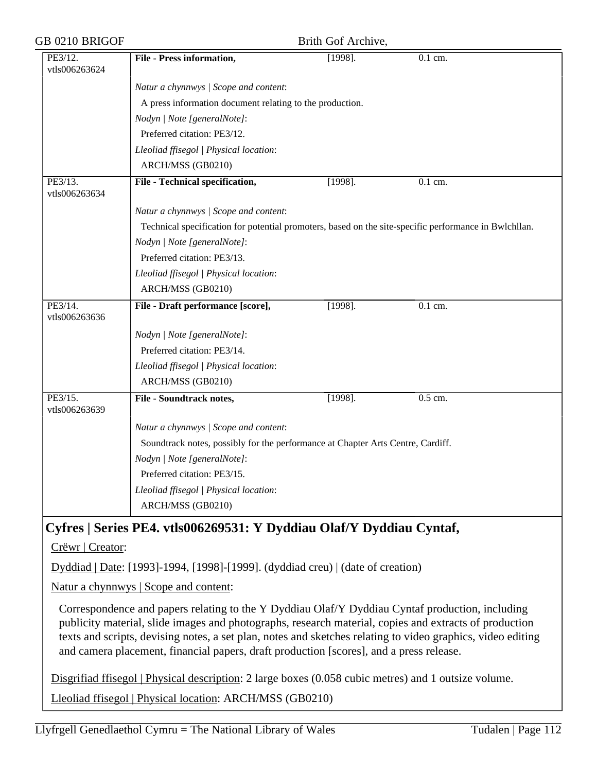| GB 0210 BRIGOF           |                                                                                                       | Brith Gof Archive, |                      |  |
|--------------------------|-------------------------------------------------------------------------------------------------------|--------------------|----------------------|--|
| PE3/12.<br>vtls006263624 | <b>File - Press information,</b>                                                                      | $[1998]$ .         | $\overline{0.1}$ cm. |  |
|                          | Natur a chynnwys / Scope and content:                                                                 |                    |                      |  |
|                          | A press information document relating to the production.                                              |                    |                      |  |
|                          | Nodyn   Note [generalNote]:                                                                           |                    |                      |  |
|                          | Preferred citation: PE3/12.                                                                           |                    |                      |  |
|                          | Lleoliad ffisegol   Physical location:                                                                |                    |                      |  |
|                          | ARCH/MSS (GB0210)                                                                                     |                    |                      |  |
| PE3/13.<br>vtls006263634 | File - Technical specification,                                                                       | $[1998]$ .         | $\overline{0.1}$ cm. |  |
|                          | Natur a chynnwys / Scope and content:                                                                 |                    |                      |  |
|                          | Technical specification for potential promoters, based on the site-specific performance in Bwlchllan. |                    |                      |  |
|                          | Nodyn   Note [generalNote]:                                                                           |                    |                      |  |
|                          | Preferred citation: PE3/13.                                                                           |                    |                      |  |
|                          | Lleoliad ffisegol   Physical location:                                                                |                    |                      |  |
|                          | ARCH/MSS (GB0210)                                                                                     |                    |                      |  |
| PE3/14.<br>vtls006263636 | File - Draft performance [score],                                                                     | $[1998]$ .         | $0.1$ cm.            |  |
|                          | Nodyn   Note [generalNote]:                                                                           |                    |                      |  |
|                          | Preferred citation: PE3/14.                                                                           |                    |                      |  |
|                          | Lleoliad ffisegol   Physical location:                                                                |                    |                      |  |
|                          | ARCH/MSS (GB0210)                                                                                     |                    |                      |  |
| PE3/15.<br>vtls006263639 | <b>File - Soundtrack notes,</b>                                                                       | $[1998]$ .         | $0.5$ cm.            |  |
|                          | Natur a chynnwys / Scope and content:                                                                 |                    |                      |  |
|                          | Soundtrack notes, possibly for the performance at Chapter Arts Centre, Cardiff.                       |                    |                      |  |
|                          | Nodyn   Note [generalNote]:                                                                           |                    |                      |  |
|                          | Preferred citation: PE3/15.                                                                           |                    |                      |  |
|                          | Lleoliad ffisegol   Physical location:                                                                |                    |                      |  |
|                          |                                                                                                       |                    |                      |  |

# **Cyfres | Series PE4. vtls006269531: Y Dyddiau Olaf/Y Dyddiau Cyntaf,**

Crëwr | Creator:

Dyddiad | Date: [1993]-1994, [1998]-[1999]. (dyddiad creu) | (date of creation)

Natur a chynnwys | Scope and content:

Correspondence and papers relating to the Y Dyddiau Olaf/Y Dyddiau Cyntaf production, including publicity material, slide images and photographs, research material, copies and extracts of production texts and scripts, devising notes, a set plan, notes and sketches relating to video graphics, video editing and camera placement, financial papers, draft production [scores], and a press release.

Disgrifiad ffisegol | Physical description: 2 large boxes (0.058 cubic metres) and 1 outsize volume.

Lleoliad ffisegol | Physical location: ARCH/MSS (GB0210)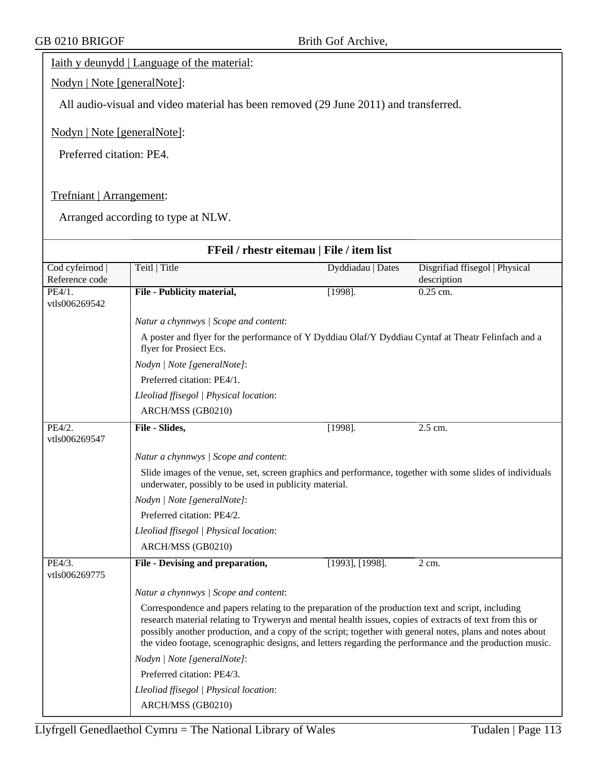## Iaith y deunydd | Language of the material:

Nodyn | Note [generalNote]:

All audio-visual and video material has been removed (29 June 2011) and transferred.

### Nodyn | Note [generalNote]:

Preferred citation: PE4.

### Trefniant | Arrangement:

| FFeil / rhestr eitemau   File / item list |                                                                                                                                                                                                                                                                                                                                                                                                                                         |                   |                                |  |  |  |
|-------------------------------------------|-----------------------------------------------------------------------------------------------------------------------------------------------------------------------------------------------------------------------------------------------------------------------------------------------------------------------------------------------------------------------------------------------------------------------------------------|-------------------|--------------------------------|--|--|--|
| Cod cyfeirnod                             | Teitl   Title                                                                                                                                                                                                                                                                                                                                                                                                                           | Dyddiadau   Dates | Disgrifiad ffisegol   Physical |  |  |  |
| Reference code                            |                                                                                                                                                                                                                                                                                                                                                                                                                                         |                   | description                    |  |  |  |
| PE4/1.<br>vtls006269542                   | File - Publicity material,                                                                                                                                                                                                                                                                                                                                                                                                              | $[1998]$ .        | $0.25$ cm.                     |  |  |  |
|                                           | Natur a chynnwys / Scope and content:                                                                                                                                                                                                                                                                                                                                                                                                   |                   |                                |  |  |  |
|                                           | A poster and flyer for the performance of Y Dyddiau Olaf/Y Dyddiau Cyntaf at Theatr Felinfach and a<br>flyer for Prosiect Ecs.                                                                                                                                                                                                                                                                                                          |                   |                                |  |  |  |
|                                           | Nodyn   Note [generalNote]:                                                                                                                                                                                                                                                                                                                                                                                                             |                   |                                |  |  |  |
|                                           | Preferred citation: PE4/1.                                                                                                                                                                                                                                                                                                                                                                                                              |                   |                                |  |  |  |
|                                           | Lleoliad ffisegol   Physical location:                                                                                                                                                                                                                                                                                                                                                                                                  |                   |                                |  |  |  |
|                                           | ARCH/MSS (GB0210)                                                                                                                                                                                                                                                                                                                                                                                                                       |                   |                                |  |  |  |
| PE4/2.<br>vtls006269547                   | File - Slides,                                                                                                                                                                                                                                                                                                                                                                                                                          | $[1998]$ .        | $2.5$ cm.                      |  |  |  |
|                                           | Natur a chynnwys / Scope and content:                                                                                                                                                                                                                                                                                                                                                                                                   |                   |                                |  |  |  |
|                                           | Slide images of the venue, set, screen graphics and performance, together with some slides of individuals<br>underwater, possibly to be used in publicity material.                                                                                                                                                                                                                                                                     |                   |                                |  |  |  |
|                                           | Nodyn   Note [generalNote]:                                                                                                                                                                                                                                                                                                                                                                                                             |                   |                                |  |  |  |
|                                           | Preferred citation: PE4/2.                                                                                                                                                                                                                                                                                                                                                                                                              |                   |                                |  |  |  |
|                                           | Lleoliad ffisegol   Physical location:                                                                                                                                                                                                                                                                                                                                                                                                  |                   |                                |  |  |  |
|                                           | ARCH/MSS (GB0210)                                                                                                                                                                                                                                                                                                                                                                                                                       |                   |                                |  |  |  |
| PE4/3.<br>vtls006269775                   | File - Devising and preparation,                                                                                                                                                                                                                                                                                                                                                                                                        | [1993], [1998].   | $2 \text{ cm}$ .               |  |  |  |
|                                           | Natur a chynnwys / Scope and content:                                                                                                                                                                                                                                                                                                                                                                                                   |                   |                                |  |  |  |
|                                           | Correspondence and papers relating to the preparation of the production text and script, including<br>research material relating to Tryweryn and mental health issues, copies of extracts of text from this or<br>possibly another production, and a copy of the script; together with general notes, plans and notes about<br>the video footage, scenographic designs, and letters regarding the performance and the production music. |                   |                                |  |  |  |
|                                           | Nodyn   Note [generalNote]:                                                                                                                                                                                                                                                                                                                                                                                                             |                   |                                |  |  |  |
|                                           | Preferred citation: PE4/3.                                                                                                                                                                                                                                                                                                                                                                                                              |                   |                                |  |  |  |
|                                           | Lleoliad ffisegol   Physical location:                                                                                                                                                                                                                                                                                                                                                                                                  |                   |                                |  |  |  |
|                                           | ARCH/MSS (GB0210)                                                                                                                                                                                                                                                                                                                                                                                                                       |                   |                                |  |  |  |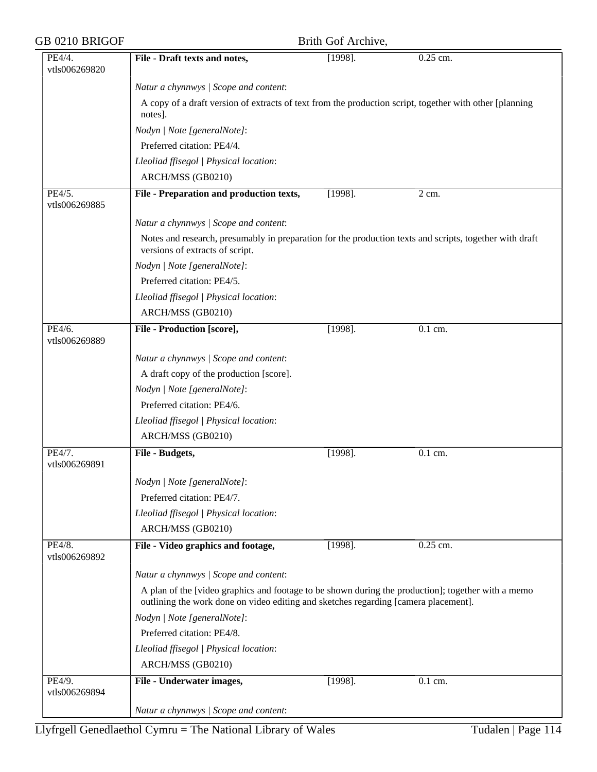| GB 0210 BRIGOF          |                                                                                                                                                                                           | Brith Gof Archive, |                      |  |  |
|-------------------------|-------------------------------------------------------------------------------------------------------------------------------------------------------------------------------------------|--------------------|----------------------|--|--|
| PE4/4.                  | File - Draft texts and notes,                                                                                                                                                             | $[1998]$ .         | 0.25 cm.             |  |  |
| vtls006269820           |                                                                                                                                                                                           |                    |                      |  |  |
|                         | Natur a chynnwys / Scope and content:                                                                                                                                                     |                    |                      |  |  |
|                         | A copy of a draft version of extracts of text from the production script, together with other [planning<br>notes].                                                                        |                    |                      |  |  |
|                         | Nodyn   Note [generalNote]:                                                                                                                                                               |                    |                      |  |  |
|                         | Preferred citation: PE4/4.                                                                                                                                                                |                    |                      |  |  |
|                         | Lleoliad ffisegol   Physical location:                                                                                                                                                    |                    |                      |  |  |
|                         | ARCH/MSS (GB0210)                                                                                                                                                                         |                    |                      |  |  |
| PE4/5.<br>vtls006269885 | File - Preparation and production texts,                                                                                                                                                  | $[1998]$ .         | 2 cm.                |  |  |
|                         | Natur a chynnwys / Scope and content:                                                                                                                                                     |                    |                      |  |  |
|                         | Notes and research, presumably in preparation for the production texts and scripts, together with draft<br>versions of extracts of script.                                                |                    |                      |  |  |
|                         | Nodyn   Note [generalNote]:                                                                                                                                                               |                    |                      |  |  |
|                         | Preferred citation: PE4/5.                                                                                                                                                                |                    |                      |  |  |
|                         | Lleoliad ffisegol   Physical location:                                                                                                                                                    |                    |                      |  |  |
|                         | ARCH/MSS (GB0210)                                                                                                                                                                         |                    |                      |  |  |
| PE4/6.<br>vtls006269889 | <b>File - Production [score],</b>                                                                                                                                                         | $[1998]$ .         | 0.1 cm.              |  |  |
|                         |                                                                                                                                                                                           |                    |                      |  |  |
|                         | Natur a chynnwys / Scope and content:                                                                                                                                                     |                    |                      |  |  |
|                         | A draft copy of the production [score].                                                                                                                                                   |                    |                      |  |  |
|                         | Nodyn   Note [generalNote]:                                                                                                                                                               |                    |                      |  |  |
|                         | Preferred citation: PE4/6.                                                                                                                                                                |                    |                      |  |  |
|                         | Lleoliad ffisegol   Physical location:                                                                                                                                                    |                    |                      |  |  |
|                         | ARCH/MSS (GB0210)                                                                                                                                                                         |                    |                      |  |  |
| PE4/7.<br>vtls006269891 | File - Budgets,                                                                                                                                                                           | $[1998]$ .         | $\overline{0.1}$ cm. |  |  |
|                         | Nodyn   Note [generalNote]:                                                                                                                                                               |                    |                      |  |  |
|                         | Preferred citation: PE4/7.                                                                                                                                                                |                    |                      |  |  |
|                         | Lleoliad ffisegol   Physical location:                                                                                                                                                    |                    |                      |  |  |
|                         | ARCH/MSS (GB0210)                                                                                                                                                                         |                    |                      |  |  |
| PE4/8.<br>vtls006269892 | File - Video graphics and footage,                                                                                                                                                        | $[1998]$ .         | 0.25 cm.             |  |  |
|                         | Natur a chynnwys / Scope and content:                                                                                                                                                     |                    |                      |  |  |
|                         | A plan of the [video graphics and footage to be shown during the production]; together with a memo<br>outlining the work done on video editing and sketches regarding [camera placement]. |                    |                      |  |  |
|                         | Nodyn   Note [generalNote]:                                                                                                                                                               |                    |                      |  |  |
|                         | Preferred citation: PE4/8.                                                                                                                                                                |                    |                      |  |  |
|                         | Lleoliad ffisegol   Physical location:                                                                                                                                                    |                    |                      |  |  |
|                         | ARCH/MSS (GB0210)                                                                                                                                                                         |                    |                      |  |  |
| PE4/9.                  | File - Underwater images,                                                                                                                                                                 | $[1998]$ .         | 0.1 cm.              |  |  |
| vtls006269894           |                                                                                                                                                                                           |                    |                      |  |  |
|                         | Natur a chynnwys / Scope and content:                                                                                                                                                     |                    |                      |  |  |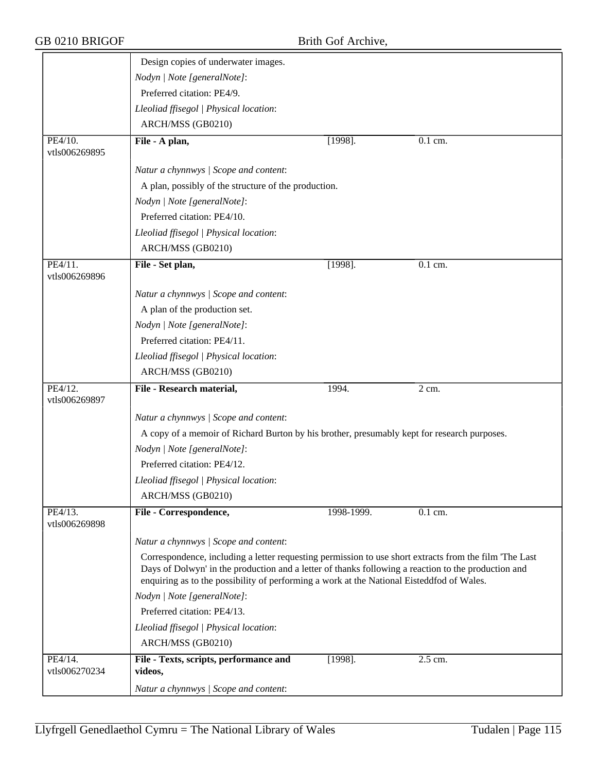GB 0210 BRIGOF Brith Gof Archive,

|                          | Design copies of underwater images.                                                                                                                                                                                                                                                                        |            |                      |  |  |  |
|--------------------------|------------------------------------------------------------------------------------------------------------------------------------------------------------------------------------------------------------------------------------------------------------------------------------------------------------|------------|----------------------|--|--|--|
|                          | Nodyn   Note [generalNote]:                                                                                                                                                                                                                                                                                |            |                      |  |  |  |
|                          | Preferred citation: PE4/9.                                                                                                                                                                                                                                                                                 |            |                      |  |  |  |
|                          | Lleoliad ffisegol   Physical location:                                                                                                                                                                                                                                                                     |            |                      |  |  |  |
|                          | ARCH/MSS (GB0210)                                                                                                                                                                                                                                                                                          |            |                      |  |  |  |
| PE4/10.<br>vtls006269895 | File - A plan,                                                                                                                                                                                                                                                                                             | $[1998]$ . | 0.1 cm.              |  |  |  |
|                          | Natur a chynnwys / Scope and content:                                                                                                                                                                                                                                                                      |            |                      |  |  |  |
|                          | A plan, possibly of the structure of the production.                                                                                                                                                                                                                                                       |            |                      |  |  |  |
|                          | Nodyn   Note [generalNote]:                                                                                                                                                                                                                                                                                |            |                      |  |  |  |
|                          | Preferred citation: PE4/10.                                                                                                                                                                                                                                                                                |            |                      |  |  |  |
|                          | Lleoliad ffisegol   Physical location:                                                                                                                                                                                                                                                                     |            |                      |  |  |  |
|                          | ARCH/MSS (GB0210)                                                                                                                                                                                                                                                                                          |            |                      |  |  |  |
| PE4/11.<br>vtls006269896 | File - Set plan,                                                                                                                                                                                                                                                                                           | $[1998]$ . | $\overline{0.1}$ cm. |  |  |  |
|                          | Natur a chynnwys / Scope and content:                                                                                                                                                                                                                                                                      |            |                      |  |  |  |
|                          | A plan of the production set.                                                                                                                                                                                                                                                                              |            |                      |  |  |  |
|                          | Nodyn   Note [generalNote]:                                                                                                                                                                                                                                                                                |            |                      |  |  |  |
|                          | Preferred citation: PE4/11.                                                                                                                                                                                                                                                                                |            |                      |  |  |  |
|                          | Lleoliad ffisegol   Physical location:                                                                                                                                                                                                                                                                     |            |                      |  |  |  |
|                          | ARCH/MSS (GB0210)                                                                                                                                                                                                                                                                                          |            |                      |  |  |  |
| PE4/12.<br>vtls006269897 | File - Research material,                                                                                                                                                                                                                                                                                  | 1994.      | 2 cm.                |  |  |  |
|                          | Natur a chynnwys / Scope and content:                                                                                                                                                                                                                                                                      |            |                      |  |  |  |
|                          | A copy of a memoir of Richard Burton by his brother, presumably kept for research purposes.                                                                                                                                                                                                                |            |                      |  |  |  |
|                          | Nodyn   Note [generalNote]:                                                                                                                                                                                                                                                                                |            |                      |  |  |  |
|                          | Preferred citation: PE4/12.                                                                                                                                                                                                                                                                                |            |                      |  |  |  |
|                          | Lleoliad ffisegol   Physical location:                                                                                                                                                                                                                                                                     |            |                      |  |  |  |
|                          | ARCH/MSS (GB0210)                                                                                                                                                                                                                                                                                          |            |                      |  |  |  |
| PE4/13.<br>vtls006269898 | File - Correspondence,                                                                                                                                                                                                                                                                                     | 1998-1999. | 0.1 cm.              |  |  |  |
|                          | Natur a chynnwys / Scope and content:                                                                                                                                                                                                                                                                      |            |                      |  |  |  |
|                          | Correspondence, including a letter requesting permission to use short extracts from the film 'The Last<br>Days of Dolwyn' in the production and a letter of thanks following a reaction to the production and<br>enquiring as to the possibility of performing a work at the National Eisteddfod of Wales. |            |                      |  |  |  |
|                          | Nodyn   Note [generalNote]:                                                                                                                                                                                                                                                                                |            |                      |  |  |  |
|                          | Preferred citation: PE4/13.                                                                                                                                                                                                                                                                                |            |                      |  |  |  |
|                          | Lleoliad ffisegol   Physical location:                                                                                                                                                                                                                                                                     |            |                      |  |  |  |
|                          | ARCH/MSS (GB0210)                                                                                                                                                                                                                                                                                          |            |                      |  |  |  |
| PE4/14.<br>vtls006270234 | File - Texts, scripts, performance and<br>videos,                                                                                                                                                                                                                                                          | $[1998]$ . | 2.5 cm.              |  |  |  |
|                          | Natur a chynnwys / Scope and content:                                                                                                                                                                                                                                                                      |            |                      |  |  |  |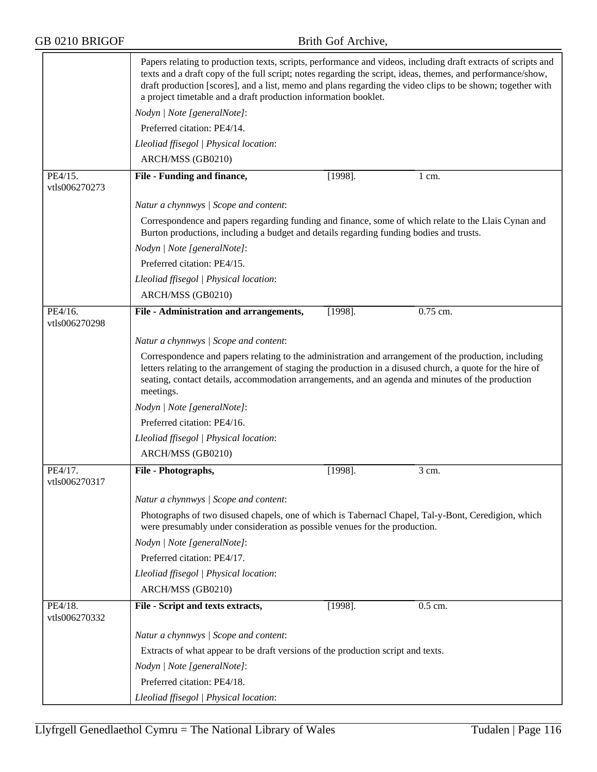|                          | Papers relating to production texts, scripts, performance and videos, including draft extracts of scripts and<br>texts and a draft copy of the full script; notes regarding the script, ideas, themes, and performance/show,<br>draft production [scores], and a list, memo and plans regarding the video clips to be shown; together with<br>a project timetable and a draft production information booklet. |            |                  |  |  |  |  |
|--------------------------|---------------------------------------------------------------------------------------------------------------------------------------------------------------------------------------------------------------------------------------------------------------------------------------------------------------------------------------------------------------------------------------------------------------|------------|------------------|--|--|--|--|
|                          | Nodyn   Note [generalNote]:                                                                                                                                                                                                                                                                                                                                                                                   |            |                  |  |  |  |  |
|                          | Preferred citation: PE4/14.                                                                                                                                                                                                                                                                                                                                                                                   |            |                  |  |  |  |  |
|                          | Lleoliad ffisegol   Physical location:                                                                                                                                                                                                                                                                                                                                                                        |            |                  |  |  |  |  |
|                          | ARCH/MSS (GB0210)                                                                                                                                                                                                                                                                                                                                                                                             |            |                  |  |  |  |  |
| PE4/15.<br>vtls006270273 | File - Funding and finance,                                                                                                                                                                                                                                                                                                                                                                                   | $[1998]$ . | $1 \text{ cm}$ . |  |  |  |  |
|                          | Natur a chynnwys / Scope and content:                                                                                                                                                                                                                                                                                                                                                                         |            |                  |  |  |  |  |
|                          | Correspondence and papers regarding funding and finance, some of which relate to the Llais Cynan and<br>Burton productions, including a budget and details regarding funding bodies and trusts.                                                                                                                                                                                                               |            |                  |  |  |  |  |
|                          | Nodyn   Note [generalNote]:                                                                                                                                                                                                                                                                                                                                                                                   |            |                  |  |  |  |  |
|                          | Preferred citation: PE4/15.                                                                                                                                                                                                                                                                                                                                                                                   |            |                  |  |  |  |  |
|                          | Lleoliad ffisegol   Physical location:                                                                                                                                                                                                                                                                                                                                                                        |            |                  |  |  |  |  |
|                          | ARCH/MSS (GB0210)                                                                                                                                                                                                                                                                                                                                                                                             |            |                  |  |  |  |  |
| PE4/16.<br>vtls006270298 | File - Administration and arrangements,                                                                                                                                                                                                                                                                                                                                                                       | $[1998]$ . | $0.75$ cm.       |  |  |  |  |
|                          | Natur a chynnwys / Scope and content:                                                                                                                                                                                                                                                                                                                                                                         |            |                  |  |  |  |  |
|                          | Correspondence and papers relating to the administration and arrangement of the production, including<br>letters relating to the arrangement of staging the production in a disused church, a quote for the hire of<br>seating, contact details, accommodation arrangements, and an agenda and minutes of the production<br>meetings.                                                                         |            |                  |  |  |  |  |
|                          | Nodyn   Note [generalNote]:                                                                                                                                                                                                                                                                                                                                                                                   |            |                  |  |  |  |  |
|                          | Preferred citation: PE4/16.                                                                                                                                                                                                                                                                                                                                                                                   |            |                  |  |  |  |  |
|                          | Lleoliad ffisegol   Physical location:                                                                                                                                                                                                                                                                                                                                                                        |            |                  |  |  |  |  |
|                          | ARCH/MSS (GB0210)                                                                                                                                                                                                                                                                                                                                                                                             |            |                  |  |  |  |  |
| PE4/17.<br>vtls006270317 | File - Photographs,                                                                                                                                                                                                                                                                                                                                                                                           | $[1998]$ . | 3 cm.            |  |  |  |  |
|                          | Natur a chynnwys / Scope and content:                                                                                                                                                                                                                                                                                                                                                                         |            |                  |  |  |  |  |
|                          | Photographs of two disused chapels, one of which is Tabernacl Chapel, Tal-y-Bont, Ceredigion, which<br>were presumably under consideration as possible venues for the production.                                                                                                                                                                                                                             |            |                  |  |  |  |  |
|                          | Nodyn   Note [generalNote]:                                                                                                                                                                                                                                                                                                                                                                                   |            |                  |  |  |  |  |
|                          | Preferred citation: PE4/17.                                                                                                                                                                                                                                                                                                                                                                                   |            |                  |  |  |  |  |
|                          | Lleoliad ffisegol   Physical location:                                                                                                                                                                                                                                                                                                                                                                        |            |                  |  |  |  |  |
|                          | ARCH/MSS (GB0210)                                                                                                                                                                                                                                                                                                                                                                                             |            |                  |  |  |  |  |
| PE4/18.<br>vtls006270332 | File - Script and texts extracts,                                                                                                                                                                                                                                                                                                                                                                             | $[1998]$ . | $0.5$ cm.        |  |  |  |  |
|                          | Natur a chynnwys / Scope and content:                                                                                                                                                                                                                                                                                                                                                                         |            |                  |  |  |  |  |
|                          | Extracts of what appear to be draft versions of the production script and texts.                                                                                                                                                                                                                                                                                                                              |            |                  |  |  |  |  |
|                          | Nodyn   Note [generalNote]:                                                                                                                                                                                                                                                                                                                                                                                   |            |                  |  |  |  |  |
|                          | Preferred citation: PE4/18.                                                                                                                                                                                                                                                                                                                                                                                   |            |                  |  |  |  |  |
|                          | Lleoliad ffisegol   Physical location:                                                                                                                                                                                                                                                                                                                                                                        |            |                  |  |  |  |  |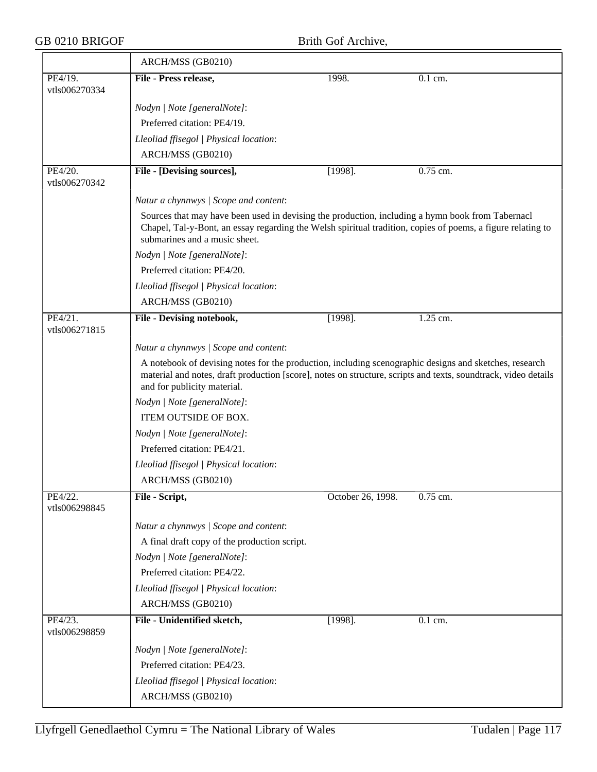|                          | ARCH/MSS (GB0210)                                                                                                                                                                                                                                       |                   |            |
|--------------------------|---------------------------------------------------------------------------------------------------------------------------------------------------------------------------------------------------------------------------------------------------------|-------------------|------------|
| PE4/19.<br>vtls006270334 | File - Press release,                                                                                                                                                                                                                                   | 1998.             | 0.1 cm.    |
|                          | Nodyn   Note [generalNote]:                                                                                                                                                                                                                             |                   |            |
|                          | Preferred citation: PE4/19.                                                                                                                                                                                                                             |                   |            |
|                          | Lleoliad ffisegol   Physical location:                                                                                                                                                                                                                  |                   |            |
|                          | ARCH/MSS (GB0210)                                                                                                                                                                                                                                       |                   |            |
| PE4/20.<br>vtls006270342 | File - [Devising sources],                                                                                                                                                                                                                              | $[1998]$ .        | $0.75$ cm. |
|                          | Natur a chynnwys / Scope and content:                                                                                                                                                                                                                   |                   |            |
|                          | Sources that may have been used in devising the production, including a hymn book from Tabernacl<br>Chapel, Tal-y-Bont, an essay regarding the Welsh spiritual tradition, copies of poems, a figure relating to<br>submarines and a music sheet.        |                   |            |
|                          | Nodyn   Note [generalNote]:                                                                                                                                                                                                                             |                   |            |
|                          | Preferred citation: PE4/20.                                                                                                                                                                                                                             |                   |            |
|                          | Lleoliad ffisegol   Physical location:                                                                                                                                                                                                                  |                   |            |
|                          | ARCH/MSS (GB0210)                                                                                                                                                                                                                                       |                   |            |
| PE4/21.<br>vtls006271815 | File - Devising notebook,                                                                                                                                                                                                                               | $[1998]$ .        | 1.25 cm.   |
|                          | Natur a chynnwys / Scope and content:                                                                                                                                                                                                                   |                   |            |
|                          | A notebook of devising notes for the production, including scenographic designs and sketches, research<br>material and notes, draft production [score], notes on structure, scripts and texts, soundtrack, video details<br>and for publicity material. |                   |            |
|                          | Nodyn   Note [generalNote]:                                                                                                                                                                                                                             |                   |            |
|                          | ITEM OUTSIDE OF BOX.                                                                                                                                                                                                                                    |                   |            |
|                          | Nodyn   Note [generalNote]:                                                                                                                                                                                                                             |                   |            |
|                          | Preferred citation: PE4/21.                                                                                                                                                                                                                             |                   |            |
|                          | Lleoliad ffisegol   Physical location:                                                                                                                                                                                                                  |                   |            |
|                          | ARCH/MSS (GB0210)                                                                                                                                                                                                                                       |                   |            |
| PE4/22.<br>vtls006298845 | File - Script,                                                                                                                                                                                                                                          | October 26, 1998. | 0.75 cm.   |
|                          | Natur a chynnwys / Scope and content:                                                                                                                                                                                                                   |                   |            |
|                          | A final draft copy of the production script.                                                                                                                                                                                                            |                   |            |
|                          | Nodyn   Note [generalNote]:                                                                                                                                                                                                                             |                   |            |
|                          | Preferred citation: PE4/22.                                                                                                                                                                                                                             |                   |            |
|                          | Lleoliad ffisegol   Physical location:                                                                                                                                                                                                                  |                   |            |
|                          | ARCH/MSS (GB0210)                                                                                                                                                                                                                                       |                   |            |
| PE4/23.<br>vtls006298859 | File - Unidentified sketch,                                                                                                                                                                                                                             | $[1998]$ .        | 0.1 cm.    |
|                          | Nodyn   Note [generalNote]:                                                                                                                                                                                                                             |                   |            |
|                          | Preferred citation: PE4/23.                                                                                                                                                                                                                             |                   |            |
|                          | Lleoliad ffisegol   Physical location:                                                                                                                                                                                                                  |                   |            |
|                          | ARCH/MSS (GB0210)                                                                                                                                                                                                                                       |                   |            |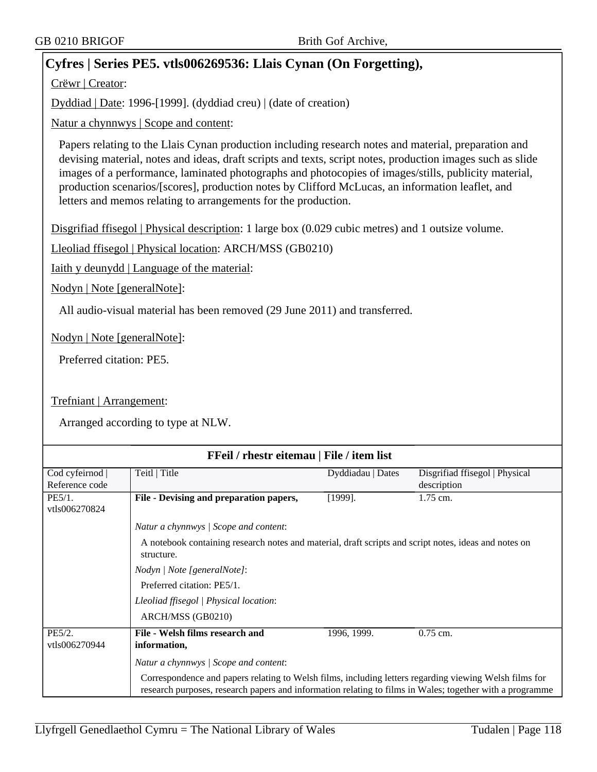# **Cyfres | Series PE5. vtls006269536: Llais Cynan (On Forgetting),**

Crëwr | Creator:

Dyddiad | Date: 1996-[1999]. (dyddiad creu) | (date of creation)

Natur a chynnwys | Scope and content:

Papers relating to the Llais Cynan production including research notes and material, preparation and devising material, notes and ideas, draft scripts and texts, script notes, production images such as slide images of a performance, laminated photographs and photocopies of images/stills, publicity material, production scenarios/[scores], production notes by Clifford McLucas, an information leaflet, and letters and memos relating to arrangements for the production.

Disgrifiad ffisegol | Physical description: 1 large box (0.029 cubic metres) and 1 outsize volume.

Lleoliad ffisegol | Physical location: ARCH/MSS (GB0210)

Iaith y deunydd | Language of the material:

Nodyn | Note [generalNote]:

All audio-visual material has been removed (29 June 2011) and transferred.

Nodyn | Note [generalNote]:

Preferred citation: PE5.

Trefniant | Arrangement:

| FFeil / rhestr eitemau   File / item list |                                                                                                                     |                   |                                                                                                          |  |  |  |
|-------------------------------------------|---------------------------------------------------------------------------------------------------------------------|-------------------|----------------------------------------------------------------------------------------------------------|--|--|--|
| Cod cyfeirnod                             | Teitl   Title                                                                                                       | Dyddiadau   Dates | Disgrifiad ffisegol   Physical                                                                           |  |  |  |
| Reference code                            |                                                                                                                     |                   | description                                                                                              |  |  |  |
| PE5/1.                                    | File - Devising and preparation papers,                                                                             | [1999].           | 1.75 cm.                                                                                                 |  |  |  |
| vtls006270824                             |                                                                                                                     |                   |                                                                                                          |  |  |  |
|                                           | Natur a chynnwys / Scope and content:                                                                               |                   |                                                                                                          |  |  |  |
|                                           | A notebook containing research notes and material, draft scripts and script notes, ideas and notes on<br>structure. |                   |                                                                                                          |  |  |  |
|                                           | Nodyn   Note [generalNote]:                                                                                         |                   |                                                                                                          |  |  |  |
|                                           | Preferred citation: PE5/1.                                                                                          |                   |                                                                                                          |  |  |  |
|                                           | Lleoliad ffisegol   Physical location:                                                                              |                   |                                                                                                          |  |  |  |
|                                           | ARCH/MSS (GB0210)                                                                                                   |                   |                                                                                                          |  |  |  |
|                                           |                                                                                                                     |                   |                                                                                                          |  |  |  |
| PE5/2.<br>vtls006270944                   | File - Welsh films research and<br>information,                                                                     | 1996, 1999.       | $0.75$ cm.                                                                                               |  |  |  |
|                                           |                                                                                                                     |                   |                                                                                                          |  |  |  |
|                                           | Natur a chynnwys / Scope and content:                                                                               |                   |                                                                                                          |  |  |  |
|                                           | Correspondence and papers relating to Welsh films, including letters regarding viewing Welsh films for              |                   |                                                                                                          |  |  |  |
|                                           |                                                                                                                     |                   | research purposes, research papers and information relating to films in Wales; together with a programme |  |  |  |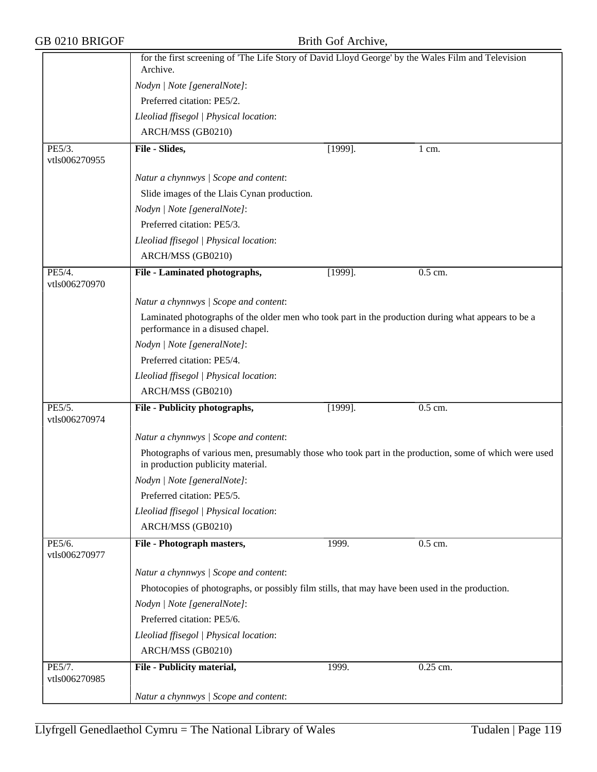| GB 0210 BRIGOF          | Brith Gof Archive,<br>for the first screening of 'The Life Story of David Lloyd George' by the Wales Film and Television<br>Archive.       |            |                  |  |  |  |
|-------------------------|--------------------------------------------------------------------------------------------------------------------------------------------|------------|------------------|--|--|--|
|                         |                                                                                                                                            |            |                  |  |  |  |
|                         | Nodyn   Note [generalNote]:                                                                                                                |            |                  |  |  |  |
|                         | Preferred citation: PE5/2.                                                                                                                 |            |                  |  |  |  |
|                         | Lleoliad ffisegol   Physical location:                                                                                                     |            |                  |  |  |  |
|                         | ARCH/MSS (GB0210)                                                                                                                          |            |                  |  |  |  |
| PE5/3.<br>vtls006270955 | File - Slides,                                                                                                                             | $[1999]$ . | $1 \text{ cm}$ . |  |  |  |
|                         | Natur a chynnwys / Scope and content:                                                                                                      |            |                  |  |  |  |
|                         | Slide images of the Llais Cynan production.                                                                                                |            |                  |  |  |  |
|                         | Nodyn   Note [generalNote]:                                                                                                                |            |                  |  |  |  |
|                         | Preferred citation: PE5/3.                                                                                                                 |            |                  |  |  |  |
|                         | Lleoliad ffisegol   Physical location:                                                                                                     |            |                  |  |  |  |
|                         | ARCH/MSS (GB0210)                                                                                                                          |            |                  |  |  |  |
| PE5/4.<br>vtls006270970 | File - Laminated photographs,                                                                                                              | $[1999]$ . | 0.5 cm.          |  |  |  |
|                         | Natur a chynnwys / Scope and content:                                                                                                      |            |                  |  |  |  |
|                         | Laminated photographs of the older men who took part in the production during what appears to be a<br>performance in a disused chapel.     |            |                  |  |  |  |
|                         | Nodyn   Note [generalNote]:                                                                                                                |            |                  |  |  |  |
|                         | Preferred citation: PE5/4.                                                                                                                 |            |                  |  |  |  |
|                         | Lleoliad ffisegol   Physical location:                                                                                                     |            |                  |  |  |  |
|                         | ARCH/MSS (GB0210)                                                                                                                          |            |                  |  |  |  |
| PE5/5.<br>vtls006270974 | File - Publicity photographs,                                                                                                              | $[1999]$ . | $0.5$ cm.        |  |  |  |
|                         | Natur a chynnwys / Scope and content:                                                                                                      |            |                  |  |  |  |
|                         | Photographs of various men, presumably those who took part in the production, some of which were used<br>in production publicity material. |            |                  |  |  |  |
|                         | Nodyn   Note [generalNote]:                                                                                                                |            |                  |  |  |  |
|                         | Preferred citation: PE5/5.                                                                                                                 |            |                  |  |  |  |
|                         | Lleoliad ffisegol   Physical location:                                                                                                     |            |                  |  |  |  |
|                         | ARCH/MSS (GB0210)                                                                                                                          |            |                  |  |  |  |
| PE5/6.<br>vtls006270977 | File - Photograph masters,                                                                                                                 | 1999.      | 0.5 cm.          |  |  |  |
|                         | Natur a chynnwys / Scope and content:                                                                                                      |            |                  |  |  |  |
|                         | Photocopies of photographs, or possibly film stills, that may have been used in the production.                                            |            |                  |  |  |  |
|                         | Nodyn   Note [generalNote]:                                                                                                                |            |                  |  |  |  |
|                         | Preferred citation: PE5/6.                                                                                                                 |            |                  |  |  |  |
|                         | Lleoliad ffisegol   Physical location:                                                                                                     |            |                  |  |  |  |
|                         | ARCH/MSS (GB0210)                                                                                                                          |            |                  |  |  |  |
| PE5/7.<br>vtls006270985 | File - Publicity material,                                                                                                                 | 1999.      | 0.25 cm.         |  |  |  |
|                         | Natur a chynnwys / Scope and content:                                                                                                      |            |                  |  |  |  |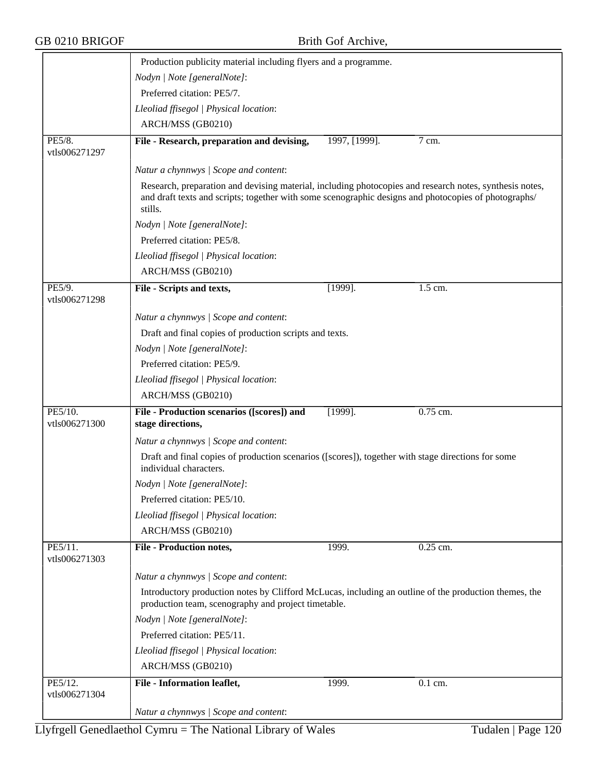|  |  | GB 0210 BRIGOF |  |
|--|--|----------------|--|
|--|--|----------------|--|

|                          | Production publicity material including flyers and a programme.                                                                                                                                                            |               |            |
|--------------------------|----------------------------------------------------------------------------------------------------------------------------------------------------------------------------------------------------------------------------|---------------|------------|
|                          | Nodyn   Note [generalNote]:                                                                                                                                                                                                |               |            |
|                          | Preferred citation: PE5/7.                                                                                                                                                                                                 |               |            |
|                          | Lleoliad ffisegol   Physical location:                                                                                                                                                                                     |               |            |
|                          | ARCH/MSS (GB0210)                                                                                                                                                                                                          |               |            |
| PE5/8.                   | File - Research, preparation and devising,                                                                                                                                                                                 | 1997, [1999]. | 7 cm.      |
| vtls006271297            |                                                                                                                                                                                                                            |               |            |
|                          | Natur a chynnwys / Scope and content:                                                                                                                                                                                      |               |            |
|                          | Research, preparation and devising material, including photocopies and research notes, synthesis notes,<br>and draft texts and scripts; together with some scenographic designs and photocopies of photographs/<br>stills. |               |            |
|                          | Nodyn   Note [generalNote]:                                                                                                                                                                                                |               |            |
|                          | Preferred citation: PE5/8.                                                                                                                                                                                                 |               |            |
|                          | Lleoliad ffisegol   Physical location:                                                                                                                                                                                     |               |            |
|                          | ARCH/MSS (GB0210)                                                                                                                                                                                                          |               |            |
| PE5/9.<br>vtls006271298  | File - Scripts and texts,                                                                                                                                                                                                  | $[1999]$ .    | $1.5$ cm.  |
|                          | Natur a chynnwys / Scope and content:                                                                                                                                                                                      |               |            |
|                          | Draft and final copies of production scripts and texts.                                                                                                                                                                    |               |            |
|                          | Nodyn   Note [generalNote]:                                                                                                                                                                                                |               |            |
|                          | Preferred citation: PE5/9.                                                                                                                                                                                                 |               |            |
|                          | Lleoliad ffisegol   Physical location:                                                                                                                                                                                     |               |            |
|                          | ARCH/MSS (GB0210)                                                                                                                                                                                                          |               |            |
| PE5/10.<br>vtls006271300 | File - Production scenarios ([scores]) and<br>stage directions,                                                                                                                                                            | $[1999]$ .    | 0.75 cm.   |
|                          | Natur a chynnwys / Scope and content:                                                                                                                                                                                      |               |            |
|                          | Draft and final copies of production scenarios ([scores]), together with stage directions for some<br>individual characters.                                                                                               |               |            |
|                          | Nodyn   Note [generalNote]:                                                                                                                                                                                                |               |            |
|                          | Preferred citation: PE5/10.                                                                                                                                                                                                |               |            |
|                          | Lleoliad ffisegol   Physical location:                                                                                                                                                                                     |               |            |
|                          | ARCH/MSS (GB0210)                                                                                                                                                                                                          |               |            |
| PE5/11.<br>vtls006271303 | <b>File - Production notes,</b>                                                                                                                                                                                            | 1999.         | $0.25$ cm. |
|                          | Natur a chynnwys / Scope and content:                                                                                                                                                                                      |               |            |
|                          | Introductory production notes by Clifford McLucas, including an outline of the production themes, the<br>production team, scenography and project timetable.                                                               |               |            |
|                          | Nodyn   Note [generalNote]:                                                                                                                                                                                                |               |            |
|                          | Preferred citation: PE5/11.                                                                                                                                                                                                |               |            |
|                          | Lleoliad ffisegol   Physical location:                                                                                                                                                                                     |               |            |
|                          | ARCH/MSS (GB0210)                                                                                                                                                                                                          |               |            |
| PE5/12.                  | File - Information leaflet,                                                                                                                                                                                                | 1999.         | 0.1 cm.    |
| vtls006271304            |                                                                                                                                                                                                                            |               |            |
|                          | Natur a chynnwys / Scope and content:                                                                                                                                                                                      |               |            |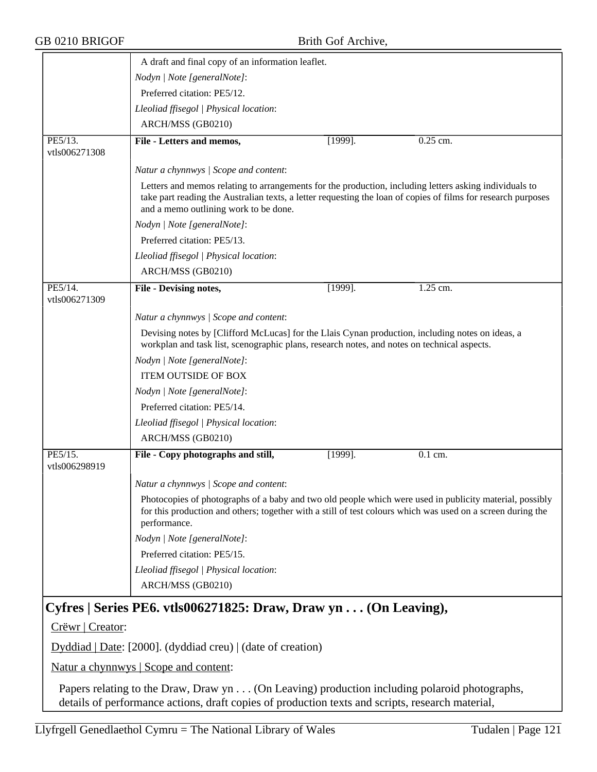|                          | A draft and final copy of an information leaflet.                                                                                                                                                                                                                |
|--------------------------|------------------------------------------------------------------------------------------------------------------------------------------------------------------------------------------------------------------------------------------------------------------|
|                          | Nodyn   Note [generalNote]:                                                                                                                                                                                                                                      |
|                          | Preferred citation: PE5/12.                                                                                                                                                                                                                                      |
|                          | Lleoliad ffisegol   Physical location:                                                                                                                                                                                                                           |
|                          | ARCH/MSS (GB0210)                                                                                                                                                                                                                                                |
| PE5/13.<br>vtls006271308 | 0.25 cm.<br>File - Letters and memos,<br>$[1999]$ .                                                                                                                                                                                                              |
|                          | Natur a chynnwys / Scope and content:                                                                                                                                                                                                                            |
|                          | Letters and memos relating to arrangements for the production, including letters asking individuals to<br>take part reading the Australian texts, a letter requesting the loan of copies of films for research purposes<br>and a memo outlining work to be done. |
|                          | Nodyn   Note [generalNote]:                                                                                                                                                                                                                                      |
|                          | Preferred citation: PE5/13.                                                                                                                                                                                                                                      |
|                          | Lleoliad ffisegol   Physical location:                                                                                                                                                                                                                           |
|                          | ARCH/MSS (GB0210)                                                                                                                                                                                                                                                |
| PE5/14.<br>vtls006271309 | 1.25 cm.<br>File - Devising notes,<br>$[1999]$ .                                                                                                                                                                                                                 |
|                          | Natur a chynnwys / Scope and content:                                                                                                                                                                                                                            |
|                          | Devising notes by [Clifford McLucas] for the Llais Cynan production, including notes on ideas, a<br>workplan and task list, scenographic plans, research notes, and notes on technical aspects.                                                                  |
|                          | Nodyn   Note [generalNote]:                                                                                                                                                                                                                                      |
|                          | <b>ITEM OUTSIDE OF BOX</b>                                                                                                                                                                                                                                       |
|                          | Nodyn   Note [generalNote]:                                                                                                                                                                                                                                      |
|                          | Preferred citation: PE5/14.                                                                                                                                                                                                                                      |
|                          | Lleoliad ffisegol   Physical location:                                                                                                                                                                                                                           |
|                          | ARCH/MSS (GB0210)                                                                                                                                                                                                                                                |
| PE5/15.<br>vtls006298919 | File - Copy photographs and still,<br>$[1999]$ .<br>$0.1$ cm.                                                                                                                                                                                                    |
|                          | Natur a chynnwys / Scope and content:                                                                                                                                                                                                                            |
|                          | Photocopies of photographs of a baby and two old people which were used in publicity material, possibly<br>for this production and others; together with a still of test colours which was used on a screen during the<br>performance.                           |
|                          | Nodyn   Note [generalNote]:                                                                                                                                                                                                                                      |
|                          | Preferred citation: PE5/15.                                                                                                                                                                                                                                      |
|                          | Lleoliad ffisegol   Physical location:                                                                                                                                                                                                                           |
|                          | ARCH/MSS (GB0210)                                                                                                                                                                                                                                                |
|                          | Cyfres   Series PE6. vtls006271825: Draw, Draw yn $\dots$ (On Leaving),                                                                                                                                                                                          |
| Crëwr   Creator:         |                                                                                                                                                                                                                                                                  |
|                          | $Dyddiad   Date: [2000]$ . (dyddiad creu)   (date of creation)                                                                                                                                                                                                   |
|                          | Natur a chynnwys   Scope and content:                                                                                                                                                                                                                            |

Papers relating to the Draw, Draw yn . . . (On Leaving) production including polaroid photographs, details of performance actions, draft copies of production texts and scripts, research material,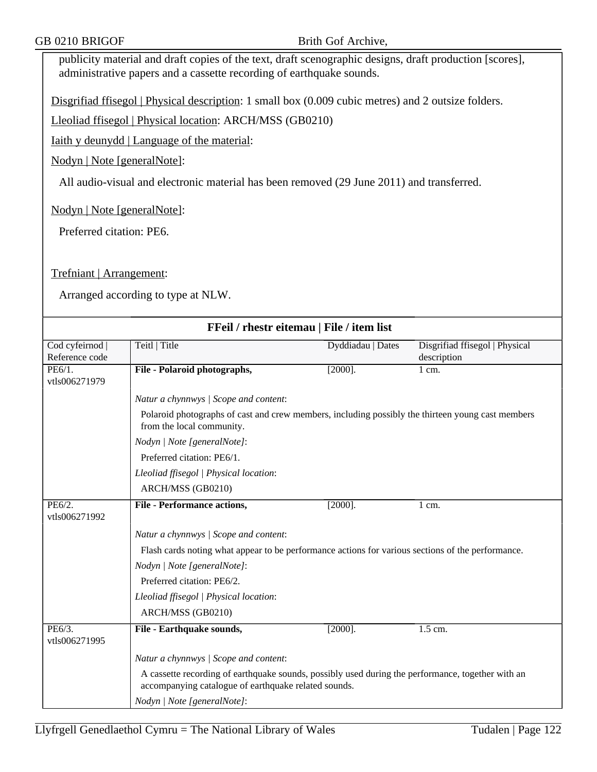publicity material and draft copies of the text, draft scenographic designs, draft production [scores], administrative papers and a cassette recording of earthquake sounds.

Disgrifiad ffisegol | Physical description: 1 small box (0.009 cubic metres) and 2 outsize folders.

Lleoliad ffisegol | Physical location: ARCH/MSS (GB0210)

Iaith y deunydd | Language of the material:

Nodyn | Note [generalNote]:

All audio-visual and electronic material has been removed (29 June 2011) and transferred.

Nodyn | Note [generalNote]:

Preferred citation: PE6.

Trefniant | Arrangement:

| FFeil / rhestr eitemau   File / item list |                                                                                                                                                           |                   |                                               |  |
|-------------------------------------------|-----------------------------------------------------------------------------------------------------------------------------------------------------------|-------------------|-----------------------------------------------|--|
| Cod cyfeirnod  <br>Reference code         | Teitl   Title                                                                                                                                             | Dyddiadau   Dates | Disgrifiad ffisegol   Physical<br>description |  |
| PE6/1.<br>vtls006271979                   | File - Polaroid photographs,                                                                                                                              | $[2000]$ .        | 1 cm.                                         |  |
|                                           | Natur a chynnwys / Scope and content:                                                                                                                     |                   |                                               |  |
|                                           | Polaroid photographs of cast and crew members, including possibly the thirteen young cast members<br>from the local community.                            |                   |                                               |  |
|                                           | Nodyn   Note [generalNote]:                                                                                                                               |                   |                                               |  |
|                                           | Preferred citation: PE6/1.                                                                                                                                |                   |                                               |  |
|                                           | Lleoliad ffisegol   Physical location:                                                                                                                    |                   |                                               |  |
|                                           | ARCH/MSS (GB0210)                                                                                                                                         |                   |                                               |  |
| PE6/2.<br>vtls006271992                   | <b>File - Performance actions,</b>                                                                                                                        | $[2000]$ .        | $1 \text{ cm}$ .                              |  |
|                                           | Natur a chynnwys / Scope and content:                                                                                                                     |                   |                                               |  |
|                                           | Flash cards noting what appear to be performance actions for various sections of the performance.                                                         |                   |                                               |  |
|                                           | Nodyn   Note [generalNote]:                                                                                                                               |                   |                                               |  |
|                                           | Preferred citation: PE6/2.                                                                                                                                |                   |                                               |  |
|                                           | Lleoliad ffisegol   Physical location:                                                                                                                    |                   |                                               |  |
|                                           | ARCH/MSS (GB0210)                                                                                                                                         |                   |                                               |  |
| PE6/3.<br>vtls006271995                   | File - Earthquake sounds,                                                                                                                                 | $[2000]$ .        | 1.5 cm.                                       |  |
|                                           | Natur a chynnwys / Scope and content:                                                                                                                     |                   |                                               |  |
|                                           | A cassette recording of earthquake sounds, possibly used during the performance, together with an<br>accompanying catalogue of earthquake related sounds. |                   |                                               |  |
|                                           | Nodyn   Note [generalNote]:                                                                                                                               |                   |                                               |  |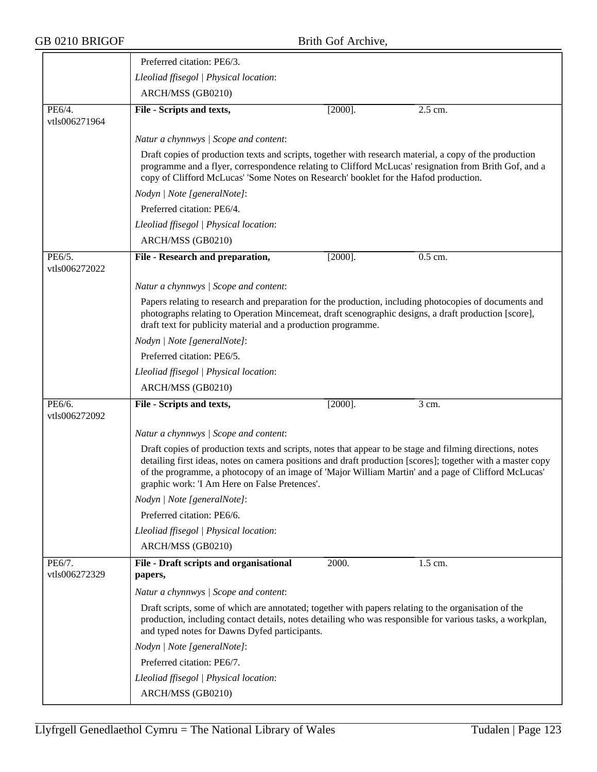|                         | Preferred citation: PE6/3.                                                                                                                                                                                                                                                                                                                                                       |  |  |  |  |
|-------------------------|----------------------------------------------------------------------------------------------------------------------------------------------------------------------------------------------------------------------------------------------------------------------------------------------------------------------------------------------------------------------------------|--|--|--|--|
|                         | Lleoliad ffisegol   Physical location:                                                                                                                                                                                                                                                                                                                                           |  |  |  |  |
|                         | ARCH/MSS (GB0210)                                                                                                                                                                                                                                                                                                                                                                |  |  |  |  |
| PE6/4.                  | $[2000]$ .<br>File - Scripts and texts,<br>$2.5$ cm.                                                                                                                                                                                                                                                                                                                             |  |  |  |  |
| vtls006271964           |                                                                                                                                                                                                                                                                                                                                                                                  |  |  |  |  |
|                         | Natur a chynnwys / Scope and content:                                                                                                                                                                                                                                                                                                                                            |  |  |  |  |
|                         | Draft copies of production texts and scripts, together with research material, a copy of the production<br>programme and a flyer, correspondence relating to Clifford McLucas' resignation from Brith Gof, and a<br>copy of Clifford McLucas' 'Some Notes on Research' booklet for the Hafod production.                                                                         |  |  |  |  |
|                         | Nodyn   Note [generalNote]:                                                                                                                                                                                                                                                                                                                                                      |  |  |  |  |
|                         | Preferred citation: PE6/4.                                                                                                                                                                                                                                                                                                                                                       |  |  |  |  |
|                         | Lleoliad ffisegol   Physical location:                                                                                                                                                                                                                                                                                                                                           |  |  |  |  |
|                         | ARCH/MSS (GB0210)                                                                                                                                                                                                                                                                                                                                                                |  |  |  |  |
| PE6/5.<br>vtls006272022 | File - Research and preparation,<br>0.5 cm.<br>$[2000]$ .                                                                                                                                                                                                                                                                                                                        |  |  |  |  |
|                         | Natur a chynnwys / Scope and content:                                                                                                                                                                                                                                                                                                                                            |  |  |  |  |
|                         | Papers relating to research and preparation for the production, including photocopies of documents and<br>photographs relating to Operation Mincemeat, draft scenographic designs, a draft production [score],<br>draft text for publicity material and a production programme.                                                                                                  |  |  |  |  |
|                         | Nodyn   Note [generalNote]:                                                                                                                                                                                                                                                                                                                                                      |  |  |  |  |
|                         | Preferred citation: PE6/5.                                                                                                                                                                                                                                                                                                                                                       |  |  |  |  |
|                         | Lleoliad ffisegol   Physical location:                                                                                                                                                                                                                                                                                                                                           |  |  |  |  |
|                         | ARCH/MSS (GB0210)                                                                                                                                                                                                                                                                                                                                                                |  |  |  |  |
| PE6/6.                  | $[2000]$ .<br>3 cm.<br>File - Scripts and texts,                                                                                                                                                                                                                                                                                                                                 |  |  |  |  |
| vtls006272092           |                                                                                                                                                                                                                                                                                                                                                                                  |  |  |  |  |
|                         | Natur a chynnwys / Scope and content:                                                                                                                                                                                                                                                                                                                                            |  |  |  |  |
|                         | Draft copies of production texts and scripts, notes that appear to be stage and filming directions, notes<br>detailing first ideas, notes on camera positions and draft production [scores]; together with a master copy<br>of the programme, a photocopy of an image of 'Major William Martin' and a page of Clifford McLucas'<br>graphic work: 'I Am Here on False Pretences'. |  |  |  |  |
|                         | Nodyn   Note [generalNote]:                                                                                                                                                                                                                                                                                                                                                      |  |  |  |  |
|                         | Preferred citation: PE6/6.                                                                                                                                                                                                                                                                                                                                                       |  |  |  |  |
|                         | Lleoliad ffisegol   Physical location:                                                                                                                                                                                                                                                                                                                                           |  |  |  |  |
|                         | ARCH/MSS (GB0210)                                                                                                                                                                                                                                                                                                                                                                |  |  |  |  |
| PE6/7.<br>vtls006272329 | File - Draft scripts and organisational<br>2000.<br>1.5 cm.                                                                                                                                                                                                                                                                                                                      |  |  |  |  |
|                         | papers,                                                                                                                                                                                                                                                                                                                                                                          |  |  |  |  |
|                         | Natur a chynnwys / Scope and content:                                                                                                                                                                                                                                                                                                                                            |  |  |  |  |
|                         | Draft scripts, some of which are annotated; together with papers relating to the organisation of the<br>production, including contact details, notes detailing who was responsible for various tasks, a workplan,<br>and typed notes for Dawns Dyfed participants.                                                                                                               |  |  |  |  |
|                         | Nodyn   Note [generalNote]:                                                                                                                                                                                                                                                                                                                                                      |  |  |  |  |
|                         | Preferred citation: PE6/7.                                                                                                                                                                                                                                                                                                                                                       |  |  |  |  |
|                         | Lleoliad ffisegol   Physical location:                                                                                                                                                                                                                                                                                                                                           |  |  |  |  |
|                         | ARCH/MSS (GB0210)                                                                                                                                                                                                                                                                                                                                                                |  |  |  |  |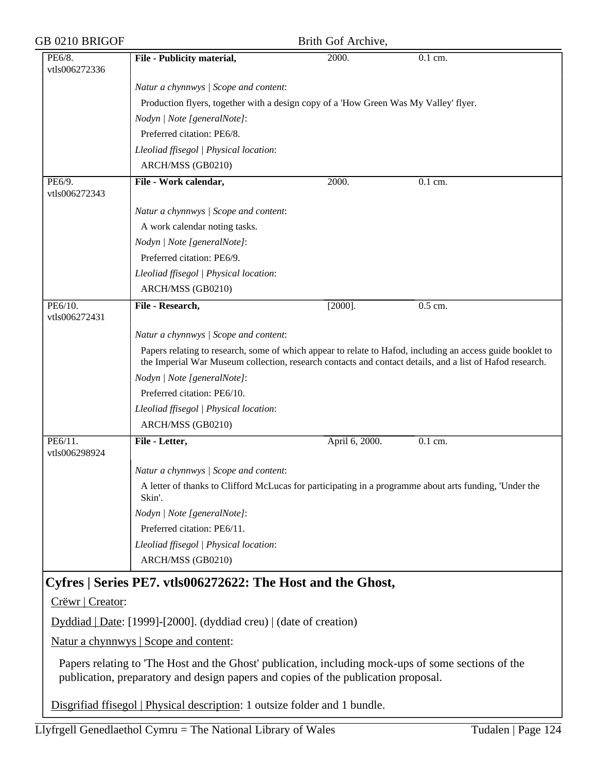| GB 0210 BRIGOF           |                                                                                                                                                                                                                        | Brith Gof Archive, |                      |
|--------------------------|------------------------------------------------------------------------------------------------------------------------------------------------------------------------------------------------------------------------|--------------------|----------------------|
| PE6/8.<br>vtls006272336  | File - Publicity material,                                                                                                                                                                                             | 2000.              | 0.1 cm.              |
|                          | Natur a chynnwys / Scope and content:                                                                                                                                                                                  |                    |                      |
|                          | Production flyers, together with a design copy of a 'How Green Was My Valley' flyer.                                                                                                                                   |                    |                      |
|                          | Nodyn   Note [generalNote]:                                                                                                                                                                                            |                    |                      |
|                          | Preferred citation: PE6/8.                                                                                                                                                                                             |                    |                      |
|                          | Lleoliad ffisegol   Physical location:                                                                                                                                                                                 |                    |                      |
|                          | ARCH/MSS (GB0210)                                                                                                                                                                                                      |                    |                      |
| PE6/9.<br>vtls006272343  | File - Work calendar,                                                                                                                                                                                                  | 2000.              | $\overline{0.1}$ cm. |
|                          | Natur a chynnwys / Scope and content:                                                                                                                                                                                  |                    |                      |
|                          | A work calendar noting tasks.                                                                                                                                                                                          |                    |                      |
|                          | Nodyn   Note [generalNote]:                                                                                                                                                                                            |                    |                      |
|                          | Preferred citation: PE6/9.                                                                                                                                                                                             |                    |                      |
|                          | Lleoliad ffisegol   Physical location:                                                                                                                                                                                 |                    |                      |
|                          | ARCH/MSS (GB0210)                                                                                                                                                                                                      |                    |                      |
| PE6/10.<br>vtls006272431 | File - Research,                                                                                                                                                                                                       | $[2000]$ .         | 0.5 cm.              |
|                          | Natur a chynnwys / Scope and content:                                                                                                                                                                                  |                    |                      |
|                          | Papers relating to research, some of which appear to relate to Hafod, including an access guide booklet to<br>the Imperial War Museum collection, research contacts and contact details, and a list of Hafod research. |                    |                      |
|                          | Nodyn   Note [generalNote]:                                                                                                                                                                                            |                    |                      |
|                          | Preferred citation: PE6/10.                                                                                                                                                                                            |                    |                      |
|                          | Lleoliad ffisegol   Physical location:                                                                                                                                                                                 |                    |                      |
|                          | ARCH/MSS (GB0210)                                                                                                                                                                                                      |                    |                      |
| PE6/11.<br>vtls006298924 | File - Letter,                                                                                                                                                                                                         | April 6, 2000.     | 0.1 cm.              |
|                          | Natur a chynnwys / Scope and content:                                                                                                                                                                                  |                    |                      |
|                          | A letter of thanks to Clifford McLucas for participating in a programme about arts funding, 'Under the<br>Skin'.                                                                                                       |                    |                      |
|                          | Nodyn   Note [generalNote]:                                                                                                                                                                                            |                    |                      |
|                          | Preferred citation: PE6/11.                                                                                                                                                                                            |                    |                      |
|                          | Lleoliad ffisegol   Physical location:                                                                                                                                                                                 |                    |                      |
|                          | ARCH/MSS (GB0210)                                                                                                                                                                                                      |                    |                      |
|                          | Cyfres   Series PE7. vtls006272622: The Host and the Ghost,                                                                                                                                                            |                    |                      |
| Crëwr   Creator:         |                                                                                                                                                                                                                        |                    |                      |
|                          | $Dyddiad   Date: [1999] - [2000]$ . (dyddiad creu)   (date of creation)                                                                                                                                                |                    |                      |
|                          | Natur a chynnwys   Scope and content:                                                                                                                                                                                  |                    |                      |
|                          | Papers relating to 'The Host and the Ghost' publication, including mock-ups of some sections of the<br>publication, preparatory and design papers and copies of the publication proposal.                              |                    |                      |

Disgrifiad ffisegol | Physical description: 1 outsize folder and 1 bundle.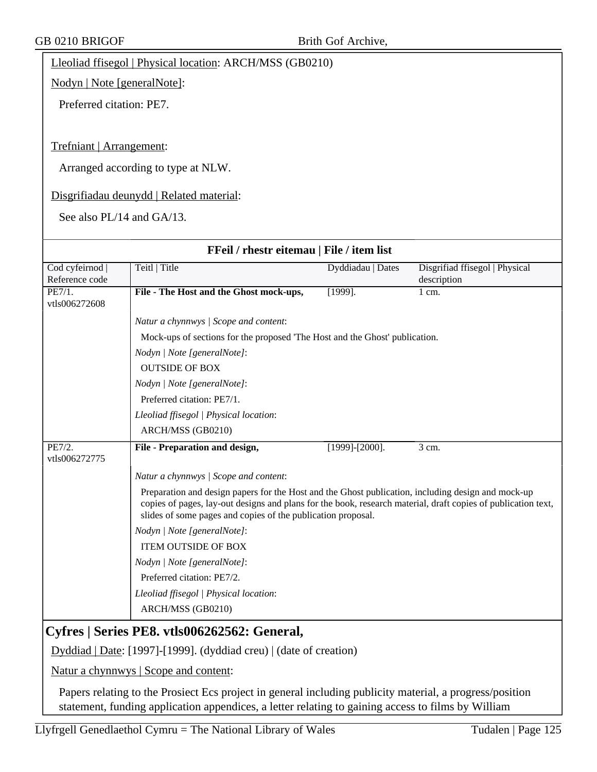Lleoliad ffisegol | Physical location: ARCH/MSS (GB0210)

Nodyn | Note [generalNote]:

Preferred citation: PE7.

### Trefniant | Arrangement:

Arranged according to type at NLW.

### Disgrifiadau deunydd | Related material:

See also PL/14 and GA/13.

| FFeil / rhestr eitemau   File / item list                          |                                                                                                                                                                                                                                                                                     |                       |                                |
|--------------------------------------------------------------------|-------------------------------------------------------------------------------------------------------------------------------------------------------------------------------------------------------------------------------------------------------------------------------------|-----------------------|--------------------------------|
| Cod cyfeirnod                                                      | Teitl   Title                                                                                                                                                                                                                                                                       | Dyddiadau   Dates     | Disgrifiad ffisegol   Physical |
| Reference code                                                     |                                                                                                                                                                                                                                                                                     |                       | description                    |
| $\overline{\text{PE7}/1.}$                                         | File - The Host and the Ghost mock-ups,                                                                                                                                                                                                                                             | $[1999]$ .            | $1 \text{ cm}$ .               |
| vtls006272608                                                      |                                                                                                                                                                                                                                                                                     |                       |                                |
|                                                                    | Natur a chynnwys / Scope and content:                                                                                                                                                                                                                                               |                       |                                |
|                                                                    | Mock-ups of sections for the proposed 'The Host and the Ghost' publication.                                                                                                                                                                                                         |                       |                                |
|                                                                    | Nodyn   Note [generalNote]:                                                                                                                                                                                                                                                         |                       |                                |
|                                                                    | <b>OUTSIDE OF BOX</b>                                                                                                                                                                                                                                                               |                       |                                |
|                                                                    | Nodyn   Note [generalNote]:                                                                                                                                                                                                                                                         |                       |                                |
|                                                                    | Preferred citation: PE7/1.                                                                                                                                                                                                                                                          |                       |                                |
|                                                                    | Lleoliad ffisegol   Physical location:                                                                                                                                                                                                                                              |                       |                                |
|                                                                    | ARCH/MSS (GB0210)                                                                                                                                                                                                                                                                   |                       |                                |
| PE7/2.<br>vtls006272775                                            | File - Preparation and design,                                                                                                                                                                                                                                                      | $[1999]$ - $[2000]$ . | $\overline{3}$ cm.             |
|                                                                    | Natur a chynnwys / Scope and content:                                                                                                                                                                                                                                               |                       |                                |
|                                                                    | Preparation and design papers for the Host and the Ghost publication, including design and mock-up<br>copies of pages, lay-out designs and plans for the book, research material, draft copies of publication text,<br>slides of some pages and copies of the publication proposal. |                       |                                |
|                                                                    | Nodyn   Note [generalNote]:                                                                                                                                                                                                                                                         |                       |                                |
|                                                                    | <b>ITEM OUTSIDE OF BOX</b>                                                                                                                                                                                                                                                          |                       |                                |
|                                                                    | Nodyn   Note [generalNote]:                                                                                                                                                                                                                                                         |                       |                                |
|                                                                    | Preferred citation: PE7/2.                                                                                                                                                                                                                                                          |                       |                                |
|                                                                    | Lleoliad ffisegol   Physical location:                                                                                                                                                                                                                                              |                       |                                |
|                                                                    | ARCH/MSS (GB0210)                                                                                                                                                                                                                                                                   |                       |                                |
|                                                                    | Cyfres   Series PE8. vtls006262562: General,                                                                                                                                                                                                                                        |                       |                                |
|                                                                    |                                                                                                                                                                                                                                                                                     |                       |                                |
| Dyddiad   Date: [1997]-[1999]. (dyddiad creu)   (date of creation) |                                                                                                                                                                                                                                                                                     |                       |                                |
| Natur a chynnwys   Scope and content:                              |                                                                                                                                                                                                                                                                                     |                       |                                |

Papers relating to the Prosiect Ecs project in general including publicity material, a progress/position statement, funding application appendices, a letter relating to gaining access to films by William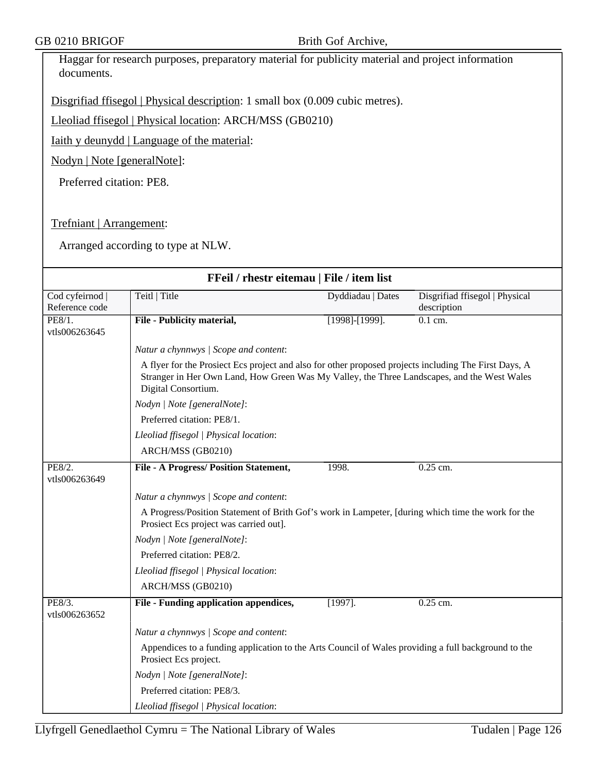Haggar for research purposes, preparatory material for publicity material and project information documents.

Disgrifiad ffisegol | Physical description: 1 small box (0.009 cubic metres).

Lleoliad ffisegol | Physical location: ARCH/MSS (GB0210)

Iaith y deunydd | Language of the material:

Nodyn | Note [generalNote]:

Preferred citation: PE8.

Trefniant | Arrangement:

| FFeil / rhestr eitemau   File / item list |                                                                                                                                                                                                                             |                       |                                               |  |  |
|-------------------------------------------|-----------------------------------------------------------------------------------------------------------------------------------------------------------------------------------------------------------------------------|-----------------------|-----------------------------------------------|--|--|
| Cod cyfeirnod  <br>Reference code         | Teitl   Title                                                                                                                                                                                                               | Dyddiadau   Dates     | Disgrifiad ffisegol   Physical<br>description |  |  |
| PE8/1.<br>vtls006263645                   | File - Publicity material,                                                                                                                                                                                                  | $[1998]$ - $[1999]$ . | $0.1$ cm.                                     |  |  |
|                                           | Natur a chynnwys / Scope and content:                                                                                                                                                                                       |                       |                                               |  |  |
|                                           | A flyer for the Prosiect Ecs project and also for other proposed projects including The First Days, A<br>Stranger in Her Own Land, How Green Was My Valley, the Three Landscapes, and the West Wales<br>Digital Consortium. |                       |                                               |  |  |
|                                           | Nodyn   Note [generalNote]:                                                                                                                                                                                                 |                       |                                               |  |  |
|                                           | Preferred citation: PE8/1.                                                                                                                                                                                                  |                       |                                               |  |  |
|                                           | Lleoliad ffisegol   Physical location:                                                                                                                                                                                      |                       |                                               |  |  |
|                                           | ARCH/MSS (GB0210)                                                                                                                                                                                                           |                       |                                               |  |  |
| PE8/2.<br>vtls006263649                   | File - A Progress/ Position Statement,                                                                                                                                                                                      | 1998.                 | 0.25 cm.                                      |  |  |
|                                           | Natur a chynnwys / Scope and content:                                                                                                                                                                                       |                       |                                               |  |  |
|                                           | A Progress/Position Statement of Brith Gof's work in Lampeter, [during which time the work for the<br>Prosiect Ecs project was carried out].                                                                                |                       |                                               |  |  |
|                                           | Nodyn   Note [generalNote]:                                                                                                                                                                                                 |                       |                                               |  |  |
|                                           | Preferred citation: PE8/2.                                                                                                                                                                                                  |                       |                                               |  |  |
|                                           | Lleoliad ffisegol   Physical location:                                                                                                                                                                                      |                       |                                               |  |  |
|                                           | ARCH/MSS (GB0210)                                                                                                                                                                                                           |                       |                                               |  |  |
| PE8/3.<br>vtls006263652                   | File - Funding application appendices,                                                                                                                                                                                      | $[1997]$ .            | $0.25$ cm.                                    |  |  |
|                                           | Natur a chynnwys / Scope and content:                                                                                                                                                                                       |                       |                                               |  |  |
|                                           | Appendices to a funding application to the Arts Council of Wales providing a full background to the<br>Prosiect Ecs project.                                                                                                |                       |                                               |  |  |
|                                           | Nodyn   Note [generalNote]:                                                                                                                                                                                                 |                       |                                               |  |  |
|                                           | Preferred citation: PE8/3.                                                                                                                                                                                                  |                       |                                               |  |  |
|                                           | Lleoliad ffisegol   Physical location:                                                                                                                                                                                      |                       |                                               |  |  |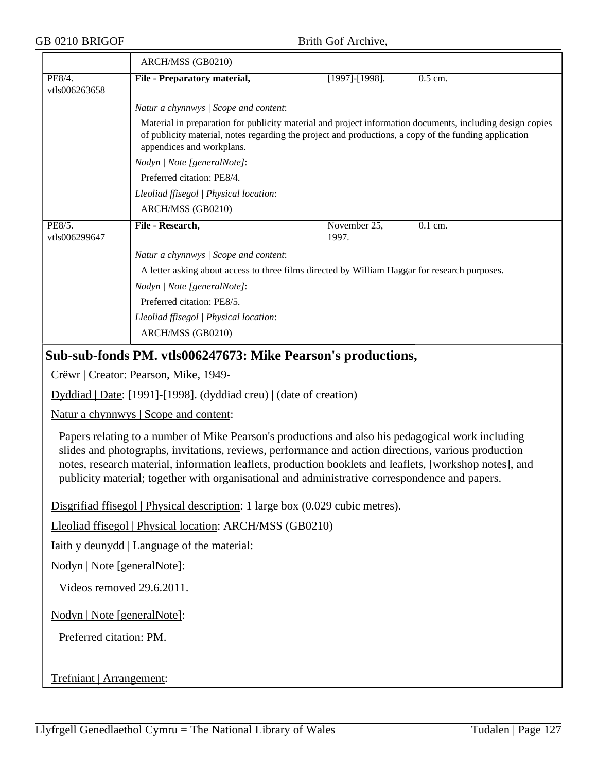#### GB 0210 BRIGOF Brith Gof Archive,

|                         | ARCH/MSS (GB0210)                                                                                                                                                                                                                               |                       |           |  |  |
|-------------------------|-------------------------------------------------------------------------------------------------------------------------------------------------------------------------------------------------------------------------------------------------|-----------------------|-----------|--|--|
| PE8/4.<br>vtls006263658 | File - Preparatory material,                                                                                                                                                                                                                    | $[1997]$ - $[1998]$ . | $0.5$ cm. |  |  |
|                         | Natur a chynnwys / Scope and content:                                                                                                                                                                                                           |                       |           |  |  |
|                         | Material in preparation for publicity material and project information documents, including design copies<br>of publicity material, notes regarding the project and productions, a copy of the funding application<br>appendices and workplans. |                       |           |  |  |
|                         | Nodyn   Note [generalNote]:                                                                                                                                                                                                                     |                       |           |  |  |
|                         | Preferred citation: PE8/4.                                                                                                                                                                                                                      |                       |           |  |  |
|                         | Lleoliad ffisegol   Physical location:                                                                                                                                                                                                          |                       |           |  |  |
|                         | ARCH/MSS (GB0210)                                                                                                                                                                                                                               |                       |           |  |  |
| PE8/5.<br>vtls006299647 | File - Research,                                                                                                                                                                                                                                | November 25,<br>1997. | $0.1$ cm. |  |  |
|                         | Natur a chynnwys / Scope and content:                                                                                                                                                                                                           |                       |           |  |  |
|                         | A letter asking about access to three films directed by William Haggar for research purposes.                                                                                                                                                   |                       |           |  |  |
|                         | Nodyn   Note [generalNote]:                                                                                                                                                                                                                     |                       |           |  |  |
|                         | Preferred citation: PE8/5.                                                                                                                                                                                                                      |                       |           |  |  |
|                         | Lleoliad ffisegol   Physical location:                                                                                                                                                                                                          |                       |           |  |  |
|                         | ARCH/MSS (GB0210)                                                                                                                                                                                                                               |                       |           |  |  |
|                         |                                                                                                                                                                                                                                                 |                       |           |  |  |

## **Sub-sub-fonds PM. vtls006247673: Mike Pearson's productions,**

Crëwr | Creator: Pearson, Mike, 1949-

Dyddiad | Date: [1991]-[1998]. (dyddiad creu) | (date of creation)

Natur a chynnwys | Scope and content:

Papers relating to a number of Mike Pearson's productions and also his pedagogical work including slides and photographs, invitations, reviews, performance and action directions, various production notes, research material, information leaflets, production booklets and leaflets, [workshop notes], and publicity material; together with organisational and administrative correspondence and papers.

Disgrifiad ffisegol | Physical description: 1 large box (0.029 cubic metres).

Lleoliad ffisegol | Physical location: ARCH/MSS (GB0210)

Iaith y deunydd | Language of the material:

Nodyn | Note [generalNote]:

Videos removed 29.6.2011.

Nodyn | Note [generalNote]:

Preferred citation: PM.

Trefniant | Arrangement: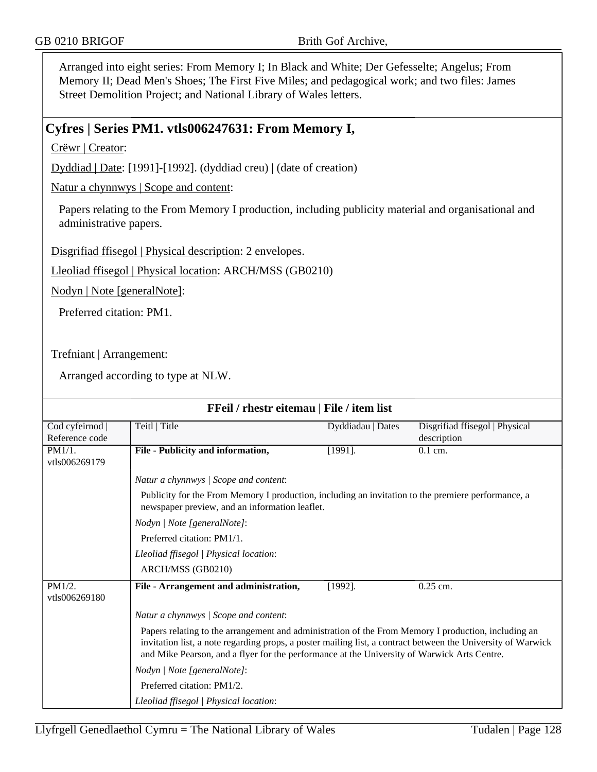Arranged into eight series: From Memory I; In Black and White; Der Gefesselte; Angelus; From Memory II; Dead Men's Shoes; The First Five Miles; and pedagogical work; and two files: James Street Demolition Project; and National Library of Wales letters.

## **Cyfres | Series PM1. vtls006247631: From Memory I,**

Crëwr | Creator:

Dyddiad | Date: [1991]-[1992]. (dyddiad creu) | (date of creation)

Natur a chynnwys | Scope and content:

Papers relating to the From Memory I production, including publicity material and organisational and administrative papers.

Disgrifiad ffisegol | Physical description: 2 envelopes.

Lleoliad ffisegol | Physical location: ARCH/MSS (GB0210)

Nodyn | Note [generalNote]:

Preferred citation: PM1.

Trefniant | Arrangement:

| FFeil / rhestr eitemau   File / item list |                                                                                                                                                                                                                                                                                                                    |                   |                                |  |
|-------------------------------------------|--------------------------------------------------------------------------------------------------------------------------------------------------------------------------------------------------------------------------------------------------------------------------------------------------------------------|-------------------|--------------------------------|--|
| Cod cyfeirnod                             | Teitl   Title                                                                                                                                                                                                                                                                                                      | Dyddiadau   Dates | Disgrifiad ffisegol   Physical |  |
| Reference code                            |                                                                                                                                                                                                                                                                                                                    |                   | description                    |  |
| PM1/1.<br>vtls006269179                   | File - Publicity and information,                                                                                                                                                                                                                                                                                  | $[1991]$ .        | $0.1$ cm.                      |  |
|                                           | Natur a chynnwys / Scope and content:                                                                                                                                                                                                                                                                              |                   |                                |  |
|                                           | Publicity for the From Memory I production, including an invitation to the premiere performance, a<br>newspaper preview, and an information leaflet.                                                                                                                                                               |                   |                                |  |
|                                           | Nodyn   Note [generalNote]:                                                                                                                                                                                                                                                                                        |                   |                                |  |
|                                           | Preferred citation: PM1/1.                                                                                                                                                                                                                                                                                         |                   |                                |  |
|                                           | Lleoliad ffisegol   Physical location:                                                                                                                                                                                                                                                                             |                   |                                |  |
|                                           | ARCH/MSS (GB0210)                                                                                                                                                                                                                                                                                                  |                   |                                |  |
| PM1/2.<br>vtls006269180                   | File - Arrangement and administration,                                                                                                                                                                                                                                                                             | $[1992]$ .        | $0.25$ cm.                     |  |
|                                           | Natur a chynnwys / Scope and content:                                                                                                                                                                                                                                                                              |                   |                                |  |
|                                           | Papers relating to the arrangement and administration of the From Memory I production, including an<br>invitation list, a note regarding props, a poster mailing list, a contract between the University of Warwick<br>and Mike Pearson, and a flyer for the performance at the University of Warwick Arts Centre. |                   |                                |  |
|                                           | Nodyn   Note [generalNote]:                                                                                                                                                                                                                                                                                        |                   |                                |  |
|                                           | Preferred citation: PM1/2.                                                                                                                                                                                                                                                                                         |                   |                                |  |
|                                           | Lleoliad ffisegol   Physical location:                                                                                                                                                                                                                                                                             |                   |                                |  |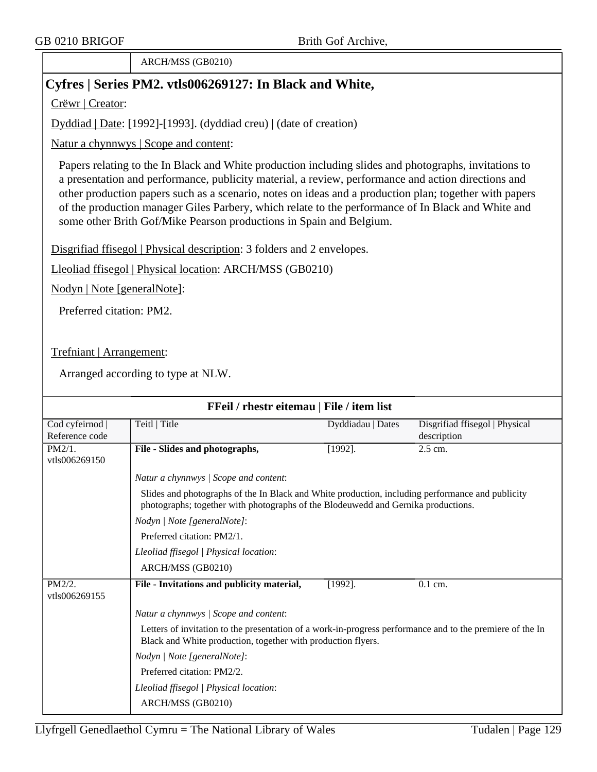ARCH/MSS (GB0210)

# **Cyfres | Series PM2. vtls006269127: In Black and White,**

Crëwr | Creator:

Dyddiad | Date: [1992]-[1993]. (dyddiad creu) | (date of creation)

Natur a chynnwys | Scope and content:

Papers relating to the In Black and White production including slides and photographs, invitations to a presentation and performance, publicity material, a review, performance and action directions and other production papers such as a scenario, notes on ideas and a production plan; together with papers of the production manager Giles Parbery, which relate to the performance of In Black and White and some other Brith Gof/Mike Pearson productions in Spain and Belgium.

Disgrifiad ffisegol | Physical description: 3 folders and 2 envelopes.

Lleoliad ffisegol | Physical location: ARCH/MSS (GB0210)

Nodyn | Note [generalNote]:

Preferred citation: PM2.

Trefniant | Arrangement:

| FFeil / rhestr eitemau   File / item list |                                                                                                                                                                                       |                   |                                               |  |  |
|-------------------------------------------|---------------------------------------------------------------------------------------------------------------------------------------------------------------------------------------|-------------------|-----------------------------------------------|--|--|
| Cod cyfeirnod  <br>Reference code         | Teitl   Title                                                                                                                                                                         | Dyddiadau   Dates | Disgrifiad ffisegol   Physical<br>description |  |  |
| PM2/1.<br>vtls006269150                   | File - Slides and photographs,                                                                                                                                                        | $[1992]$ .        | $2.5$ cm.                                     |  |  |
|                                           | Natur a chynnwys / Scope and content:                                                                                                                                                 |                   |                                               |  |  |
|                                           | Slides and photographs of the In Black and White production, including performance and publicity<br>photographs; together with photographs of the Blodeuwedd and Gernika productions. |                   |                                               |  |  |
|                                           | Nodyn   Note [generalNote]:                                                                                                                                                           |                   |                                               |  |  |
|                                           | Preferred citation: PM2/1.                                                                                                                                                            |                   |                                               |  |  |
|                                           | Lleoliad ffisegol   Physical location:                                                                                                                                                |                   |                                               |  |  |
|                                           | ARCH/MSS (GB0210)                                                                                                                                                                     |                   |                                               |  |  |
| $PM2/2$ .<br>vtls006269155                | File - Invitations and publicity material,                                                                                                                                            | $[1992]$ .        | $0.1$ cm.                                     |  |  |
|                                           | Natur a chynnwys / Scope and content:                                                                                                                                                 |                   |                                               |  |  |
|                                           | Letters of invitation to the presentation of a work-in-progress performance and to the premiere of the In<br>Black and White production, together with production flyers.             |                   |                                               |  |  |
|                                           | Nodyn   Note [generalNote]:                                                                                                                                                           |                   |                                               |  |  |
|                                           | Preferred citation: PM2/2.                                                                                                                                                            |                   |                                               |  |  |
|                                           | Lleoliad ffisegol   Physical location:                                                                                                                                                |                   |                                               |  |  |
|                                           | ARCH/MSS (GB0210)                                                                                                                                                                     |                   |                                               |  |  |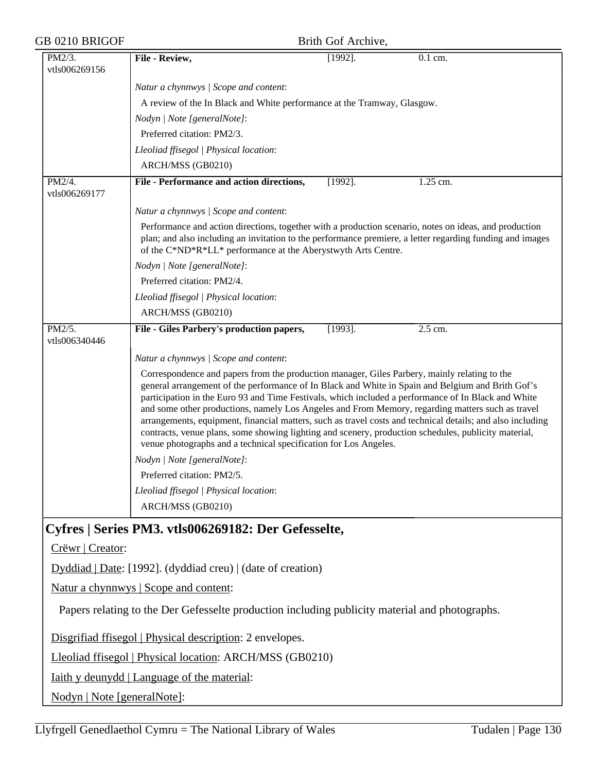| GB 0210 BRIGOF              |                                                                                                                                                                                                                                                                                                                                                                                                                                                                                                                                                                                                                                                                                                                                                                     | Brith Gof Archive, |                      |
|-----------------------------|---------------------------------------------------------------------------------------------------------------------------------------------------------------------------------------------------------------------------------------------------------------------------------------------------------------------------------------------------------------------------------------------------------------------------------------------------------------------------------------------------------------------------------------------------------------------------------------------------------------------------------------------------------------------------------------------------------------------------------------------------------------------|--------------------|----------------------|
| PM2/3.<br>vtls006269156     | File - Review,                                                                                                                                                                                                                                                                                                                                                                                                                                                                                                                                                                                                                                                                                                                                                      | $[1992]$ .         | $\overline{0.1}$ cm. |
|                             | Natur a chynnwys / Scope and content:                                                                                                                                                                                                                                                                                                                                                                                                                                                                                                                                                                                                                                                                                                                               |                    |                      |
|                             | A review of the In Black and White performance at the Tramway, Glasgow.                                                                                                                                                                                                                                                                                                                                                                                                                                                                                                                                                                                                                                                                                             |                    |                      |
|                             | Nodyn   Note [generalNote]:                                                                                                                                                                                                                                                                                                                                                                                                                                                                                                                                                                                                                                                                                                                                         |                    |                      |
|                             | Preferred citation: PM2/3.                                                                                                                                                                                                                                                                                                                                                                                                                                                                                                                                                                                                                                                                                                                                          |                    |                      |
|                             | Lleoliad ffisegol   Physical location:                                                                                                                                                                                                                                                                                                                                                                                                                                                                                                                                                                                                                                                                                                                              |                    |                      |
|                             | ARCH/MSS (GB0210)                                                                                                                                                                                                                                                                                                                                                                                                                                                                                                                                                                                                                                                                                                                                                   |                    |                      |
| PM2/4.<br>vtls006269177     | File - Performance and action directions,                                                                                                                                                                                                                                                                                                                                                                                                                                                                                                                                                                                                                                                                                                                           | $[1992]$ .         | 1.25 cm.             |
|                             | Natur a chynnwys / Scope and content:                                                                                                                                                                                                                                                                                                                                                                                                                                                                                                                                                                                                                                                                                                                               |                    |                      |
|                             | Performance and action directions, together with a production scenario, notes on ideas, and production<br>plan; and also including an invitation to the performance premiere, a letter regarding funding and images<br>of the C*ND*R*LL* performance at the Aberystwyth Arts Centre.                                                                                                                                                                                                                                                                                                                                                                                                                                                                                |                    |                      |
|                             | Nodyn   Note [generalNote]:                                                                                                                                                                                                                                                                                                                                                                                                                                                                                                                                                                                                                                                                                                                                         |                    |                      |
|                             | Preferred citation: PM2/4.                                                                                                                                                                                                                                                                                                                                                                                                                                                                                                                                                                                                                                                                                                                                          |                    |                      |
|                             | Lleoliad ffisegol   Physical location:                                                                                                                                                                                                                                                                                                                                                                                                                                                                                                                                                                                                                                                                                                                              |                    |                      |
|                             | ARCH/MSS (GB0210)                                                                                                                                                                                                                                                                                                                                                                                                                                                                                                                                                                                                                                                                                                                                                   |                    |                      |
| PM2/5.<br>vtls006340446     | File - Giles Parbery's production papers,                                                                                                                                                                                                                                                                                                                                                                                                                                                                                                                                                                                                                                                                                                                           | $[1993]$ .         | 2.5 cm.              |
|                             | Natur a chynnwys / Scope and content:                                                                                                                                                                                                                                                                                                                                                                                                                                                                                                                                                                                                                                                                                                                               |                    |                      |
|                             | Correspondence and papers from the production manager, Giles Parbery, mainly relating to the<br>general arrangement of the performance of In Black and White in Spain and Belgium and Brith Gof's<br>participation in the Euro 93 and Time Festivals, which included a performance of In Black and White<br>and some other productions, namely Los Angeles and From Memory, regarding matters such as travel<br>arrangements, equipment, financial matters, such as travel costs and technical details; and also including<br>contracts, venue plans, some showing lighting and scenery, production schedules, publicity material,<br>venue photographs and a technical specification for Los Angeles.<br>Nodyn   Note [generalNote]:<br>Preferred citation: PM2/5. |                    |                      |
|                             | Lleoliad ffisegol   Physical location:                                                                                                                                                                                                                                                                                                                                                                                                                                                                                                                                                                                                                                                                                                                              |                    |                      |
|                             | ARCH/MSS (GB0210)                                                                                                                                                                                                                                                                                                                                                                                                                                                                                                                                                                                                                                                                                                                                                   |                    |                      |
|                             |                                                                                                                                                                                                                                                                                                                                                                                                                                                                                                                                                                                                                                                                                                                                                                     |                    |                      |
| Crëwr   Creator:            | Cyfres   Series PM3. vtls006269182: Der Gefesselte,                                                                                                                                                                                                                                                                                                                                                                                                                                                                                                                                                                                                                                                                                                                 |                    |                      |
|                             | Dyddiad   Date: [1992]. (dyddiad creu)   (date of creation)                                                                                                                                                                                                                                                                                                                                                                                                                                                                                                                                                                                                                                                                                                         |                    |                      |
|                             | Natur a chynnwys   Scope and content:                                                                                                                                                                                                                                                                                                                                                                                                                                                                                                                                                                                                                                                                                                                               |                    |                      |
|                             | Papers relating to the Der Gefesselte production including publicity material and photographs.                                                                                                                                                                                                                                                                                                                                                                                                                                                                                                                                                                                                                                                                      |                    |                      |
|                             | Disgrifiad ffisegol   Physical description: 2 envelopes.                                                                                                                                                                                                                                                                                                                                                                                                                                                                                                                                                                                                                                                                                                            |                    |                      |
|                             | Lleoliad ffisegol   Physical location: ARCH/MSS (GB0210)                                                                                                                                                                                                                                                                                                                                                                                                                                                                                                                                                                                                                                                                                                            |                    |                      |
|                             | <u>Iaith y deunydd</u>   Language of the material:                                                                                                                                                                                                                                                                                                                                                                                                                                                                                                                                                                                                                                                                                                                  |                    |                      |
| Nodyn   Note [generalNote]: |                                                                                                                                                                                                                                                                                                                                                                                                                                                                                                                                                                                                                                                                                                                                                                     |                    |                      |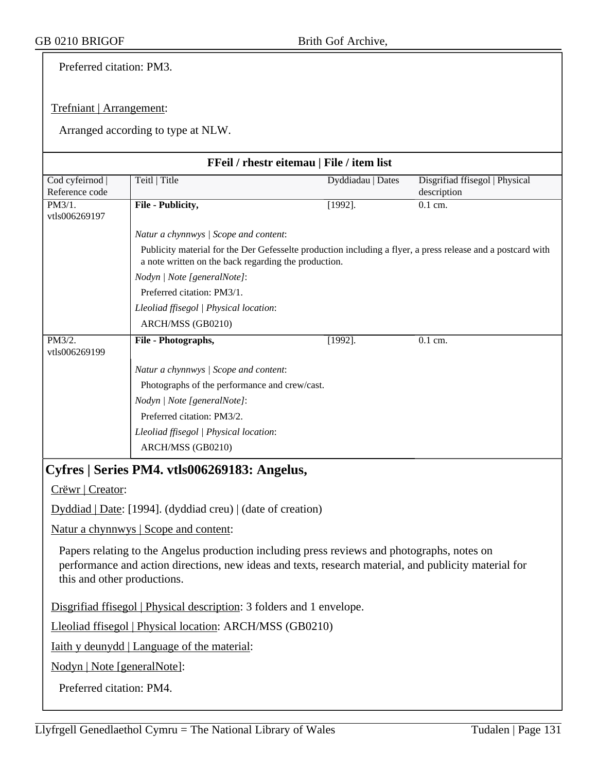Preferred citation: PM3.

## Trefniant | Arrangement:

|                             |                                                                                                                                                                                                                                     | FFeil / rhestr eitemau   File / item list |                                |
|-----------------------------|-------------------------------------------------------------------------------------------------------------------------------------------------------------------------------------------------------------------------------------|-------------------------------------------|--------------------------------|
| Cod cyfeirnod               | Teitl   Title                                                                                                                                                                                                                       | Dyddiadau   Dates                         | Disgrifiad ffisegol   Physical |
| Reference code<br>PM3/1.    |                                                                                                                                                                                                                                     |                                           | description<br>$0.1$ cm.       |
| vtls006269197               | File - Publicity,                                                                                                                                                                                                                   | $[1992]$ .                                |                                |
|                             | Natur a chynnwys / Scope and content:                                                                                                                                                                                               |                                           |                                |
|                             | Publicity material for the Der Gefesselte production including a flyer, a press release and a postcard with                                                                                                                         |                                           |                                |
|                             | a note written on the back regarding the production.                                                                                                                                                                                |                                           |                                |
|                             | Nodyn   Note [generalNote]:                                                                                                                                                                                                         |                                           |                                |
|                             | Preferred citation: PM3/1.                                                                                                                                                                                                          |                                           |                                |
|                             | Lleoliad ffisegol   Physical location:                                                                                                                                                                                              |                                           |                                |
|                             | ARCH/MSS (GB0210)                                                                                                                                                                                                                   |                                           |                                |
| PM3/2.<br>vtls006269199     | File - Photographs,                                                                                                                                                                                                                 | $[1992]$ .                                | $0.1$ cm.                      |
|                             | Natur a chynnwys / Scope and content:                                                                                                                                                                                               |                                           |                                |
|                             | Photographs of the performance and crew/cast.                                                                                                                                                                                       |                                           |                                |
|                             | Nodyn   Note [generalNote]:                                                                                                                                                                                                         |                                           |                                |
|                             | Preferred citation: PM3/2.                                                                                                                                                                                                          |                                           |                                |
|                             | Lleoliad ffisegol   Physical location:                                                                                                                                                                                              |                                           |                                |
|                             | ARCH/MSS (GB0210)                                                                                                                                                                                                                   |                                           |                                |
|                             | Cyfres   Series PM4. vtls006269183: Angelus,                                                                                                                                                                                        |                                           |                                |
| Crëwr   Creator:            |                                                                                                                                                                                                                                     |                                           |                                |
|                             | Dyddiad   Date: [1994]. (dyddiad creu)   (date of creation)                                                                                                                                                                         |                                           |                                |
|                             | Natur a chynnwys   Scope and content:                                                                                                                                                                                               |                                           |                                |
|                             | Papers relating to the Angelus production including press reviews and photographs, notes on<br>performance and action directions, new ideas and texts, research material, and publicity material for<br>this and other productions. |                                           |                                |
|                             | Disgrifiad ffisegol   Physical description: 3 folders and 1 envelope.                                                                                                                                                               |                                           |                                |
|                             | Lleoliad ffisegol   Physical location: ARCH/MSS (GB0210)                                                                                                                                                                            |                                           |                                |
|                             | Iaith y deunydd   Language of the material:                                                                                                                                                                                         |                                           |                                |
| Nodyn   Note [generalNote]: |                                                                                                                                                                                                                                     |                                           |                                |
| Preferred citation: PM4.    |                                                                                                                                                                                                                                     |                                           |                                |
|                             |                                                                                                                                                                                                                                     |                                           |                                |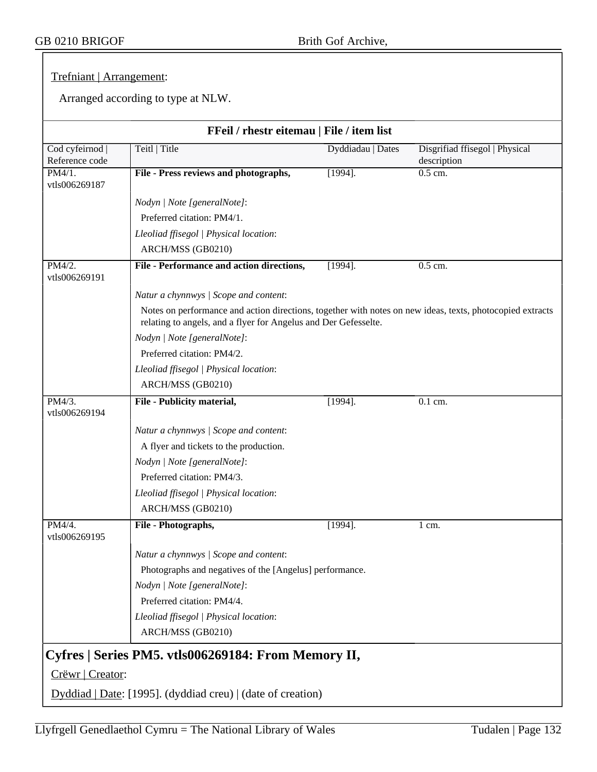## Trefniant | Arrangement:

|                                   | FFeil / rhestr eitemau   File / item list                                                                                                                                    |                   |                                               |
|-----------------------------------|------------------------------------------------------------------------------------------------------------------------------------------------------------------------------|-------------------|-----------------------------------------------|
| Cod cyfeirnod  <br>Reference code | Teitl   Title                                                                                                                                                                | Dyddiadau   Dates | Disgrifiad ffisegol   Physical<br>description |
| PM4/1.<br>vtls006269187           | File - Press reviews and photographs,                                                                                                                                        | $[1994]$ .        | $0.5$ cm.                                     |
|                                   | Nodyn   Note [generalNote]:                                                                                                                                                  |                   |                                               |
|                                   | Preferred citation: PM4/1.                                                                                                                                                   |                   |                                               |
|                                   | Lleoliad ffisegol   Physical location:                                                                                                                                       |                   |                                               |
|                                   | ARCH/MSS (GB0210)                                                                                                                                                            |                   |                                               |
| PM4/2.<br>vtls006269191           | File - Performance and action directions,                                                                                                                                    | $[1994]$ .        | $0.5$ cm.                                     |
|                                   | Natur a chynnwys / Scope and content:                                                                                                                                        |                   |                                               |
|                                   | Notes on performance and action directions, together with notes on new ideas, texts, photocopied extracts<br>relating to angels, and a flyer for Angelus and Der Gefesselte. |                   |                                               |
|                                   | Nodyn   Note [generalNote]:                                                                                                                                                  |                   |                                               |
|                                   | Preferred citation: PM4/2.                                                                                                                                                   |                   |                                               |
|                                   | Lleoliad ffisegol   Physical location:                                                                                                                                       |                   |                                               |
|                                   | ARCH/MSS (GB0210)                                                                                                                                                            |                   |                                               |
| PM4/3.<br>vtls006269194           | File - Publicity material,                                                                                                                                                   | $[1994]$ .        | 0.1 cm.                                       |
|                                   | Natur a chynnwys / Scope and content:                                                                                                                                        |                   |                                               |
|                                   | A flyer and tickets to the production.                                                                                                                                       |                   |                                               |
|                                   | Nodyn   Note [generalNote]:                                                                                                                                                  |                   |                                               |
|                                   | Preferred citation: PM4/3.                                                                                                                                                   |                   |                                               |
|                                   | Lleoliad ffisegol   Physical location:                                                                                                                                       |                   |                                               |
|                                   | ARCH/MSS (GB0210)                                                                                                                                                            |                   |                                               |
| PM4/4.<br>vtls006269195           | File - Photographs,                                                                                                                                                          | $[1994]$ .        | $1 \text{ cm}$ .                              |
|                                   | Natur a chynnwys / Scope and content:                                                                                                                                        |                   |                                               |
|                                   | Photographs and negatives of the [Angelus] performance.                                                                                                                      |                   |                                               |
|                                   | Nodyn   Note [generalNote]:                                                                                                                                                  |                   |                                               |
|                                   | Preferred citation: PM4/4.                                                                                                                                                   |                   |                                               |
|                                   | Lleoliad ffisegol   Physical location:                                                                                                                                       |                   |                                               |
|                                   | ARCH/MSS (GB0210)                                                                                                                                                            |                   |                                               |
|                                   | Cyfres   Series PM5. vtls006269184: From Memory II,                                                                                                                          |                   |                                               |
| Crëwr   Creator:                  |                                                                                                                                                                              |                   |                                               |
|                                   | $Dyddiad   Date: [1995]$ . (dyddiad creu)   (date of creation)                                                                                                               |                   |                                               |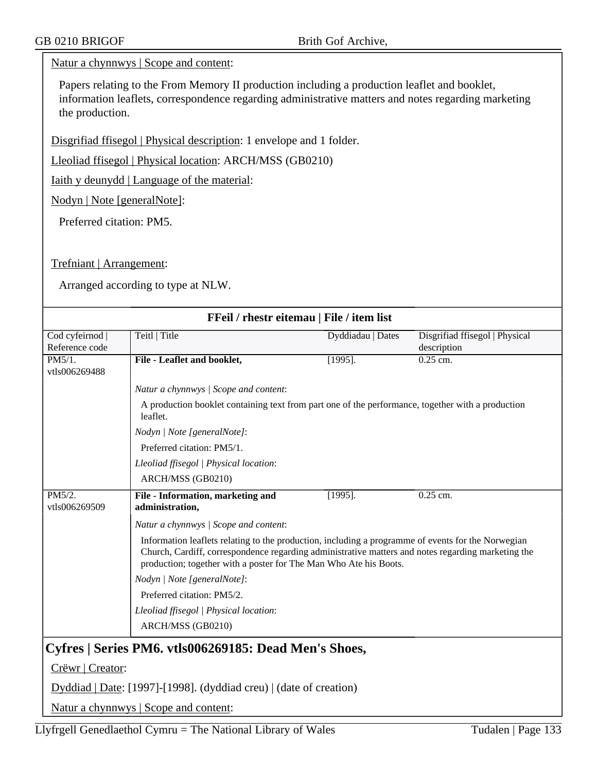### Natur a chynnwys | Scope and content:

Papers relating to the From Memory II production including a production leaflet and booklet, information leaflets, correspondence regarding administrative matters and notes regarding marketing the production.

Disgrifiad ffisegol | Physical description: 1 envelope and 1 folder.

Lleoliad ffisegol | Physical location: ARCH/MSS (GB0210)

Iaith y deunydd | Language of the material:

Nodyn | Note [generalNote]:

Preferred citation: PM5.

Trefniant | Arrangement:

Arranged according to type at NLW.

| FFeil / rhestr eitemau   File / item list |                                                                                                                                                                                                                                                                               |                   |                                               |  |  |
|-------------------------------------------|-------------------------------------------------------------------------------------------------------------------------------------------------------------------------------------------------------------------------------------------------------------------------------|-------------------|-----------------------------------------------|--|--|
| Cod cyfeirnod<br>Reference code           | Teitl   Title                                                                                                                                                                                                                                                                 | Dyddiadau   Dates | Disgrifiad ffisegol   Physical<br>description |  |  |
| PM5/1.<br>vtls006269488                   | File - Leaflet and booklet,                                                                                                                                                                                                                                                   | $[1995]$ .        | $0.25$ cm.                                    |  |  |
|                                           | Natur a chynnwys / Scope and content:                                                                                                                                                                                                                                         |                   |                                               |  |  |
|                                           | A production booklet containing text from part one of the performance, together with a production<br>leaflet.                                                                                                                                                                 |                   |                                               |  |  |
|                                           | Nodyn   Note [generalNote]:                                                                                                                                                                                                                                                   |                   |                                               |  |  |
|                                           | Preferred citation: PM5/1.                                                                                                                                                                                                                                                    |                   |                                               |  |  |
|                                           | Lleoliad ffisegol   Physical location:                                                                                                                                                                                                                                        |                   |                                               |  |  |
|                                           | ARCH/MSS (GB0210)                                                                                                                                                                                                                                                             |                   |                                               |  |  |
| PM5/2.<br>vtls006269509                   | File - Information, marketing and<br>administration,                                                                                                                                                                                                                          | $[1995]$ .        | $0.25$ cm.                                    |  |  |
|                                           | Natur a chynnwys / Scope and content:                                                                                                                                                                                                                                         |                   |                                               |  |  |
|                                           | Information leaflets relating to the production, including a programme of events for the Norwegian<br>Church, Cardiff, correspondence regarding administrative matters and notes regarding marketing the<br>production; together with a poster for The Man Who Ate his Boots. |                   |                                               |  |  |
|                                           | Nodyn   Note [generalNote]:                                                                                                                                                                                                                                                   |                   |                                               |  |  |
|                                           | Preferred citation: PM5/2.                                                                                                                                                                                                                                                    |                   |                                               |  |  |
|                                           | Lleoliad ffisegol   Physical location:                                                                                                                                                                                                                                        |                   |                                               |  |  |
|                                           | ARCH/MSS (GB0210)                                                                                                                                                                                                                                                             |                   |                                               |  |  |
|                                           | Cyfres   Series PM6. vtls006269185: Dead Men's Shoes,                                                                                                                                                                                                                         |                   |                                               |  |  |
| Crëwr   Creator:                          |                                                                                                                                                                                                                                                                               |                   |                                               |  |  |
|                                           | Dyddiad   Date: [1997]-[1998]. (dyddiad creu)   (date of creation)                                                                                                                                                                                                            |                   |                                               |  |  |
|                                           | Natur a chynnwys   Scope and content:                                                                                                                                                                                                                                         |                   |                                               |  |  |

Llyfrgell Genedlaethol Cymru = The National Library of Wales Tudalen | Page  $133$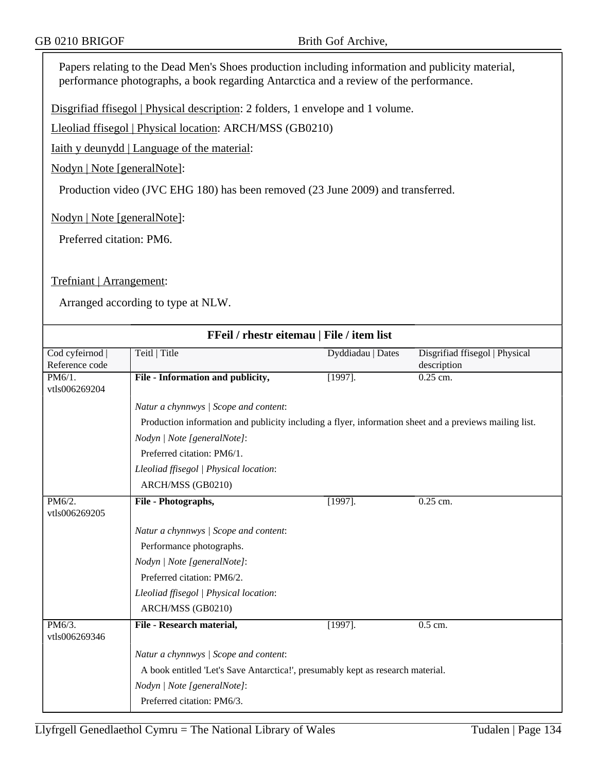Papers relating to the Dead Men's Shoes production including information and publicity material, performance photographs, a book regarding Antarctica and a review of the performance.

Disgrifiad ffisegol | Physical description: 2 folders, 1 envelope and 1 volume.

Lleoliad ffisegol | Physical location: ARCH/MSS (GB0210)

Iaith y deunydd | Language of the material:

Nodyn | Note [generalNote]:

Production video (JVC EHG 180) has been removed (23 June 2009) and transferred.

Nodyn | Note [generalNote]:

Preferred citation: PM6.

Trefniant | Arrangement:

| FFeil / rhestr eitemau   File / item list |                                                                                                        |                   |                                |  |  |
|-------------------------------------------|--------------------------------------------------------------------------------------------------------|-------------------|--------------------------------|--|--|
| Cod cyfeirnod                             | Teitl   Title                                                                                          | Dyddiadau   Dates | Disgrifiad ffisegol   Physical |  |  |
| Reference code                            |                                                                                                        |                   | description                    |  |  |
| PM6/1.<br>vtls006269204                   | File - Information and publicity,                                                                      | $[1997]$ .        | 0.25 cm.                       |  |  |
|                                           | Natur a chynnwys / Scope and content:                                                                  |                   |                                |  |  |
|                                           | Production information and publicity including a flyer, information sheet and a previews mailing list. |                   |                                |  |  |
|                                           | Nodyn   Note [generalNote]:                                                                            |                   |                                |  |  |
|                                           | Preferred citation: PM6/1.                                                                             |                   |                                |  |  |
|                                           | Lleoliad ffisegol   Physical location:                                                                 |                   |                                |  |  |
|                                           | ARCH/MSS (GB0210)                                                                                      |                   |                                |  |  |
| PM6/2.<br>vtls006269205                   | File - Photographs,                                                                                    | $[1997]$ .        | $0.25$ cm.                     |  |  |
|                                           | Natur a chynnwys / Scope and content:                                                                  |                   |                                |  |  |
|                                           | Performance photographs.                                                                               |                   |                                |  |  |
|                                           | Nodyn   Note [generalNote]:                                                                            |                   |                                |  |  |
|                                           | Preferred citation: PM6/2.                                                                             |                   |                                |  |  |
|                                           | Lleoliad ffisegol   Physical location:                                                                 |                   |                                |  |  |
|                                           | ARCH/MSS (GB0210)                                                                                      |                   |                                |  |  |
| PM6/3.<br>vtls006269346                   | File - Research material,                                                                              | $[1997]$ .        | $0.5$ cm.                      |  |  |
|                                           | Natur a chynnwys / Scope and content:                                                                  |                   |                                |  |  |
|                                           | A book entitled 'Let's Save Antarctica!', presumably kept as research material.                        |                   |                                |  |  |
|                                           | Nodyn   Note [generalNote]:                                                                            |                   |                                |  |  |
|                                           | Preferred citation: PM6/3.                                                                             |                   |                                |  |  |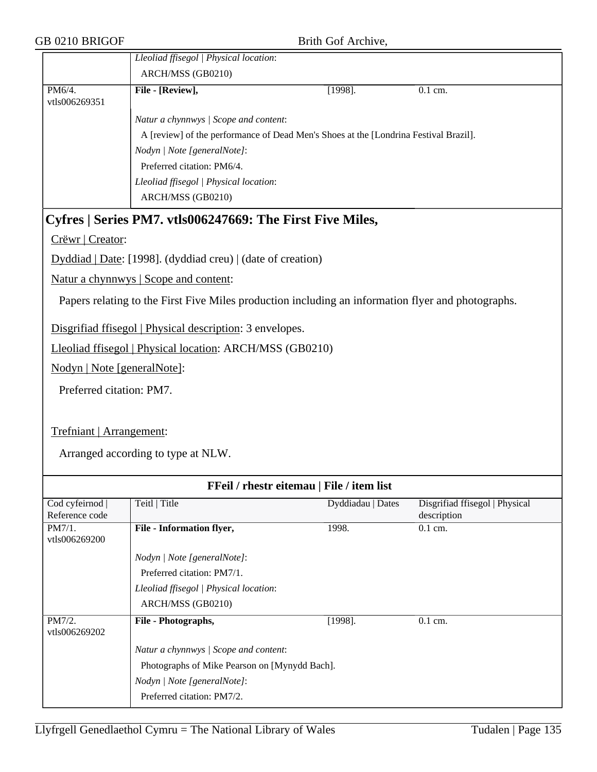|                                                             | Lleoliad ffisegol   Physical location:<br>ARCH/MSS (GB0210)                          |            |           |  |
|-------------------------------------------------------------|--------------------------------------------------------------------------------------|------------|-----------|--|
| PM6/4.<br>vtls006269351                                     | File - [Review],                                                                     | $[1998]$ . | $0.1$ cm. |  |
|                                                             | Natur a chynnwys / Scope and content:                                                |            |           |  |
|                                                             | A [review] of the performance of Dead Men's Shoes at the [Londrina Festival Brazil]. |            |           |  |
|                                                             | Nodyn / Note [generalNote]:                                                          |            |           |  |
|                                                             | Preferred citation: PM6/4.                                                           |            |           |  |
|                                                             | Lleoliad ffisegol   Physical location:                                               |            |           |  |
|                                                             |                                                                                      |            |           |  |
| Cyfres   Series PM7. vtls006247669: The First Five Miles,   |                                                                                      |            |           |  |
| Crëwr   Creator:                                            |                                                                                      |            |           |  |
| Dyddiad   Date: [1998]. (dyddiad creu)   (date of creation) |                                                                                      |            |           |  |

Natur a chynnwys | Scope and content:

Papers relating to the First Five Miles production including an information flyer and photographs.

Disgrifiad ffisegol | Physical description: 3 envelopes.

Lleoliad ffisegol | Physical location: ARCH/MSS (GB0210)

Nodyn | Note [generalNote]:

Preferred citation: PM7.

Trefniant | Arrangement:

| FFeil / rhestr eitemau   File / item list |                                               |                   |                                |  |
|-------------------------------------------|-----------------------------------------------|-------------------|--------------------------------|--|
| Cod cyfeirnod                             | Teitl   Title                                 | Dyddiadau   Dates | Disgrifiad ffisegol   Physical |  |
| Reference code                            |                                               |                   | description                    |  |
| PM7/1.<br>vtls006269200                   | <b>File - Information flyer,</b>              | 1998.             | $0.1 \text{ cm}$ .             |  |
|                                           | Nodyn   Note [generalNote]:                   |                   |                                |  |
|                                           | Preferred citation: PM7/1.                    |                   |                                |  |
|                                           | Lleoliad ffisegol   Physical location:        |                   |                                |  |
|                                           | ARCH/MSS (GB0210)                             |                   |                                |  |
| PM7/2.<br>vtls006269202                   | File - Photographs,                           | $[1998]$ .        | $0.1$ cm.                      |  |
|                                           | Natur a chynnwys / Scope and content:         |                   |                                |  |
|                                           | Photographs of Mike Pearson on [Mynydd Bach]. |                   |                                |  |
|                                           | Nodyn   Note [generalNote]:                   |                   |                                |  |
|                                           | Preferred citation: PM7/2.                    |                   |                                |  |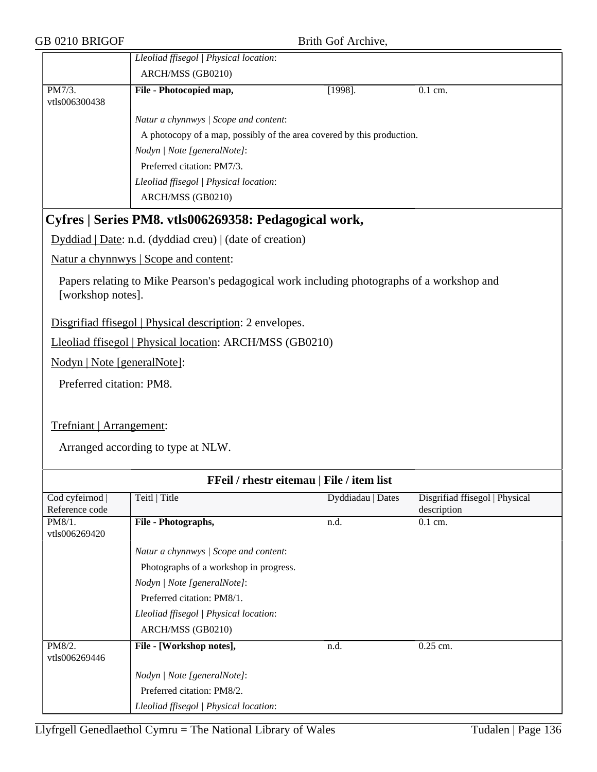|                                   | Lleoliad ffisegol   Physical location:                                                     |                   |                                               |
|-----------------------------------|--------------------------------------------------------------------------------------------|-------------------|-----------------------------------------------|
|                                   | ARCH/MSS (GB0210)                                                                          |                   |                                               |
| PM7/3.<br>vtls006300438           | File - Photocopied map,                                                                    | $[1998]$ .        | 0.1 cm.                                       |
|                                   | Natur a chynnwys / Scope and content:                                                      |                   |                                               |
|                                   | A photocopy of a map, possibly of the area covered by this production.                     |                   |                                               |
|                                   | Nodyn   Note [generalNote]:                                                                |                   |                                               |
|                                   | Preferred citation: PM7/3.                                                                 |                   |                                               |
|                                   | Lleoliad ffisegol   Physical location:                                                     |                   |                                               |
|                                   | ARCH/MSS (GB0210)                                                                          |                   |                                               |
|                                   | Cyfres   Series PM8. vtls006269358: Pedagogical work,                                      |                   |                                               |
|                                   | Dyddiad   Date: n.d. (dyddiad creu)   (date of creation)                                   |                   |                                               |
|                                   | Natur a chynnwys   Scope and content:                                                      |                   |                                               |
| [workshop notes].                 | Papers relating to Mike Pearson's pedagogical work including photographs of a workshop and |                   |                                               |
|                                   | Disgrifiad ffisegol   Physical description: 2 envelopes.                                   |                   |                                               |
|                                   | Lleoliad ffisegol   Physical location: ARCH/MSS (GB0210)                                   |                   |                                               |
| Nodyn   Note [generalNote]:       |                                                                                            |                   |                                               |
| Preferred citation: PM8.          |                                                                                            |                   |                                               |
|                                   |                                                                                            |                   |                                               |
| Trefniant   Arrangement:          |                                                                                            |                   |                                               |
|                                   | Arranged according to type at NLW.                                                         |                   |                                               |
|                                   | FFeil / rhestr eitemau   File / item list                                                  |                   |                                               |
| Cod cyfeirnod  <br>Reference code | Teitl   Title                                                                              | Dyddiadau   Dates | Disgrifiad ffisegol   Physical<br>description |
| PM8/1.<br>vtls006269420           | File - Photographs,                                                                        | n.d.              | 0.1 cm.                                       |
|                                   | Natur a chynnwys / Scope and content:                                                      |                   |                                               |
|                                   | Photographs of a workshop in progress.                                                     |                   |                                               |
|                                   | Nodyn   Note [generalNote]:                                                                |                   |                                               |
|                                   | Preferred citation: PM8/1.                                                                 |                   |                                               |
|                                   | Lleoliad ffisegol   Physical location:                                                     |                   |                                               |
|                                   | ARCH/MSS (GB0210)                                                                          |                   |                                               |
| PM8/2.                            | File - [Workshop notes],                                                                   | n.d.              | 0.25 cm.                                      |
| vtls006269446                     |                                                                                            |                   |                                               |
|                                   | Nodyn   Note [generalNote]:                                                                |                   |                                               |
|                                   | Preferred citation: PM8/2.                                                                 |                   |                                               |
|                                   | Lleoliad ffisegol   Physical location:                                                     |                   |                                               |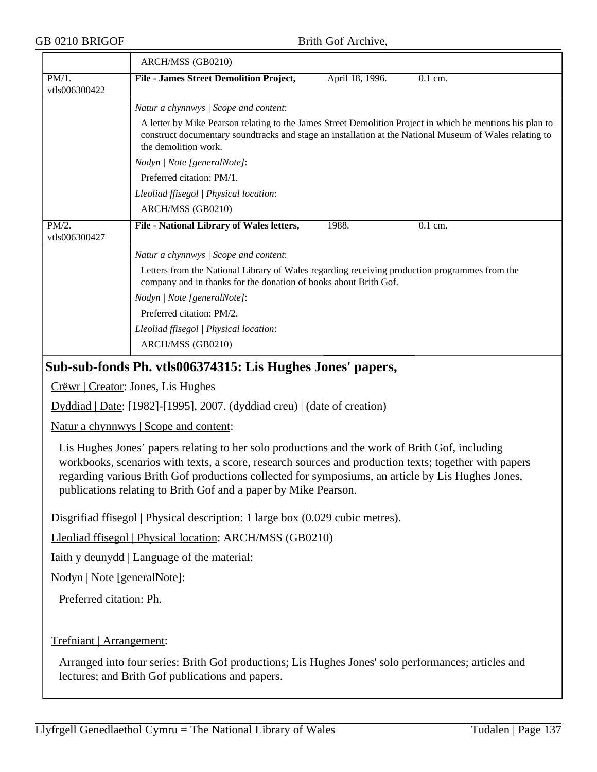|                           | ARCH/MSS (GB0210)                                                                                                                                                                                                                            |
|---------------------------|----------------------------------------------------------------------------------------------------------------------------------------------------------------------------------------------------------------------------------------------|
| $PM/1$ .<br>vtls006300422 | <b>File - James Street Demolition Project,</b><br>0.1 cm.<br>April 18, 1996.                                                                                                                                                                 |
|                           | Natur a chynnwys / Scope and content:                                                                                                                                                                                                        |
|                           | A letter by Mike Pearson relating to the James Street Demolition Project in which he mentions his plan to<br>construct documentary soundtracks and stage an installation at the National Museum of Wales relating to<br>the demolition work. |
|                           | Nodyn   Note [generalNote]:                                                                                                                                                                                                                  |
|                           | Preferred citation: PM/1.                                                                                                                                                                                                                    |
|                           | Lleoliad ffisegol   Physical location:                                                                                                                                                                                                       |
|                           | ARCH/MSS (GB0210)                                                                                                                                                                                                                            |
| PM/2.<br>vtls006300427    | File - National Library of Wales letters,<br>1988.<br>$0.1$ cm.                                                                                                                                                                              |
|                           | Natur a chynnwys / Scope and content:                                                                                                                                                                                                        |
|                           | Letters from the National Library of Wales regarding receiving production programmes from the<br>company and in thanks for the donation of books about Brith Gof.                                                                            |
|                           | Nodyn   Note [generalNote]:                                                                                                                                                                                                                  |
|                           | Preferred citation: PM/2.                                                                                                                                                                                                                    |
|                           | Lleoliad ffisegol   Physical location:                                                                                                                                                                                                       |
|                           | ARCH/MSS (GB0210)                                                                                                                                                                                                                            |
|                           | Sub-sub-fonds Ph. vtls006374315: Lis Hughes Jones' papers,                                                                                                                                                                                   |
|                           | Crëwr   Creator: Jones, Lis Hughes                                                                                                                                                                                                           |
|                           | Dyddiad   Date: [1982]-[1995], 2007. (dyddiad creu)   (date of creation)                                                                                                                                                                     |
|                           | Natur a chynnwys   Scope and content:                                                                                                                                                                                                        |

Lis Hughes Jones' papers relating to her solo productions and the work of Brith Gof, including workbooks, scenarios with texts, a score, research sources and production texts; together with papers regarding various Brith Gof productions collected for symposiums, an article by Lis Hughes Jones, publications relating to Brith Gof and a paper by Mike Pearson.

Disgrifiad ffisegol | Physical description: 1 large box (0.029 cubic metres).

Lleoliad ffisegol | Physical location: ARCH/MSS (GB0210)

Iaith y deunydd | Language of the material:

Nodyn | Note [generalNote]:

Preferred citation: Ph.

Trefniant | Arrangement:

Arranged into four series: Brith Gof productions; Lis Hughes Jones' solo performances; articles and lectures; and Brith Gof publications and papers.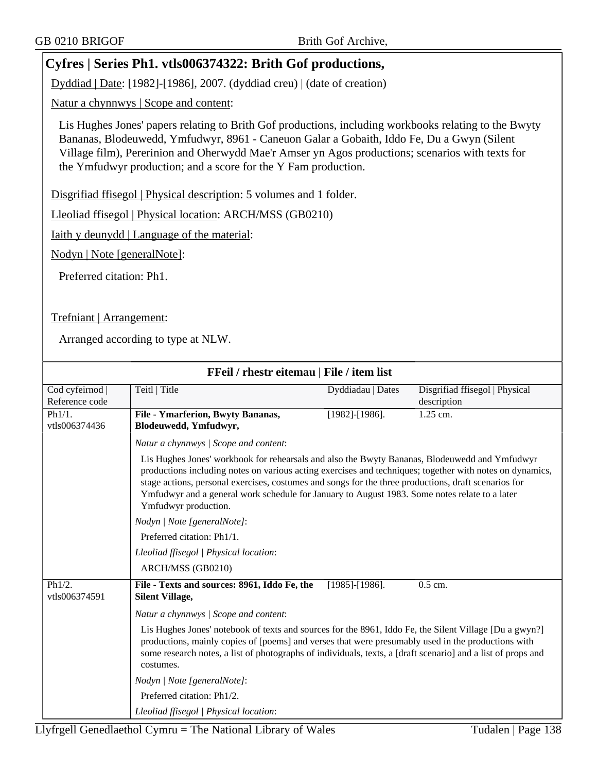# **Cyfres | Series Ph1. vtls006374322: Brith Gof productions,**

Dyddiad | Date: [1982]-[1986], 2007. (dyddiad creu) | (date of creation)

Natur a chynnwys | Scope and content:

Lis Hughes Jones' papers relating to Brith Gof productions, including workbooks relating to the Bwyty Bananas, Blodeuwedd, Ymfudwyr, 8961 - Caneuon Galar a Gobaith, Iddo Fe, Du a Gwyn (Silent Village film), Pererinion and Oherwydd Mae'r Amser yn Agos productions; scenarios with texts for the Ymfudwyr production; and a score for the Y Fam production.

Disgrifiad ffisegol | Physical description: 5 volumes and 1 folder.

Lleoliad ffisegol | Physical location: ARCH/MSS (GB0210)

Iaith y deunydd | Language of the material:

Nodyn | Note [generalNote]:

Preferred citation: Ph1.

Trefniant | Arrangement:

| FFeil / rhestr eitemau   File / item list |                                                                                                                                                                                                                                                                                                                                                                                                                                            |                       |                                               |  |
|-------------------------------------------|--------------------------------------------------------------------------------------------------------------------------------------------------------------------------------------------------------------------------------------------------------------------------------------------------------------------------------------------------------------------------------------------------------------------------------------------|-----------------------|-----------------------------------------------|--|
| Cod cyfeirnod<br>Reference code           | Teitl   Title                                                                                                                                                                                                                                                                                                                                                                                                                              | Dyddiadau   Dates     | Disgrifiad ffisegol   Physical<br>description |  |
| Ph1/1.<br>vtls006374436                   | File - Ymarferion, Bwyty Bananas,<br>Blodeuwedd, Ymfudwyr,                                                                                                                                                                                                                                                                                                                                                                                 | $[1982]$ - $[1986]$ . | $1.25$ cm.                                    |  |
|                                           | Natur a chynnwys / Scope and content:                                                                                                                                                                                                                                                                                                                                                                                                      |                       |                                               |  |
|                                           | Lis Hughes Jones' workbook for rehearsals and also the Bwyty Bananas, Blodeuwedd and Ymfudwyr<br>productions including notes on various acting exercises and techniques; together with notes on dynamics,<br>stage actions, personal exercises, costumes and songs for the three productions, draft scenarios for<br>Ymfudwyr and a general work schedule for January to August 1983. Some notes relate to a later<br>Ymfudwyr production. |                       |                                               |  |
|                                           | Nodyn   Note [generalNote]:                                                                                                                                                                                                                                                                                                                                                                                                                |                       |                                               |  |
|                                           | Preferred citation: Ph1/1.                                                                                                                                                                                                                                                                                                                                                                                                                 |                       |                                               |  |
|                                           | Lleoliad ffisegol   Physical location:                                                                                                                                                                                                                                                                                                                                                                                                     |                       |                                               |  |
|                                           | ARCH/MSS (GB0210)                                                                                                                                                                                                                                                                                                                                                                                                                          |                       |                                               |  |
| Ph1/2.<br>vtls006374591                   | File - Texts and sources: 8961, Iddo Fe, the<br><b>Silent Village,</b>                                                                                                                                                                                                                                                                                                                                                                     | $[1985]$ - $[1986]$ . | 0.5 cm.                                       |  |
|                                           | Natur a chynnwys / Scope and content:                                                                                                                                                                                                                                                                                                                                                                                                      |                       |                                               |  |
|                                           | Lis Hughes Jones' notebook of texts and sources for the 8961, Iddo Fe, the Silent Village [Du a gwyn?]<br>productions, mainly copies of [poems] and verses that were presumably used in the productions with<br>some research notes, a list of photographs of individuals, texts, a [draft scenario] and a list of props and<br>costumes.                                                                                                  |                       |                                               |  |
|                                           | Nodyn   Note [generalNote]:                                                                                                                                                                                                                                                                                                                                                                                                                |                       |                                               |  |
|                                           | Preferred citation: Ph1/2.                                                                                                                                                                                                                                                                                                                                                                                                                 |                       |                                               |  |
|                                           | Lleoliad ffisegol   Physical location:                                                                                                                                                                                                                                                                                                                                                                                                     |                       |                                               |  |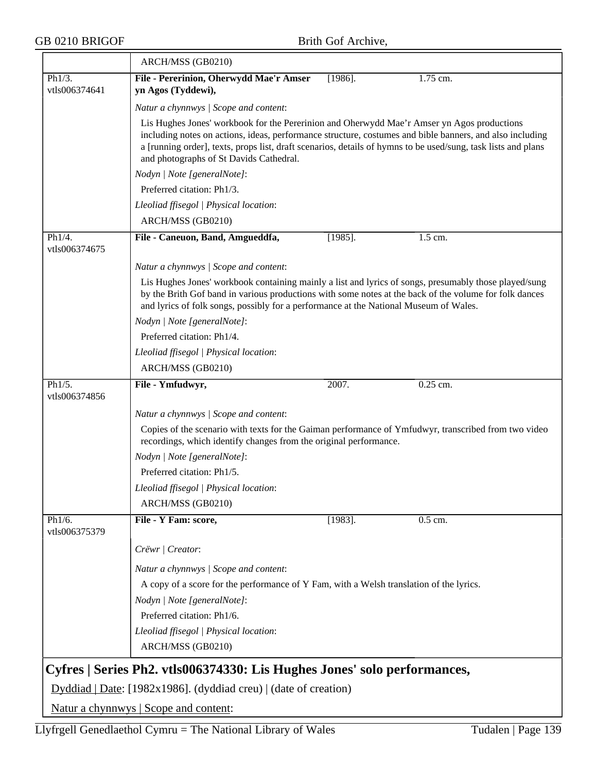$\overline{\phantom{0}}$ 

|                         | ARCH/MSS (GB0210)                                                                                                                                                                                                                                                                                                                                                  |            |            |
|-------------------------|--------------------------------------------------------------------------------------------------------------------------------------------------------------------------------------------------------------------------------------------------------------------------------------------------------------------------------------------------------------------|------------|------------|
| Ph1/3.<br>vtls006374641 | File - Pererinion, Oherwydd Mae'r Amser<br>yn Agos (Tyddewi),                                                                                                                                                                                                                                                                                                      | $[1986]$ . | 1.75 cm.   |
|                         | Natur a chynnwys / Scope and content:                                                                                                                                                                                                                                                                                                                              |            |            |
|                         | Lis Hughes Jones' workbook for the Pererinion and Oherwydd Mae'r Amser yn Agos productions<br>including notes on actions, ideas, performance structure, costumes and bible banners, and also including<br>a [running order], texts, props list, draft scenarios, details of hymns to be used/sung, task lists and plans<br>and photographs of St Davids Cathedral. |            |            |
|                         | Nodyn   Note [generalNote]:                                                                                                                                                                                                                                                                                                                                        |            |            |
|                         | Preferred citation: Ph1/3.                                                                                                                                                                                                                                                                                                                                         |            |            |
|                         | Lleoliad ffisegol   Physical location:                                                                                                                                                                                                                                                                                                                             |            |            |
|                         | ARCH/MSS (GB0210)                                                                                                                                                                                                                                                                                                                                                  |            |            |
| Ph1/4.<br>vtls006374675 | File - Caneuon, Band, Amgueddfa,                                                                                                                                                                                                                                                                                                                                   | $[1985]$ . | 1.5 cm.    |
|                         | Natur a chynnwys / Scope and content:                                                                                                                                                                                                                                                                                                                              |            |            |
|                         | Lis Hughes Jones' workbook containing mainly a list and lyrics of songs, presumably those played/sung<br>by the Brith Gof band in various productions with some notes at the back of the volume for folk dances<br>and lyrics of folk songs, possibly for a performance at the National Museum of Wales.                                                           |            |            |
|                         | Nodyn   Note [generalNote]:                                                                                                                                                                                                                                                                                                                                        |            |            |
|                         | Preferred citation: Ph1/4.                                                                                                                                                                                                                                                                                                                                         |            |            |
|                         | Lleoliad ffisegol   Physical location:                                                                                                                                                                                                                                                                                                                             |            |            |
|                         | ARCH/MSS (GB0210)                                                                                                                                                                                                                                                                                                                                                  |            |            |
| Ph1/5.<br>vtls006374856 | File - Ymfudwyr,                                                                                                                                                                                                                                                                                                                                                   | 2007.      | $0.25$ cm. |
|                         | Natur a chynnwys / Scope and content:                                                                                                                                                                                                                                                                                                                              |            |            |
|                         | Copies of the scenario with texts for the Gaiman performance of Ymfudwyr, transcribed from two video<br>recordings, which identify changes from the original performance.                                                                                                                                                                                          |            |            |
|                         | Nodyn   Note [generalNote]:                                                                                                                                                                                                                                                                                                                                        |            |            |
|                         | Preferred citation: Ph1/5.                                                                                                                                                                                                                                                                                                                                         |            |            |
|                         | Lleoliad ffisegol   Physical location:                                                                                                                                                                                                                                                                                                                             |            |            |
|                         | ARCH/MSS (GB0210)                                                                                                                                                                                                                                                                                                                                                  |            |            |
| Ph1/6.<br>vtls006375379 | File - Y Fam: score,                                                                                                                                                                                                                                                                                                                                               | $[1983]$ . | 0.5 cm.    |
|                         | Crëwr   Creator:                                                                                                                                                                                                                                                                                                                                                   |            |            |
|                         | Natur a chynnwys / Scope and content:                                                                                                                                                                                                                                                                                                                              |            |            |
|                         | A copy of a score for the performance of Y Fam, with a Welsh translation of the lyrics.                                                                                                                                                                                                                                                                            |            |            |
|                         | Nodyn   Note [generalNote]:                                                                                                                                                                                                                                                                                                                                        |            |            |
|                         | Preferred citation: Ph1/6.                                                                                                                                                                                                                                                                                                                                         |            |            |
|                         | Lleoliad ffisegol   Physical location:                                                                                                                                                                                                                                                                                                                             |            |            |
|                         | ARCH/MSS (GB0210)                                                                                                                                                                                                                                                                                                                                                  |            |            |
|                         | Cyfres   Series Ph2. vtls006374330: Lis Hughes Jones' solo performances,                                                                                                                                                                                                                                                                                           |            |            |
|                         | Dyddiad   Date: [1982x1986]. (dyddiad creu)   (date of creation)                                                                                                                                                                                                                                                                                                   |            |            |
|                         | Natur a chynnwys   Scope and content:                                                                                                                                                                                                                                                                                                                              |            |            |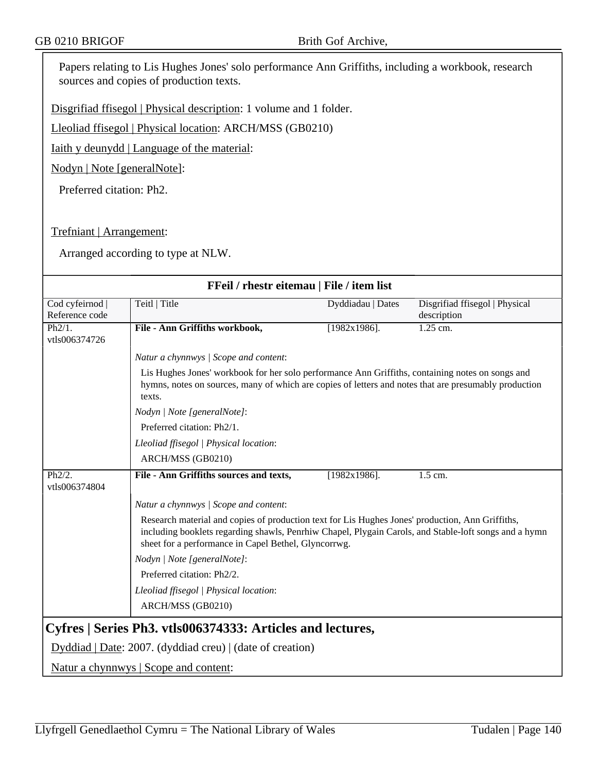Papers relating to Lis Hughes Jones' solo performance Ann Griffiths, including a workbook, research sources and copies of production texts.

Disgrifiad ffisegol | Physical description: 1 volume and 1 folder.

Lleoliad ffisegol | Physical location: ARCH/MSS (GB0210)

Iaith y deunydd | Language of the material:

Nodyn | Note [generalNote]:

Preferred citation: Ph2.

Trefniant | Arrangement:

| FFeil / rhestr eitemau   File / item list                  |                                                                                                                                                                                                           |                   |                                |  |
|------------------------------------------------------------|-----------------------------------------------------------------------------------------------------------------------------------------------------------------------------------------------------------|-------------------|--------------------------------|--|
| Cod cyfeirnod                                              | Teitl   Title                                                                                                                                                                                             | Dyddiadau   Dates | Disgrifiad ffisegol   Physical |  |
| Reference code                                             |                                                                                                                                                                                                           |                   | description                    |  |
| Ph2/1.                                                     | File - Ann Griffiths workbook,                                                                                                                                                                            | $[1982x1986]$ .   | $1.25$ cm.                     |  |
| vtls006374726                                              |                                                                                                                                                                                                           |                   |                                |  |
|                                                            | Natur a chynnwys / Scope and content:                                                                                                                                                                     |                   |                                |  |
|                                                            | Lis Hughes Jones' workbook for her solo performance Ann Griffiths, containing notes on songs and                                                                                                          |                   |                                |  |
|                                                            | hymns, notes on sources, many of which are copies of letters and notes that are presumably production<br>texts.                                                                                           |                   |                                |  |
|                                                            | Nodyn   Note [generalNote]:                                                                                                                                                                               |                   |                                |  |
|                                                            | Preferred citation: Ph2/1.                                                                                                                                                                                |                   |                                |  |
|                                                            | Lleoliad ffisegol   Physical location:                                                                                                                                                                    |                   |                                |  |
|                                                            | ARCH/MSS (GB0210)                                                                                                                                                                                         |                   |                                |  |
| Ph2/2.                                                     | File - Ann Griffiths sources and texts,                                                                                                                                                                   | $[1982x1986]$ .   | 1.5 cm.                        |  |
| vtls006374804                                              |                                                                                                                                                                                                           |                   |                                |  |
|                                                            | Natur a chynnwys / Scope and content:                                                                                                                                                                     |                   |                                |  |
|                                                            | Research material and copies of production text for Lis Hughes Jones' production, Ann Griffiths,<br>including booklets regarding shawls, Penrhiw Chapel, Plygain Carols, and Stable-loft songs and a hymn |                   |                                |  |
|                                                            | sheet for a performance in Capel Bethel, Glyncorrwg.                                                                                                                                                      |                   |                                |  |
|                                                            | Nodyn   Note [generalNote]:                                                                                                                                                                               |                   |                                |  |
|                                                            | Preferred citation: Ph2/2.                                                                                                                                                                                |                   |                                |  |
|                                                            | Lleoliad ffisegol   Physical location:                                                                                                                                                                    |                   |                                |  |
|                                                            | ARCH/MSS (GB0210)                                                                                                                                                                                         |                   |                                |  |
| Cyfres   Series Ph3. vtls006374333: Articles and lectures, |                                                                                                                                                                                                           |                   |                                |  |
|                                                            | $Dyddiad   Date: 2007. (dyddiad creu)   (date of creation)$                                                                                                                                               |                   |                                |  |
|                                                            | Natur a chynnwys   Scope and content:                                                                                                                                                                     |                   |                                |  |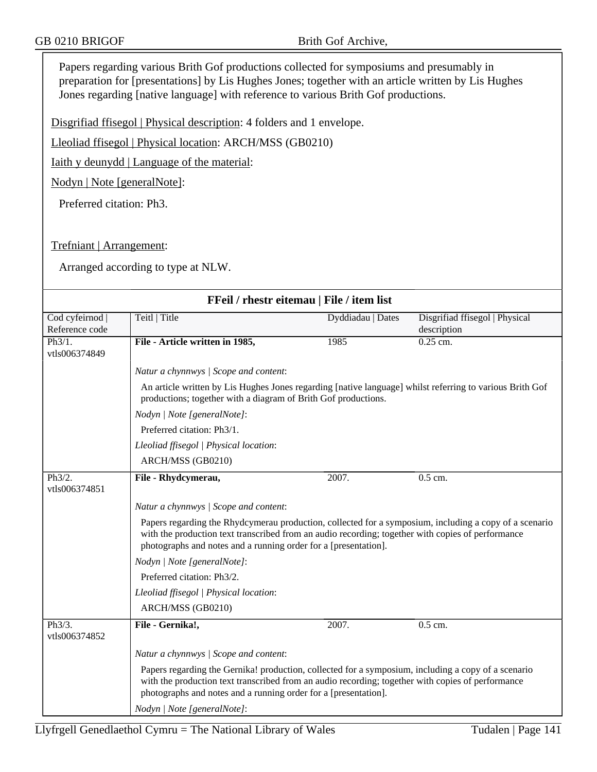Papers regarding various Brith Gof productions collected for symposiums and presumably in preparation for [presentations] by Lis Hughes Jones; together with an article written by Lis Hughes Jones regarding [native language] with reference to various Brith Gof productions.

Disgrifiad ffisegol | Physical description: 4 folders and 1 envelope.

Lleoliad ffisegol | Physical location: ARCH/MSS (GB0210)

Iaith y deunydd | Language of the material:

Nodyn | Note [generalNote]:

Preferred citation: Ph3.

Trefniant | Arrangement:

| FFeil / rhestr eitemau   File / item list |                                                                                                                                                                                                                                                                                |                     |                                               |  |  |
|-------------------------------------------|--------------------------------------------------------------------------------------------------------------------------------------------------------------------------------------------------------------------------------------------------------------------------------|---------------------|-----------------------------------------------|--|--|
| Cod cyfeirnod  <br>Reference code         | Teitl   Title                                                                                                                                                                                                                                                                  | Dyddiadau   Dates   | Disgrifiad ffisegol   Physical<br>description |  |  |
| Ph3/1.<br>vtls006374849                   | File - Article written in 1985,                                                                                                                                                                                                                                                | 1985                | 0.25 cm.                                      |  |  |
|                                           | Natur a chynnwys / Scope and content:                                                                                                                                                                                                                                          |                     |                                               |  |  |
|                                           | An article written by Lis Hughes Jones regarding [native language] whilst referring to various Brith Gof<br>productions; together with a diagram of Brith Gof productions.                                                                                                     |                     |                                               |  |  |
|                                           | Nodyn   Note [generalNote]:                                                                                                                                                                                                                                                    |                     |                                               |  |  |
|                                           | Preferred citation: Ph3/1.                                                                                                                                                                                                                                                     |                     |                                               |  |  |
|                                           | Lleoliad ffisegol   Physical location:                                                                                                                                                                                                                                         |                     |                                               |  |  |
|                                           | ARCH/MSS (GB0210)                                                                                                                                                                                                                                                              |                     |                                               |  |  |
| Ph3/2.<br>vtls006374851                   | File - Rhydcymerau,                                                                                                                                                                                                                                                            | 2007.               | $0.5$ cm.                                     |  |  |
|                                           | Natur a chynnwys / Scope and content:                                                                                                                                                                                                                                          |                     |                                               |  |  |
|                                           | Papers regarding the Rhydcymerau production, collected for a symposium, including a copy of a scenario<br>with the production text transcribed from an audio recording; together with copies of performance<br>photographs and notes and a running order for a [presentation]. |                     |                                               |  |  |
|                                           | Nodyn   Note [generalNote]:                                                                                                                                                                                                                                                    |                     |                                               |  |  |
|                                           | Preferred citation: Ph3/2.                                                                                                                                                                                                                                                     |                     |                                               |  |  |
|                                           | Lleoliad ffisegol   Physical location:                                                                                                                                                                                                                                         |                     |                                               |  |  |
|                                           | ARCH/MSS (GB0210)                                                                                                                                                                                                                                                              |                     |                                               |  |  |
| Ph3/3.<br>vtls006374852                   | File - Gernika!,                                                                                                                                                                                                                                                               | $\overline{2007}$ . | $0.5$ cm.                                     |  |  |
|                                           | Natur a chynnwys / Scope and content:                                                                                                                                                                                                                                          |                     |                                               |  |  |
|                                           | Papers regarding the Gernika! production, collected for a symposium, including a copy of a scenario<br>with the production text transcribed from an audio recording; together with copies of performance<br>photographs and notes and a running order for a [presentation].    |                     |                                               |  |  |
|                                           | Nodyn   Note [generalNote]:                                                                                                                                                                                                                                                    |                     |                                               |  |  |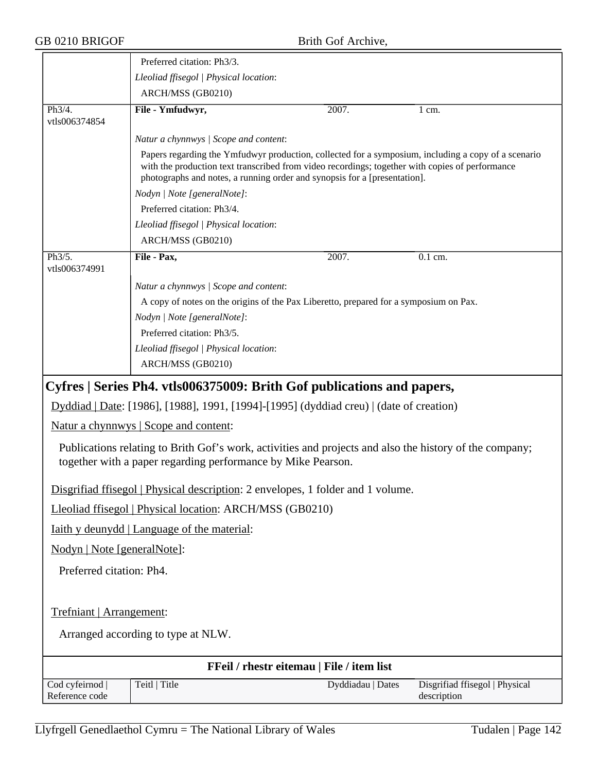|                                                                                 | Preferred citation: Ph3/3.                                                                                                                                                                                                                                                          |                   |                                               |  |  |
|---------------------------------------------------------------------------------|-------------------------------------------------------------------------------------------------------------------------------------------------------------------------------------------------------------------------------------------------------------------------------------|-------------------|-----------------------------------------------|--|--|
|                                                                                 | Lleoliad ffisegol   Physical location:                                                                                                                                                                                                                                              |                   |                                               |  |  |
|                                                                                 | ARCH/MSS (GB0210)                                                                                                                                                                                                                                                                   |                   |                                               |  |  |
| Ph3/4.<br>vtls006374854                                                         | File - Ymfudwyr,                                                                                                                                                                                                                                                                    | 2007.             | $1 \text{ cm}$ .                              |  |  |
|                                                                                 | Natur a chynnwys / Scope and content:                                                                                                                                                                                                                                               |                   |                                               |  |  |
|                                                                                 | Papers regarding the Ymfudwyr production, collected for a symposium, including a copy of a scenario<br>with the production text transcribed from video recordings; together with copies of performance<br>photographs and notes, a running order and synopsis for a [presentation]. |                   |                                               |  |  |
|                                                                                 | Nodyn   Note [generalNote]:                                                                                                                                                                                                                                                         |                   |                                               |  |  |
|                                                                                 | Preferred citation: Ph3/4.                                                                                                                                                                                                                                                          |                   |                                               |  |  |
|                                                                                 | Lleoliad ffisegol   Physical location:                                                                                                                                                                                                                                              |                   |                                               |  |  |
|                                                                                 | ARCH/MSS (GB0210)                                                                                                                                                                                                                                                                   |                   |                                               |  |  |
| Ph3/5.<br>vtls006374991                                                         | File - Pax,                                                                                                                                                                                                                                                                         | 2007.             | 0.1 cm.                                       |  |  |
|                                                                                 | Natur a chynnwys / Scope and content:                                                                                                                                                                                                                                               |                   |                                               |  |  |
|                                                                                 | A copy of notes on the origins of the Pax Liberetto, prepared for a symposium on Pax.                                                                                                                                                                                               |                   |                                               |  |  |
|                                                                                 | Nodyn   Note [generalNote]:                                                                                                                                                                                                                                                         |                   |                                               |  |  |
|                                                                                 | Preferred citation: Ph3/5.                                                                                                                                                                                                                                                          |                   |                                               |  |  |
|                                                                                 | Lleoliad ffisegol   Physical location:                                                                                                                                                                                                                                              |                   |                                               |  |  |
|                                                                                 | ARCH/MSS (GB0210)                                                                                                                                                                                                                                                                   |                   |                                               |  |  |
|                                                                                 | Cyfres   Series Ph4. vtls006375009: Brith Gof publications and papers,                                                                                                                                                                                                              |                   |                                               |  |  |
|                                                                                 | Dyddiad   Date: [1986], [1988], 1991, [1994]-[1995] (dyddiad creu)   (date of creation)                                                                                                                                                                                             |                   |                                               |  |  |
|                                                                                 | <u>Natur a chynnwys</u>   Scope and content:                                                                                                                                                                                                                                        |                   |                                               |  |  |
|                                                                                 | Publications relating to Brith Gof's work, activities and projects and also the history of the company;<br>together with a paper regarding performance by Mike Pearson.                                                                                                             |                   |                                               |  |  |
| Disgrifiad ffisegol   Physical description: 2 envelopes, 1 folder and 1 volume. |                                                                                                                                                                                                                                                                                     |                   |                                               |  |  |
| Lleoliad ffisegol   Physical location: ARCH/MSS (GB0210)                        |                                                                                                                                                                                                                                                                                     |                   |                                               |  |  |
| <u>Iaith y deunydd   Language of the material:</u>                              |                                                                                                                                                                                                                                                                                     |                   |                                               |  |  |
| Nodyn   Note [generalNote]:                                                     |                                                                                                                                                                                                                                                                                     |                   |                                               |  |  |
| Preferred citation: Ph4.                                                        |                                                                                                                                                                                                                                                                                     |                   |                                               |  |  |
|                                                                                 |                                                                                                                                                                                                                                                                                     |                   |                                               |  |  |
| Trefniant   Arrangement:                                                        |                                                                                                                                                                                                                                                                                     |                   |                                               |  |  |
| Arranged according to type at NLW.                                              |                                                                                                                                                                                                                                                                                     |                   |                                               |  |  |
|                                                                                 | FFeil / rhestr eitemau   File / item list                                                                                                                                                                                                                                           |                   |                                               |  |  |
| Cod cyfeirnod<br>Reference code                                                 | Teitl   Title                                                                                                                                                                                                                                                                       | Dyddiadau   Dates | Disgrifiad ffisegol   Physical<br>description |  |  |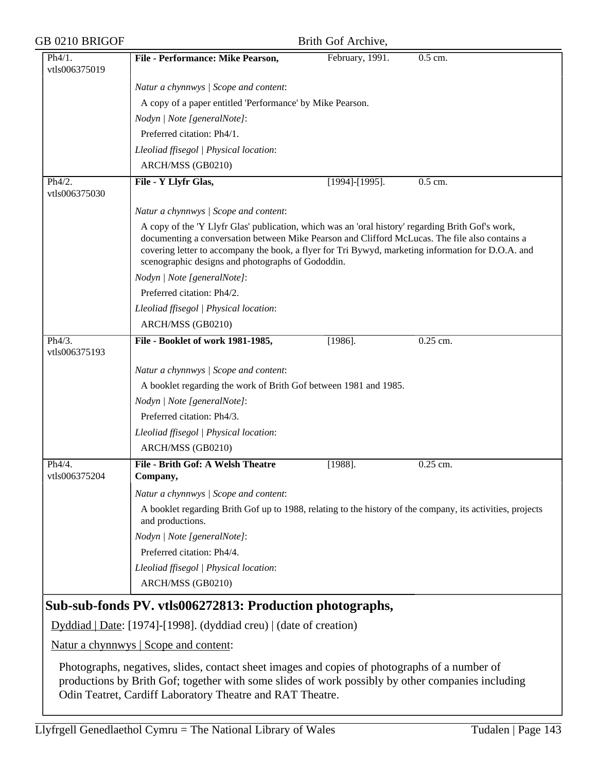| GB 0210 BRIGOF          | Brith Gof Archive,                                                                                                                                                                                                                                                                                                                                             |                       |          |  |  |
|-------------------------|----------------------------------------------------------------------------------------------------------------------------------------------------------------------------------------------------------------------------------------------------------------------------------------------------------------------------------------------------------------|-----------------------|----------|--|--|
| Ph4/1.<br>vtls006375019 | File - Performance: Mike Pearson,                                                                                                                                                                                                                                                                                                                              | February, 1991.       | 0.5 cm.  |  |  |
|                         | Natur a chynnwys / Scope and content:                                                                                                                                                                                                                                                                                                                          |                       |          |  |  |
|                         | A copy of a paper entitled 'Performance' by Mike Pearson.                                                                                                                                                                                                                                                                                                      |                       |          |  |  |
|                         | Nodyn   Note [generalNote]:                                                                                                                                                                                                                                                                                                                                    |                       |          |  |  |
|                         | Preferred citation: Ph4/1.                                                                                                                                                                                                                                                                                                                                     |                       |          |  |  |
|                         | Lleoliad ffisegol   Physical location:                                                                                                                                                                                                                                                                                                                         |                       |          |  |  |
|                         | ARCH/MSS (GB0210)                                                                                                                                                                                                                                                                                                                                              |                       |          |  |  |
| Ph4/2.<br>vtls006375030 | File - Y Llyfr Glas,                                                                                                                                                                                                                                                                                                                                           | $[1994]$ - $[1995]$ . | 0.5 cm.  |  |  |
|                         | Natur a chynnwys / Scope and content:                                                                                                                                                                                                                                                                                                                          |                       |          |  |  |
|                         | A copy of the 'Y Llyfr Glas' publication, which was an 'oral history' regarding Brith Gof's work,<br>documenting a conversation between Mike Pearson and Clifford McLucas. The file also contains a<br>covering letter to accompany the book, a flyer for Tri Bywyd, marketing information for D.O.A. and<br>scenographic designs and photographs of Gododdin. |                       |          |  |  |
|                         | Nodyn   Note [generalNote]:                                                                                                                                                                                                                                                                                                                                    |                       |          |  |  |
|                         | Preferred citation: Ph4/2.                                                                                                                                                                                                                                                                                                                                     |                       |          |  |  |
|                         | Lleoliad ffisegol   Physical location:                                                                                                                                                                                                                                                                                                                         |                       |          |  |  |
|                         | ARCH/MSS (GB0210)                                                                                                                                                                                                                                                                                                                                              |                       |          |  |  |
| Ph4/3.<br>vtls006375193 | File - Booklet of work 1981-1985,                                                                                                                                                                                                                                                                                                                              | $[1986]$ .            | 0.25 cm. |  |  |
|                         | Natur a chynnwys / Scope and content:                                                                                                                                                                                                                                                                                                                          |                       |          |  |  |
|                         | A booklet regarding the work of Brith Gof between 1981 and 1985.                                                                                                                                                                                                                                                                                               |                       |          |  |  |
|                         | Nodyn   Note [generalNote]:                                                                                                                                                                                                                                                                                                                                    |                       |          |  |  |
|                         | Preferred citation: Ph4/3.                                                                                                                                                                                                                                                                                                                                     |                       |          |  |  |
|                         | Lleoliad ffisegol   Physical location:                                                                                                                                                                                                                                                                                                                         |                       |          |  |  |
|                         | ARCH/MSS (GB0210)                                                                                                                                                                                                                                                                                                                                              |                       |          |  |  |
| Ph4/4.<br>vtls006375204 | File - Brith Gof: A Welsh Theatre<br>Company,                                                                                                                                                                                                                                                                                                                  | $[1988]$ .            | 0.25 cm. |  |  |
|                         | Natur a chynnwys / Scope and content:                                                                                                                                                                                                                                                                                                                          |                       |          |  |  |
|                         | A booklet regarding Brith Gof up to 1988, relating to the history of the company, its activities, projects<br>and productions.                                                                                                                                                                                                                                 |                       |          |  |  |
|                         | Nodyn   Note [generalNote]:                                                                                                                                                                                                                                                                                                                                    |                       |          |  |  |
|                         | Preferred citation: Ph4/4.                                                                                                                                                                                                                                                                                                                                     |                       |          |  |  |
|                         | Lleoliad ffisegol   Physical location:                                                                                                                                                                                                                                                                                                                         |                       |          |  |  |
|                         | ARCH/MSS (GB0210)                                                                                                                                                                                                                                                                                                                                              |                       |          |  |  |
|                         | Sub-sub-fonds PV. vtls006272813: Production photographs,                                                                                                                                                                                                                                                                                                       |                       |          |  |  |
|                         | Dyddiad   Date: [1974]-[1998]. (dyddiad creu)   (date of creation)                                                                                                                                                                                                                                                                                             |                       |          |  |  |
|                         | Natur a chynnwys   Scope and content:                                                                                                                                                                                                                                                                                                                          |                       |          |  |  |
|                         | Photographs, negatives, slides, contact sheet images and copies of photographs of a number of<br>productions by Brith Gof; together with some slides of work possibly by other companies including                                                                                                                                                             |                       |          |  |  |

Odin Teatret, Cardiff Laboratory Theatre and RAT Theatre.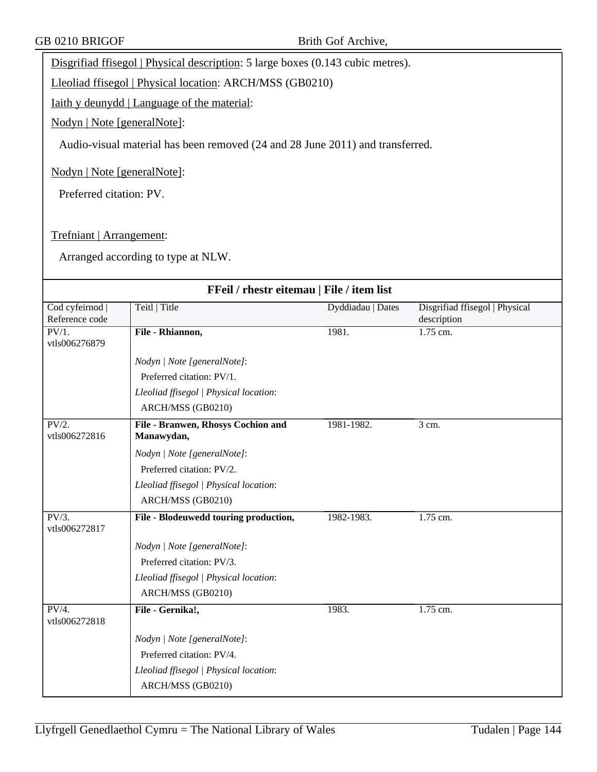Disgrifiad ffisegol | Physical description: 5 large boxes (0.143 cubic metres).

Lleoliad ffisegol | Physical location: ARCH/MSS (GB0210)

Iaith y deunydd | Language of the material:

Nodyn | Note [generalNote]:

Audio-visual material has been removed (24 and 28 June 2011) and transferred.

Nodyn | Note [generalNote]:

Preferred citation: PV.

Trefniant | Arrangement:

| FFeil / rhestr eitemau   File / item list  |                                                  |                   |                                               |  |
|--------------------------------------------|--------------------------------------------------|-------------------|-----------------------------------------------|--|
| Cod cyfeirnod  <br>Reference code          | Teitl   Title                                    | Dyddiadau   Dates | Disgrifiad ffisegol   Physical<br>description |  |
| PV/1.<br>vtls006276879                     | File - Rhiannon,                                 | 1981.             | $1.75$ cm.                                    |  |
|                                            | Nodyn   Note [generalNote]:                      |                   |                                               |  |
|                                            | Preferred citation: PV/1.                        |                   |                                               |  |
|                                            | Lleoliad ffisegol   Physical location:           |                   |                                               |  |
|                                            | ARCH/MSS (GB0210)                                |                   |                                               |  |
| PV/2.<br>vtls006272816                     | File - Branwen, Rhosys Cochion and<br>Manawydan, | 1981-1982.        | 3 cm.                                         |  |
|                                            | Nodyn   Note [generalNote]:                      |                   |                                               |  |
|                                            | Preferred citation: PV/2.                        |                   |                                               |  |
|                                            | Lleoliad ffisegol   Physical location:           |                   |                                               |  |
|                                            | ARCH/MSS (GB0210)                                |                   |                                               |  |
| PV/3.<br>vtls006272817                     | File - Blodeuwedd touring production,            | 1982-1983.        | 1.75 cm.                                      |  |
|                                            | Nodyn   Note [generalNote]:                      |                   |                                               |  |
|                                            | Preferred citation: PV/3.                        |                   |                                               |  |
|                                            | Lleoliad ffisegol   Physical location:           |                   |                                               |  |
|                                            | ARCH/MSS (GB0210)                                |                   |                                               |  |
| $\overline{\text{PV}/4.}$<br>vtls006272818 | File - Gernika!,                                 | 1983.             | 1.75 cm.                                      |  |
|                                            | Nodyn   Note [generalNote]:                      |                   |                                               |  |
|                                            | Preferred citation: PV/4.                        |                   |                                               |  |
|                                            | Lleoliad ffisegol   Physical location:           |                   |                                               |  |
|                                            | ARCH/MSS (GB0210)                                |                   |                                               |  |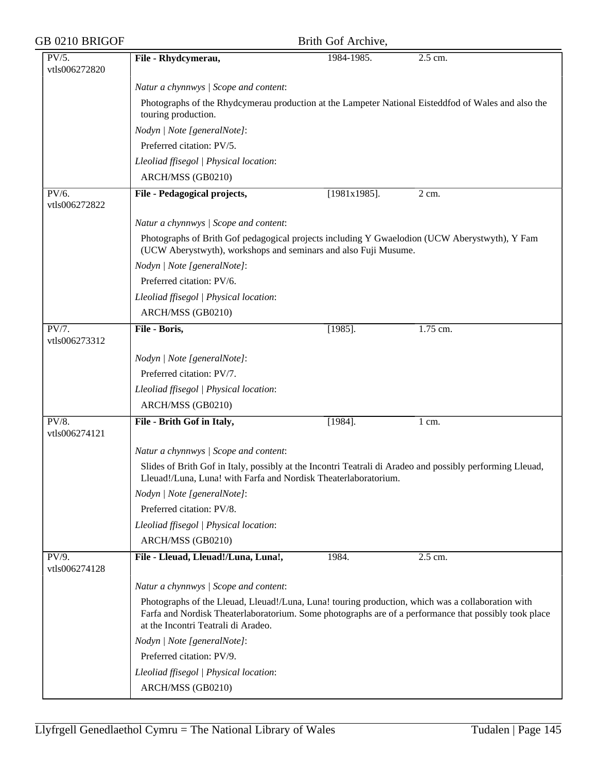| GB 0210 BRIGOF         |                                                                                                                                                                                                                                                   | Brith Gof Archive, |          |
|------------------------|---------------------------------------------------------------------------------------------------------------------------------------------------------------------------------------------------------------------------------------------------|--------------------|----------|
| PV/5.                  | File - Rhydcymerau,                                                                                                                                                                                                                               | 1984-1985.         | 2.5 cm.  |
| vtls006272820          |                                                                                                                                                                                                                                                   |                    |          |
|                        | Natur a chynnwys / Scope and content:                                                                                                                                                                                                             |                    |          |
|                        | Photographs of the Rhydcymerau production at the Lampeter National Eisteddfod of Wales and also the<br>touring production.                                                                                                                        |                    |          |
|                        | Nodyn   Note [generalNote]:                                                                                                                                                                                                                       |                    |          |
|                        | Preferred citation: PV/5.                                                                                                                                                                                                                         |                    |          |
|                        | Lleoliad ffisegol   Physical location:                                                                                                                                                                                                            |                    |          |
|                        | ARCH/MSS (GB0210)                                                                                                                                                                                                                                 |                    |          |
|                        |                                                                                                                                                                                                                                                   |                    |          |
| PV/6.<br>vtls006272822 | File - Pedagogical projects,                                                                                                                                                                                                                      | $[1981x1985]$ .    | 2 cm.    |
|                        | Natur a chynnwys / Scope and content:                                                                                                                                                                                                             |                    |          |
|                        | Photographs of Brith Gof pedagogical projects including Y Gwaelodion (UCW Aberystwyth), Y Fam<br>(UCW Aberystwyth), workshops and seminars and also Fuji Musume.                                                                                  |                    |          |
|                        | Nodyn   Note [generalNote]:                                                                                                                                                                                                                       |                    |          |
|                        | Preferred citation: PV/6.                                                                                                                                                                                                                         |                    |          |
|                        | Lleoliad ffisegol   Physical location:                                                                                                                                                                                                            |                    |          |
|                        | ARCH/MSS (GB0210)                                                                                                                                                                                                                                 |                    |          |
| PV/7.<br>vtls006273312 | File - Boris,                                                                                                                                                                                                                                     | $[1985]$ .         | 1.75 cm. |
|                        | Nodyn   Note [generalNote]:                                                                                                                                                                                                                       |                    |          |
|                        | Preferred citation: PV/7.                                                                                                                                                                                                                         |                    |          |
|                        | Lleoliad ffisegol   Physical location:                                                                                                                                                                                                            |                    |          |
|                        | ARCH/MSS (GB0210)                                                                                                                                                                                                                                 |                    |          |
| PV/8.                  | File - Brith Gof in Italy,                                                                                                                                                                                                                        | $[1984]$ .         | 1 cm.    |
| vtls006274121          |                                                                                                                                                                                                                                                   |                    |          |
|                        | Natur a chynnwys / Scope and content:                                                                                                                                                                                                             |                    |          |
|                        | Slides of Brith Gof in Italy, possibly at the Incontri Teatrali di Aradeo and possibly performing Lleuad,<br>Lleuad!/Luna, Luna! with Farfa and Nordisk Theaterlaboratorium.                                                                      |                    |          |
|                        | Nodyn   Note [generalNote]:                                                                                                                                                                                                                       |                    |          |
|                        | Preferred citation: PV/8.                                                                                                                                                                                                                         |                    |          |
|                        | Lleoliad ffisegol   Physical location:                                                                                                                                                                                                            |                    |          |
|                        | ARCH/MSS (GB0210)                                                                                                                                                                                                                                 |                    |          |
| PV/9.<br>vtls006274128 | File - Lleuad, Lleuad!/Luna, Luna!,                                                                                                                                                                                                               | 1984.              | 2.5 cm.  |
|                        | Natur a chynnwys / Scope and content:                                                                                                                                                                                                             |                    |          |
|                        | Photographs of the Lleuad, Lleuad!/Luna, Luna! touring production, which was a collaboration with<br>Farfa and Nordisk Theaterlaboratorium. Some photographs are of a performance that possibly took place<br>at the Incontri Teatrali di Aradeo. |                    |          |
|                        | Nodyn   Note [generalNote]:                                                                                                                                                                                                                       |                    |          |
|                        | Preferred citation: PV/9.                                                                                                                                                                                                                         |                    |          |
|                        | Lleoliad ffisegol   Physical location:                                                                                                                                                                                                            |                    |          |
|                        | ARCH/MSS (GB0210)                                                                                                                                                                                                                                 |                    |          |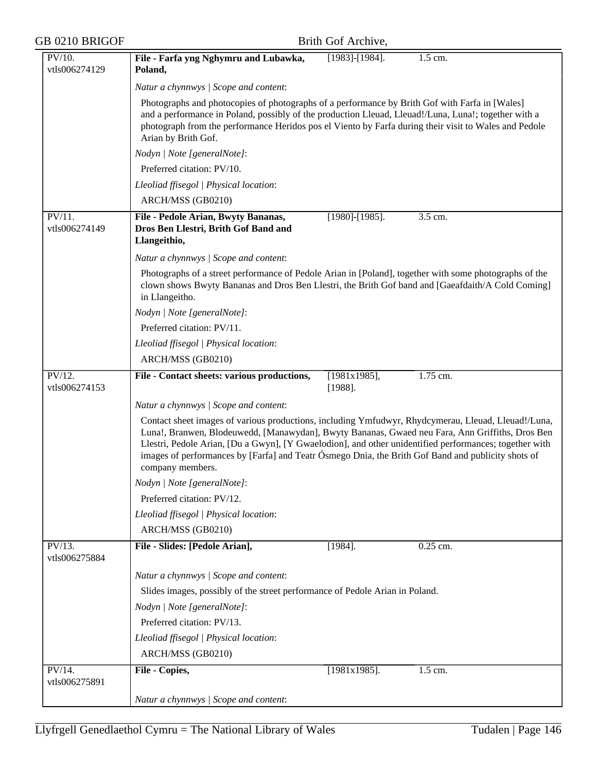| GB 0210 BRIGOF             | Brith Gof Archive,                                                                                                                                                                                                                                                                                                                                                                                                                         |
|----------------------------|--------------------------------------------------------------------------------------------------------------------------------------------------------------------------------------------------------------------------------------------------------------------------------------------------------------------------------------------------------------------------------------------------------------------------------------------|
| PV/10.<br>vtls006274129    | File - Farfa yng Nghymru and Lubawka,<br>$[1983]$ - $[1984]$ .<br>1.5 cm.<br>Poland,                                                                                                                                                                                                                                                                                                                                                       |
|                            | Natur a chynnwys / Scope and content:                                                                                                                                                                                                                                                                                                                                                                                                      |
|                            | Photographs and photocopies of photographs of a performance by Brith Gof with Farfa in [Wales]<br>and a performance in Poland, possibly of the production Lleuad, Lleuad!/Luna, Luna!; together with a<br>photograph from the performance Heridos pos el Viento by Farfa during their visit to Wales and Pedole<br>Arian by Brith Gof.                                                                                                     |
|                            | Nodyn   Note [generalNote]:                                                                                                                                                                                                                                                                                                                                                                                                                |
|                            | Preferred citation: PV/10.                                                                                                                                                                                                                                                                                                                                                                                                                 |
|                            | Lleoliad ffisegol   Physical location:                                                                                                                                                                                                                                                                                                                                                                                                     |
|                            | ARCH/MSS (GB0210)                                                                                                                                                                                                                                                                                                                                                                                                                          |
| $PV/11$ .<br>vtls006274149 | 3.5 cm.<br>File - Pedole Arian, Bwyty Bananas,<br>$[1980]$ - $[1985]$ .<br>Dros Ben Llestri, Brith Gof Band and<br>Llangeithio,                                                                                                                                                                                                                                                                                                            |
|                            | Natur a chynnwys / Scope and content:                                                                                                                                                                                                                                                                                                                                                                                                      |
|                            | Photographs of a street performance of Pedole Arian in [Poland], together with some photographs of the<br>clown shows Bwyty Bananas and Dros Ben Llestri, the Brith Gof band and [Gaeafdaith/A Cold Coming]<br>in Llangeitho.                                                                                                                                                                                                              |
|                            | Nodyn   Note [generalNote]:                                                                                                                                                                                                                                                                                                                                                                                                                |
|                            | Preferred citation: PV/11.                                                                                                                                                                                                                                                                                                                                                                                                                 |
|                            | Lleoliad ffisegol   Physical location:                                                                                                                                                                                                                                                                                                                                                                                                     |
|                            | ARCH/MSS (GB0210)                                                                                                                                                                                                                                                                                                                                                                                                                          |
| PV/12.<br>vtls006274153    | File - Contact sheets: various productions,<br>[1981x1985],<br>1.75 cm.<br>$[1988]$ .                                                                                                                                                                                                                                                                                                                                                      |
|                            | Natur a chynnwys / Scope and content:                                                                                                                                                                                                                                                                                                                                                                                                      |
|                            | Contact sheet images of various productions, including Ymfudwyr, Rhydcymerau, Lleuad, Lleuad!/Luna,<br>Luna!, Branwen, Blodeuwedd, [Manawydan], Bwyty Bananas, Gwaed neu Fara, Ann Griffiths, Dros Ben<br>Llestri, Pedole Arian, [Du a Gwyn], [Y Gwaelodion], and other unidentified performances; together with<br>images of performances by [Farfa] and Teatr Ósmego Dnia, the Brith Gof Band and publicity shots of<br>company members. |
|                            | Nodyn   Note [generalNote]:                                                                                                                                                                                                                                                                                                                                                                                                                |
|                            | Preferred citation: PV/12.                                                                                                                                                                                                                                                                                                                                                                                                                 |
|                            | Lleoliad ffisegol   Physical location:                                                                                                                                                                                                                                                                                                                                                                                                     |
|                            | ARCH/MSS (GB0210)                                                                                                                                                                                                                                                                                                                                                                                                                          |
| $PV/13$ .<br>vtls006275884 | 0.25 cm.<br>File - Slides: [Pedole Arian],<br>$[1984]$ .                                                                                                                                                                                                                                                                                                                                                                                   |
|                            | Natur a chynnwys / Scope and content:                                                                                                                                                                                                                                                                                                                                                                                                      |
|                            | Slides images, possibly of the street performance of Pedole Arian in Poland.                                                                                                                                                                                                                                                                                                                                                               |
|                            | Nodyn   Note [generalNote]:                                                                                                                                                                                                                                                                                                                                                                                                                |
|                            | Preferred citation: PV/13.                                                                                                                                                                                                                                                                                                                                                                                                                 |
|                            | Lleoliad ffisegol   Physical location:                                                                                                                                                                                                                                                                                                                                                                                                     |
|                            | ARCH/MSS (GB0210)                                                                                                                                                                                                                                                                                                                                                                                                                          |
| $PV/14$ .<br>vtls006275891 | $[1981x1985]$ .<br>1.5 cm.<br>File - Copies,                                                                                                                                                                                                                                                                                                                                                                                               |
|                            | Natur a chynnwys / Scope and content:                                                                                                                                                                                                                                                                                                                                                                                                      |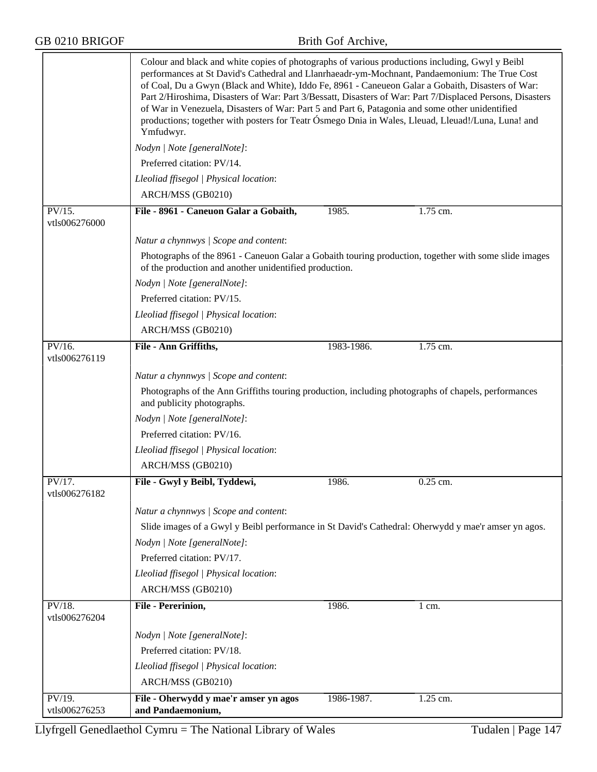|                                             | Colour and black and white copies of photographs of various productions including, Gwyl y Beibl<br>performances at St David's Cathedral and Llanrhaeadr-ym-Mochnant, Pandaemonium: The True Cost<br>of Coal, Du a Gwyn (Black and White), Iddo Fe, 8961 - Caneueon Galar a Gobaith, Disasters of War:<br>Part 2/Hiroshima, Disasters of War: Part 3/Bessatt, Disasters of War: Part 7/Displaced Persons, Disasters<br>of War in Venezuela, Disasters of War: Part 5 and Part 6, Patagonia and some other unidentified<br>productions; together with posters for Teatr Ósmego Dnia in Wales, Lleuad, Lleuad!/Luna, Luna! and<br>Ymfudwyr. |            |                  |  |
|---------------------------------------------|------------------------------------------------------------------------------------------------------------------------------------------------------------------------------------------------------------------------------------------------------------------------------------------------------------------------------------------------------------------------------------------------------------------------------------------------------------------------------------------------------------------------------------------------------------------------------------------------------------------------------------------|------------|------------------|--|
|                                             | Nodyn   Note [generalNote]:                                                                                                                                                                                                                                                                                                                                                                                                                                                                                                                                                                                                              |            |                  |  |
|                                             | Preferred citation: PV/14.                                                                                                                                                                                                                                                                                                                                                                                                                                                                                                                                                                                                               |            |                  |  |
|                                             | Lleoliad ffisegol   Physical location:                                                                                                                                                                                                                                                                                                                                                                                                                                                                                                                                                                                                   |            |                  |  |
|                                             | ARCH/MSS (GB0210)                                                                                                                                                                                                                                                                                                                                                                                                                                                                                                                                                                                                                        |            |                  |  |
| PV/15.                                      | File - 8961 - Caneuon Galar a Gobaith,                                                                                                                                                                                                                                                                                                                                                                                                                                                                                                                                                                                                   | 1985.      | 1.75 cm.         |  |
| vtls006276000                               |                                                                                                                                                                                                                                                                                                                                                                                                                                                                                                                                                                                                                                          |            |                  |  |
|                                             | Natur a chynnwys / Scope and content:                                                                                                                                                                                                                                                                                                                                                                                                                                                                                                                                                                                                    |            |                  |  |
|                                             | Photographs of the 8961 - Caneuon Galar a Gobaith touring production, together with some slide images<br>of the production and another unidentified production.                                                                                                                                                                                                                                                                                                                                                                                                                                                                          |            |                  |  |
|                                             | Nodyn   Note [generalNote]:                                                                                                                                                                                                                                                                                                                                                                                                                                                                                                                                                                                                              |            |                  |  |
|                                             | Preferred citation: PV/15.                                                                                                                                                                                                                                                                                                                                                                                                                                                                                                                                                                                                               |            |                  |  |
|                                             | Lleoliad ffisegol   Physical location:                                                                                                                                                                                                                                                                                                                                                                                                                                                                                                                                                                                                   |            |                  |  |
|                                             | ARCH/MSS (GB0210)                                                                                                                                                                                                                                                                                                                                                                                                                                                                                                                                                                                                                        |            |                  |  |
| $\overline{\text{PV}}/16.$<br>vtls006276119 | File - Ann Griffiths,                                                                                                                                                                                                                                                                                                                                                                                                                                                                                                                                                                                                                    | 1983-1986. | 1.75 cm.         |  |
|                                             | Natur a chynnwys / Scope and content:                                                                                                                                                                                                                                                                                                                                                                                                                                                                                                                                                                                                    |            |                  |  |
|                                             | Photographs of the Ann Griffiths touring production, including photographs of chapels, performances<br>and publicity photographs.                                                                                                                                                                                                                                                                                                                                                                                                                                                                                                        |            |                  |  |
|                                             | Nodyn   Note [generalNote]:                                                                                                                                                                                                                                                                                                                                                                                                                                                                                                                                                                                                              |            |                  |  |
|                                             | Preferred citation: PV/16.                                                                                                                                                                                                                                                                                                                                                                                                                                                                                                                                                                                                               |            |                  |  |
|                                             | Lleoliad ffisegol   Physical location:                                                                                                                                                                                                                                                                                                                                                                                                                                                                                                                                                                                                   |            |                  |  |
|                                             | ARCH/MSS (GB0210)                                                                                                                                                                                                                                                                                                                                                                                                                                                                                                                                                                                                                        |            |                  |  |
| $\overline{PV/17}$ .                        | File - Gwyl y Beibl, Tyddewi,                                                                                                                                                                                                                                                                                                                                                                                                                                                                                                                                                                                                            | 1986.      | 0.25 cm.         |  |
| vtls006276182                               |                                                                                                                                                                                                                                                                                                                                                                                                                                                                                                                                                                                                                                          |            |                  |  |
|                                             | Natur a chynnwys / Scope and content:                                                                                                                                                                                                                                                                                                                                                                                                                                                                                                                                                                                                    |            |                  |  |
|                                             | Slide images of a Gwyl y Beibl performance in St David's Cathedral: Oherwydd y mae'r amser yn agos.                                                                                                                                                                                                                                                                                                                                                                                                                                                                                                                                      |            |                  |  |
|                                             | Nodyn   Note [generalNote]:                                                                                                                                                                                                                                                                                                                                                                                                                                                                                                                                                                                                              |            |                  |  |
|                                             | Preferred citation: PV/17.                                                                                                                                                                                                                                                                                                                                                                                                                                                                                                                                                                                                               |            |                  |  |
|                                             | Lleoliad ffisegol   Physical location:                                                                                                                                                                                                                                                                                                                                                                                                                                                                                                                                                                                                   |            |                  |  |
|                                             | ARCH/MSS (GB0210)                                                                                                                                                                                                                                                                                                                                                                                                                                                                                                                                                                                                                        |            |                  |  |
| PV/18.<br>vtls006276204                     | File - Pererinion,                                                                                                                                                                                                                                                                                                                                                                                                                                                                                                                                                                                                                       | 1986.      | $1 \text{ cm}$ . |  |
|                                             | Nodyn   Note [generalNote]:                                                                                                                                                                                                                                                                                                                                                                                                                                                                                                                                                                                                              |            |                  |  |
|                                             | Preferred citation: PV/18.                                                                                                                                                                                                                                                                                                                                                                                                                                                                                                                                                                                                               |            |                  |  |
|                                             | Lleoliad ffisegol   Physical location:                                                                                                                                                                                                                                                                                                                                                                                                                                                                                                                                                                                                   |            |                  |  |
|                                             | ARCH/MSS (GB0210)                                                                                                                                                                                                                                                                                                                                                                                                                                                                                                                                                                                                                        |            |                  |  |
| PV/19.                                      | File - Oherwydd y mae'r amser yn agos                                                                                                                                                                                                                                                                                                                                                                                                                                                                                                                                                                                                    | 1986-1987. | 1.25 cm.         |  |
| vtls006276253                               | and Pandaemonium,                                                                                                                                                                                                                                                                                                                                                                                                                                                                                                                                                                                                                        |            |                  |  |

Llyfrgell Genedlaethol Cymru = The National Library of Wales Tudalen | Page 147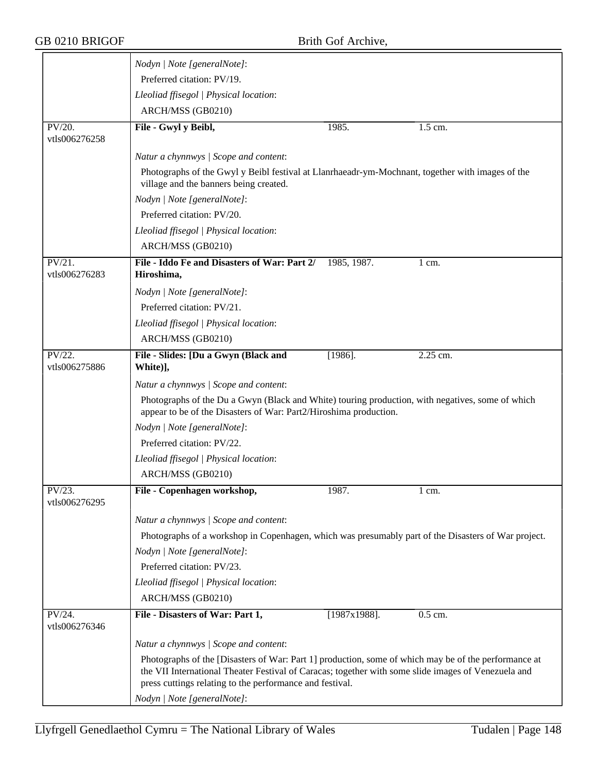|                            | Nodyn   Note [generalNote]:                                                                                                                                                                                 |                 |          |  |  |
|----------------------------|-------------------------------------------------------------------------------------------------------------------------------------------------------------------------------------------------------------|-----------------|----------|--|--|
|                            | Preferred citation: PV/19.                                                                                                                                                                                  |                 |          |  |  |
|                            | Lleoliad ffisegol   Physical location:                                                                                                                                                                      |                 |          |  |  |
|                            | ARCH/MSS (GB0210)                                                                                                                                                                                           |                 |          |  |  |
| PV/20.<br>vtls006276258    | File - Gwyl y Beibl,                                                                                                                                                                                        | 1985.           | 1.5 cm.  |  |  |
|                            | Natur a chynnwys / Scope and content:                                                                                                                                                                       |                 |          |  |  |
|                            | Photographs of the Gwyl y Beibl festival at Llanrhaeadr-ym-Mochnant, together with images of the<br>village and the banners being created.                                                                  |                 |          |  |  |
|                            | Nodyn   Note [generalNote]:                                                                                                                                                                                 |                 |          |  |  |
|                            | Preferred citation: PV/20.                                                                                                                                                                                  |                 |          |  |  |
|                            | Lleoliad ffisegol   Physical location:                                                                                                                                                                      |                 |          |  |  |
|                            | ARCH/MSS (GB0210)                                                                                                                                                                                           |                 |          |  |  |
| $PV/21$ .<br>vtls006276283 | File - Iddo Fe and Disasters of War: Part 2/<br>Hiroshima,                                                                                                                                                  | 1985, 1987.     | 1 cm.    |  |  |
|                            | Nodyn   Note [generalNote]:                                                                                                                                                                                 |                 |          |  |  |
|                            | Preferred citation: PV/21.                                                                                                                                                                                  |                 |          |  |  |
|                            | Lleoliad ffisegol   Physical location:                                                                                                                                                                      |                 |          |  |  |
|                            | ARCH/MSS (GB0210)                                                                                                                                                                                           |                 |          |  |  |
| PV/22.<br>vtls006275886    | File - Slides: [Du a Gwyn (Black and<br>White)],                                                                                                                                                            | $[1986]$ .      | 2.25 cm. |  |  |
|                            | Natur a chynnwys / Scope and content:                                                                                                                                                                       |                 |          |  |  |
|                            | Photographs of the Du a Gwyn (Black and White) touring production, with negatives, some of which<br>appear to be of the Disasters of War: Part2/Hiroshima production.                                       |                 |          |  |  |
|                            | Nodyn   Note [generalNote]:                                                                                                                                                                                 |                 |          |  |  |
|                            | Preferred citation: PV/22.                                                                                                                                                                                  |                 |          |  |  |
|                            | Lleoliad ffisegol   Physical location:                                                                                                                                                                      |                 |          |  |  |
|                            | ARCH/MSS (GB0210)                                                                                                                                                                                           |                 |          |  |  |
| PV/23.<br>vtls006276295    | File - Copenhagen workshop,                                                                                                                                                                                 | 1987.           | 1 cm.    |  |  |
|                            | Natur a chynnwys / Scope and content:                                                                                                                                                                       |                 |          |  |  |
|                            | Photographs of a workshop in Copenhagen, which was presumably part of the Disasters of War project.                                                                                                         |                 |          |  |  |
|                            | Nodyn   Note [generalNote]:                                                                                                                                                                                 |                 |          |  |  |
|                            | Preferred citation: PV/23.                                                                                                                                                                                  |                 |          |  |  |
|                            | Lleoliad ffisegol   Physical location:                                                                                                                                                                      |                 |          |  |  |
|                            | ARCH/MSS (GB0210)                                                                                                                                                                                           |                 |          |  |  |
| PV/24.<br>vtls006276346    | File - Disasters of War: Part 1,                                                                                                                                                                            | $[1987x1988]$ . | 0.5 cm.  |  |  |
|                            | Natur a chynnwys / Scope and content:                                                                                                                                                                       |                 |          |  |  |
|                            | Photographs of the [Disasters of War: Part 1] production, some of which may be of the performance at<br>the VII International Theater Festival of Caracas; together with some slide images of Venezuela and |                 |          |  |  |
|                            | press cuttings relating to the performance and festival.                                                                                                                                                    |                 |          |  |  |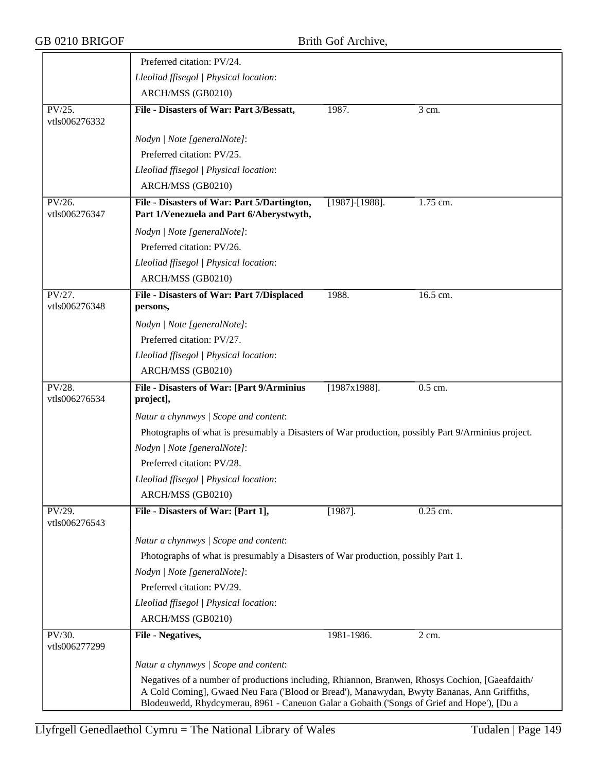|                         | Preferred citation: PV/24.                                                                                                                                                                                                                                                                   |                       |                    |  |  |
|-------------------------|----------------------------------------------------------------------------------------------------------------------------------------------------------------------------------------------------------------------------------------------------------------------------------------------|-----------------------|--------------------|--|--|
|                         | Lleoliad ffisegol   Physical location:                                                                                                                                                                                                                                                       |                       |                    |  |  |
|                         | ARCH/MSS (GB0210)                                                                                                                                                                                                                                                                            |                       |                    |  |  |
| PV/25.<br>vtls006276332 | File - Disasters of War: Part 3/Bessatt,                                                                                                                                                                                                                                                     | 1987.                 | 3 cm.              |  |  |
|                         | Nodyn   Note [generalNote]:                                                                                                                                                                                                                                                                  |                       |                    |  |  |
|                         | Preferred citation: PV/25.                                                                                                                                                                                                                                                                   |                       |                    |  |  |
|                         | Lleoliad ffisegol   Physical location:                                                                                                                                                                                                                                                       |                       |                    |  |  |
|                         | ARCH/MSS (GB0210)                                                                                                                                                                                                                                                                            |                       |                    |  |  |
| PV/26.<br>vtls006276347 | File - Disasters of War: Part 5/Dartington,<br>Part 1/Venezuela and Part 6/Aberystwyth,                                                                                                                                                                                                      | $[1987]$ - $[1988]$ . | 1.75 cm.           |  |  |
|                         | Nodyn   Note [generalNote]:                                                                                                                                                                                                                                                                  |                       |                    |  |  |
|                         | Preferred citation: PV/26.                                                                                                                                                                                                                                                                   |                       |                    |  |  |
|                         | Lleoliad ffisegol   Physical location:                                                                                                                                                                                                                                                       |                       |                    |  |  |
|                         | ARCH/MSS (GB0210)                                                                                                                                                                                                                                                                            |                       |                    |  |  |
| PV/27.<br>vtls006276348 | File - Disasters of War: Part 7/Displaced<br>persons,                                                                                                                                                                                                                                        | 1988.                 | 16.5 cm.           |  |  |
|                         | Nodyn   Note [generalNote]:                                                                                                                                                                                                                                                                  |                       |                    |  |  |
|                         | Preferred citation: PV/27.                                                                                                                                                                                                                                                                   |                       |                    |  |  |
|                         | Lleoliad ffisegol   Physical location:                                                                                                                                                                                                                                                       |                       |                    |  |  |
|                         | ARCH/MSS (GB0210)                                                                                                                                                                                                                                                                            |                       |                    |  |  |
| $PV/28$ .               | File - Disasters of War: [Part 9/Arminius                                                                                                                                                                                                                                                    | $[1987x1988]$ .       | 0.5 cm.            |  |  |
| vtls006276534           | project],                                                                                                                                                                                                                                                                                    |                       |                    |  |  |
|                         | Natur a chynnwys / Scope and content:                                                                                                                                                                                                                                                        |                       |                    |  |  |
|                         | Photographs of what is presumably a Disasters of War production, possibly Part 9/Arminius project.                                                                                                                                                                                           |                       |                    |  |  |
|                         | Nodyn   Note [generalNote]:                                                                                                                                                                                                                                                                  |                       |                    |  |  |
|                         | Preferred citation: PV/28.                                                                                                                                                                                                                                                                   |                       |                    |  |  |
|                         | Lleoliad ffisegol   Physical location:                                                                                                                                                                                                                                                       |                       |                    |  |  |
|                         | ARCH/MSS (GB0210)                                                                                                                                                                                                                                                                            |                       |                    |  |  |
| PV/29.<br>vtls006276543 | File - Disasters of War: [Part 1],                                                                                                                                                                                                                                                           | $[1987]$ .            | 0.25 cm.           |  |  |
|                         | Natur a chynnwys / Scope and content:                                                                                                                                                                                                                                                        |                       |                    |  |  |
|                         | Photographs of what is presumably a Disasters of War production, possibly Part 1.                                                                                                                                                                                                            |                       |                    |  |  |
|                         | Nodyn   Note [generalNote]:                                                                                                                                                                                                                                                                  |                       |                    |  |  |
|                         | Preferred citation: PV/29.                                                                                                                                                                                                                                                                   |                       |                    |  |  |
|                         | Lleoliad ffisegol   Physical location:                                                                                                                                                                                                                                                       |                       |                    |  |  |
|                         | ARCH/MSS (GB0210)                                                                                                                                                                                                                                                                            |                       |                    |  |  |
| PV/30.<br>vtls006277299 | File - Negatives,                                                                                                                                                                                                                                                                            | 1981-1986.            | $\overline{2}$ cm. |  |  |
|                         | Natur a chynnwys / Scope and content:                                                                                                                                                                                                                                                        |                       |                    |  |  |
|                         | Negatives of a number of productions including, Rhiannon, Branwen, Rhosys Cochion, [Gaeafdaith/<br>A Cold Coming], Gwaed Neu Fara ('Blood or Bread'), Manawydan, Bwyty Bananas, Ann Griffiths,<br>Blodeuwedd, Rhydcymerau, 8961 - Caneuon Galar a Gobaith ('Songs of Grief and Hope'), [Du a |                       |                    |  |  |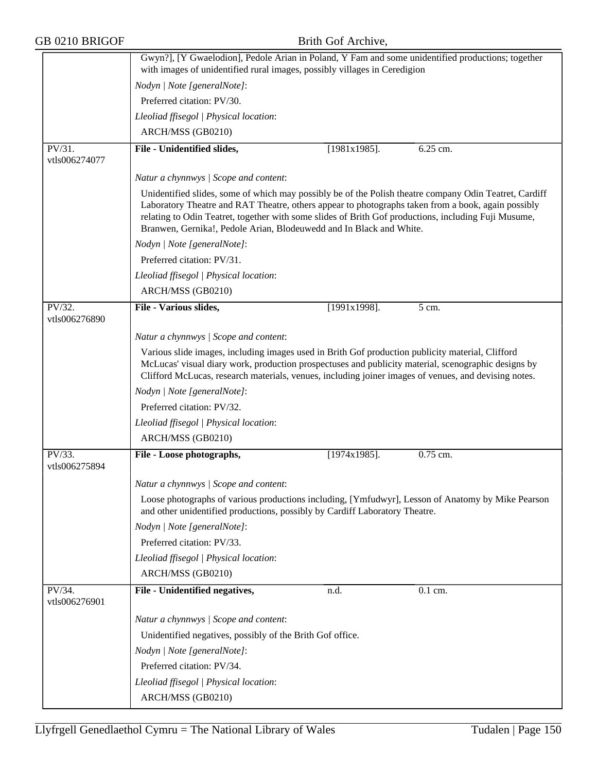| GB 0210 BRIGOF          |                                                                                                                                                                                                                                                                                                                                                                                             | Brith Gof Archive, |          |
|-------------------------|---------------------------------------------------------------------------------------------------------------------------------------------------------------------------------------------------------------------------------------------------------------------------------------------------------------------------------------------------------------------------------------------|--------------------|----------|
|                         | Gwyn?], [Y Gwaelodion], Pedole Arian in Poland, Y Fam and some unidentified productions; together<br>with images of unidentified rural images, possibly villages in Ceredigion                                                                                                                                                                                                              |                    |          |
|                         | Nodyn   Note [generalNote]:                                                                                                                                                                                                                                                                                                                                                                 |                    |          |
|                         | Preferred citation: PV/30.                                                                                                                                                                                                                                                                                                                                                                  |                    |          |
|                         | Lleoliad ffisegol   Physical location:                                                                                                                                                                                                                                                                                                                                                      |                    |          |
|                         | ARCH/MSS (GB0210)                                                                                                                                                                                                                                                                                                                                                                           |                    |          |
| PV/31.<br>vtls006274077 | File - Unidentified slides,                                                                                                                                                                                                                                                                                                                                                                 | $[1981x1985]$ .    | 6.25 cm. |
|                         | Natur a chynnwys / Scope and content:                                                                                                                                                                                                                                                                                                                                                       |                    |          |
|                         | Unidentified slides, some of which may possibly be of the Polish theatre company Odin Teatret, Cardiff<br>Laboratory Theatre and RAT Theatre, others appear to photographs taken from a book, again possibly<br>relating to Odin Teatret, together with some slides of Brith Gof productions, including Fuji Musume,<br>Branwen, Gernika!, Pedole Arian, Blodeuwedd and In Black and White. |                    |          |
|                         | Nodyn   Note [generalNote]:                                                                                                                                                                                                                                                                                                                                                                 |                    |          |
|                         | Preferred citation: PV/31.                                                                                                                                                                                                                                                                                                                                                                  |                    |          |
|                         | Lleoliad ffisegol   Physical location:                                                                                                                                                                                                                                                                                                                                                      |                    |          |
|                         | ARCH/MSS (GB0210)                                                                                                                                                                                                                                                                                                                                                                           |                    |          |
| PV/32.<br>vtls006276890 | File - Various slides,                                                                                                                                                                                                                                                                                                                                                                      | $[1991x1998]$ .    | 5 cm.    |
|                         | Natur a chynnwys / Scope and content:                                                                                                                                                                                                                                                                                                                                                       |                    |          |
|                         | Various slide images, including images used in Brith Gof production publicity material, Clifford<br>McLucas' visual diary work, production prospectuses and publicity material, scenographic designs by<br>Clifford McLucas, research materials, venues, including joiner images of venues, and devising notes.                                                                             |                    |          |
|                         | Nodyn   Note [generalNote]:                                                                                                                                                                                                                                                                                                                                                                 |                    |          |
|                         | Preferred citation: PV/32.                                                                                                                                                                                                                                                                                                                                                                  |                    |          |
|                         | Lleoliad ffisegol   Physical location:                                                                                                                                                                                                                                                                                                                                                      |                    |          |
|                         | ARCH/MSS (GB0210)                                                                                                                                                                                                                                                                                                                                                                           |                    |          |
| PV/33.<br>vtls006275894 | File - Loose photographs,                                                                                                                                                                                                                                                                                                                                                                   | $[1974x1985]$ .    | 0.75 cm. |
|                         | Natur a chynnwys / Scope and content:                                                                                                                                                                                                                                                                                                                                                       |                    |          |
|                         | Loose photographs of various productions including, [Ymfudwyr], Lesson of Anatomy by Mike Pearson<br>and other unidentified productions, possibly by Cardiff Laboratory Theatre.                                                                                                                                                                                                            |                    |          |
|                         | Nodyn   Note [generalNote]:                                                                                                                                                                                                                                                                                                                                                                 |                    |          |
|                         | Preferred citation: PV/33.                                                                                                                                                                                                                                                                                                                                                                  |                    |          |
|                         | Lleoliad ffisegol   Physical location:                                                                                                                                                                                                                                                                                                                                                      |                    |          |
|                         | ARCH/MSS (GB0210)                                                                                                                                                                                                                                                                                                                                                                           |                    |          |
| PV/34.<br>vtls006276901 | File - Unidentified negatives,                                                                                                                                                                                                                                                                                                                                                              | n.d.               | 0.1 cm.  |
|                         | Natur a chynnwys / Scope and content:                                                                                                                                                                                                                                                                                                                                                       |                    |          |
|                         | Unidentified negatives, possibly of the Brith Gof office.                                                                                                                                                                                                                                                                                                                                   |                    |          |
|                         | Nodyn   Note [generalNote]:                                                                                                                                                                                                                                                                                                                                                                 |                    |          |
|                         | Preferred citation: PV/34.                                                                                                                                                                                                                                                                                                                                                                  |                    |          |
|                         | Lleoliad ffisegol   Physical location:                                                                                                                                                                                                                                                                                                                                                      |                    |          |
|                         | ARCH/MSS (GB0210)                                                                                                                                                                                                                                                                                                                                                                           |                    |          |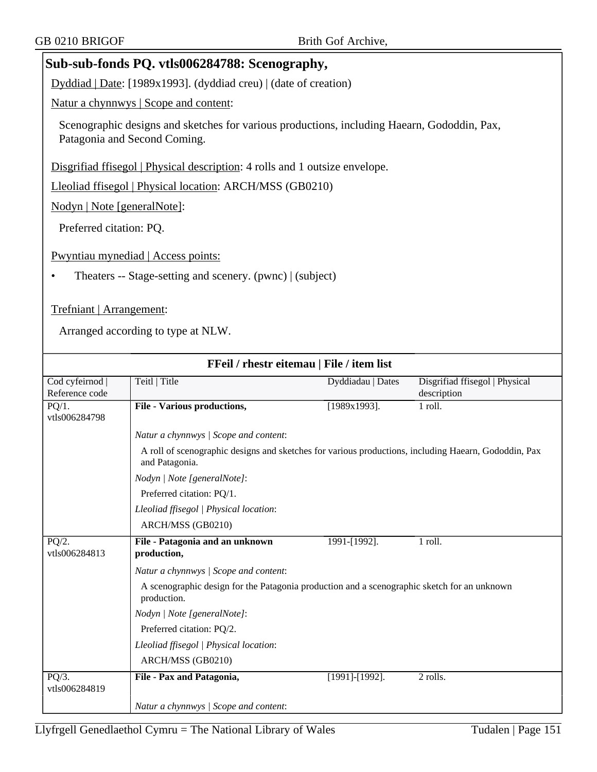# **Sub-sub-fonds PQ. vtls006284788: Scenography,**

Dyddiad | Date: [1989x1993]. (dyddiad creu) | (date of creation)

Natur a chynnwys | Scope and content:

Scenographic designs and sketches for various productions, including Haearn, Gododdin, Pax, Patagonia and Second Coming.

Disgrifiad ffisegol | Physical description: 4 rolls and 1 outsize envelope.

Lleoliad ffisegol | Physical location: ARCH/MSS (GB0210)

Nodyn | Note [generalNote]:

Preferred citation: PQ.

Pwyntiau mynediad | Access points:

• Theaters -- Stage-setting and scenery. (pwnc) | (subject)

#### Trefniant | Arrangement:

|                           | FFeil / rhestr eitemau   File / item list                                                                              |                   |                                |
|---------------------------|------------------------------------------------------------------------------------------------------------------------|-------------------|--------------------------------|
| Cod cyfeirnod             | Teitl   Title                                                                                                          | Dyddiadau   Dates | Disgrifiad ffisegol   Physical |
| Reference code            |                                                                                                                        |                   | description                    |
| $PQ/1$ .<br>vtls006284798 | <b>File - Various productions,</b>                                                                                     | $[1989x1993]$ .   | 1 roll.                        |
|                           | Natur a chynnwys / Scope and content:                                                                                  |                   |                                |
|                           | A roll of scenographic designs and sketches for various productions, including Haearn, Gododdin, Pax<br>and Patagonia. |                   |                                |
|                           | Nodyn   Note [generalNote]:                                                                                            |                   |                                |
|                           | Preferred citation: PQ/1.                                                                                              |                   |                                |
|                           | Lleoliad ffisegol   Physical location:                                                                                 |                   |                                |
|                           | ARCH/MSS (GB0210)                                                                                                      |                   |                                |
| PQ/2.                     | File - Patagonia and an unknown                                                                                        | 1991-[1992].      | 1 roll.                        |
| vtls006284813             | production,                                                                                                            |                   |                                |
|                           | Natur a chynnwys / Scope and content:                                                                                  |                   |                                |
|                           | A scenographic design for the Patagonia production and a scenographic sketch for an unknown<br>production.             |                   |                                |
|                           | Nodyn   Note [generalNote]:                                                                                            |                   |                                |
|                           | Preferred citation: PQ/2.                                                                                              |                   |                                |
|                           | Lleoliad ffisegol   Physical location:                                                                                 |                   |                                |
|                           | ARCH/MSS (GB0210)                                                                                                      |                   |                                |
| $PQ/3$ .<br>vtls006284819 | File - Pax and Patagonia,                                                                                              | [1991]-[1992].    | 2 rolls.                       |
|                           |                                                                                                                        |                   |                                |
|                           | Natur a chynnwys / Scope and content:                                                                                  |                   |                                |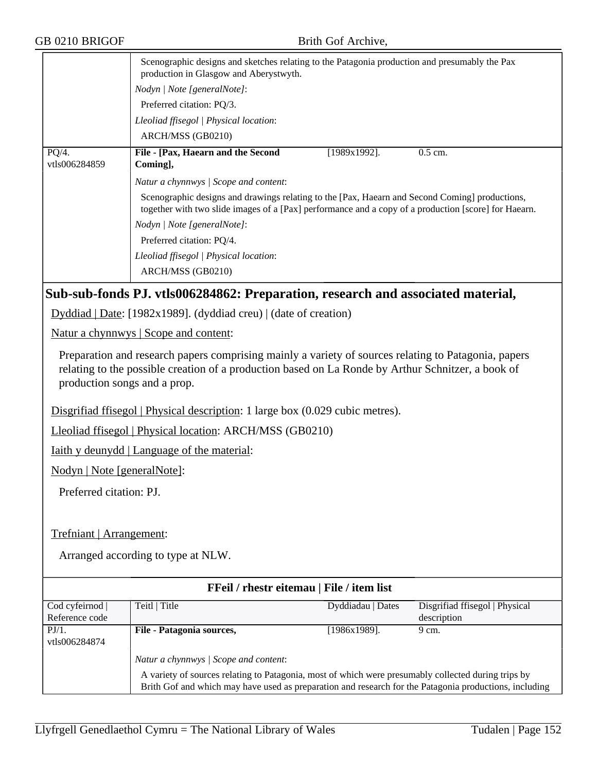| GB 0210 BRIGOF                       | Brith Gof Archive,                                                                                                                                                                                         |
|--------------------------------------|------------------------------------------------------------------------------------------------------------------------------------------------------------------------------------------------------------|
|                                      | Scenographic designs and sketches relating to the Patagonia production and presumably the Pax<br>production in Glasgow and Aberystwyth.                                                                    |
|                                      | Nodyn   Note [generalNote]:                                                                                                                                                                                |
|                                      | Preferred citation: PQ/3.                                                                                                                                                                                  |
|                                      | Lleoliad ffisegol   Physical location:                                                                                                                                                                     |
|                                      | ARCH/MSS (GB0210)                                                                                                                                                                                          |
| $\overline{PQ/4}$ .<br>vtls006284859 | File - [Pax, Haearn and the Second<br>$[1989x1992]$ .<br>$0.5$ cm.<br>Coming],                                                                                                                             |
|                                      | Natur a chynnwys / Scope and content:                                                                                                                                                                      |
|                                      | Scenographic designs and drawings relating to the [Pax, Haearn and Second Coming] productions,<br>together with two slide images of a [Pax] performance and a copy of a production [score] for Haearn.     |
|                                      | Nodyn   Note [generalNote]:                                                                                                                                                                                |
|                                      | Preferred citation: PQ/4.                                                                                                                                                                                  |
|                                      | Lleoliad ffisegol   Physical location:                                                                                                                                                                     |
|                                      | ARCH/MSS (GB0210)                                                                                                                                                                                          |
|                                      | Sub-sub-fonds PJ. vtls006284862: Preparation, research and associated material,                                                                                                                            |
|                                      | Dyddiad   Date: [1982x1989]. (dyddiad creu)   (date of creation)                                                                                                                                           |
|                                      | Natur a chynnwys   Scope and content:                                                                                                                                                                      |
| production songs and a prop.         | Preparation and research papers comprising mainly a variety of sources relating to Patagonia, papers<br>relating to the possible creation of a production based on La Ronde by Arthur Schnitzer, a book of |
|                                      | Disgrifiad ffisegol   Physical description: 1 large box (0.029 cubic metres).                                                                                                                              |
|                                      | Lleoliad ffisegol   Physical location: ARCH/MSS (GB0210)                                                                                                                                                   |
|                                      | <b>Iaith y deunydd</b>   Language of the material:                                                                                                                                                         |
| Nodyn   Note [generalNote]:          |                                                                                                                                                                                                            |
| Preferred citation: PJ.              |                                                                                                                                                                                                            |

Trefniant | Arrangement:

| <b>FFeil</b> / rhestr eitemau   File / item list |                                                                                                                                                                                                               |                   |                                |  |
|--------------------------------------------------|---------------------------------------------------------------------------------------------------------------------------------------------------------------------------------------------------------------|-------------------|--------------------------------|--|
| Cod cyfeirnod                                    | Teitl   Title                                                                                                                                                                                                 | Dyddiadau   Dates | Disgrifiad ffisegol   Physical |  |
| Reference code                                   |                                                                                                                                                                                                               |                   | description                    |  |
| $PJ/1$ .                                         | File - Patagonia sources,                                                                                                                                                                                     | [1986x1989].      | 9 cm.                          |  |
| vtls006284874                                    |                                                                                                                                                                                                               |                   |                                |  |
|                                                  | Natur a chynnwys / Scope and content:                                                                                                                                                                         |                   |                                |  |
|                                                  | A variety of sources relating to Patagonia, most of which were presumably collected during trips by<br>Brith Gof and which may have used as preparation and research for the Patagonia productions, including |                   |                                |  |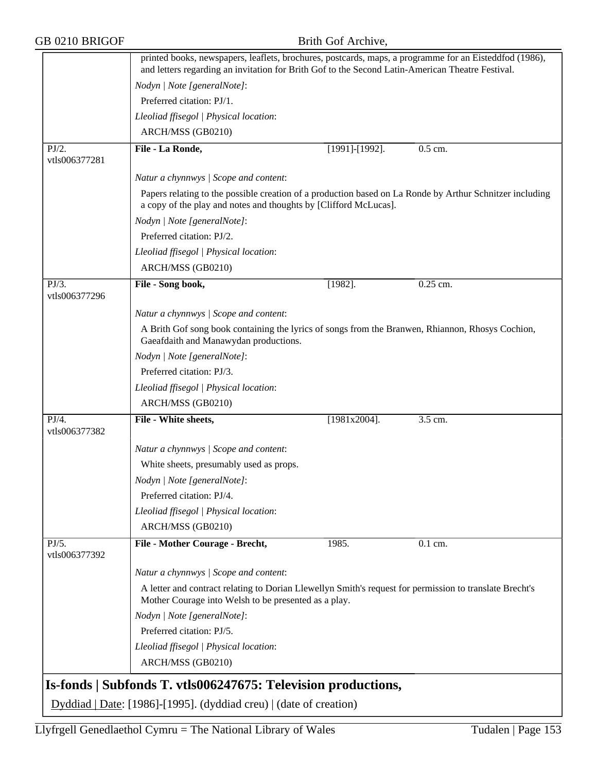|  | GB 0210 BRIGOF |
|--|----------------|
|--|----------------|

Brith Gof Archive,

|                        | printed books, newspapers, leaflets, brochures, postcards, maps, a programme for an Eisteddfod (1986),<br>and letters regarding an invitation for Brith Gof to the Second Latin-American Theatre Festival. |                 |            |
|------------------------|------------------------------------------------------------------------------------------------------------------------------------------------------------------------------------------------------------|-----------------|------------|
|                        |                                                                                                                                                                                                            |                 |            |
|                        | Nodyn   Note [generalNote]:                                                                                                                                                                                |                 |            |
|                        | Preferred citation: PJ/1.                                                                                                                                                                                  |                 |            |
|                        | Lleoliad ffisegol   Physical location:                                                                                                                                                                     |                 |            |
|                        | ARCH/MSS (GB0210)                                                                                                                                                                                          |                 |            |
| PJ/2.<br>vtls006377281 | File - La Ronde,                                                                                                                                                                                           | [1991]-[1992].  | 0.5 cm.    |
|                        | Natur a chynnwys / Scope and content:                                                                                                                                                                      |                 |            |
|                        | Papers relating to the possible creation of a production based on La Ronde by Arthur Schnitzer including<br>a copy of the play and notes and thoughts by [Clifford McLucas].                               |                 |            |
|                        | Nodyn   Note [generalNote]:                                                                                                                                                                                |                 |            |
|                        | Preferred citation: PJ/2.                                                                                                                                                                                  |                 |            |
|                        | Lleoliad ffisegol   Physical location:                                                                                                                                                                     |                 |            |
|                        | ARCH/MSS (GB0210)                                                                                                                                                                                          |                 |            |
| $\overline{PJ/3}$ .    | File - Song book,                                                                                                                                                                                          | $[1982]$ .      | $0.25$ cm. |
| vtls006377296          |                                                                                                                                                                                                            |                 |            |
|                        | Natur a chynnwys / Scope and content:                                                                                                                                                                      |                 |            |
|                        | A Brith Gof song book containing the lyrics of songs from the Branwen, Rhiannon, Rhosys Cochion,<br>Gaeafdaith and Manawydan productions.                                                                  |                 |            |
|                        | Nodyn   Note [generalNote]:                                                                                                                                                                                |                 |            |
|                        | Preferred citation: PJ/3.                                                                                                                                                                                  |                 |            |
|                        | Lleoliad ffisegol   Physical location:                                                                                                                                                                     |                 |            |
|                        | ARCH/MSS (GB0210)                                                                                                                                                                                          |                 |            |
| $\overline{PJ/4}$ .    | File - White sheets,                                                                                                                                                                                       | $[1981x2004]$ . | 3.5 cm.    |
| vtls006377382          |                                                                                                                                                                                                            |                 |            |
|                        | Natur a chynnwys / Scope and content:                                                                                                                                                                      |                 |            |
|                        | White sheets, presumably used as props.                                                                                                                                                                    |                 |            |
|                        | Nodyn   Note [generalNote]:                                                                                                                                                                                |                 |            |
|                        | Preferred citation: PJ/4.                                                                                                                                                                                  |                 |            |
|                        | Lleoliad ffisegol   Physical location:                                                                                                                                                                     |                 |            |
|                        | ARCH/MSS (GB0210)                                                                                                                                                                                          |                 |            |
| PJ/5.                  | File - Mother Courage - Brecht,                                                                                                                                                                            | 1985.           | 0.1 cm.    |
| vtls006377392          |                                                                                                                                                                                                            |                 |            |
|                        | Natur a chynnwys / Scope and content:                                                                                                                                                                      |                 |            |
|                        | A letter and contract relating to Dorian Llewellyn Smith's request for permission to translate Brecht's<br>Mother Courage into Welsh to be presented as a play.                                            |                 |            |
|                        | Nodyn   Note [generalNote]:                                                                                                                                                                                |                 |            |
|                        | Preferred citation: PJ/5.                                                                                                                                                                                  |                 |            |
|                        | Lleoliad ffisegol   Physical location:                                                                                                                                                                     |                 |            |
|                        | ARCH/MSS (GB0210)                                                                                                                                                                                          |                 |            |
|                        |                                                                                                                                                                                                            |                 |            |
|                        | Is-fonds   Subfonds T. vtls006247675: Television productions,                                                                                                                                              |                 |            |
|                        | Dyddiad   Date: [1986]-[1995]. (dyddiad creu)   (date of creation)                                                                                                                                         |                 |            |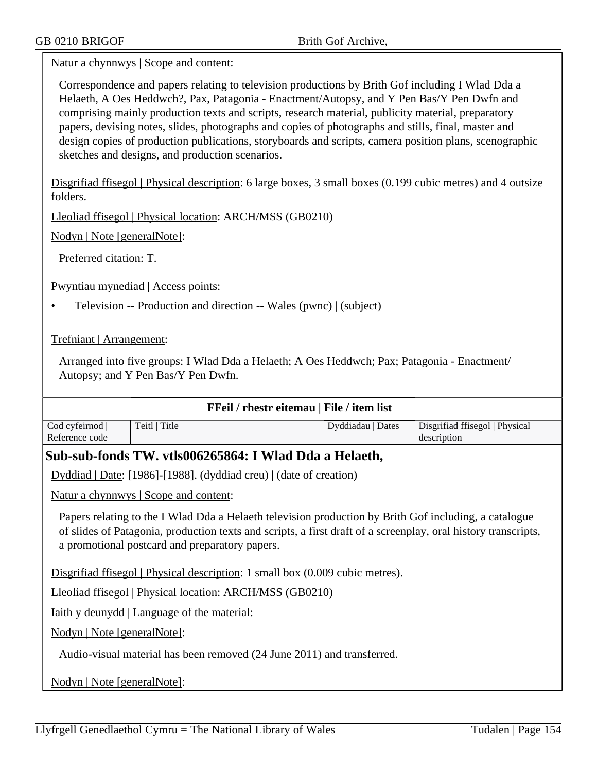Natur a chynnwys | Scope and content:

Correspondence and papers relating to television productions by Brith Gof including I Wlad Dda a Helaeth, A Oes Heddwch?, Pax, Patagonia - Enactment/Autopsy, and Y Pen Bas/Y Pen Dwfn and comprising mainly production texts and scripts, research material, publicity material, preparatory papers, devising notes, slides, photographs and copies of photographs and stills, final, master and design copies of production publications, storyboards and scripts, camera position plans, scenographic sketches and designs, and production scenarios.

Disgrifiad ffisegol | Physical description: 6 large boxes, 3 small boxes (0.199 cubic metres) and 4 outsize folders.

Lleoliad ffisegol | Physical location: ARCH/MSS (GB0210)

Nodyn | Note [generalNote]:

Preferred citation: T.

Pwyntiau mynediad | Access points:

• Television -- Production and direction -- Wales (pwnc) | (subject)

Trefniant | Arrangement:

Arranged into five groups: I Wlad Dda a Helaeth; A Oes Heddwch; Pax; Patagonia - Enactment/ Autopsy; and Y Pen Bas/Y Pen Dwfn.

| FFeil / rhestr eitemau   File / item list                              |                                                                                                                                                                                                                                                                           |                   |                                               |
|------------------------------------------------------------------------|---------------------------------------------------------------------------------------------------------------------------------------------------------------------------------------------------------------------------------------------------------------------------|-------------------|-----------------------------------------------|
| Cod cyfeirnod  <br>Reference code                                      | Teitl   Title                                                                                                                                                                                                                                                             | Dyddiadau   Dates | Disgrifiad ffisegol   Physical<br>description |
|                                                                        | Sub-sub-fonds TW. vtls006265864: I Wlad Dda a Helaeth,                                                                                                                                                                                                                    |                   |                                               |
|                                                                        |                                                                                                                                                                                                                                                                           |                   |                                               |
|                                                                        | Dyddiad   Date: [1986]-[1988]. (dyddiad creu)   (date of creation)                                                                                                                                                                                                        |                   |                                               |
|                                                                        | <u>Natur a chynnwys</u>   Scope and content:                                                                                                                                                                                                                              |                   |                                               |
|                                                                        | Papers relating to the I Wlad Dda a Helaeth television production by Brith Gof including, a catalogue<br>of slides of Patagonia, production texts and scripts, a first draft of a screenplay, oral history transcripts,<br>a promotional postcard and preparatory papers. |                   |                                               |
|                                                                        | Disgrifiad ffisegol   Physical description: 1 small box (0.009 cubic metres).                                                                                                                                                                                             |                   |                                               |
|                                                                        | Lleoliad ffisegol   Physical location: ARCH/MSS (GB0210)                                                                                                                                                                                                                  |                   |                                               |
|                                                                        | <u>Iaith y deunydd</u>   Language of the material:                                                                                                                                                                                                                        |                   |                                               |
| Nodyn   Note [generalNote]:                                            |                                                                                                                                                                                                                                                                           |                   |                                               |
| Audio-visual material has been removed (24 June 2011) and transferred. |                                                                                                                                                                                                                                                                           |                   |                                               |
| Nodyn   Note [generalNote]:                                            |                                                                                                                                                                                                                                                                           |                   |                                               |
|                                                                        |                                                                                                                                                                                                                                                                           |                   |                                               |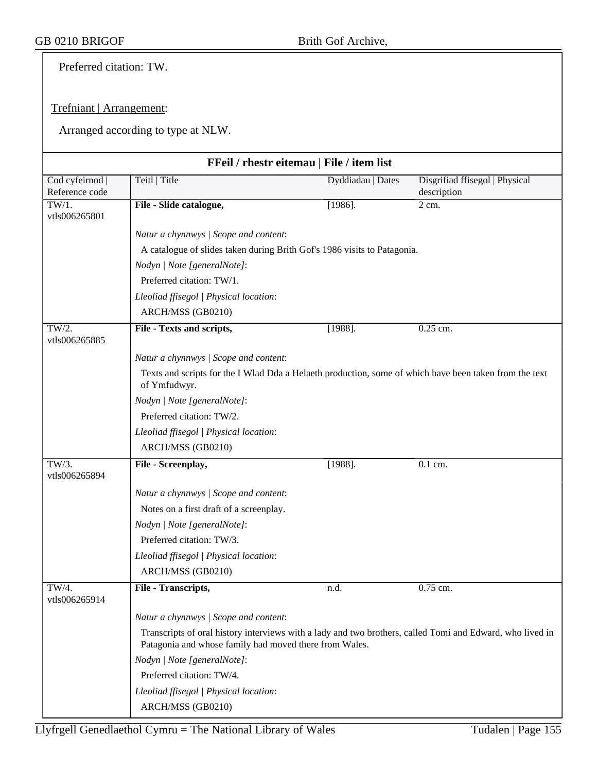Preferred citation: TW.

#### Trefniant | Arrangement:

|                                   | FFeil / rhestr eitemau   File / item list                                                                                                                           |                   |                                               |
|-----------------------------------|---------------------------------------------------------------------------------------------------------------------------------------------------------------------|-------------------|-----------------------------------------------|
| Cod cyfeirnod  <br>Reference code | Teitl   Title                                                                                                                                                       | Dyddiadau   Dates | Disgrifiad ffisegol   Physical<br>description |
| TW/1.<br>vtls006265801            | File - Slide catalogue,                                                                                                                                             | $[1986]$ .        | 2 cm.                                         |
|                                   | Natur a chynnwys / Scope and content:                                                                                                                               |                   |                                               |
|                                   | A catalogue of slides taken during Brith Gof's 1986 visits to Patagonia.                                                                                            |                   |                                               |
|                                   | Nodyn   Note [generalNote]:                                                                                                                                         |                   |                                               |
|                                   | Preferred citation: TW/1.                                                                                                                                           |                   |                                               |
|                                   | Lleoliad ffisegol   Physical location:                                                                                                                              |                   |                                               |
|                                   | ARCH/MSS (GB0210)                                                                                                                                                   |                   |                                               |
| TW/2.<br>vtls006265885            | File - Texts and scripts,                                                                                                                                           | $[1988]$ .        | $0.25$ cm.                                    |
|                                   | Natur a chynnwys / Scope and content:                                                                                                                               |                   |                                               |
|                                   | Texts and scripts for the I Wlad Dda a Helaeth production, some of which have been taken from the text<br>of Ymfudwyr.                                              |                   |                                               |
|                                   | Nodyn   Note [generalNote]:                                                                                                                                         |                   |                                               |
|                                   | Preferred citation: TW/2.                                                                                                                                           |                   |                                               |
|                                   | Lleoliad ffisegol   Physical location:                                                                                                                              |                   |                                               |
|                                   | ARCH/MSS (GB0210)                                                                                                                                                   |                   |                                               |
| TW/3.<br>vtls006265894            | File - Screenplay,                                                                                                                                                  | $[1988]$ .        | $0.1$ cm.                                     |
|                                   | Natur a chynnwys / Scope and content:                                                                                                                               |                   |                                               |
|                                   | Notes on a first draft of a screenplay.                                                                                                                             |                   |                                               |
|                                   | Nodyn   Note [generalNote]:                                                                                                                                         |                   |                                               |
|                                   | Preferred citation: TW/3.                                                                                                                                           |                   |                                               |
|                                   | Lleoliad ffisegol   Physical location:                                                                                                                              |                   |                                               |
|                                   | ARCH/MSS (GB0210)                                                                                                                                                   |                   |                                               |
| TW/4.<br>vtls006265914            | File - Transcripts,                                                                                                                                                 | n.d.              | 0.75 cm.                                      |
|                                   | Natur a chynnwys / Scope and content:                                                                                                                               |                   |                                               |
|                                   | Transcripts of oral history interviews with a lady and two brothers, called Tomi and Edward, who lived in<br>Patagonia and whose family had moved there from Wales. |                   |                                               |
|                                   | Nodyn   Note [generalNote]:                                                                                                                                         |                   |                                               |
|                                   | Preferred citation: TW/4.                                                                                                                                           |                   |                                               |
|                                   | Lleoliad ffisegol   Physical location:                                                                                                                              |                   |                                               |
|                                   | ARCH/MSS (GB0210)                                                                                                                                                   |                   |                                               |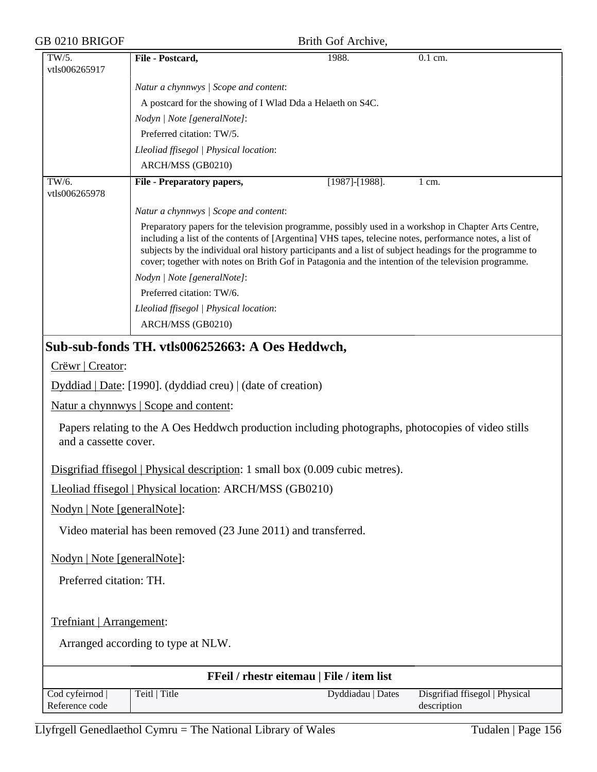| GB 0210 BRIGOF              | Brith Gof Archive,                                                                                                                                                                                                                                                                                                                                                                                                                 |
|-----------------------------|------------------------------------------------------------------------------------------------------------------------------------------------------------------------------------------------------------------------------------------------------------------------------------------------------------------------------------------------------------------------------------------------------------------------------------|
| TW/5.<br>vtls006265917      | File - Postcard,<br>1988.<br>0.1 cm.                                                                                                                                                                                                                                                                                                                                                                                               |
|                             | Natur a chynnwys / Scope and content:                                                                                                                                                                                                                                                                                                                                                                                              |
|                             | A postcard for the showing of I Wlad Dda a Helaeth on S4C.                                                                                                                                                                                                                                                                                                                                                                         |
|                             | Nodyn   Note [generalNote]:                                                                                                                                                                                                                                                                                                                                                                                                        |
|                             | Preferred citation: TW/5.                                                                                                                                                                                                                                                                                                                                                                                                          |
|                             | Lleoliad ffisegol   Physical location:                                                                                                                                                                                                                                                                                                                                                                                             |
|                             | ARCH/MSS (GB0210)                                                                                                                                                                                                                                                                                                                                                                                                                  |
| TW/6.<br>vtls006265978      | [1987]-[1988].<br><b>File - Preparatory papers,</b><br>$1 \text{ cm}$ .                                                                                                                                                                                                                                                                                                                                                            |
|                             | Natur a chynnwys / Scope and content:                                                                                                                                                                                                                                                                                                                                                                                              |
|                             | Preparatory papers for the television programme, possibly used in a workshop in Chapter Arts Centre,<br>including a list of the contents of [Argentina] VHS tapes, telecine notes, performance notes, a list of<br>subjects by the individual oral history participants and a list of subject headings for the programme to<br>cover; together with notes on Brith Gof in Patagonia and the intention of the television programme. |
|                             | Nodyn   Note [generalNote]:                                                                                                                                                                                                                                                                                                                                                                                                        |
|                             | Preferred citation: TW/6.                                                                                                                                                                                                                                                                                                                                                                                                          |
|                             | Lleoliad ffisegol   Physical location:                                                                                                                                                                                                                                                                                                                                                                                             |
|                             | ARCH/MSS (GB0210)                                                                                                                                                                                                                                                                                                                                                                                                                  |
|                             | Sub-sub-fonds TH. vtls006252663: A Oes Heddwch,                                                                                                                                                                                                                                                                                                                                                                                    |
| Crëwr   Creator:            |                                                                                                                                                                                                                                                                                                                                                                                                                                    |
|                             | Dyddiad   Date: [1990]. (dyddiad creu)   (date of creation)                                                                                                                                                                                                                                                                                                                                                                        |
|                             | Natur a chynnwys   Scope and content:                                                                                                                                                                                                                                                                                                                                                                                              |
| and a cassette cover.       | Papers relating to the A Oes Heddwch production including photographs, photocopies of video stills                                                                                                                                                                                                                                                                                                                                 |
|                             | Disgrifiad ffisegol   Physical description: 1 small box (0.009 cubic metres).                                                                                                                                                                                                                                                                                                                                                      |
|                             | Lleoliad ffisegol   Physical location: ARCH/MSS (GB0210)                                                                                                                                                                                                                                                                                                                                                                           |
| Nodyn   Note [generalNote]: |                                                                                                                                                                                                                                                                                                                                                                                                                                    |
|                             | Video material has been removed (23 June 2011) and transferred.                                                                                                                                                                                                                                                                                                                                                                    |
| Nodyn   Note [generalNote]: |                                                                                                                                                                                                                                                                                                                                                                                                                                    |
| Preferred citation: TH.     |                                                                                                                                                                                                                                                                                                                                                                                                                                    |
|                             |                                                                                                                                                                                                                                                                                                                                                                                                                                    |
| Trefniant   Arrangement:    |                                                                                                                                                                                                                                                                                                                                                                                                                                    |
|                             | Arranged according to type at NLW.                                                                                                                                                                                                                                                                                                                                                                                                 |
|                             | FFeil / rhestr eitemau   File / item list                                                                                                                                                                                                                                                                                                                                                                                          |
| Cod cyfeirnod               | Teitl   Title<br>Disgrifiad ffisegol   Physical<br>Dyddiadau   Dates                                                                                                                                                                                                                                                                                                                                                               |

Reference code

description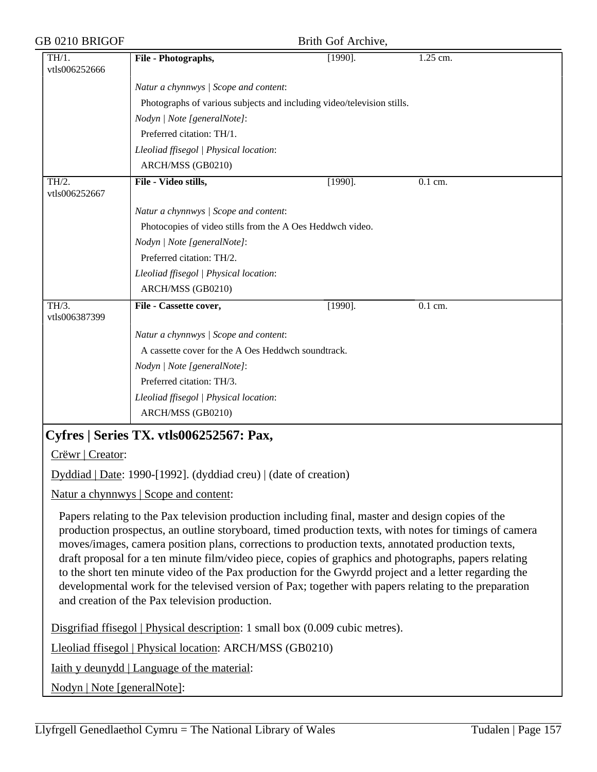| GB 0210 BRIGOF         |                                                                                                                                                                                                                                                                                                                                                                                                                                                                                                                                                                                                                                                                                               | Brith Gof Archive, |                      |  |  |
|------------------------|-----------------------------------------------------------------------------------------------------------------------------------------------------------------------------------------------------------------------------------------------------------------------------------------------------------------------------------------------------------------------------------------------------------------------------------------------------------------------------------------------------------------------------------------------------------------------------------------------------------------------------------------------------------------------------------------------|--------------------|----------------------|--|--|
| TH/1.<br>vtls006252666 | File - Photographs,                                                                                                                                                                                                                                                                                                                                                                                                                                                                                                                                                                                                                                                                           | $[1990]$ .         | 1.25 cm.             |  |  |
|                        | Natur a chynnwys / Scope and content:                                                                                                                                                                                                                                                                                                                                                                                                                                                                                                                                                                                                                                                         |                    |                      |  |  |
|                        | Photographs of various subjects and including video/television stills.                                                                                                                                                                                                                                                                                                                                                                                                                                                                                                                                                                                                                        |                    |                      |  |  |
|                        | Nodyn   Note [generalNote]:                                                                                                                                                                                                                                                                                                                                                                                                                                                                                                                                                                                                                                                                   |                    |                      |  |  |
|                        | Preferred citation: TH/1.                                                                                                                                                                                                                                                                                                                                                                                                                                                                                                                                                                                                                                                                     |                    |                      |  |  |
|                        | Lleoliad ffisegol   Physical location:                                                                                                                                                                                                                                                                                                                                                                                                                                                                                                                                                                                                                                                        |                    |                      |  |  |
|                        | ARCH/MSS (GB0210)                                                                                                                                                                                                                                                                                                                                                                                                                                                                                                                                                                                                                                                                             |                    |                      |  |  |
| TH/2.<br>vtls006252667 | File - Video stills,                                                                                                                                                                                                                                                                                                                                                                                                                                                                                                                                                                                                                                                                          | $[1990]$ .         | $\overline{0.1}$ cm. |  |  |
|                        | Natur a chynnwys / Scope and content:                                                                                                                                                                                                                                                                                                                                                                                                                                                                                                                                                                                                                                                         |                    |                      |  |  |
|                        | Photocopies of video stills from the A Oes Heddwch video.                                                                                                                                                                                                                                                                                                                                                                                                                                                                                                                                                                                                                                     |                    |                      |  |  |
|                        | Nodyn   Note [generalNote]:                                                                                                                                                                                                                                                                                                                                                                                                                                                                                                                                                                                                                                                                   |                    |                      |  |  |
|                        | Preferred citation: TH/2.                                                                                                                                                                                                                                                                                                                                                                                                                                                                                                                                                                                                                                                                     |                    |                      |  |  |
|                        | Lleoliad ffisegol   Physical location:                                                                                                                                                                                                                                                                                                                                                                                                                                                                                                                                                                                                                                                        |                    |                      |  |  |
|                        | ARCH/MSS (GB0210)                                                                                                                                                                                                                                                                                                                                                                                                                                                                                                                                                                                                                                                                             |                    |                      |  |  |
| TH/3.<br>vtls006387399 | File - Cassette cover,                                                                                                                                                                                                                                                                                                                                                                                                                                                                                                                                                                                                                                                                        | $[1990]$ .         | $\overline{0.1}$ cm. |  |  |
|                        | Natur a chynnwys / Scope and content:                                                                                                                                                                                                                                                                                                                                                                                                                                                                                                                                                                                                                                                         |                    |                      |  |  |
|                        | A cassette cover for the A Oes Heddwch soundtrack.                                                                                                                                                                                                                                                                                                                                                                                                                                                                                                                                                                                                                                            |                    |                      |  |  |
|                        | Nodyn   Note [generalNote]:                                                                                                                                                                                                                                                                                                                                                                                                                                                                                                                                                                                                                                                                   |                    |                      |  |  |
|                        | Preferred citation: TH/3.                                                                                                                                                                                                                                                                                                                                                                                                                                                                                                                                                                                                                                                                     |                    |                      |  |  |
|                        | Lleoliad ffisegol   Physical location:                                                                                                                                                                                                                                                                                                                                                                                                                                                                                                                                                                                                                                                        |                    |                      |  |  |
|                        | ARCH/MSS (GB0210)                                                                                                                                                                                                                                                                                                                                                                                                                                                                                                                                                                                                                                                                             |                    |                      |  |  |
|                        | Cyfres   Series TX. vtls006252567: Pax,                                                                                                                                                                                                                                                                                                                                                                                                                                                                                                                                                                                                                                                       |                    |                      |  |  |
| Crëwr   Creator:       |                                                                                                                                                                                                                                                                                                                                                                                                                                                                                                                                                                                                                                                                                               |                    |                      |  |  |
|                        | Dyddiad   Date: 1990-[1992]. (dyddiad creu)   (date of creation)                                                                                                                                                                                                                                                                                                                                                                                                                                                                                                                                                                                                                              |                    |                      |  |  |
|                        | Natur a chynnwys   Scope and content:                                                                                                                                                                                                                                                                                                                                                                                                                                                                                                                                                                                                                                                         |                    |                      |  |  |
|                        | Papers relating to the Pax television production including final, master and design copies of the<br>production prospectus, an outline storyboard, timed production texts, with notes for timings of camera<br>moves/images, camera position plans, corrections to production texts, annotated production texts,<br>draft proposal for a ten minute film/video piece, copies of graphics and photographs, papers relating<br>to the short ten minute video of the Pax production for the Gwyrdd project and a letter regarding the<br>developmental work for the televised version of Pax; together with papers relating to the preparation<br>and creation of the Pax television production. |                    |                      |  |  |
|                        | Disgrifiad ffisegol   Physical description: 1 small box (0.009 cubic metres).                                                                                                                                                                                                                                                                                                                                                                                                                                                                                                                                                                                                                 |                    |                      |  |  |
|                        | Lleoliad ffisegol   Physical location: ARCH/MSS (GB0210)                                                                                                                                                                                                                                                                                                                                                                                                                                                                                                                                                                                                                                      |                    |                      |  |  |

Iaith y deunydd | Language of the material:

Nodyn | Note [generalNote]: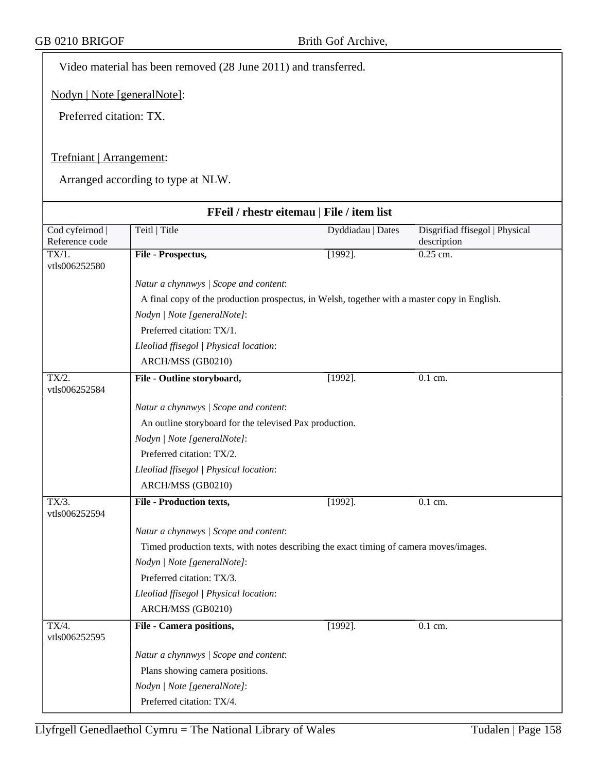Video material has been removed (28 June 2011) and transferred.

Nodyn | Note [generalNote]:

Preferred citation: TX.

## Trefniant | Arrangement:

|                                   | FFeil / rhestr eitemau   File / item list                                                    |                   |                                               |  |
|-----------------------------------|----------------------------------------------------------------------------------------------|-------------------|-----------------------------------------------|--|
| Cod cyfeirnod  <br>Reference code | Teitl   Title                                                                                | Dyddiadau   Dates | Disgrifiad ffisegol   Physical<br>description |  |
| $TX/1$ .<br>vtls006252580         | File - Prospectus,                                                                           | $[1992]$ .        | $0.25$ cm.                                    |  |
|                                   | Natur a chynnwys / Scope and content:                                                        |                   |                                               |  |
|                                   | A final copy of the production prospectus, in Welsh, together with a master copy in English. |                   |                                               |  |
|                                   | Nodyn   Note [generalNote]:                                                                  |                   |                                               |  |
|                                   | Preferred citation: TX/1.                                                                    |                   |                                               |  |
|                                   | Lleoliad ffisegol   Physical location:                                                       |                   |                                               |  |
|                                   | ARCH/MSS (GB0210)                                                                            |                   |                                               |  |
| TX/2.<br>vtls006252584            | File - Outline storyboard,                                                                   | $[1992]$ .        | 0.1 cm.                                       |  |
|                                   | Natur a chynnwys / Scope and content:                                                        |                   |                                               |  |
|                                   | An outline storyboard for the televised Pax production.                                      |                   |                                               |  |
|                                   | Nodyn   Note [generalNote]:                                                                  |                   |                                               |  |
|                                   | Preferred citation: TX/2.                                                                    |                   |                                               |  |
|                                   | Lleoliad ffisegol   Physical location:                                                       |                   |                                               |  |
|                                   | ARCH/MSS (GB0210)                                                                            |                   |                                               |  |
| TX/3.<br>vtls006252594            | <b>File - Production texts,</b>                                                              | $[1992]$ .        | 0.1 cm.                                       |  |
|                                   | Natur a chynnwys / Scope and content:                                                        |                   |                                               |  |
|                                   | Timed production texts, with notes describing the exact timing of camera moves/images.       |                   |                                               |  |
|                                   | Nodyn   Note [generalNote]:                                                                  |                   |                                               |  |
|                                   | Preferred citation: TX/3.                                                                    |                   |                                               |  |
|                                   | Lleoliad ffisegol   Physical location:                                                       |                   |                                               |  |
|                                   | ARCH/MSS (GB0210)                                                                            |                   |                                               |  |
| TX/4.<br>vtls006252595            | <b>File - Camera positions,</b>                                                              | $[1992]$ .        | 0.1 cm.                                       |  |
|                                   | Natur a chynnwys / Scope and content:                                                        |                   |                                               |  |
|                                   | Plans showing camera positions.                                                              |                   |                                               |  |
|                                   | Nodyn   Note [generalNote]:                                                                  |                   |                                               |  |
|                                   | Preferred citation: TX/4.                                                                    |                   |                                               |  |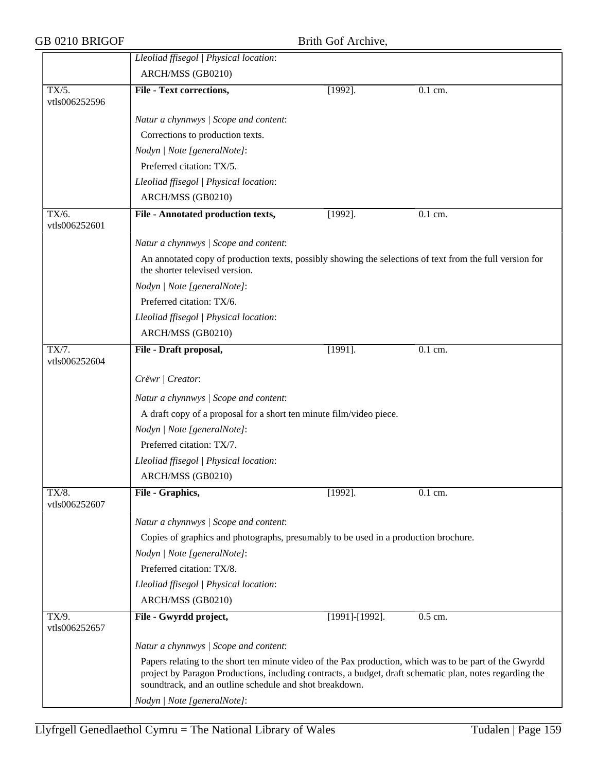|                        | Lleoliad ffisegol   Physical location:                                                                                                                                                                                                                                         |                |           |  |  |
|------------------------|--------------------------------------------------------------------------------------------------------------------------------------------------------------------------------------------------------------------------------------------------------------------------------|----------------|-----------|--|--|
|                        | ARCH/MSS (GB0210)                                                                                                                                                                                                                                                              |                |           |  |  |
| TX/5.                  | <b>File - Text corrections,</b>                                                                                                                                                                                                                                                | $[1992]$ .     | $0.1$ cm. |  |  |
| vtls006252596          |                                                                                                                                                                                                                                                                                |                |           |  |  |
|                        | Natur a chynnwys / Scope and content:                                                                                                                                                                                                                                          |                |           |  |  |
|                        | Corrections to production texts.                                                                                                                                                                                                                                               |                |           |  |  |
|                        | Nodyn   Note [generalNote]:                                                                                                                                                                                                                                                    |                |           |  |  |
|                        | Preferred citation: TX/5.                                                                                                                                                                                                                                                      |                |           |  |  |
|                        | Lleoliad ffisegol   Physical location:                                                                                                                                                                                                                                         |                |           |  |  |
|                        | ARCH/MSS (GB0210)                                                                                                                                                                                                                                                              |                |           |  |  |
| TX/6.<br>vtls006252601 | File - Annotated production texts,                                                                                                                                                                                                                                             | $[1992]$ .     | 0.1 cm.   |  |  |
|                        | Natur a chynnwys / Scope and content:                                                                                                                                                                                                                                          |                |           |  |  |
|                        | An annotated copy of production texts, possibly showing the selections of text from the full version for<br>the shorter televised version.                                                                                                                                     |                |           |  |  |
|                        | Nodyn   Note [generalNote]:                                                                                                                                                                                                                                                    |                |           |  |  |
|                        | Preferred citation: TX/6.                                                                                                                                                                                                                                                      |                |           |  |  |
|                        | Lleoliad ffisegol   Physical location:                                                                                                                                                                                                                                         |                |           |  |  |
|                        | ARCH/MSS (GB0210)                                                                                                                                                                                                                                                              |                |           |  |  |
| TX/7.<br>vtls006252604 | File - Draft proposal,                                                                                                                                                                                                                                                         | $[1991]$ .     | 0.1 cm.   |  |  |
|                        | Crëwr   Creator:                                                                                                                                                                                                                                                               |                |           |  |  |
|                        | Natur a chynnwys / Scope and content:                                                                                                                                                                                                                                          |                |           |  |  |
|                        | A draft copy of a proposal for a short ten minute film/video piece.                                                                                                                                                                                                            |                |           |  |  |
|                        | Nodyn   Note [generalNote]:                                                                                                                                                                                                                                                    |                |           |  |  |
|                        | Preferred citation: TX/7.                                                                                                                                                                                                                                                      |                |           |  |  |
|                        | Lleoliad ffisegol   Physical location:                                                                                                                                                                                                                                         |                |           |  |  |
|                        | ARCH/MSS (GB0210)                                                                                                                                                                                                                                                              |                |           |  |  |
| TX/8.<br>vtls006252607 | File - Graphics,                                                                                                                                                                                                                                                               | $[1992]$ .     | $0.1$ cm. |  |  |
|                        | Natur a chynnwys / Scope and content:                                                                                                                                                                                                                                          |                |           |  |  |
|                        | Copies of graphics and photographs, presumably to be used in a production brochure.                                                                                                                                                                                            |                |           |  |  |
|                        | Nodyn   Note [generalNote]:                                                                                                                                                                                                                                                    |                |           |  |  |
|                        | Preferred citation: TX/8.                                                                                                                                                                                                                                                      |                |           |  |  |
|                        | Lleoliad ffisegol   Physical location:                                                                                                                                                                                                                                         |                |           |  |  |
|                        | ARCH/MSS (GB0210)                                                                                                                                                                                                                                                              |                |           |  |  |
| TX/9.<br>vtls006252657 | File - Gwyrdd project,                                                                                                                                                                                                                                                         | [1991]-[1992]. | 0.5 cm.   |  |  |
|                        | Natur a chynnwys / Scope and content:                                                                                                                                                                                                                                          |                |           |  |  |
|                        | Papers relating to the short ten minute video of the Pax production, which was to be part of the Gwyrdd<br>project by Paragon Productions, including contracts, a budget, draft schematic plan, notes regarding the<br>soundtrack, and an outline schedule and shot breakdown. |                |           |  |  |
|                        | Nodyn   Note [generalNote]:                                                                                                                                                                                                                                                    |                |           |  |  |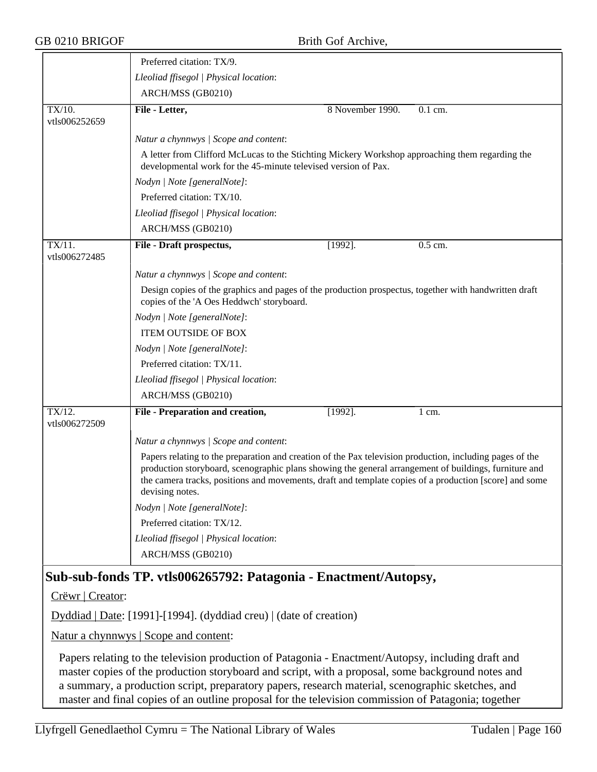|                            | Preferred citation: TX/9.                                                                                                                                                                                                                                                                                                                      |                  |           |
|----------------------------|------------------------------------------------------------------------------------------------------------------------------------------------------------------------------------------------------------------------------------------------------------------------------------------------------------------------------------------------|------------------|-----------|
|                            | Lleoliad ffisegol   Physical location:                                                                                                                                                                                                                                                                                                         |                  |           |
|                            | ARCH/MSS (GB0210)                                                                                                                                                                                                                                                                                                                              |                  |           |
| TX/10.<br>vtls006252659    | File - Letter,                                                                                                                                                                                                                                                                                                                                 | 8 November 1990. | $0.1$ cm. |
|                            | Natur a chynnwys / Scope and content:                                                                                                                                                                                                                                                                                                          |                  |           |
|                            | A letter from Clifford McLucas to the Stichting Mickery Workshop approaching them regarding the<br>developmental work for the 45-minute televised version of Pax.                                                                                                                                                                              |                  |           |
|                            | Nodyn   Note [generalNote]:                                                                                                                                                                                                                                                                                                                    |                  |           |
|                            | Preferred citation: TX/10.                                                                                                                                                                                                                                                                                                                     |                  |           |
|                            | Lleoliad ffisegol   Physical location:                                                                                                                                                                                                                                                                                                         |                  |           |
|                            | ARCH/MSS (GB0210)                                                                                                                                                                                                                                                                                                                              |                  |           |
| TX/11.<br>vtls006272485    | File - Draft prospectus,                                                                                                                                                                                                                                                                                                                       | $[1992]$ .       | 0.5 cm.   |
|                            | Natur a chynnwys / Scope and content:                                                                                                                                                                                                                                                                                                          |                  |           |
|                            | Design copies of the graphics and pages of the production prospectus, together with handwritten draft<br>copies of the 'A Oes Heddwch' storyboard.                                                                                                                                                                                             |                  |           |
|                            | Nodyn   Note [generalNote]:                                                                                                                                                                                                                                                                                                                    |                  |           |
|                            | <b>ITEM OUTSIDE OF BOX</b>                                                                                                                                                                                                                                                                                                                     |                  |           |
|                            | Nodyn   Note [generalNote]:                                                                                                                                                                                                                                                                                                                    |                  |           |
|                            | Preferred citation: TX/11.                                                                                                                                                                                                                                                                                                                     |                  |           |
|                            | Lleoliad ffisegol   Physical location:                                                                                                                                                                                                                                                                                                         |                  |           |
|                            | ARCH/MSS (GB0210)                                                                                                                                                                                                                                                                                                                              |                  |           |
| $TX/12$ .<br>vtls006272509 | File - Preparation and creation,                                                                                                                                                                                                                                                                                                               | $[1992]$ .       | 1 cm.     |
|                            | Natur a chynnwys / Scope and content:                                                                                                                                                                                                                                                                                                          |                  |           |
|                            | Papers relating to the preparation and creation of the Pax television production, including pages of the<br>production storyboard, scenographic plans showing the general arrangement of buildings, furniture and<br>the camera tracks, positions and movements, draft and template copies of a production [score] and some<br>devising notes. |                  |           |
|                            | Nodyn   Note [generalNote]:                                                                                                                                                                                                                                                                                                                    |                  |           |
|                            | Preferred citation: TX/12.                                                                                                                                                                                                                                                                                                                     |                  |           |
|                            | Lleoliad ffisegol   Physical location:                                                                                                                                                                                                                                                                                                         |                  |           |
|                            | ARCH/MSS (GB0210)                                                                                                                                                                                                                                                                                                                              |                  |           |
|                            | Sub-sub-fonds TP. vtls006265792: Patagonia - Enactment/Autopsy,                                                                                                                                                                                                                                                                                |                  |           |

Crëwr | Creator:

Dyddiad | Date: [1991]-[1994]. (dyddiad creu) | (date of creation)

Natur a chynnwys | Scope and content:

Papers relating to the television production of Patagonia - Enactment/Autopsy, including draft and master copies of the production storyboard and script, with a proposal, some background notes and a summary, a production script, preparatory papers, research material, scenographic sketches, and master and final copies of an outline proposal for the television commission of Patagonia; together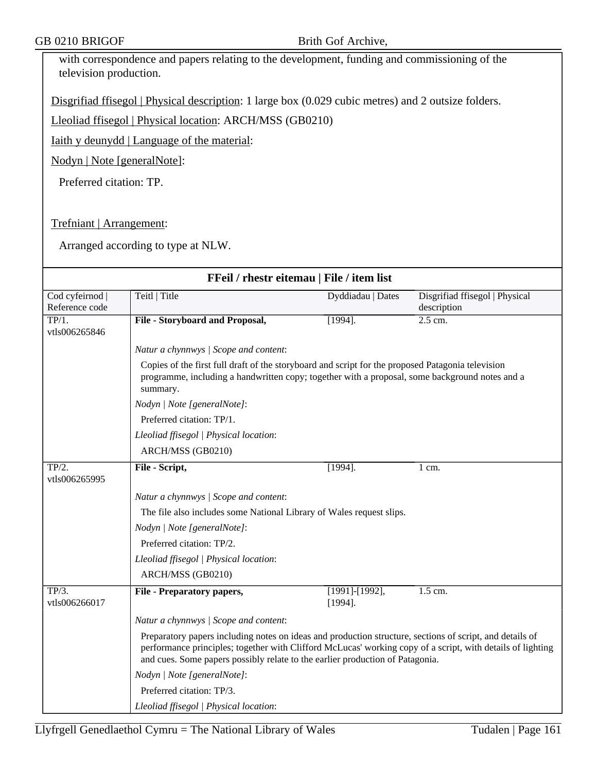| with correspondence and papers relating to the development, funding and commissioning of the |  |
|----------------------------------------------------------------------------------------------|--|
| television production.                                                                       |  |

Disgrifiad ffisegol | Physical description: 1 large box (0.029 cubic metres) and 2 outsize folders.

Lleoliad ffisegol | Physical location: ARCH/MSS (GB0210)

Iaith y deunydd | Language of the material:

Nodyn | Note [generalNote]:

Preferred citation: TP.

Trefniant | Arrangement:

| FFeil / rhestr eitemau   File / item list  |                                                                                                                                                                                                                                                                                                         |                                     |                                               |  |
|--------------------------------------------|---------------------------------------------------------------------------------------------------------------------------------------------------------------------------------------------------------------------------------------------------------------------------------------------------------|-------------------------------------|-----------------------------------------------|--|
| Cod cyfeirnod<br>Reference code            | Teitl   Title                                                                                                                                                                                                                                                                                           | Dyddiadau   Dates                   | Disgrifiad ffisegol   Physical<br>description |  |
| $\overline{\text{TP}/1.}$<br>vtls006265846 | File - Storyboard and Proposal,                                                                                                                                                                                                                                                                         | $[1994]$ .                          | $2.5$ cm.                                     |  |
|                                            | Natur a chynnwys / Scope and content:                                                                                                                                                                                                                                                                   |                                     |                                               |  |
|                                            | Copies of the first full draft of the storyboard and script for the proposed Patagonia television<br>programme, including a handwritten copy; together with a proposal, some background notes and a<br>summary.                                                                                         |                                     |                                               |  |
|                                            | Nodyn   Note [generalNote]:                                                                                                                                                                                                                                                                             |                                     |                                               |  |
|                                            | Preferred citation: TP/1.                                                                                                                                                                                                                                                                               |                                     |                                               |  |
|                                            | Lleoliad ffisegol   Physical location:                                                                                                                                                                                                                                                                  |                                     |                                               |  |
|                                            | ARCH/MSS (GB0210)                                                                                                                                                                                                                                                                                       |                                     |                                               |  |
| TP/2.<br>vtls006265995                     | File - Script,                                                                                                                                                                                                                                                                                          | $[1994]$ .                          | 1 cm.                                         |  |
|                                            | Natur a chynnwys / Scope and content:                                                                                                                                                                                                                                                                   |                                     |                                               |  |
|                                            | The file also includes some National Library of Wales request slips.                                                                                                                                                                                                                                    |                                     |                                               |  |
|                                            | Nodyn   Note [generalNote]:                                                                                                                                                                                                                                                                             |                                     |                                               |  |
|                                            | Preferred citation: TP/2.                                                                                                                                                                                                                                                                               |                                     |                                               |  |
|                                            | Lleoliad ffisegol   Physical location:                                                                                                                                                                                                                                                                  |                                     |                                               |  |
|                                            | ARCH/MSS (GB0210)                                                                                                                                                                                                                                                                                       |                                     |                                               |  |
| TP/3.<br>vtls006266017                     | <b>File - Preparatory papers,</b>                                                                                                                                                                                                                                                                       | $[1991]$ - $[1992]$ ,<br>$[1994]$ . | $1.5$ cm.                                     |  |
|                                            | Natur a chynnwys / Scope and content:                                                                                                                                                                                                                                                                   |                                     |                                               |  |
|                                            | Preparatory papers including notes on ideas and production structure, sections of script, and details of<br>performance principles; together with Clifford McLucas' working copy of a script, with details of lighting<br>and cues. Some papers possibly relate to the earlier production of Patagonia. |                                     |                                               |  |
|                                            | Nodyn   Note [generalNote]:                                                                                                                                                                                                                                                                             |                                     |                                               |  |
|                                            | Preferred citation: TP/3.                                                                                                                                                                                                                                                                               |                                     |                                               |  |
| Lleoliad ffisegol   Physical location:     |                                                                                                                                                                                                                                                                                                         |                                     |                                               |  |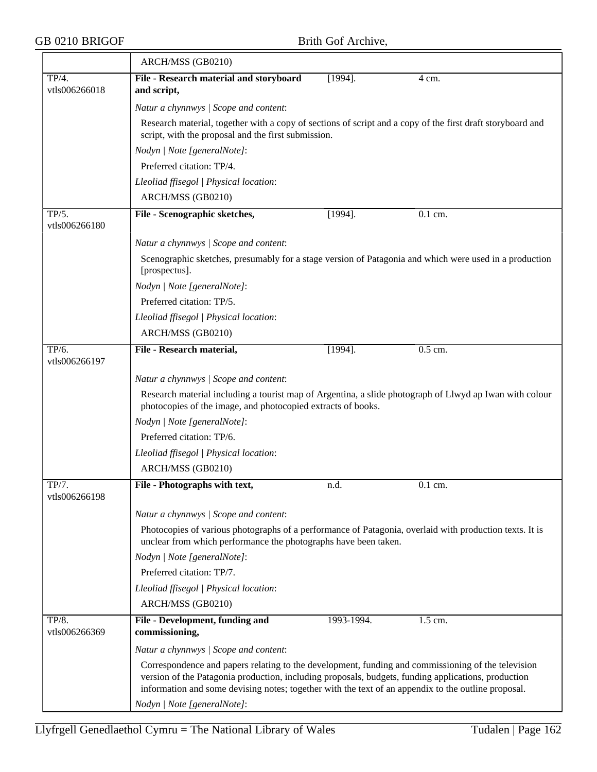|                        | ARCH/MSS (GB0210)                                                                                                                                                                                                                                                                                                |                                                                                                                                                                   |           |  |  |  |
|------------------------|------------------------------------------------------------------------------------------------------------------------------------------------------------------------------------------------------------------------------------------------------------------------------------------------------------------|-------------------------------------------------------------------------------------------------------------------------------------------------------------------|-----------|--|--|--|
| TP/4.<br>vtls006266018 | File - Research material and storyboard<br>and script,                                                                                                                                                                                                                                                           | $[1994]$ .                                                                                                                                                        | 4 cm.     |  |  |  |
|                        | Natur a chynnwys / Scope and content:                                                                                                                                                                                                                                                                            |                                                                                                                                                                   |           |  |  |  |
|                        |                                                                                                                                                                                                                                                                                                                  | Research material, together with a copy of sections of script and a copy of the first draft storyboard and<br>script, with the proposal and the first submission. |           |  |  |  |
|                        | Nodyn   Note [generalNote]:                                                                                                                                                                                                                                                                                      |                                                                                                                                                                   |           |  |  |  |
|                        | Preferred citation: TP/4.                                                                                                                                                                                                                                                                                        |                                                                                                                                                                   |           |  |  |  |
|                        | Lleoliad ffisegol   Physical location:                                                                                                                                                                                                                                                                           |                                                                                                                                                                   |           |  |  |  |
|                        | ARCH/MSS (GB0210)                                                                                                                                                                                                                                                                                                |                                                                                                                                                                   |           |  |  |  |
| TP/5.<br>vtls006266180 | File - Scenographic sketches,                                                                                                                                                                                                                                                                                    | $[1994]$ .                                                                                                                                                        | 0.1 cm.   |  |  |  |
|                        | Natur a chynnwys / Scope and content:                                                                                                                                                                                                                                                                            |                                                                                                                                                                   |           |  |  |  |
|                        | Scenographic sketches, presumably for a stage version of Patagonia and which were used in a production<br>[prospectus].                                                                                                                                                                                          |                                                                                                                                                                   |           |  |  |  |
|                        | Nodyn   Note [generalNote]:                                                                                                                                                                                                                                                                                      |                                                                                                                                                                   |           |  |  |  |
|                        | Preferred citation: TP/5.                                                                                                                                                                                                                                                                                        |                                                                                                                                                                   |           |  |  |  |
|                        | Lleoliad ffisegol   Physical location:                                                                                                                                                                                                                                                                           |                                                                                                                                                                   |           |  |  |  |
|                        | ARCH/MSS (GB0210)                                                                                                                                                                                                                                                                                                |                                                                                                                                                                   |           |  |  |  |
| TP/6.<br>vtls006266197 | File - Research material,                                                                                                                                                                                                                                                                                        | $[1994]$ .                                                                                                                                                        | $0.5$ cm. |  |  |  |
|                        | Natur a chynnwys / Scope and content:                                                                                                                                                                                                                                                                            |                                                                                                                                                                   |           |  |  |  |
|                        | Research material including a tourist map of Argentina, a slide photograph of Llwyd ap Iwan with colour<br>photocopies of the image, and photocopied extracts of books.                                                                                                                                          |                                                                                                                                                                   |           |  |  |  |
|                        | Nodyn   Note [generalNote]:                                                                                                                                                                                                                                                                                      |                                                                                                                                                                   |           |  |  |  |
|                        | Preferred citation: TP/6.                                                                                                                                                                                                                                                                                        |                                                                                                                                                                   |           |  |  |  |
|                        | Lleoliad ffisegol   Physical location:                                                                                                                                                                                                                                                                           |                                                                                                                                                                   |           |  |  |  |
|                        | ARCH/MSS (GB0210)                                                                                                                                                                                                                                                                                                |                                                                                                                                                                   |           |  |  |  |
| TP/7.<br>vtls006266198 | File - Photographs with text,                                                                                                                                                                                                                                                                                    | n.d.                                                                                                                                                              | $0.1$ cm. |  |  |  |
|                        | Natur a chynnwys / Scope and content:                                                                                                                                                                                                                                                                            |                                                                                                                                                                   |           |  |  |  |
|                        | Photocopies of various photographs of a performance of Patagonia, overlaid with production texts. It is<br>unclear from which performance the photographs have been taken.                                                                                                                                       |                                                                                                                                                                   |           |  |  |  |
|                        | Nodyn   Note [generalNote]:                                                                                                                                                                                                                                                                                      |                                                                                                                                                                   |           |  |  |  |
|                        | Preferred citation: TP/7.                                                                                                                                                                                                                                                                                        |                                                                                                                                                                   |           |  |  |  |
|                        | Lleoliad ffisegol   Physical location:                                                                                                                                                                                                                                                                           |                                                                                                                                                                   |           |  |  |  |
|                        | ARCH/MSS (GB0210)                                                                                                                                                                                                                                                                                                |                                                                                                                                                                   |           |  |  |  |
| TP/8.<br>vtls006266369 | File - Development, funding and<br>commissioning,                                                                                                                                                                                                                                                                | 1993-1994.                                                                                                                                                        | 1.5 cm.   |  |  |  |
|                        | Natur a chynnwys / Scope and content:                                                                                                                                                                                                                                                                            |                                                                                                                                                                   |           |  |  |  |
|                        | Correspondence and papers relating to the development, funding and commissioning of the television<br>version of the Patagonia production, including proposals, budgets, funding applications, production<br>information and some devising notes; together with the text of an appendix to the outline proposal. |                                                                                                                                                                   |           |  |  |  |
|                        | Nodyn   Note [generalNote]:                                                                                                                                                                                                                                                                                      |                                                                                                                                                                   |           |  |  |  |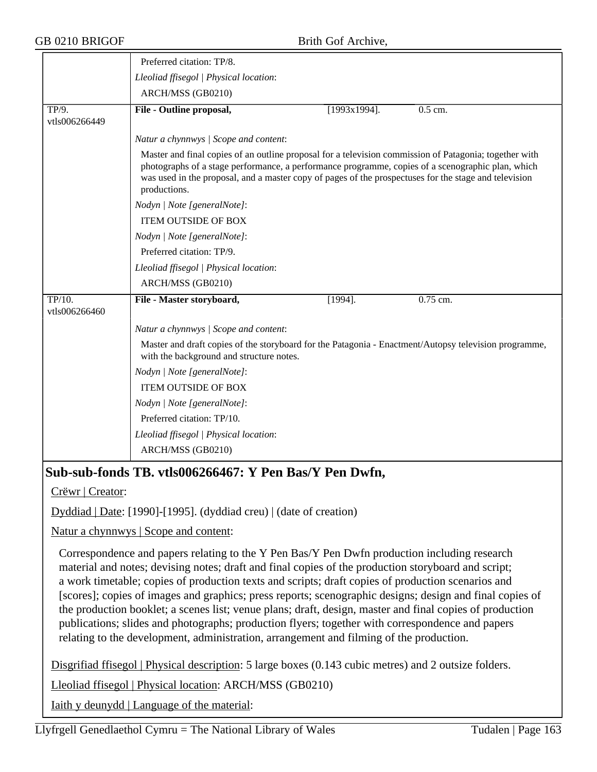|                         | Preferred citation: TP/8.                                                                                                                                                                                                                                                                                                            |                 |            |
|-------------------------|--------------------------------------------------------------------------------------------------------------------------------------------------------------------------------------------------------------------------------------------------------------------------------------------------------------------------------------|-----------------|------------|
|                         | Lleoliad ffisegol   Physical location:                                                                                                                                                                                                                                                                                               |                 |            |
|                         | ARCH/MSS (GB0210)                                                                                                                                                                                                                                                                                                                    |                 |            |
| TP/9.<br>vtls006266449  | File - Outline proposal,                                                                                                                                                                                                                                                                                                             | $[1993x1994]$ . | $0.5$ cm.  |
|                         | Natur a chynnwys / Scope and content:                                                                                                                                                                                                                                                                                                |                 |            |
|                         | Master and final copies of an outline proposal for a television commission of Patagonia; together with<br>photographs of a stage performance, a performance programme, copies of a scenographic plan, which<br>was used in the proposal, and a master copy of pages of the prospectuses for the stage and television<br>productions. |                 |            |
|                         | Nodyn   Note [generalNote]:                                                                                                                                                                                                                                                                                                          |                 |            |
|                         | <b>ITEM OUTSIDE OF BOX</b>                                                                                                                                                                                                                                                                                                           |                 |            |
|                         | Nodyn   Note [generalNote]:                                                                                                                                                                                                                                                                                                          |                 |            |
|                         | Preferred citation: TP/9.                                                                                                                                                                                                                                                                                                            |                 |            |
|                         | Lleoliad ffisegol   Physical location:                                                                                                                                                                                                                                                                                               |                 |            |
|                         | ARCH/MSS (GB0210)                                                                                                                                                                                                                                                                                                                    |                 |            |
| TP/10.<br>vtls006266460 | File - Master storyboard,                                                                                                                                                                                                                                                                                                            | $[1994]$ .      | $0.75$ cm. |
|                         | Natur a chynnwys / Scope and content:                                                                                                                                                                                                                                                                                                |                 |            |
|                         | Master and draft copies of the storyboard for the Patagonia - Enactment/Autopsy television programme,<br>with the background and structure notes.                                                                                                                                                                                    |                 |            |
|                         | Nodyn   Note [generalNote]:                                                                                                                                                                                                                                                                                                          |                 |            |
|                         | <b>ITEM OUTSIDE OF BOX</b>                                                                                                                                                                                                                                                                                                           |                 |            |
|                         | Nodyn   Note [generalNote]:                                                                                                                                                                                                                                                                                                          |                 |            |
|                         | Preferred citation: TP/10.                                                                                                                                                                                                                                                                                                           |                 |            |
|                         | Lleoliad ffisegol   Physical location:                                                                                                                                                                                                                                                                                               |                 |            |
|                         | ARCH/MSS (GB0210)                                                                                                                                                                                                                                                                                                                    |                 |            |

## **Sub-sub-fonds TB. vtls006266467: Y Pen Bas/Y Pen Dwfn,**

Crëwr | Creator:

Dyddiad | Date: [1990]-[1995]. (dyddiad creu) | (date of creation)

Natur a chynnwys | Scope and content:

Correspondence and papers relating to the Y Pen Bas/Y Pen Dwfn production including research material and notes; devising notes; draft and final copies of the production storyboard and script; a work timetable; copies of production texts and scripts; draft copies of production scenarios and [scores]; copies of images and graphics; press reports; scenographic designs; design and final copies of the production booklet; a scenes list; venue plans; draft, design, master and final copies of production publications; slides and photographs; production flyers; together with correspondence and papers relating to the development, administration, arrangement and filming of the production.

Disgrifiad ffisegol | Physical description: 5 large boxes (0.143 cubic metres) and 2 outsize folders.

Lleoliad ffisegol | Physical location: ARCH/MSS (GB0210)

Iaith y deunydd | Language of the material: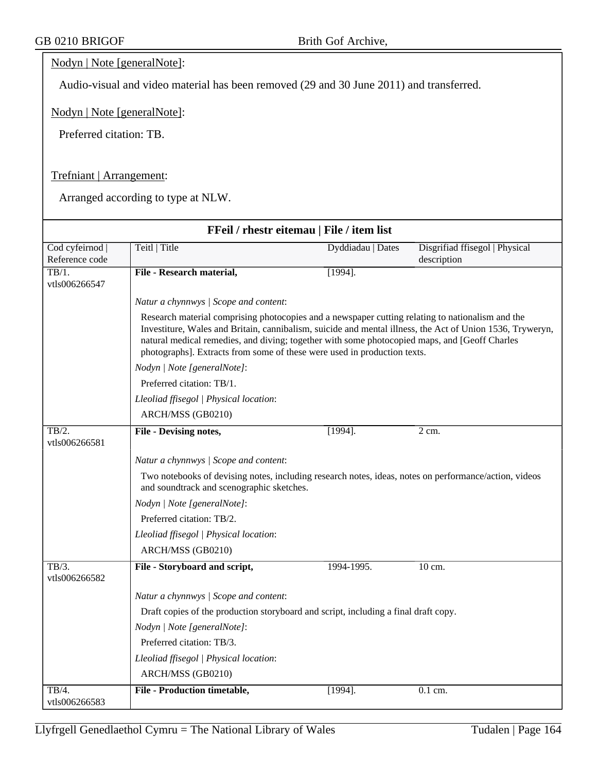#### Nodyn | Note [generalNote]:

Audio-visual and video material has been removed (29 and 30 June 2011) and transferred.

Nodyn | Note [generalNote]:

Preferred citation: TB.

#### Trefniant | Arrangement:

| FFeil / rhestr eitemau   File / item list  |                                                                                                                                                                                                                                                                                                                                                                                            |                   |                                               |  |
|--------------------------------------------|--------------------------------------------------------------------------------------------------------------------------------------------------------------------------------------------------------------------------------------------------------------------------------------------------------------------------------------------------------------------------------------------|-------------------|-----------------------------------------------|--|
| Cod cyfeirnod  <br>Reference code          | Teitl   Title                                                                                                                                                                                                                                                                                                                                                                              | Dyddiadau   Dates | Disgrifiad ffisegol   Physical<br>description |  |
| TB/1.<br>vtls006266547                     | File - Research material,                                                                                                                                                                                                                                                                                                                                                                  | $[1994]$ .        |                                               |  |
|                                            | Natur a chynnwys / Scope and content:                                                                                                                                                                                                                                                                                                                                                      |                   |                                               |  |
|                                            | Research material comprising photocopies and a newspaper cutting relating to nationalism and the<br>Investiture, Wales and Britain, cannibalism, suicide and mental illness, the Act of Union 1536, Tryweryn,<br>natural medical remedies, and diving; together with some photocopied maps, and [Geoff Charles<br>photographs]. Extracts from some of these were used in production texts. |                   |                                               |  |
|                                            | Nodyn   Note [generalNote]:                                                                                                                                                                                                                                                                                                                                                                |                   |                                               |  |
|                                            | Preferred citation: TB/1.                                                                                                                                                                                                                                                                                                                                                                  |                   |                                               |  |
|                                            | Lleoliad ffisegol   Physical location:                                                                                                                                                                                                                                                                                                                                                     |                   |                                               |  |
|                                            | ARCH/MSS (GB0210)                                                                                                                                                                                                                                                                                                                                                                          |                   |                                               |  |
| TB/2.<br>vtls006266581                     | <b>File - Devising notes,</b>                                                                                                                                                                                                                                                                                                                                                              | $[1994]$ .        | $2 \text{ cm}$ .                              |  |
|                                            | Natur a chynnwys / Scope and content:                                                                                                                                                                                                                                                                                                                                                      |                   |                                               |  |
|                                            | Two notebooks of devising notes, including research notes, ideas, notes on performance/action, videos<br>and soundtrack and scenographic sketches.                                                                                                                                                                                                                                         |                   |                                               |  |
|                                            | Nodyn   Note [generalNote]:                                                                                                                                                                                                                                                                                                                                                                |                   |                                               |  |
|                                            | Preferred citation: TB/2.                                                                                                                                                                                                                                                                                                                                                                  |                   |                                               |  |
|                                            | Lleoliad ffisegol   Physical location:                                                                                                                                                                                                                                                                                                                                                     |                   |                                               |  |
|                                            | ARCH/MSS (GB0210)                                                                                                                                                                                                                                                                                                                                                                          |                   |                                               |  |
| $\overline{\text{TB}/3.}$<br>vtls006266582 | File - Storyboard and script,                                                                                                                                                                                                                                                                                                                                                              | 1994-1995.        | 10 cm.                                        |  |
|                                            | Natur a chynnwys / Scope and content:                                                                                                                                                                                                                                                                                                                                                      |                   |                                               |  |
|                                            | Draft copies of the production storyboard and script, including a final draft copy.                                                                                                                                                                                                                                                                                                        |                   |                                               |  |
|                                            | Nodyn   Note [generalNote]:                                                                                                                                                                                                                                                                                                                                                                |                   |                                               |  |
|                                            | Preferred citation: TB/3.                                                                                                                                                                                                                                                                                                                                                                  |                   |                                               |  |
|                                            | Lleoliad ffisegol   Physical location:                                                                                                                                                                                                                                                                                                                                                     |                   |                                               |  |
|                                            | ARCH/MSS (GB0210)                                                                                                                                                                                                                                                                                                                                                                          |                   |                                               |  |
| TB/4.<br>vtls006266583                     | <b>File - Production timetable,</b>                                                                                                                                                                                                                                                                                                                                                        | $[1994]$ .        | $0.1$ cm.                                     |  |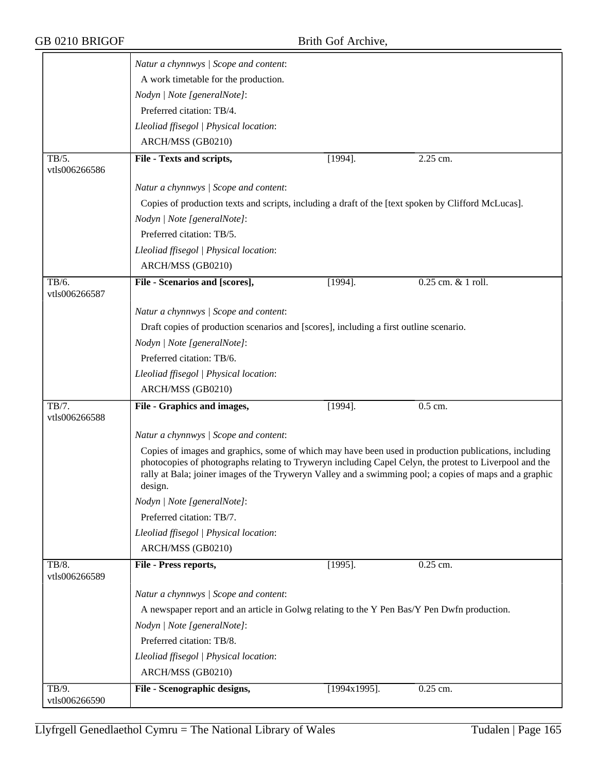|                        | Natur a chynnwys / Scope and content:                                                                              |                      |                                                                                                                                                                                                                  |
|------------------------|--------------------------------------------------------------------------------------------------------------------|----------------------|------------------------------------------------------------------------------------------------------------------------------------------------------------------------------------------------------------------|
|                        | A work timetable for the production.                                                                               |                      |                                                                                                                                                                                                                  |
|                        | Nodyn   Note [generalNote]:                                                                                        |                      |                                                                                                                                                                                                                  |
|                        | Preferred citation: TB/4.                                                                                          |                      |                                                                                                                                                                                                                  |
|                        | Lleoliad ffisegol   Physical location:                                                                             |                      |                                                                                                                                                                                                                  |
|                        | ARCH/MSS (GB0210)                                                                                                  |                      |                                                                                                                                                                                                                  |
| TB/5.                  | File - Texts and scripts,                                                                                          | $[1994]$ .           | 2.25 cm.                                                                                                                                                                                                         |
| vtls006266586          |                                                                                                                    |                      |                                                                                                                                                                                                                  |
|                        | Natur a chynnwys / Scope and content:                                                                              |                      |                                                                                                                                                                                                                  |
|                        | Copies of production texts and scripts, including a draft of the [text spoken by Clifford McLucas].                |                      |                                                                                                                                                                                                                  |
|                        | Nodyn   Note [generalNote]:                                                                                        |                      |                                                                                                                                                                                                                  |
|                        | Preferred citation: TB/5.                                                                                          |                      |                                                                                                                                                                                                                  |
|                        | Lleoliad ffisegol   Physical location:                                                                             |                      |                                                                                                                                                                                                                  |
|                        | ARCH/MSS (GB0210)                                                                                                  |                      |                                                                                                                                                                                                                  |
| TB/6.<br>vtls006266587 | File - Scenarios and [scores],                                                                                     | $[1994]$ .           | 0.25 cm. & 1 roll.                                                                                                                                                                                               |
|                        | Natur a chynnwys / Scope and content:                                                                              |                      |                                                                                                                                                                                                                  |
|                        | Draft copies of production scenarios and [scores], including a first outline scenario.                             |                      |                                                                                                                                                                                                                  |
|                        | Nodyn   Note [generalNote]:                                                                                        |                      |                                                                                                                                                                                                                  |
|                        | Preferred citation: TB/6.                                                                                          |                      |                                                                                                                                                                                                                  |
|                        | Lleoliad ffisegol   Physical location:                                                                             |                      |                                                                                                                                                                                                                  |
|                        | ARCH/MSS (GB0210)                                                                                                  |                      |                                                                                                                                                                                                                  |
| TB/7.                  | File - Graphics and images,                                                                                        | $[1994]$ .           | 0.5 cm.                                                                                                                                                                                                          |
| vtls006266588          |                                                                                                                    |                      |                                                                                                                                                                                                                  |
|                        | Natur a chynnwys / Scope and content:                                                                              |                      |                                                                                                                                                                                                                  |
|                        | photocopies of photographs relating to Tryweryn including Capel Celyn, the protest to Liverpool and the<br>design. |                      | Copies of images and graphics, some of which may have been used in production publications, including<br>rally at Bala; joiner images of the Tryweryn Valley and a swimming pool; a copies of maps and a graphic |
|                        | Nodyn   Note [generalNote]:                                                                                        |                      |                                                                                                                                                                                                                  |
|                        | Preferred citation: TB/7.                                                                                          |                      |                                                                                                                                                                                                                  |
|                        | Lleoliad ffisegol   Physical location:                                                                             |                      |                                                                                                                                                                                                                  |
|                        | ARCH/MSS (GB0210)                                                                                                  |                      |                                                                                                                                                                                                                  |
| TB/8.<br>vtls006266589 | File - Press reports,                                                                                              | $[1995]$ .           | $0.25$ cm.                                                                                                                                                                                                       |
|                        | Natur a chynnwys / Scope and content:                                                                              |                      |                                                                                                                                                                                                                  |
|                        | A newspaper report and an article in Golwg relating to the Y Pen Bas/Y Pen Dwfn production.                        |                      |                                                                                                                                                                                                                  |
|                        | Nodyn   Note [generalNote]:                                                                                        |                      |                                                                                                                                                                                                                  |
|                        | Preferred citation: TB/8.                                                                                          |                      |                                                                                                                                                                                                                  |
|                        | Lleoliad ffisegol   Physical location:                                                                             |                      |                                                                                                                                                                                                                  |
|                        | ARCH/MSS (GB0210)                                                                                                  |                      |                                                                                                                                                                                                                  |
| TB/9.                  |                                                                                                                    | $\sqrt{1994x1995}$ . |                                                                                                                                                                                                                  |
| vtls006266590          | File - Scenographic designs,                                                                                       |                      | 0.25 cm.                                                                                                                                                                                                         |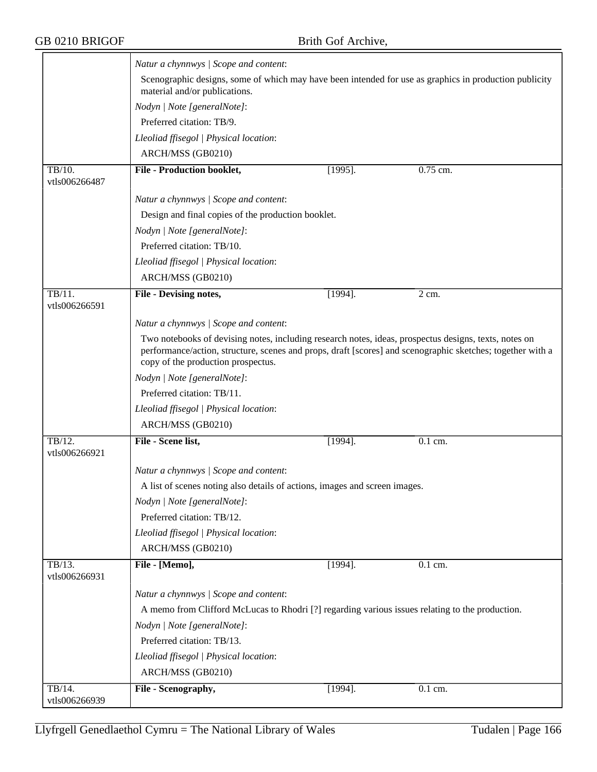$\overline{\phantom{a}}$ 

|                                              | Natur a chynnwys / Scope and content:                                                                                                       |            |                                                                                                            |  |  |
|----------------------------------------------|---------------------------------------------------------------------------------------------------------------------------------------------|------------|------------------------------------------------------------------------------------------------------------|--|--|
|                                              | material and/or publications.                                                                                                               |            | Scenographic designs, some of which may have been intended for use as graphics in production publicity     |  |  |
|                                              | Nodyn   Note [generalNote]:                                                                                                                 |            |                                                                                                            |  |  |
|                                              | Preferred citation: TB/9.                                                                                                                   |            |                                                                                                            |  |  |
|                                              | Lleoliad ffisegol   Physical location:                                                                                                      |            |                                                                                                            |  |  |
|                                              | ARCH/MSS (GB0210)                                                                                                                           |            |                                                                                                            |  |  |
| TB/10.<br>vtls006266487                      | <b>File - Production booklet,</b>                                                                                                           | $[1995]$ . | 0.75 cm.                                                                                                   |  |  |
|                                              | Natur a chynnwys / Scope and content:                                                                                                       |            |                                                                                                            |  |  |
|                                              | Design and final copies of the production booklet.                                                                                          |            |                                                                                                            |  |  |
|                                              | Nodyn   Note [generalNote]:                                                                                                                 |            |                                                                                                            |  |  |
|                                              | Preferred citation: TB/10.                                                                                                                  |            |                                                                                                            |  |  |
|                                              | Lleoliad ffisegol   Physical location:                                                                                                      |            |                                                                                                            |  |  |
|                                              | ARCH/MSS (GB0210)                                                                                                                           |            |                                                                                                            |  |  |
| $\overline{\text{TB}/11}$ .<br>vtls006266591 | File - Devising notes,                                                                                                                      | $[1994]$ . | 2 cm.                                                                                                      |  |  |
|                                              | Natur a chynnwys / Scope and content:                                                                                                       |            |                                                                                                            |  |  |
|                                              | Two notebooks of devising notes, including research notes, ideas, prospectus designs, texts, notes on<br>copy of the production prospectus. |            | performance/action, structure, scenes and props, draft [scores] and scenographic sketches; together with a |  |  |
|                                              | Nodyn   Note [generalNote]:                                                                                                                 |            |                                                                                                            |  |  |
|                                              | Preferred citation: TB/11.                                                                                                                  |            |                                                                                                            |  |  |
|                                              | Lleoliad ffisegol   Physical location:                                                                                                      |            |                                                                                                            |  |  |
|                                              | ARCH/MSS (GB0210)                                                                                                                           |            |                                                                                                            |  |  |
| TB/12.<br>vtls006266921                      | File - Scene list,                                                                                                                          | $[1994]$ . | 0.1 cm.                                                                                                    |  |  |
|                                              | Natur a chynnwys / Scope and content:                                                                                                       |            |                                                                                                            |  |  |
|                                              | A list of scenes noting also details of actions, images and screen images.                                                                  |            |                                                                                                            |  |  |
|                                              | Nodyn   Note [generalNote]:                                                                                                                 |            |                                                                                                            |  |  |
|                                              | Preferred citation: TB/12.                                                                                                                  |            |                                                                                                            |  |  |
|                                              | Lleoliad ffisegol   Physical location:                                                                                                      |            |                                                                                                            |  |  |
|                                              | ARCH/MSS (GB0210)                                                                                                                           |            |                                                                                                            |  |  |
| TB/13.<br>vtls006266931                      | File - [Memo],                                                                                                                              | $[1994]$ . | 0.1 cm.                                                                                                    |  |  |
|                                              | Natur a chynnwys / Scope and content:                                                                                                       |            |                                                                                                            |  |  |
|                                              | A memo from Clifford McLucas to Rhodri [?] regarding various issues relating to the production.                                             |            |                                                                                                            |  |  |
|                                              | Nodyn   Note [generalNote]:                                                                                                                 |            |                                                                                                            |  |  |
|                                              | Preferred citation: TB/13.                                                                                                                  |            |                                                                                                            |  |  |
|                                              | Lleoliad ffisegol   Physical location:                                                                                                      |            |                                                                                                            |  |  |
|                                              | ARCH/MSS (GB0210)                                                                                                                           |            |                                                                                                            |  |  |
| TB/14.<br>vtls006266939                      | File - Scenography,                                                                                                                         | $[1994]$ . | 0.1 cm.                                                                                                    |  |  |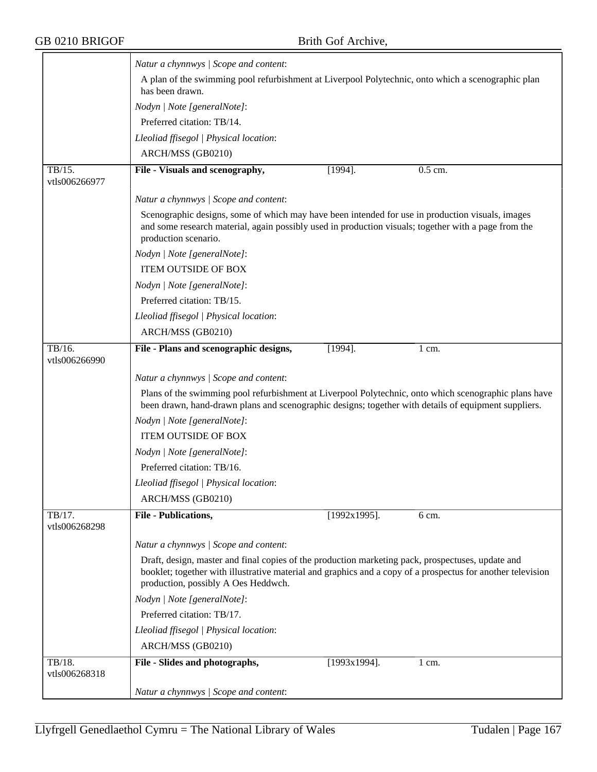|                         | Natur a chynnwys / Scope and content:                                                                                                                                                                                                                   |                 |                      |
|-------------------------|---------------------------------------------------------------------------------------------------------------------------------------------------------------------------------------------------------------------------------------------------------|-----------------|----------------------|
|                         | A plan of the swimming pool refurbishment at Liverpool Polytechnic, onto which a scenographic plan<br>has been drawn.                                                                                                                                   |                 |                      |
|                         | Nodyn   Note [generalNote]:                                                                                                                                                                                                                             |                 |                      |
|                         | Preferred citation: TB/14.                                                                                                                                                                                                                              |                 |                      |
|                         | Lleoliad ffisegol   Physical location:                                                                                                                                                                                                                  |                 |                      |
|                         | ARCH/MSS (GB0210)                                                                                                                                                                                                                                       |                 |                      |
| TB/15.                  | File - Visuals and scenography,                                                                                                                                                                                                                         | $[1994]$ .      | $\overline{0.5}$ cm. |
| vtls006266977           |                                                                                                                                                                                                                                                         |                 |                      |
|                         | Natur a chynnwys / Scope and content:                                                                                                                                                                                                                   |                 |                      |
|                         | Scenographic designs, some of which may have been intended for use in production visuals, images<br>and some research material, again possibly used in production visuals; together with a page from the<br>production scenario.                        |                 |                      |
|                         | Nodyn   Note [generalNote]:                                                                                                                                                                                                                             |                 |                      |
|                         | <b>ITEM OUTSIDE OF BOX</b>                                                                                                                                                                                                                              |                 |                      |
|                         | Nodyn   Note [generalNote]:                                                                                                                                                                                                                             |                 |                      |
|                         | Preferred citation: TB/15.                                                                                                                                                                                                                              |                 |                      |
|                         | Lleoliad ffisegol   Physical location:                                                                                                                                                                                                                  |                 |                      |
|                         | ARCH/MSS (GB0210)                                                                                                                                                                                                                                       |                 |                      |
| TB/16.<br>vtls006266990 | File - Plans and scenographic designs,                                                                                                                                                                                                                  | $[1994]$ .      | $1 \text{ cm}$ .     |
|                         | Natur a chynnwys / Scope and content:                                                                                                                                                                                                                   |                 |                      |
|                         | Plans of the swimming pool refurbishment at Liverpool Polytechnic, onto which scenographic plans have                                                                                                                                                   |                 |                      |
|                         | been drawn, hand-drawn plans and scenographic designs; together with details of equipment suppliers.                                                                                                                                                    |                 |                      |
|                         | Nodyn   Note [generalNote]:                                                                                                                                                                                                                             |                 |                      |
|                         | <b>ITEM OUTSIDE OF BOX</b>                                                                                                                                                                                                                              |                 |                      |
|                         | Nodyn   Note [generalNote]:                                                                                                                                                                                                                             |                 |                      |
|                         | Preferred citation: TB/16.                                                                                                                                                                                                                              |                 |                      |
|                         | Lleoliad ffisegol   Physical location:                                                                                                                                                                                                                  |                 |                      |
|                         | ARCH/MSS (GB0210)                                                                                                                                                                                                                                       |                 |                      |
| TB/17.<br>vtls006268298 | <b>File - Publications,</b>                                                                                                                                                                                                                             | $[1992x1995]$ . | 6 cm.                |
|                         | Natur a chynnwys / Scope and content:                                                                                                                                                                                                                   |                 |                      |
|                         | Draft, design, master and final copies of the production marketing pack, prospectuses, update and<br>booklet; together with illustrative material and graphics and a copy of a prospectus for another television<br>production, possibly A Oes Heddwch. |                 |                      |
|                         | Nodyn   Note [generalNote]:                                                                                                                                                                                                                             |                 |                      |
|                         | Preferred citation: TB/17.                                                                                                                                                                                                                              |                 |                      |
|                         | Lleoliad ffisegol   Physical location:                                                                                                                                                                                                                  |                 |                      |
|                         | ARCH/MSS (GB0210)                                                                                                                                                                                                                                       |                 |                      |
| TB/18.                  | File - Slides and photographs,                                                                                                                                                                                                                          | $[1993x1994]$ . | 1 cm.                |
| vtls006268318           |                                                                                                                                                                                                                                                         |                 |                      |
|                         | Natur a chynnwys / Scope and content:                                                                                                                                                                                                                   |                 |                      |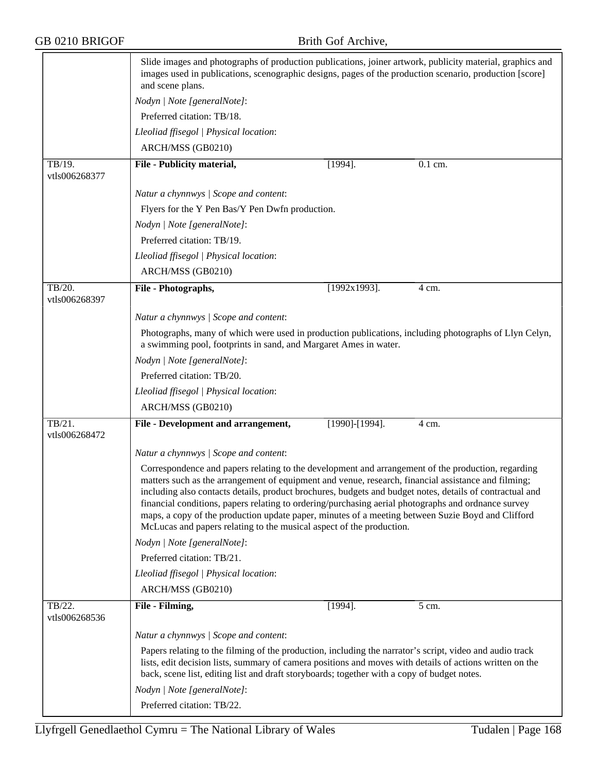|                         | Slide images and photographs of production publications, joiner artwork, publicity material, graphics and<br>images used in publications, scenographic designs, pages of the production scenario, production [score]<br>and scene plans.                                                                                                                                                                                                                                                                                                                                                                  |                                                                                                                                                                                                                                                                                                                     |         |  |  |  |
|-------------------------|-----------------------------------------------------------------------------------------------------------------------------------------------------------------------------------------------------------------------------------------------------------------------------------------------------------------------------------------------------------------------------------------------------------------------------------------------------------------------------------------------------------------------------------------------------------------------------------------------------------|---------------------------------------------------------------------------------------------------------------------------------------------------------------------------------------------------------------------------------------------------------------------------------------------------------------------|---------|--|--|--|
|                         | Nodyn   Note [generalNote]:                                                                                                                                                                                                                                                                                                                                                                                                                                                                                                                                                                               |                                                                                                                                                                                                                                                                                                                     |         |  |  |  |
|                         | Preferred citation: TB/18.                                                                                                                                                                                                                                                                                                                                                                                                                                                                                                                                                                                |                                                                                                                                                                                                                                                                                                                     |         |  |  |  |
|                         | Lleoliad ffisegol   Physical location:                                                                                                                                                                                                                                                                                                                                                                                                                                                                                                                                                                    |                                                                                                                                                                                                                                                                                                                     |         |  |  |  |
| TB/19.<br>vtls006268377 | ARCH/MSS (GB0210)                                                                                                                                                                                                                                                                                                                                                                                                                                                                                                                                                                                         |                                                                                                                                                                                                                                                                                                                     |         |  |  |  |
|                         | File - Publicity material,                                                                                                                                                                                                                                                                                                                                                                                                                                                                                                                                                                                | $[1994]$ .                                                                                                                                                                                                                                                                                                          | 0.1 cm. |  |  |  |
|                         | Natur a chynnwys / Scope and content:                                                                                                                                                                                                                                                                                                                                                                                                                                                                                                                                                                     |                                                                                                                                                                                                                                                                                                                     |         |  |  |  |
|                         | Flyers for the Y Pen Bas/Y Pen Dwfn production.                                                                                                                                                                                                                                                                                                                                                                                                                                                                                                                                                           |                                                                                                                                                                                                                                                                                                                     |         |  |  |  |
|                         | Nodyn   Note [generalNote]:                                                                                                                                                                                                                                                                                                                                                                                                                                                                                                                                                                               |                                                                                                                                                                                                                                                                                                                     |         |  |  |  |
|                         | Preferred citation: TB/19.                                                                                                                                                                                                                                                                                                                                                                                                                                                                                                                                                                                |                                                                                                                                                                                                                                                                                                                     |         |  |  |  |
|                         | Lleoliad ffisegol   Physical location:                                                                                                                                                                                                                                                                                                                                                                                                                                                                                                                                                                    |                                                                                                                                                                                                                                                                                                                     |         |  |  |  |
|                         | ARCH/MSS (GB0210)                                                                                                                                                                                                                                                                                                                                                                                                                                                                                                                                                                                         |                                                                                                                                                                                                                                                                                                                     |         |  |  |  |
| TB/20.<br>vtls006268397 | File - Photographs,                                                                                                                                                                                                                                                                                                                                                                                                                                                                                                                                                                                       | $[1992x1993]$ .                                                                                                                                                                                                                                                                                                     | 4 cm.   |  |  |  |
|                         | Natur a chynnwys / Scope and content:                                                                                                                                                                                                                                                                                                                                                                                                                                                                                                                                                                     |                                                                                                                                                                                                                                                                                                                     |         |  |  |  |
|                         | Photographs, many of which were used in production publications, including photographs of Llyn Celyn,                                                                                                                                                                                                                                                                                                                                                                                                                                                                                                     |                                                                                                                                                                                                                                                                                                                     |         |  |  |  |
|                         | a swimming pool, footprints in sand, and Margaret Ames in water.                                                                                                                                                                                                                                                                                                                                                                                                                                                                                                                                          |                                                                                                                                                                                                                                                                                                                     |         |  |  |  |
|                         | Nodyn   Note [generalNote]:                                                                                                                                                                                                                                                                                                                                                                                                                                                                                                                                                                               |                                                                                                                                                                                                                                                                                                                     |         |  |  |  |
|                         | Preferred citation: TB/20.                                                                                                                                                                                                                                                                                                                                                                                                                                                                                                                                                                                |                                                                                                                                                                                                                                                                                                                     |         |  |  |  |
|                         | Lleoliad ffisegol   Physical location:                                                                                                                                                                                                                                                                                                                                                                                                                                                                                                                                                                    |                                                                                                                                                                                                                                                                                                                     |         |  |  |  |
|                         | ARCH/MSS (GB0210)                                                                                                                                                                                                                                                                                                                                                                                                                                                                                                                                                                                         |                                                                                                                                                                                                                                                                                                                     |         |  |  |  |
| TB/21.<br>vtls006268472 | File - Development and arrangement,                                                                                                                                                                                                                                                                                                                                                                                                                                                                                                                                                                       | $[1990]$ - $[1994]$ .                                                                                                                                                                                                                                                                                               | 4 cm.   |  |  |  |
|                         | Natur a chynnwys / Scope and content:                                                                                                                                                                                                                                                                                                                                                                                                                                                                                                                                                                     |                                                                                                                                                                                                                                                                                                                     |         |  |  |  |
|                         | Correspondence and papers relating to the development and arrangement of the production, regarding<br>matters such as the arrangement of equipment and venue, research, financial assistance and filming;<br>including also contacts details, product brochures, budgets and budget notes, details of contractual and<br>financial conditions, papers relating to ordering/purchasing aerial photographs and ordnance survey<br>maps, a copy of the production update paper, minutes of a meeting between Suzie Boyd and Clifford<br>McLucas and papers relating to the musical aspect of the production. |                                                                                                                                                                                                                                                                                                                     |         |  |  |  |
|                         | Nodyn   Note [generalNote]:                                                                                                                                                                                                                                                                                                                                                                                                                                                                                                                                                                               |                                                                                                                                                                                                                                                                                                                     |         |  |  |  |
|                         | Preferred citation: TB/21.                                                                                                                                                                                                                                                                                                                                                                                                                                                                                                                                                                                |                                                                                                                                                                                                                                                                                                                     |         |  |  |  |
|                         | Lleoliad ffisegol   Physical location:                                                                                                                                                                                                                                                                                                                                                                                                                                                                                                                                                                    |                                                                                                                                                                                                                                                                                                                     |         |  |  |  |
|                         | ARCH/MSS (GB0210)                                                                                                                                                                                                                                                                                                                                                                                                                                                                                                                                                                                         |                                                                                                                                                                                                                                                                                                                     |         |  |  |  |
| TB/22.<br>vtls006268536 | File - Filming,                                                                                                                                                                                                                                                                                                                                                                                                                                                                                                                                                                                           | $[1994]$ .                                                                                                                                                                                                                                                                                                          | 5 cm.   |  |  |  |
|                         | Natur a chynnwys / Scope and content:                                                                                                                                                                                                                                                                                                                                                                                                                                                                                                                                                                     |                                                                                                                                                                                                                                                                                                                     |         |  |  |  |
|                         |                                                                                                                                                                                                                                                                                                                                                                                                                                                                                                                                                                                                           | Papers relating to the filming of the production, including the narrator's script, video and audio track<br>lists, edit decision lists, summary of camera positions and moves with details of actions written on the<br>back, scene list, editing list and draft storyboards; together with a copy of budget notes. |         |  |  |  |
|                         | Nodyn   Note [generalNote]:                                                                                                                                                                                                                                                                                                                                                                                                                                                                                                                                                                               |                                                                                                                                                                                                                                                                                                                     |         |  |  |  |
|                         | Preferred citation: TB/22.                                                                                                                                                                                                                                                                                                                                                                                                                                                                                                                                                                                |                                                                                                                                                                                                                                                                                                                     |         |  |  |  |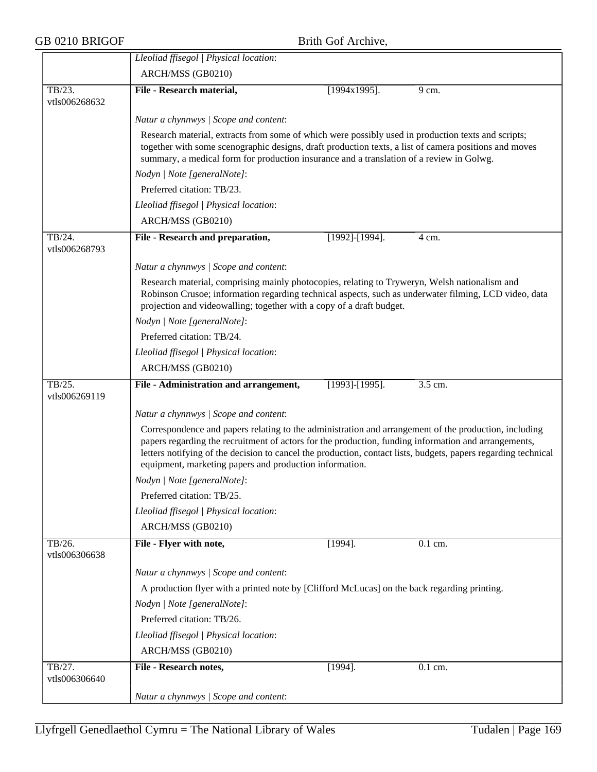|                         | Lleoliad ffisegol   Physical location:                                                                                                                                                                                                                                            |                       |         |  |  |
|-------------------------|-----------------------------------------------------------------------------------------------------------------------------------------------------------------------------------------------------------------------------------------------------------------------------------|-----------------------|---------|--|--|
|                         | ARCH/MSS (GB0210)                                                                                                                                                                                                                                                                 |                       |         |  |  |
| TB/23.                  | File - Research material,                                                                                                                                                                                                                                                         | $[1994x1995]$ .       | 9 cm.   |  |  |
| vtls006268632           |                                                                                                                                                                                                                                                                                   |                       |         |  |  |
|                         | Natur a chynnwys / Scope and content:                                                                                                                                                                                                                                             |                       |         |  |  |
|                         | Research material, extracts from some of which were possibly used in production texts and scripts;                                                                                                                                                                                |                       |         |  |  |
|                         | together with some scenographic designs, draft production texts, a list of camera positions and moves<br>summary, a medical form for production insurance and a translation of a review in Golwg.                                                                                 |                       |         |  |  |
|                         | Nodyn   Note [generalNote]:                                                                                                                                                                                                                                                       |                       |         |  |  |
|                         | Preferred citation: TB/23.                                                                                                                                                                                                                                                        |                       |         |  |  |
|                         | Lleoliad ffisegol   Physical location:                                                                                                                                                                                                                                            |                       |         |  |  |
|                         | ARCH/MSS (GB0210)                                                                                                                                                                                                                                                                 |                       |         |  |  |
| TB/24.                  | File - Research and preparation,                                                                                                                                                                                                                                                  | [1992]-[1994].        | 4 cm.   |  |  |
| vtls006268793           |                                                                                                                                                                                                                                                                                   |                       |         |  |  |
|                         | Natur a chynnwys / Scope and content:                                                                                                                                                                                                                                             |                       |         |  |  |
|                         | Research material, comprising mainly photocopies, relating to Tryweryn, Welsh nationalism and                                                                                                                                                                                     |                       |         |  |  |
|                         | Robinson Crusoe; information regarding technical aspects, such as underwater filming, LCD video, data<br>projection and videowalling; together with a copy of a draft budget.                                                                                                     |                       |         |  |  |
|                         | Nodyn   Note [generalNote]:                                                                                                                                                                                                                                                       |                       |         |  |  |
|                         | Preferred citation: TB/24.                                                                                                                                                                                                                                                        |                       |         |  |  |
|                         | Lleoliad ffisegol   Physical location:                                                                                                                                                                                                                                            |                       |         |  |  |
|                         | ARCH/MSS (GB0210)                                                                                                                                                                                                                                                                 |                       |         |  |  |
| TB/25.                  | File - Administration and arrangement,                                                                                                                                                                                                                                            | $[1993]$ - $[1995]$ . | 3.5 cm. |  |  |
| vtls006269119           |                                                                                                                                                                                                                                                                                   |                       |         |  |  |
|                         | Natur a chynnwys / Scope and content:                                                                                                                                                                                                                                             |                       |         |  |  |
|                         | Correspondence and papers relating to the administration and arrangement of the production, including                                                                                                                                                                             |                       |         |  |  |
|                         | papers regarding the recruitment of actors for the production, funding information and arrangements,<br>letters notifying of the decision to cancel the production, contact lists, budgets, papers regarding technical<br>equipment, marketing papers and production information. |                       |         |  |  |
|                         | Nodyn   Note [generalNote]:                                                                                                                                                                                                                                                       |                       |         |  |  |
|                         | Preferred citation: TB/25.                                                                                                                                                                                                                                                        |                       |         |  |  |
|                         | Lleoliad ffisegol   Physical location:                                                                                                                                                                                                                                            |                       |         |  |  |
|                         | ARCH/MSS (GB0210)                                                                                                                                                                                                                                                                 |                       |         |  |  |
| TB/26.<br>vtls006306638 | File - Flyer with note,                                                                                                                                                                                                                                                           | $[1994]$ .            | 0.1 cm. |  |  |
|                         | Natur a chynnwys / Scope and content:                                                                                                                                                                                                                                             |                       |         |  |  |
|                         | A production flyer with a printed note by [Clifford McLucas] on the back regarding printing.                                                                                                                                                                                      |                       |         |  |  |
|                         | Nodyn   Note [generalNote]:                                                                                                                                                                                                                                                       |                       |         |  |  |
|                         | Preferred citation: TB/26.                                                                                                                                                                                                                                                        |                       |         |  |  |
|                         | Lleoliad ffisegol   Physical location:                                                                                                                                                                                                                                            |                       |         |  |  |
|                         | ARCH/MSS (GB0210)                                                                                                                                                                                                                                                                 |                       |         |  |  |
| TB/27.                  | File - Research notes,                                                                                                                                                                                                                                                            | $[1994]$ .            | 0.1 cm. |  |  |
|                         |                                                                                                                                                                                                                                                                                   |                       |         |  |  |
| vtls006306640           |                                                                                                                                                                                                                                                                                   |                       |         |  |  |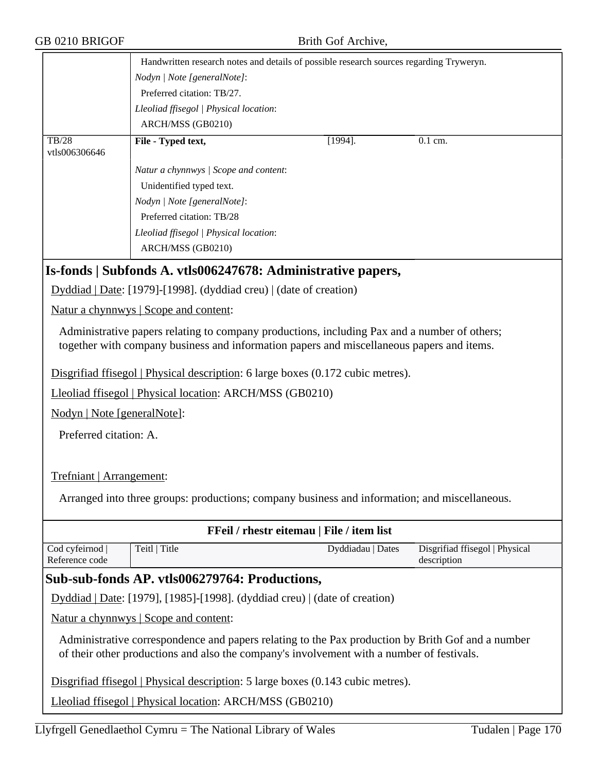| GB 0210 BRIGOF                    | Brith Gof Archive,                                                                                                                                                                             |                                               |
|-----------------------------------|------------------------------------------------------------------------------------------------------------------------------------------------------------------------------------------------|-----------------------------------------------|
|                                   | Handwritten research notes and details of possible research sources regarding Tryweryn.                                                                                                        |                                               |
|                                   | Nodyn   Note [generalNote]:                                                                                                                                                                    |                                               |
|                                   | Preferred citation: TB/27.                                                                                                                                                                     |                                               |
|                                   | Lleoliad ffisegol   Physical location:                                                                                                                                                         |                                               |
|                                   | ARCH/MSS (GB0210)                                                                                                                                                                              |                                               |
| TB/28                             | File - Typed text,<br>$[1994]$ .                                                                                                                                                               | $0.1$ cm.                                     |
| vtls006306646                     |                                                                                                                                                                                                |                                               |
|                                   | Natur a chynnwys / Scope and content:                                                                                                                                                          |                                               |
|                                   | Unidentified typed text.                                                                                                                                                                       |                                               |
|                                   | Nodyn   Note [generalNote]:                                                                                                                                                                    |                                               |
|                                   | Preferred citation: TB/28                                                                                                                                                                      |                                               |
|                                   | Lleoliad ffisegol   Physical location:                                                                                                                                                         |                                               |
|                                   | ARCH/MSS (GB0210)                                                                                                                                                                              |                                               |
|                                   | Is-fonds   Subfonds A. vtls006247678: Administrative papers,                                                                                                                                   |                                               |
|                                   | Dyddiad   Date: [1979]-[1998]. (dyddiad creu)   (date of creation)                                                                                                                             |                                               |
|                                   | Natur a chynnwys   Scope and content:                                                                                                                                                          |                                               |
|                                   | Administrative papers relating to company productions, including Pax and a number of others;                                                                                                   |                                               |
|                                   | together with company business and information papers and miscellaneous papers and items.                                                                                                      |                                               |
|                                   | Disgrifiad ffisegol   Physical description: 6 large boxes (0.172 cubic metres).                                                                                                                |                                               |
|                                   | Lleoliad ffisegol   Physical location: ARCH/MSS (GB0210)                                                                                                                                       |                                               |
| Nodyn   Note [generalNote]:       |                                                                                                                                                                                                |                                               |
|                                   |                                                                                                                                                                                                |                                               |
| Preferred citation: A.            |                                                                                                                                                                                                |                                               |
|                                   |                                                                                                                                                                                                |                                               |
| Trefniant   Arrangement:          |                                                                                                                                                                                                |                                               |
|                                   | Arranged into three groups: productions; company business and information; and miscellaneous.                                                                                                  |                                               |
|                                   |                                                                                                                                                                                                |                                               |
|                                   | FFeil / rhestr eitemau   File / item list                                                                                                                                                      |                                               |
| Cod cyfeirnod  <br>Reference code | Teitl   Title<br>Dyddiadau   Dates                                                                                                                                                             | Disgrifiad ffisegol   Physical<br>description |
|                                   | Sub-sub-fonds AP. vtls006279764: Productions,                                                                                                                                                  |                                               |
|                                   | Dyddiad   Date: [1979], [1985]-[1998]. (dyddiad creu)   (date of creation)                                                                                                                     |                                               |
|                                   | Natur a chynnwys   Scope and content:                                                                                                                                                          |                                               |
|                                   | Administrative correspondence and papers relating to the Pax production by Brith Gof and a number<br>of their other productions and also the company's involvement with a number of festivals. |                                               |
|                                   | Disgrifiad ffisegol   Physical description: 5 large boxes (0.143 cubic metres).                                                                                                                |                                               |
|                                   | Lleoliad ffisegol   Physical location: ARCH/MSS (GB0210)                                                                                                                                       |                                               |
|                                   |                                                                                                                                                                                                |                                               |
|                                   | Llyfrgell Genedlaethol Cymru = The National Library of Wales                                                                                                                                   | Tudalen   Page 170                            |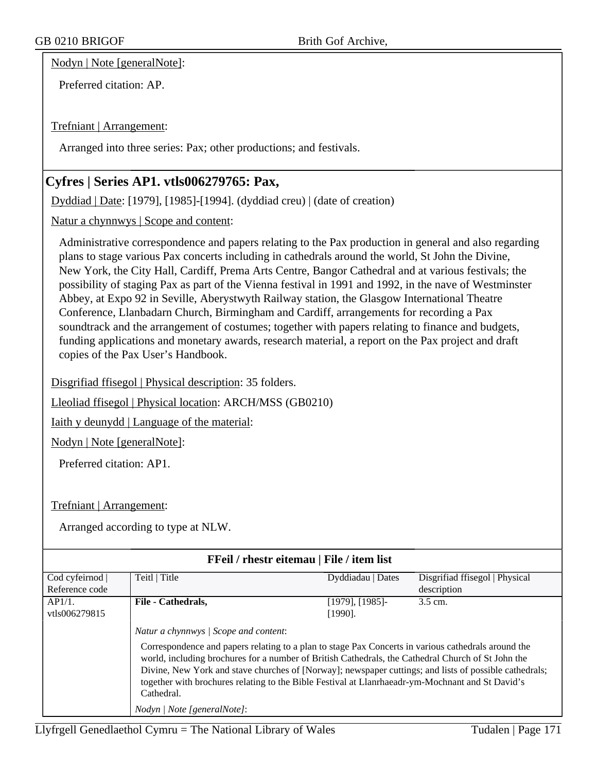Nodyn | Note [generalNote]:

Preferred citation: AP.

Trefniant | Arrangement:

Arranged into three series: Pax; other productions; and festivals.

# **Cyfres | Series AP1. vtls006279765: Pax,**

Dyddiad | Date: [1979], [1985]-[1994]. (dyddiad creu) | (date of creation)

Natur a chynnwys | Scope and content:

Administrative correspondence and papers relating to the Pax production in general and also regarding plans to stage various Pax concerts including in cathedrals around the world, St John the Divine, New York, the City Hall, Cardiff, Prema Arts Centre, Bangor Cathedral and at various festivals; the possibility of staging Pax as part of the Vienna festival in 1991 and 1992, in the nave of Westminster Abbey, at Expo 92 in Seville, Aberystwyth Railway station, the Glasgow International Theatre Conference, Llanbadarn Church, Birmingham and Cardiff, arrangements for recording a Pax soundtrack and the arrangement of costumes; together with papers relating to finance and budgets, funding applications and monetary awards, research material, a report on the Pax project and draft copies of the Pax User's Handbook.

Disgrifiad ffisegol | Physical description: 35 folders.

Lleoliad ffisegol | Physical location: ARCH/MSS (GB0210)

Iaith y deunydd | Language of the material:

Nodyn | Note [generalNote]:

Preferred citation: AP1.

Trefniant | Arrangement:

| FFeil / rhestr eitemau   File / item list |                                                                                                                                                                                                                                                                                                                                                                                                                                                                                                               |                   |                                |  |
|-------------------------------------------|---------------------------------------------------------------------------------------------------------------------------------------------------------------------------------------------------------------------------------------------------------------------------------------------------------------------------------------------------------------------------------------------------------------------------------------------------------------------------------------------------------------|-------------------|--------------------------------|--|
| Cod cyfeirnod                             | Teitl   Title                                                                                                                                                                                                                                                                                                                                                                                                                                                                                                 | Dyddiadau   Dates | Disgrifiad ffisegol   Physical |  |
| Reference code                            |                                                                                                                                                                                                                                                                                                                                                                                                                                                                                                               |                   | description                    |  |
| AP1/1.                                    | File - Cathedrals,                                                                                                                                                                                                                                                                                                                                                                                                                                                                                            | [1979], [1985]-   | 3.5 cm.                        |  |
| vtls006279815                             |                                                                                                                                                                                                                                                                                                                                                                                                                                                                                                               | $[1990]$ .        |                                |  |
|                                           | Natur a chynnwys / Scope and content:<br>Correspondence and papers relating to a plan to stage Pax Concerts in various cathedrals around the<br>world, including brochures for a number of British Cathedrals, the Cathedral Church of St John the<br>Divine, New York and stave churches of [Norway]; newspaper cuttings; and lists of possible cathedrals;<br>together with brochures relating to the Bible Festival at Llanrhaeadr-ym-Mochnant and St David's<br>Cathedral.<br>Nodyn / Note [generalNote]: |                   |                                |  |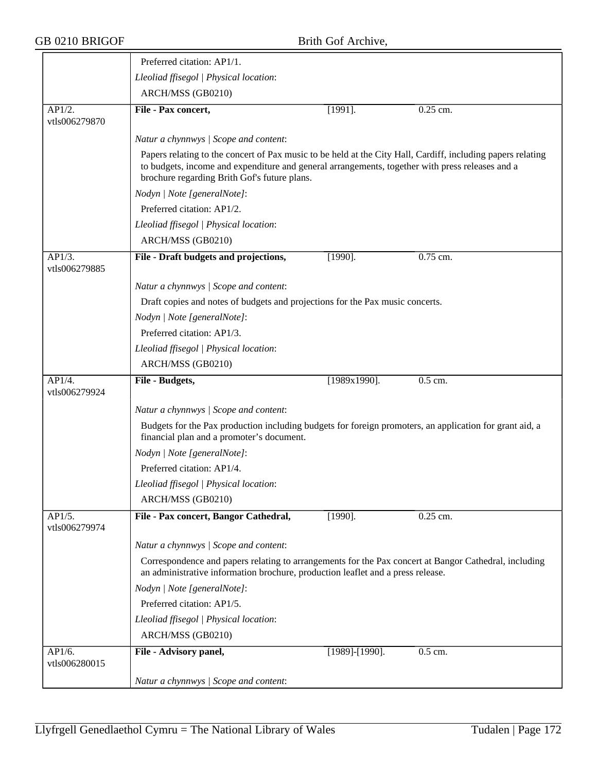|                                       | Preferred citation: AP1/1.                                                                                                                                                                                                                                     |                                       |            |  |  |  |
|---------------------------------------|----------------------------------------------------------------------------------------------------------------------------------------------------------------------------------------------------------------------------------------------------------------|---------------------------------------|------------|--|--|--|
|                                       | Lleoliad ffisegol   Physical location:                                                                                                                                                                                                                         |                                       |            |  |  |  |
|                                       | ARCH/MSS (GB0210)                                                                                                                                                                                                                                              |                                       |            |  |  |  |
| AP1/2.<br>vtls006279870               | File - Pax concert,                                                                                                                                                                                                                                            | $[1991]$ .                            | $0.25$ cm. |  |  |  |
|                                       | Natur a chynnwys / Scope and content:                                                                                                                                                                                                                          |                                       |            |  |  |  |
|                                       | Papers relating to the concert of Pax music to be held at the City Hall, Cardiff, including papers relating<br>to budgets, income and expenditure and general arrangements, together with press releases and a<br>brochure regarding Brith Gof's future plans. |                                       |            |  |  |  |
|                                       | Nodyn   Note [generalNote]:                                                                                                                                                                                                                                    |                                       |            |  |  |  |
|                                       | Preferred citation: AP1/2.                                                                                                                                                                                                                                     |                                       |            |  |  |  |
|                                       | Lleoliad ffisegol   Physical location:                                                                                                                                                                                                                         |                                       |            |  |  |  |
|                                       | ARCH/MSS (GB0210)                                                                                                                                                                                                                                              |                                       |            |  |  |  |
| AP1/3.<br>vtls006279885               | File - Draft budgets and projections,                                                                                                                                                                                                                          | $[1990]$ .                            | 0.75 cm.   |  |  |  |
|                                       | Natur a chynnwys / Scope and content:                                                                                                                                                                                                                          |                                       |            |  |  |  |
|                                       | Draft copies and notes of budgets and projections for the Pax music concerts.                                                                                                                                                                                  |                                       |            |  |  |  |
|                                       | Nodyn   Note [generalNote]:                                                                                                                                                                                                                                    |                                       |            |  |  |  |
|                                       | Preferred citation: AP1/3.                                                                                                                                                                                                                                     |                                       |            |  |  |  |
|                                       | Lleoliad ffisegol   Physical location:                                                                                                                                                                                                                         |                                       |            |  |  |  |
|                                       | ARCH/MSS (GB0210)                                                                                                                                                                                                                                              |                                       |            |  |  |  |
| AP1/4.                                | File - Budgets,                                                                                                                                                                                                                                                | $[1989x1990]$ .                       | 0.5 cm.    |  |  |  |
| vtls006279924                         |                                                                                                                                                                                                                                                                |                                       |            |  |  |  |
|                                       |                                                                                                                                                                                                                                                                | Natur a chynnwys / Scope and content: |            |  |  |  |
|                                       |                                                                                                                                                                                                                                                                |                                       |            |  |  |  |
|                                       | Budgets for the Pax production including budgets for foreign promoters, an application for grant aid, a<br>financial plan and a promoter's document.                                                                                                           |                                       |            |  |  |  |
|                                       | Nodyn   Note [generalNote]:                                                                                                                                                                                                                                    |                                       |            |  |  |  |
|                                       | Preferred citation: AP1/4.                                                                                                                                                                                                                                     |                                       |            |  |  |  |
|                                       | Lleoliad ffisegol   Physical location:                                                                                                                                                                                                                         |                                       |            |  |  |  |
|                                       | ARCH/MSS (GB0210)                                                                                                                                                                                                                                              |                                       |            |  |  |  |
| $AP\overline{1/5}$ .<br>vtls006279974 | File - Pax concert, Bangor Cathedral,                                                                                                                                                                                                                          | $[1990]$ .                            | 0.25 cm.   |  |  |  |
|                                       | Natur a chynnwys / Scope and content:                                                                                                                                                                                                                          |                                       |            |  |  |  |
|                                       | Correspondence and papers relating to arrangements for the Pax concert at Bangor Cathedral, including<br>an administrative information brochure, production leaflet and a press release.                                                                       |                                       |            |  |  |  |
|                                       | Nodyn   Note [generalNote]:                                                                                                                                                                                                                                    |                                       |            |  |  |  |
|                                       | Preferred citation: AP1/5.                                                                                                                                                                                                                                     |                                       |            |  |  |  |
|                                       | Lleoliad ffisegol   Physical location:                                                                                                                                                                                                                         |                                       |            |  |  |  |
|                                       | ARCH/MSS (GB0210)                                                                                                                                                                                                                                              |                                       |            |  |  |  |
| AP1/6.<br>vtls006280015               | File - Advisory panel,                                                                                                                                                                                                                                         | [1989]-[1990].                        | 0.5 cm.    |  |  |  |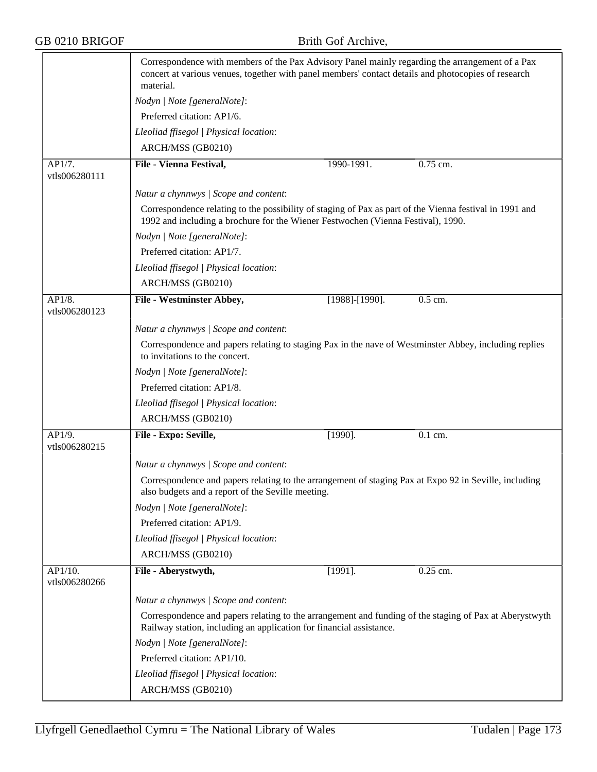|                         | Correspondence with members of the Pax Advisory Panel mainly regarding the arrangement of a Pax<br>concert at various venues, together with panel members' contact details and photocopies of research<br>material. |                       |                      |  |  |
|-------------------------|---------------------------------------------------------------------------------------------------------------------------------------------------------------------------------------------------------------------|-----------------------|----------------------|--|--|
|                         | Nodyn   Note [generalNote]:                                                                                                                                                                                         |                       |                      |  |  |
|                         | Preferred citation: AP1/6.                                                                                                                                                                                          |                       |                      |  |  |
|                         | Lleoliad ffisegol   Physical location:                                                                                                                                                                              |                       |                      |  |  |
|                         | ARCH/MSS (GB0210)                                                                                                                                                                                                   |                       |                      |  |  |
| AP1/7.<br>vtls006280111 | File - Vienna Festival,                                                                                                                                                                                             | 1990-1991.            | 0.75 cm.             |  |  |
|                         | Natur a chynnwys / Scope and content:                                                                                                                                                                               |                       |                      |  |  |
|                         | Correspondence relating to the possibility of staging of Pax as part of the Vienna festival in 1991 and<br>1992 and including a brochure for the Wiener Festwochen (Vienna Festival), 1990.                         |                       |                      |  |  |
|                         | Nodyn   Note [generalNote]:                                                                                                                                                                                         |                       |                      |  |  |
|                         | Preferred citation: AP1/7.                                                                                                                                                                                          |                       |                      |  |  |
|                         | Lleoliad ffisegol   Physical location:                                                                                                                                                                              |                       |                      |  |  |
|                         | ARCH/MSS (GB0210)                                                                                                                                                                                                   |                       |                      |  |  |
| AP1/8.                  | <b>File - Westminster Abbey,</b>                                                                                                                                                                                    | $[1988]$ - $[1990]$ . | $0.5$ cm.            |  |  |
| vtls006280123           |                                                                                                                                                                                                                     |                       |                      |  |  |
|                         | Natur a chynnwys / Scope and content:                                                                                                                                                                               |                       |                      |  |  |
|                         | Correspondence and papers relating to staging Pax in the nave of Westminster Abbey, including replies<br>to invitations to the concert.                                                                             |                       |                      |  |  |
|                         | Nodyn   Note [generalNote]:                                                                                                                                                                                         |                       |                      |  |  |
|                         | Preferred citation: AP1/8.                                                                                                                                                                                          |                       |                      |  |  |
|                         | Lleoliad ffisegol   Physical location:                                                                                                                                                                              |                       |                      |  |  |
|                         | ARCH/MSS (GB0210)                                                                                                                                                                                                   |                       |                      |  |  |
| AP1/9.<br>vtls006280215 | File - Expo: Seville,                                                                                                                                                                                               | $[1990]$ .            | $\overline{0.1}$ cm. |  |  |
|                         | Natur a chynnwys / Scope and content:                                                                                                                                                                               |                       |                      |  |  |
|                         | Correspondence and papers relating to the arrangement of staging Pax at Expo 92 in Seville, including<br>also budgets and a report of the Seville meeting.                                                          |                       |                      |  |  |
|                         | Nodyn   Note [generalNote]:                                                                                                                                                                                         |                       |                      |  |  |
|                         | Preferred citation: AP1/9.                                                                                                                                                                                          |                       |                      |  |  |
|                         | Lleoliad ffisegol   Physical location:                                                                                                                                                                              |                       |                      |  |  |
|                         | ARCH/MSS (GB0210)                                                                                                                                                                                                   |                       |                      |  |  |
| AP1/10.                 | File - Aberystwyth,                                                                                                                                                                                                 | $[1991]$ .            | $0.25$ cm.           |  |  |
| vtls006280266           |                                                                                                                                                                                                                     |                       |                      |  |  |
|                         | Natur a chynnwys / Scope and content:                                                                                                                                                                               |                       |                      |  |  |
|                         | Correspondence and papers relating to the arrangement and funding of the staging of Pax at Aberystwyth<br>Railway station, including an application for financial assistance.                                       |                       |                      |  |  |
|                         | Nodyn   Note [generalNote]:                                                                                                                                                                                         |                       |                      |  |  |
|                         | Preferred citation: AP1/10.                                                                                                                                                                                         |                       |                      |  |  |
|                         | Lleoliad ffisegol   Physical location:                                                                                                                                                                              |                       |                      |  |  |
|                         | ARCH/MSS (GB0210)                                                                                                                                                                                                   |                       |                      |  |  |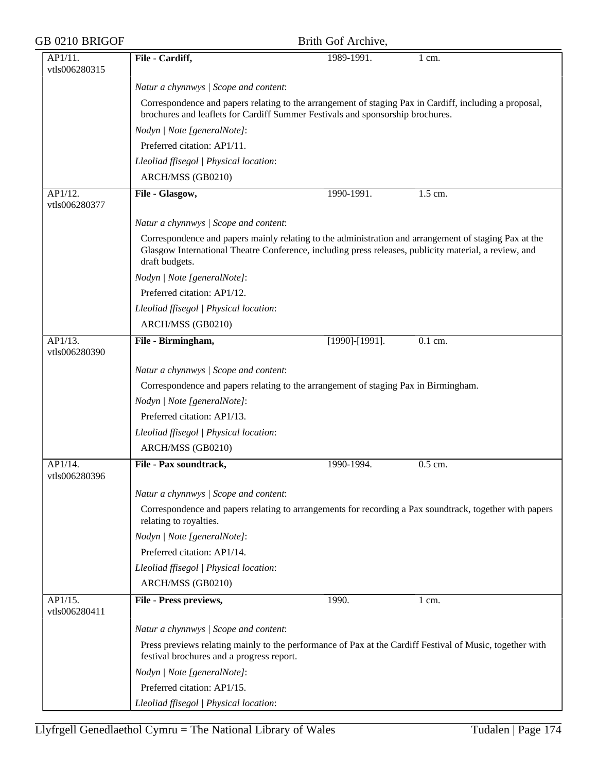| GB 0210 BRIGOF           |                                                                                                                                                                                                                                  | Brith Gof Archive,    |                  |  |
|--------------------------|----------------------------------------------------------------------------------------------------------------------------------------------------------------------------------------------------------------------------------|-----------------------|------------------|--|
| AP1/11.                  | File - Cardiff,                                                                                                                                                                                                                  | 1989-1991.            | 1 cm.            |  |
| vtls006280315            |                                                                                                                                                                                                                                  |                       |                  |  |
|                          | Natur a chynnwys / Scope and content:                                                                                                                                                                                            |                       |                  |  |
|                          | Correspondence and papers relating to the arrangement of staging Pax in Cardiff, including a proposal,<br>brochures and leaflets for Cardiff Summer Festivals and sponsorship brochures.                                         |                       |                  |  |
|                          | Nodyn   Note [generalNote]:                                                                                                                                                                                                      |                       |                  |  |
|                          | Preferred citation: AP1/11.                                                                                                                                                                                                      |                       |                  |  |
|                          | Lleoliad ffisegol   Physical location:                                                                                                                                                                                           |                       |                  |  |
|                          | ARCH/MSS (GB0210)                                                                                                                                                                                                                |                       |                  |  |
| AP1/12.<br>vtls006280377 | File - Glasgow,                                                                                                                                                                                                                  | 1990-1991.            | 1.5 cm.          |  |
|                          | Natur a chynnwys / Scope and content:                                                                                                                                                                                            |                       |                  |  |
|                          | Correspondence and papers mainly relating to the administration and arrangement of staging Pax at the<br>Glasgow International Theatre Conference, including press releases, publicity material, a review, and<br>draft budgets. |                       |                  |  |
|                          | Nodyn   Note [generalNote]:                                                                                                                                                                                                      |                       |                  |  |
|                          | Preferred citation: AP1/12.                                                                                                                                                                                                      |                       |                  |  |
|                          | Lleoliad ffisegol   Physical location:                                                                                                                                                                                           |                       |                  |  |
|                          | ARCH/MSS (GB0210)                                                                                                                                                                                                                |                       |                  |  |
| AP1/13.<br>vtls006280390 | File - Birmingham,                                                                                                                                                                                                               | $[1990]$ - $[1991]$ . | 0.1 cm.          |  |
|                          | Natur a chynnwys / Scope and content:                                                                                                                                                                                            |                       |                  |  |
|                          | Correspondence and papers relating to the arrangement of staging Pax in Birmingham.                                                                                                                                              |                       |                  |  |
|                          | Nodyn   Note [generalNote]:                                                                                                                                                                                                      |                       |                  |  |
|                          | Preferred citation: AP1/13.                                                                                                                                                                                                      |                       |                  |  |
|                          | Lleoliad ffisegol   Physical location:                                                                                                                                                                                           |                       |                  |  |
|                          | ARCH/MSS (GB0210)                                                                                                                                                                                                                |                       |                  |  |
| AP1/14.<br>vtls006280396 | File - Pax soundtrack,                                                                                                                                                                                                           | 1990-1994.            | 0.5 cm.          |  |
|                          | Natur a chynnwys / Scope and content:                                                                                                                                                                                            |                       |                  |  |
|                          | Correspondence and papers relating to arrangements for recording a Pax soundtrack, together with papers<br>relating to royalties.                                                                                                |                       |                  |  |
|                          | Nodyn   Note [generalNote]:                                                                                                                                                                                                      |                       |                  |  |
|                          | Preferred citation: AP1/14.                                                                                                                                                                                                      |                       |                  |  |
|                          | Lleoliad ffisegol   Physical location:                                                                                                                                                                                           |                       |                  |  |
|                          | ARCH/MSS (GB0210)                                                                                                                                                                                                                |                       |                  |  |
| AP1/15.<br>vtls006280411 | File - Press previews,                                                                                                                                                                                                           | 1990.                 | $1 \text{ cm}$ . |  |
|                          | Natur a chynnwys / Scope and content:                                                                                                                                                                                            |                       |                  |  |
|                          | Press previews relating mainly to the performance of Pax at the Cardiff Festival of Music, together with<br>festival brochures and a progress report.                                                                            |                       |                  |  |
|                          | Nodyn   Note [generalNote]:                                                                                                                                                                                                      |                       |                  |  |
|                          | Preferred citation: AP1/15.                                                                                                                                                                                                      |                       |                  |  |
|                          | Lleoliad ffisegol   Physical location:                                                                                                                                                                                           |                       |                  |  |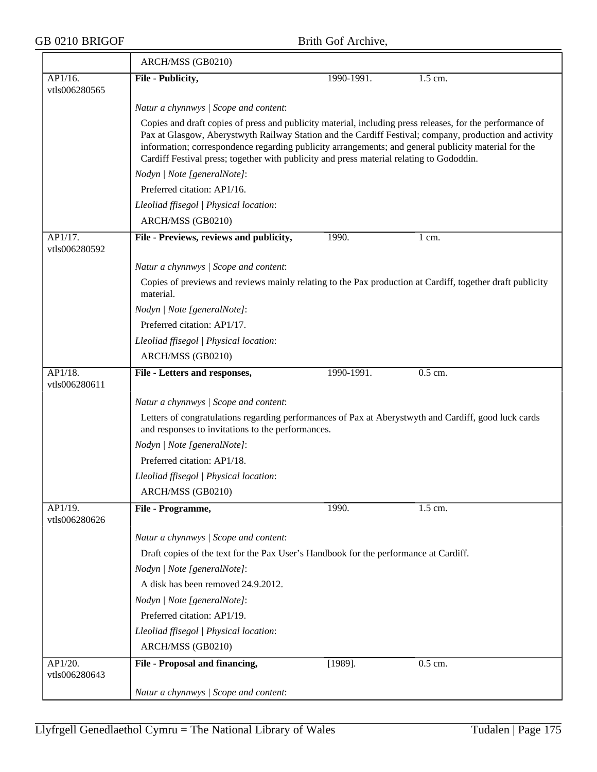|                          | ARCH/MSS (GB0210)                                                                                                                                                                                                                                                                                          |            |                  |  |  |
|--------------------------|------------------------------------------------------------------------------------------------------------------------------------------------------------------------------------------------------------------------------------------------------------------------------------------------------------|------------|------------------|--|--|
| AP1/16.                  | File - Publicity,                                                                                                                                                                                                                                                                                          | 1990-1991. | 1.5 cm.          |  |  |
| vtls006280565            |                                                                                                                                                                                                                                                                                                            |            |                  |  |  |
|                          | Natur a chynnwys / Scope and content:<br>Copies and draft copies of press and publicity material, including press releases, for the performance of                                                                                                                                                         |            |                  |  |  |
|                          | Pax at Glasgow, Aberystwyth Railway Station and the Cardiff Festival; company, production and activity<br>information; correspondence regarding publicity arrangements; and general publicity material for the<br>Cardiff Festival press; together with publicity and press material relating to Gododdin. |            |                  |  |  |
|                          | Nodyn   Note [generalNote]:                                                                                                                                                                                                                                                                                |            |                  |  |  |
|                          | Preferred citation: AP1/16.                                                                                                                                                                                                                                                                                |            |                  |  |  |
|                          | Lleoliad ffisegol   Physical location:                                                                                                                                                                                                                                                                     |            |                  |  |  |
|                          | ARCH/MSS (GB0210)                                                                                                                                                                                                                                                                                          |            |                  |  |  |
| AP1/17.<br>vtls006280592 | File - Previews, reviews and publicity,                                                                                                                                                                                                                                                                    | 1990.      | $1 \text{ cm}$ . |  |  |
|                          | Natur a chynnwys / Scope and content:                                                                                                                                                                                                                                                                      |            |                  |  |  |
|                          | Copies of previews and reviews mainly relating to the Pax production at Cardiff, together draft publicity<br>material.                                                                                                                                                                                     |            |                  |  |  |
|                          | Nodyn   Note [generalNote]:                                                                                                                                                                                                                                                                                |            |                  |  |  |
|                          | Preferred citation: AP1/17.                                                                                                                                                                                                                                                                                |            |                  |  |  |
|                          | Lleoliad ffisegol   Physical location:                                                                                                                                                                                                                                                                     |            |                  |  |  |
|                          | ARCH/MSS (GB0210)                                                                                                                                                                                                                                                                                          |            |                  |  |  |
| AP1/18.<br>vtls006280611 | File - Letters and responses,                                                                                                                                                                                                                                                                              | 1990-1991. | $0.5$ cm.        |  |  |
|                          | Natur a chynnwys / Scope and content:                                                                                                                                                                                                                                                                      |            |                  |  |  |
|                          | Letters of congratulations regarding performances of Pax at Aberystwyth and Cardiff, good luck cards<br>and responses to invitations to the performances.                                                                                                                                                  |            |                  |  |  |
|                          | Nodyn   Note [generalNote]:                                                                                                                                                                                                                                                                                |            |                  |  |  |
|                          | Preferred citation: AP1/18.                                                                                                                                                                                                                                                                                |            |                  |  |  |
|                          | Lleoliad ffisegol   Physical location:                                                                                                                                                                                                                                                                     |            |                  |  |  |
|                          | ARCH/MSS (GB0210)                                                                                                                                                                                                                                                                                          |            |                  |  |  |
| AP1/19.<br>vtls006280626 | File - Programme,                                                                                                                                                                                                                                                                                          | 1990.      | 1.5 cm.          |  |  |
|                          | Natur a chynnwys / Scope and content:                                                                                                                                                                                                                                                                      |            |                  |  |  |
|                          | Draft copies of the text for the Pax User's Handbook for the performance at Cardiff.                                                                                                                                                                                                                       |            |                  |  |  |
|                          | Nodyn   Note [generalNote]:                                                                                                                                                                                                                                                                                |            |                  |  |  |
|                          | A disk has been removed 24.9.2012.                                                                                                                                                                                                                                                                         |            |                  |  |  |
|                          | Nodyn   Note [generalNote]:                                                                                                                                                                                                                                                                                |            |                  |  |  |
|                          | Preferred citation: AP1/19.                                                                                                                                                                                                                                                                                |            |                  |  |  |
|                          | Lleoliad ffisegol   Physical location:                                                                                                                                                                                                                                                                     |            |                  |  |  |
|                          | ARCH/MSS (GB0210)                                                                                                                                                                                                                                                                                          |            |                  |  |  |
| AP1/20.<br>vtls006280643 | File - Proposal and financing,                                                                                                                                                                                                                                                                             | $[1989]$ . | 0.5 cm.          |  |  |
|                          | Natur a chynnwys / Scope and content:                                                                                                                                                                                                                                                                      |            |                  |  |  |
|                          |                                                                                                                                                                                                                                                                                                            |            |                  |  |  |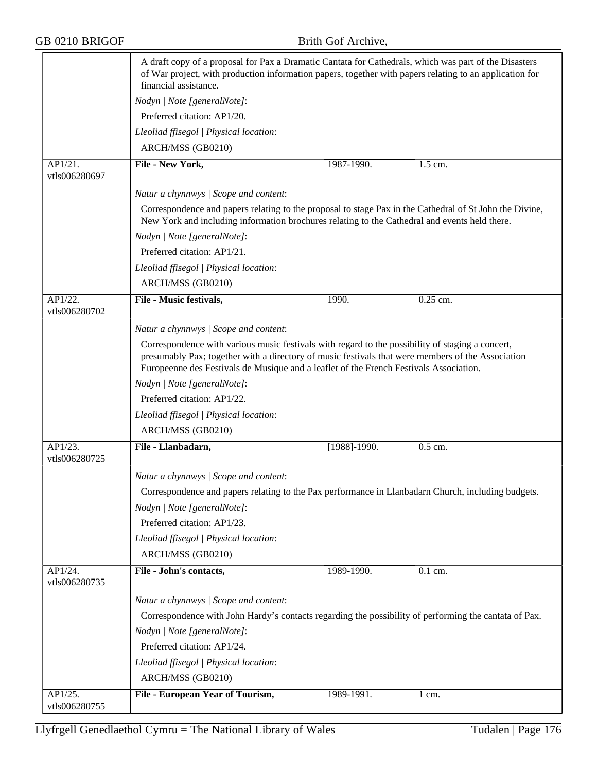|                          | A draft copy of a proposal for Pax a Dramatic Cantata for Cathedrals, which was part of the Disasters<br>of War project, with production information papers, together with papers relating to an application for<br>financial assistance.                                                       |              |                      |  |  |
|--------------------------|-------------------------------------------------------------------------------------------------------------------------------------------------------------------------------------------------------------------------------------------------------------------------------------------------|--------------|----------------------|--|--|
|                          | Nodyn   Note [generalNote]:                                                                                                                                                                                                                                                                     |              |                      |  |  |
|                          | Preferred citation: AP1/20.                                                                                                                                                                                                                                                                     |              |                      |  |  |
|                          | Lleoliad ffisegol   Physical location:                                                                                                                                                                                                                                                          |              |                      |  |  |
|                          | ARCH/MSS (GB0210)                                                                                                                                                                                                                                                                               |              |                      |  |  |
| AP1/21.<br>vtls006280697 | File - New York,                                                                                                                                                                                                                                                                                | 1987-1990.   | $\overline{1.5}$ cm. |  |  |
|                          | Natur a chynnwys / Scope and content:                                                                                                                                                                                                                                                           |              |                      |  |  |
|                          | Correspondence and papers relating to the proposal to stage Pax in the Cathedral of St John the Divine,<br>New York and including information brochures relating to the Cathedral and events held there.                                                                                        |              |                      |  |  |
|                          | Nodyn   Note [generalNote]:                                                                                                                                                                                                                                                                     |              |                      |  |  |
|                          | Preferred citation: AP1/21.                                                                                                                                                                                                                                                                     |              |                      |  |  |
|                          | Lleoliad ffisegol   Physical location:                                                                                                                                                                                                                                                          |              |                      |  |  |
|                          | ARCH/MSS (GB0210)                                                                                                                                                                                                                                                                               |              |                      |  |  |
| AP1/22.<br>vtls006280702 | File - Music festivals,                                                                                                                                                                                                                                                                         | 1990.        | $0.25$ cm.           |  |  |
|                          | Natur a chynnwys / Scope and content:                                                                                                                                                                                                                                                           |              |                      |  |  |
|                          | Correspondence with various music festivals with regard to the possibility of staging a concert,<br>presumably Pax; together with a directory of music festivals that were members of the Association<br>Europeenne des Festivals de Musique and a leaflet of the French Festivals Association. |              |                      |  |  |
|                          | Nodyn   Note [generalNote]:                                                                                                                                                                                                                                                                     |              |                      |  |  |
|                          | Preferred citation: AP1/22.                                                                                                                                                                                                                                                                     |              |                      |  |  |
|                          | Lleoliad ffisegol   Physical location:                                                                                                                                                                                                                                                          |              |                      |  |  |
|                          | ARCH/MSS (GB0210)                                                                                                                                                                                                                                                                               |              |                      |  |  |
| AP1/23.<br>vtls006280725 | File - Llanbadarn,                                                                                                                                                                                                                                                                              | [1988]-1990. | 0.5 cm.              |  |  |
|                          | Natur a chynnwys / Scope and content:                                                                                                                                                                                                                                                           |              |                      |  |  |
|                          | Correspondence and papers relating to the Pax performance in Llanbadarn Church, including budgets.                                                                                                                                                                                              |              |                      |  |  |
|                          | Nodyn   Note [generalNote]:                                                                                                                                                                                                                                                                     |              |                      |  |  |
|                          | Preferred citation: AP1/23.                                                                                                                                                                                                                                                                     |              |                      |  |  |
|                          | Lleoliad ffisegol   Physical location:                                                                                                                                                                                                                                                          |              |                      |  |  |
|                          | ARCH/MSS (GB0210)                                                                                                                                                                                                                                                                               |              |                      |  |  |
| AP1/24.<br>vtls006280735 | File - John's contacts,                                                                                                                                                                                                                                                                         | 1989-1990.   | 0.1 cm.              |  |  |
|                          | Natur a chynnwys / Scope and content:                                                                                                                                                                                                                                                           |              |                      |  |  |
|                          | Correspondence with John Hardy's contacts regarding the possibility of performing the cantata of Pax.                                                                                                                                                                                           |              |                      |  |  |
|                          | Nodyn   Note [generalNote]:                                                                                                                                                                                                                                                                     |              |                      |  |  |
|                          | Preferred citation: AP1/24.                                                                                                                                                                                                                                                                     |              |                      |  |  |
|                          | Lleoliad ffisegol   Physical location:                                                                                                                                                                                                                                                          |              |                      |  |  |
|                          | ARCH/MSS (GB0210)                                                                                                                                                                                                                                                                               |              |                      |  |  |
| AP1/25.<br>vtls006280755 | <b>File - European Year of Tourism,</b>                                                                                                                                                                                                                                                         | 1989-1991.   | $1 \text{ cm}$ .     |  |  |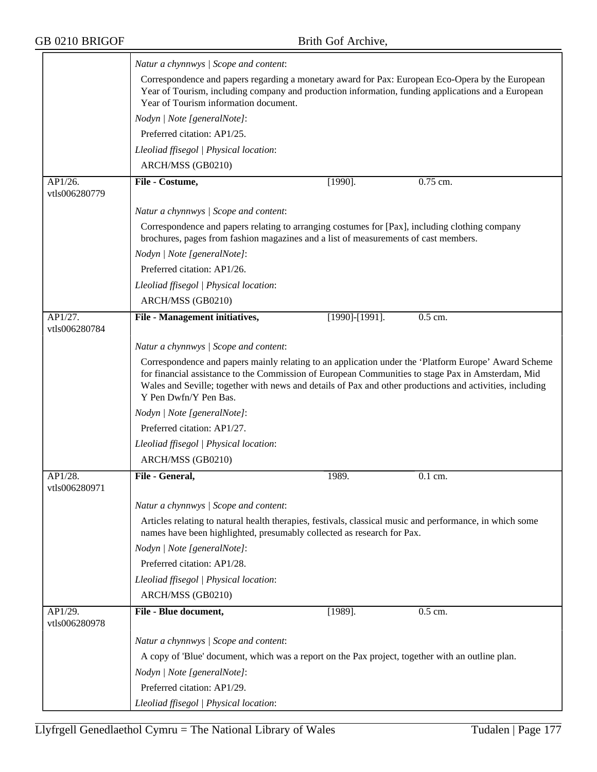|                          | Natur a chynnwys / Scope and content:                                                                                                                                                                                                                                                                                                          |                       |           |  |  |
|--------------------------|------------------------------------------------------------------------------------------------------------------------------------------------------------------------------------------------------------------------------------------------------------------------------------------------------------------------------------------------|-----------------------|-----------|--|--|
|                          | Correspondence and papers regarding a monetary award for Pax: European Eco-Opera by the European<br>Year of Tourism, including company and production information, funding applications and a European<br>Year of Tourism information document.                                                                                                |                       |           |  |  |
|                          | Nodyn   Note [generalNote]:                                                                                                                                                                                                                                                                                                                    |                       |           |  |  |
|                          | Preferred citation: AP1/25.                                                                                                                                                                                                                                                                                                                    |                       |           |  |  |
|                          | Lleoliad ffisegol   Physical location:                                                                                                                                                                                                                                                                                                         |                       |           |  |  |
|                          | ARCH/MSS (GB0210)                                                                                                                                                                                                                                                                                                                              |                       |           |  |  |
| AP1/26.<br>vtls006280779 | File - Costume,                                                                                                                                                                                                                                                                                                                                | $[1990]$ .            | 0.75 cm.  |  |  |
|                          | Natur a chynnwys / Scope and content:                                                                                                                                                                                                                                                                                                          |                       |           |  |  |
|                          | Correspondence and papers relating to arranging costumes for [Pax], including clothing company<br>brochures, pages from fashion magazines and a list of measurements of cast members.                                                                                                                                                          |                       |           |  |  |
|                          | Nodyn   Note [generalNote]:                                                                                                                                                                                                                                                                                                                    |                       |           |  |  |
|                          | Preferred citation: AP1/26.                                                                                                                                                                                                                                                                                                                    |                       |           |  |  |
|                          | Lleoliad ffisegol   Physical location:                                                                                                                                                                                                                                                                                                         |                       |           |  |  |
|                          | ARCH/MSS (GB0210)                                                                                                                                                                                                                                                                                                                              |                       |           |  |  |
| AP1/27.<br>vtls006280784 | File - Management initiatives,                                                                                                                                                                                                                                                                                                                 | $[1990]$ - $[1991]$ . | $0.5$ cm. |  |  |
|                          | Natur a chynnwys / Scope and content:                                                                                                                                                                                                                                                                                                          |                       |           |  |  |
|                          | Correspondence and papers mainly relating to an application under the 'Platform Europe' Award Scheme<br>for financial assistance to the Commission of European Communities to stage Pax in Amsterdam, Mid<br>Wales and Seville; together with news and details of Pax and other productions and activities, including<br>Y Pen Dwfn/Y Pen Bas. |                       |           |  |  |
|                          | Nodyn   Note [generalNote]:                                                                                                                                                                                                                                                                                                                    |                       |           |  |  |
|                          | Preferred citation: AP1/27.                                                                                                                                                                                                                                                                                                                    |                       |           |  |  |
|                          | Lleoliad ffisegol   Physical location:                                                                                                                                                                                                                                                                                                         |                       |           |  |  |
|                          | ARCH/MSS (GB0210)                                                                                                                                                                                                                                                                                                                              |                       |           |  |  |
| AP1/28.<br>vtls006280971 | File - General,                                                                                                                                                                                                                                                                                                                                | 1989.                 | 0.1 cm.   |  |  |
|                          | Natur a chynnwys / Scope and content:                                                                                                                                                                                                                                                                                                          |                       |           |  |  |
|                          | Articles relating to natural health therapies, festivals, classical music and performance, in which some<br>names have been highlighted, presumably collected as research for Pax.                                                                                                                                                             |                       |           |  |  |
|                          | Nodyn   Note [generalNote]:                                                                                                                                                                                                                                                                                                                    |                       |           |  |  |
|                          | Preferred citation: AP1/28.                                                                                                                                                                                                                                                                                                                    |                       |           |  |  |
|                          | Lleoliad ffisegol   Physical location:                                                                                                                                                                                                                                                                                                         |                       |           |  |  |
|                          | ARCH/MSS (GB0210)                                                                                                                                                                                                                                                                                                                              |                       |           |  |  |
| AP1/29.<br>vtls006280978 | File - Blue document,                                                                                                                                                                                                                                                                                                                          | $[1989]$ .            | 0.5 cm.   |  |  |
|                          | Natur a chynnwys / Scope and content:                                                                                                                                                                                                                                                                                                          |                       |           |  |  |
|                          | A copy of 'Blue' document, which was a report on the Pax project, together with an outline plan.                                                                                                                                                                                                                                               |                       |           |  |  |
|                          | Nodyn   Note [generalNote]:                                                                                                                                                                                                                                                                                                                    |                       |           |  |  |
|                          | Preferred citation: AP1/29.                                                                                                                                                                                                                                                                                                                    |                       |           |  |  |
|                          | Lleoliad ffisegol   Physical location:                                                                                                                                                                                                                                                                                                         |                       |           |  |  |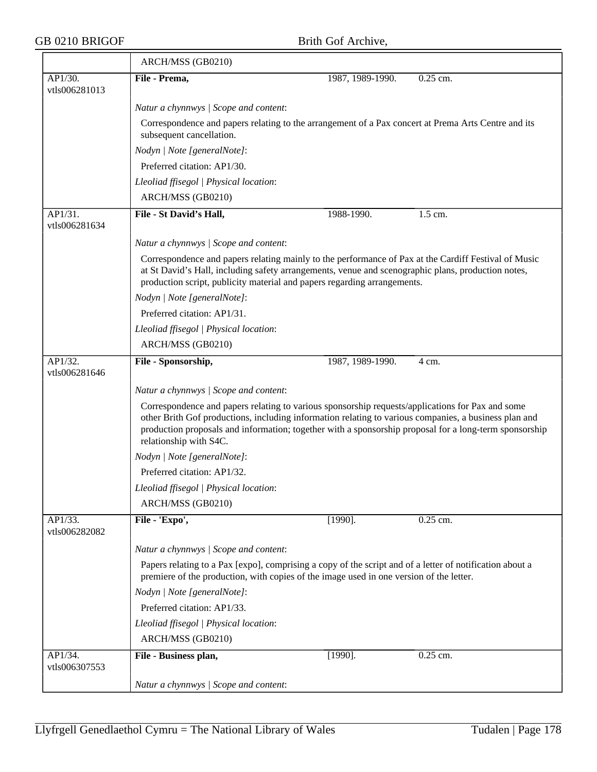$\overline{\phantom{a}}$ 

|                          | ARCH/MSS (GB0210)                                                                                                                                                                                                                                                                                                                             |                  |          |  |  |  |
|--------------------------|-----------------------------------------------------------------------------------------------------------------------------------------------------------------------------------------------------------------------------------------------------------------------------------------------------------------------------------------------|------------------|----------|--|--|--|
| AP1/30.                  | File - Prema,                                                                                                                                                                                                                                                                                                                                 | 1987, 1989-1990. | 0.25 cm. |  |  |  |
| vtls006281013            |                                                                                                                                                                                                                                                                                                                                               |                  |          |  |  |  |
|                          | Natur a chynnwys / Scope and content:                                                                                                                                                                                                                                                                                                         |                  |          |  |  |  |
|                          | Correspondence and papers relating to the arrangement of a Pax concert at Prema Arts Centre and its<br>subsequent cancellation.                                                                                                                                                                                                               |                  |          |  |  |  |
|                          | Nodyn   Note [generalNote]:                                                                                                                                                                                                                                                                                                                   |                  |          |  |  |  |
|                          | Preferred citation: AP1/30.                                                                                                                                                                                                                                                                                                                   |                  |          |  |  |  |
|                          | Lleoliad ffisegol   Physical location:                                                                                                                                                                                                                                                                                                        |                  |          |  |  |  |
|                          | ARCH/MSS (GB0210)                                                                                                                                                                                                                                                                                                                             |                  |          |  |  |  |
| AP1/31.<br>vtls006281634 | File - St David's Hall,                                                                                                                                                                                                                                                                                                                       | 1988-1990.       | 1.5 cm.  |  |  |  |
|                          | Natur a chynnwys / Scope and content:                                                                                                                                                                                                                                                                                                         |                  |          |  |  |  |
|                          | Correspondence and papers relating mainly to the performance of Pax at the Cardiff Festival of Music<br>at St David's Hall, including safety arrangements, venue and scenographic plans, production notes,<br>production script, publicity material and papers regarding arrangements.                                                        |                  |          |  |  |  |
|                          | Nodyn   Note [generalNote]:                                                                                                                                                                                                                                                                                                                   |                  |          |  |  |  |
|                          | Preferred citation: AP1/31.                                                                                                                                                                                                                                                                                                                   |                  |          |  |  |  |
|                          | Lleoliad ffisegol   Physical location:                                                                                                                                                                                                                                                                                                        |                  |          |  |  |  |
|                          | ARCH/MSS (GB0210)                                                                                                                                                                                                                                                                                                                             |                  |          |  |  |  |
| AP1/32.<br>vtls006281646 | File - Sponsorship,                                                                                                                                                                                                                                                                                                                           | 1987, 1989-1990. | 4 cm.    |  |  |  |
|                          | Natur a chynnwys / Scope and content:                                                                                                                                                                                                                                                                                                         |                  |          |  |  |  |
|                          | Correspondence and papers relating to various sponsorship requests/applications for Pax and some<br>other Brith Gof productions, including information relating to various companies, a business plan and<br>production proposals and information; together with a sponsorship proposal for a long-term sponsorship<br>relationship with S4C. |                  |          |  |  |  |
|                          | Nodyn   Note [generalNote]:                                                                                                                                                                                                                                                                                                                   |                  |          |  |  |  |
|                          | Preferred citation: AP1/32.                                                                                                                                                                                                                                                                                                                   |                  |          |  |  |  |
|                          | Lleoliad ffisegol   Physical location:                                                                                                                                                                                                                                                                                                        |                  |          |  |  |  |
|                          | ARCH/MSS (GB0210)                                                                                                                                                                                                                                                                                                                             |                  |          |  |  |  |
| AP1/33.<br>vtls006282082 | File - 'Expo',                                                                                                                                                                                                                                                                                                                                | $[1990]$ .       | 0.25 cm. |  |  |  |
|                          | Natur a chynnwys / Scope and content:                                                                                                                                                                                                                                                                                                         |                  |          |  |  |  |
|                          | Papers relating to a Pax [expo], comprising a copy of the script and of a letter of notification about a<br>premiere of the production, with copies of the image used in one version of the letter.                                                                                                                                           |                  |          |  |  |  |
|                          | Nodyn   Note [generalNote]:                                                                                                                                                                                                                                                                                                                   |                  |          |  |  |  |
|                          | Preferred citation: AP1/33.                                                                                                                                                                                                                                                                                                                   |                  |          |  |  |  |
|                          | Lleoliad ffisegol   Physical location:                                                                                                                                                                                                                                                                                                        |                  |          |  |  |  |
|                          | ARCH/MSS (GB0210)                                                                                                                                                                                                                                                                                                                             |                  |          |  |  |  |
| AP1/34.                  | File - Business plan,                                                                                                                                                                                                                                                                                                                         | $[1990]$ .       | 0.25 cm. |  |  |  |
| vtls006307553            |                                                                                                                                                                                                                                                                                                                                               |                  |          |  |  |  |
|                          | Natur a chynnwys / Scope and content:                                                                                                                                                                                                                                                                                                         |                  |          |  |  |  |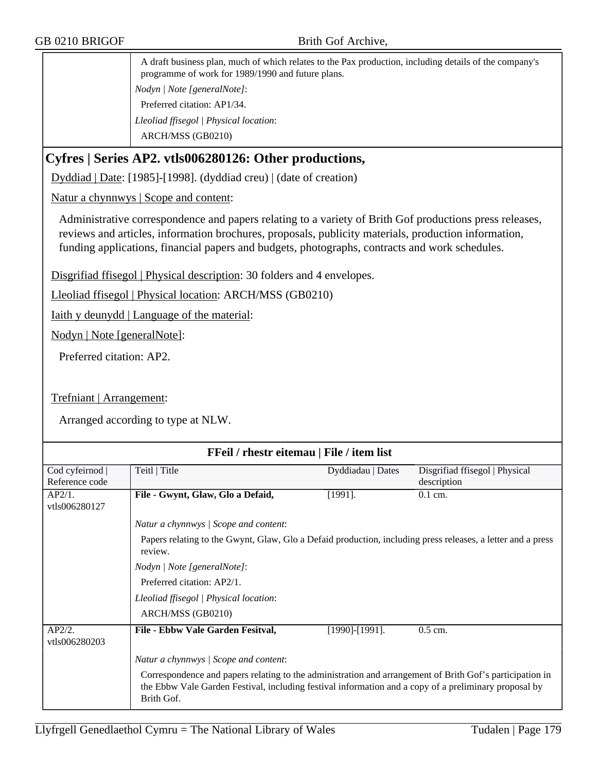A draft business plan, much of which relates to the Pax production, including details of the company's programme of work for 1989/1990 and future plans. *Nodyn | Note [generalNote]*: Preferred citation: AP1/34. *Lleoliad ffisegol | Physical location*: ARCH/MSS (GB0210)

## **Cyfres | Series AP2. vtls006280126: Other productions,**

Dyddiad | Date: [1985]-[1998]. (dyddiad creu) | (date of creation)

Natur a chynnwys | Scope and content:

Administrative correspondence and papers relating to a variety of Brith Gof productions press releases, reviews and articles, information brochures, proposals, publicity materials, production information, funding applications, financial papers and budgets, photographs, contracts and work schedules.

Disgrifiad ffisegol | Physical description: 30 folders and 4 envelopes.

Lleoliad ffisegol | Physical location: ARCH/MSS (GB0210)

Iaith y deunydd | Language of the material:

Nodyn | Note [generalNote]:

Preferred citation: AP2.

#### Trefniant | Arrangement:

| FFeil / rhestr eitemau   File / item list |                                                                                                                                                                                                                                 |                       |                                |  |  |  |
|-------------------------------------------|---------------------------------------------------------------------------------------------------------------------------------------------------------------------------------------------------------------------------------|-----------------------|--------------------------------|--|--|--|
| Cod cyfeirnod                             | Teitl   Title                                                                                                                                                                                                                   | Dyddiadau   Dates     | Disgrifiad ffisegol   Physical |  |  |  |
| Reference code                            |                                                                                                                                                                                                                                 |                       | description                    |  |  |  |
| AP2/1.                                    | File - Gwynt, Glaw, Glo a Defaid,                                                                                                                                                                                               | $[1991]$ .            | $0.1$ cm.                      |  |  |  |
| vtls006280127                             |                                                                                                                                                                                                                                 |                       |                                |  |  |  |
|                                           | Natur a chynnwys / Scope and content:                                                                                                                                                                                           |                       |                                |  |  |  |
|                                           | Papers relating to the Gwynt, Glaw, Glo a Defaid production, including press releases, a letter and a press<br>review.                                                                                                          |                       |                                |  |  |  |
|                                           | Nodyn   Note [generalNote]:                                                                                                                                                                                                     |                       |                                |  |  |  |
|                                           | Preferred citation: AP2/1.                                                                                                                                                                                                      |                       |                                |  |  |  |
|                                           | Lleoliad ffisegol   Physical location:                                                                                                                                                                                          |                       |                                |  |  |  |
|                                           | ARCH/MSS (GB0210)                                                                                                                                                                                                               |                       |                                |  |  |  |
| AP2/2.<br>vtls006280203                   | File - Ebbw Vale Garden Fesitval,                                                                                                                                                                                               | $[1990]$ - $[1991]$ . | $0.5$ cm.                      |  |  |  |
|                                           | Natur a chynnwys / Scope and content:                                                                                                                                                                                           |                       |                                |  |  |  |
|                                           | Correspondence and papers relating to the administration and arrangement of Brith Gof's participation in<br>the Ebbw Vale Garden Festival, including festival information and a copy of a preliminary proposal by<br>Brith Gof. |                       |                                |  |  |  |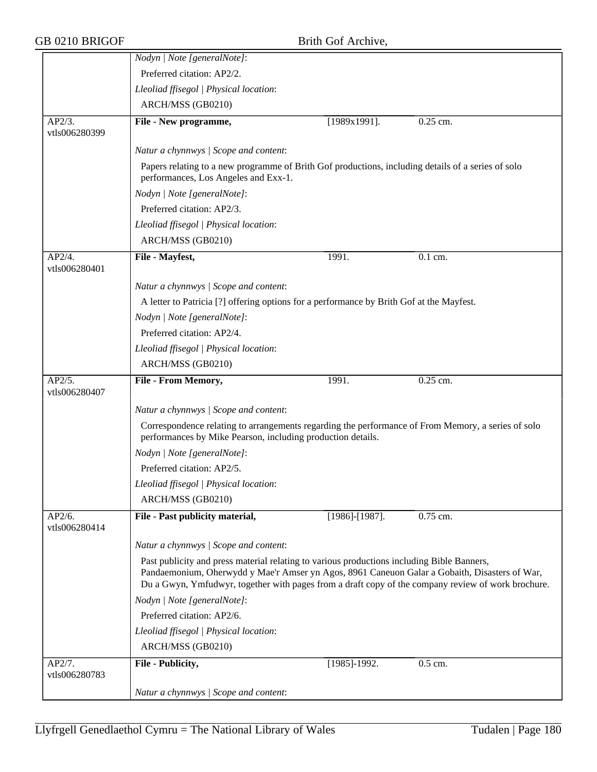|                         | Nodyn   Note [generalNote]:                                                                                                                                                                                                                                                                       |                       |            |  |  |
|-------------------------|---------------------------------------------------------------------------------------------------------------------------------------------------------------------------------------------------------------------------------------------------------------------------------------------------|-----------------------|------------|--|--|
|                         | Preferred citation: AP2/2.                                                                                                                                                                                                                                                                        |                       |            |  |  |
|                         | Lleoliad ffisegol   Physical location:                                                                                                                                                                                                                                                            |                       |            |  |  |
|                         | ARCH/MSS (GB0210)                                                                                                                                                                                                                                                                                 |                       |            |  |  |
| AP2/3.<br>vtls006280399 | File - New programme,                                                                                                                                                                                                                                                                             | $[1989x1991]$ .       | 0.25 cm.   |  |  |
|                         | Natur a chynnwys / Scope and content:                                                                                                                                                                                                                                                             |                       |            |  |  |
|                         | Papers relating to a new programme of Brith Gof productions, including details of a series of solo<br>performances, Los Angeles and Exx-1.                                                                                                                                                        |                       |            |  |  |
|                         | Nodyn   Note [generalNote]:                                                                                                                                                                                                                                                                       |                       |            |  |  |
|                         | Preferred citation: AP2/3.                                                                                                                                                                                                                                                                        |                       |            |  |  |
|                         | Lleoliad ffisegol   Physical location:                                                                                                                                                                                                                                                            |                       |            |  |  |
|                         | ARCH/MSS (GB0210)                                                                                                                                                                                                                                                                                 |                       |            |  |  |
| AP2/4.<br>vtls006280401 | File - Mayfest,                                                                                                                                                                                                                                                                                   | 1991.                 | $0.1$ cm.  |  |  |
|                         | Natur a chynnwys / Scope and content:                                                                                                                                                                                                                                                             |                       |            |  |  |
|                         | A letter to Patricia [?] offering options for a performance by Brith Gof at the Mayfest.                                                                                                                                                                                                          |                       |            |  |  |
|                         | Nodyn   Note [generalNote]:                                                                                                                                                                                                                                                                       |                       |            |  |  |
|                         | Preferred citation: AP2/4.                                                                                                                                                                                                                                                                        |                       |            |  |  |
|                         | Lleoliad ffisegol   Physical location:                                                                                                                                                                                                                                                            |                       |            |  |  |
|                         | ARCH/MSS (GB0210)                                                                                                                                                                                                                                                                                 |                       |            |  |  |
| AP2/5.<br>vtls006280407 | File - From Memory,                                                                                                                                                                                                                                                                               | 1991.                 | $0.25$ cm. |  |  |
|                         | Natur a chynnwys / Scope and content:                                                                                                                                                                                                                                                             |                       |            |  |  |
|                         | Correspondence relating to arrangements regarding the performance of From Memory, a series of solo<br>performances by Mike Pearson, including production details.                                                                                                                                 |                       |            |  |  |
|                         | Nodyn   Note [generalNote]:                                                                                                                                                                                                                                                                       |                       |            |  |  |
|                         | Preferred citation: AP2/5.                                                                                                                                                                                                                                                                        |                       |            |  |  |
|                         | Lleoliad ffisegol   Physical location:                                                                                                                                                                                                                                                            |                       |            |  |  |
|                         | ARCH/MSS (GB0210)                                                                                                                                                                                                                                                                                 |                       |            |  |  |
| AP2/6.<br>vtls006280414 | File - Past publicity material,                                                                                                                                                                                                                                                                   | $[1986]$ - $[1987]$ . | $0.75$ cm. |  |  |
|                         | Natur a chynnwys / Scope and content:                                                                                                                                                                                                                                                             |                       |            |  |  |
|                         | Past publicity and press material relating to various productions including Bible Banners,<br>Pandaemonium, Oherwydd y Mae'r Amser yn Agos, 8961 Caneuon Galar a Gobaith, Disasters of War,<br>Du a Gwyn, Ymfudwyr, together with pages from a draft copy of the company review of work brochure. |                       |            |  |  |
|                         | Nodyn   Note [generalNote]:                                                                                                                                                                                                                                                                       |                       |            |  |  |
|                         | Preferred citation: AP2/6.                                                                                                                                                                                                                                                                        |                       |            |  |  |
|                         | Lleoliad ffisegol   Physical location:                                                                                                                                                                                                                                                            |                       |            |  |  |
|                         | ARCH/MSS (GB0210)                                                                                                                                                                                                                                                                                 |                       |            |  |  |
| AP2/7.<br>vtls006280783 | File - Publicity,                                                                                                                                                                                                                                                                                 | $[1985]$ -1992.       | 0.5 cm.    |  |  |
|                         | Natur a chynnwys / Scope and content:                                                                                                                                                                                                                                                             |                       |            |  |  |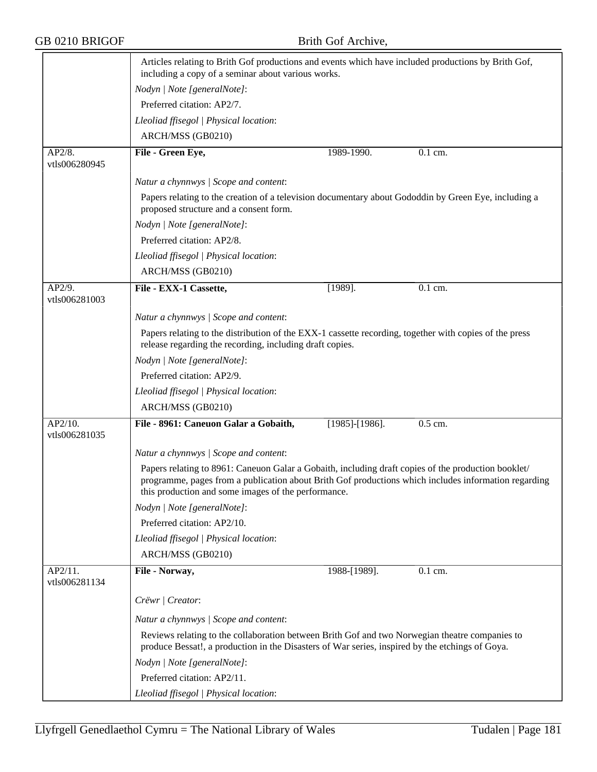|                          | Articles relating to Brith Gof productions and events which have included productions by Brith Gof,<br>including a copy of a seminar about various works.                                                                                                          |                   |                      |  |  |
|--------------------------|--------------------------------------------------------------------------------------------------------------------------------------------------------------------------------------------------------------------------------------------------------------------|-------------------|----------------------|--|--|
|                          | Nodyn   Note [generalNote]:                                                                                                                                                                                                                                        |                   |                      |  |  |
|                          | Preferred citation: AP2/7.                                                                                                                                                                                                                                         |                   |                      |  |  |
|                          | Lleoliad ffisegol   Physical location:                                                                                                                                                                                                                             |                   |                      |  |  |
|                          | ARCH/MSS (GB0210)                                                                                                                                                                                                                                                  |                   |                      |  |  |
| AP2/8.                   | File - Green Eye,                                                                                                                                                                                                                                                  | 1989-1990.        | 0.1 cm.              |  |  |
| vtls006280945            |                                                                                                                                                                                                                                                                    |                   |                      |  |  |
|                          | Natur a chynnwys / Scope and content:                                                                                                                                                                                                                              |                   |                      |  |  |
|                          | Papers relating to the creation of a television documentary about Gododdin by Green Eye, including a<br>proposed structure and a consent form.                                                                                                                     |                   |                      |  |  |
|                          | Nodyn   Note [generalNote]:                                                                                                                                                                                                                                        |                   |                      |  |  |
|                          | Preferred citation: AP2/8.                                                                                                                                                                                                                                         |                   |                      |  |  |
|                          | Lleoliad ffisegol   Physical location:                                                                                                                                                                                                                             |                   |                      |  |  |
|                          | ARCH/MSS (GB0210)                                                                                                                                                                                                                                                  |                   |                      |  |  |
| AP2/9.                   | File - EXX-1 Cassette,                                                                                                                                                                                                                                             | $[1989]$ .        | $\overline{0.1}$ cm. |  |  |
| vtls006281003            |                                                                                                                                                                                                                                                                    |                   |                      |  |  |
|                          | Natur a chynnwys / Scope and content:                                                                                                                                                                                                                              |                   |                      |  |  |
|                          | Papers relating to the distribution of the EXX-1 cassette recording, together with copies of the press<br>release regarding the recording, including draft copies.                                                                                                 |                   |                      |  |  |
|                          | Nodyn   Note [generalNote]:                                                                                                                                                                                                                                        |                   |                      |  |  |
|                          | Preferred citation: AP2/9.                                                                                                                                                                                                                                         |                   |                      |  |  |
|                          | Lleoliad ffisegol   Physical location:                                                                                                                                                                                                                             |                   |                      |  |  |
|                          | ARCH/MSS (GB0210)                                                                                                                                                                                                                                                  |                   |                      |  |  |
| AP2/10.<br>vtls006281035 | File - 8961: Caneuon Galar a Gobaith,                                                                                                                                                                                                                              | $[1985]$ -[1986]. | 0.5 cm.              |  |  |
|                          | Natur a chynnwys / Scope and content:                                                                                                                                                                                                                              |                   |                      |  |  |
|                          | Papers relating to 8961: Caneuon Galar a Gobaith, including draft copies of the production booklet/<br>programme, pages from a publication about Brith Gof productions which includes information regarding<br>this production and some images of the performance. |                   |                      |  |  |
|                          | Nodyn   Note [generalNote]:                                                                                                                                                                                                                                        |                   |                      |  |  |
|                          | Preferred citation: AP2/10.                                                                                                                                                                                                                                        |                   |                      |  |  |
|                          | Lleoliad ffisegol   Physical location:                                                                                                                                                                                                                             |                   |                      |  |  |
|                          | ARCH/MSS (GB0210)                                                                                                                                                                                                                                                  |                   |                      |  |  |
| AP2/11.<br>vtls006281134 | File - Norway,                                                                                                                                                                                                                                                     | 1988-[1989].      | 0.1 cm.              |  |  |
|                          | Crëwr   Creator:                                                                                                                                                                                                                                                   |                   |                      |  |  |
|                          | Natur a chynnwys / Scope and content:                                                                                                                                                                                                                              |                   |                      |  |  |
|                          | Reviews relating to the collaboration between Brith Gof and two Norwegian theatre companies to<br>produce Bessat!, a production in the Disasters of War series, inspired by the etchings of Goya.                                                                  |                   |                      |  |  |
|                          | Nodyn   Note [generalNote]:                                                                                                                                                                                                                                        |                   |                      |  |  |
|                          | Preferred citation: AP2/11.                                                                                                                                                                                                                                        |                   |                      |  |  |
|                          | Lleoliad ffisegol   Physical location:                                                                                                                                                                                                                             |                   |                      |  |  |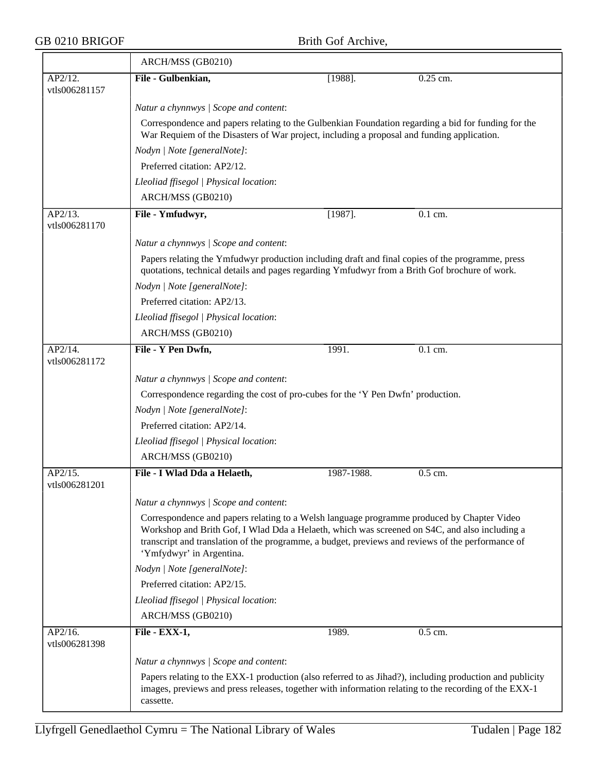$\overline{\phantom{0}}$ 

|                          | ARCH/MSS (GB0210)                                                                                                                                                                                                                                                                                                            |            |                                                                                                          |  |  |  |
|--------------------------|------------------------------------------------------------------------------------------------------------------------------------------------------------------------------------------------------------------------------------------------------------------------------------------------------------------------------|------------|----------------------------------------------------------------------------------------------------------|--|--|--|
| AP2/12.<br>vtls006281157 | File - Gulbenkian,                                                                                                                                                                                                                                                                                                           | $[1988]$ . | 0.25 cm.                                                                                                 |  |  |  |
|                          | Natur a chynnwys / Scope and content:                                                                                                                                                                                                                                                                                        |            |                                                                                                          |  |  |  |
|                          | Correspondence and papers relating to the Gulbenkian Foundation regarding a bid for funding for the<br>War Requiem of the Disasters of War project, including a proposal and funding application.                                                                                                                            |            |                                                                                                          |  |  |  |
|                          | Nodyn   Note [generalNote]:                                                                                                                                                                                                                                                                                                  |            |                                                                                                          |  |  |  |
|                          | Preferred citation: AP2/12.                                                                                                                                                                                                                                                                                                  |            |                                                                                                          |  |  |  |
|                          | Lleoliad ffisegol   Physical location:                                                                                                                                                                                                                                                                                       |            |                                                                                                          |  |  |  |
|                          | ARCH/MSS (GB0210)                                                                                                                                                                                                                                                                                                            |            |                                                                                                          |  |  |  |
| AP2/13.<br>vtls006281170 | File - Ymfudwyr,                                                                                                                                                                                                                                                                                                             | $[1987]$ . | 0.1 cm.                                                                                                  |  |  |  |
|                          | Natur a chynnwys / Scope and content:                                                                                                                                                                                                                                                                                        |            |                                                                                                          |  |  |  |
|                          | Papers relating the Ymfudwyr production including draft and final copies of the programme, press<br>quotations, technical details and pages regarding Ymfudwyr from a Brith Gof brochure of work.                                                                                                                            |            |                                                                                                          |  |  |  |
|                          | Nodyn   Note [generalNote]:                                                                                                                                                                                                                                                                                                  |            |                                                                                                          |  |  |  |
|                          | Preferred citation: AP2/13.                                                                                                                                                                                                                                                                                                  |            |                                                                                                          |  |  |  |
|                          | Lleoliad ffisegol   Physical location:                                                                                                                                                                                                                                                                                       |            |                                                                                                          |  |  |  |
|                          | ARCH/MSS (GB0210)                                                                                                                                                                                                                                                                                                            |            |                                                                                                          |  |  |  |
| AP2/14.<br>vtls006281172 | File - Y Pen Dwfn,                                                                                                                                                                                                                                                                                                           | 1991.      | $\overline{0.1}$ cm.                                                                                     |  |  |  |
|                          | Natur a chynnwys / Scope and content:                                                                                                                                                                                                                                                                                        |            |                                                                                                          |  |  |  |
|                          | Correspondence regarding the cost of pro-cubes for the 'Y Pen Dwfn' production.                                                                                                                                                                                                                                              |            |                                                                                                          |  |  |  |
|                          | Nodyn   Note [generalNote]:                                                                                                                                                                                                                                                                                                  |            |                                                                                                          |  |  |  |
|                          | Preferred citation: AP2/14.                                                                                                                                                                                                                                                                                                  |            |                                                                                                          |  |  |  |
|                          | Lleoliad ffisegol   Physical location:                                                                                                                                                                                                                                                                                       |            |                                                                                                          |  |  |  |
|                          | ARCH/MSS (GB0210)                                                                                                                                                                                                                                                                                                            |            |                                                                                                          |  |  |  |
| AP2/15.<br>vtls006281201 | File - I Wlad Dda a Helaeth,                                                                                                                                                                                                                                                                                                 | 1987-1988. | 0.5 cm.                                                                                                  |  |  |  |
|                          | Natur a chynnwys / Scope and content:                                                                                                                                                                                                                                                                                        |            |                                                                                                          |  |  |  |
|                          | Correspondence and papers relating to a Welsh language programme produced by Chapter Video<br>Workshop and Brith Gof, I Wlad Dda a Helaeth, which was screened on S4C, and also including a<br>transcript and translation of the programme, a budget, previews and reviews of the performance of<br>'Ymfydwyr' in Argentina. |            |                                                                                                          |  |  |  |
|                          | Nodyn   Note [generalNote]:                                                                                                                                                                                                                                                                                                  |            |                                                                                                          |  |  |  |
|                          | Preferred citation: AP2/15.                                                                                                                                                                                                                                                                                                  |            |                                                                                                          |  |  |  |
|                          | Lleoliad ffisegol   Physical location:                                                                                                                                                                                                                                                                                       |            |                                                                                                          |  |  |  |
|                          | ARCH/MSS (GB0210)                                                                                                                                                                                                                                                                                                            |            |                                                                                                          |  |  |  |
| AP2/16.<br>vtls006281398 | File - EXX-1,                                                                                                                                                                                                                                                                                                                | 1989.      | 0.5 cm.                                                                                                  |  |  |  |
|                          | Natur a chynnwys / Scope and content:                                                                                                                                                                                                                                                                                        |            |                                                                                                          |  |  |  |
|                          | images, previews and press releases, together with information relating to the recording of the EXX-1<br>cassette.                                                                                                                                                                                                           |            | Papers relating to the EXX-1 production (also referred to as Jihad?), including production and publicity |  |  |  |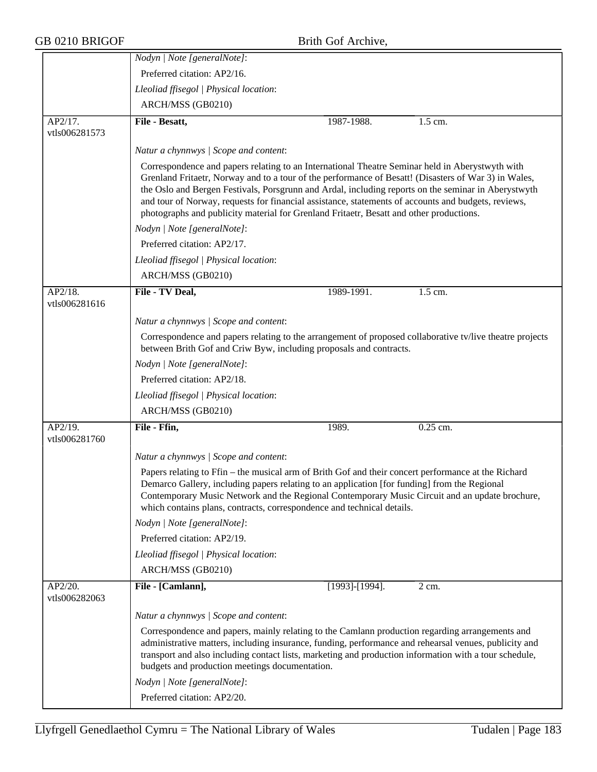|                                               | Nodyn   Note [generalNote]:                                                                                                                                                                                                                                                                                                                                                                                                                                                                                      |                |            |
|-----------------------------------------------|------------------------------------------------------------------------------------------------------------------------------------------------------------------------------------------------------------------------------------------------------------------------------------------------------------------------------------------------------------------------------------------------------------------------------------------------------------------------------------------------------------------|----------------|------------|
|                                               | Preferred citation: AP2/16.                                                                                                                                                                                                                                                                                                                                                                                                                                                                                      |                |            |
|                                               | Lleoliad ffisegol   Physical location:                                                                                                                                                                                                                                                                                                                                                                                                                                                                           |                |            |
|                                               | ARCH/MSS (GB0210)                                                                                                                                                                                                                                                                                                                                                                                                                                                                                                |                |            |
| $\overline{\text{AP2}}/17$ .<br>vtls006281573 | File - Besatt,                                                                                                                                                                                                                                                                                                                                                                                                                                                                                                   | 1987-1988.     | 1.5 cm.    |
|                                               | Natur a chynnwys / Scope and content:                                                                                                                                                                                                                                                                                                                                                                                                                                                                            |                |            |
|                                               | Correspondence and papers relating to an International Theatre Seminar held in Aberystwyth with<br>Grenland Fritaetr, Norway and to a tour of the performance of Besatt! (Disasters of War 3) in Wales,<br>the Oslo and Bergen Festivals, Porsgrunn and Ardal, including reports on the seminar in Aberystwyth<br>and tour of Norway, requests for financial assistance, statements of accounts and budgets, reviews,<br>photographs and publicity material for Grenland Fritaetr, Besatt and other productions. |                |            |
|                                               | Nodyn   Note [generalNote]:                                                                                                                                                                                                                                                                                                                                                                                                                                                                                      |                |            |
|                                               | Preferred citation: AP2/17.                                                                                                                                                                                                                                                                                                                                                                                                                                                                                      |                |            |
|                                               | Lleoliad ffisegol   Physical location:                                                                                                                                                                                                                                                                                                                                                                                                                                                                           |                |            |
|                                               | ARCH/MSS (GB0210)                                                                                                                                                                                                                                                                                                                                                                                                                                                                                                |                |            |
| AP2/18.<br>vtls006281616                      | File - TV Deal,                                                                                                                                                                                                                                                                                                                                                                                                                                                                                                  | 1989-1991.     | 1.5 cm.    |
|                                               | Natur a chynnwys / Scope and content:                                                                                                                                                                                                                                                                                                                                                                                                                                                                            |                |            |
|                                               | Correspondence and papers relating to the arrangement of proposed collaborative tv/live theatre projects<br>between Brith Gof and Criw Byw, including proposals and contracts.                                                                                                                                                                                                                                                                                                                                   |                |            |
|                                               | Nodyn   Note [generalNote]:                                                                                                                                                                                                                                                                                                                                                                                                                                                                                      |                |            |
|                                               | Preferred citation: AP2/18.                                                                                                                                                                                                                                                                                                                                                                                                                                                                                      |                |            |
|                                               | Lleoliad ffisegol   Physical location:                                                                                                                                                                                                                                                                                                                                                                                                                                                                           |                |            |
|                                               | ARCH/MSS (GB0210)                                                                                                                                                                                                                                                                                                                                                                                                                                                                                                |                |            |
| AP2/19.<br>vtls006281760                      | File - Ffin,                                                                                                                                                                                                                                                                                                                                                                                                                                                                                                     | 1989.          | $0.25$ cm. |
|                                               | Natur a chynnwys / Scope and content:                                                                                                                                                                                                                                                                                                                                                                                                                                                                            |                |            |
|                                               | Papers relating to Ffin – the musical arm of Brith Gof and their concert performance at the Richard<br>Demarco Gallery, including papers relating to an application [for funding] from the Regional<br>Contemporary Music Network and the Regional Contemporary Music Circuit and an update brochure,<br>which contains plans, contracts, correspondence and technical details.                                                                                                                                  |                |            |
|                                               | Nodyn   Note [generalNote]:                                                                                                                                                                                                                                                                                                                                                                                                                                                                                      |                |            |
|                                               | Preferred citation: AP2/19.                                                                                                                                                                                                                                                                                                                                                                                                                                                                                      |                |            |
|                                               | Lleoliad ffisegol   Physical location:                                                                                                                                                                                                                                                                                                                                                                                                                                                                           |                |            |
|                                               | ARCH/MSS (GB0210)                                                                                                                                                                                                                                                                                                                                                                                                                                                                                                |                |            |
| AP2/20.<br>vtls006282063                      | File - [Camlann],                                                                                                                                                                                                                                                                                                                                                                                                                                                                                                | [1993]-[1994]. | 2 cm.      |
|                                               | Natur a chynnwys / Scope and content:                                                                                                                                                                                                                                                                                                                                                                                                                                                                            |                |            |
|                                               | Correspondence and papers, mainly relating to the Camlann production regarding arrangements and<br>administrative matters, including insurance, funding, performance and rehearsal venues, publicity and<br>transport and also including contact lists, marketing and production information with a tour schedule,<br>budgets and production meetings documentation.                                                                                                                                             |                |            |
|                                               | Nodyn   Note [generalNote]:                                                                                                                                                                                                                                                                                                                                                                                                                                                                                      |                |            |
|                                               | Preferred citation: AP2/20.                                                                                                                                                                                                                                                                                                                                                                                                                                                                                      |                |            |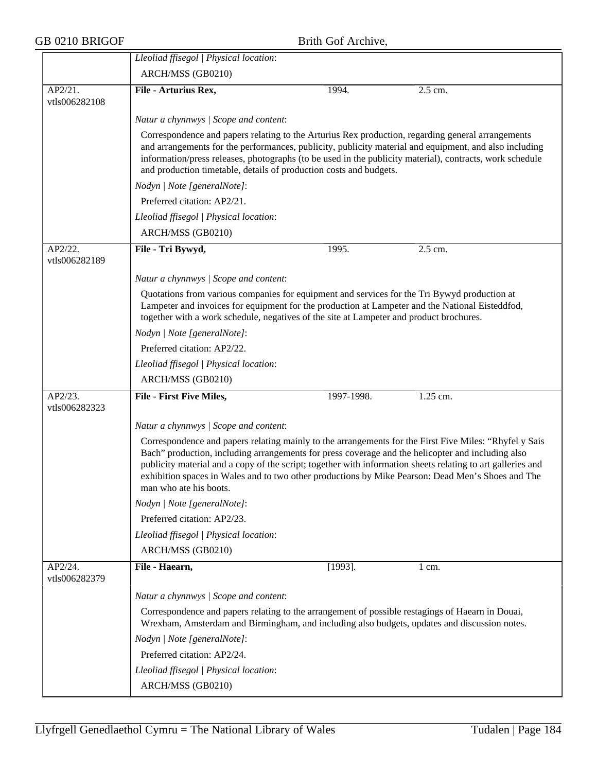|                             | Lleoliad ffisegol   Physical location:                                                                                                                                                                                                                                                                                                                                                                                                                    |            |                  |  |  |
|-----------------------------|-----------------------------------------------------------------------------------------------------------------------------------------------------------------------------------------------------------------------------------------------------------------------------------------------------------------------------------------------------------------------------------------------------------------------------------------------------------|------------|------------------|--|--|
|                             | ARCH/MSS (GB0210)                                                                                                                                                                                                                                                                                                                                                                                                                                         |            |                  |  |  |
| AP2/21.                     | File - Arturius Rex,                                                                                                                                                                                                                                                                                                                                                                                                                                      | 1994.      | 2.5 cm.          |  |  |
| vtls006282108               |                                                                                                                                                                                                                                                                                                                                                                                                                                                           |            |                  |  |  |
|                             | Natur a chynnwys / Scope and content:                                                                                                                                                                                                                                                                                                                                                                                                                     |            |                  |  |  |
|                             | Correspondence and papers relating to the Arturius Rex production, regarding general arrangements<br>and arrangements for the performances, publicity, publicity material and equipment, and also including<br>information/press releases, photographs (to be used in the publicity material), contracts, work schedule<br>and production timetable, details of production costs and budgets.                                                             |            |                  |  |  |
|                             | Nodyn   Note [generalNote]:<br>Preferred citation: AP2/21.                                                                                                                                                                                                                                                                                                                                                                                                |            |                  |  |  |
|                             |                                                                                                                                                                                                                                                                                                                                                                                                                                                           |            |                  |  |  |
|                             | Lleoliad ffisegol   Physical location:                                                                                                                                                                                                                                                                                                                                                                                                                    |            |                  |  |  |
|                             | ARCH/MSS (GB0210)                                                                                                                                                                                                                                                                                                                                                                                                                                         |            |                  |  |  |
| AP2/22.<br>vtls006282189    | File - Tri Bywyd,                                                                                                                                                                                                                                                                                                                                                                                                                                         | 1995.      | 2.5 cm.          |  |  |
|                             | Natur a chynnwys / Scope and content:                                                                                                                                                                                                                                                                                                                                                                                                                     |            |                  |  |  |
|                             | Quotations from various companies for equipment and services for the Tri Bywyd production at<br>Lampeter and invoices for equipment for the production at Lampeter and the National Eisteddfod,<br>together with a work schedule, negatives of the site at Lampeter and product brochures.                                                                                                                                                                |            |                  |  |  |
|                             | Nodyn   Note [generalNote]:                                                                                                                                                                                                                                                                                                                                                                                                                               |            |                  |  |  |
|                             | Preferred citation: AP2/22.                                                                                                                                                                                                                                                                                                                                                                                                                               |            |                  |  |  |
|                             | Lleoliad ffisegol   Physical location:                                                                                                                                                                                                                                                                                                                                                                                                                    |            |                  |  |  |
|                             | ARCH/MSS (GB0210)                                                                                                                                                                                                                                                                                                                                                                                                                                         |            |                  |  |  |
| $AP2/23$ .<br>vtls006282323 | <b>File - First Five Miles,</b>                                                                                                                                                                                                                                                                                                                                                                                                                           | 1997-1998. | 1.25 cm.         |  |  |
|                             | Natur a chynnwys / Scope and content:                                                                                                                                                                                                                                                                                                                                                                                                                     |            |                  |  |  |
|                             | Correspondence and papers relating mainly to the arrangements for the First Five Miles: "Rhyfel y Sais<br>Bach" production, including arrangements for press coverage and the helicopter and including also<br>publicity material and a copy of the script; together with information sheets relating to art galleries and<br>exhibition spaces in Wales and to two other productions by Mike Pearson: Dead Men's Shoes and The<br>man who ate his boots. |            |                  |  |  |
|                             | Nodyn   Note [generalNote]:                                                                                                                                                                                                                                                                                                                                                                                                                               |            |                  |  |  |
|                             | Preferred citation: AP2/23.                                                                                                                                                                                                                                                                                                                                                                                                                               |            |                  |  |  |
|                             | Lleoliad ffisegol   Physical location:                                                                                                                                                                                                                                                                                                                                                                                                                    |            |                  |  |  |
|                             | ARCH/MSS (GB0210)                                                                                                                                                                                                                                                                                                                                                                                                                                         |            |                  |  |  |
| AP2/24.<br>vtls006282379    | File - Haearn,                                                                                                                                                                                                                                                                                                                                                                                                                                            | $[1993]$ . | $1 \text{ cm}$ . |  |  |
|                             | Natur a chynnwys / Scope and content:                                                                                                                                                                                                                                                                                                                                                                                                                     |            |                  |  |  |
|                             | Correspondence and papers relating to the arrangement of possible restagings of Haearn in Douai,<br>Wrexham, Amsterdam and Birmingham, and including also budgets, updates and discussion notes.                                                                                                                                                                                                                                                          |            |                  |  |  |
|                             | Nodyn   Note [generalNote]:                                                                                                                                                                                                                                                                                                                                                                                                                               |            |                  |  |  |
|                             | Preferred citation: AP2/24.                                                                                                                                                                                                                                                                                                                                                                                                                               |            |                  |  |  |
|                             | Lleoliad ffisegol   Physical location:                                                                                                                                                                                                                                                                                                                                                                                                                    |            |                  |  |  |
|                             | ARCH/MSS (GB0210)                                                                                                                                                                                                                                                                                                                                                                                                                                         |            |                  |  |  |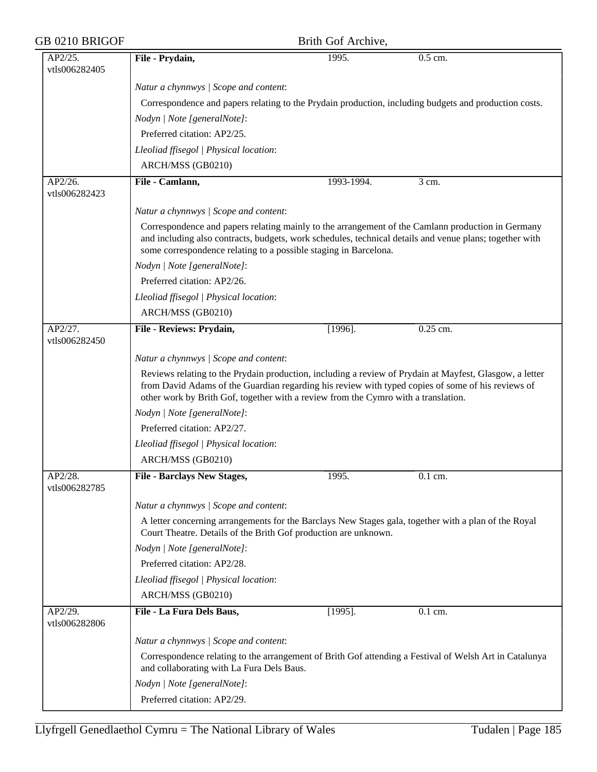| GB 0210 BRIGOF<br>Brith Gof Archive, |                                                                                                                                                                                                                                                                                                    |            |            |
|--------------------------------------|----------------------------------------------------------------------------------------------------------------------------------------------------------------------------------------------------------------------------------------------------------------------------------------------------|------------|------------|
| AP2/25.<br>vtls006282405             | File - Prydain,                                                                                                                                                                                                                                                                                    | 1995.      | 0.5 cm.    |
|                                      | Natur a chynnwys / Scope and content:                                                                                                                                                                                                                                                              |            |            |
|                                      | Correspondence and papers relating to the Prydain production, including budgets and production costs.                                                                                                                                                                                              |            |            |
|                                      | Nodyn   Note [generalNote]:                                                                                                                                                                                                                                                                        |            |            |
|                                      | Preferred citation: AP2/25.                                                                                                                                                                                                                                                                        |            |            |
|                                      | Lleoliad ffisegol   Physical location:                                                                                                                                                                                                                                                             |            |            |
|                                      | ARCH/MSS (GB0210)                                                                                                                                                                                                                                                                                  |            |            |
| AP2/26.<br>vtls006282423             | File - Camlann,                                                                                                                                                                                                                                                                                    | 1993-1994. | 3 cm.      |
|                                      | Natur a chynnwys / Scope and content:                                                                                                                                                                                                                                                              |            |            |
|                                      | Correspondence and papers relating mainly to the arrangement of the Camlann production in Germany<br>and including also contracts, budgets, work schedules, technical details and venue plans; together with<br>some correspondence relating to a possible staging in Barcelona.                   |            |            |
|                                      | Nodyn   Note [generalNote]:                                                                                                                                                                                                                                                                        |            |            |
|                                      | Preferred citation: AP2/26.                                                                                                                                                                                                                                                                        |            |            |
|                                      | Lleoliad ffisegol   Physical location:                                                                                                                                                                                                                                                             |            |            |
|                                      | ARCH/MSS (GB0210)                                                                                                                                                                                                                                                                                  |            |            |
| AP2/27.<br>vtls006282450             | File - Reviews: Prydain,                                                                                                                                                                                                                                                                           | $[1996]$ . | $0.25$ cm. |
|                                      | Natur a chynnwys / Scope and content:                                                                                                                                                                                                                                                              |            |            |
|                                      | Reviews relating to the Prydain production, including a review of Prydain at Mayfest, Glasgow, a letter<br>from David Adams of the Guardian regarding his review with typed copies of some of his reviews of<br>other work by Brith Gof, together with a review from the Cymro with a translation. |            |            |
|                                      | Nodyn   Note [generalNote]:                                                                                                                                                                                                                                                                        |            |            |
|                                      | Preferred citation: AP2/27.                                                                                                                                                                                                                                                                        |            |            |
|                                      | Lleoliad ffisegol   Physical location:                                                                                                                                                                                                                                                             |            |            |
|                                      | ARCH/MSS (GB0210)                                                                                                                                                                                                                                                                                  |            |            |
| AP2/28.                              | <b>File - Barclays New Stages,</b>                                                                                                                                                                                                                                                                 | 1995.      | 0.1 cm.    |
| vtls006282785                        |                                                                                                                                                                                                                                                                                                    |            |            |
|                                      | Natur a chynnwys / Scope and content:                                                                                                                                                                                                                                                              |            |            |
|                                      | A letter concerning arrangements for the Barclays New Stages gala, together with a plan of the Royal<br>Court Theatre. Details of the Brith Gof production are unknown.                                                                                                                            |            |            |
|                                      | Nodyn   Note [generalNote]:                                                                                                                                                                                                                                                                        |            |            |
|                                      | Preferred citation: AP2/28.                                                                                                                                                                                                                                                                        |            |            |
|                                      | Lleoliad ffisegol   Physical location:                                                                                                                                                                                                                                                             |            |            |
|                                      | ARCH/MSS (GB0210)                                                                                                                                                                                                                                                                                  |            |            |
| AP2/29.<br>vtls006282806             | File - La Fura Dels Baus,                                                                                                                                                                                                                                                                          | $[1995]$ . | 0.1 cm.    |
|                                      | Natur a chynnwys / Scope and content:                                                                                                                                                                                                                                                              |            |            |
|                                      | Correspondence relating to the arrangement of Brith Gof attending a Festival of Welsh Art in Catalunya<br>and collaborating with La Fura Dels Baus.                                                                                                                                                |            |            |
|                                      | Nodyn   Note [generalNote]:                                                                                                                                                                                                                                                                        |            |            |
|                                      | Preferred citation: AP2/29.                                                                                                                                                                                                                                                                        |            |            |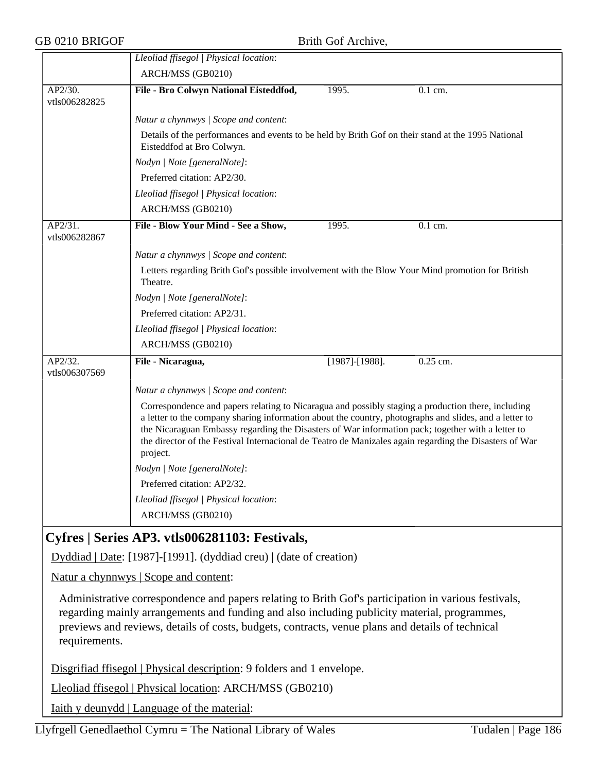|                                                                                                                                                                                                                                                                                                                           | Lleoliad ffisegol   Physical location:                                                                                                                                                                                                                                                                                                                                                                                                  |                       |          |  |
|---------------------------------------------------------------------------------------------------------------------------------------------------------------------------------------------------------------------------------------------------------------------------------------------------------------------------|-----------------------------------------------------------------------------------------------------------------------------------------------------------------------------------------------------------------------------------------------------------------------------------------------------------------------------------------------------------------------------------------------------------------------------------------|-----------------------|----------|--|
|                                                                                                                                                                                                                                                                                                                           | ARCH/MSS (GB0210)                                                                                                                                                                                                                                                                                                                                                                                                                       |                       |          |  |
| AP2/30.<br>vtls006282825                                                                                                                                                                                                                                                                                                  | File - Bro Colwyn National Eisteddfod,                                                                                                                                                                                                                                                                                                                                                                                                  | 1995.                 | 0.1 cm.  |  |
|                                                                                                                                                                                                                                                                                                                           | Natur a chynnwys / Scope and content:                                                                                                                                                                                                                                                                                                                                                                                                   |                       |          |  |
|                                                                                                                                                                                                                                                                                                                           | Details of the performances and events to be held by Brith Gof on their stand at the 1995 National<br>Eisteddfod at Bro Colwyn.                                                                                                                                                                                                                                                                                                         |                       |          |  |
|                                                                                                                                                                                                                                                                                                                           | Nodyn   Note [generalNote]:                                                                                                                                                                                                                                                                                                                                                                                                             |                       |          |  |
|                                                                                                                                                                                                                                                                                                                           | Preferred citation: AP2/30.                                                                                                                                                                                                                                                                                                                                                                                                             |                       |          |  |
|                                                                                                                                                                                                                                                                                                                           | Lleoliad ffisegol   Physical location:                                                                                                                                                                                                                                                                                                                                                                                                  |                       |          |  |
|                                                                                                                                                                                                                                                                                                                           | ARCH/MSS (GB0210)                                                                                                                                                                                                                                                                                                                                                                                                                       |                       |          |  |
| AP2/31.<br>vtls006282867                                                                                                                                                                                                                                                                                                  | File - Blow Your Mind - See a Show,                                                                                                                                                                                                                                                                                                                                                                                                     | 1995.                 | 0.1 cm.  |  |
|                                                                                                                                                                                                                                                                                                                           | Natur a chynnwys / Scope and content:                                                                                                                                                                                                                                                                                                                                                                                                   |                       |          |  |
|                                                                                                                                                                                                                                                                                                                           | Letters regarding Brith Gof's possible involvement with the Blow Your Mind promotion for British<br>Theatre.                                                                                                                                                                                                                                                                                                                            |                       |          |  |
|                                                                                                                                                                                                                                                                                                                           | Nodyn   Note [generalNote]:                                                                                                                                                                                                                                                                                                                                                                                                             |                       |          |  |
|                                                                                                                                                                                                                                                                                                                           | Preferred citation: AP2/31.                                                                                                                                                                                                                                                                                                                                                                                                             |                       |          |  |
|                                                                                                                                                                                                                                                                                                                           | Lleoliad ffisegol   Physical location:                                                                                                                                                                                                                                                                                                                                                                                                  |                       |          |  |
|                                                                                                                                                                                                                                                                                                                           | ARCH/MSS (GB0210)                                                                                                                                                                                                                                                                                                                                                                                                                       |                       |          |  |
| AP2/32.<br>vtls006307569                                                                                                                                                                                                                                                                                                  | File - Nicaragua,                                                                                                                                                                                                                                                                                                                                                                                                                       | $[1987]$ - $[1988]$ . | 0.25 cm. |  |
|                                                                                                                                                                                                                                                                                                                           | Natur a chynnwys / Scope and content:                                                                                                                                                                                                                                                                                                                                                                                                   |                       |          |  |
|                                                                                                                                                                                                                                                                                                                           | Correspondence and papers relating to Nicaragua and possibly staging a production there, including<br>a letter to the company sharing information about the country, photographs and slides, and a letter to<br>the Nicaraguan Embassy regarding the Disasters of War information pack; together with a letter to<br>the director of the Festival Internacional de Teatro de Manizales again regarding the Disasters of War<br>project. |                       |          |  |
|                                                                                                                                                                                                                                                                                                                           | Nodyn   Note [generalNote]:                                                                                                                                                                                                                                                                                                                                                                                                             |                       |          |  |
|                                                                                                                                                                                                                                                                                                                           | Preferred citation: AP2/32.                                                                                                                                                                                                                                                                                                                                                                                                             |                       |          |  |
|                                                                                                                                                                                                                                                                                                                           | Lleoliad ffisegol   Physical location:                                                                                                                                                                                                                                                                                                                                                                                                  |                       |          |  |
|                                                                                                                                                                                                                                                                                                                           | ARCH/MSS (GB0210)                                                                                                                                                                                                                                                                                                                                                                                                                       |                       |          |  |
|                                                                                                                                                                                                                                                                                                                           | Cyfres   Series AP3. vtls006281103: Festivals,                                                                                                                                                                                                                                                                                                                                                                                          |                       |          |  |
|                                                                                                                                                                                                                                                                                                                           | Dyddiad   Date: [1987]-[1991]. (dyddiad creu)   (date of creation)                                                                                                                                                                                                                                                                                                                                                                      |                       |          |  |
|                                                                                                                                                                                                                                                                                                                           | <u>Natur a chynnwys</u>   Scope and content:                                                                                                                                                                                                                                                                                                                                                                                            |                       |          |  |
| Administrative correspondence and papers relating to Brith Gof's participation in various festivals,<br>regarding mainly arrangements and funding and also including publicity material, programmes,<br>previews and reviews, details of costs, budgets, contracts, venue plans and details of technical<br>requirements. |                                                                                                                                                                                                                                                                                                                                                                                                                                         |                       |          |  |

Disgrifiad ffisegol | Physical description: 9 folders and 1 envelope.

Lleoliad ffisegol | Physical location: ARCH/MSS (GB0210)

Iaith y deunydd | Language of the material: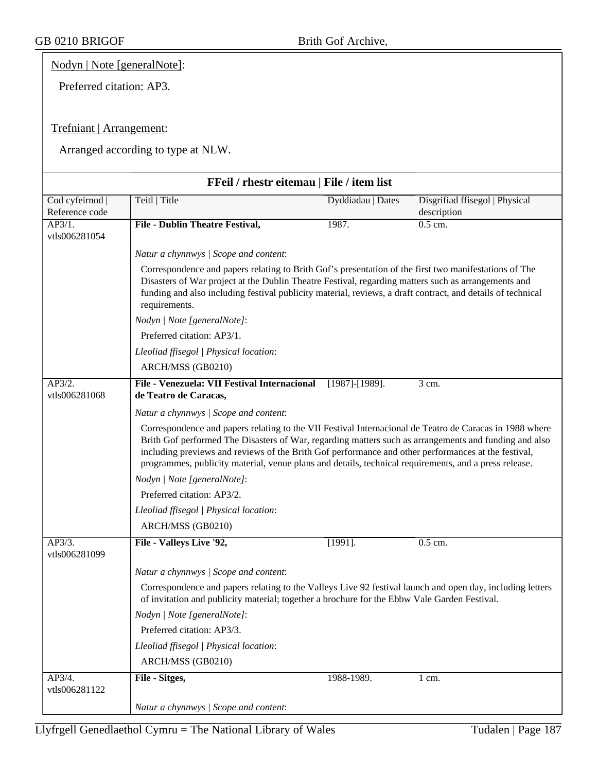### Nodyn | Note [generalNote]:

Preferred citation: AP3.

### Trefniant | Arrangement:

| FFeil / rhestr eitemau   File / item list |                                                                                                                                                                                                                                                                                                                                                                                                                                  |                       |                                               |  |  |
|-------------------------------------------|----------------------------------------------------------------------------------------------------------------------------------------------------------------------------------------------------------------------------------------------------------------------------------------------------------------------------------------------------------------------------------------------------------------------------------|-----------------------|-----------------------------------------------|--|--|
| Cod cyfeirnod  <br>Reference code         | Teitl   Title                                                                                                                                                                                                                                                                                                                                                                                                                    | Dyddiadau   Dates     | Disgrifiad ffisegol   Physical<br>description |  |  |
| AP3/1.<br>vtls006281054                   | <b>File - Dublin Theatre Festival,</b>                                                                                                                                                                                                                                                                                                                                                                                           | 1987.                 | 0.5 cm.                                       |  |  |
|                                           | Natur a chynnwys / Scope and content:                                                                                                                                                                                                                                                                                                                                                                                            |                       |                                               |  |  |
|                                           | Correspondence and papers relating to Brith Gof's presentation of the first two manifestations of The<br>Disasters of War project at the Dublin Theatre Festival, regarding matters such as arrangements and<br>funding and also including festival publicity material, reviews, a draft contract, and details of technical<br>requirements.                                                                                     |                       |                                               |  |  |
|                                           | Nodyn   Note [generalNote]:                                                                                                                                                                                                                                                                                                                                                                                                      |                       |                                               |  |  |
|                                           | Preferred citation: AP3/1.                                                                                                                                                                                                                                                                                                                                                                                                       |                       |                                               |  |  |
|                                           | Lleoliad ffisegol   Physical location:                                                                                                                                                                                                                                                                                                                                                                                           |                       |                                               |  |  |
|                                           | ARCH/MSS (GB0210)                                                                                                                                                                                                                                                                                                                                                                                                                |                       |                                               |  |  |
| $\overline{AP3/2.}$                       | File - Venezuela: VII Festival Internacional                                                                                                                                                                                                                                                                                                                                                                                     | $[1987]$ - $[1989]$ . | 3 cm.                                         |  |  |
| vtls006281068                             | de Teatro de Caracas,                                                                                                                                                                                                                                                                                                                                                                                                            |                       |                                               |  |  |
|                                           | Natur a chynnwys / Scope and content:                                                                                                                                                                                                                                                                                                                                                                                            |                       |                                               |  |  |
|                                           | Correspondence and papers relating to the VII Festival Internacional de Teatro de Caracas in 1988 where<br>Brith Gof performed The Disasters of War, regarding matters such as arrangements and funding and also<br>including previews and reviews of the Brith Gof performance and other performances at the festival,<br>programmes, publicity material, venue plans and details, technical requirements, and a press release. |                       |                                               |  |  |
|                                           | Nodyn   Note [generalNote]:                                                                                                                                                                                                                                                                                                                                                                                                      |                       |                                               |  |  |
|                                           | Preferred citation: AP3/2.                                                                                                                                                                                                                                                                                                                                                                                                       |                       |                                               |  |  |
|                                           | Lleoliad ffisegol   Physical location:                                                                                                                                                                                                                                                                                                                                                                                           |                       |                                               |  |  |
|                                           | ARCH/MSS (GB0210)                                                                                                                                                                                                                                                                                                                                                                                                                |                       |                                               |  |  |
| AP3/3.                                    | File - Valleys Live '92,                                                                                                                                                                                                                                                                                                                                                                                                         | $[1991]$ .            | $0.5$ cm.                                     |  |  |
| vtls006281099                             |                                                                                                                                                                                                                                                                                                                                                                                                                                  |                       |                                               |  |  |
|                                           | Natur a chynnwys / Scope and content:                                                                                                                                                                                                                                                                                                                                                                                            |                       |                                               |  |  |
|                                           | Correspondence and papers relating to the Valleys Live 92 festival launch and open day, including letters<br>of invitation and publicity material; together a brochure for the Ebbw Vale Garden Festival.                                                                                                                                                                                                                        |                       |                                               |  |  |
|                                           | Nodyn   Note [generalNote]:                                                                                                                                                                                                                                                                                                                                                                                                      |                       |                                               |  |  |
|                                           | Preferred citation: AP3/3.                                                                                                                                                                                                                                                                                                                                                                                                       |                       |                                               |  |  |
|                                           | Lleoliad ffisegol   Physical location:                                                                                                                                                                                                                                                                                                                                                                                           |                       |                                               |  |  |
|                                           | ARCH/MSS (GB0210)                                                                                                                                                                                                                                                                                                                                                                                                                |                       |                                               |  |  |
| AP3/4.                                    | File - Sitges,                                                                                                                                                                                                                                                                                                                                                                                                                   | 1988-1989.            | 1 cm.                                         |  |  |
| vtls006281122                             |                                                                                                                                                                                                                                                                                                                                                                                                                                  |                       |                                               |  |  |
|                                           | Natur a chynnwys / Scope and content:                                                                                                                                                                                                                                                                                                                                                                                            |                       |                                               |  |  |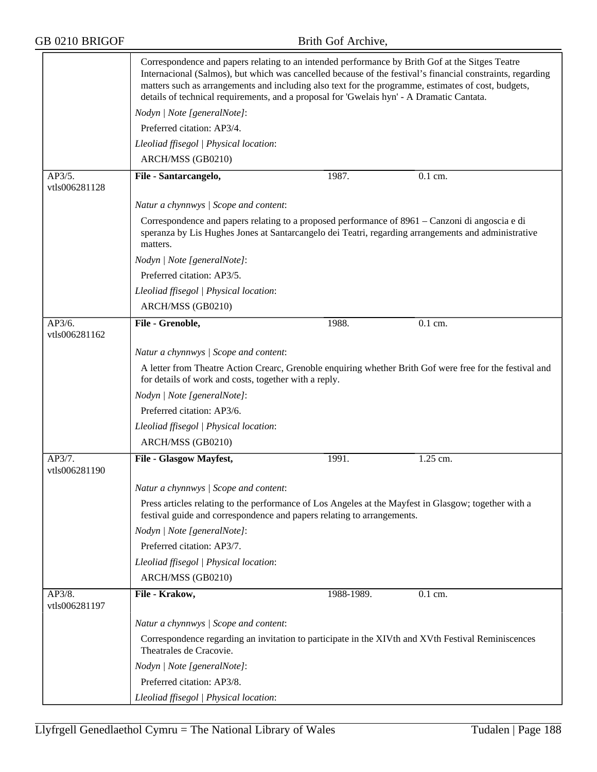|                                       | Correspondence and papers relating to an intended performance by Brith Gof at the Sitges Teatre<br>Internacional (Salmos), but which was cancelled because of the festival's financial constraints, regarding<br>matters such as arrangements and including also text for the programme, estimates of cost, budgets,<br>details of technical requirements, and a proposal for 'Gwelais hyn' - A Dramatic Cantata. |            |          |  |
|---------------------------------------|-------------------------------------------------------------------------------------------------------------------------------------------------------------------------------------------------------------------------------------------------------------------------------------------------------------------------------------------------------------------------------------------------------------------|------------|----------|--|
|                                       | Nodyn   Note [generalNote]:                                                                                                                                                                                                                                                                                                                                                                                       |            |          |  |
|                                       | Preferred citation: AP3/4.                                                                                                                                                                                                                                                                                                                                                                                        |            |          |  |
|                                       | Lleoliad ffisegol   Physical location:                                                                                                                                                                                                                                                                                                                                                                            |            |          |  |
|                                       | ARCH/MSS (GB0210)                                                                                                                                                                                                                                                                                                                                                                                                 |            |          |  |
| AP3/5.<br>vtls006281128               | File - Santarcangelo,                                                                                                                                                                                                                                                                                                                                                                                             | 1987.      | 0.1 cm.  |  |
|                                       | Natur a chynnwys / Scope and content:                                                                                                                                                                                                                                                                                                                                                                             |            |          |  |
|                                       | Correspondence and papers relating to a proposed performance of 8961 – Canzoni di angoscia e di<br>speranza by Lis Hughes Jones at Santarcangelo dei Teatri, regarding arrangements and administrative<br>matters.                                                                                                                                                                                                |            |          |  |
|                                       | Nodyn   Note [generalNote]:                                                                                                                                                                                                                                                                                                                                                                                       |            |          |  |
|                                       | Preferred citation: AP3/5.                                                                                                                                                                                                                                                                                                                                                                                        |            |          |  |
|                                       | Lleoliad ffisegol   Physical location:                                                                                                                                                                                                                                                                                                                                                                            |            |          |  |
|                                       | ARCH/MSS (GB0210)                                                                                                                                                                                                                                                                                                                                                                                                 |            |          |  |
| AP3/6.<br>vtls006281162               | File - Grenoble,                                                                                                                                                                                                                                                                                                                                                                                                  | 1988.      | 0.1 cm.  |  |
|                                       | Natur a chynnwys / Scope and content:                                                                                                                                                                                                                                                                                                                                                                             |            |          |  |
|                                       | A letter from Theatre Action Crearc, Grenoble enquiring whether Brith Gof were free for the festival and                                                                                                                                                                                                                                                                                                          |            |          |  |
|                                       | for details of work and costs, together with a reply.                                                                                                                                                                                                                                                                                                                                                             |            |          |  |
|                                       | Nodyn   Note [generalNote]:                                                                                                                                                                                                                                                                                                                                                                                       |            |          |  |
|                                       | Preferred citation: AP3/6.                                                                                                                                                                                                                                                                                                                                                                                        |            |          |  |
|                                       | Lleoliad ffisegol   Physical location:                                                                                                                                                                                                                                                                                                                                                                            |            |          |  |
|                                       | ARCH/MSS (GB0210)                                                                                                                                                                                                                                                                                                                                                                                                 |            |          |  |
| $AP\overline{3/7}$ .<br>vtls006281190 | File - Glasgow Mayfest,                                                                                                                                                                                                                                                                                                                                                                                           | 1991.      | 1.25 cm. |  |
|                                       | Natur a chynnwys / Scope and content:                                                                                                                                                                                                                                                                                                                                                                             |            |          |  |
|                                       | Press articles relating to the performance of Los Angeles at the Mayfest in Glasgow; together with a<br>festival guide and correspondence and papers relating to arrangements.                                                                                                                                                                                                                                    |            |          |  |
|                                       | Nodyn   Note [generalNote]:                                                                                                                                                                                                                                                                                                                                                                                       |            |          |  |
|                                       | Preferred citation: AP3/7.                                                                                                                                                                                                                                                                                                                                                                                        |            |          |  |
|                                       | Lleoliad ffisegol   Physical location:                                                                                                                                                                                                                                                                                                                                                                            |            |          |  |
|                                       | ARCH/MSS (GB0210)                                                                                                                                                                                                                                                                                                                                                                                                 |            |          |  |
| AP3/8.<br>vtls006281197               | File - Krakow,                                                                                                                                                                                                                                                                                                                                                                                                    | 1988-1989. | 0.1 cm.  |  |
|                                       | Natur a chynnwys / Scope and content:                                                                                                                                                                                                                                                                                                                                                                             |            |          |  |
|                                       | Correspondence regarding an invitation to participate in the XIVth and XVth Festival Reminiscences<br>Theatrales de Cracovie.                                                                                                                                                                                                                                                                                     |            |          |  |
|                                       | Nodyn   Note [generalNote]:                                                                                                                                                                                                                                                                                                                                                                                       |            |          |  |
|                                       | Preferred citation: AP3/8.                                                                                                                                                                                                                                                                                                                                                                                        |            |          |  |
|                                       | Lleoliad ffisegol   Physical location:                                                                                                                                                                                                                                                                                                                                                                            |            |          |  |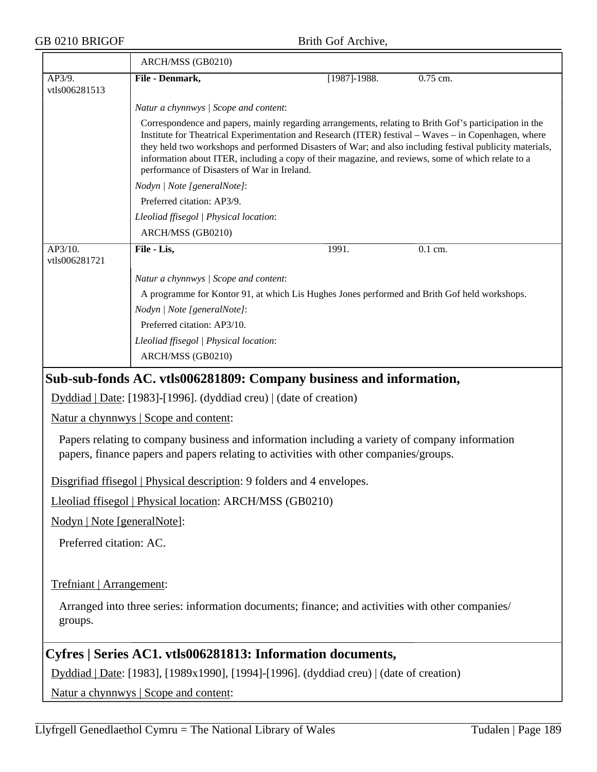|                                                                                                                                                                                         | ARCH/MSS (GB0210)                                                                                                                                                                                                                                                  |                                                                                                                                                                                                                                                                                                                                                                                                                                  |          |  |  |  |
|-----------------------------------------------------------------------------------------------------------------------------------------------------------------------------------------|--------------------------------------------------------------------------------------------------------------------------------------------------------------------------------------------------------------------------------------------------------------------|----------------------------------------------------------------------------------------------------------------------------------------------------------------------------------------------------------------------------------------------------------------------------------------------------------------------------------------------------------------------------------------------------------------------------------|----------|--|--|--|
| AP3/9.<br>vtls006281513                                                                                                                                                                 | File - Denmark,                                                                                                                                                                                                                                                    | $[1987]$ -1988.                                                                                                                                                                                                                                                                                                                                                                                                                  | 0.75 cm. |  |  |  |
|                                                                                                                                                                                         | Natur a chynnwys / Scope and content:                                                                                                                                                                                                                              |                                                                                                                                                                                                                                                                                                                                                                                                                                  |          |  |  |  |
|                                                                                                                                                                                         | performance of Disasters of War in Ireland.                                                                                                                                                                                                                        | Correspondence and papers, mainly regarding arrangements, relating to Brith Gof's participation in the<br>Institute for Theatrical Experimentation and Research (ITER) festival – Waves – in Copenhagen, where<br>they held two workshops and performed Disasters of War; and also including festival publicity materials,<br>information about ITER, including a copy of their magazine, and reviews, some of which relate to a |          |  |  |  |
|                                                                                                                                                                                         | Nodyn   Note [generalNote]:                                                                                                                                                                                                                                        |                                                                                                                                                                                                                                                                                                                                                                                                                                  |          |  |  |  |
|                                                                                                                                                                                         | Preferred citation: AP3/9.                                                                                                                                                                                                                                         |                                                                                                                                                                                                                                                                                                                                                                                                                                  |          |  |  |  |
|                                                                                                                                                                                         | Lleoliad ffisegol   Physical location:                                                                                                                                                                                                                             |                                                                                                                                                                                                                                                                                                                                                                                                                                  |          |  |  |  |
|                                                                                                                                                                                         | ARCH/MSS (GB0210)                                                                                                                                                                                                                                                  |                                                                                                                                                                                                                                                                                                                                                                                                                                  |          |  |  |  |
| AP3/10.<br>vtls006281721                                                                                                                                                                | File - Lis,<br>1991.                                                                                                                                                                                                                                               |                                                                                                                                                                                                                                                                                                                                                                                                                                  | 0.1 cm.  |  |  |  |
|                                                                                                                                                                                         | Natur a chynnwys / Scope and content:<br>A programme for Kontor 91, at which Lis Hughes Jones performed and Brith Gof held workshops.<br>Nodyn   Note [generalNote]:<br>Preferred citation: AP3/10.<br>Lleoliad ffisegol   Physical location:<br>ARCH/MSS (GB0210) |                                                                                                                                                                                                                                                                                                                                                                                                                                  |          |  |  |  |
|                                                                                                                                                                                         | Sub-sub-fonds AC. vtls006281809: Company business and information,                                                                                                                                                                                                 |                                                                                                                                                                                                                                                                                                                                                                                                                                  |          |  |  |  |
|                                                                                                                                                                                         | Dyddiad   Date: [1983]-[1996]. (dyddiad creu)   (date of creation)                                                                                                                                                                                                 |                                                                                                                                                                                                                                                                                                                                                                                                                                  |          |  |  |  |
|                                                                                                                                                                                         | Natur a chynnwys   Scope and content:                                                                                                                                                                                                                              |                                                                                                                                                                                                                                                                                                                                                                                                                                  |          |  |  |  |
| Papers relating to company business and information including a variety of company information<br>papers, finance papers and papers relating to activities with other companies/groups. |                                                                                                                                                                                                                                                                    |                                                                                                                                                                                                                                                                                                                                                                                                                                  |          |  |  |  |
| Disgrifiad ffisegol   Physical description: 9 folders and 4 envelopes.                                                                                                                  |                                                                                                                                                                                                                                                                    |                                                                                                                                                                                                                                                                                                                                                                                                                                  |          |  |  |  |
|                                                                                                                                                                                         | Lleoliad ffisegol   Physical location: ARCH/MSS (GB0210)                                                                                                                                                                                                           |                                                                                                                                                                                                                                                                                                                                                                                                                                  |          |  |  |  |
| Nodyn   Note [generalNote]:                                                                                                                                                             |                                                                                                                                                                                                                                                                    |                                                                                                                                                                                                                                                                                                                                                                                                                                  |          |  |  |  |
| Preferred citation: AC.                                                                                                                                                                 |                                                                                                                                                                                                                                                                    |                                                                                                                                                                                                                                                                                                                                                                                                                                  |          |  |  |  |
|                                                                                                                                                                                         |                                                                                                                                                                                                                                                                    |                                                                                                                                                                                                                                                                                                                                                                                                                                  |          |  |  |  |
|                                                                                                                                                                                         | Trefniant   Arrangement:                                                                                                                                                                                                                                           |                                                                                                                                                                                                                                                                                                                                                                                                                                  |          |  |  |  |
| groups.                                                                                                                                                                                 | Arranged into three series: information documents; finance; and activities with other companies/                                                                                                                                                                   |                                                                                                                                                                                                                                                                                                                                                                                                                                  |          |  |  |  |
|                                                                                                                                                                                         | Cyfres   Series AC1. vtls006281813: Information documents,                                                                                                                                                                                                         |                                                                                                                                                                                                                                                                                                                                                                                                                                  |          |  |  |  |
|                                                                                                                                                                                         | Dyddiad   Date: [1983], [1989x1990], [1994]-[1996]. (dyddiad creu)   (date of creation)                                                                                                                                                                            |                                                                                                                                                                                                                                                                                                                                                                                                                                  |          |  |  |  |
| Natur a chynnwys   Scope and content:                                                                                                                                                   |                                                                                                                                                                                                                                                                    |                                                                                                                                                                                                                                                                                                                                                                                                                                  |          |  |  |  |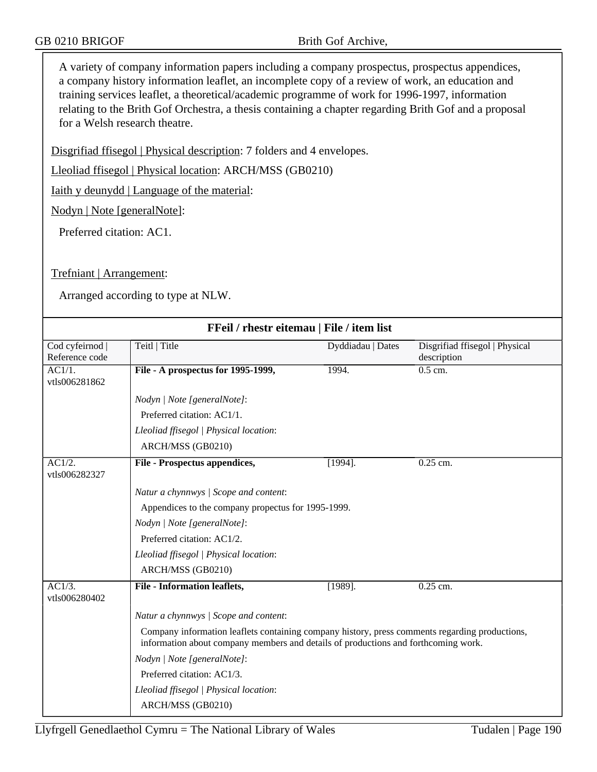A variety of company information papers including a company prospectus, prospectus appendices, a company history information leaflet, an incomplete copy of a review of work, an education and training services leaflet, a theoretical/academic programme of work for 1996-1997, information relating to the Brith Gof Orchestra, a thesis containing a chapter regarding Brith Gof and a proposal for a Welsh research theatre.

Disgrifiad ffisegol | Physical description: 7 folders and 4 envelopes.

Lleoliad ffisegol | Physical location: ARCH/MSS (GB0210)

Iaith y deunydd | Language of the material:

Nodyn | Note [generalNote]:

Preferred citation: AC1.

### Trefniant | Arrangement:

| FFeil / rhestr eitemau   File / item list |                                                                                                                                                                                      |                   |                                |  |
|-------------------------------------------|--------------------------------------------------------------------------------------------------------------------------------------------------------------------------------------|-------------------|--------------------------------|--|
| Cod cyfeirnod                             | Teitl   Title                                                                                                                                                                        | Dyddiadau   Dates | Disgrifiad ffisegol   Physical |  |
| Reference code                            |                                                                                                                                                                                      |                   | description                    |  |
| AC1/1.<br>vtls006281862                   | File - A prospectus for 1995-1999,                                                                                                                                                   | 1994.             | $0.5$ cm.                      |  |
|                                           | Nodyn   Note [generalNote]:                                                                                                                                                          |                   |                                |  |
|                                           | Preferred citation: AC1/1.                                                                                                                                                           |                   |                                |  |
|                                           | Lleoliad ffisegol   Physical location:                                                                                                                                               |                   |                                |  |
|                                           | ARCH/MSS (GB0210)                                                                                                                                                                    |                   |                                |  |
| AC1/2.<br>vtls006282327                   | File - Prospectus appendices,                                                                                                                                                        | $[1994]$ .        | $0.25$ cm.                     |  |
|                                           | Natur a chynnwys / Scope and content:                                                                                                                                                |                   |                                |  |
|                                           | Appendices to the company propectus for 1995-1999.                                                                                                                                   |                   |                                |  |
|                                           | Nodyn   Note [generalNote]:                                                                                                                                                          |                   |                                |  |
|                                           | Preferred citation: AC1/2.                                                                                                                                                           |                   |                                |  |
|                                           | Lleoliad ffisegol   Physical location:                                                                                                                                               |                   |                                |  |
|                                           | ARCH/MSS (GB0210)                                                                                                                                                                    |                   |                                |  |
| $AC1/3$ .<br>vtls006280402                | <b>File - Information leaflets,</b>                                                                                                                                                  | $[1989]$ .        | $0.25$ cm.                     |  |
|                                           | Natur a chynnwys / Scope and content:                                                                                                                                                |                   |                                |  |
|                                           | Company information leaflets containing company history, press comments regarding productions,<br>information about company members and details of productions and forthcoming work. |                   |                                |  |
|                                           | Nodyn   Note [generalNote]:                                                                                                                                                          |                   |                                |  |
|                                           | Preferred citation: AC1/3.                                                                                                                                                           |                   |                                |  |
|                                           | Lleoliad ffisegol   Physical location:                                                                                                                                               |                   |                                |  |
|                                           | ARCH/MSS (GB0210)                                                                                                                                                                    |                   |                                |  |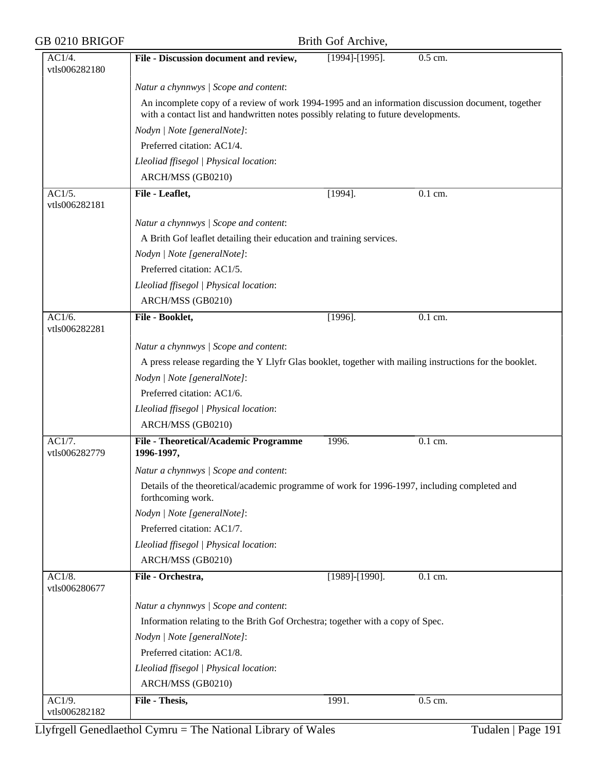| GB 0210 BRIGOF          |                                                                                                                                                                                          | Brith Gof Archive,    |                      |  |
|-------------------------|------------------------------------------------------------------------------------------------------------------------------------------------------------------------------------------|-----------------------|----------------------|--|
| AC1/4.<br>vtls006282180 | File - Discussion document and review,                                                                                                                                                   | $[1994]$ - $[1995]$ . | 0.5 cm.              |  |
|                         | Natur a chynnwys / Scope and content:                                                                                                                                                    |                       |                      |  |
|                         | An incomplete copy of a review of work 1994-1995 and an information discussion document, together<br>with a contact list and handwritten notes possibly relating to future developments. |                       |                      |  |
|                         | Nodyn   Note [generalNote]:                                                                                                                                                              |                       |                      |  |
|                         | Preferred citation: AC1/4.                                                                                                                                                               |                       |                      |  |
|                         | Lleoliad ffisegol   Physical location:                                                                                                                                                   |                       |                      |  |
|                         | ARCH/MSS (GB0210)                                                                                                                                                                        |                       |                      |  |
| AC1/5.<br>vtls006282181 | File - Leaflet,                                                                                                                                                                          | $[1994]$ .            | $\overline{0.1}$ cm. |  |
|                         |                                                                                                                                                                                          |                       |                      |  |
|                         | Natur a chynnwys / Scope and content:                                                                                                                                                    |                       |                      |  |
|                         | A Brith Gof leaflet detailing their education and training services.                                                                                                                     |                       |                      |  |
|                         | Nodyn   Note [generalNote]:                                                                                                                                                              |                       |                      |  |
|                         | Preferred citation: AC1/5.                                                                                                                                                               |                       |                      |  |
|                         | Lleoliad ffisegol   Physical location:                                                                                                                                                   |                       |                      |  |
|                         | ARCH/MSS (GB0210)                                                                                                                                                                        |                       |                      |  |
| AC1/6.<br>vtls006282281 | File - Booklet,                                                                                                                                                                          | $[1996]$ .            | 0.1 cm.              |  |
|                         | Natur a chynnwys / Scope and content:                                                                                                                                                    |                       |                      |  |
|                         | A press release regarding the Y Llyfr Glas booklet, together with mailing instructions for the booklet.                                                                                  |                       |                      |  |
|                         | Nodyn   Note [generalNote]:                                                                                                                                                              |                       |                      |  |
|                         | Preferred citation: AC1/6.                                                                                                                                                               |                       |                      |  |
|                         | Lleoliad ffisegol   Physical location:                                                                                                                                                   |                       |                      |  |
|                         | ARCH/MSS (GB0210)                                                                                                                                                                        |                       |                      |  |
| AC1/7.<br>vtls006282779 | File - Theoretical/Academic Programme<br>1996-1997,                                                                                                                                      | 1996.                 | 0.1 cm.              |  |
|                         | Natur a chynnwys / Scope and content:                                                                                                                                                    |                       |                      |  |
|                         | Details of the theoretical/academic programme of work for 1996-1997, including completed and<br>forthcoming work.                                                                        |                       |                      |  |
|                         | Nodyn   Note [generalNote]:                                                                                                                                                              |                       |                      |  |
|                         | Preferred citation: AC1/7.                                                                                                                                                               |                       |                      |  |
|                         | Lleoliad ffisegol   Physical location:                                                                                                                                                   |                       |                      |  |
|                         | ARCH/MSS (GB0210)                                                                                                                                                                        |                       |                      |  |
| AC1/8.<br>vtls006280677 | File - Orchestra,                                                                                                                                                                        | $[1989]$ - $[1990]$ . | 0.1 cm.              |  |
|                         | Natur a chynnwys / Scope and content:                                                                                                                                                    |                       |                      |  |
|                         | Information relating to the Brith Gof Orchestra; together with a copy of Spec.                                                                                                           |                       |                      |  |
|                         | Nodyn   Note [generalNote]:                                                                                                                                                              |                       |                      |  |
|                         | Preferred citation: AC1/8.                                                                                                                                                               |                       |                      |  |
|                         | Lleoliad ffisegol   Physical location:                                                                                                                                                   |                       |                      |  |
|                         | ARCH/MSS (GB0210)                                                                                                                                                                        |                       |                      |  |
| AC1/9.                  | File - Thesis,                                                                                                                                                                           | 1991.                 | $0.5$ cm.            |  |
| vtls006282182           |                                                                                                                                                                                          |                       |                      |  |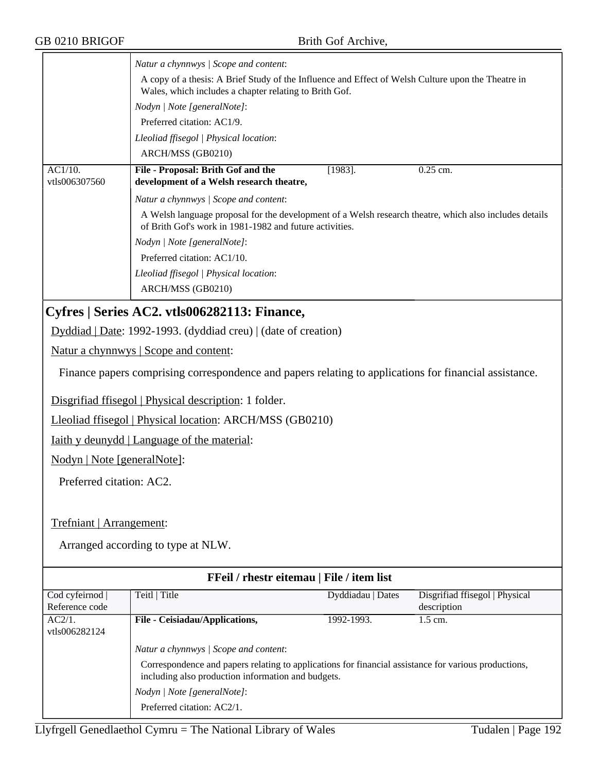|                             | Natur a chynnwys / Scope and content:                                                                                                                                                                                     |                                           |                                |  |  |
|-----------------------------|---------------------------------------------------------------------------------------------------------------------------------------------------------------------------------------------------------------------------|-------------------------------------------|--------------------------------|--|--|
|                             | A copy of a thesis: A Brief Study of the Influence and Effect of Welsh Culture upon the Theatre in<br>Wales, which includes a chapter relating to Brith Gof.<br>Nodyn   Note [generalNote]:<br>Preferred citation: AC1/9. |                                           |                                |  |  |
|                             |                                                                                                                                                                                                                           |                                           |                                |  |  |
|                             |                                                                                                                                                                                                                           |                                           |                                |  |  |
|                             | Lleoliad ffisegol   Physical location:                                                                                                                                                                                    |                                           |                                |  |  |
|                             | ARCH/MSS (GB0210)                                                                                                                                                                                                         |                                           |                                |  |  |
| AC1/10.<br>vtls006307560    | File - Proposal: Brith Gof and the<br>development of a Welsh research theatre,                                                                                                                                            | $[1983]$ .                                | $0.25$ cm.                     |  |  |
|                             | Natur a chynnwys / Scope and content:                                                                                                                                                                                     |                                           |                                |  |  |
|                             | A Welsh language proposal for the development of a Welsh research theatre, which also includes details<br>of Brith Gof's work in 1981-1982 and future activities.                                                         |                                           |                                |  |  |
|                             | Nodyn   Note [generalNote]:                                                                                                                                                                                               |                                           |                                |  |  |
|                             | Preferred citation: AC1/10.                                                                                                                                                                                               |                                           |                                |  |  |
|                             | Lleoliad ffisegol   Physical location:                                                                                                                                                                                    |                                           |                                |  |  |
|                             | ARCH/MSS (GB0210)                                                                                                                                                                                                         |                                           |                                |  |  |
|                             | Cyfres   Series AC2. vtls006282113: Finance,                                                                                                                                                                              |                                           |                                |  |  |
|                             | Dyddiad   Date: 1992-1993. (dyddiad creu)   (date of creation)                                                                                                                                                            |                                           |                                |  |  |
|                             | Natur a chynnwys   Scope and content:                                                                                                                                                                                     |                                           |                                |  |  |
|                             | Finance papers comprising correspondence and papers relating to applications for financial assistance.                                                                                                                    |                                           |                                |  |  |
|                             | Disgrifiad ffisegol   Physical description: 1 folder.                                                                                                                                                                     |                                           |                                |  |  |
|                             | Lleoliad ffisegol   Physical location: ARCH/MSS (GB0210)                                                                                                                                                                  |                                           |                                |  |  |
|                             | <u>Iaith y deunydd</u>   Language of the material:                                                                                                                                                                        |                                           |                                |  |  |
| Nodyn   Note [generalNote]: |                                                                                                                                                                                                                           |                                           |                                |  |  |
| Preferred citation: AC2.    |                                                                                                                                                                                                                           |                                           |                                |  |  |
|                             |                                                                                                                                                                                                                           |                                           |                                |  |  |
| Trefniant   Arrangement:    |                                                                                                                                                                                                                           |                                           |                                |  |  |
|                             | Arranged according to type at NLW.                                                                                                                                                                                        |                                           |                                |  |  |
|                             |                                                                                                                                                                                                                           | FFeil / rhestr eitemau   File / item list |                                |  |  |
| Cod cyfeirnod               | Teitl   Title                                                                                                                                                                                                             | Dyddiadau   Dates                         | Disgrifiad ffisegol   Physical |  |  |
| Reference code              |                                                                                                                                                                                                                           |                                           | description                    |  |  |
| AC2/1.<br>vtls006282124     | File - Ceisiadau/Applications,                                                                                                                                                                                            | 1992-1993.                                | 1.5 cm.                        |  |  |
|                             | Natur a chynnwys / Scope and content:                                                                                                                                                                                     |                                           |                                |  |  |
|                             | Correspondence and papers relating to applications for financial assistance for various productions,                                                                                                                      |                                           |                                |  |  |
|                             | including also production information and budgets.                                                                                                                                                                        |                                           |                                |  |  |
|                             | Nodyn   Note [generalNote]:                                                                                                                                                                                               |                                           |                                |  |  |
|                             | Preferred citation: AC2/1.                                                                                                                                                                                                |                                           |                                |  |  |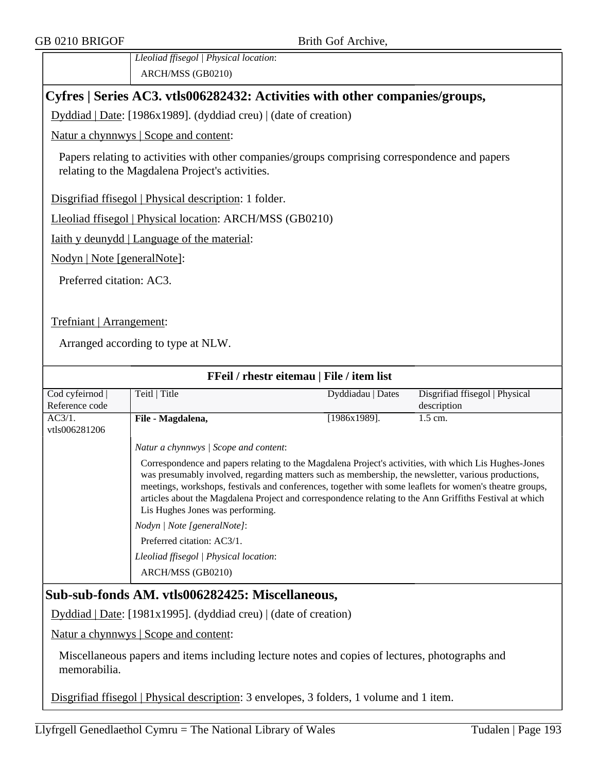*Lleoliad ffisegol | Physical location*: ARCH/MSS (GB0210)

## **Cyfres | Series AC3. vtls006282432: Activities with other companies/groups,**

Dyddiad | Date: [1986x1989]. (dyddiad creu) | (date of creation)

Natur a chynnwys | Scope and content:

Papers relating to activities with other companies/groups comprising correspondence and papers relating to the Magdalena Project's activities.

Disgrifiad ffisegol | Physical description: 1 folder.

Lleoliad ffisegol | Physical location: ARCH/MSS (GB0210)

Iaith y deunydd | Language of the material:

Nodyn | Note [generalNote]:

Preferred citation: AC3.

Trefniant | Arrangement:

Arranged according to type at NLW.

| FFeil / rhestr eitemau   File / item list |                                                                                                                                                                                                                                                                                                                                                                                                                                                                                                                                                                                                                           |                   |                                |  |  |
|-------------------------------------------|---------------------------------------------------------------------------------------------------------------------------------------------------------------------------------------------------------------------------------------------------------------------------------------------------------------------------------------------------------------------------------------------------------------------------------------------------------------------------------------------------------------------------------------------------------------------------------------------------------------------------|-------------------|--------------------------------|--|--|
| Cod cyfeirnod                             | Teitl   Title                                                                                                                                                                                                                                                                                                                                                                                                                                                                                                                                                                                                             | Dyddiadau   Dates | Disgrifiad ffisegol   Physical |  |  |
| Reference code                            |                                                                                                                                                                                                                                                                                                                                                                                                                                                                                                                                                                                                                           |                   | description                    |  |  |
| AC3/1.<br>vtls006281206                   | File - Magdalena,                                                                                                                                                                                                                                                                                                                                                                                                                                                                                                                                                                                                         | [1986x1989].      | $1.5$ cm.                      |  |  |
|                                           | Natur a chynnwys / Scope and content:                                                                                                                                                                                                                                                                                                                                                                                                                                                                                                                                                                                     |                   |                                |  |  |
|                                           | Correspondence and papers relating to the Magdalena Project's activities, with which Lis Hughes-Jones<br>was presumably involved, regarding matters such as membership, the newsletter, various productions,<br>meetings, workshops, festivals and conferences, together with some leaflets for women's theatre groups,<br>articles about the Magdalena Project and correspondence relating to the Ann Griffiths Festival at which<br>Lis Hughes Jones was performing.<br><i>Nodyn</i>   <i>Note</i> [general <i>Note</i> ]:<br>Preferred citation: AC3/1.<br>Lleoliad ffisegol   Physical location:<br>ARCH/MSS (GB0210) |                   |                                |  |  |
|                                           |                                                                                                                                                                                                                                                                                                                                                                                                                                                                                                                                                                                                                           |                   |                                |  |  |

## **Sub-sub-fonds AM. vtls006282425: Miscellaneous,**

Dyddiad | Date: [1981x1995]. (dyddiad creu) | (date of creation)

Natur a chynnwys | Scope and content:

Miscellaneous papers and items including lecture notes and copies of lectures, photographs and memorabilia.

Disgrifiad ffisegol | Physical description: 3 envelopes, 3 folders, 1 volume and 1 item.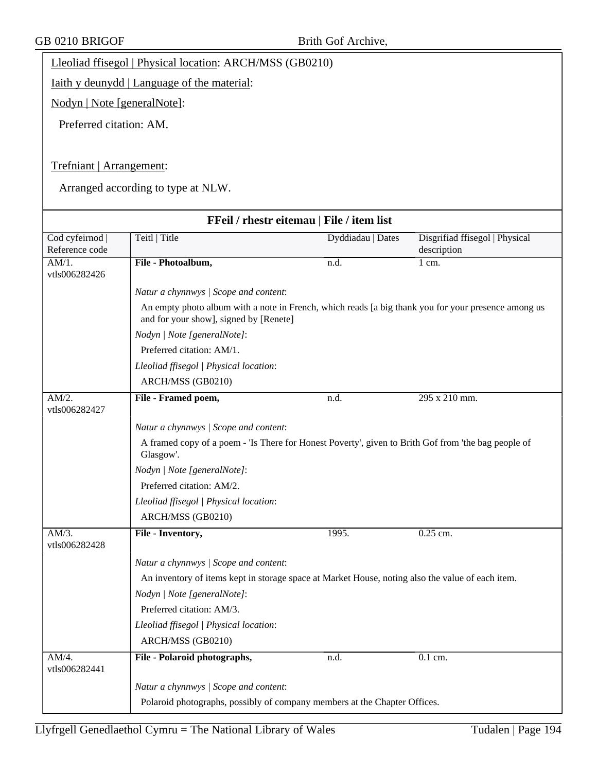Lleoliad ffisegol | Physical location: ARCH/MSS (GB0210)

Iaith y deunydd | Language of the material:

Nodyn | Note [generalNote]:

Preferred citation: AM.

### Trefniant | Arrangement:

| FFeil / rhestr eitemau   File / item list |                                                                                                                                               |                   |                                               |  |  |
|-------------------------------------------|-----------------------------------------------------------------------------------------------------------------------------------------------|-------------------|-----------------------------------------------|--|--|
| Cod cyfeirnod  <br>Reference code         | Teitl   Title                                                                                                                                 | Dyddiadau   Dates | Disgrifiad ffisegol   Physical<br>description |  |  |
| AM/1.<br>vtls006282426                    | File - Photoalbum,                                                                                                                            | n.d.              | 1 cm.                                         |  |  |
|                                           | Natur a chynnwys / Scope and content:                                                                                                         |                   |                                               |  |  |
|                                           | An empty photo album with a note in French, which reads [a big thank you for your presence among us<br>and for your show], signed by [Renete] |                   |                                               |  |  |
|                                           | Nodyn   Note [generalNote]:                                                                                                                   |                   |                                               |  |  |
|                                           | Preferred citation: AM/1.                                                                                                                     |                   |                                               |  |  |
|                                           | Lleoliad ffisegol   Physical location:                                                                                                        |                   |                                               |  |  |
|                                           | ARCH/MSS (GB0210)                                                                                                                             |                   |                                               |  |  |
| AM/2.<br>vtls006282427                    | File - Framed poem,                                                                                                                           | n.d.              | 295 x 210 mm.                                 |  |  |
|                                           | Natur a chynnwys / Scope and content:                                                                                                         |                   |                                               |  |  |
|                                           | A framed copy of a poem - 'Is There for Honest Poverty', given to Brith Gof from 'the bag people of<br>Glasgow'.                              |                   |                                               |  |  |
|                                           | Nodyn   Note [generalNote]:                                                                                                                   |                   |                                               |  |  |
|                                           | Preferred citation: AM/2.                                                                                                                     |                   |                                               |  |  |
|                                           | Lleoliad ffisegol   Physical location:                                                                                                        |                   |                                               |  |  |
|                                           | ARCH/MSS (GB0210)                                                                                                                             |                   |                                               |  |  |
| AM/3.<br>vtls006282428                    | File - Inventory,                                                                                                                             | 1995.             | 0.25 cm.                                      |  |  |
|                                           | Natur a chynnwys / Scope and content:                                                                                                         |                   |                                               |  |  |
|                                           | An inventory of items kept in storage space at Market House, noting also the value of each item.                                              |                   |                                               |  |  |
|                                           | Nodyn   Note [generalNote]:                                                                                                                   |                   |                                               |  |  |
|                                           | Preferred citation: AM/3.                                                                                                                     |                   |                                               |  |  |
|                                           | Lleoliad ffisegol   Physical location:                                                                                                        |                   |                                               |  |  |
|                                           | ARCH/MSS (GB0210)                                                                                                                             |                   |                                               |  |  |
| AM/4.<br>vtls006282441                    | File - Polaroid photographs,                                                                                                                  | n.d.              | $0.1$ cm.                                     |  |  |
|                                           | Natur a chynnwys / Scope and content:                                                                                                         |                   |                                               |  |  |
|                                           | Polaroid photographs, possibly of company members at the Chapter Offices.                                                                     |                   |                                               |  |  |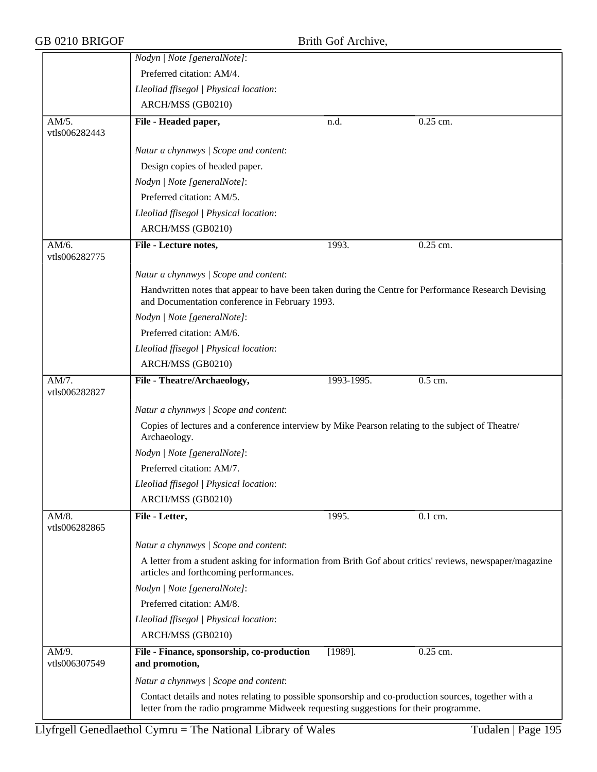|                           | Nodyn   Note [generalNote]:                                                                                                                                                                  |            |           |  |  |
|---------------------------|----------------------------------------------------------------------------------------------------------------------------------------------------------------------------------------------|------------|-----------|--|--|
|                           | Preferred citation: AM/4.                                                                                                                                                                    |            |           |  |  |
|                           | Lleoliad ffisegol   Physical location:                                                                                                                                                       |            |           |  |  |
|                           | ARCH/MSS (GB0210)                                                                                                                                                                            |            |           |  |  |
| AM/5.<br>vtls006282443    | File - Headed paper,                                                                                                                                                                         | n.d.       | 0.25 cm.  |  |  |
|                           | Natur a chynnwys / Scope and content:                                                                                                                                                        |            |           |  |  |
|                           | Design copies of headed paper.                                                                                                                                                               |            |           |  |  |
|                           | Nodyn   Note [generalNote]:                                                                                                                                                                  |            |           |  |  |
|                           | Preferred citation: AM/5.                                                                                                                                                                    |            |           |  |  |
|                           | Lleoliad ffisegol   Physical location:                                                                                                                                                       |            |           |  |  |
|                           | ARCH/MSS (GB0210)                                                                                                                                                                            |            |           |  |  |
| AM/6.<br>vtls006282775    | File - Lecture notes,                                                                                                                                                                        | 1993.      | 0.25 cm.  |  |  |
|                           | Natur a chynnwys / Scope and content:                                                                                                                                                        |            |           |  |  |
|                           | Handwritten notes that appear to have been taken during the Centre for Performance Research Devising<br>and Documentation conference in February 1993.                                       |            |           |  |  |
|                           | Nodyn   Note [generalNote]:                                                                                                                                                                  |            |           |  |  |
|                           | Preferred citation: AM/6.                                                                                                                                                                    |            |           |  |  |
|                           | Lleoliad ffisegol   Physical location:                                                                                                                                                       |            |           |  |  |
|                           | ARCH/MSS (GB0210)                                                                                                                                                                            |            |           |  |  |
| AM/7.<br>vtls006282827    | File - Theatre/Archaeology,                                                                                                                                                                  | 1993-1995. | $0.5$ cm. |  |  |
|                           | Natur a chynnwys / Scope and content:                                                                                                                                                        |            |           |  |  |
|                           | Copies of lectures and a conference interview by Mike Pearson relating to the subject of Theatre/<br>Archaeology.                                                                            |            |           |  |  |
|                           | Nodyn   Note [generalNote]:                                                                                                                                                                  |            |           |  |  |
|                           | Preferred citation: AM/7.                                                                                                                                                                    |            |           |  |  |
|                           | Lleoliad ffisegol   Physical location:                                                                                                                                                       |            |           |  |  |
|                           | ARCH/MSS (GB0210)                                                                                                                                                                            |            |           |  |  |
| AM/8.<br>vtls006282865    | File - Letter,                                                                                                                                                                               | 1995.      | 0.1 cm.   |  |  |
|                           | Natur a chynnwys / Scope and content:                                                                                                                                                        |            |           |  |  |
|                           | A letter from a student asking for information from Brith Gof about critics' reviews, newspaper/magazine<br>articles and forthcoming performances.                                           |            |           |  |  |
|                           | Nodyn   Note [generalNote]:                                                                                                                                                                  |            |           |  |  |
|                           | Preferred citation: AM/8.                                                                                                                                                                    |            |           |  |  |
|                           | Lleoliad ffisegol   Physical location:                                                                                                                                                       |            |           |  |  |
|                           | ARCH/MSS (GB0210)                                                                                                                                                                            |            |           |  |  |
| $AM/9$ .<br>vtls006307549 | File - Finance, sponsorship, co-production<br>and promotion,                                                                                                                                 | $[1989]$ . | 0.25 cm.  |  |  |
|                           | Natur a chynnwys / Scope and content:                                                                                                                                                        |            |           |  |  |
|                           | Contact details and notes relating to possible sponsorship and co-production sources, together with a<br>letter from the radio programme Midweek requesting suggestions for their programme. |            |           |  |  |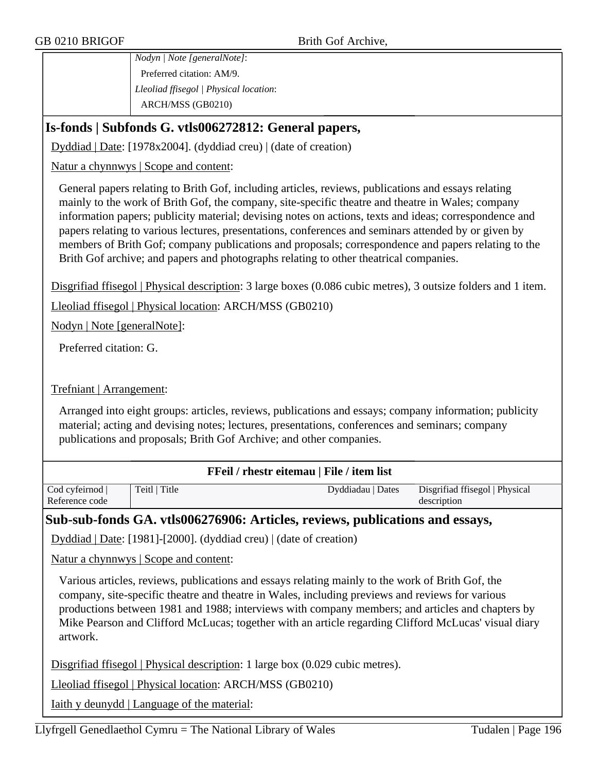*Nodyn | Note [generalNote]*: Preferred citation: AM/9. *Lleoliad ffisegol | Physical location*: ARCH/MSS (GB0210)

## **Is-fonds | Subfonds G. vtls006272812: General papers,**

Dyddiad | Date: [1978x2004]. (dyddiad creu) | (date of creation)

#### Natur a chynnwys | Scope and content:

General papers relating to Brith Gof, including articles, reviews, publications and essays relating mainly to the work of Brith Gof, the company, site-specific theatre and theatre in Wales; company information papers; publicity material; devising notes on actions, texts and ideas; correspondence and papers relating to various lectures, presentations, conferences and seminars attended by or given by members of Brith Gof; company publications and proposals; correspondence and papers relating to the Brith Gof archive; and papers and photographs relating to other theatrical companies.

Disgrifiad ffisegol | Physical description: 3 large boxes (0.086 cubic metres), 3 outsize folders and 1 item.

Lleoliad ffisegol | Physical location: ARCH/MSS (GB0210)

Nodyn | Note [generalNote]:

Preferred citation: G.

#### Trefniant | Arrangement:

Arranged into eight groups: articles, reviews, publications and essays; company information; publicity material; acting and devising notes; lectures, presentations, conferences and seminars; company publications and proposals; Brith Gof Archive; and other companies.

| <b>FFeil</b> / rhestr eitemau   File / item list |               |                   |  |                                |
|--------------------------------------------------|---------------|-------------------|--|--------------------------------|
| Cod cyfeirnod                                    | Teitl   Title | Dyddiadau   Dates |  | Disgrifiad ffisegol   Physical |
| Reference code                                   |               |                   |  | description                    |

### **Sub-sub-fonds GA. vtls006276906: Articles, reviews, publications and essays,**

Dyddiad | Date: [1981]-[2000]. (dyddiad creu) | (date of creation)

Natur a chynnwys | Scope and content:

Various articles, reviews, publications and essays relating mainly to the work of Brith Gof, the company, site-specific theatre and theatre in Wales, including previews and reviews for various productions between 1981 and 1988; interviews with company members; and articles and chapters by Mike Pearson and Clifford McLucas; together with an article regarding Clifford McLucas' visual diary artwork.

Disgrifiad ffisegol | Physical description: 1 large box (0.029 cubic metres).

Lleoliad ffisegol | Physical location: ARCH/MSS (GB0210)

Iaith y deunydd | Language of the material: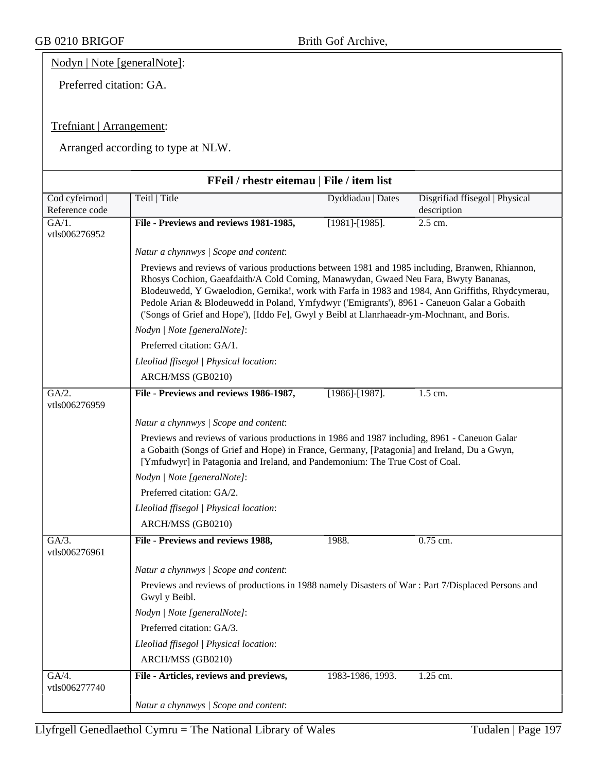Nodyn | Note [generalNote]:

Preferred citation: GA.

### Trefniant | Arrangement:

| FFeil / rhestr eitemau   File / item list |                                                                                                                                                                                                                                                                                                                                                                                                                                                                                           |                       |                                               |  |  |  |
|-------------------------------------------|-------------------------------------------------------------------------------------------------------------------------------------------------------------------------------------------------------------------------------------------------------------------------------------------------------------------------------------------------------------------------------------------------------------------------------------------------------------------------------------------|-----------------------|-----------------------------------------------|--|--|--|
| Cod cyfeirnod<br>Reference code           | Teitl   Title                                                                                                                                                                                                                                                                                                                                                                                                                                                                             | Dyddiadau   Dates     | Disgrifiad ffisegol   Physical<br>description |  |  |  |
| $\overline{GA/1}$ .<br>vtls006276952      | File - Previews and reviews 1981-1985,                                                                                                                                                                                                                                                                                                                                                                                                                                                    | $[1981]$ - $[1985]$ . | 2.5 cm.                                       |  |  |  |
|                                           | Natur a chynnwys / Scope and content:                                                                                                                                                                                                                                                                                                                                                                                                                                                     |                       |                                               |  |  |  |
|                                           | Previews and reviews of various productions between 1981 and 1985 including, Branwen, Rhiannon,<br>Rhosys Cochion, Gaeafdaith/A Cold Coming, Manawydan, Gwaed Neu Fara, Bwyty Bananas,<br>Blodeuwedd, Y Gwaelodion, Gernika!, work with Farfa in 1983 and 1984, Ann Griffiths, Rhydcymerau,<br>Pedole Arian & Blodeuwedd in Poland, Ymfydwyr ('Emigrants'), 8961 - Caneuon Galar a Gobaith<br>('Songs of Grief and Hope'), [Iddo Fe], Gwyl y Beibl at Llanrhaeadr-ym-Mochnant, and Boris. |                       |                                               |  |  |  |
|                                           | Nodyn   Note [generalNote]:                                                                                                                                                                                                                                                                                                                                                                                                                                                               |                       |                                               |  |  |  |
|                                           | Preferred citation: GA/1.                                                                                                                                                                                                                                                                                                                                                                                                                                                                 |                       |                                               |  |  |  |
|                                           | Lleoliad ffisegol   Physical location:                                                                                                                                                                                                                                                                                                                                                                                                                                                    |                       |                                               |  |  |  |
|                                           | ARCH/MSS (GB0210)                                                                                                                                                                                                                                                                                                                                                                                                                                                                         |                       |                                               |  |  |  |
| GA/2.<br>vtls006276959                    | File - Previews and reviews 1986-1987,                                                                                                                                                                                                                                                                                                                                                                                                                                                    | $[1986]$ - $[1987]$ . | 1.5 cm.                                       |  |  |  |
|                                           | Natur a chynnwys / Scope and content:                                                                                                                                                                                                                                                                                                                                                                                                                                                     |                       |                                               |  |  |  |
|                                           | Previews and reviews of various productions in 1986 and 1987 including, 8961 - Caneuon Galar<br>a Gobaith (Songs of Grief and Hope) in France, Germany, [Patagonia] and Ireland, Du a Gwyn,<br>[Ymfudwyr] in Patagonia and Ireland, and Pandemonium: The True Cost of Coal.                                                                                                                                                                                                               |                       |                                               |  |  |  |
|                                           | Nodyn   Note [generalNote]:                                                                                                                                                                                                                                                                                                                                                                                                                                                               |                       |                                               |  |  |  |
|                                           | Preferred citation: GA/2.                                                                                                                                                                                                                                                                                                                                                                                                                                                                 |                       |                                               |  |  |  |
|                                           | Lleoliad ffisegol   Physical location:                                                                                                                                                                                                                                                                                                                                                                                                                                                    |                       |                                               |  |  |  |
|                                           | ARCH/MSS (GB0210)                                                                                                                                                                                                                                                                                                                                                                                                                                                                         |                       |                                               |  |  |  |
| $GA/3$ .<br>vtls006276961                 | File - Previews and reviews 1988,                                                                                                                                                                                                                                                                                                                                                                                                                                                         | 1988.                 | 0.75 cm.                                      |  |  |  |
|                                           | Natur a chynnwys / Scope and content:                                                                                                                                                                                                                                                                                                                                                                                                                                                     |                       |                                               |  |  |  |
|                                           | Previews and reviews of productions in 1988 namely Disasters of War : Part 7/Displaced Persons and<br>Gwyl y Beibl.                                                                                                                                                                                                                                                                                                                                                                       |                       |                                               |  |  |  |
|                                           | Nodyn   Note [generalNote]:                                                                                                                                                                                                                                                                                                                                                                                                                                                               |                       |                                               |  |  |  |
|                                           | Preferred citation: GA/3.                                                                                                                                                                                                                                                                                                                                                                                                                                                                 |                       |                                               |  |  |  |
|                                           | Lleoliad ffisegol   Physical location:                                                                                                                                                                                                                                                                                                                                                                                                                                                    |                       |                                               |  |  |  |
|                                           | ARCH/MSS (GB0210)                                                                                                                                                                                                                                                                                                                                                                                                                                                                         |                       |                                               |  |  |  |
| GA/4.<br>vtls006277740                    | File - Articles, reviews and previews,                                                                                                                                                                                                                                                                                                                                                                                                                                                    | 1983-1986, 1993.      | 1.25 cm.                                      |  |  |  |
|                                           | Natur a chynnwys / Scope and content:                                                                                                                                                                                                                                                                                                                                                                                                                                                     |                       |                                               |  |  |  |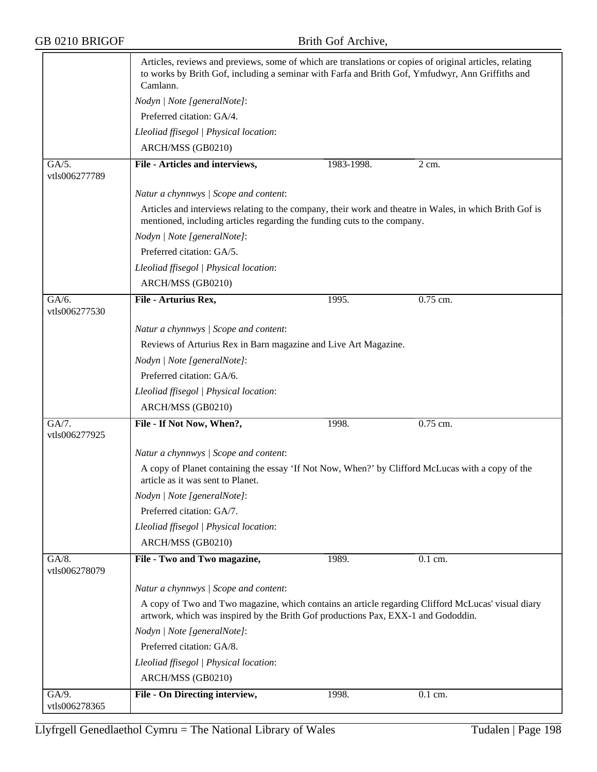|                        | Articles, reviews and previews, some of which are translations or copies of original articles, relating<br>to works by Brith Gof, including a seminar with Farfa and Brith Gof, Ymfudwyr, Ann Griffiths and<br>Camlann. |            |            |  |  |
|------------------------|-------------------------------------------------------------------------------------------------------------------------------------------------------------------------------------------------------------------------|------------|------------|--|--|
|                        | Nodyn   Note [generalNote]:                                                                                                                                                                                             |            |            |  |  |
|                        | Preferred citation: GA/4.                                                                                                                                                                                               |            |            |  |  |
|                        | Lleoliad ffisegol   Physical location:                                                                                                                                                                                  |            |            |  |  |
|                        | ARCH/MSS (GB0210)                                                                                                                                                                                                       |            |            |  |  |
| GA/5.                  | File - Articles and interviews,                                                                                                                                                                                         | 1983-1998. | 2 cm.      |  |  |
| vtls006277789          |                                                                                                                                                                                                                         |            |            |  |  |
|                        | Natur a chynnwys / Scope and content:                                                                                                                                                                                   |            |            |  |  |
|                        | Articles and interviews relating to the company, their work and theatre in Wales, in which Brith Gof is<br>mentioned, including articles regarding the funding cuts to the company.                                     |            |            |  |  |
|                        | Nodyn   Note [generalNote]:                                                                                                                                                                                             |            |            |  |  |
|                        | Preferred citation: GA/5.                                                                                                                                                                                               |            |            |  |  |
|                        | Lleoliad ffisegol   Physical location:                                                                                                                                                                                  |            |            |  |  |
|                        | ARCH/MSS (GB0210)                                                                                                                                                                                                       |            |            |  |  |
| GA/6.<br>vtls006277530 | File - Arturius Rex,                                                                                                                                                                                                    | 1995.      | $0.75$ cm. |  |  |
|                        |                                                                                                                                                                                                                         |            |            |  |  |
|                        | Natur a chynnwys / Scope and content:                                                                                                                                                                                   |            |            |  |  |
|                        | Reviews of Arturius Rex in Barn magazine and Live Art Magazine.                                                                                                                                                         |            |            |  |  |
|                        | Nodyn   Note [generalNote]:                                                                                                                                                                                             |            |            |  |  |
|                        | Preferred citation: GA/6.                                                                                                                                                                                               |            |            |  |  |
|                        | Lleoliad ffisegol   Physical location:                                                                                                                                                                                  |            |            |  |  |
|                        | ARCH/MSS (GB0210)                                                                                                                                                                                                       |            |            |  |  |
| GA/7.<br>vtls006277925 | File - If Not Now, When?,                                                                                                                                                                                               | 1998.      | 0.75 cm.   |  |  |
|                        | Natur a chynnwys / Scope and content:                                                                                                                                                                                   |            |            |  |  |
|                        | A copy of Planet containing the essay 'If Not Now, When?' by Clifford McLucas with a copy of the<br>article as it was sent to Planet.                                                                                   |            |            |  |  |
|                        | Nodyn   Note [generalNote]:                                                                                                                                                                                             |            |            |  |  |
|                        | Preferred citation: GA/7.                                                                                                                                                                                               |            |            |  |  |
|                        | Lleoliad ffisegol   Physical location:                                                                                                                                                                                  |            |            |  |  |
|                        | ARCH/MSS (GB0210)                                                                                                                                                                                                       |            |            |  |  |
| GA/8.<br>vtls006278079 | File - Two and Two magazine,                                                                                                                                                                                            | 1989.      | 0.1 cm.    |  |  |
|                        | Natur a chynnwys / Scope and content:                                                                                                                                                                                   |            |            |  |  |
|                        | A copy of Two and Two magazine, which contains an article regarding Clifford McLucas' visual diary<br>artwork, which was inspired by the Brith Gof productions Pax, EXX-1 and Gododdin.                                 |            |            |  |  |
|                        | Nodyn   Note [generalNote]:                                                                                                                                                                                             |            |            |  |  |
|                        | Preferred citation: GA/8.                                                                                                                                                                                               |            |            |  |  |
|                        | Lleoliad ffisegol   Physical location:                                                                                                                                                                                  |            |            |  |  |
|                        | ARCH/MSS (GB0210)                                                                                                                                                                                                       |            |            |  |  |
| GA/9.                  | File - On Directing interview,                                                                                                                                                                                          | 1998.      | 0.1 cm.    |  |  |
| vtls006278365          |                                                                                                                                                                                                                         |            |            |  |  |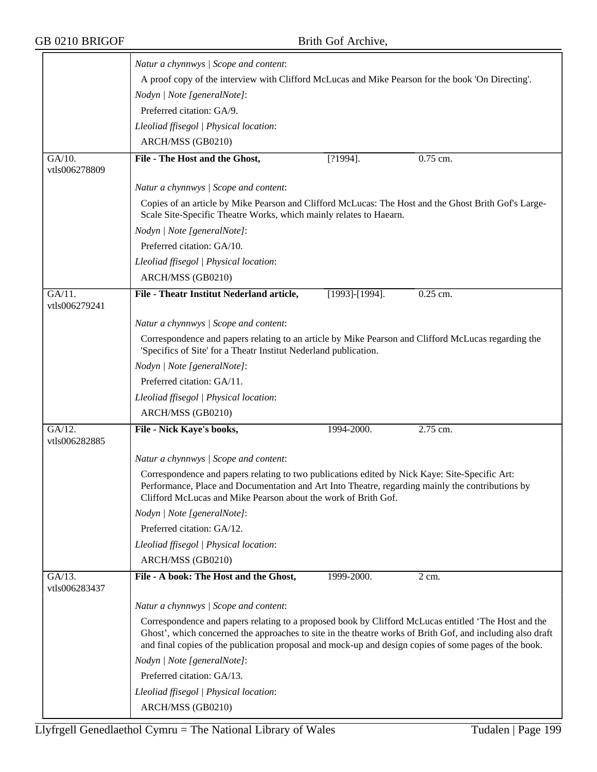|                                       | Natur a chynnwys / Scope and content:                                                                                                                                                                                                                                                                                       |                |            |  |
|---------------------------------------|-----------------------------------------------------------------------------------------------------------------------------------------------------------------------------------------------------------------------------------------------------------------------------------------------------------------------------|----------------|------------|--|
|                                       | A proof copy of the interview with Clifford McLucas and Mike Pearson for the book 'On Directing'.<br>Nodyn   Note [generalNote]:                                                                                                                                                                                            |                |            |  |
|                                       |                                                                                                                                                                                                                                                                                                                             |                |            |  |
|                                       | Lleoliad ffisegol   Physical location:                                                                                                                                                                                                                                                                                      |                |            |  |
|                                       | ARCH/MSS (GB0210)                                                                                                                                                                                                                                                                                                           |                |            |  |
| $GA/10$ .                             | File - The Host and the Ghost,                                                                                                                                                                                                                                                                                              | $[?1994]$ .    | $0.75$ cm. |  |
| vtls006278809                         |                                                                                                                                                                                                                                                                                                                             |                |            |  |
|                                       | Natur a chynnwys / Scope and content:                                                                                                                                                                                                                                                                                       |                |            |  |
|                                       | Copies of an article by Mike Pearson and Clifford McLucas: The Host and the Ghost Brith Gof's Large-<br>Scale Site-Specific Theatre Works, which mainly relates to Haearn.                                                                                                                                                  |                |            |  |
|                                       | Nodyn   Note [generalNote]:                                                                                                                                                                                                                                                                                                 |                |            |  |
|                                       | Preferred citation: GA/10.                                                                                                                                                                                                                                                                                                  |                |            |  |
|                                       | Lleoliad ffisegol   Physical location:                                                                                                                                                                                                                                                                                      |                |            |  |
|                                       | ARCH/MSS (GB0210)                                                                                                                                                                                                                                                                                                           |                |            |  |
| $\overline{GA/11}$ .<br>vtls006279241 | File - Theatr Institut Nederland article,                                                                                                                                                                                                                                                                                   | [1993]-[1994]. | $0.25$ cm. |  |
|                                       | Natur a chynnwys / Scope and content:                                                                                                                                                                                                                                                                                       |                |            |  |
|                                       | Correspondence and papers relating to an article by Mike Pearson and Clifford McLucas regarding the<br>'Specifics of Site' for a Theatr Institut Nederland publication.                                                                                                                                                     |                |            |  |
|                                       | Nodyn   Note [generalNote]:                                                                                                                                                                                                                                                                                                 |                |            |  |
|                                       | Preferred citation: GA/11.                                                                                                                                                                                                                                                                                                  |                |            |  |
|                                       | Lleoliad ffisegol   Physical location:                                                                                                                                                                                                                                                                                      |                |            |  |
|                                       | ARCH/MSS (GB0210)                                                                                                                                                                                                                                                                                                           |                |            |  |
| GA/12.<br>vtls006282885               | File - Nick Kaye's books,                                                                                                                                                                                                                                                                                                   | 1994-2000.     | 2.75 cm.   |  |
|                                       | Natur a chynnwys / Scope and content:                                                                                                                                                                                                                                                                                       |                |            |  |
|                                       | Correspondence and papers relating to two publications edited by Nick Kaye: Site-Specific Art:<br>Performance, Place and Documentation and Art Into Theatre, regarding mainly the contributions by<br>Clifford McLucas and Mike Pearson about the work of Brith Gof.                                                        |                |            |  |
|                                       | Nodyn   Note [generalNote]:                                                                                                                                                                                                                                                                                                 |                |            |  |
|                                       | Preferred citation: GA/12.                                                                                                                                                                                                                                                                                                  |                |            |  |
|                                       | Lleoliad ffisegol   Physical location:                                                                                                                                                                                                                                                                                      |                |            |  |
|                                       | ARCH/MSS (GB0210)                                                                                                                                                                                                                                                                                                           |                |            |  |
| GA/13.<br>vtls006283437               | File - A book: The Host and the Ghost,                                                                                                                                                                                                                                                                                      | 1999-2000.     | 2 cm.      |  |
|                                       | Natur a chynnwys / Scope and content:                                                                                                                                                                                                                                                                                       |                |            |  |
|                                       | Correspondence and papers relating to a proposed book by Clifford McLucas entitled 'The Host and the<br>Ghost', which concerned the approaches to site in the theatre works of Brith Gof, and including also draft<br>and final copies of the publication proposal and mock-up and design copies of some pages of the book. |                |            |  |
|                                       |                                                                                                                                                                                                                                                                                                                             |                |            |  |
|                                       | Nodyn   Note [generalNote]:                                                                                                                                                                                                                                                                                                 |                |            |  |
|                                       | Preferred citation: GA/13.                                                                                                                                                                                                                                                                                                  |                |            |  |
|                                       | Lleoliad ffisegol   Physical location:                                                                                                                                                                                                                                                                                      |                |            |  |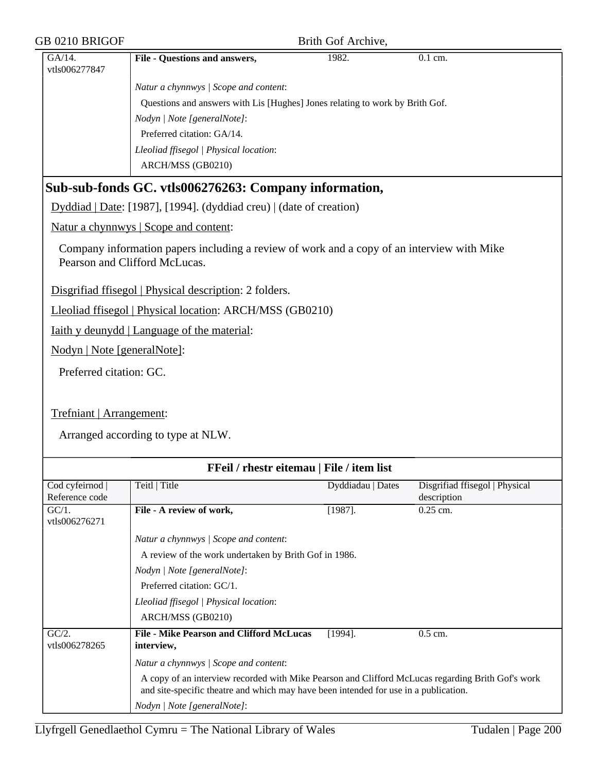| GB 0210 BRIGOF              |                                                                                                                                                                                           | Brith Gof Archive, |                                |
|-----------------------------|-------------------------------------------------------------------------------------------------------------------------------------------------------------------------------------------|--------------------|--------------------------------|
| GA/14.<br>vtls006277847     | File - Questions and answers,                                                                                                                                                             | 1982.              | 0.1 cm.                        |
|                             | Natur a chynnwys / Scope and content:                                                                                                                                                     |                    |                                |
|                             | Questions and answers with Lis [Hughes] Jones relating to work by Brith Gof.                                                                                                              |                    |                                |
|                             | Nodyn   Note [generalNote]:                                                                                                                                                               |                    |                                |
|                             | Preferred citation: GA/14.                                                                                                                                                                |                    |                                |
|                             | Lleoliad ffisegol   Physical location:                                                                                                                                                    |                    |                                |
|                             | ARCH/MSS (GB0210)                                                                                                                                                                         |                    |                                |
|                             | Sub-sub-fonds GC. vtls006276263: Company information,                                                                                                                                     |                    |                                |
|                             | Dyddiad   Date: [1987], [1994]. (dyddiad creu)   (date of creation)                                                                                                                       |                    |                                |
|                             | Natur a chynnwys   Scope and content:                                                                                                                                                     |                    |                                |
|                             | Company information papers including a review of work and a copy of an interview with Mike<br>Pearson and Clifford McLucas.                                                               |                    |                                |
|                             | Disgrifiad ffisegol   Physical description: 2 folders.                                                                                                                                    |                    |                                |
|                             | Lleoliad ffisegol   Physical location: ARCH/MSS (GB0210)                                                                                                                                  |                    |                                |
|                             | <u>Iaith y deunydd</u>   Language of the material:                                                                                                                                        |                    |                                |
| Nodyn   Note [generalNote]: |                                                                                                                                                                                           |                    |                                |
| Preferred citation: GC.     |                                                                                                                                                                                           |                    |                                |
|                             |                                                                                                                                                                                           |                    |                                |
| Trefniant   Arrangement:    |                                                                                                                                                                                           |                    |                                |
|                             | Arranged according to type at NLW.                                                                                                                                                        |                    |                                |
|                             | FFeil / rhestr eitemau   File / item list                                                                                                                                                 |                    |                                |
| Cod cyfeirnod               | Teitl   Title                                                                                                                                                                             | Dyddiadau   Dates  | Disgrifiad ffisegol   Physical |
| Reference code              |                                                                                                                                                                                           |                    | description                    |
| $GC/1$ .<br>vtls006276271   | File - A review of work,                                                                                                                                                                  | $[1987]$ .         | $0.25$ cm.                     |
|                             | Natur a chynnwys / Scope and content:                                                                                                                                                     |                    |                                |
|                             | A review of the work undertaken by Brith Gof in 1986.                                                                                                                                     |                    |                                |
|                             | Nodyn   Note [generalNote]:                                                                                                                                                               |                    |                                |
|                             | Preferred citation: GC/1.                                                                                                                                                                 |                    |                                |
|                             | Lleoliad ffisegol   Physical location:                                                                                                                                                    |                    |                                |
|                             | ARCH/MSS (GB0210)                                                                                                                                                                         |                    |                                |
| GC/2.<br>vtls006278265      | <b>File - Mike Pearson and Clifford McLucas</b><br>interview,                                                                                                                             | $[1994]$ .         | $0.5$ cm.                      |
|                             | Natur a chynnwys / Scope and content:                                                                                                                                                     |                    |                                |
|                             | A copy of an interview recorded with Mike Pearson and Clifford McLucas regarding Brith Gof's work<br>and site-specific theatre and which may have been intended for use in a publication. |                    |                                |
|                             | Nodyn   Note [generalNote]:                                                                                                                                                               |                    |                                |
|                             |                                                                                                                                                                                           |                    |                                |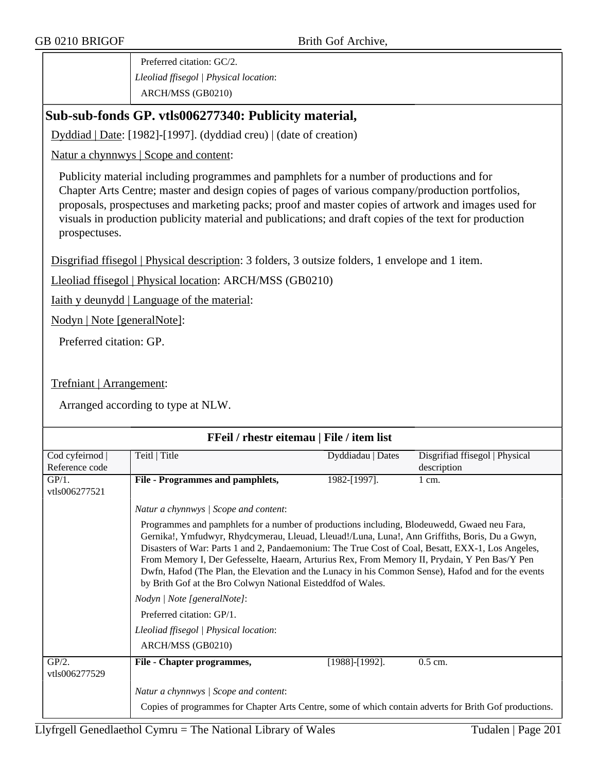Preferred citation: GC/2. *Lleoliad ffisegol | Physical location*: ARCH/MSS (GB0210)

## **Sub-sub-fonds GP. vtls006277340: Publicity material,**

Dyddiad | Date: [1982]-[1997]. (dyddiad creu) | (date of creation)

Natur a chynnwys | Scope and content:

Publicity material including programmes and pamphlets for a number of productions and for Chapter Arts Centre; master and design copies of pages of various company/production portfolios, proposals, prospectuses and marketing packs; proof and master copies of artwork and images used for visuals in production publicity material and publications; and draft copies of the text for production prospectuses.

Disgrifiad ffisegol | Physical description: 3 folders, 3 outsize folders, 1 envelope and 1 item.

Lleoliad ffisegol | Physical location: ARCH/MSS (GB0210)

Iaith y deunydd | Language of the material:

Nodyn | Note [generalNote]:

Preferred citation: GP.

Trefniant | Arrangement:

| FFeil / rhestr eitemau   File / item list |                                                                                                                                                                                                                                                                                                                                                                                                                                                                                                                                                                           |                       |                                               |  |  |
|-------------------------------------------|---------------------------------------------------------------------------------------------------------------------------------------------------------------------------------------------------------------------------------------------------------------------------------------------------------------------------------------------------------------------------------------------------------------------------------------------------------------------------------------------------------------------------------------------------------------------------|-----------------------|-----------------------------------------------|--|--|
| Cod cyfeirnod  <br>Reference code         | Teitl   Title                                                                                                                                                                                                                                                                                                                                                                                                                                                                                                                                                             | Dyddiadau   Dates     | Disgrifiad ffisegol   Physical<br>description |  |  |
| $GP/1$ .<br>vtls006277521                 | File - Programmes and pamphlets,                                                                                                                                                                                                                                                                                                                                                                                                                                                                                                                                          | 1982-[1997].          | $1 \text{ cm}$ .                              |  |  |
|                                           | Natur a chynnwys / Scope and content:                                                                                                                                                                                                                                                                                                                                                                                                                                                                                                                                     |                       |                                               |  |  |
|                                           | Programmes and pamphlets for a number of productions including, Blodeuwedd, Gwaed neu Fara,<br>Gernika!, Ymfudwyr, Rhydcymerau, Lleuad, Lleuad!/Luna, Luna!, Ann Griffiths, Boris, Du a Gwyn,<br>Disasters of War: Parts 1 and 2, Pandaemonium: The True Cost of Coal, Besatt, EXX-1, Los Angeles,<br>From Memory I, Der Gefesselte, Haearn, Arturius Rex, From Memory II, Prydain, Y Pen Bas/Y Pen<br>Dwfn, Hafod (The Plan, the Elevation and the Lunacy in his Common Sense), Hafod and for the events<br>by Brith Gof at the Bro Colwyn National Eisteddfod of Wales. |                       |                                               |  |  |
|                                           | Nodyn   Note [generalNote]:                                                                                                                                                                                                                                                                                                                                                                                                                                                                                                                                               |                       |                                               |  |  |
|                                           | Preferred citation: GP/1.                                                                                                                                                                                                                                                                                                                                                                                                                                                                                                                                                 |                       |                                               |  |  |
|                                           | Lleoliad ffisegol   Physical location:                                                                                                                                                                                                                                                                                                                                                                                                                                                                                                                                    |                       |                                               |  |  |
|                                           | ARCH/MSS (GB0210)                                                                                                                                                                                                                                                                                                                                                                                                                                                                                                                                                         |                       |                                               |  |  |
| $GP/2$ .<br>vtls006277529                 | File - Chapter programmes,                                                                                                                                                                                                                                                                                                                                                                                                                                                                                                                                                | $[1988]$ - $[1992]$ . | $0.5$ cm.                                     |  |  |
|                                           | Natur a chynnwys / Scope and content:                                                                                                                                                                                                                                                                                                                                                                                                                                                                                                                                     |                       |                                               |  |  |
|                                           | Copies of programmes for Chapter Arts Centre, some of which contain adverts for Brith Gof productions.                                                                                                                                                                                                                                                                                                                                                                                                                                                                    |                       |                                               |  |  |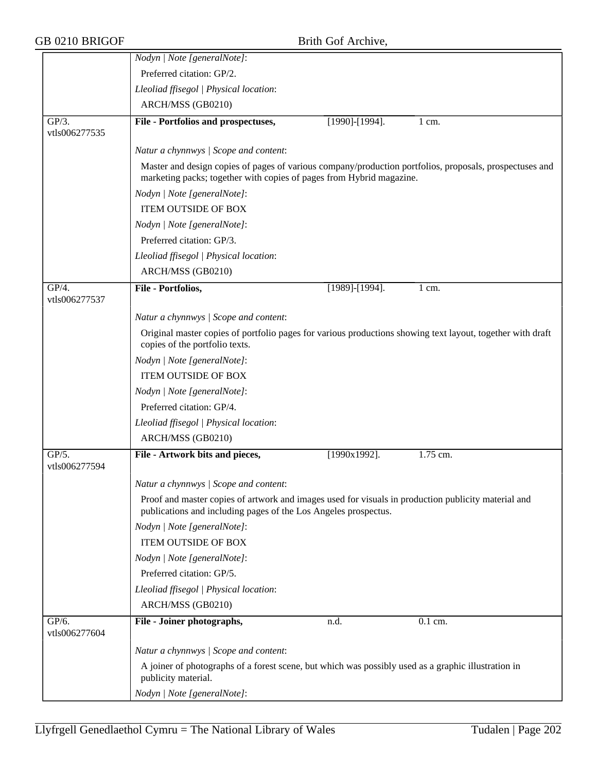|                           | Nodyn   Note [generalNote]:                                                                                                                                                     |                       |                  |  |  |
|---------------------------|---------------------------------------------------------------------------------------------------------------------------------------------------------------------------------|-----------------------|------------------|--|--|
|                           | Preferred citation: GP/2.                                                                                                                                                       |                       |                  |  |  |
|                           | Lleoliad ffisegol   Physical location:                                                                                                                                          |                       |                  |  |  |
|                           | ARCH/MSS (GB0210)                                                                                                                                                               |                       |                  |  |  |
| GP/3.<br>vtls006277535    | File - Portfolios and prospectuses,                                                                                                                                             | $[1990]$ - $[1994]$ . | $1 \text{ cm}$ . |  |  |
|                           | Natur a chynnwys / Scope and content:                                                                                                                                           |                       |                  |  |  |
|                           | Master and design copies of pages of various company/production portfolios, proposals, prospectuses and<br>marketing packs; together with copies of pages from Hybrid magazine. |                       |                  |  |  |
|                           | Nodyn   Note [generalNote]:                                                                                                                                                     |                       |                  |  |  |
|                           | <b>ITEM OUTSIDE OF BOX</b>                                                                                                                                                      |                       |                  |  |  |
|                           | Nodyn   Note [generalNote]:                                                                                                                                                     |                       |                  |  |  |
|                           | Preferred citation: GP/3.                                                                                                                                                       |                       |                  |  |  |
|                           | Lleoliad ffisegol   Physical location:                                                                                                                                          |                       |                  |  |  |
|                           | ARCH/MSS (GB0210)                                                                                                                                                               |                       |                  |  |  |
| $GP/4$ .<br>vtls006277537 | File - Portfolios,                                                                                                                                                              | [1989]-[1994].        | $1 \text{ cm}$ . |  |  |
|                           | Natur a chynnwys / Scope and content:                                                                                                                                           |                       |                  |  |  |
|                           | Original master copies of portfolio pages for various productions showing text layout, together with draft<br>copies of the portfolio texts.                                    |                       |                  |  |  |
|                           | Nodyn   Note [generalNote]:                                                                                                                                                     |                       |                  |  |  |
|                           | <b>ITEM OUTSIDE OF BOX</b>                                                                                                                                                      |                       |                  |  |  |
|                           | Nodyn   Note [generalNote]:                                                                                                                                                     |                       |                  |  |  |
|                           | Preferred citation: GP/4.                                                                                                                                                       |                       |                  |  |  |
|                           | Lleoliad ffisegol   Physical location:                                                                                                                                          |                       |                  |  |  |
|                           | ARCH/MSS (GB0210)                                                                                                                                                               |                       |                  |  |  |
| GP/5.<br>vtls006277594    | File - Artwork bits and pieces,                                                                                                                                                 | $\sqrt{1990x}$ 1992]. | $1.75$ cm.       |  |  |
|                           | Natur a chynnwys / Scope and content:                                                                                                                                           |                       |                  |  |  |
|                           | Proof and master copies of artwork and images used for visuals in production publicity material and<br>publications and including pages of the Los Angeles prospectus.          |                       |                  |  |  |
|                           | Nodyn   Note [generalNote]:                                                                                                                                                     |                       |                  |  |  |
|                           | <b>ITEM OUTSIDE OF BOX</b>                                                                                                                                                      |                       |                  |  |  |
|                           | Nodyn   Note [generalNote]:                                                                                                                                                     |                       |                  |  |  |
|                           | Preferred citation: GP/5.                                                                                                                                                       |                       |                  |  |  |
|                           | Lleoliad ffisegol   Physical location:                                                                                                                                          |                       |                  |  |  |
|                           | ARCH/MSS (GB0210)                                                                                                                                                               |                       |                  |  |  |
| GP/6.<br>vtls006277604    | File - Joiner photographs,                                                                                                                                                      | n.d.                  | 0.1 cm.          |  |  |
|                           | Natur a chynnwys / Scope and content:                                                                                                                                           |                       |                  |  |  |
|                           | A joiner of photographs of a forest scene, but which was possibly used as a graphic illustration in<br>publicity material.                                                      |                       |                  |  |  |
|                           | Nodyn   Note [generalNote]:                                                                                                                                                     |                       |                  |  |  |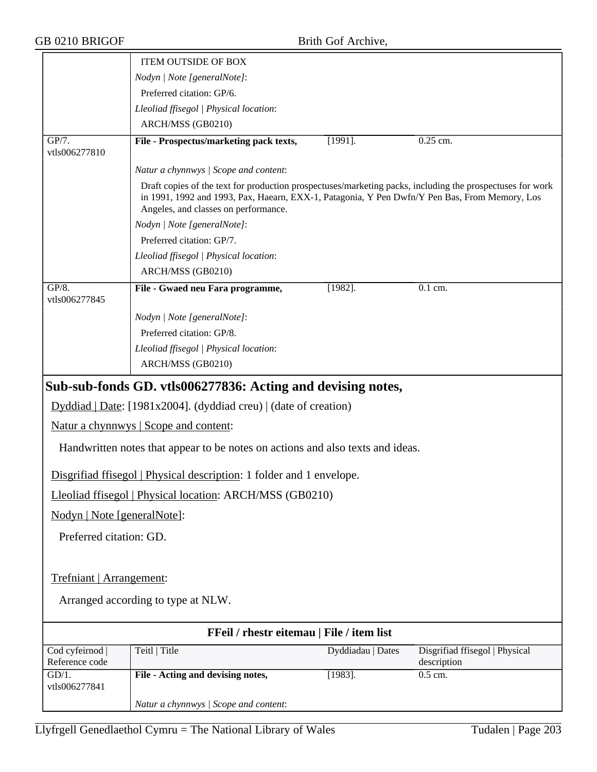|                             | <b>ITEM OUTSIDE OF BOX</b>                                                                                                                                                                                                                         |                   |                                |
|-----------------------------|----------------------------------------------------------------------------------------------------------------------------------------------------------------------------------------------------------------------------------------------------|-------------------|--------------------------------|
|                             | Nodyn   Note [generalNote]:                                                                                                                                                                                                                        |                   |                                |
|                             | Preferred citation: GP/6.                                                                                                                                                                                                                          |                   |                                |
|                             | Lleoliad ffisegol   Physical location:                                                                                                                                                                                                             |                   |                                |
|                             | ARCH/MSS (GB0210)                                                                                                                                                                                                                                  |                   |                                |
| GP/7.<br>vtls006277810      | File - Prospectus/marketing pack texts,                                                                                                                                                                                                            | $[1991]$ .        | $0.25$ cm.                     |
|                             | Natur a chynnwys / Scope and content:                                                                                                                                                                                                              |                   |                                |
|                             | Draft copies of the text for production prospectuses/marketing packs, including the prospectuses for work<br>in 1991, 1992 and 1993, Pax, Haearn, EXX-1, Patagonia, Y Pen Dwfn/Y Pen Bas, From Memory, Los<br>Angeles, and classes on performance. |                   |                                |
|                             | Nodyn   Note [generalNote]:                                                                                                                                                                                                                        |                   |                                |
|                             | Preferred citation: GP/7.                                                                                                                                                                                                                          |                   |                                |
|                             | Lleoliad ffisegol   Physical location:                                                                                                                                                                                                             |                   |                                |
|                             | ARCH/MSS (GB0210)                                                                                                                                                                                                                                  |                   |                                |
| GP/8.<br>vtls006277845      | File - Gwaed neu Fara programme,                                                                                                                                                                                                                   | $[1982]$ .        | 0.1 cm.                        |
|                             | Nodyn   Note [generalNote]:                                                                                                                                                                                                                        |                   |                                |
|                             | Preferred citation: GP/8.                                                                                                                                                                                                                          |                   |                                |
|                             | Lleoliad ffisegol   Physical location:                                                                                                                                                                                                             |                   |                                |
|                             | ARCH/MSS (GB0210)                                                                                                                                                                                                                                  |                   |                                |
|                             | Sub-sub-fonds GD. vtls006277836: Acting and devising notes,                                                                                                                                                                                        |                   |                                |
|                             | Dyddiad   Date: [1981x2004]. (dyddiad creu)   (date of creation)                                                                                                                                                                                   |                   |                                |
|                             | Natur a chynnwys   Scope and content:                                                                                                                                                                                                              |                   |                                |
|                             | Handwritten notes that appear to be notes on actions and also texts and ideas.                                                                                                                                                                     |                   |                                |
|                             | Disgrifiad ffisegol   Physical description: 1 folder and 1 envelope.                                                                                                                                                                               |                   |                                |
|                             | Lleoliad ffisegol   Physical location: ARCH/MSS (GB0210)                                                                                                                                                                                           |                   |                                |
| Nodyn   Note [generalNote]: |                                                                                                                                                                                                                                                    |                   |                                |
| Preferred citation: GD.     |                                                                                                                                                                                                                                                    |                   |                                |
|                             |                                                                                                                                                                                                                                                    |                   |                                |
| Trefniant   Arrangement:    |                                                                                                                                                                                                                                                    |                   |                                |
|                             | Arranged according to type at NLW.                                                                                                                                                                                                                 |                   |                                |
|                             | FFeil / rhestr eitemau   File / item list                                                                                                                                                                                                          |                   |                                |
| Cod cyfeirnod               | Teitl   Title                                                                                                                                                                                                                                      | Dyddiadau   Dates | Disgrifiad ffisegol   Physical |
| Reference code              |                                                                                                                                                                                                                                                    |                   | description                    |
| $GD/1$ .<br>vtls006277841   | File - Acting and devising notes,                                                                                                                                                                                                                  | $[1983]$ .        | $0.5$ cm.                      |
|                             | Natur a chynnwys / Scope and content:                                                                                                                                                                                                              |                   |                                |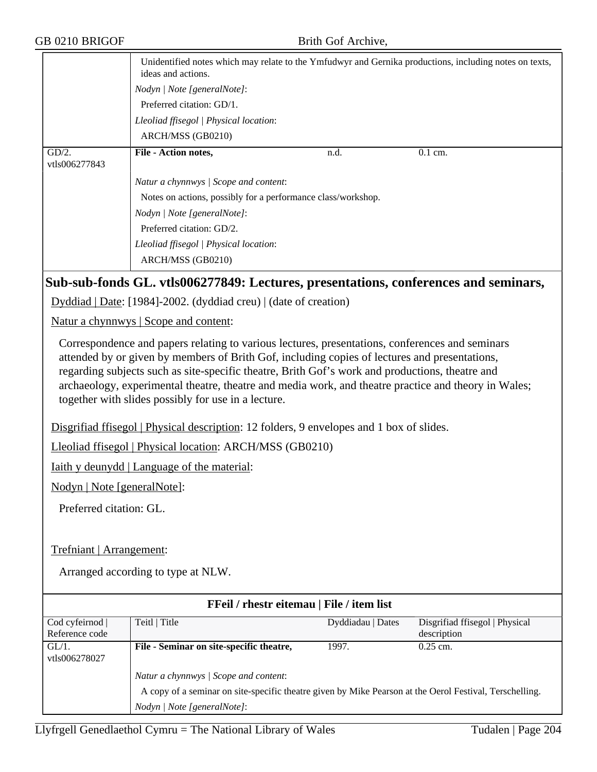|                           | ideas and actions.                                                   |      | Unidentified notes which may relate to the Ymfudwyr and Gernika productions, including notes on texts, |
|---------------------------|----------------------------------------------------------------------|------|--------------------------------------------------------------------------------------------------------|
|                           | Nodyn   Note [generalNote]:                                          |      |                                                                                                        |
|                           | Preferred citation: GD/1.                                            |      |                                                                                                        |
|                           | Lleoliad ffisegol   Physical location:                               |      |                                                                                                        |
|                           | ARCH/MSS (GB0210)                                                    |      |                                                                                                        |
| $GD/2$ .<br>vtls006277843 | File - Action notes,                                                 | n.d. | $0.1$ cm.                                                                                              |
|                           | Natur a chynnwys / Scope and content:                                |      |                                                                                                        |
|                           | Notes on actions, possibly for a performance class/workshop.         |      |                                                                                                        |
|                           | Nodyn   Note [generalNote]:                                          |      |                                                                                                        |
|                           | Preferred citation: GD/2.                                            |      |                                                                                                        |
|                           | Lleoliad ffisegol   Physical location:                               |      |                                                                                                        |
|                           | ARCH/MSS (GB0210)                                                    |      |                                                                                                        |
|                           |                                                                      |      | Sub-sub-fonds GL. vtls006277849: Lectures, presentations, conferences and seminars,                    |
|                           | $Dyddiad   Date: [1984] - 2002. (dyddiad creu)   (date of creation)$ |      |                                                                                                        |
|                           | Natur a chynnwys   Scope and content:                                |      |                                                                                                        |

Correspondence and papers relating to various lectures, presentations, conferences and seminars attended by or given by members of Brith Gof, including copies of lectures and presentations, regarding subjects such as site-specific theatre, Brith Gof's work and productions, theatre and archaeology, experimental theatre, theatre and media work, and theatre practice and theory in Wales; together with slides possibly for use in a lecture.

Disgrifiad ffisegol | Physical description: 12 folders, 9 envelopes and 1 box of slides.

Lleoliad ffisegol | Physical location: ARCH/MSS (GB0210)

Iaith y deunydd | Language of the material:

Nodyn | Note [generalNote]:

Preferred citation: GL.

Trefniant | Arrangement:

| FFeil / rhestr eitemau   File / item list |                                                                                                         |                   |                                |  |
|-------------------------------------------|---------------------------------------------------------------------------------------------------------|-------------------|--------------------------------|--|
| Cod cyfeirnod                             | Teitl   Title                                                                                           | Dyddiadau   Dates | Disgrifiad ffisegol   Physical |  |
| Reference code                            |                                                                                                         |                   | description                    |  |
| $GL/1$ .<br>vtls006278027                 | File - Seminar on site-specific theatre,                                                                | 1997.             | $0.25$ cm.                     |  |
|                                           | Natur a chynnwys / Scope and content:                                                                   |                   |                                |  |
|                                           | A copy of a seminar on site-specific theatre given by Mike Pearson at the Oerol Festival, Terschelling. |                   |                                |  |
|                                           | Nodyn / Note [generalNote]:                                                                             |                   |                                |  |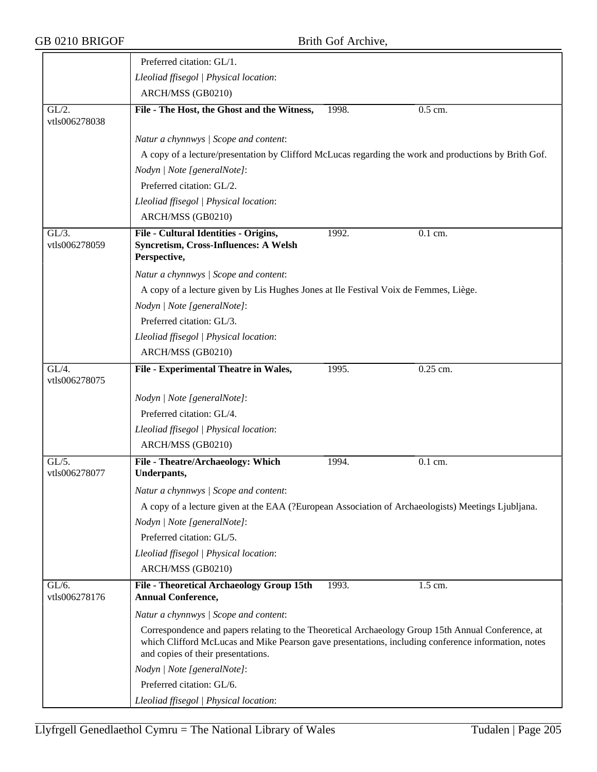|                           | Preferred citation: GL/1.                                                                                                                                                                                                                       |  |
|---------------------------|-------------------------------------------------------------------------------------------------------------------------------------------------------------------------------------------------------------------------------------------------|--|
|                           | Lleoliad ffisegol   Physical location:                                                                                                                                                                                                          |  |
|                           | ARCH/MSS (GB0210)                                                                                                                                                                                                                               |  |
| GL/2.<br>vtls006278038    | File - The Host, the Ghost and the Witness,<br>1998.<br>$0.5$ cm.                                                                                                                                                                               |  |
|                           | Natur a chynnwys / Scope and content:                                                                                                                                                                                                           |  |
|                           | A copy of a lecture/presentation by Clifford McLucas regarding the work and productions by Brith Gof.                                                                                                                                           |  |
|                           | Nodyn   Note [generalNote]:                                                                                                                                                                                                                     |  |
|                           | Preferred citation: GL/2.                                                                                                                                                                                                                       |  |
|                           | Lleoliad ffisegol   Physical location:                                                                                                                                                                                                          |  |
|                           | ARCH/MSS (GB0210)                                                                                                                                                                                                                               |  |
| $GL/3$ .<br>vtls006278059 | File - Cultural Identities - Origins,<br>1992.<br>$\overline{0.1}$ cm.<br><b>Syncretism, Cross-Influences: A Welsh</b><br>Perspective,                                                                                                          |  |
|                           | Natur a chynnwys / Scope and content:                                                                                                                                                                                                           |  |
|                           | A copy of a lecture given by Lis Hughes Jones at Ile Festival Voix de Femmes, Liège.                                                                                                                                                            |  |
|                           | Nodyn   Note [generalNote]:                                                                                                                                                                                                                     |  |
|                           | Preferred citation: GL/3.                                                                                                                                                                                                                       |  |
|                           | Lleoliad ffisegol   Physical location:                                                                                                                                                                                                          |  |
|                           | ARCH/MSS (GB0210)                                                                                                                                                                                                                               |  |
| $GL/4$ .<br>vtls006278075 | File - Experimental Theatre in Wales,<br>0.25 cm.<br>1995.                                                                                                                                                                                      |  |
|                           | Nodyn   Note [generalNote]:                                                                                                                                                                                                                     |  |
|                           | Preferred citation: GL/4.                                                                                                                                                                                                                       |  |
|                           | Lleoliad ffisegol   Physical location:                                                                                                                                                                                                          |  |
|                           | ARCH/MSS (GB0210)                                                                                                                                                                                                                               |  |
| $GL/5$ .<br>vtls006278077 | File - Theatre/Archaeology: Which<br>1994.<br>0.1 cm.<br>Underpants,                                                                                                                                                                            |  |
|                           | Natur a chynnwys / Scope and content:                                                                                                                                                                                                           |  |
|                           | A copy of a lecture given at the EAA (?European Association of Archaeologists) Meetings Ljubljana.                                                                                                                                              |  |
|                           | Nodyn   Note [generalNote]:                                                                                                                                                                                                                     |  |
|                           | Preferred citation: GL/5.                                                                                                                                                                                                                       |  |
|                           | Lleoliad ffisegol   Physical location:                                                                                                                                                                                                          |  |
|                           | ARCH/MSS (GB0210)                                                                                                                                                                                                                               |  |
| $GL/6$ .<br>vtls006278176 | File - Theoretical Archaeology Group 15th<br>1993.<br>1.5 cm.<br><b>Annual Conference,</b>                                                                                                                                                      |  |
|                           | Natur a chynnwys / Scope and content:                                                                                                                                                                                                           |  |
|                           | Correspondence and papers relating to the Theoretical Archaeology Group 15th Annual Conference, at<br>which Clifford McLucas and Mike Pearson gave presentations, including conference information, notes<br>and copies of their presentations. |  |
|                           | Nodyn   Note [generalNote]:                                                                                                                                                                                                                     |  |
|                           | Preferred citation: GL/6.                                                                                                                                                                                                                       |  |
|                           | Lleoliad ffisegol   Physical location:                                                                                                                                                                                                          |  |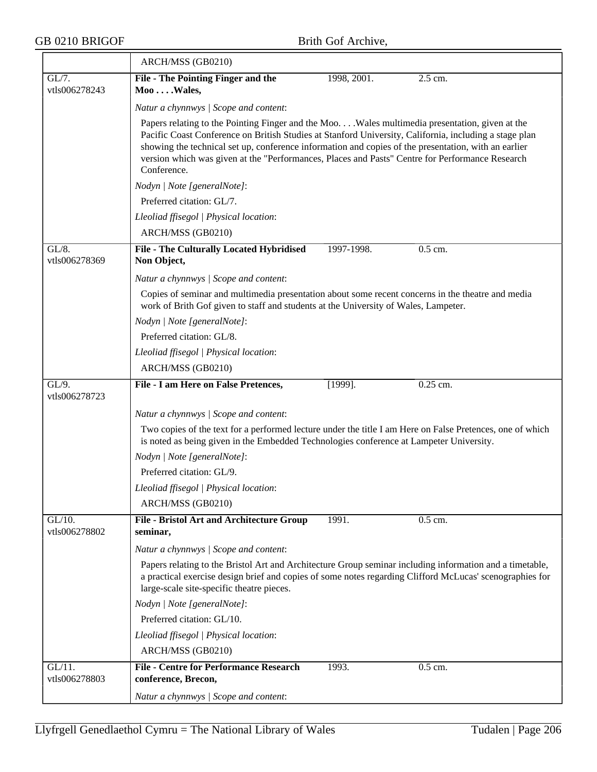|                            | ARCH/MSS (GB0210)                                                                                                                                                                                                                                                                                                                                                                                                                  |             |                      |  |  |
|----------------------------|------------------------------------------------------------------------------------------------------------------------------------------------------------------------------------------------------------------------------------------------------------------------------------------------------------------------------------------------------------------------------------------------------------------------------------|-------------|----------------------|--|--|
| $GL/7$ .                   | File - The Pointing Finger and the                                                                                                                                                                                                                                                                                                                                                                                                 | 1998, 2001. | 2.5 cm.              |  |  |
| vtls006278243              | $Moo \dots$ Wales,                                                                                                                                                                                                                                                                                                                                                                                                                 |             |                      |  |  |
|                            | Natur a chynnwys / Scope and content:                                                                                                                                                                                                                                                                                                                                                                                              |             |                      |  |  |
|                            | Papers relating to the Pointing Finger and the Moo Wales multimedia presentation, given at the<br>Pacific Coast Conference on British Studies at Stanford University, California, including a stage plan<br>showing the technical set up, conference information and copies of the presentation, with an earlier<br>version which was given at the "Performances, Places and Pasts" Centre for Performance Research<br>Conference. |             |                      |  |  |
|                            | Nodyn   Note [generalNote]:                                                                                                                                                                                                                                                                                                                                                                                                        |             |                      |  |  |
|                            | Preferred citation: GL/7.                                                                                                                                                                                                                                                                                                                                                                                                          |             |                      |  |  |
|                            | Lleoliad ffisegol   Physical location:                                                                                                                                                                                                                                                                                                                                                                                             |             |                      |  |  |
|                            | ARCH/MSS (GB0210)                                                                                                                                                                                                                                                                                                                                                                                                                  |             |                      |  |  |
| $GL/8$ .<br>vtls006278369  | File - The Culturally Located Hybridised<br>Non Object,                                                                                                                                                                                                                                                                                                                                                                            | 1997-1998.  | $\overline{0.5}$ cm. |  |  |
|                            | Natur a chynnwys / Scope and content:                                                                                                                                                                                                                                                                                                                                                                                              |             |                      |  |  |
|                            | Copies of seminar and multimedia presentation about some recent concerns in the theatre and media<br>work of Brith Gof given to staff and students at the University of Wales, Lampeter.                                                                                                                                                                                                                                           |             |                      |  |  |
|                            | Nodyn   Note [generalNote]:                                                                                                                                                                                                                                                                                                                                                                                                        |             |                      |  |  |
|                            | Preferred citation: GL/8.                                                                                                                                                                                                                                                                                                                                                                                                          |             |                      |  |  |
|                            | Lleoliad ffisegol   Physical location:                                                                                                                                                                                                                                                                                                                                                                                             |             |                      |  |  |
|                            | ARCH/MSS (GB0210)                                                                                                                                                                                                                                                                                                                                                                                                                  |             |                      |  |  |
| GL/9.                      | File - I am Here on False Pretences,                                                                                                                                                                                                                                                                                                                                                                                               | $[1999]$ .  | $0.25$ cm.           |  |  |
| vtls006278723              |                                                                                                                                                                                                                                                                                                                                                                                                                                    |             |                      |  |  |
|                            | Natur a chynnwys / Scope and content:                                                                                                                                                                                                                                                                                                                                                                                              |             |                      |  |  |
|                            | Two copies of the text for a performed lecture under the title I am Here on False Pretences, one of which<br>is noted as being given in the Embedded Technologies conference at Lampeter University.                                                                                                                                                                                                                               |             |                      |  |  |
|                            | Nodyn   Note [generalNote]:                                                                                                                                                                                                                                                                                                                                                                                                        |             |                      |  |  |
|                            | Preferred citation: GL/9.                                                                                                                                                                                                                                                                                                                                                                                                          |             |                      |  |  |
|                            | Lleoliad ffisegol   Physical location:                                                                                                                                                                                                                                                                                                                                                                                             |             |                      |  |  |
|                            | ARCH/MSS (GB0210)                                                                                                                                                                                                                                                                                                                                                                                                                  |             |                      |  |  |
| $GL/10$ .<br>vtls006278802 | <b>File - Bristol Art and Architecture Group</b><br>seminar,                                                                                                                                                                                                                                                                                                                                                                       | 1991.       | 0.5 cm.              |  |  |
|                            | Natur a chynnwys / Scope and content:                                                                                                                                                                                                                                                                                                                                                                                              |             |                      |  |  |
|                            | Papers relating to the Bristol Art and Architecture Group seminar including information and a timetable,<br>a practical exercise design brief and copies of some notes regarding Clifford McLucas' scenographies for<br>large-scale site-specific theatre pieces.                                                                                                                                                                  |             |                      |  |  |
|                            | Nodyn   Note [generalNote]:                                                                                                                                                                                                                                                                                                                                                                                                        |             |                      |  |  |
|                            | Preferred citation: GL/10.                                                                                                                                                                                                                                                                                                                                                                                                         |             |                      |  |  |
|                            | Lleoliad ffisegol   Physical location:                                                                                                                                                                                                                                                                                                                                                                                             |             |                      |  |  |
|                            | ARCH/MSS (GB0210)                                                                                                                                                                                                                                                                                                                                                                                                                  |             |                      |  |  |
| $GL/11$ .<br>vtls006278803 | <b>File - Centre for Performance Research</b>                                                                                                                                                                                                                                                                                                                                                                                      | 1993.       | 0.5 cm.              |  |  |
|                            | conference, Brecon,                                                                                                                                                                                                                                                                                                                                                                                                                |             |                      |  |  |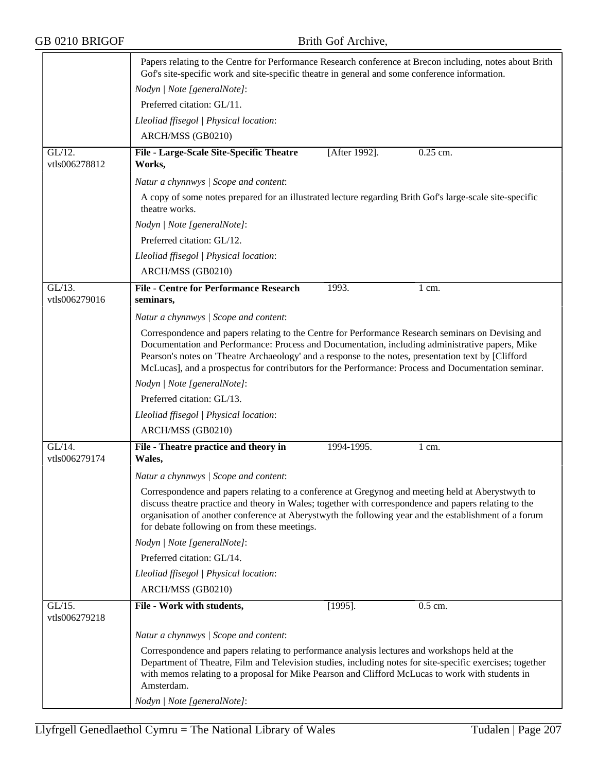|                            | Papers relating to the Centre for Performance Research conference at Brecon including, notes about Brith<br>Gof's site-specific work and site-specific theatre in general and some conference information.                                                                                                                                                                                                           |               |                  |  |  |
|----------------------------|----------------------------------------------------------------------------------------------------------------------------------------------------------------------------------------------------------------------------------------------------------------------------------------------------------------------------------------------------------------------------------------------------------------------|---------------|------------------|--|--|
|                            | Nodyn   Note [generalNote]:                                                                                                                                                                                                                                                                                                                                                                                          |               |                  |  |  |
|                            | Preferred citation: GL/11.                                                                                                                                                                                                                                                                                                                                                                                           |               |                  |  |  |
|                            | Lleoliad ffisegol   Physical location:                                                                                                                                                                                                                                                                                                                                                                               |               |                  |  |  |
|                            | ARCH/MSS (GB0210)                                                                                                                                                                                                                                                                                                                                                                                                    |               |                  |  |  |
| $GL/12$ .<br>vtls006278812 | <b>File - Large-Scale Site-Specific Theatre</b><br>Works,                                                                                                                                                                                                                                                                                                                                                            | [After 1992]. | 0.25 cm.         |  |  |
|                            | Natur a chynnwys / Scope and content:                                                                                                                                                                                                                                                                                                                                                                                |               |                  |  |  |
|                            | A copy of some notes prepared for an illustrated lecture regarding Brith Gof's large-scale site-specific<br>theatre works.                                                                                                                                                                                                                                                                                           |               |                  |  |  |
|                            | Nodyn   Note [generalNote]:                                                                                                                                                                                                                                                                                                                                                                                          |               |                  |  |  |
|                            | Preferred citation: GL/12.                                                                                                                                                                                                                                                                                                                                                                                           |               |                  |  |  |
|                            | Lleoliad ffisegol   Physical location:                                                                                                                                                                                                                                                                                                                                                                               |               |                  |  |  |
|                            | ARCH/MSS (GB0210)                                                                                                                                                                                                                                                                                                                                                                                                    |               |                  |  |  |
| $GL/13$ .<br>vtls006279016 | <b>File - Centre for Performance Research</b><br>seminars,                                                                                                                                                                                                                                                                                                                                                           | 1993.         | 1 cm.            |  |  |
|                            | Natur a chynnwys / Scope and content:                                                                                                                                                                                                                                                                                                                                                                                |               |                  |  |  |
|                            | Correspondence and papers relating to the Centre for Performance Research seminars on Devising and<br>Documentation and Performance: Process and Documentation, including administrative papers, Mike<br>Pearson's notes on 'Theatre Archaeology' and a response to the notes, presentation text by [Clifford<br>McLucas], and a prospectus for contributors for the Performance: Process and Documentation seminar. |               |                  |  |  |
|                            | Nodyn   Note [generalNote]:                                                                                                                                                                                                                                                                                                                                                                                          |               |                  |  |  |
|                            | Preferred citation: GL/13.                                                                                                                                                                                                                                                                                                                                                                                           |               |                  |  |  |
|                            | Lleoliad ffisegol   Physical location:                                                                                                                                                                                                                                                                                                                                                                               |               |                  |  |  |
|                            | ARCH/MSS (GB0210)                                                                                                                                                                                                                                                                                                                                                                                                    |               |                  |  |  |
| GL/14.<br>vtls006279174    | File - Theatre practice and theory in<br>Wales,                                                                                                                                                                                                                                                                                                                                                                      | 1994-1995.    | $1 \text{ cm}$ . |  |  |
|                            | Natur a chynnwys / Scope and content:                                                                                                                                                                                                                                                                                                                                                                                |               |                  |  |  |
|                            | Correspondence and papers relating to a conference at Gregynog and meeting held at Aberystwyth to<br>discuss theatre practice and theory in Wales; together with correspondence and papers relating to the<br>organisation of another conference at Aberystwyth the following year and the establishment of a forum<br>for debate following on from these meetings.                                                  |               |                  |  |  |
|                            | Nodyn   Note [generalNote]:                                                                                                                                                                                                                                                                                                                                                                                          |               |                  |  |  |
|                            | Preferred citation: GL/14.                                                                                                                                                                                                                                                                                                                                                                                           |               |                  |  |  |
|                            | Lleoliad ffisegol   Physical location:                                                                                                                                                                                                                                                                                                                                                                               |               |                  |  |  |
|                            | ARCH/MSS (GB0210)                                                                                                                                                                                                                                                                                                                                                                                                    |               |                  |  |  |
| $GL/15$ .<br>vtls006279218 | File - Work with students,                                                                                                                                                                                                                                                                                                                                                                                           | $[1995]$ .    | 0.5 cm.          |  |  |
|                            | Natur a chynnwys / Scope and content:                                                                                                                                                                                                                                                                                                                                                                                |               |                  |  |  |
|                            | Correspondence and papers relating to performance analysis lectures and workshops held at the<br>Department of Theatre, Film and Television studies, including notes for site-specific exercises; together<br>with memos relating to a proposal for Mike Pearson and Clifford McLucas to work with students in<br>Amsterdam.                                                                                         |               |                  |  |  |
|                            | Nodyn   Note [generalNote]:                                                                                                                                                                                                                                                                                                                                                                                          |               |                  |  |  |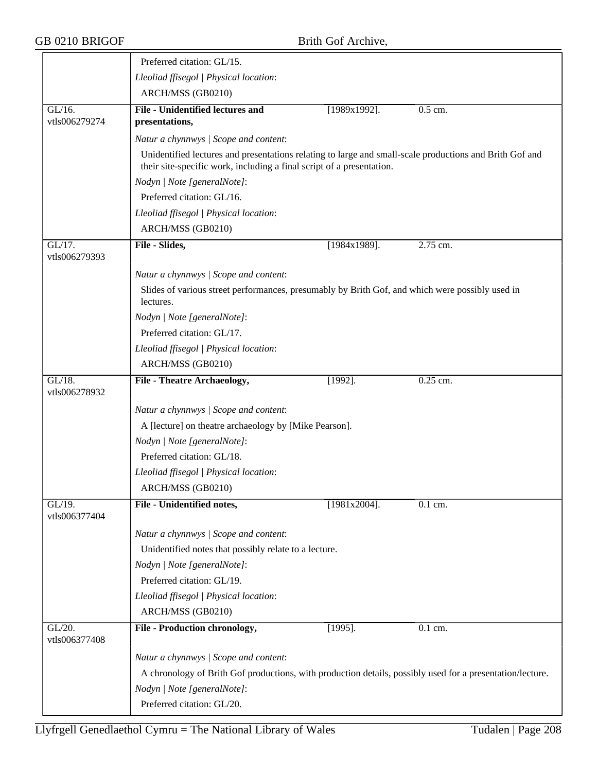|                            | Preferred citation: GL/15.                                                                                                                                                       |                 |                      |
|----------------------------|----------------------------------------------------------------------------------------------------------------------------------------------------------------------------------|-----------------|----------------------|
|                            | Lleoliad ffisegol   Physical location:                                                                                                                                           |                 |                      |
|                            | ARCH/MSS (GB0210)                                                                                                                                                                |                 |                      |
| $GL/16$ .<br>vtls006279274 | <b>File - Unidentified lectures and</b><br>presentations,                                                                                                                        | $[1989x1992]$ . | $0.5$ cm.            |
|                            | Natur a chynnwys / Scope and content:                                                                                                                                            |                 |                      |
|                            | Unidentified lectures and presentations relating to large and small-scale productions and Brith Gof and<br>their site-specific work, including a final script of a presentation. |                 |                      |
|                            | Nodyn   Note [generalNote]:                                                                                                                                                      |                 |                      |
|                            | Preferred citation: GL/16.                                                                                                                                                       |                 |                      |
|                            | Lleoliad ffisegol   Physical location:                                                                                                                                           |                 |                      |
|                            | ARCH/MSS (GB0210)                                                                                                                                                                |                 |                      |
| $GL/17$ .<br>vtls006279393 | File - Slides,                                                                                                                                                                   | $[1984x1989]$ . | 2.75 cm.             |
|                            | Natur a chynnwys / Scope and content:                                                                                                                                            |                 |                      |
|                            | Slides of various street performances, presumably by Brith Gof, and which were possibly used in<br>lectures.                                                                     |                 |                      |
|                            | Nodyn   Note [generalNote]:                                                                                                                                                      |                 |                      |
|                            | Preferred citation: GL/17.                                                                                                                                                       |                 |                      |
|                            | Lleoliad ffisegol   Physical location:                                                                                                                                           |                 |                      |
|                            | ARCH/MSS (GB0210)                                                                                                                                                                |                 |                      |
| $GL/18$ .<br>vtls006278932 | <b>File - Theatre Archaeology,</b>                                                                                                                                               | $[1992]$ .      | 0.25 cm.             |
|                            | Natur a chynnwys / Scope and content:                                                                                                                                            |                 |                      |
|                            | A [lecture] on theatre archaeology by [Mike Pearson].                                                                                                                            |                 |                      |
|                            | Nodyn   Note [generalNote]:                                                                                                                                                      |                 |                      |
|                            | Preferred citation: GL/18.                                                                                                                                                       |                 |                      |
|                            | Lleoliad ffisegol   Physical location:                                                                                                                                           |                 |                      |
|                            | ARCH/MSS (GB0210)                                                                                                                                                                |                 |                      |
| GL/19.<br>vtls006377404    | File - Unidentified notes,                                                                                                                                                       | $[1981x2004]$ . | 0.1 cm.              |
|                            | Natur a chynnwys / Scope and content:                                                                                                                                            |                 |                      |
|                            | Unidentified notes that possibly relate to a lecture.                                                                                                                            |                 |                      |
|                            | Nodyn   Note [generalNote]:                                                                                                                                                      |                 |                      |
|                            | Preferred citation: GL/19.                                                                                                                                                       |                 |                      |
|                            | Lleoliad ffisegol   Physical location:                                                                                                                                           |                 |                      |
|                            | ARCH/MSS (GB0210)                                                                                                                                                                |                 |                      |
| GL/20.<br>vtls006377408    | File - Production chronology,                                                                                                                                                    | $[1995]$ .      | $\overline{0.1}$ cm. |
|                            | Natur a chynnwys / Scope and content:                                                                                                                                            |                 |                      |
|                            | A chronology of Brith Gof productions, with production details, possibly used for a presentation/lecture.                                                                        |                 |                      |
|                            | Nodyn   Note [generalNote]:                                                                                                                                                      |                 |                      |
|                            | Preferred citation: GL/20.                                                                                                                                                       |                 |                      |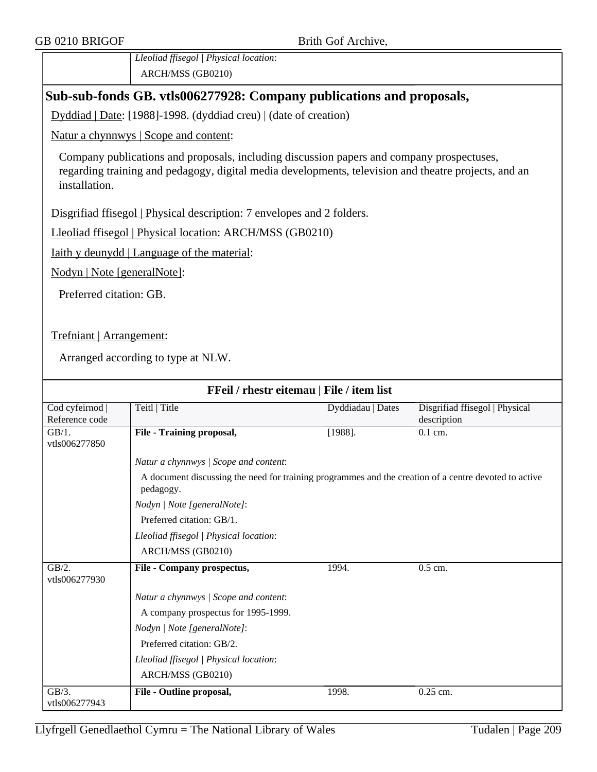*Lleoliad ffisegol | Physical location*: ARCH/MSS (GB0210)

## **Sub-sub-fonds GB. vtls006277928: Company publications and proposals,**

Dyddiad | Date: [1988]-1998. (dyddiad creu) | (date of creation)

Natur a chynnwys | Scope and content:

Company publications and proposals, including discussion papers and company prospectuses, regarding training and pedagogy, digital media developments, television and theatre projects, and an installation.

Disgrifiad ffisegol | Physical description: 7 envelopes and 2 folders.

Lleoliad ffisegol | Physical location: ARCH/MSS (GB0210)

Iaith y deunydd | Language of the material:

Nodyn | Note [generalNote]:

Preferred citation: GB.

Trefniant | Arrangement:

| FFeil / rhestr eitemau   File / item list |                                        |                                                                                                       |                                               |  |  |
|-------------------------------------------|----------------------------------------|-------------------------------------------------------------------------------------------------------|-----------------------------------------------|--|--|
| Cod cyfeirnod  <br>Reference code         | Teitl   Title                          | Dyddiadau   Dates                                                                                     | Disgrifiad ffisegol   Physical<br>description |  |  |
| GB/1.<br>vtls006277850                    | <b>File - Training proposal,</b>       | $[1988]$ .                                                                                            | $0.1$ cm.                                     |  |  |
|                                           | Natur a chynnwys / Scope and content:  |                                                                                                       |                                               |  |  |
|                                           | pedagogy.                              | A document discussing the need for training programmes and the creation of a centre devoted to active |                                               |  |  |
|                                           | Nodyn   Note [generalNote]:            |                                                                                                       |                                               |  |  |
|                                           | Preferred citation: GB/1.              |                                                                                                       |                                               |  |  |
|                                           | Lleoliad ffisegol   Physical location: |                                                                                                       |                                               |  |  |
|                                           | ARCH/MSS (GB0210)                      |                                                                                                       |                                               |  |  |
| $GB/2$ .<br>vtls006277930                 | File - Company prospectus,             | 1994.                                                                                                 | $0.5$ cm.                                     |  |  |
|                                           | Natur a chynnwys / Scope and content:  |                                                                                                       |                                               |  |  |
|                                           | A company prospectus for 1995-1999.    |                                                                                                       |                                               |  |  |
|                                           | Nodyn   Note [generalNote]:            |                                                                                                       |                                               |  |  |
|                                           | Preferred citation: GB/2.              |                                                                                                       |                                               |  |  |
|                                           | Lleoliad ffisegol   Physical location: |                                                                                                       |                                               |  |  |
|                                           | ARCH/MSS (GB0210)                      |                                                                                                       |                                               |  |  |
| $\overline{GB/3}$ .<br>vtls006277943      | File - Outline proposal,               | 1998.                                                                                                 | $0.25$ cm.                                    |  |  |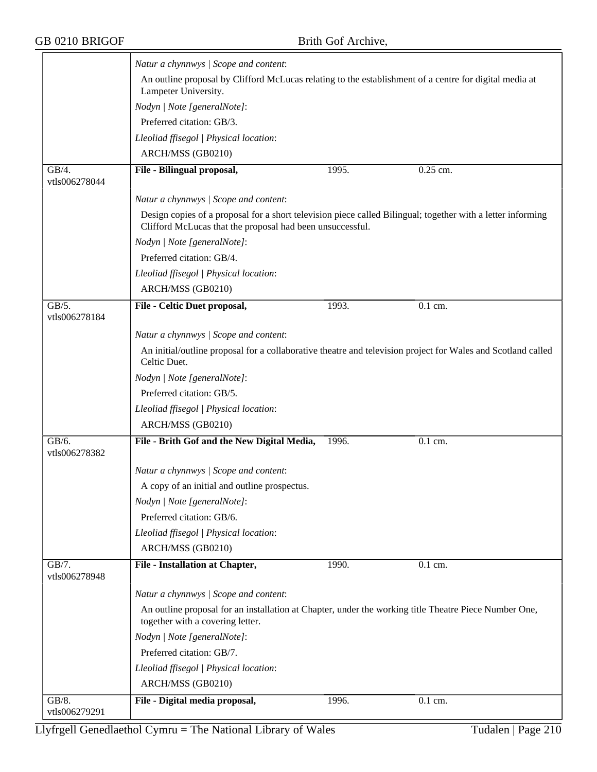$\equiv$ 

|                                      | Natur a chynnwys / Scope and content:                                                                                                                                    |       |           |  |  |  |
|--------------------------------------|--------------------------------------------------------------------------------------------------------------------------------------------------------------------------|-------|-----------|--|--|--|
|                                      | An outline proposal by Clifford McLucas relating to the establishment of a centre for digital media at<br>Lampeter University.                                           |       |           |  |  |  |
|                                      | Nodyn   Note [generalNote]:                                                                                                                                              |       |           |  |  |  |
|                                      | Preferred citation: GB/3.                                                                                                                                                |       |           |  |  |  |
|                                      | Lleoliad ffisegol   Physical location:                                                                                                                                   |       |           |  |  |  |
|                                      | ARCH/MSS (GB0210)                                                                                                                                                        |       |           |  |  |  |
| $\overline{GB/4}$ .<br>vtls006278044 | File - Bilingual proposal,                                                                                                                                               | 1995. | 0.25 cm.  |  |  |  |
|                                      | Natur a chynnwys / Scope and content:                                                                                                                                    |       |           |  |  |  |
|                                      | Design copies of a proposal for a short television piece called Bilingual; together with a letter informing<br>Clifford McLucas that the proposal had been unsuccessful. |       |           |  |  |  |
|                                      | Nodyn   Note [generalNote]:                                                                                                                                              |       |           |  |  |  |
|                                      | Preferred citation: GB/4.                                                                                                                                                |       |           |  |  |  |
|                                      | Lleoliad ffisegol   Physical location:                                                                                                                                   |       |           |  |  |  |
|                                      | ARCH/MSS (GB0210)                                                                                                                                                        |       |           |  |  |  |
| $\overline{GB/5.}$<br>vtls006278184  | File - Celtic Duet proposal,                                                                                                                                             | 1993. | $0.1$ cm. |  |  |  |
|                                      | Natur a chynnwys / Scope and content:                                                                                                                                    |       |           |  |  |  |
|                                      | An initial/outline proposal for a collaborative theatre and television project for Wales and Scotland called<br>Celtic Duet.                                             |       |           |  |  |  |
|                                      | Nodyn   Note [generalNote]:                                                                                                                                              |       |           |  |  |  |
|                                      | Preferred citation: GB/5.                                                                                                                                                |       |           |  |  |  |
|                                      | Lleoliad ffisegol   Physical location:                                                                                                                                   |       |           |  |  |  |
|                                      | ARCH/MSS (GB0210)                                                                                                                                                        |       |           |  |  |  |
| GB/6.<br>vtls006278382               | File - Brith Gof and the New Digital Media,                                                                                                                              | 1996. | 0.1 cm.   |  |  |  |
|                                      | Natur a chynnwys / Scope and content:                                                                                                                                    |       |           |  |  |  |
|                                      | A copy of an initial and outline prospectus.                                                                                                                             |       |           |  |  |  |
|                                      | Nodyn   Note [generalNote]:                                                                                                                                              |       |           |  |  |  |
|                                      | Preferred citation: GB/6.                                                                                                                                                |       |           |  |  |  |
|                                      | Lleoliad ffisegol   Physical location:                                                                                                                                   |       |           |  |  |  |
|                                      | ARCH/MSS (GB0210)                                                                                                                                                        |       |           |  |  |  |
| GB/7.<br>vtls006278948               | File - Installation at Chapter,                                                                                                                                          | 1990. | 0.1 cm.   |  |  |  |
|                                      | Natur a chynnwys / Scope and content:                                                                                                                                    |       |           |  |  |  |
|                                      | An outline proposal for an installation at Chapter, under the working title Theatre Piece Number One,<br>together with a covering letter.                                |       |           |  |  |  |
|                                      | Nodyn   Note [generalNote]:                                                                                                                                              |       |           |  |  |  |
|                                      | Preferred citation: GB/7.                                                                                                                                                |       |           |  |  |  |
|                                      | Lleoliad ffisegol   Physical location:                                                                                                                                   |       |           |  |  |  |
|                                      | ARCH/MSS (GB0210)                                                                                                                                                        |       |           |  |  |  |
| GB/8.                                | File - Digital media proposal,                                                                                                                                           | 1996. | 0.1 cm.   |  |  |  |
| vtls006279291                        |                                                                                                                                                                          |       |           |  |  |  |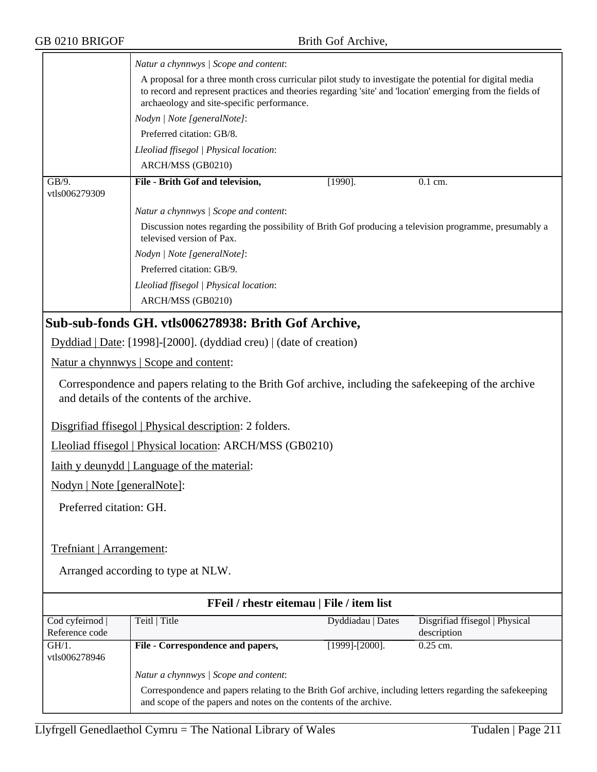|                        | Natur a chynnwys / Scope and content:<br>A proposal for a three month cross curricular pilot study to investigate the potential for digital media<br>to record and represent practices and theories regarding 'site' and 'location' emerging from the fields of<br>archaeology and site-specific performance. |  |  |  |  |
|------------------------|---------------------------------------------------------------------------------------------------------------------------------------------------------------------------------------------------------------------------------------------------------------------------------------------------------------|--|--|--|--|
|                        | Nodyn   Note [generalNote]:                                                                                                                                                                                                                                                                                   |  |  |  |  |
|                        | Preferred citation: GB/8.                                                                                                                                                                                                                                                                                     |  |  |  |  |
|                        | Lleoliad ffisegol   Physical location:                                                                                                                                                                                                                                                                        |  |  |  |  |
|                        | ARCH/MSS (GB0210)                                                                                                                                                                                                                                                                                             |  |  |  |  |
| GB/9.<br>vtls006279309 | File - Brith Gof and television,<br>$[1990]$ .<br>$0.1$ cm.                                                                                                                                                                                                                                                   |  |  |  |  |
|                        | Natur a chynnwys / Scope and content:                                                                                                                                                                                                                                                                         |  |  |  |  |
|                        | Discussion notes regarding the possibility of Brith Gof producing a television programme, presumably a<br>televised version of Pax.                                                                                                                                                                           |  |  |  |  |
|                        | Nodyn   Note [generalNote]:                                                                                                                                                                                                                                                                                   |  |  |  |  |
|                        | Preferred citation: GB/9.                                                                                                                                                                                                                                                                                     |  |  |  |  |
|                        | Lleoliad ffisegol   Physical location:                                                                                                                                                                                                                                                                        |  |  |  |  |
|                        | ARCH/MSS (GB0210)                                                                                                                                                                                                                                                                                             |  |  |  |  |
|                        |                                                                                                                                                                                                                                                                                                               |  |  |  |  |

## **Sub-sub-fonds GH. vtls006278938: Brith Gof Archive,**

Dyddiad | Date: [1998]-[2000]. (dyddiad creu) | (date of creation)

Natur a chynnwys | Scope and content:

Correspondence and papers relating to the Brith Gof archive, including the safekeeping of the archive and details of the contents of the archive.

Disgrifiad ffisegol | Physical description: 2 folders.

Lleoliad ffisegol | Physical location: ARCH/MSS (GB0210)

Iaith y deunydd | Language of the material:

Nodyn | Note [generalNote]:

Preferred citation: GH.

#### Trefniant | Arrangement:

| FFeil / rhestr eitemau   File / item list |                                                                                                                                                                               |                       |                                |  |
|-------------------------------------------|-------------------------------------------------------------------------------------------------------------------------------------------------------------------------------|-----------------------|--------------------------------|--|
| Cod cyfeirnod                             | Teitl   Title                                                                                                                                                                 | Dyddiadau   Dates     | Disgrifiad ffisegol   Physical |  |
| Reference code                            |                                                                                                                                                                               |                       | description                    |  |
| GH/1.<br>vtls006278946                    | File - Correspondence and papers,                                                                                                                                             | $[1999]$ - $[2000]$ . | $0.25$ cm.                     |  |
|                                           | Natur a chynnwys / Scope and content:                                                                                                                                         |                       |                                |  |
|                                           | Correspondence and papers relating to the Brith Gof archive, including letters regarding the safekeeping<br>and scope of the papers and notes on the contents of the archive. |                       |                                |  |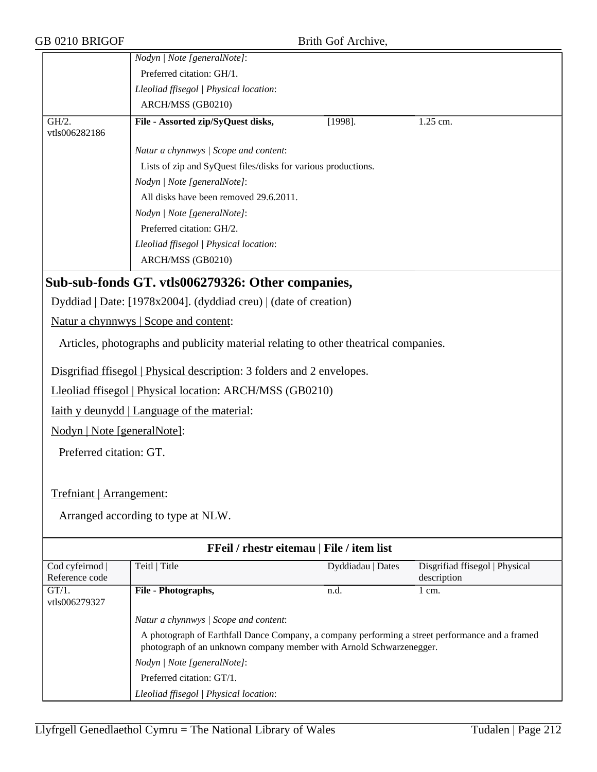| GB 0210 BRIGOF              |                                                                                                 | Brith Gof Archive, |                                |
|-----------------------------|-------------------------------------------------------------------------------------------------|--------------------|--------------------------------|
|                             | Nodyn   Note [generalNote]:                                                                     |                    |                                |
|                             | Preferred citation: GH/1.                                                                       |                    |                                |
|                             | Lleoliad ffisegol   Physical location:                                                          |                    |                                |
|                             | ARCH/MSS (GB0210)                                                                               |                    |                                |
| GH/2.<br>vtls006282186      | File - Assorted zip/SyQuest disks,                                                              | $[1998]$ .         | 1.25 cm.                       |
|                             | Natur a chynnwys / Scope and content:                                                           |                    |                                |
|                             | Lists of zip and SyQuest files/disks for various productions.                                   |                    |                                |
|                             | Nodyn   Note [generalNote]:                                                                     |                    |                                |
|                             | All disks have been removed 29.6.2011.                                                          |                    |                                |
|                             | Nodyn   Note [generalNote]:                                                                     |                    |                                |
|                             | Preferred citation: GH/2.                                                                       |                    |                                |
|                             | Lleoliad ffisegol   Physical location:                                                          |                    |                                |
|                             | ARCH/MSS (GB0210)                                                                               |                    |                                |
|                             | Sub-sub-fonds GT. vtls006279326: Other companies,                                               |                    |                                |
|                             | Dyddiad   Date: [1978x2004]. (dyddiad creu)   (date of creation)                                |                    |                                |
|                             | Natur a chynnwys   Scope and content:                                                           |                    |                                |
|                             | Articles, photographs and publicity material relating to other theatrical companies.            |                    |                                |
|                             | Disgrifiad ffisegol   Physical description: 3 folders and 2 envelopes.                          |                    |                                |
|                             | Lleoliad ffisegol   Physical location: ARCH/MSS (GB0210)                                        |                    |                                |
|                             | <u>Iaith y deunydd   Language of the material:</u>                                              |                    |                                |
| Nodyn   Note [generalNote]: |                                                                                                 |                    |                                |
| Preferred citation: GT.     |                                                                                                 |                    |                                |
|                             |                                                                                                 |                    |                                |
| Trefniant   Arrangement:    |                                                                                                 |                    |                                |
|                             |                                                                                                 |                    |                                |
|                             | Arranged according to type at NLW.                                                              |                    |                                |
|                             | FFeil / rhestr eitemau   File / item list                                                       |                    |                                |
| Cod cyfeirnod               | Teitl   Title                                                                                   | Dyddiadau   Dates  | Disgrifiad ffisegol   Physical |
| Reference code              |                                                                                                 |                    | description                    |
| $GT/1$ .<br>vtls006279327   | File - Photographs,                                                                             | n.d.               | $1 \text{ cm}$ .               |
|                             | Natur a chynnwys / Scope and content:                                                           |                    |                                |
|                             | A photograph of Earthfall Dance Company, a company performing a street performance and a framed |                    |                                |
|                             | photograph of an unknown company member with Arnold Schwarzenegger.                             |                    |                                |
|                             | Nodyn   Note [generalNote]:                                                                     |                    |                                |
|                             | Preferred citation: GT/1.                                                                       |                    |                                |